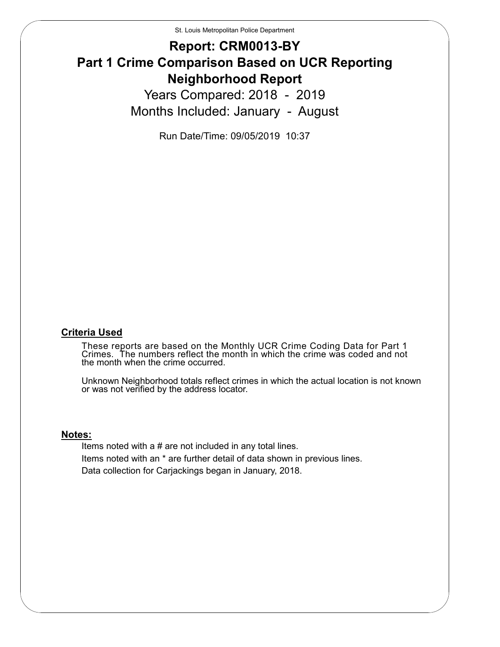St. Louis Metropolitan Police Department

#### **Report: CRM0013-BY Part 1 Crime Comparison Based on UCR Reporting Neighborhood Report** Years Compared: 2018 - 2019 Months Included: January - August

Run Date/Time: 09/05/2019 10:37

#### **Criteria Used**

These reports are based on the Monthly UCR Crime Coding Data for Part 1 Crimes. The numbers reflect the month in which the crime was coded and not the month when the crime occurred.

Unknown Neighborhood totals reflect crimes in which the actual location is not known or was not verified by the address locator.

#### **Notes:**

Items noted with a # are not included in any total lines. Items noted with an \* are further detail of data shown in previous lines. Data collection for Carjackings began in January, 2018.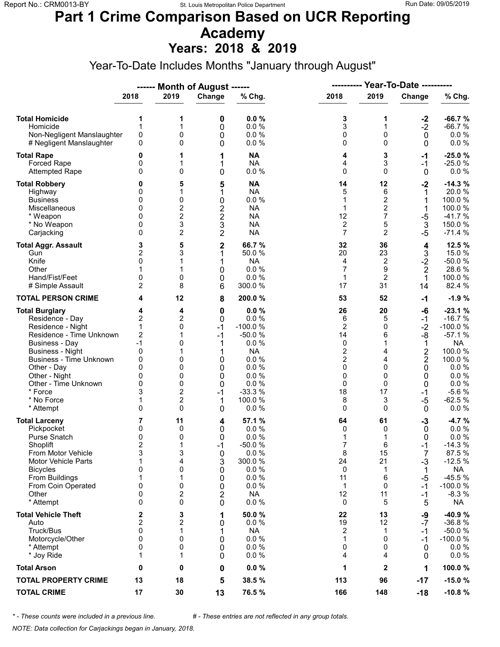### **Part 1 Crime Comparison Based on UCR Reporting Academy**

**Years: 2018 & 2019**

Year-To-Date Includes Months "January through August"

|                                                                                                                                                                                                                                                                               |                                                                                                                     |                                                                                    | ------ Month of August ------                                                    |                                                                                                                          | <b>Year-To-Date ----------</b><br>----------                                                                     |                                                                               |                                                                                                                          |                                                                                                                                             |
|-------------------------------------------------------------------------------------------------------------------------------------------------------------------------------------------------------------------------------------------------------------------------------|---------------------------------------------------------------------------------------------------------------------|------------------------------------------------------------------------------------|----------------------------------------------------------------------------------|--------------------------------------------------------------------------------------------------------------------------|------------------------------------------------------------------------------------------------------------------|-------------------------------------------------------------------------------|--------------------------------------------------------------------------------------------------------------------------|---------------------------------------------------------------------------------------------------------------------------------------------|
|                                                                                                                                                                                                                                                                               | 2018                                                                                                                | 2019                                                                               | Change                                                                           | % Chg.                                                                                                                   | 2018                                                                                                             | 2019                                                                          | Change                                                                                                                   | % Chg.                                                                                                                                      |
| <b>Total Homicide</b><br>Homicide<br>Non-Negligent Manslaughter<br># Negligent Manslaughter                                                                                                                                                                                   | 1<br>1<br>$\mathsf 0$<br>0                                                                                          | 1<br>1<br>0<br>0                                                                   | 0<br>0<br>0<br>0                                                                 | 0.0%<br>0.0%<br>0.0%<br>0.0%                                                                                             | 3<br>3<br>0<br>0                                                                                                 | 1<br>$\mathbf{1}$<br>0<br>$\Omega$                                            | $-2$<br>$-2$<br>$\mathbf 0$<br>$\mathbf 0$                                                                               | $-66.7%$<br>$-66.7%$<br>$0.0 \%$<br>$0.0 \%$                                                                                                |
| <b>Total Rape</b><br>Forced Rape<br><b>Attempted Rape</b>                                                                                                                                                                                                                     | 0<br>0<br>$\Omega$                                                                                                  | 1<br>1<br>0                                                                        | 1<br>1<br>0                                                                      | <b>NA</b><br><b>NA</b><br>0.0%                                                                                           | 4<br>4<br>0                                                                                                      | 3<br>3<br>$\Omega$                                                            | -1<br>$-1$<br>$\mathbf 0$                                                                                                | $-25.0%$<br>$-25.0%$<br>$0.0 \%$                                                                                                            |
| <b>Total Robbery</b><br>Highway<br><b>Business</b><br>Miscellaneous<br>* Weapon<br>* No Weapon<br>Carjacking                                                                                                                                                                  | 0<br>0<br>0<br>0<br>0<br>0<br>$\mathbf{0}$                                                                          | 5<br>1<br>0<br>2<br>$\overline{2}$<br>3<br>$\overline{c}$                          | 5<br>1<br>0<br>$\frac{2}{2}$<br>3<br>$\overline{2}$                              | <b>NA</b><br><b>NA</b><br>0.0 %<br><b>NA</b><br><b>NA</b><br><b>NA</b><br><b>NA</b>                                      | 14<br>5<br>1<br>$\mathbf{1}$<br>12<br>2<br>$\overline{7}$                                                        | 12<br>6<br>2<br>$\overline{c}$<br>7<br>5<br>$\overline{2}$                    | $-2$<br>1<br>1<br>$-5$<br>$\mathbf{3}$<br>$-5$                                                                           | $-14.3%$<br>20.0%<br>100.0%<br>100.0%<br>$-41.7%$<br>150.0%<br>$-71.4%$                                                                     |
| <b>Total Aggr. Assault</b><br>Gun<br>Knife<br>Other<br>Hand/Fist/Feet<br># Simple Assault                                                                                                                                                                                     | 3<br>$\overline{c}$<br>$\mathbf{0}$<br>0<br>$\overline{2}$                                                          | 5<br>3<br>0<br>8                                                                   | $\mathbf 2$<br>1<br>1<br>0<br>0<br>6                                             | 66.7%<br>50.0 %<br><b>NA</b><br>0.0%<br>0.0%<br>300.0%                                                                   | 32<br>20<br>4<br>7<br>1<br>17                                                                                    | 36<br>23<br>$\overline{c}$<br>9<br>$\overline{2}$<br>31                       | 4<br>3<br>$-2$<br>$\overline{2}$<br>1<br>14                                                                              | 12.5 %<br>15.0 %<br>$-50.0%$<br>28.6%<br>100.0%<br>82.4 %                                                                                   |
| <b>TOTAL PERSON CRIME</b>                                                                                                                                                                                                                                                     | 4                                                                                                                   | 12                                                                                 | 8                                                                                | 200.0%                                                                                                                   | 53                                                                                                               | 52                                                                            | $-1$                                                                                                                     | $-1.9%$                                                                                                                                     |
| <b>Total Burglary</b><br>Residence - Day<br>Residence - Night<br>Residence - Time Unknown<br><b>Business - Day</b><br><b>Business - Night</b><br><b>Business - Time Unknown</b><br>Other - Day<br>Other - Night<br>Other - Time Unknown<br>* Force<br>* No Force<br>* Attempt | 4<br>$\overline{c}$<br>$\mathbf{1}$<br>$\overline{c}$<br>$-1$<br>0<br>0<br>$\Omega$<br>0<br>0<br>3<br>1<br>$\Omega$ | 4<br>2<br>0<br>1<br>0<br>0<br>0<br>0<br>0<br>$\overline{c}$<br>$\overline{c}$<br>0 | $\mathbf 0$<br>0<br>$-1$<br>$-1$<br>1<br>1<br>0<br>0<br>0<br>0<br>$-1$<br>1<br>0 | 0.0%<br>0.0%<br>$-100.0%$<br>$-50.0%$<br>0.0%<br><b>NA</b><br>0.0%<br>0.0%<br>0.0%<br>0.0%<br>$-33.3%$<br>100.0%<br>0.0% | 26<br>6<br>$\overline{2}$<br>14<br>0<br>$\overline{\mathbf{c}}$<br>$\overline{2}$<br>0<br>0<br>0<br>18<br>8<br>0 | 20<br>5<br>0<br>6<br>1<br>4<br>4<br>$\Omega$<br>0<br>$\Omega$<br>17<br>3<br>0 | -6<br>$-1$<br>$-2$<br>-8<br>1<br>$\overline{\mathbf{c}}$<br>$\overline{2}$<br>0<br>0<br>0<br>$-1$<br>$-5$<br>$\mathbf 0$ | $-23.1%$<br>$-16.7%$<br>$-100.0%$<br>$-57.1%$<br><b>NA</b><br>100.0%<br>100.0%<br>0.0%<br>0.0 %<br>0.0 %<br>$-5.6%$<br>$-62.5%$<br>$0.0 \%$ |
| <b>Total Larceny</b><br>Pickpocket<br>Purse Snatch<br>Shoplift<br>From Motor Vehicle<br><b>Motor Vehicle Parts</b><br><b>Bicycles</b><br>From Buildings<br>From Coin Operated<br>Other<br>* Attempt                                                                           | 7<br>0<br>0<br>$\overline{2}$<br>3<br>1<br>0<br>1<br>0<br>0<br>0                                                    | 11<br>0<br>0<br>1<br>3<br>4<br>0<br>1<br>0<br>2<br>0                               | 4<br>0<br>0<br>$-1$<br>0<br>3<br>0<br>0<br>0<br>2<br>0                           | 57.1 %<br>0.0%<br>0.0%<br>$-50.0%$<br>$0.0 \%$<br>300.0%<br>0.0 %<br>0.0%<br>0.0%<br><b>NA</b><br>0.0%                   | 64<br>0<br>1<br>7<br>8<br>24<br>0<br>11<br>1<br>12<br>0                                                          | 61<br>0<br>1<br>6<br>15<br>21<br>1<br>6<br>0<br>11<br>5                       | $-3$<br>0<br>0<br>$-1$<br>7<br>$-3$<br>1<br>-5<br>-1<br>$-1$<br>5                                                        | $-4.7%$<br>$0.0 \%$<br>0.0%<br>$-14.3%$<br>87.5%<br>$-12.5%$<br><b>NA</b><br>$-45.5%$<br>$-100.0%$<br>$-8.3%$<br><b>NA</b>                  |
| <b>Total Vehicle Theft</b><br>Auto<br>Truck/Bus<br>Motorcycle/Other<br>* Attempt<br>* Joy Ride                                                                                                                                                                                | 2<br>$\overline{\mathbf{c}}$<br>0<br>0<br>0<br>1                                                                    | 3<br>2<br>1<br>0<br>0<br>1                                                         | 1<br>0<br>1<br>0<br>0<br>0                                                       | 50.0 %<br>0.0%<br><b>NA</b><br>0.0 %<br>0.0%<br>0.0%                                                                     | 22<br>19<br>2<br>1<br>0<br>4                                                                                     | 13<br>12<br>$\mathbf 1$<br>$\Omega$<br>0<br>4                                 | -9<br>$-7$<br>$-1$<br>-1<br>0<br>0                                                                                       | -40.9%<br>$-36.8%$<br>$-50.0%$<br>$-100.0%$<br>$0.0 \%$<br>$0.0 \%$                                                                         |
| <b>Total Arson</b>                                                                                                                                                                                                                                                            | 0                                                                                                                   | 0                                                                                  | 0                                                                                | 0.0%                                                                                                                     | 1                                                                                                                | $\mathbf{2}$                                                                  | 1                                                                                                                        | 100.0%                                                                                                                                      |
| <b>TOTAL PROPERTY CRIME</b>                                                                                                                                                                                                                                                   | 13                                                                                                                  | 18                                                                                 | 5                                                                                | 38.5 %                                                                                                                   | 113                                                                                                              | 96                                                                            | $-17$                                                                                                                    | $-15.0%$                                                                                                                                    |
| <b>TOTAL CRIME</b>                                                                                                                                                                                                                                                            | 17                                                                                                                  | 30                                                                                 | 13                                                                               | 76.5 %                                                                                                                   | 166                                                                                                              | 148                                                                           | $-18$                                                                                                                    | $-10.8%$                                                                                                                                    |

*\* - These counts were included in a previous line. # - These entries are not reflected in any group totals.*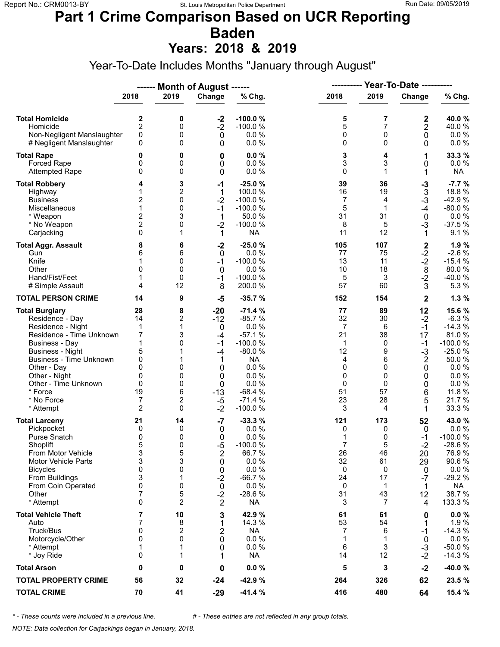### **Part 1 Crime Comparison Based on UCR Reporting Baden**

**Years: 2018 & 2019**

Year-To-Date Includes Months "January through August"

|                                                                                                                                                                                                                                                                               |                                                                                         |                                                                   | ------ Month of August ------                                                                      |                                                                                                                                             | <b>Year-To-Date ----------</b><br>----------                                     |                                                                           |                                                                                            |                                                                                                                                     |
|-------------------------------------------------------------------------------------------------------------------------------------------------------------------------------------------------------------------------------------------------------------------------------|-----------------------------------------------------------------------------------------|-------------------------------------------------------------------|----------------------------------------------------------------------------------------------------|---------------------------------------------------------------------------------------------------------------------------------------------|----------------------------------------------------------------------------------|---------------------------------------------------------------------------|--------------------------------------------------------------------------------------------|-------------------------------------------------------------------------------------------------------------------------------------|
|                                                                                                                                                                                                                                                                               | 2018                                                                                    | 2019                                                              | Change                                                                                             | % Chg.                                                                                                                                      | 2018                                                                             | 2019                                                                      | Change                                                                                     | % Chg.                                                                                                                              |
| <b>Total Homicide</b><br>Homicide<br>Non-Negligent Manslaughter<br># Negligent Manslaughter                                                                                                                                                                                   | 2<br>$\overline{2}$<br>0<br>0                                                           | 0<br>0<br>0<br>0                                                  | $-2$<br>$-2$<br>$\mathbf 0$<br>0                                                                   | $-100.0%$<br>$-100.0%$<br>0.0%<br>0.0%                                                                                                      | 5<br>5<br>0<br>0                                                                 | 7<br>$\overline{7}$<br>$\mathbf 0$<br>$\Omega$                            | $\frac{2}{2}$<br>0<br>0                                                                    | 40.0 %<br>40.0%<br>$0.0 \%$<br>$0.0 \%$                                                                                             |
| <b>Total Rape</b><br>Forced Rape<br><b>Attempted Rape</b>                                                                                                                                                                                                                     | 0<br>0<br>0                                                                             | 0<br>0<br>0                                                       | 0<br>0<br>0                                                                                        | 0.0%<br>0.0 %<br>0.0%                                                                                                                       | 3<br>3<br>0                                                                      | 4<br>3<br>$\mathbf 1$                                                     | 1<br>0<br>1                                                                                | 33.3 %<br>$0.0 \%$<br><b>NA</b>                                                                                                     |
| <b>Total Robbery</b><br>Highway<br><b>Business</b><br>Miscellaneous<br>* Weapon<br>* No Weapon<br>Carjacking                                                                                                                                                                  | 4<br>$\overline{c}$<br>1<br>$\overline{\mathbf{c}}$<br>$\overline{2}$<br>0              | 3<br>2<br>0<br>0<br>3<br>0<br>1                                   | $-1$<br>1<br>$-2$<br>$-1$<br>1<br>$-2$<br>1                                                        | $-25.0%$<br>100.0 %<br>$-100.0%$<br>$-100.0%$<br>50.0 %<br>$-100.0%$<br><b>NA</b>                                                           | 39<br>16<br>7<br>5<br>31<br>8<br>11                                              | 36<br>19<br>4<br>1<br>31<br>5<br>12                                       | $-3$<br>$\overline{3}$<br>$-3$<br>$-4$<br>$\mathbf 0$<br>$-3$<br>1                         | $-7.7%$<br>18.8%<br>$-42.9%$<br>$-80.0%$<br>0.0%<br>$-37.5%$<br>9.1%                                                                |
| <b>Total Aggr. Assault</b><br>Gun<br>Knife<br>Other<br>Hand/Fist/Feet<br># Simple Assault                                                                                                                                                                                     | 8<br>6<br>1<br>$\mathbf{0}$<br>1<br>4                                                   | 6<br>6<br>0<br>0<br>0<br>12                                       | $-2$<br>$\mathsf 0$<br>$-1$<br>$\mathbf 0$<br>$-1$<br>8                                            | $-25.0%$<br>0.0%<br>$-100.0%$<br>0.0%<br>$-100.0%$<br>200.0%                                                                                | 105<br>77<br>13<br>10<br>5<br>57                                                 | 107<br>75<br>11<br>18<br>3<br>60                                          | $2^{2}$<br>$-2^{2}$<br>$-2^{2}$<br>$-2^{2}$<br>3                                           | 1.9%<br>$-2.6%$<br>$-15.4%$<br>80.0%<br>-40.0%<br>5.3 %                                                                             |
| <b>TOTAL PERSON CRIME</b>                                                                                                                                                                                                                                                     | 14                                                                                      | 9                                                                 | $-5$                                                                                               | $-35.7%$                                                                                                                                    | 152                                                                              | 154                                                                       | $\mathbf 2$                                                                                | 1.3%                                                                                                                                |
| <b>Total Burglary</b><br>Residence - Day<br>Residence - Night<br>Residence - Time Unknown<br><b>Business - Day</b><br><b>Business - Night</b><br><b>Business - Time Unknown</b><br>Other - Day<br>Other - Night<br>Other - Time Unknown<br>* Force<br>* No Force<br>* Attempt | 28<br>14<br>$\mathbf 1$<br>7<br>1<br>5<br>0<br>0<br>0<br>0<br>19<br>7<br>$\overline{2}$ | 8<br>2<br>1<br>3<br>0<br>0<br>0<br>0<br>6<br>$\overline{c}$<br>0  | $-20$<br>$-12$<br>$\mathbf 0$<br>$-4$<br>$-1$<br>$-4$<br>1<br>0<br>0<br>0<br>$-13$<br>$-5$<br>$-2$ | $-71.4%$<br>$-85.7%$<br>0.0%<br>$-57.1%$<br>$-100.0%$<br>$-80.0%$<br><b>NA</b><br>0.0%<br>0.0%<br>0.0%<br>$-68.4%$<br>$-71.4%$<br>$-100.0%$ | 77<br>32<br>$\overline{7}$<br>21<br>1<br>12<br>4<br>0<br>0<br>0<br>51<br>23<br>3 | 89<br>30<br>6<br>38<br>0<br>9<br>6<br>$\Omega$<br>0<br>0<br>57<br>28<br>4 | 12<br>$-2$<br>$-1$<br>17<br>$-1$<br>$-3$<br>$\boldsymbol{2}$<br>0<br>0<br>0<br>6<br>5<br>1 | 15.6 %<br>$-6.3%$<br>$-14.3%$<br>81.0%<br>$-100.0%$<br>$-25.0%$<br>50.0%<br>$0.0 \%$<br>0.0 %<br>0.0 %<br>11.8 %<br>21.7%<br>33.3 % |
| <b>Total Larceny</b><br>Pickpocket<br>Purse Snatch<br>Shoplift<br>From Motor Vehicle<br><b>Motor Vehicle Parts</b><br><b>Bicycles</b><br>From Buildings<br>From Coin Operated<br>Other<br>* Attempt                                                                           | 21<br>0<br>0<br>5<br>3<br>3<br>0<br>3<br>0<br>7<br>$\mathbf{0}$                         | 14<br>0<br>0<br>0<br>5<br>3<br>0<br>1<br>0<br>5<br>$\overline{c}$ | $-7$<br>0<br>0<br>$-5$<br>2<br>0<br>0<br>$-2$<br>$\mathbf 0$<br>$-2$<br>$\overline{2}$             | $-33.3%$<br>0.0%<br>0.0%<br>$-100.0%$<br>66.7%<br>0.0%<br>0.0%<br>$-66.7%$<br>0.0%<br>$-28.6%$<br><b>NA</b>                                 | 121<br>0<br>1<br>$\overline{7}$<br>26<br>32<br>0<br>24<br>0<br>31<br>3           | 173<br>0<br>0<br>5<br>46<br>61<br>0<br>17<br>1<br>43<br>7                 | 52<br>0<br>$-1$<br>$-2$<br>20<br>29<br>0<br>$-7$<br>1<br>12<br>4                           | 43.0%<br>$0.0 \%$<br>$-100.0%$<br>$-28.6%$<br>76.9%<br>90.6%<br>0.0 %<br>$-29.2%$<br><b>NA</b><br>38.7%<br>133.3 %                  |
| <b>Total Vehicle Theft</b><br>Auto<br>Truck/Bus<br>Motorcycle/Other<br>* Attempt<br>* Joy Ride                                                                                                                                                                                | 7<br>7<br>0<br>0<br>1<br>0                                                              | 10<br>8<br>2<br>0<br>1<br>1                                       | 3<br>1<br>2<br>0<br>0<br>1                                                                         | 42.9 %<br>14.3 %<br><b>NA</b><br>0.0 %<br>0.0%<br><b>NA</b>                                                                                 | 61<br>53<br>7<br>1<br>6<br>14                                                    | 61<br>54<br>6<br>1<br>3<br>12                                             | 0<br>1<br>$-1$<br>0<br>$-3$<br>$-2$                                                        | $0.0 \%$<br>1.9%<br>$-14.3%$<br>$0.0 \%$<br>$-50.0%$<br>$-14.3%$                                                                    |
| <b>Total Arson</b>                                                                                                                                                                                                                                                            | 0                                                                                       | 0                                                                 | 0                                                                                                  | 0.0%                                                                                                                                        | 5                                                                                | 3                                                                         | $-2$                                                                                       | -40.0%                                                                                                                              |
| <b>TOTAL PROPERTY CRIME</b>                                                                                                                                                                                                                                                   | 56                                                                                      | 32                                                                | $-24$                                                                                              | $-42.9%$                                                                                                                                    | 264                                                                              | 326                                                                       | 62                                                                                         | 23.5 %                                                                                                                              |
| <b>TOTAL CRIME</b>                                                                                                                                                                                                                                                            | 70                                                                                      | 41                                                                | $-29$                                                                                              | $-41.4%$                                                                                                                                    | 416                                                                              | 480                                                                       | 64                                                                                         | 15.4 %                                                                                                                              |

*\* - These counts were included in a previous line. # - These entries are not reflected in any group totals.*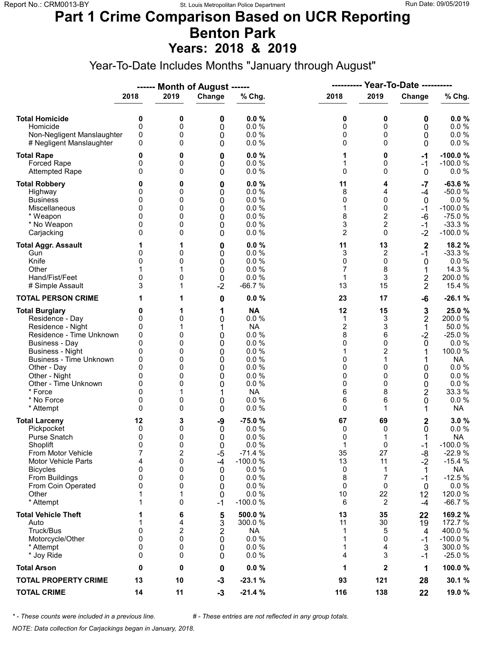#### **Part 1 Crime Comparison Based on UCR Reporting Benton Park Years: 2018 & 2019**

Year-To-Date Includes Months "January through August"

|                                                                                                                                                                                                                                                                        |                                                                      |                                                            | ------ Month of August ------                                           |                                                                                                                        |                                                                             |                                                                             |                                                                              |                                                                                                                                 |  |
|------------------------------------------------------------------------------------------------------------------------------------------------------------------------------------------------------------------------------------------------------------------------|----------------------------------------------------------------------|------------------------------------------------------------|-------------------------------------------------------------------------|------------------------------------------------------------------------------------------------------------------------|-----------------------------------------------------------------------------|-----------------------------------------------------------------------------|------------------------------------------------------------------------------|---------------------------------------------------------------------------------------------------------------------------------|--|
|                                                                                                                                                                                                                                                                        | 2018                                                                 | 2019                                                       | Change                                                                  | % Chg.                                                                                                                 | 2018                                                                        | 2019                                                                        | Change                                                                       | % Chg.                                                                                                                          |  |
| <b>Total Homicide</b><br>Homicide<br>Non-Negligent Manslaughter<br># Negligent Manslaughter                                                                                                                                                                            | 0<br>0<br>0<br>0                                                     | 0<br>0<br>0<br>0                                           | 0<br>0<br>0<br>0                                                        | 0.0%<br>0.0%<br>0.0%<br>0.0%                                                                                           | 0<br>0<br>0<br>0                                                            | 0<br>0<br>0<br>0                                                            | 0<br>0<br>0<br>0                                                             | 0.0%<br>0.0 %<br>$0.0 \%$<br>0.0 %                                                                                              |  |
| <b>Total Rape</b><br><b>Forced Rape</b><br><b>Attempted Rape</b>                                                                                                                                                                                                       | 0<br>0<br>0                                                          | 0<br>0<br>0                                                | 0<br>0<br>0                                                             | 0.0%<br>0.0%<br>0.0%                                                                                                   | 1<br>1<br>0                                                                 | 0<br>0<br>$\Omega$                                                          | -1<br>$-1$<br>$\mathbf{0}$                                                   | $-100.0%$<br>$-100.0%$<br>$0.0 \%$                                                                                              |  |
| <b>Total Robbery</b><br>Highway<br><b>Business</b><br>Miscellaneous<br>* Weapon<br>* No Weapon<br>Carjacking                                                                                                                                                           | 0<br>0<br>0<br>0<br>0<br>$\Omega$<br>0                               | 0<br>0<br>0<br>0<br>0<br>0<br>0                            | 0<br>0<br>0<br>0<br>0<br>0<br>0                                         | 0.0%<br>0.0%<br>0.0%<br>0.0%<br>0.0%<br>0.0%<br>0.0 %                                                                  | 11<br>8<br>0<br>1<br>8<br>3<br>$\overline{2}$                               | 4<br>4<br>0<br>0<br>2<br>$\overline{2}$<br>$\Omega$                         | $-7$<br>$-4$<br>0<br>$-1$<br>-6<br>$-1$<br>$-2$                              | $-63.6%$<br>$-50.0%$<br>0.0%<br>$-100.0%$<br>$-75.0%$<br>$-33.3%$<br>$-100.0%$                                                  |  |
| <b>Total Aggr. Assault</b><br>Gun<br>Knife<br>Other<br>Hand/Fist/Feet<br># Simple Assault                                                                                                                                                                              | 1<br>0<br>0<br>0<br>3                                                | 1<br>0<br>0<br>0<br>1                                      | 0<br>0<br>$\mathbf 0$<br>0<br>0<br>$-2$                                 | 0.0%<br>0.0 %<br>0.0%<br>0.0%<br>0.0 %<br>$-66.7%$                                                                     | 11<br>3<br>0<br>7<br>1<br>13                                                | 13<br>2<br>0<br>8<br>3<br>15                                                | $\mathbf{2}$<br>$-1$<br>0<br>1<br>2<br>$\overline{2}$                        | 18.2 %<br>$-33.3%$<br>0.0%<br>14.3 %<br>200.0%<br>15.4 %                                                                        |  |
| <b>TOTAL PERSON CRIME</b>                                                                                                                                                                                                                                              |                                                                      | 1                                                          | 0                                                                       | 0.0%                                                                                                                   | 23                                                                          | 17                                                                          | -6                                                                           | $-26.1%$                                                                                                                        |  |
| <b>Total Burglary</b><br>Residence - Day<br>Residence - Night<br>Residence - Time Unknown<br>Business - Day<br><b>Business - Night</b><br><b>Business - Time Unknown</b><br>Other - Day<br>Other - Night<br>Other - Time Unknown<br>* Force<br>* No Force<br>* Attempt | 0<br>0<br>0<br>0<br>0<br>0<br>0<br>0<br>0<br>0<br>0<br>0<br>$\Omega$ | 1<br>0<br>1<br>0<br>0<br>0<br>0<br>0<br>0<br>0<br>0<br>0   | 1<br>0<br>1<br>0<br>0<br>0<br>$\mathbf 0$<br>0<br>0<br>0<br>1<br>0<br>0 | <b>NA</b><br>0.0%<br><b>NA</b><br>0.0 %<br>0.0%<br>0.0%<br>0.0%<br>0.0%<br>0.0%<br>0.0 %<br><b>NA</b><br>0.0 %<br>0.0% | 12<br>1<br>$\overline{2}$<br>8<br>0<br>1<br>0<br>0<br>0<br>0<br>6<br>6<br>0 | 15<br>3<br>3<br>6<br>0<br>$\overline{c}$<br>1<br>0<br>0<br>0<br>8<br>6<br>1 | 3<br>$\overline{\mathbf{c}}$<br>1<br>$-2$<br>0<br>0<br>0<br>0<br>2<br>0<br>1 | 25.0%<br>200.0%<br>50.0%<br>$-25.0%$<br>0.0%<br>100.0%<br><b>NA</b><br>0.0%<br>0.0%<br>$0.0 \%$<br>33.3 %<br>0.0 %<br><b>NA</b> |  |
| <b>Total Larceny</b><br>Pickpocket<br>Purse Snatch<br>Shoplift<br>From Motor Vehicle<br><b>Motor Vehicle Parts</b><br><b>Bicycles</b><br>From Buildings<br>From Coin Operated<br>Other<br>* Attempt                                                                    | 12<br>0<br>0<br>$\Omega$<br>7<br>4<br>0<br>0<br>0<br>1<br>1          | 3<br>0<br>0<br>$\Omega$<br>2<br>0<br>0<br>0<br>0<br>1<br>0 | -9<br>0<br>0<br>$\Omega$<br>$-5$<br>$-4$<br>0<br>0<br>0<br>0<br>$-1$    | $-75.0%$<br>0.0%<br>0.0%<br>0.0 %<br>$-71.4%$<br>$-100.0%$<br>0.0 %<br>0.0 %<br>0.0%<br>0.0 %<br>$-100.0%$             | 67<br>0<br>0<br>1<br>35<br>13<br>0<br>8<br>0<br>10<br>6                     | 69<br>0<br>1<br>$\Omega$<br>27<br>11<br>1<br>7<br>0<br>22<br>$\overline{2}$ | 2<br>0<br>$-1$<br>-8<br>$-2$<br>1<br>$-1$<br>0<br>12<br>$-4$                 | 3.0%<br>$0.0 \%$<br><b>NA</b><br>$-100.0%$<br>$-22.9%$<br>$-15.4%$<br>NA<br>$-12.5%$<br>$0.0 \%$<br>120.0%<br>$-66.7%$          |  |
| <b>Total Vehicle Theft</b><br>Auto<br>Truck/Bus<br>Motorcycle/Other<br>* Attempt<br>* Joy Ride                                                                                                                                                                         | 1<br>1<br>0<br>0<br>0<br>0                                           | 6<br>4<br>2<br>0<br>0<br>0                                 | 5<br>3<br>$\overline{\mathbf{c}}$<br>0<br>0<br>0                        | 500.0%<br>300.0 %<br><b>NA</b><br>0.0 %<br>0.0%<br>0.0%                                                                | 13<br>11<br>1<br>1<br>1<br>4                                                | 35<br>30<br>5<br>0<br>4<br>3                                                | 22<br>19<br>4<br>$-1$<br>3<br>$-1$                                           | 169.2 %<br>172.7 %<br>400.0%<br>$-100.0%$<br>300.0%<br>$-25.0%$                                                                 |  |
| <b>Total Arson</b>                                                                                                                                                                                                                                                     | 0                                                                    | 0                                                          | 0                                                                       | 0.0%                                                                                                                   | 1                                                                           | $\mathbf 2$                                                                 | 1                                                                            | 100.0%                                                                                                                          |  |
| <b>TOTAL PROPERTY CRIME</b>                                                                                                                                                                                                                                            | 13                                                                   | 10                                                         | $-3$                                                                    | $-23.1%$                                                                                                               | 93                                                                          | 121                                                                         | 28                                                                           | 30.1 %                                                                                                                          |  |
| <b>TOTAL CRIME</b>                                                                                                                                                                                                                                                     | 14                                                                   | 11                                                         | $-3$                                                                    | $-21.4%$                                                                                                               | 116                                                                         | 138                                                                         | 22                                                                           | 19.0 %                                                                                                                          |  |

*\* - These counts were included in a previous line. # - These entries are not reflected in any group totals.*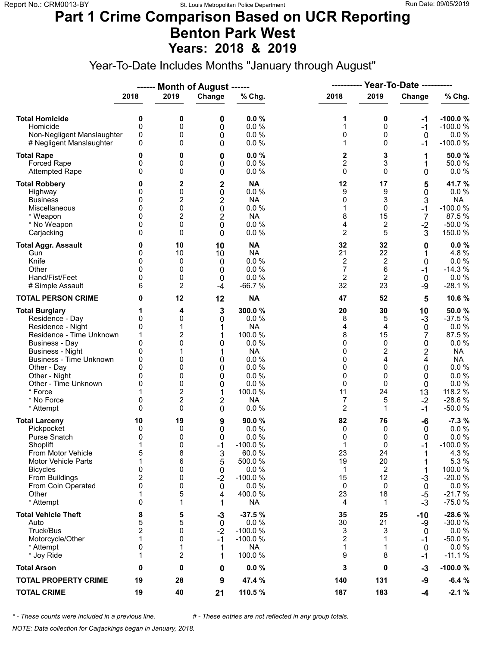### **Part 1 Crime Comparison Based on UCR Reporting Benton Park West Years: 2018 & 2019**

Year-To-Date Includes Months "January through August"

|                                                                                                                                                                                                                                                                        |                                                                              |                                                                                     | ------ Month of August ------                                                                                          |                                                                                                                            | ----------                                                          |                                                                                   | <b>Year-To-Date ----------</b>                                                                           |                                                                                                                                          |
|------------------------------------------------------------------------------------------------------------------------------------------------------------------------------------------------------------------------------------------------------------------------|------------------------------------------------------------------------------|-------------------------------------------------------------------------------------|------------------------------------------------------------------------------------------------------------------------|----------------------------------------------------------------------------------------------------------------------------|---------------------------------------------------------------------|-----------------------------------------------------------------------------------|----------------------------------------------------------------------------------------------------------|------------------------------------------------------------------------------------------------------------------------------------------|
|                                                                                                                                                                                                                                                                        | 2018                                                                         | 2019                                                                                | Change                                                                                                                 | % Chg.                                                                                                                     | 2018                                                                | 2019                                                                              | Change                                                                                                   | % Chg.                                                                                                                                   |
| <b>Total Homicide</b><br>Homicide<br>Non-Negligent Manslaughter<br># Negligent Manslaughter                                                                                                                                                                            | 0<br>0<br>0<br>0                                                             | 0<br>0<br>0<br>0                                                                    | 0<br>0<br>0<br>0                                                                                                       | 0.0%<br>0.0%<br>0.0 %<br>0.0%                                                                                              | 1<br>1<br>0<br>1                                                    | 0<br>0<br>0<br>$\mathbf 0$                                                        | -1<br>$-1$<br>$\mathbf{0}$<br>-1                                                                         | $-100.0%$<br>$-100.0%$<br>$0.0 \%$<br>$-100.0%$                                                                                          |
| <b>Total Rape</b><br>Forced Rape<br><b>Attempted Rape</b>                                                                                                                                                                                                              | 0<br>0<br>$\Omega$                                                           | 0<br>0<br>0                                                                         | 0<br>0<br>0                                                                                                            | 0.0%<br>0.0%<br>0.0 %                                                                                                      | 2<br>$\overline{c}$<br>$\mathbf 0$                                  | 3<br>3<br>$\Omega$                                                                | 1<br>1<br>0                                                                                              | 50.0%<br>50.0%<br>$0.0 \%$                                                                                                               |
| <b>Total Robbery</b><br>Highway<br><b>Business</b><br>Miscellaneous<br>* Weapon<br>* No Weapon<br>Carjacking                                                                                                                                                           | 0<br>0<br>0<br>0<br>0<br>0<br>0                                              | 2<br>0<br>2<br>0<br>2<br>0<br>0                                                     | $\mathbf 2$<br>$\pmb{0}$<br>$\overline{\mathbf{c}}$<br>$\overline{0}$<br>$\overline{2}$<br>$\mathbf 0$<br>$\mathbf{0}$ | <b>NA</b><br>0.0 %<br><b>NA</b><br>0.0 %<br><b>NA</b><br>0.0 %<br>0.0%                                                     | 12<br>9<br>0<br>1<br>8<br>4<br>$\overline{2}$                       | 17<br>9<br>3<br>$\Omega$<br>15<br>2<br>5                                          | 5<br>0<br>3<br>$-1$<br>$\overline{7}$<br>$-2$<br>3                                                       | 41.7 %<br>$0.0 \%$<br><b>NA</b><br>$-100.0%$<br>87.5%<br>$-50.0%$<br>150.0%                                                              |
| <b>Total Aggr. Assault</b><br>Gun<br>Knife<br>Other<br>Hand/Fist/Feet<br># Simple Assault                                                                                                                                                                              | 0<br>0<br>0<br>$\Omega$<br>0<br>6                                            | 10<br>10<br>0<br>0<br>0<br>2                                                        | 10<br>10<br>0<br>0<br>0<br>$-4$                                                                                        | <b>NA</b><br><b>NA</b><br>0.0 %<br>0.0%<br>0.0%<br>$-66.7%$                                                                | 32<br>21<br>2<br>$\overline{7}$<br>$\overline{2}$<br>32             | 32<br>22<br>2<br>6<br>$\overline{2}$<br>23                                        | 0<br>1<br>0<br>$-1$<br>0<br>$-9$                                                                         | 0.0%<br>4.8%<br>0.0 %<br>$-14.3%$<br>0.0 %<br>$-28.1%$                                                                                   |
| <b>TOTAL PERSON CRIME</b>                                                                                                                                                                                                                                              | 0                                                                            | 12                                                                                  | 12                                                                                                                     | <b>NA</b>                                                                                                                  | 47                                                                  | 52                                                                                | 5                                                                                                        | 10.6%                                                                                                                                    |
| <b>Total Burglary</b><br>Residence - Day<br>Residence - Night<br>Residence - Time Unknown<br><b>Business - Day</b><br><b>Business - Night</b><br>Business - Time Unknown<br>Other - Day<br>Other - Night<br>Other - Time Unknown<br>* Force<br>* No Force<br>* Attempt | 0<br>0<br>1<br>$\mathbf{0}$<br>0<br>0<br>$\Omega$<br>0<br>0<br>0<br>$\Omega$ | 4<br>0<br>1<br>2<br>0<br>1<br>0<br>0<br>0<br>0<br>$\overline{\mathbf{c}}$<br>2<br>0 | 3<br>0<br>1<br>1<br>0<br>1<br>0<br>0<br>0<br>0<br>1<br>2<br>$\mathbf{0}$                                               | 300.0%<br>0.0%<br><b>NA</b><br>100.0 %<br>0.0%<br><b>NA</b><br>0.0%<br>0.0%<br>0.0%<br>0.0%<br>100.0%<br><b>NA</b><br>0.0% | 20<br>8<br>4<br>8<br>0<br>0<br>0<br>0<br>0<br>0<br>11<br>7<br>2     | 30<br>5<br>4<br>15<br>$\mathbf 0$<br>2<br>4<br>$\Omega$<br>0<br>0<br>24<br>5<br>1 | 10<br>$-3$<br>$\mathbf 0$<br>7<br>0<br>$\overline{\mathbf{c}}$<br>4<br>0<br>0<br>0<br>13<br>$-2$<br>$-1$ | 50.0%<br>$-37.5%$<br>0.0%<br>87.5%<br>$0.0 \%$<br><b>NA</b><br><b>NA</b><br>$0.0 \%$<br>0.0%<br>0.0 %<br>118.2 %<br>$-28.6%$<br>$-50.0%$ |
| <b>Total Larceny</b><br>Pickpocket<br><b>Purse Snatch</b><br>Shoplift<br>From Motor Vehicle<br><b>Motor Vehicle Parts</b><br><b>Bicycles</b><br>From Buildings<br>From Coin Operated<br>Other<br>* Attempt                                                             | 10<br>0<br>0<br>1<br>5<br>1<br>0<br>2<br>0<br>1<br>0                         | 19<br>0<br>0<br>0<br>8<br>6<br>0<br>0<br>0<br>5<br>1                                | 9<br>0<br>0<br>$-1$<br>3<br>5<br>0<br>$-2$<br>0<br>4<br>1                                                              | 90.0%<br>0.0%<br>0.0%<br>$-100.0%$<br>60.0%<br>500.0%<br>0.0 %<br>$-100.0%$<br>0.0%<br>400.0%<br><b>NA</b>                 | 82<br>0<br>0<br>1<br>23<br>19<br>$\mathbf{1}$<br>15<br>0<br>23<br>4 | 76<br>0<br>0<br>$\Omega$<br>24<br>20<br>$\overline{2}$<br>12<br>0<br>18<br>1      | -6<br>0<br>0<br>$-1$<br>1<br>1<br>1<br>$-3$<br>0<br>$-5$<br>$-3$                                         | $-7.3%$<br>$0.0 \%$<br>0.0%<br>$-100.0%$<br>4.3 %<br>5.3 %<br>100.0%<br>$-20.0%$<br>$0.0 \%$<br>$-21.7%$<br>$-75.0%$                     |
| <b>Total Vehicle Theft</b><br>Auto<br>Truck/Bus<br>Motorcycle/Other<br>* Attempt<br>* Joy Ride                                                                                                                                                                         | 8<br>5<br>2<br>1<br>0<br>1                                                   | 5<br>5<br>0<br>0<br>1<br>2                                                          | $-3$<br>$\mathbf 0$<br>$-2$<br>$-1$<br>1<br>1                                                                          | $-37.5%$<br>0.0%<br>$-100.0%$<br>$-100.0%$<br><b>NA</b><br>100.0%                                                          | 35<br>30<br>3<br>2<br>1<br>9                                        | 25<br>21<br>3<br>1<br>1<br>8                                                      | -10<br>-9<br>0<br>-1<br>0<br>$-1$                                                                        | $-28.6%$<br>$-30.0%$<br>$0.0 \%$<br>$-50.0%$<br>$0.0 \%$<br>$-11.1%$                                                                     |
| <b>Total Arson</b>                                                                                                                                                                                                                                                     | 0                                                                            | 0                                                                                   | 0                                                                                                                      | 0.0%                                                                                                                       | 3                                                                   | 0                                                                                 | -3                                                                                                       | $-100.0%$                                                                                                                                |
| <b>TOTAL PROPERTY CRIME</b>                                                                                                                                                                                                                                            | 19                                                                           | 28                                                                                  | 9                                                                                                                      | 47.4 %                                                                                                                     | 140                                                                 | 131                                                                               | -9                                                                                                       | $-6.4%$                                                                                                                                  |
| <b>TOTAL CRIME</b>                                                                                                                                                                                                                                                     | 19                                                                           | 40                                                                                  | 21                                                                                                                     | 110.5%                                                                                                                     | 187                                                                 | 183                                                                               | $-4$                                                                                                     | $-2.1%$                                                                                                                                  |

*\* - These counts were included in a previous line. # - These entries are not reflected in any group totals.*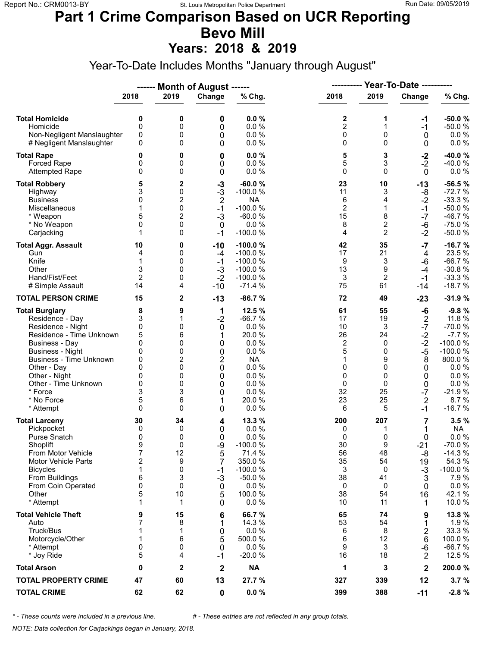# **Part 1 Crime Comparison Based on UCR Reporting Bevo Mill**

**Years: 2018 & 2019**

Year-To-Date Includes Months "January through August"

|                                                                                                                                                                                                                                                                               |                                                                             |                                                               | ------ Month of August ------                                                           |                                                                                                                    | <b>Year-To-Date ----------</b><br>----------                        |                                                                           |                                                                                                                     |                                                                                                                                           |
|-------------------------------------------------------------------------------------------------------------------------------------------------------------------------------------------------------------------------------------------------------------------------------|-----------------------------------------------------------------------------|---------------------------------------------------------------|-----------------------------------------------------------------------------------------|--------------------------------------------------------------------------------------------------------------------|---------------------------------------------------------------------|---------------------------------------------------------------------------|---------------------------------------------------------------------------------------------------------------------|-------------------------------------------------------------------------------------------------------------------------------------------|
|                                                                                                                                                                                                                                                                               | 2018                                                                        | 2019                                                          | Change                                                                                  | % Chg.                                                                                                             | 2018                                                                | 2019                                                                      | Change                                                                                                              | % Chg.                                                                                                                                    |
| <b>Total Homicide</b><br>Homicide<br>Non-Negligent Manslaughter<br># Negligent Manslaughter                                                                                                                                                                                   | 0<br>$\mathbf 0$<br>0<br>0                                                  | 0<br>0<br>0<br>0                                              | 0<br>0<br>0<br>0                                                                        | 0.0%<br>0.0%<br>0.0%<br>0.0%                                                                                       | 2<br>$\overline{2}$<br>0<br>0                                       | 1<br>1<br>0<br>$\Omega$                                                   | -1<br>$-1$<br>0<br>0                                                                                                | $-50.0%$<br>$-50.0%$<br>$0.0 \%$<br>$0.0 \%$                                                                                              |
| <b>Total Rape</b><br>Forced Rape<br><b>Attempted Rape</b>                                                                                                                                                                                                                     | 0<br>0<br>0                                                                 | 0<br>0<br>0                                                   | 0<br>0<br>0                                                                             | 0.0%<br>0.0 %<br>0.0%                                                                                              | 5<br>5<br>$\mathbf 0$                                               | 3<br>3<br>$\Omega$                                                        | $-2$<br>$-2$<br>$\mathbf 0$                                                                                         | $-40.0%$<br>-40.0%<br>$0.0 \%$                                                                                                            |
| <b>Total Robbery</b><br>Highway<br><b>Business</b><br>Miscellaneous<br>* Weapon<br>* No Weapon<br>Carjacking                                                                                                                                                                  | 5<br>3<br>0<br>1<br>5<br>0<br>1                                             | 2<br>0<br>2<br>0<br>$\overline{2}$<br>0<br>0                  | -3<br>$-3$<br>$\overline{2}$<br>$-1$<br>$-3$<br>0<br>$-1$                               | $-60.0%$<br>$-100.0%$<br><b>NA</b><br>$-100.0%$<br>$-60.0%$<br>0.0%<br>$-100.0%$                                   | 23<br>11<br>6<br>$\overline{c}$<br>15<br>8<br>4                     | 10<br>3<br>4<br>$\mathbf{1}$<br>8<br>$\overline{c}$<br>$\overline{2}$     | $-13$<br>-8<br>$-2$<br>$-1$<br>$-7$<br>$-6$<br>$-2$                                                                 | $-56.5%$<br>$-72.7%$<br>$-33.3%$<br>$-50.0%$<br>$-46.7%$<br>$-75.0%$<br>$-50.0%$                                                          |
| <b>Total Aggr. Assault</b><br>Gun<br>Knife<br>Other<br>Hand/Fist/Feet<br># Simple Assault                                                                                                                                                                                     | 10<br>4<br>1<br>3<br>$\overline{2}$<br>14                                   | 0<br>0<br>0<br>0<br>0<br>4                                    | $-10$<br>-4<br>$-1$<br>$-3$<br>$-2$<br>$-10$                                            | $-100.0%$<br>$-100.0%$<br>$-100.0%$<br>$-100.0%$<br>$-100.0%$<br>$-71.4%$                                          | 42<br>17<br>9<br>13<br>3<br>75                                      | 35<br>21<br>3<br>9<br>$\overline{2}$<br>61                                | $-7$<br>4<br>-6<br>$-4$<br>$-1$<br>$-14$                                                                            | $-16.7%$<br>23.5 %<br>$-66.7%$<br>$-30.8%$<br>$-33.3%$<br>$-18.7%$                                                                        |
| <b>TOTAL PERSON CRIME</b>                                                                                                                                                                                                                                                     | 15                                                                          | 2                                                             | $-13$                                                                                   | $-86.7%$                                                                                                           | 72                                                                  | 49                                                                        | $-23$                                                                                                               | $-31.9%$                                                                                                                                  |
| <b>Total Burglary</b><br>Residence - Day<br>Residence - Night<br>Residence - Time Unknown<br><b>Business - Day</b><br><b>Business - Night</b><br><b>Business - Time Unknown</b><br>Other - Day<br>Other - Night<br>Other - Time Unknown<br>* Force<br>* No Force<br>* Attempt | 8<br>3<br>0<br>5<br>0<br>0<br>0<br>$\Omega$<br>0<br>0<br>3<br>5<br>$\Omega$ | 9<br>1<br>0<br>6<br>0<br>0<br>2<br>0<br>0<br>0<br>3<br>6<br>0 | 1<br>$-2$<br>0<br>1<br>0<br>0<br>$\overline{c}$<br>$\mathbf 0$<br>0<br>0<br>0<br>1<br>0 | 12.5 %<br>$-66.7%$<br>0.0%<br>20.0 %<br>0.0%<br>0.0%<br><b>NA</b><br>0.0%<br>0.0%<br>0.0%<br>0.0%<br>20.0%<br>0.0% | 61<br>17<br>10<br>26<br>2<br>5<br>1<br>0<br>0<br>0<br>32<br>23<br>6 | 55<br>19<br>3<br>24<br>0<br>0<br>9<br>$\Omega$<br>0<br>0<br>25<br>25<br>5 | -6<br>$\overline{\mathbf{c}}$<br>$-7$<br>$-2$<br>$-2$<br>$-5$<br>8<br>0<br>0<br>0<br>$-7$<br>$\overline{2}$<br>$-1$ | $-9.8%$<br>11.8 %<br>$-70.0%$<br>$-7.7%$<br>$-100.0%$<br>$-100.0%$<br>800.0%<br>$0.0 \%$<br>0.0%<br>0.0 %<br>$-21.9%$<br>8.7%<br>$-16.7%$ |
| <b>Total Larceny</b><br>Pickpocket<br>Purse Snatch<br>Shoplift<br>From Motor Vehicle<br><b>Motor Vehicle Parts</b><br><b>Bicycles</b><br>From Buildings<br>From Coin Operated<br>Other<br>* Attempt                                                                           | 30<br>0<br>0<br>9<br>7<br>$\overline{2}$<br>1<br>6<br>0<br>5<br>1           | 34<br>0<br>0<br>0<br>12<br>9<br>0<br>3<br>0<br>10<br>1        | 4<br>0<br>0<br>-9<br>5<br>7<br>$-1$<br>$-3$<br>0<br>5<br>0                              | 13.3 %<br>0.0%<br>0.0%<br>$-100.0%$<br>71.4 %<br>350.0%<br>$-100.0%$<br>$-50.0%$<br>0.0%<br>100.0%<br>0.0%         | 200<br>0<br>0<br>30<br>56<br>35<br>3<br>38<br>0<br>38<br>10         | 207<br>1<br>0<br>9<br>48<br>54<br>0<br>41<br>0<br>54<br>11                | 7<br>1<br>0<br>$-21$<br>-8<br>19<br>$-3$<br>3<br>0<br>16<br>1                                                       | 3.5%<br><b>NA</b><br>0.0 %<br>$-70.0%$<br>$-14.3%$<br>54.3 %<br>$-100.0%$<br>7.9%<br>0.0 %<br>42.1%<br>10.0%                              |
| <b>Total Vehicle Theft</b><br>Auto<br>Truck/Bus<br>Motorcycle/Other<br>* Attempt<br>* Joy Ride                                                                                                                                                                                | 9<br>7<br>1<br>1<br>0<br>5                                                  | 15<br>8<br>1<br>6<br>0<br>4                                   | 6<br>1<br>0<br>5<br>0<br>$-1$                                                           | 66.7 %<br>14.3 %<br>0.0 %<br>500.0%<br>0.0%<br>$-20.0%$                                                            | 65<br>53<br>6<br>6<br>9<br>16                                       | 74<br>54<br>8<br>12<br>3<br>18                                            | 9<br>1<br>2<br>6<br>-6<br>$\overline{2}$                                                                            | 13.8 %<br>1.9%<br>33.3 %<br>100.0%<br>$-66.7%$<br>12.5 %                                                                                  |
| <b>Total Arson</b>                                                                                                                                                                                                                                                            | 0                                                                           | 2                                                             | $\mathbf 2$                                                                             | <b>NA</b>                                                                                                          | 1                                                                   | 3                                                                         | $\mathbf 2$                                                                                                         | 200.0%                                                                                                                                    |
| <b>TOTAL PROPERTY CRIME</b>                                                                                                                                                                                                                                                   | 47                                                                          | 60                                                            | 13                                                                                      | 27.7 %                                                                                                             | 327                                                                 | 339                                                                       | 12                                                                                                                  | 3.7%                                                                                                                                      |
| <b>TOTAL CRIME</b>                                                                                                                                                                                                                                                            | 62                                                                          | 62                                                            | $\pmb{0}$                                                                               | $0.0 \%$                                                                                                           | 399                                                                 | 388                                                                       | $-11$                                                                                                               | $-2.8%$                                                                                                                                   |

*\* - These counts were included in a previous line. # - These entries are not reflected in any group totals.*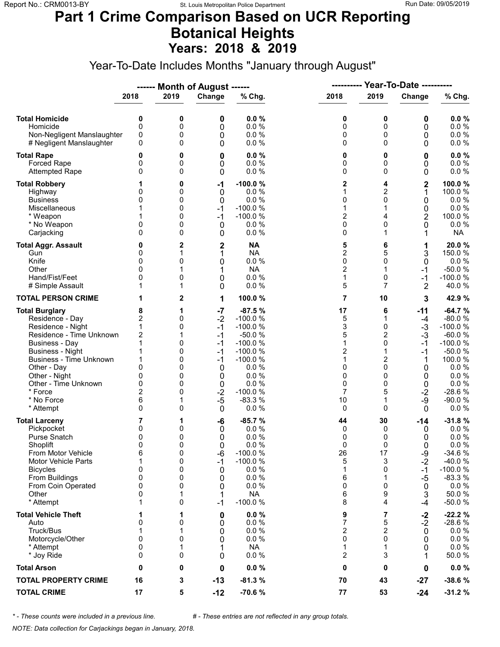### **Part 1 Crime Comparison Based on UCR Reporting Botanical Heights Years: 2018 & 2019**

Year-To-Date Includes Months "January through August"

|                                                                                                                                                                                                                                                                        |                                                                            |                                                               | ------ Month of August ------                                                                       |                                                                                                                                                |                                                                            |                                                                              | <b>Year-To-Date ----------</b>                                                                    |                                                                                                                                                |
|------------------------------------------------------------------------------------------------------------------------------------------------------------------------------------------------------------------------------------------------------------------------|----------------------------------------------------------------------------|---------------------------------------------------------------|-----------------------------------------------------------------------------------------------------|------------------------------------------------------------------------------------------------------------------------------------------------|----------------------------------------------------------------------------|------------------------------------------------------------------------------|---------------------------------------------------------------------------------------------------|------------------------------------------------------------------------------------------------------------------------------------------------|
|                                                                                                                                                                                                                                                                        | 2018                                                                       | 2019                                                          | Change                                                                                              | % Chg.                                                                                                                                         | 2018                                                                       | 2019                                                                         | Change                                                                                            | % Chg.                                                                                                                                         |
| <b>Total Homicide</b><br>Homicide<br>Non-Negligent Manslaughter<br># Negligent Manslaughter                                                                                                                                                                            | 0<br>0<br>0<br>0                                                           | 0<br>0<br>0<br>0                                              | 0<br>0<br>0<br>0                                                                                    | 0.0%<br>0.0%<br>0.0 %<br>0.0%                                                                                                                  | 0<br>0<br>0<br>0                                                           | 0<br>0<br>0<br>0                                                             | 0<br>0<br>0<br>0                                                                                  | 0.0%<br>0.0 %<br>0.0 %<br>$0.0 \%$                                                                                                             |
| <b>Total Rape</b><br>Forced Rape<br><b>Attempted Rape</b>                                                                                                                                                                                                              | 0<br>0<br>$\Omega$                                                         | 0<br>0<br>0                                                   | 0<br>0<br>0                                                                                         | 0.0%<br>0.0%<br>0.0 %                                                                                                                          | 0<br>0<br>0                                                                | 0<br>0<br>$\mathbf 0$                                                        | 0<br>0<br>0                                                                                       | 0.0%<br>0.0 %<br>0.0 %                                                                                                                         |
| <b>Total Robbery</b><br>Highway<br><b>Business</b><br>Miscellaneous<br>* Weapon<br>* No Weapon<br>Carjacking                                                                                                                                                           | 0<br>0<br>0<br>0                                                           | 0<br>0<br>0<br>0<br>0<br>0<br>0                               | -1<br>0<br>0<br>$-1$<br>$-1$<br>0<br>0                                                              | $-100.0%$<br>0.0%<br>0.0%<br>$-100.0%$<br>$-100.0%$<br>0.0%<br>0.0%                                                                            | 2<br>1<br>0<br>1<br>2<br>0<br>0                                            | 4<br>$\overline{c}$<br>0<br>4<br>0<br>1                                      | $\mathbf 2$<br>1<br>0<br>0<br>2<br>0<br>1                                                         | 100.0%<br>100.0 %<br>0.0%<br>$0.0 \%$<br>100.0%<br>0.0%<br><b>NA</b>                                                                           |
| <b>Total Aggr. Assault</b><br>Gun<br>Knife<br>Other<br>Hand/Fist/Feet<br># Simple Assault                                                                                                                                                                              | 0<br>0<br>0<br>O<br>0                                                      | 2<br>1<br>0<br>1<br>0<br>1                                    | $\mathbf 2$<br>1<br>0<br>1<br>0<br>0                                                                | <b>NA</b><br><b>NA</b><br>0.0 %<br><b>NA</b><br>0.0%<br>0.0%                                                                                   | 5<br>2<br>0<br>$\overline{2}$<br>1<br>5                                    | 6<br>5<br>0<br>1<br>0<br>7                                                   | 1<br>3<br>0<br>$-1$<br>$-1$<br>2                                                                  | 20.0%<br>150.0 %<br>$0.0 \%$<br>$-50.0%$<br>$-100.0%$<br>40.0%                                                                                 |
| <b>TOTAL PERSON CRIME</b>                                                                                                                                                                                                                                              |                                                                            | 2                                                             | 1                                                                                                   | 100.0%                                                                                                                                         | 7                                                                          | 10                                                                           | 3                                                                                                 | 42.9 %                                                                                                                                         |
| <b>Total Burglary</b><br>Residence - Day<br>Residence - Night<br>Residence - Time Unknown<br><b>Business - Day</b><br><b>Business - Night</b><br>Business - Time Unknown<br>Other - Day<br>Other - Night<br>Other - Time Unknown<br>* Force<br>* No Force<br>* Attempt | 8<br>2<br>1<br>2<br>$\mathbf 1$<br>0<br>0<br>0<br>$\overline{2}$<br>6<br>0 | 1<br>0<br>0<br>1<br>0<br>0<br>0<br>0<br>0<br>0<br>0<br>1<br>0 | $-7$<br>$-2$<br>$-1$<br>$-1$<br>$-1$<br>$-1$<br>$-1$<br>0<br>0<br>0<br>$-2$<br>$-5$<br>$\mathbf{0}$ | $-87.5%$<br>$-100.0%$<br>$-100.0%$<br>$-50.0%$<br>$-100.0%$<br>$-100.0%$<br>$-100.0%$<br>0.0%<br>0.0%<br>0.0%<br>$-100.0%$<br>$-83.3%$<br>0.0% | 17<br>5<br>3<br>5<br>$\mathbf{1}$<br>2<br>1<br>0<br>0<br>0<br>7<br>10<br>0 | 6<br>1<br>0<br>2<br>0<br>2<br>$\mathbf 0$<br>0<br>0<br>5<br>1<br>$\mathbf 0$ | $-11$<br>$-4$<br>$-3$<br>$-3$<br>$-1$<br>$-1$<br>1<br>0<br>0<br>0<br>$-2$<br>$-9$<br>$\mathbf{0}$ | $-64.7%$<br>$-80.0%$<br>$-100.0%$<br>$-60.0%$<br>$-100.0%$<br>$-50.0%$<br>100.0%<br>0.0%<br>0.0 %<br>0.0 %<br>$-28.6%$<br>$-90.0%$<br>$0.0 \%$ |
| <b>Total Larceny</b><br>Pickpocket<br><b>Purse Snatch</b><br>Shoplift<br>From Motor Vehicle<br>Motor Vehicle Parts<br><b>Bicycles</b><br>From Buildings<br>From Coin Operated<br>Other<br>* Attempt                                                                    | 7<br>0<br>0<br>$\Omega$<br>6<br>1<br>0<br>0<br>0<br>0                      | 1<br>0<br>0<br>0<br>0<br>0<br>0<br>0<br>0<br>1<br>0           | -6<br>0<br>0<br>0<br>-6<br>-1<br>0<br>0<br>0<br>1<br>$-1$                                           | $-85.7%$<br>0.0%<br>0.0%<br>0.0%<br>$-100.0%$<br>$-100.0%$<br>0.0 %<br>0.0%<br>0.0%<br><b>NA</b><br>$-100.0%$                                  | 44<br>0<br>0<br>0<br>26<br>5<br>1<br>6<br>0<br>6<br>8                      | 30<br>0<br>0<br>$\Omega$<br>17<br>3<br>0<br>1<br>0<br>9<br>4                 | $-14$<br>0<br>0<br>0<br>-9<br>$-2$<br>$-1$<br>$-5$<br>0<br>3<br>-4                                | $-31.8%$<br>0.0 %<br>0.0%<br>0.0%<br>$-34.6%$<br>$-40.0%$<br>$-100.0%$<br>$-83.3%$<br>0.0%<br>50.0%<br>$-50.0%$                                |
| <b>Total Vehicle Theft</b><br>Auto<br>Truck/Bus<br>Motorcycle/Other<br>* Attempt<br>* Joy Ride                                                                                                                                                                         | 1<br>0<br>1<br>$\mathbf{0}$<br>0<br>0                                      | 1<br>0<br>1<br>0<br>1<br>0                                    | 0<br>0<br>0<br>0<br>1<br>0                                                                          | 0.0%<br>0.0%<br>0.0 %<br>0.0 %<br><b>NA</b><br>0.0%                                                                                            | 9<br>7<br>$\overline{c}$<br>0<br>1<br>2                                    | 7<br>5<br>2<br>$\Omega$<br>1<br>3                                            | $-2$<br>$-2$<br>0<br>0<br>0                                                                       | $-22.2%$<br>$-28.6%$<br>$0.0 \%$<br>0.0 %<br>$0.0 \%$<br>50.0%                                                                                 |
| <b>Total Arson</b>                                                                                                                                                                                                                                                     | 0                                                                          | 0                                                             | 0                                                                                                   | 0.0%                                                                                                                                           | 0                                                                          | 0                                                                            | 0                                                                                                 | $0.0 \%$                                                                                                                                       |
| <b>TOTAL PROPERTY CRIME</b>                                                                                                                                                                                                                                            | 16                                                                         | 3                                                             | $-13$                                                                                               | $-81.3%$                                                                                                                                       | 70                                                                         | 43                                                                           | $-27$                                                                                             | $-38.6%$                                                                                                                                       |
| <b>TOTAL CRIME</b>                                                                                                                                                                                                                                                     | 17                                                                         | 5                                                             | $-12$                                                                                               | -70.6%                                                                                                                                         | 77                                                                         | 53                                                                           | $-24$                                                                                             | $-31.2%$                                                                                                                                       |

*\* - These counts were included in a previous line. # - These entries are not reflected in any group totals.*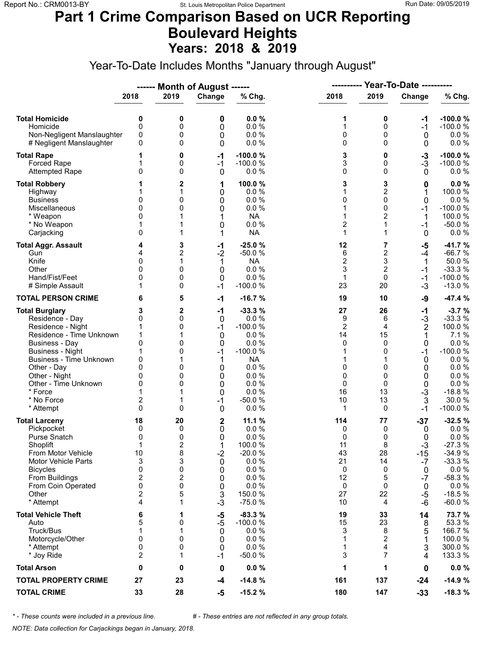### **Part 1 Crime Comparison Based on UCR Reporting Boulevard Heights Years: 2018 & 2019**

Year-To-Date Includes Months "January through August"

|                                                                                                                                                                                                                                                                        |                                                                             |                                                      | ------ Month of August ------                                                       |                                                                                                                             | ----------                                                                     |                                                                                             | <b>Year-To-Date ----------</b>                                                          |                                                                                                                                     |
|------------------------------------------------------------------------------------------------------------------------------------------------------------------------------------------------------------------------------------------------------------------------|-----------------------------------------------------------------------------|------------------------------------------------------|-------------------------------------------------------------------------------------|-----------------------------------------------------------------------------------------------------------------------------|--------------------------------------------------------------------------------|---------------------------------------------------------------------------------------------|-----------------------------------------------------------------------------------------|-------------------------------------------------------------------------------------------------------------------------------------|
|                                                                                                                                                                                                                                                                        | 2018                                                                        | 2019                                                 | Change                                                                              | % Chg.                                                                                                                      | 2018                                                                           | 2019                                                                                        | Change                                                                                  | % Chg.                                                                                                                              |
| <b>Total Homicide</b><br>Homicide<br>Non-Negligent Manslaughter<br># Negligent Manslaughter                                                                                                                                                                            | 0<br>0<br>0<br>0                                                            | 0<br>0<br>0<br>0                                     | 0<br>0<br>0<br>0                                                                    | 0.0%<br>0.0%<br>0.0%<br>0.0%                                                                                                | 1<br>1<br>0<br>0                                                               | 0<br>0<br>0<br>0                                                                            | -1<br>$-1$<br>0<br>0                                                                    | $-100.0%$<br>$-100.0%$<br>$0.0 \%$<br>0.0 %                                                                                         |
| <b>Total Rape</b><br>Forced Rape<br><b>Attempted Rape</b>                                                                                                                                                                                                              | 0                                                                           | 0<br>0<br>0                                          | $-1$<br>$-1$<br>0                                                                   | $-100.0%$<br>$-100.0%$<br>0.0%                                                                                              | 3<br>3<br>0                                                                    | 0<br>0<br>$\Omega$                                                                          | $-3$<br>$-3$<br>$\mathbf{0}$                                                            | $-100.0%$<br>$-100.0%$<br>$0.0 \%$                                                                                                  |
| <b>Total Robbery</b><br>Highway<br><b>Business</b><br>Miscellaneous<br>* Weapon<br>* No Weapon<br>Carjacking                                                                                                                                                           | 0<br>0<br>0<br>0                                                            | 2<br>1<br>0<br>0<br>1                                | 1<br>0<br>0<br>0<br>1<br>0<br>1                                                     | 100.0%<br>0.0%<br>0.0%<br>0.0%<br><b>NA</b><br>0.0 %<br><b>NA</b>                                                           | 3<br>1<br>0<br>1<br>1<br>$\overline{c}$<br>1                                   | 3<br>$\overline{c}$<br>0<br>0<br>$\overline{2}$<br>$\mathbf{1}$<br>1                        | 0<br>1<br>0<br>$-1$<br>1<br>$-1$<br>$\mathbf{0}$                                        | 0.0%<br>100.0 %<br>0.0%<br>$-100.0%$<br>100.0 %<br>$-50.0%$<br>$0.0 \%$                                                             |
| <b>Total Aggr. Assault</b><br>Gun<br>Knife<br>Other<br>Hand/Fist/Feet<br># Simple Assault                                                                                                                                                                              | 4<br>4<br>0<br>O<br>0                                                       | 3<br>2<br>1<br>0<br>0<br>0                           | -1<br>$-2$<br>1<br>0<br>0<br>$-1$                                                   | $-25.0%$<br>$-50.0%$<br><b>NA</b><br>0.0 %<br>0.0%<br>$-100.0%$                                                             | 12<br>6<br>$\overline{c}$<br>3<br>$\mathbf{1}$<br>23                           | 7<br>$\overline{c}$<br>3<br>$\overline{2}$<br>0<br>20                                       | -5<br>$-4$<br>1<br>$-1$<br>$-1$<br>$-3$                                                 | $-41.7%$<br>$-66.7%$<br>50.0%<br>$-33.3%$<br>$-100.0%$<br>$-13.0%$                                                                  |
| <b>TOTAL PERSON CRIME</b>                                                                                                                                                                                                                                              | 6                                                                           | 5                                                    | $-1$                                                                                | $-16.7%$                                                                                                                    | 19                                                                             | 10                                                                                          | -9                                                                                      | $-47.4%$                                                                                                                            |
| <b>Total Burglary</b><br>Residence - Day<br>Residence - Night<br>Residence - Time Unknown<br><b>Business - Day</b><br><b>Business - Night</b><br>Business - Time Unknown<br>Other - Day<br>Other - Night<br>Other - Time Unknown<br>* Force<br>* No Force<br>* Attempt | 3<br>0<br>1<br>$\mathbf 0$<br>1<br>0<br>$\Omega$<br>0<br>0<br>2<br>$\Omega$ | 2<br>0<br>0<br>1<br>0<br>0<br>0<br>0<br>0<br>1<br>0  | $-1$<br>0<br>$-1$<br>0<br>0<br>$-1$<br>1<br>0<br>0<br>0<br>0<br>$-1$<br>$\mathbf 0$ | $-33.3%$<br>0.0%<br>$-100.0%$<br>0.0%<br>0.0%<br>$-100.0%$<br><b>NA</b><br>0.0%<br>0.0%<br>0.0%<br>0.0%<br>$-50.0%$<br>0.0% | 27<br>9<br>$\overline{2}$<br>14<br>0<br>1<br>1<br>0<br>0<br>0<br>16<br>10<br>1 | 26<br>6<br>4<br>15<br>$\Omega$<br>0<br>$\mathbf 0$<br>0<br>$\Omega$<br>13<br>13<br>$\Omega$ | $-1$<br>$-3$<br>$\overline{2}$<br>1<br>0<br>-1<br>0<br>0<br>0<br>0<br>$-3$<br>3<br>$-1$ | $-3.7%$<br>$-33.3%$<br>100.0%<br>7.1%<br>0.0 %<br>$-100.0%$<br>$0.0 \%$<br>0.0 %<br>0.0%<br>0.0 %<br>$-18.8%$<br>30.0%<br>$-100.0%$ |
| <b>Total Larceny</b><br>Pickpocket<br><b>Purse Snatch</b><br>Shoplift<br>From Motor Vehicle<br><b>Motor Vehicle Parts</b><br><b>Bicycles</b><br>From Buildings<br>From Coin Operated<br>Other<br>* Attempt                                                             | 18<br>0<br>0<br>1<br>10<br>3<br>0<br>2<br>0<br>2<br>4                       | 20<br>0<br>0<br>2<br>8<br>3<br>0<br>2<br>0<br>5<br>1 | 2<br>0<br>0<br>1<br>$-2$<br>0<br>0<br>0<br>0<br>3<br>$-3$                           | 11.1 %<br>0.0%<br>0.0%<br>100.0%<br>$-20.0%$<br>0.0%<br>0.0%<br>0.0%<br>0.0%<br>150.0%<br>$-75.0%$                          | 114<br>0<br>0<br>11<br>43<br>21<br>0<br>12<br>0<br>27<br>10                    | 77<br>0<br>0<br>8<br>28<br>14<br>0<br>5<br>0<br>22<br>4                                     | $-37$<br>0<br>0<br>$-3$<br>$-15$<br>$-7$<br>0<br>$-7$<br>0<br>$-5$<br>$-6$              | $-32.5%$<br>$0.0 \%$<br>0.0%<br>$-27.3%$<br>$-34.9%$<br>$-33.3%$<br>0.0 %<br>$-58.3%$<br>0.0%<br>$-18.5%$<br>$-60.0%$               |
| <b>Total Vehicle Theft</b><br>Auto<br>Truck/Bus<br>Motorcycle/Other<br>* Attempt<br>* Joy Ride                                                                                                                                                                         | 6<br>5<br>1<br>0<br>0<br>$\overline{2}$                                     | 1<br>0<br>1<br>0<br>0<br>1                           | -5<br>$-5$<br>0<br>0<br>0<br>$-1$                                                   | $-83.3%$<br>$-100.0%$<br>0.0%<br>0.0 %<br>0.0%<br>$-50.0%$                                                                  | 19<br>15<br>3<br>1<br>1<br>3                                                   | 33<br>23<br>8<br>2<br>4<br>$\overline{7}$                                                   | 14<br>8<br>5<br>1<br>3<br>4                                                             | 73.7%<br>53.3 %<br>166.7 %<br>100.0%<br>300.0 %<br>133.3 %                                                                          |
| <b>Total Arson</b>                                                                                                                                                                                                                                                     | 0                                                                           | 0                                                    | 0                                                                                   | 0.0%                                                                                                                        | 1                                                                              | 1                                                                                           | 0                                                                                       | $0.0 \%$                                                                                                                            |
| <b>TOTAL PROPERTY CRIME</b>                                                                                                                                                                                                                                            | 27                                                                          | 23                                                   | $-4$                                                                                | $-14.8%$                                                                                                                    | 161                                                                            | 137                                                                                         | $-24$                                                                                   | $-14.9%$                                                                                                                            |
| <b>TOTAL CRIME</b>                                                                                                                                                                                                                                                     | 33                                                                          | 28                                                   | $-5$                                                                                | $-15.2%$                                                                                                                    | 180                                                                            | 147                                                                                         | $-33$                                                                                   | $-18.3%$                                                                                                                            |

*\* - These counts were included in a previous line. # - These entries are not reflected in any group totals.*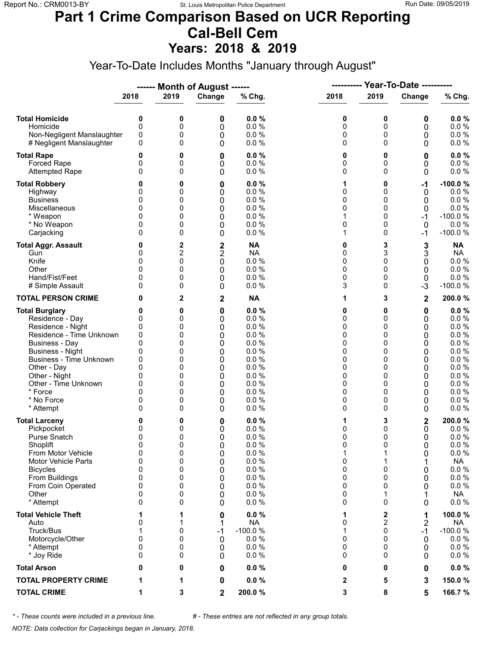### **Part 1 Crime Comparison Based on UCR Reporting Cal-Bell Cem Years: 2018 & 2019**

Year-To-Date Includes Months "January through August"

|                                                                                                                                                                                                                                                                               |                                                                      |                                                               | ------ Month of August ------                                        |                                                                                                      | ----------                                                    |                                                                                           | <b>Year-To-Date ----------</b>                                |                                                                                                                             |
|-------------------------------------------------------------------------------------------------------------------------------------------------------------------------------------------------------------------------------------------------------------------------------|----------------------------------------------------------------------|---------------------------------------------------------------|----------------------------------------------------------------------|------------------------------------------------------------------------------------------------------|---------------------------------------------------------------|-------------------------------------------------------------------------------------------|---------------------------------------------------------------|-----------------------------------------------------------------------------------------------------------------------------|
|                                                                                                                                                                                                                                                                               | 2018                                                                 | 2019                                                          | Change                                                               | % Chg.                                                                                               | 2018                                                          | 2019                                                                                      | Change                                                        | % Chg.                                                                                                                      |
| <b>Total Homicide</b><br>Homicide<br>Non-Negligent Manslaughter<br># Negligent Manslaughter                                                                                                                                                                                   | 0<br>0<br>0<br>0                                                     | 0<br>0<br>0<br>0                                              | 0<br>0<br>0<br>0                                                     | 0.0%<br>0.0 %<br>0.0%<br>0.0%                                                                        | 0<br>0<br>0<br>0                                              | 0<br>0<br>0<br>$\Omega$                                                                   | 0<br>0<br>0<br>0                                              | 0.0%<br>0.0 %<br>0.0 %<br>$0.0 \%$                                                                                          |
| <b>Total Rape</b><br>Forced Rape<br><b>Attempted Rape</b>                                                                                                                                                                                                                     | 0<br>0<br>0                                                          | 0<br>0<br>0                                                   | 0<br>0<br>0                                                          | 0.0%<br>0.0%<br>0.0%                                                                                 | 0<br>0<br>0                                                   | 0<br>0<br>$\Omega$                                                                        | 0<br>0<br>0                                                   | 0.0%<br>0.0 %<br>$0.0 \%$                                                                                                   |
| <b>Total Robbery</b><br>Highway<br><b>Business</b><br>Miscellaneous<br>* Weapon<br>* No Weapon<br>Carjacking                                                                                                                                                                  | 0<br>0<br>0<br>0<br>0<br>0<br>$\Omega$                               | 0<br>0<br>0<br>0<br>0<br>0<br>0                               | 0<br>0<br>0<br>0<br>0<br>0<br>0                                      | 0.0%<br>0.0%<br>0.0 %<br>0.0 %<br>0.0%<br>0.0%<br>0.0%                                               | 1<br>0<br>0<br>0<br>1<br>0<br>1                               | 0<br>0<br>0<br>0<br>0<br>0<br>0                                                           | -1<br>0<br>0<br>0<br>-1<br>$\mathbf 0$<br>$-1$                | $-100.0%$<br>0.0%<br>0.0%<br>0.0 %<br>$-100.0%$<br>0.0%<br>$-100.0%$                                                        |
| <b>Total Aggr. Assault</b><br>Gun<br>Knife<br>Other<br>Hand/Fist/Feet<br># Simple Assault                                                                                                                                                                                     | 0<br>0<br>0<br>$\Omega$<br>0<br>0                                    | 2<br>2<br>0<br>0<br>0<br>0                                    | $\frac{2}{2}$<br>$\mathbf 0$<br>0<br>0<br>0                          | <b>NA</b><br><b>NA</b><br>0.0 %<br>0.0 %<br>0.0%<br>0.0 %                                            | 0<br>0<br>0<br>0<br>0<br>3                                    | 3<br>3<br>0<br>$\Omega$<br>0<br>0                                                         | 3<br>3<br>0<br>0<br>0<br>-3                                   | <b>NA</b><br><b>NA</b><br>0.0 %<br>0.0 %<br>0.0 %<br>$-100.0%$                                                              |
| <b>TOTAL PERSON CRIME</b>                                                                                                                                                                                                                                                     | 0                                                                    | 2                                                             | $\mathbf 2$                                                          | <b>NA</b>                                                                                            | 1                                                             | 3                                                                                         | 2                                                             | 200.0%                                                                                                                      |
| <b>Total Burglary</b><br>Residence - Day<br>Residence - Night<br>Residence - Time Unknown<br><b>Business - Day</b><br><b>Business - Night</b><br><b>Business - Time Unknown</b><br>Other - Day<br>Other - Night<br>Other - Time Unknown<br>* Force<br>* No Force<br>* Attempt | 0<br>0<br>0<br>0<br>0<br>0<br>0<br>0<br>0<br>0<br>$\Omega$<br>0<br>0 | 0<br>0<br>0<br>0<br>0<br>0<br>0<br>0<br>0<br>0<br>0<br>0<br>0 | $\bf{0}$<br>0<br>0<br>0<br>0<br>0<br>0<br>0<br>0<br>0<br>0<br>0<br>0 | 0.0%<br>0.0%<br>0.0%<br>0.0%<br>0.0%<br>0.0%<br>0.0%<br>0.0%<br>0.0%<br>0.0%<br>0.0%<br>0.0%<br>0.0% | 0<br>0<br>0<br>0<br>0<br>0<br>0<br>0<br>0<br>0<br>0<br>0<br>0 | 0<br>$\Omega$<br>0<br>0<br>$\Omega$<br>0<br>0<br>$\Omega$<br>0<br>0<br>$\Omega$<br>0<br>0 | 0<br>0<br>0<br>0<br>0<br>0<br>0<br>0<br>0<br>0<br>0<br>0<br>0 | $0.0 \%$<br>0.0%<br>0.0%<br>0.0 %<br>0.0%<br>0.0%<br>0.0 %<br>0.0 %<br>0.0%<br>$0.0 \%$<br>$0.0 \%$<br>$0.0 \%$<br>$0.0 \%$ |
| <b>Total Larceny</b><br>Pickpocket<br><b>Purse Snatch</b><br>Shoplift<br>From Motor Vehicle<br><b>Motor Vehicle Parts</b><br><b>Bicycles</b><br>From Buildings<br>From Coin Operated<br>Other<br>* Attempt                                                                    | 0<br>0<br>0<br>$\mathbf{0}$<br>0<br>0<br>0<br>0<br>0<br>0<br>0       | 0<br>0<br>0<br>0<br>0<br>0<br>0<br>0<br>0<br>0<br>0           | 0<br>0<br>0<br>0<br>0<br>0<br>0<br>0<br>0<br>0<br>0                  | 0.0%<br>0.0%<br>0.0%<br>0.0%<br>0.0 %<br>0.0 %<br>0.0 %<br>0.0%<br>0.0%<br>0.0%<br>0.0%              | 1<br>0<br>0<br>0<br>1<br>0<br>0<br>0<br>0<br>0<br>0           | 3<br>0<br>0<br>$\Omega$<br>1<br>1<br>0<br>0<br>0<br>1<br>0                                | 2<br>0<br>0<br>$\Omega$<br>0<br>1<br>0<br>0<br>0<br>0         | 200.0%<br>0.0 %<br>0.0%<br>0.0%<br>0.0 %<br><b>NA</b><br>0.0 %<br>0.0 %<br>$0.0 \%$<br>NA<br>$0.0 \%$                       |
| <b>Total Vehicle Theft</b><br>Auto<br>Truck/Bus<br>Motorcycle/Other<br>* Attempt<br>* Joy Ride                                                                                                                                                                                | 1<br>0<br>1<br>0<br>0<br>0                                           | 0<br>0<br>0<br>0                                              | 0<br>1<br>$-1$<br>0<br>0<br>0                                        | 0.0%<br><b>NA</b><br>$-100.0%$<br>0.0%<br>0.0%<br>0.0%                                               | 1<br>0<br>1<br>0<br>0<br>0                                    | 2<br>2<br>0<br>0<br>0<br>0                                                                | 1<br>$\overline{2}$<br>$-1$<br>0<br>0<br>0                    | 100.0%<br><b>NA</b><br>$-100.0%$<br>$0.0 \%$<br>$0.0 \%$<br>$0.0 \%$                                                        |
| <b>Total Arson</b>                                                                                                                                                                                                                                                            | 0                                                                    | 0                                                             | 0                                                                    | 0.0%                                                                                                 | 0                                                             | 0                                                                                         | 0                                                             | $0.0 \%$                                                                                                                    |
| <b>TOTAL PROPERTY CRIME</b>                                                                                                                                                                                                                                                   | 1                                                                    | 1                                                             | 0                                                                    | 0.0%                                                                                                 | 2                                                             | 5                                                                                         | 3                                                             | 150.0%                                                                                                                      |
| <b>TOTAL CRIME</b>                                                                                                                                                                                                                                                            | 1                                                                    | 3                                                             | 2                                                                    | 200.0%                                                                                               | 3                                                             | 8                                                                                         | 5                                                             | 166.7%                                                                                                                      |

*\* - These counts were included in a previous line. # - These entries are not reflected in any group totals.*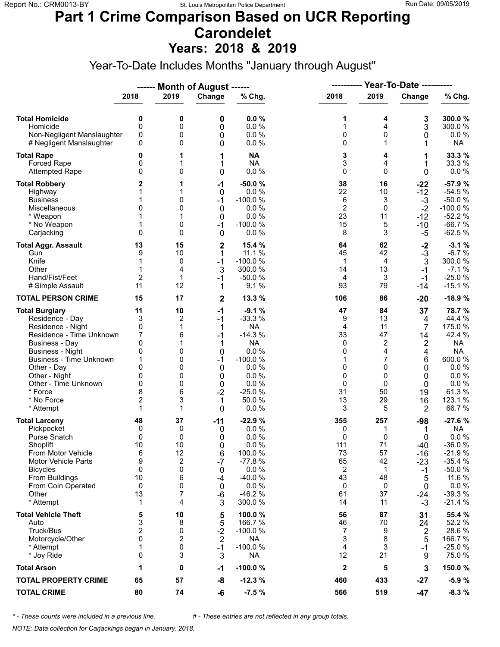# **Part 1 Crime Comparison Based on UCR Reporting Carondelet**

**Years: 2018 & 2019**

Year-To-Date Includes Months "January through August"

|                                                                                                                                                                                                                                                                               |                                                                |                                                                      | ------ Month of August ------                                                          |                                                                                                                                      | ----------                                                                               |                                                                                                  | Year-To-Date ----------                                                                     |                                                                                                                                |
|-------------------------------------------------------------------------------------------------------------------------------------------------------------------------------------------------------------------------------------------------------------------------------|----------------------------------------------------------------|----------------------------------------------------------------------|----------------------------------------------------------------------------------------|--------------------------------------------------------------------------------------------------------------------------------------|------------------------------------------------------------------------------------------|--------------------------------------------------------------------------------------------------|---------------------------------------------------------------------------------------------|--------------------------------------------------------------------------------------------------------------------------------|
|                                                                                                                                                                                                                                                                               | 2018                                                           | 2019                                                                 | Change                                                                                 | % Chg.                                                                                                                               | 2018                                                                                     | 2019                                                                                             | Change                                                                                      | % Chg.                                                                                                                         |
| <b>Total Homicide</b><br>Homicide<br>Non-Negligent Manslaughter<br># Negligent Manslaughter                                                                                                                                                                                   | 0<br>0<br>0<br>0                                               | 0<br>0<br>0<br>0                                                     | 0<br>0<br>0<br>0                                                                       | 0.0%<br>0.0%<br>0.0%<br>0.0%                                                                                                         | 1<br>1<br>$\mathbf 0$<br>0                                                               | 4<br>4<br>$\mathbf 0$<br>1                                                                       | 3<br>3<br>0<br>1                                                                            | 300.0%<br>300.0%<br>$0.0 \%$<br><b>NA</b>                                                                                      |
| <b>Total Rape</b><br>Forced Rape<br><b>Attempted Rape</b>                                                                                                                                                                                                                     | 0<br>0<br>0                                                    | 1<br>1<br>0                                                          | 1<br>1<br>0                                                                            | <b>NA</b><br><b>NA</b><br>0.0 %                                                                                                      | 3<br>3<br>$\Omega$                                                                       | 4<br>4<br>$\Omega$                                                                               | 1<br>1<br>0                                                                                 | 33.3 %<br>33.3 %<br>$0.0 \%$                                                                                                   |
| <b>Total Robbery</b><br>Highway<br><b>Business</b><br>Miscellaneous<br>* Weapon<br>* No Weapon<br>Carjacking                                                                                                                                                                  | 2<br>1<br>0<br>1<br>0                                          | 1<br>0<br>0<br>0<br>0                                                | $-1$<br>0<br>$-1$<br>$\mathbf 0$<br>0<br>$-1$<br>$\mathbf 0$                           | $-50.0%$<br>0.0%<br>$-100.0%$<br>0.0%<br>0.0%<br>$-100.0%$<br>0.0%                                                                   | 38<br>22<br>6<br>$\overline{2}$<br>23<br>15<br>8                                         | 16<br>10<br>3<br>0<br>11<br>5<br>3                                                               | $-22$<br>$-12$<br>$-3$<br>$-2$<br>$-12$<br>$-10$<br>-5                                      | $-57.9%$<br>$-54.5%$<br>$-50.0%$<br>$-100.0%$<br>$-52.2%$<br>$-66.7%$<br>$-62.5%$                                              |
| <b>Total Aggr. Assault</b><br>Gun<br>Knife<br>Other<br>Hand/Fist/Feet<br># Simple Assault                                                                                                                                                                                     | 13<br>9<br>1<br>1<br>2<br>11                                   | 15<br>10<br>0<br>4<br>1<br>12                                        | $\mathbf{2}$<br>1<br>$-1$<br>3<br>$-1$<br>1                                            | 15.4 %<br>11.1 %<br>$-100.0%$<br>300.0%<br>$-50.0%$<br>9.1%                                                                          | 64<br>45<br>$\mathbf 1$<br>14<br>4<br>93                                                 | 62<br>42<br>4<br>13<br>3<br>79                                                                   | $-2$<br>$-3$<br>3<br>$-1$<br>$-1$<br>$-14$                                                  | $-3.1%$<br>$-6.7%$<br>300.0%<br>$-7.1%$<br>$-25.0%$<br>$-15.1%$                                                                |
| <b>TOTAL PERSON CRIME</b>                                                                                                                                                                                                                                                     | 15                                                             | 17                                                                   | $\mathbf 2$                                                                            | 13.3 %                                                                                                                               | 106                                                                                      | 86                                                                                               | $-20$                                                                                       | $-18.9%$                                                                                                                       |
| <b>Total Burglary</b><br>Residence - Day<br>Residence - Night<br>Residence - Time Unknown<br><b>Business - Day</b><br><b>Business - Night</b><br><b>Business - Time Unknown</b><br>Other - Day<br>Other - Night<br>Other - Time Unknown<br>* Force<br>* No Force<br>* Attempt | 11<br>3<br>0<br>7<br>0<br>0<br>1<br>0<br>0<br>0<br>8<br>2<br>1 | 10<br>2<br>1<br>6<br>0<br>0<br>$\mathbf{0}$<br>0<br>0<br>6<br>3<br>1 | $-1$<br>$-1$<br>1<br>$-1$<br>1<br>$\mathbf 0$<br>$-1$<br>0<br>0<br>0<br>$-2$<br>1<br>0 | $-9.1%$<br>$-33.3%$<br><b>NA</b><br>$-14.3%$<br><b>NA</b><br>0.0 %<br>$-100.0%$<br>0.0%<br>0.0%<br>0.0%<br>$-25.0%$<br>50.0%<br>0.0% | 47<br>9<br>$\overline{4}$<br>33<br>0<br>0<br>1<br>$\mathbf 0$<br>0<br>0<br>31<br>13<br>3 | 84<br>13<br>11<br>47<br>$\overline{\mathbf{c}}$<br>4<br>7<br>$\Omega$<br>0<br>0<br>50<br>29<br>5 | 37<br>4<br>$\overline{7}$<br>14<br>2<br>4<br>6<br>0<br>0<br>0<br>19<br>16<br>$\overline{2}$ | 78.7%<br>44.4 %<br>175.0 %<br>42.4 %<br><b>NA</b><br><b>NA</b><br>600.0%<br>0.0%<br>0.0%<br>0.0 %<br>61.3%<br>123.1 %<br>66.7% |
| <b>Total Larceny</b><br>Pickpocket<br>Purse Snatch<br>Shoplift<br>From Motor Vehicle<br><b>Motor Vehicle Parts</b><br><b>Bicycles</b><br>From Buildings<br>From Coin Operated<br>Other<br>* Attempt                                                                           | 48<br>0<br>0<br>10<br>6<br>9<br>0<br>10<br>0<br>13<br>1        | 37<br>0<br>0<br>10<br>12<br>$\overline{c}$<br>0<br>6<br>0<br>7<br>4  | $-11$<br>0<br>0<br>$\Omega$<br>6<br>$-7$<br>0<br>-4<br>0<br>-6<br>3                    | $-22.9%$<br>0.0%<br>0.0%<br>0.0%<br>100.0%<br>$-77.8%$<br>0.0%<br>$-40.0%$<br>0.0%<br>$-46.2%$<br>300.0 %                            | 355<br>0<br>$\mathbf 0$<br>111<br>73<br>65<br>2<br>43<br>0<br>61<br>14                   | 257<br>1<br>0<br>71<br>57<br>42<br>1<br>48<br>0<br>37<br>11                                      | $-98$<br>1<br>0<br>$-40$<br>$-16$<br>-23<br>-1<br>5<br>0<br>$-24$<br>$-3$                   | $-27.6%$<br><b>NA</b><br>0.0%<br>$-36.0%$<br>$-21.9%$<br>$-35.4%$<br>$-50.0%$<br>11.6 %<br>$0.0 \%$<br>$-39.3%$<br>$-21.4%$    |
| <b>Total Vehicle Theft</b><br>Auto<br>Truck/Bus<br>Motorcycle/Other<br>* Attempt<br>* Joy Ride                                                                                                                                                                                | 5<br>3<br>2<br>0<br>1<br>0                                     | 10<br>8<br>0<br>2<br>0<br>3                                          | $\frac{5}{5}$<br>$-2$<br>$\overline{2}$<br>$-1$<br>3                                   | 100.0%<br>166.7 %<br>$-100.0%$<br>NA<br>$-100.0%$<br><b>NA</b>                                                                       | 56<br>46<br>7<br>3<br>$\overline{\mathbf{4}}$<br>12                                      | 87<br>70<br>9<br>8<br>3<br>21                                                                    | 31<br>24<br>$\overline{\mathbf{c}}$<br>5<br>$-1$<br>9                                       | 55.4 %<br>52.2 %<br>28.6%<br>166.7%<br>$-25.0%$<br>75.0%                                                                       |
| <b>Total Arson</b>                                                                                                                                                                                                                                                            | 1                                                              | 0                                                                    | $-1$                                                                                   | $-100.0%$                                                                                                                            | $\mathbf{2}$                                                                             | 5                                                                                                | 3                                                                                           | 150.0%                                                                                                                         |
| <b>TOTAL PROPERTY CRIME</b>                                                                                                                                                                                                                                                   | 65                                                             | 57                                                                   | -8                                                                                     | $-12.3%$                                                                                                                             | 460                                                                                      | 433                                                                                              | $-27$                                                                                       | $-5.9%$                                                                                                                        |
| <b>TOTAL CRIME</b>                                                                                                                                                                                                                                                            | 80                                                             | 74                                                                   | -6                                                                                     | $-7.5%$                                                                                                                              | 566                                                                                      | 519                                                                                              | $-47$                                                                                       | $-8.3%$                                                                                                                        |

*\* - These counts were included in a previous line. # - These entries are not reflected in any group totals.*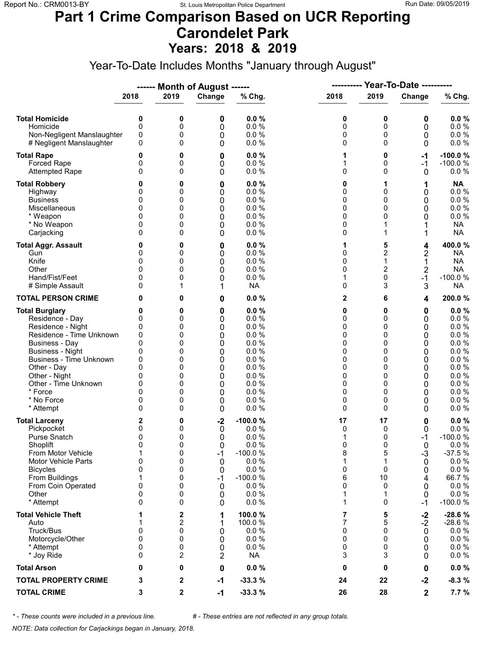#### **Part 1 Crime Comparison Based on UCR Reporting Carondelet Park Years: 2018 & 2019**

Year-To-Date Includes Months "January through August"

|                                                                                                                                                                                                                                                                               |                                                                                        |                                                               | ------ Month of August ------                                       |                                                                                                      | ----------                                                    |                                                                                           | <b>Year-To-Date ----------</b>                                  |                                                                                                                            |
|-------------------------------------------------------------------------------------------------------------------------------------------------------------------------------------------------------------------------------------------------------------------------------|----------------------------------------------------------------------------------------|---------------------------------------------------------------|---------------------------------------------------------------------|------------------------------------------------------------------------------------------------------|---------------------------------------------------------------|-------------------------------------------------------------------------------------------|-----------------------------------------------------------------|----------------------------------------------------------------------------------------------------------------------------|
|                                                                                                                                                                                                                                                                               | 2018                                                                                   | 2019                                                          | Change                                                              | % Chg.                                                                                               | 2018                                                          | 2019                                                                                      | Change                                                          | % Chg.                                                                                                                     |
| <b>Total Homicide</b><br>Homicide<br>Non-Negligent Manslaughter<br># Negligent Manslaughter                                                                                                                                                                                   | 0<br>$\mathbf 0$<br>0<br>0                                                             | 0<br>0<br>0<br>0                                              | 0<br>0<br>0<br>0                                                    | 0.0%<br>0.0 %<br>0.0%<br>0.0%                                                                        | 0<br>0<br>0<br>0                                              | 0<br>0<br>0<br>$\Omega$                                                                   | 0<br>0<br>0<br>0                                                | 0.0%<br>0.0 %<br>0.0 %<br>0.0 %                                                                                            |
| <b>Total Rape</b><br>Forced Rape<br><b>Attempted Rape</b>                                                                                                                                                                                                                     | 0<br>0<br>$\Omega$                                                                     | 0<br>0<br>0                                                   | 0<br>0<br>0                                                         | 0.0%<br>0.0 %<br>0.0%                                                                                | 1<br>1<br>0                                                   | 0<br>0<br>$\Omega$                                                                        | -1<br>$-1$<br>0                                                 | $-100.0%$<br>$-100.0%$<br>0.0%                                                                                             |
| <b>Total Robbery</b><br>Highway<br><b>Business</b><br>Miscellaneous<br>* Weapon<br>* No Weapon<br>Carjacking                                                                                                                                                                  | 0<br>0<br>0<br>0<br>0<br>$\Omega$                                                      | 0<br>0<br>0<br>0<br>0<br>0<br>0                               | 0<br>0<br>0<br>0<br>0<br>0<br>0                                     | 0.0%<br>0.0%<br>0.0%<br>0.0 %<br>0.0%<br>0.0%<br>0.0%                                                | 0<br>0<br>0<br>0<br>0<br>0<br>0                               | 1<br>0<br>0<br>0<br>0<br>1<br>1                                                           | 1<br>0<br>0<br>0<br>0<br>1                                      | <b>NA</b><br>0.0 %<br>0.0%<br>0.0%<br>$0.0 \%$<br><b>NA</b><br><b>NA</b>                                                   |
| <b>Total Aggr. Assault</b><br>Gun<br>Knife<br>Other<br>Hand/Fist/Feet<br># Simple Assault                                                                                                                                                                                     | 0<br>0<br>0<br>$\Omega$<br>0<br>0                                                      | 0<br>0<br>0<br>0<br>0<br>1                                    | 0<br>0<br>0<br>0<br>0<br>1                                          | 0.0%<br>$0.0 \%$<br>0.0 %<br>0.0%<br>0.0%<br><b>NA</b>                                               | 1<br>0<br>0<br>0<br>1<br>0                                    | 5<br>2<br>1<br>2<br>0<br>3                                                                | 4<br>2<br>1<br>$\overline{2}$<br>$-1$<br>3                      | 400.0%<br><b>NA</b><br><b>NA</b><br><b>NA</b><br>$-100.0%$<br><b>NA</b>                                                    |
| <b>TOTAL PERSON CRIME</b>                                                                                                                                                                                                                                                     | 0                                                                                      | 0                                                             | 0                                                                   | 0.0%                                                                                                 | 2                                                             | 6                                                                                         | 4                                                               | 200.0%                                                                                                                     |
| <b>Total Burglary</b><br>Residence - Day<br>Residence - Night<br>Residence - Time Unknown<br><b>Business - Day</b><br><b>Business - Night</b><br><b>Business - Time Unknown</b><br>Other - Day<br>Other - Night<br>Other - Time Unknown<br>* Force<br>* No Force<br>* Attempt | 0<br>0<br>0<br>0<br>$\mathbf{0}$<br>0<br>0<br>$\Omega$<br>0<br>0<br>$\Omega$<br>0<br>0 | 0<br>0<br>0<br>0<br>0<br>0<br>0<br>0<br>0<br>0<br>0<br>0<br>0 | 0<br>0<br>0<br>0<br>0<br>0<br>0<br>0<br>0<br>0<br>0<br>0<br>0       | 0.0%<br>0.0%<br>0.0%<br>0.0%<br>0.0%<br>0.0%<br>0.0%<br>0.0%<br>0.0%<br>0.0%<br>0.0%<br>0.0%<br>0.0% | 0<br>0<br>0<br>0<br>0<br>0<br>0<br>0<br>0<br>0<br>0<br>0<br>0 | 0<br>$\Omega$<br>0<br>0<br>$\Omega$<br>0<br>0<br>$\Omega$<br>0<br>0<br>$\Omega$<br>0<br>0 | 0<br>0<br>0<br>0<br>0<br>0<br>0<br>0<br>0<br>0<br>0<br>0<br>0   | 0.0%<br>0.0 %<br>0.0%<br>0.0 %<br>0.0 %<br>$0.0 \%$<br>0.0 %<br>0.0 %<br>0.0%<br>0.0 %<br>$0.0 \%$<br>$0.0 \%$<br>$0.0 \%$ |
| <b>Total Larceny</b><br>Pickpocket<br>Purse Snatch<br>Shoplift<br>From Motor Vehicle<br><b>Motor Vehicle Parts</b><br><b>Bicycles</b><br>From Buildings<br>From Coin Operated<br>Other<br>* Attempt                                                                           | 2<br>0<br>0<br>$\mathbf{0}$<br>1<br>0<br>0<br>1<br>0<br>0<br>$\Omega$                  | 0<br>0<br>0<br>0<br>0<br>0<br>0<br>0<br>0<br>0<br>0           | $-2$<br>0<br>0<br>$\Omega$<br>$-1$<br>0<br>0<br>$-1$<br>0<br>0<br>0 | $-100.0%$<br>0.0%<br>0.0%<br>0.0%<br>$-100.0%$<br>0.0%<br>0.0%<br>$-100.0%$<br>0.0%<br>0.0%<br>0.0%  | 17<br>0<br>1<br>0<br>8<br>1<br>0<br>6<br>0<br>1<br>1          | 17<br>0<br>0<br>$\Omega$<br>5<br>1<br>0<br>10<br>0<br>1<br>$\Omega$                       | 0<br>0<br>-1<br>$\Omega$<br>$-3$<br>0<br>0<br>4<br>0<br>0<br>-1 | 0.0%<br>$0.0 \%$<br>$-100.0%$<br>0.0%<br>$-37.5%$<br>0.0%<br>0.0 %<br>66.7%<br>0.0%<br>$0.0 \%$<br>$-100.0%$               |
| <b>Total Vehicle Theft</b><br>Auto<br>Truck/Bus<br>Motorcycle/Other<br>* Attempt<br>* Joy Ride                                                                                                                                                                                | 1<br>0<br>0<br>0<br>0                                                                  | 2<br>2<br>0<br>0<br>0<br>2                                    | 1<br>1<br>0<br>0<br>0<br>2                                          | 100.0%<br>100.0%<br>0.0%<br>0.0%<br>0.0%<br><b>NA</b>                                                | 7<br>7<br>0<br>0<br>0<br>3                                    | 5<br>5<br>0<br>$\Omega$<br>0<br>3                                                         | $-2$<br>$-2$<br>0<br>0<br>0<br>0                                | $-28.6%$<br>$-28.6%$<br>$0.0 \%$<br>0.0 %<br>0.0%<br>$0.0 \%$                                                              |
| <b>Total Arson</b>                                                                                                                                                                                                                                                            | 0                                                                                      | 0                                                             | 0                                                                   | 0.0%                                                                                                 | 0                                                             | 0                                                                                         | 0                                                               | $0.0 \%$                                                                                                                   |
| <b>TOTAL PROPERTY CRIME</b>                                                                                                                                                                                                                                                   | 3                                                                                      | 2                                                             | $-1$                                                                | $-33.3%$                                                                                             | 24                                                            | 22                                                                                        | $-2$                                                            | $-8.3%$                                                                                                                    |
| <b>TOTAL CRIME</b>                                                                                                                                                                                                                                                            | 3                                                                                      | 2                                                             | $-1$                                                                | $-33.3%$                                                                                             | 26                                                            | 28                                                                                        | $\mathbf 2$                                                     | 7.7%                                                                                                                       |

*\* - These counts were included in a previous line. # - These entries are not reflected in any group totals.*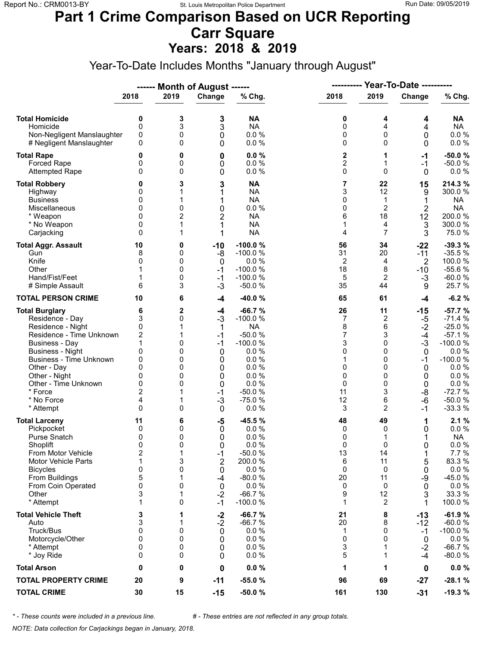#### **Part 1 Crime Comparison Based on UCR Reporting Carr Square Years: 2018 & 2019**

Year-To-Date Includes Months "January through August"

|                                                                                                                                                                                                                                                                        | <b>Month of August ------</b>                                                       |                                                            |                                                                                         |                                                                                                                                     |                                                                          |                                                                                        |                                                                                             |                                                                                                                                              |
|------------------------------------------------------------------------------------------------------------------------------------------------------------------------------------------------------------------------------------------------------------------------|-------------------------------------------------------------------------------------|------------------------------------------------------------|-----------------------------------------------------------------------------------------|-------------------------------------------------------------------------------------------------------------------------------------|--------------------------------------------------------------------------|----------------------------------------------------------------------------------------|---------------------------------------------------------------------------------------------|----------------------------------------------------------------------------------------------------------------------------------------------|
|                                                                                                                                                                                                                                                                        | 2018                                                                                | 2019                                                       | Change                                                                                  | % Chg.                                                                                                                              | 2018                                                                     | 2019                                                                                   | Change                                                                                      | % Chg.                                                                                                                                       |
| <b>Total Homicide</b><br>Homicide<br>Non-Negligent Manslaughter<br># Negligent Manslaughter                                                                                                                                                                            | 0<br>0<br>0<br>0                                                                    | 3<br>3<br>0<br>0                                           | 3<br>3<br>0<br>0                                                                        | <b>NA</b><br><b>NA</b><br>0.0 %<br>0.0 %                                                                                            | 0<br>0<br>0<br>0                                                         | 4<br>$\overline{4}$<br>$\mathbf 0$<br>0                                                | 4<br>4<br>0<br>0                                                                            | <b>NA</b><br><b>NA</b><br>$0.0 \%$<br>0.0 %                                                                                                  |
| <b>Total Rape</b><br><b>Forced Rape</b><br><b>Attempted Rape</b>                                                                                                                                                                                                       | 0<br>0<br>0                                                                         | 0<br>0<br>0                                                | 0<br>0<br>0                                                                             | 0.0%<br>0.0%<br>0.0 %                                                                                                               | 2<br>$\overline{\mathbf{c}}$<br>0                                        | 1<br>1<br>$\Omega$                                                                     | $-1$<br>$-1$<br>0                                                                           | $-50.0%$<br>$-50.0%$<br>$0.0 \%$                                                                                                             |
| <b>Total Robbery</b><br>Highway<br><b>Business</b><br>Miscellaneous<br>* Weapon<br>* No Weapon<br>Carjacking                                                                                                                                                           | 0<br>0<br>0<br>0<br>0<br>$\Omega$<br>0                                              | 3<br>1<br>1<br>0<br>2<br>1                                 | 3<br>1<br>1<br>0<br>$\overline{2}$<br>1<br>1                                            | <b>NA</b><br><b>NA</b><br><b>NA</b><br>0.0 %<br><b>NA</b><br><b>NA</b><br><b>NA</b>                                                 | 7<br>3<br>0<br>0<br>6<br>1<br>4                                          | 22<br>12<br>1<br>$\overline{2}$<br>18<br>4<br>$\overline{7}$                           | 15<br>9<br>1<br>$\overline{2}$<br>12<br>3<br>3                                              | 214.3%<br>300.0 %<br>NA<br><b>NA</b><br>200.0%<br>300.0%<br>75.0%                                                                            |
| <b>Total Aggr. Assault</b><br>Gun<br>Knife<br>Other<br>Hand/Fist/Feet<br># Simple Assault                                                                                                                                                                              | 10<br>8<br>0<br>1<br>6                                                              | 0<br>0<br>0<br>0<br>0<br>3                                 | $-10$<br>-8<br>0<br>$-1$<br>$-1$<br>$-3$                                                | $-100.0%$<br>$-100.0%$<br>0.0%<br>$-100.0%$<br>$-100.0%$<br>$-50.0%$                                                                | 56<br>31<br>2<br>18<br>5<br>35                                           | 34<br>20<br>4<br>8<br>2<br>44                                                          | $-22$<br>$-11$<br>$\overline{2}$<br>$-10$<br>$-3$<br>9                                      | $-39.3%$<br>$-35.5%$<br>100.0 %<br>$-55.6%$<br>$-60.0%$<br>25.7 %                                                                            |
| <b>TOTAL PERSON CRIME</b>                                                                                                                                                                                                                                              | 10                                                                                  | 6                                                          | $-4$                                                                                    | $-40.0%$                                                                                                                            | 65                                                                       | 61                                                                                     | $-4$                                                                                        | $-6.2%$                                                                                                                                      |
| <b>Total Burglary</b><br>Residence - Day<br>Residence - Night<br>Residence - Time Unknown<br><b>Business - Day</b><br><b>Business - Night</b><br>Business - Time Unknown<br>Other - Day<br>Other - Night<br>Other - Time Unknown<br>* Force<br>* No Force<br>* Attempt | 6<br>3<br>0<br>$\boldsymbol{2}$<br>1<br>0<br>0<br>0<br>0<br>0<br>2<br>4<br>$\Omega$ | 2<br>0<br>1<br>0<br>0<br>0<br>0<br>0<br>0<br>0             | -4<br>$-3$<br>1<br>$-1$<br>$-1$<br>0<br>0<br>0<br>0<br>0<br>$-1$<br>$-3$<br>$\mathbf 0$ | $-66.7%$<br>$-100.0%$<br><b>NA</b><br>$-50.0%$<br>$-100.0%$<br>0.0%<br>0.0%<br>0.0%<br>0.0%<br>0.0%<br>$-50.0%$<br>$-75.0%$<br>0.0% | 26<br>7<br>8<br>7<br>3<br>0<br>1<br>0<br>0<br>0<br>11<br>12<br>3         | 11<br>$\overline{c}$<br>6<br>3<br>0<br>0<br>0<br>0<br>0<br>$\mathbf{0}$<br>3<br>6<br>2 | -15<br>-5<br>$-2$<br>$-4$<br>$-3$<br>0<br>$-1$<br>0<br>0<br>$\mathbf 0$<br>-8<br>-6<br>$-1$ | $-57.7%$<br>$-71.4%$<br>$-25.0%$<br>$-57.1%$<br>$-100.0%$<br>0.0%<br>$-100.0%$<br>0.0%<br>0.0 %<br>0.0 %<br>$-72.7%$<br>$-50.0%$<br>$-33.3%$ |
| <b>Total Larceny</b><br>Pickpocket<br>Purse Snatch<br>Shoplift<br>From Motor Vehicle<br><b>Motor Vehicle Parts</b><br><b>Bicycles</b><br>From Buildings<br>From Coin Operated<br>Other<br>* Attempt                                                                    | 11<br>0<br>0<br>$\Omega$<br>$\overline{\mathbf{c}}$<br>1<br>0<br>5<br>0<br>3<br>1   | 6<br>0<br>0<br>$\Omega$<br>1<br>3<br>0<br>1<br>0<br>1<br>0 | -5<br>0<br>0<br>0<br>$-1$<br>$\overline{2}$<br>0<br>-4<br>0<br>$-2$<br>$-1$             | $-45.5%$<br>0.0%<br>0.0 %<br>0.0%<br>$-50.0%$<br>200.0%<br>0.0 %<br>$-80.0%$<br>0.0%<br>$-66.7%$<br>$-100.0%$                       | 48<br>0<br>0<br>$\Omega$<br>13<br>6<br>0<br>20<br>0<br>9<br>$\mathbf{1}$ | 49<br>0<br>1<br>$\Omega$<br>14<br>11<br>0<br>11<br>0<br>12<br>$\overline{c}$           | 1<br>0<br>1<br>0<br>1<br>5<br>0<br>-9<br>0<br>3<br>1                                        | 2.1%<br>0.0%<br><b>NA</b><br>0.0 %<br>7.7 %<br>83.3%<br>$0.0 \%$<br>$-45.0%$<br>$0.0 \%$<br>33.3 %<br>100.0%                                 |
| <b>Total Vehicle Theft</b><br>Auto<br>Truck/Bus<br>Motorcycle/Other<br>* Attempt<br>* Joy Ride                                                                                                                                                                         | 3<br>3<br>0<br>0<br>0<br>0                                                          | 1<br>1<br>0<br>0<br>0<br>0                                 | $-2$<br>$-2$<br>$\mathbf 0$<br>0<br>0<br>0                                              | $-66.7%$<br>$-66.7%$<br>0.0%<br>0.0%<br>0.0%<br>0.0%                                                                                | 21<br>20<br>1<br>0<br>3<br>5                                             | 8<br>8<br>0<br>0<br>1<br>1                                                             | -13<br>-12<br>$-1$<br>0<br>$-2$<br>-4                                                       | $-61.9%$<br>$-60.0%$<br>$-100.0%$<br>$0.0 \%$<br>$-66.7%$<br>$-80.0%$                                                                        |
| <b>Total Arson</b>                                                                                                                                                                                                                                                     | 0                                                                                   | 0                                                          | 0                                                                                       | 0.0%                                                                                                                                | 1                                                                        | 1                                                                                      | 0                                                                                           | $0.0 \%$                                                                                                                                     |
| <b>TOTAL PROPERTY CRIME</b>                                                                                                                                                                                                                                            | 20                                                                                  | 9                                                          | $-11$                                                                                   | $-55.0%$                                                                                                                            | 96                                                                       | 69                                                                                     | $-27$                                                                                       | $-28.1%$                                                                                                                                     |
| <b>TOTAL CRIME</b>                                                                                                                                                                                                                                                     | 30                                                                                  | 15                                                         | $-15$                                                                                   | $-50.0%$                                                                                                                            | 161                                                                      | 130                                                                                    | $-31$                                                                                       | $-19.3%$                                                                                                                                     |

*\* - These counts were included in a previous line. # - These entries are not reflected in any group totals.*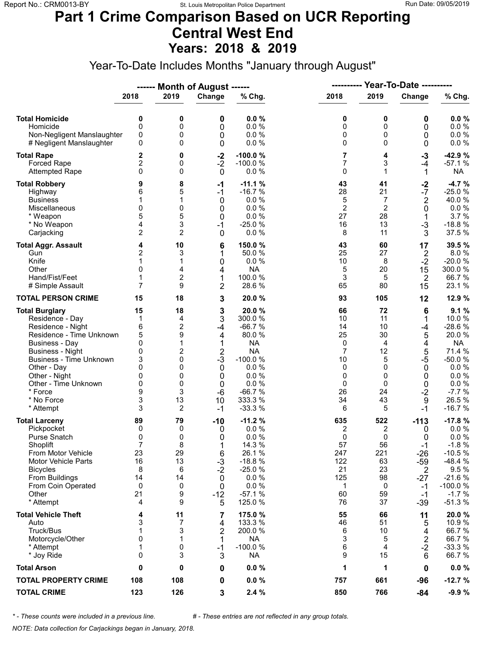#### **Part 1 Crime Comparison Based on UCR Reporting Central West End Years: 2018 & 2019**

Year-To-Date Includes Months "January through August"

|                                |                |                | ------ Month of August ------ |           | <b>Year-To-Date ----------</b><br>---------- |                |                         |           |
|--------------------------------|----------------|----------------|-------------------------------|-----------|----------------------------------------------|----------------|-------------------------|-----------|
|                                | 2018           | 2019           | Change                        | % Chg.    | 2018                                         | 2019           | Change                  | % Chg.    |
| <b>Total Homicide</b>          | 0              | 0              | 0                             | 0.0%      | 0                                            | 0              | 0                       | 0.0%      |
| Homicide                       | 0              | 0              | 0                             | 0.0%      | 0                                            | 0              | 0                       | 0.0 %     |
| Non-Negligent Manslaughter     | 0              | 0              | 0                             | 0.0%      | 0                                            | 0              | 0                       | 0.0 %     |
| # Negligent Manslaughter       | 0              | 0              | 0                             | 0.0%      | 0                                            | $\Omega$       | 0                       | 0.0 %     |
| <b>Total Rape</b>              | 2              | 0              | $-2$                          | $-100.0%$ | 7                                            | 4              | $-3$                    | $-42.9%$  |
| Forced Rape                    | 2              | 0              | $-2$                          | $-100.0%$ | 7                                            | 3              | $-4$                    | $-57.1%$  |
| <b>Attempted Rape</b>          | 0              | 0              | $\mathbf 0$                   | 0.0%      | 0                                            | $\mathbf 1$    | 1                       | <b>NA</b> |
| <b>Total Robbery</b>           | 9              | 8              | $-1$                          | $-11.1%$  | 43                                           | 41             | $-2$                    | $-4.7%$   |
| Highway                        | 6              | 5              | $-1$                          | $-16.7%$  | 28                                           | 21             | $-7$                    | $-25.0%$  |
| <b>Business</b>                | 1              | 1              | 0                             | 0.0%      | 5                                            | 7              | $\overline{2}$          | 40.0%     |
| Miscellaneous                  | $\mathbf{0}$   | 0              | 0                             | 0.0%      | $\overline{2}$                               | $\overline{2}$ | 0                       | 0.0 %     |
| * Weapon                       | 5              | 5              | 0                             | 0.0%      | 27                                           | 28             | 1                       | 3.7%      |
| * No Weapon                    | 4              | 3              | $-1$                          | $-25.0%$  | 16                                           | 13             | $-3$                    | $-18.8%$  |
| Carjacking                     | $\overline{2}$ | $\overline{2}$ | $\mathbf 0$                   | 0.0%      | 8                                            | 11             | 3                       | 37.5 %    |
| <b>Total Aggr. Assault</b>     | 4              | 10             | 6                             | 150.0%    | 43                                           | 60             | 17                      | 39.5%     |
| Gun                            | 2              | 3              | 1                             | 50.0 %    | 25                                           | 27             | $\overline{2}$          | 8.0%      |
| Knife                          | 1              | 1              | 0                             | 0.0%      | 10                                           | 8              | $-2$                    | $-20.0%$  |
| Other                          | $\mathbf{0}$   | 4              | 4                             | <b>NA</b> | 5                                            | 20             | 15                      | 300.0%    |
| Hand/Fist/Feet                 | 1              | $\overline{c}$ | 1                             | 100.0%    | $\sqrt{3}$                                   | 5              | $\overline{2}$          | 66.7%     |
| # Simple Assault               | $\overline{7}$ | 9              | $\overline{2}$                | 28.6%     | 65                                           | 80             | 15                      | 23.1 %    |
| <b>TOTAL PERSON CRIME</b>      | 15             | 18             | 3                             | 20.0 %    | 93                                           | 105            | 12                      | 12.9 %    |
| <b>Total Burglary</b>          | 15             | 18             | 3                             | 20.0%     | 66                                           | 72             | 6                       | 9.1%      |
| Residence - Day                | 1              | 4              | 3                             | 300.0%    | 10                                           | 11             | 1                       | 10.0%     |
| Residence - Night              | 6              | $\overline{c}$ | -4                            | $-66.7%$  | 14                                           | 10             | -4                      | $-28.6%$  |
| Residence - Time Unknown       | 5              | 9              | 4                             | 80.0%     | 25                                           | 30             | 5                       | 20.0%     |
| <b>Business - Day</b>          | 0              | 1              | 1                             | <b>NA</b> | 0                                            | 4              | 4                       | <b>NA</b> |
| <b>Business - Night</b>        | 0              | 2              | $\overline{2}$                | <b>NA</b> | $\overline{7}$                               | 12             | 5                       | 71.4 %    |
| <b>Business - Time Unknown</b> | 3              | 0              | $-3$                          | $-100.0%$ | 10                                           | 5              | $-5$                    | $-50.0%$  |
| Other - Day                    | 0              | 0              | 0                             | 0.0%      | 0                                            | $\Omega$       | 0                       | 0.0%      |
| Other - Night                  | 0              | 0              | $\boldsymbol{0}$              | 0.0%      | 0                                            | 0              | 0                       | 0.0 %     |
| Other - Time Unknown           | 0              | 0              | 0                             | 0.0%      | 0                                            | 0              | 0                       | 0.0 %     |
| * Force                        | 9              | 3              | $-6$                          | $-66.7%$  | 26                                           | 24             | $-2$                    | $-7.7%$   |
| * No Force                     | 3              | 13             | 10                            | 333.3 %   | 34                                           | 43             | 9                       | 26.5%     |
| * Attempt                      | 3              | 2              | $-1$                          | $-33.3%$  | 6                                            | 5              | $-1$                    | $-16.7%$  |
| <b>Total Larceny</b>           | 89             | 79             | $-10$                         | $-11.2%$  | 635                                          | 522            | $-113$                  | $-17.8%$  |
| Pickpocket                     | 0              | 0              | 0                             | 0.0%      | 2                                            | 2              | 0                       | $0.0 \%$  |
| Purse Snatch                   | 0              | 0              | 0                             | 0.0%      | 0                                            | 0              | 0                       | 0.0 %     |
| Shoplift                       | $\overline{7}$ | 8              | 1                             | 14.3 %    | 57                                           | 56             | $-1$                    | $-1.8%$   |
| From Motor Vehicle             | 23             | 29             | 6                             | 26.1%     | 247                                          | 221            | $-26$                   | $-10.5%$  |
| <b>Motor Vehicle Parts</b>     | 16             | 13             | $-3$                          | $-18.8%$  | 122                                          | 63             | $-59$                   | $-48.4%$  |
| <b>Bicycles</b>                | 8              | 6              | $-2$                          | $-25.0%$  | 21                                           | 23             | 2                       | 9.5%      |
| From Buildings                 | 14             | 14             | 0                             | 0.0%      | 125                                          | 98             | $-27$                   | $-21.6%$  |
| From Coin Operated             | 0              | 0              | 0                             | 0.0%      | 1                                            | 0              | $-1$                    | $-100.0%$ |
| Other                          | 21             | 9              | $-12$                         | $-57.1%$  | 60                                           | 59             | $-1$                    | $-1.7%$   |
| * Attempt                      | 4              | 9              | 5                             | 125.0 %   | 76                                           | 37             | $-39$                   | $-51.3%$  |
| <b>Total Vehicle Theft</b>     | 4              | 11             | 7                             | 175.0 %   | 55                                           | 66             | 11                      | 20.0%     |
| Auto                           | 3              | 7              | 4                             | 133.3 %   | 46                                           | 51             | 5                       | 10.9%     |
| Truck/Bus                      | 1              | 3              | $\overline{\mathbf{c}}$       | 200.0%    | 6                                            | 10             | 4                       | 66.7%     |
| Motorcycle/Other               | 0              | 1              | 1                             | NA        | 3                                            | 5              | $\overline{\mathbf{c}}$ | 66.7%     |
| * Attempt                      | 1              | 0              | $-1$                          | $-100.0%$ | 6                                            | 4              | $-2$                    | $-33.3%$  |
| * Joy Ride                     | 0              | 3              | 3                             | <b>NA</b> | 9                                            | 15             | 6                       | 66.7%     |
| <b>Total Arson</b>             | 0              | 0              | 0                             | 0.0%      | 1                                            | 1              | 0                       | $0.0 \%$  |
| <b>TOTAL PROPERTY CRIME</b>    | 108            | 108            | 0                             | $0.0 \%$  | 757                                          | 661            | -96                     | $-12.7%$  |
| <b>TOTAL CRIME</b>             | 123            | 126            | 3                             | 2.4%      | 850                                          | 766            | $-84$                   | $-9.9%$   |

*\* - These counts were included in a previous line. # - These entries are not reflected in any group totals.*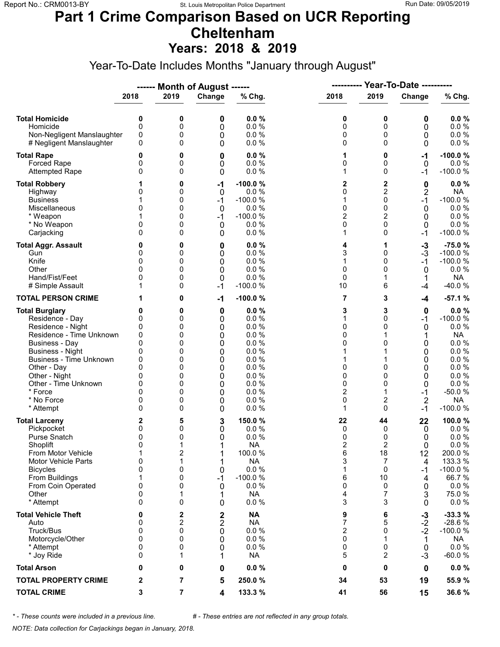### **Part 1 Crime Comparison Based on UCR Reporting Cheltenham Years: 2018 & 2019**

Year-To-Date Includes Months "January through August"

|                                                                                                                                                                                                                                                                 |                                                                      |                                                               | ------ Month of August ------                                 |                                                                                                                |                                                                            |                                                                     |                                                                        |                                                                                                                                       |  |
|-----------------------------------------------------------------------------------------------------------------------------------------------------------------------------------------------------------------------------------------------------------------|----------------------------------------------------------------------|---------------------------------------------------------------|---------------------------------------------------------------|----------------------------------------------------------------------------------------------------------------|----------------------------------------------------------------------------|---------------------------------------------------------------------|------------------------------------------------------------------------|---------------------------------------------------------------------------------------------------------------------------------------|--|
|                                                                                                                                                                                                                                                                 | 2018                                                                 | 2019                                                          | Change                                                        | % Chg.                                                                                                         | 2018                                                                       | 2019                                                                | Change                                                                 | % Chg.                                                                                                                                |  |
| <b>Total Homicide</b><br>Homicide<br>Non-Negligent Manslaughter<br># Negligent Manslaughter                                                                                                                                                                     | 0<br>0<br>0<br>0                                                     | 0<br>0<br>0<br>0                                              | 0<br>0<br>0<br>0                                              | 0.0%<br>0.0%<br>0.0%<br>0.0%                                                                                   | 0<br>0<br>0<br>0                                                           | 0<br>0<br>0<br>0                                                    | 0<br>0<br>0<br>0                                                       | $0.0 \%$<br>0.0 %<br>$0.0 \%$<br>0.0 %                                                                                                |  |
| <b>Total Rape</b><br><b>Forced Rape</b><br><b>Attempted Rape</b>                                                                                                                                                                                                | 0<br>0<br>0                                                          | 0<br>0<br>0                                                   | 0<br>0<br>0                                                   | 0.0%<br>0.0%<br>0.0%                                                                                           | 1<br>0<br>1                                                                | 0<br>0<br>0                                                         | $-1$<br>0<br>-1                                                        | $-100.0%$<br>0.0%<br>$-100.0%$                                                                                                        |  |
| <b>Total Robbery</b><br>Highway<br><b>Business</b><br>Miscellaneous<br>* Weapon<br>* No Weapon<br>Carjacking                                                                                                                                                    | 0<br>0<br>0<br>0                                                     | 0<br>0<br>0<br>0<br>0<br>0<br>0                               | $-1$<br>0<br>-1<br>$\mathbf 0$<br>-1<br>0<br>0                | -100.0%<br>0.0%<br>$-100.0%$<br>0.0%<br>$-100.0%$<br>0.0%<br>0.0%                                              | 2<br>0<br>1<br>0<br>2<br>0<br>1                                            | 2<br>2<br>0<br>0<br>2<br>0<br>0                                     | 0<br>2<br>$-1$<br>0<br>0<br>0<br>-1                                    | 0.0%<br><b>NA</b><br>$-100.0%$<br>0.0%<br>0.0 %<br>0.0%<br>$-100.0%$                                                                  |  |
| <b>Total Aggr. Assault</b><br>Gun<br>Knife<br>Other<br>Hand/Fist/Feet<br># Simple Assault                                                                                                                                                                       | 0<br>0<br>0<br>O<br>0                                                | 0<br>0<br>0<br>0<br>0<br>0                                    | 0<br>0<br>$\mathbf 0$<br>0<br>0<br>$-1$                       | 0.0%<br>0.0 %<br>0.0 %<br>0.0%<br>0.0%<br>$-100.0%$                                                            | 4<br>3<br>1<br>0<br>$\mathbf 0$<br>10                                      | 1<br>0<br>0<br>0<br>1<br>6                                          | $-3$<br>$-3$<br>$-1$<br>$\mathbf{0}$<br>1<br>-4                        | $-75.0%$<br>$-100.0%$<br>$-100.0%$<br>0.0%<br><b>NA</b><br>$-40.0%$                                                                   |  |
| <b>TOTAL PERSON CRIME</b>                                                                                                                                                                                                                                       |                                                                      | 0                                                             | $-1$                                                          | $-100.0%$                                                                                                      | 7                                                                          | 3                                                                   | $-4$                                                                   | $-57.1%$                                                                                                                              |  |
| <b>Total Burglary</b><br>Residence - Day<br>Residence - Night<br>Residence - Time Unknown<br>Business - Day<br><b>Business - Night</b><br>Business - Time Unknown<br>Other - Day<br>Other - Night<br>Other - Time Unknown<br>* Force<br>* No Force<br>* Attempt | 0<br>0<br>0<br>0<br>0<br>0<br>0<br>0<br>0<br>0<br>0<br>0<br>0        | 0<br>0<br>0<br>0<br>0<br>0<br>0<br>0<br>0<br>0<br>0<br>0<br>0 | 0<br>0<br>0<br>0<br>0<br>0<br>0<br>0<br>0<br>0<br>0<br>0<br>0 | 0.0%<br>0.0%<br>0.0%<br>0.0%<br>0.0%<br>0.0%<br>0.0 %<br>0.0%<br>0.0%<br>0.0%<br>0.0%<br>0.0%<br>0.0%          | 3<br>1<br>0<br>0<br>0<br>1<br>1<br>0<br>0<br>0<br>$\overline{2}$<br>0<br>1 | 3<br>0<br>0<br>0<br>0<br>0<br>0<br>2<br>0                           | 0<br>$-1$<br>0<br>1<br>0<br>0<br>0<br>0<br>0<br>0<br>$-1$<br>2<br>$-1$ | 0.0%<br>$-100.0%$<br>0.0%<br><b>NA</b><br>$0.0 \%$<br>0.0%<br>0.0 %<br>0.0%<br>0.0%<br>$0.0 \%$<br>$-50.0%$<br><b>NA</b><br>$-100.0%$ |  |
| <b>Total Larceny</b><br>Pickpocket<br><b>Purse Snatch</b><br>Shoplift<br>From Motor Vehicle<br>Motor Vehicle Parts<br><b>Bicycles</b><br>From Buildings<br>From Coin Operated<br>Other<br>* Attempt                                                             | 2<br>0<br>0<br>$\Omega$<br>1<br>0<br>$\mathbf 0$<br>1<br>0<br>0<br>0 | 5<br>0<br>0<br>2<br>1<br>0<br>0<br>0<br>1<br>0                | 3<br>0<br>0<br>1<br>1<br>1<br>0<br>$-1$<br>0<br>1<br>0        | 150.0%<br>0.0%<br>0.0%<br><b>NA</b><br>100.0%<br><b>NA</b><br>0.0 %<br>$-100.0%$<br>0.0%<br><b>NA</b><br>0.0 % | 22<br>0<br>0<br>$\overline{2}$<br>6<br>3<br>1<br>6<br>0<br>4<br>3          | 44<br>0<br>0<br>$\overline{2}$<br>18<br>7<br>0<br>10<br>0<br>7<br>3 | 22<br>0<br>0<br>0<br>12<br>4<br>-1<br>4<br>0<br>3<br>0                 | 100.0%<br>0.0%<br>0.0 %<br>0.0 %<br>200.0%<br>133.3 %<br>$-100.0%$<br>66.7%<br>$0.0 \%$<br>75.0%<br>$0.0 \%$                          |  |
| <b>Total Vehicle Theft</b><br>Auto<br>Truck/Bus<br>Motorcycle/Other<br>* Attempt<br>* Joy Ride                                                                                                                                                                  | 0<br>0<br>0<br>0<br>0<br>0                                           | 2<br>2<br>0<br>0<br>0<br>1                                    | $\frac{2}{2}$<br>$\mathbf 0$<br>0<br>0<br>1                   | <b>NA</b><br><b>NA</b><br>0.0 %<br>0.0 %<br>0.0%<br><b>NA</b>                                                  | 9<br>7<br>2<br>0<br>0<br>5                                                 | 6<br>5<br>0<br>0<br>2                                               | $-3$<br>$-2$<br>$-2$<br>1<br>0<br>$-3$                                 | $-33.3%$<br>$-28.6%$<br>$-100.0%$<br><b>NA</b><br>0.0 %<br>$-60.0%$                                                                   |  |
| <b>Total Arson</b>                                                                                                                                                                                                                                              | 0                                                                    | 0                                                             | 0                                                             | 0.0%                                                                                                           | 0                                                                          | 0                                                                   | $\mathbf 0$                                                            | $0.0 \%$                                                                                                                              |  |
| <b>TOTAL PROPERTY CRIME</b>                                                                                                                                                                                                                                     | $\mathbf{2}$                                                         | 7                                                             | 5                                                             | 250.0%                                                                                                         | 34                                                                         | 53                                                                  | 19                                                                     | 55.9 %                                                                                                                                |  |
| <b>TOTAL CRIME</b>                                                                                                                                                                                                                                              | 3                                                                    | 7                                                             | 4                                                             | 133.3 %                                                                                                        | 41                                                                         | 56                                                                  | 15                                                                     | 36.6%                                                                                                                                 |  |

*\* - These counts were included in a previous line. # - These entries are not reflected in any group totals.*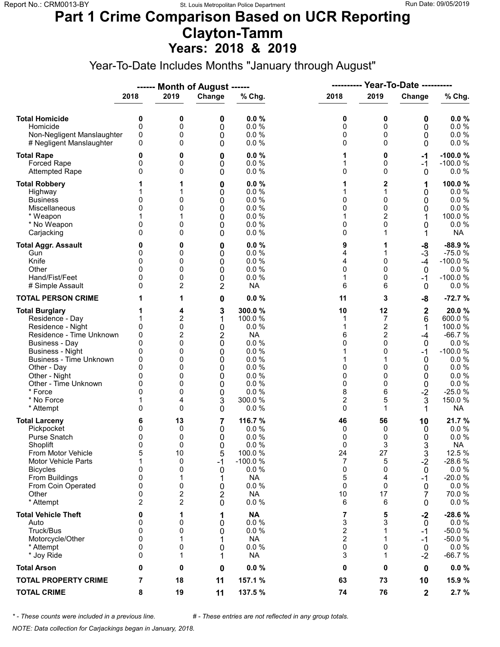#### **Part 1 Crime Comparison Based on UCR Reporting Clayton-Tamm Years: 2018 & 2019**

Year-To-Date Includes Months "January through August"

|                                                                                                                                                                                                                                                                               |                                                                                   |                                                                    | ------ Month of August ------                                           |                                                                                                                  |                                                                                    | <b>Year-To-Date ----------</b><br>----------                                           |                                                                                            |                                                                                                                                       |
|-------------------------------------------------------------------------------------------------------------------------------------------------------------------------------------------------------------------------------------------------------------------------------|-----------------------------------------------------------------------------------|--------------------------------------------------------------------|-------------------------------------------------------------------------|------------------------------------------------------------------------------------------------------------------|------------------------------------------------------------------------------------|----------------------------------------------------------------------------------------|--------------------------------------------------------------------------------------------|---------------------------------------------------------------------------------------------------------------------------------------|
|                                                                                                                                                                                                                                                                               | 2018                                                                              | 2019                                                               | Change                                                                  | % Chg.                                                                                                           | 2018                                                                               | 2019                                                                                   | Change                                                                                     | % Chg.                                                                                                                                |
| <b>Total Homicide</b><br>Homicide<br>Non-Negligent Manslaughter<br># Negligent Manslaughter                                                                                                                                                                                   | 0<br>$\mathbf 0$<br>0<br>0                                                        | 0<br>0<br>0<br>0                                                   | 0<br>0<br>0<br>0                                                        | 0.0%<br>0.0 %<br>0.0%<br>0.0%                                                                                    | 0<br>0<br>0<br>0                                                                   | 0<br>0<br>0<br>$\Omega$                                                                | 0<br>0<br>0<br>0                                                                           | 0.0%<br>0.0 %<br>0.0 %<br>0.0 %                                                                                                       |
| <b>Total Rape</b><br>Forced Rape<br><b>Attempted Rape</b>                                                                                                                                                                                                                     | 0<br>0<br>0                                                                       | 0<br>0<br>0                                                        | 0<br>0<br>0                                                             | 0.0%<br>0.0%<br>0.0%                                                                                             | 1<br>1<br>0                                                                        | 0<br>0<br>$\Omega$                                                                     | -1<br>$-1$<br>0                                                                            | $-100.0%$<br>$-100.0%$<br>$0.0 \%$                                                                                                    |
| <b>Total Robbery</b><br>Highway<br><b>Business</b><br>Miscellaneous<br>* Weapon<br>* No Weapon<br>Carjacking                                                                                                                                                                  | 0<br>0<br>0<br>$\Omega$                                                           | 1<br>0<br>0<br>0<br>0                                              | 0<br>0<br>0<br>0<br>0<br>0<br>0                                         | 0.0%<br>0.0%<br>0.0%<br>0.0%<br>0.0%<br>0.0%<br>0.0%                                                             | 1<br>1<br>0<br>0<br>1<br>0<br>0                                                    | 2<br>0<br>0<br>2<br>0<br>1                                                             | 1<br>0<br>0<br>0<br>1<br>0<br>1                                                            | 100.0%<br>$0.0 \%$<br>0.0%<br>$0.0 \%$<br>100.0%<br>0.0%<br><b>NA</b>                                                                 |
| <b>Total Aggr. Assault</b><br>Gun<br>Knife<br>Other<br>Hand/Fist/Feet<br># Simple Assault                                                                                                                                                                                     | 0<br>0<br>$\Omega$<br>0<br>$\Omega$                                               | 0<br>0<br>0<br>0<br>0<br>2                                         | 0<br>0<br>0<br>0<br>0<br>2                                              | 0.0%<br>0.0%<br>0.0%<br>0.0%<br>0.0%<br><b>NA</b>                                                                | 9<br>4<br>4<br>0<br>1<br>6                                                         | 1<br>1<br>0<br>$\Omega$<br>0<br>6                                                      | -8<br>$-3$<br>$-4$<br>$\mathbf 0$<br>-1<br>0                                               | $-88.9%$<br>$-75.0%$<br>$-100.0%$<br>$0.0 \%$<br>$-100.0%$<br>$0.0 \%$                                                                |
| <b>TOTAL PERSON CRIME</b>                                                                                                                                                                                                                                                     |                                                                                   | 1                                                                  | 0                                                                       | 0.0%                                                                                                             | 11                                                                                 | 3                                                                                      | -8                                                                                         | $-72.7%$                                                                                                                              |
| <b>Total Burglary</b><br>Residence - Day<br>Residence - Night<br>Residence - Time Unknown<br><b>Business - Day</b><br><b>Business - Night</b><br><b>Business - Time Unknown</b><br>Other - Day<br>Other - Night<br>Other - Time Unknown<br>* Force<br>* No Force<br>* Attempt | 1<br>0<br>0<br>$\mathbf{0}$<br>0<br>0<br>$\Omega$<br>0<br>0<br>$\Omega$<br>1<br>0 | 4<br>2<br>0<br>2<br>0<br>0<br>0<br>0<br>0<br>0<br>0<br>4<br>0      | 3<br>1<br>0<br>2<br>$\mathbf 0$<br>0<br>0<br>0<br>0<br>0<br>0<br>3<br>0 | 300.0%<br>100.0 %<br>0.0%<br><b>NA</b><br>0.0%<br>0.0%<br>0.0%<br>0.0%<br>0.0%<br>0.0%<br>0.0%<br>300.0%<br>0.0% | 10<br>1<br>1<br>6<br>$\Omega$<br>1<br>1<br>0<br>0<br>0<br>8<br>$\overline{c}$<br>0 | 12<br>7<br>$\boldsymbol{2}$<br>2<br>$\Omega$<br>0<br>$\Omega$<br>0<br>0<br>6<br>5<br>1 | $\mathbf 2$<br>6<br>$\mathbf 1$<br>$-4$<br>0<br>$-1$<br>0<br>0<br>0<br>0<br>$-2$<br>3<br>1 | 20.0%<br>600.0%<br>100.0 %<br>$-66.7%$<br>0.0 %<br>$-100.0%$<br>$0.0 \%$<br>0.0 %<br>0.0%<br>0.0 %<br>$-25.0%$<br>150.0%<br><b>NA</b> |
| <b>Total Larceny</b><br>Pickpocket<br>Purse Snatch<br>Shoplift<br>From Motor Vehicle<br><b>Motor Vehicle Parts</b><br><b>Bicycles</b><br>From Buildings<br>From Coin Operated<br>Other<br>* Attempt                                                                           | 6<br>0<br>0<br>$\mathbf{0}$<br>5<br>1<br>0<br>0<br>0<br>0<br>$\overline{2}$       | 13<br>0<br>0<br>0<br>10<br>0<br>0<br>1<br>0<br>2<br>$\overline{2}$ | 7<br>0<br>0<br>0<br>5<br>-1<br>0<br>1<br>0<br>2<br>0                    | 116.7 %<br>0.0%<br>0.0%<br>0.0%<br>100.0%<br>$-100.0%$<br>0.0 %<br><b>NA</b><br>0.0 %<br><b>NA</b><br>0.0%       | 46<br>0<br>0<br>0<br>24<br>7<br>0<br>5<br>0<br>10<br>6                             | 56<br>0<br>0<br>3<br>27<br>5<br>0<br>4<br>0<br>17<br>6                                 | 10<br>0<br>0<br>3<br>3<br>$-2$<br>0<br>$-1$<br>0<br>7<br>0                                 | 21.7%<br>0.0 %<br>0.0%<br><b>NA</b><br>12.5 %<br>$-28.6%$<br>$0.0 \%$<br>$-20.0%$<br>$0.0 \%$<br>70.0%<br>$0.0 \%$                    |
| <b>Total Vehicle Theft</b><br>Auto<br>Truck/Bus<br>Motorcycle/Other<br>* Attempt<br>* Joy Ride                                                                                                                                                                                | 0<br>0<br>0<br>0<br>0<br>0                                                        | 1<br>0<br>0<br>1<br>0<br>1                                         | 1<br>0<br>0<br>1<br>0<br>1                                              | <b>NA</b><br>0.0 %<br>0.0 %<br><b>NA</b><br>$0.0 \%$<br><b>NA</b>                                                | 7<br>3<br>$\overline{\mathbf{c}}$<br>$\overline{2}$<br>0<br>3                      | 5<br>3<br>1<br>1<br>0<br>1                                                             | $-2$<br>0<br>$-1$<br>$-1$<br>0<br>$-2$                                                     | $-28.6%$<br>$0.0 \%$<br>$-50.0%$<br>$-50.0%$<br>$0.0 \%$<br>$-66.7%$                                                                  |
| <b>Total Arson</b>                                                                                                                                                                                                                                                            | 0                                                                                 | 0                                                                  | 0                                                                       | 0.0%                                                                                                             | 0                                                                                  | 0                                                                                      | 0                                                                                          | $0.0 \%$                                                                                                                              |
| <b>TOTAL PROPERTY CRIME</b>                                                                                                                                                                                                                                                   | 7                                                                                 | 18                                                                 | 11                                                                      | 157.1 %                                                                                                          | 63                                                                                 | 73                                                                                     | 10                                                                                         | 15.9 %                                                                                                                                |
| <b>TOTAL CRIME</b>                                                                                                                                                                                                                                                            | 8                                                                                 | 19                                                                 | 11                                                                      | 137.5 %                                                                                                          | 74                                                                                 | 76                                                                                     | $\mathbf{2}$                                                                               | 2.7%                                                                                                                                  |

*\* - These counts were included in a previous line. # - These entries are not reflected in any group totals.*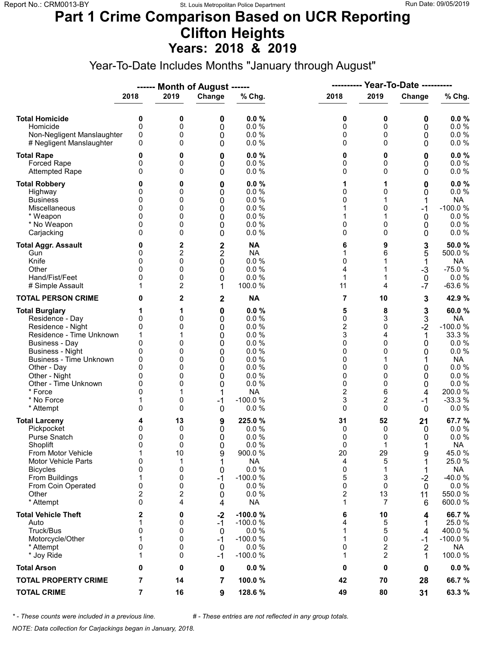### **Part 1 Crime Comparison Based on UCR Reporting Clifton Heights Years: 2018 & 2019**

Year-To-Date Includes Months "January through August"

|                                                                                                                                                                                                                                                                               |                                                                                        |                                                               | ------ Month of August ------                               |                                                                                                                 | ----------                                                                                       |                                                                                                     | <b>Year-To-Date ----------</b>                                              |                                                                                                                              |  |
|-------------------------------------------------------------------------------------------------------------------------------------------------------------------------------------------------------------------------------------------------------------------------------|----------------------------------------------------------------------------------------|---------------------------------------------------------------|-------------------------------------------------------------|-----------------------------------------------------------------------------------------------------------------|--------------------------------------------------------------------------------------------------|-----------------------------------------------------------------------------------------------------|-----------------------------------------------------------------------------|------------------------------------------------------------------------------------------------------------------------------|--|
|                                                                                                                                                                                                                                                                               | 2018                                                                                   | 2019                                                          | Change                                                      | % Chg.                                                                                                          | 2018                                                                                             | 2019                                                                                                | Change                                                                      | % Chg.                                                                                                                       |  |
| <b>Total Homicide</b><br>Homicide<br>Non-Negligent Manslaughter<br># Negligent Manslaughter                                                                                                                                                                                   | 0<br>$\mathbf 0$<br>0<br>0                                                             | 0<br>0<br>0<br>0                                              | 0<br>0<br>0<br>0                                            | 0.0%<br>0.0%<br>0.0%<br>0.0%                                                                                    | 0<br>0<br>0<br>0                                                                                 | 0<br>0<br>0<br>$\Omega$                                                                             | 0<br>0<br>0<br>0                                                            | 0.0%<br>0.0 %<br>0.0 %<br>$0.0 \%$                                                                                           |  |
| <b>Total Rape</b><br>Forced Rape<br><b>Attempted Rape</b>                                                                                                                                                                                                                     | 0<br>0<br>$\Omega$                                                                     | 0<br>0<br>0                                                   | 0<br>0<br>0                                                 | 0.0%<br>0.0 %<br>0.0%                                                                                           | 0<br>0<br>0                                                                                      | 0<br>0<br>$\Omega$                                                                                  | 0<br>0<br>0                                                                 | 0.0%<br>0.0 %<br>0.0 %                                                                                                       |  |
| <b>Total Robbery</b><br>Highway<br><b>Business</b><br>Miscellaneous<br>* Weapon<br>* No Weapon<br>Carjacking                                                                                                                                                                  | 0<br>0<br>0<br>0<br>0<br>$\Omega$                                                      | 0<br>0<br>0<br>0<br>0<br>0<br>0                               | 0<br>0<br>0<br>0<br>0<br>0<br>0                             | 0.0%<br>0.0%<br>0.0%<br>0.0 %<br>0.0 %<br>0.0%<br>0.0%                                                          | 1<br>0<br>0<br>1<br>1<br>0<br>0                                                                  | 1<br>0<br>1<br>0<br>0<br>0                                                                          | 0<br>0<br>$-1$<br>0<br>0<br>0                                               | $0.0 \%$<br>$0.0 \%$<br><b>NA</b><br>$-100.0%$<br>0.0%<br>$0.0 \%$<br>$0.0 \%$                                               |  |
| <b>Total Aggr. Assault</b><br>Gun<br>Knife<br>Other<br>Hand/Fist/Feet<br># Simple Assault                                                                                                                                                                                     | 0<br>0<br>0<br>$\Omega$<br>0<br>1                                                      | 2<br>2<br>0<br>0<br>0<br>2                                    | $\frac{2}{2}$<br>$\mathbf 0$<br>0<br>0<br>1                 | <b>NA</b><br><b>NA</b><br>0.0 %<br>0.0%<br>0.0 %<br>100.0%                                                      | 6<br>1<br>0<br>4<br>1<br>11                                                                      | 9<br>6<br>1<br>4                                                                                    | 3<br>5<br>1<br>$-3$<br>$\mathbf 0$<br>$-7$                                  | 50.0%<br>500.0 %<br><b>NA</b><br>$-75.0%$<br>$0.0 \%$<br>$-63.6%$                                                            |  |
| <b>TOTAL PERSON CRIME</b>                                                                                                                                                                                                                                                     | 0                                                                                      | 2                                                             | $\mathbf 2$                                                 | <b>NA</b>                                                                                                       | 7                                                                                                | 10                                                                                                  | 3                                                                           | 42.9 %                                                                                                                       |  |
| <b>Total Burglary</b><br>Residence - Day<br>Residence - Night<br>Residence - Time Unknown<br><b>Business - Day</b><br><b>Business - Night</b><br><b>Business - Time Unknown</b><br>Other - Day<br>Other - Night<br>Other - Time Unknown<br>* Force<br>* No Force<br>* Attempt | 1<br>0<br>0<br>1<br>$\mathbf{0}$<br>0<br>0<br>$\Omega$<br>0<br>0<br>$\Omega$<br>1<br>0 | 1<br>0<br>0<br>1<br>0<br>0<br>0<br>0<br>0<br>0<br>1<br>0<br>0 | 0<br>0<br>0<br>0<br>0<br>0<br>0<br>0<br>0<br>0<br>$-1$<br>0 | 0.0%<br>0.0%<br>0.0%<br>0.0%<br>0.0%<br>0.0%<br>0.0%<br>0.0%<br>0.0%<br>0.0%<br><b>NA</b><br>$-100.0%$<br>0.0 % | 5<br>0<br>$\overline{\mathbf{c}}$<br>3<br>0<br>0<br>0<br>0<br>0<br>0<br>$\overline{c}$<br>3<br>0 | 8<br>3<br>0<br>4<br>$\Omega$<br>0<br>$\Omega$<br>0<br>0<br>6<br>$\overline{\mathbf{c}}$<br>$\Omega$ | 3<br>3<br>$-2$<br>1<br>0<br>0<br>1<br>0<br>0<br>0<br>4<br>-1<br>$\mathbf 0$ | 60.0%<br>NA<br>$-100.0%$<br>33.3 %<br>0.0%<br>0.0 %<br><b>NA</b><br>0.0 %<br>0.0%<br>0.0 %<br>200.0%<br>$-33.3%$<br>$0.0 \%$ |  |
| <b>Total Larceny</b><br>Pickpocket<br>Purse Snatch<br>Shoplift<br>From Motor Vehicle<br><b>Motor Vehicle Parts</b><br><b>Bicycles</b><br>From Buildings<br>From Coin Operated<br>Other<br>* Attempt                                                                           | 4<br>0<br>0<br>$\mathbf{0}$<br>1<br>0<br>0<br>1<br>0<br>2<br>$\mathbf{0}$              | 13<br>0<br>0<br>0<br>10<br>1<br>0<br>0<br>0<br>2<br>4         | 9<br>0<br>0<br>0<br>9<br>1<br>0<br>$-1$<br>0<br>0<br>4      | 225.0%<br>0.0%<br>0.0%<br>0.0%<br>900.0%<br><b>NA</b><br>0.0 %<br>$-100.0%$<br>0.0%<br>0.0%<br><b>NA</b>        | 31<br>0<br>0<br>0<br>20<br>4<br>0<br>5<br>0<br>2<br>1                                            | 52<br>0<br>0<br>1<br>29<br>5<br>1<br>3<br>0<br>13<br>7                                              | 21<br>0<br>0<br>9<br>1<br>$-2$<br>0<br>11<br>6                              | 67.7 %<br>0.0 %<br>0.0%<br><b>NA</b><br>45.0%<br>25.0%<br><b>NA</b><br>-40.0%<br>0.0%<br>550.0%<br>600.0%                    |  |
| <b>Total Vehicle Theft</b><br>Auto<br>Truck/Bus<br>Motorcycle/Other<br>* Attempt<br>* Joy Ride                                                                                                                                                                                | 2<br>1<br>0<br>1<br>0<br>1                                                             | 0<br>0<br>0<br>0<br>0<br>0                                    | $-2$<br>$-1$<br>0<br>$-1$<br>$\mathbf 0$<br>$-1$            | $-100.0%$<br>$-100.0%$<br>0.0%<br>$-100.0%$<br>0.0%<br>$-100.0%$                                                | 6<br>4<br>1<br>1<br>0<br>1                                                                       | 10<br>5<br>5<br>$\Omega$<br>2<br>2                                                                  | 4<br>1<br>4<br>-1<br>$\overline{2}$<br>1                                    | 66.7%<br>25.0%<br>400.0%<br>$-100.0%$<br>NA<br>100.0%                                                                        |  |
| <b>Total Arson</b>                                                                                                                                                                                                                                                            | 0                                                                                      | 0                                                             | 0                                                           | 0.0%                                                                                                            | 0                                                                                                | 0                                                                                                   | 0                                                                           | $0.0 \%$                                                                                                                     |  |
| <b>TOTAL PROPERTY CRIME</b>                                                                                                                                                                                                                                                   | 7                                                                                      | 14                                                            | 7                                                           | 100.0%                                                                                                          | 42                                                                                               | 70                                                                                                  | 28                                                                          | 66.7%                                                                                                                        |  |
| <b>TOTAL CRIME</b>                                                                                                                                                                                                                                                            | 7                                                                                      | 16                                                            | 9                                                           | 128.6 %                                                                                                         | 49                                                                                               | 80                                                                                                  | 31                                                                          | 63.3 %                                                                                                                       |  |

*\* - These counts were included in a previous line. # - These entries are not reflected in any group totals.*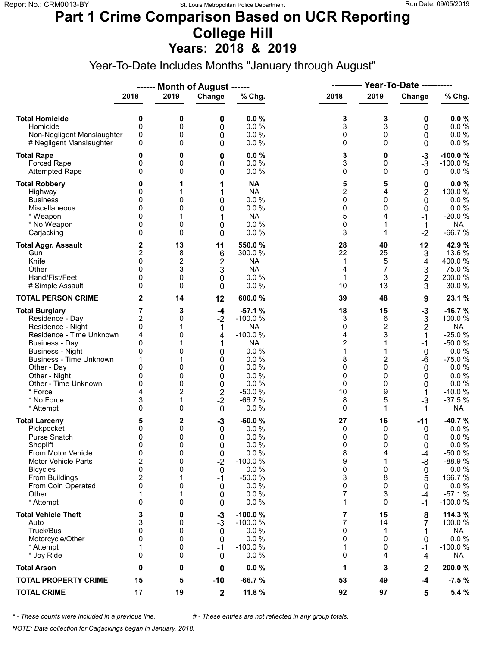#### **Part 1 Crime Comparison Based on UCR Reporting College Hill Years: 2018 & 2019**

Year-To-Date Includes Months "January through August"

|                                                                                                                                                                                                                                                                        |                                                                                               |                                                     | ------ Month of August ------                                                                  |                                                                                                                                       |                                                                              |                                                                                            |                                                                                                      |                                                                                                                                                |
|------------------------------------------------------------------------------------------------------------------------------------------------------------------------------------------------------------------------------------------------------------------------|-----------------------------------------------------------------------------------------------|-----------------------------------------------------|------------------------------------------------------------------------------------------------|---------------------------------------------------------------------------------------------------------------------------------------|------------------------------------------------------------------------------|--------------------------------------------------------------------------------------------|------------------------------------------------------------------------------------------------------|------------------------------------------------------------------------------------------------------------------------------------------------|
|                                                                                                                                                                                                                                                                        | 2018                                                                                          | 2019                                                | Change                                                                                         | % Chg.                                                                                                                                | 2018                                                                         | 2019                                                                                       | Change                                                                                               | % Chg.                                                                                                                                         |
| <b>Total Homicide</b><br>Homicide<br>Non-Negligent Manslaughter<br># Negligent Manslaughter                                                                                                                                                                            | 0<br>0<br>0<br>0                                                                              | 0<br>0<br>0<br>0                                    | 0<br>0<br>0<br>0                                                                               | 0.0%<br>0.0%<br>0.0%<br>0.0%                                                                                                          | 3<br>3<br>0<br>0                                                             | 3<br>3<br>0<br>$\Omega$                                                                    | 0<br>0<br>0<br>0                                                                                     | 0.0%<br>0.0 %<br>$0.0 \%$<br>0.0 %                                                                                                             |
| <b>Total Rape</b><br><b>Forced Rape</b><br><b>Attempted Rape</b>                                                                                                                                                                                                       | 0<br>0<br>0                                                                                   | 0<br>0<br>0                                         | 0<br>0<br>0                                                                                    | 0.0%<br>0.0%<br>0.0%                                                                                                                  | 3<br>3<br>0                                                                  | 0<br>0<br>$\Omega$                                                                         | $-3$<br>$-3$<br>0                                                                                    | $-100.0%$<br>$-100.0%$<br>0.0%                                                                                                                 |
| <b>Total Robbery</b><br>Highway<br><b>Business</b><br>Miscellaneous<br>* Weapon<br>* No Weapon<br>Carjacking                                                                                                                                                           | 0<br>0<br>0<br>0<br>0<br>0<br>0                                                               | 1<br>1<br>0<br>0<br>1<br>0<br>0                     | 1<br>1<br>0<br>0<br>1<br>0<br>0                                                                | <b>NA</b><br><b>NA</b><br>0.0 %<br>0.0 %<br><b>NA</b><br>0.0 %<br>0.0%                                                                | 5<br>2<br>0<br>0<br>5<br>0<br>3                                              | 5<br>4<br>0<br>0<br>4<br>1<br>1                                                            | 0<br>2<br>0<br>$\mathbf 0$<br>$-1$<br>1<br>$-2$                                                      | $0.0 \%$<br>100.0%<br>0.0%<br>$0.0 \%$<br>$-20.0%$<br><b>NA</b><br>$-66.7%$                                                                    |
| <b>Total Aggr. Assault</b><br>Gun<br>Knife<br>Other<br>Hand/Fist/Feet<br># Simple Assault                                                                                                                                                                              | 2<br>$\overline{c}$<br>$\mathbf{0}$<br>0<br>0<br>0                                            | 13<br>8<br>2<br>3<br>0<br>0                         | 11<br>6<br>$\overline{2}$<br>3<br>0<br>0                                                       | 550.0%<br>300.0%<br><b>NA</b><br><b>NA</b><br>0.0 %<br>0.0 %                                                                          | 28<br>22<br>1<br>4<br>1<br>10                                                | 40<br>25<br>5<br>7<br>3<br>13                                                              | 12<br>3<br>4<br>3<br>$\overline{\mathbf{c}}$<br>3                                                    | 42.9 %<br>13.6 %<br>400.0%<br>75.0%<br>200.0%<br>30.0%                                                                                         |
| <b>TOTAL PERSON CRIME</b>                                                                                                                                                                                                                                              | 2                                                                                             | 14                                                  | 12                                                                                             | 600.0%                                                                                                                                | 39                                                                           | 48                                                                                         | 9                                                                                                    | 23.1 %                                                                                                                                         |
| <b>Total Burglary</b><br>Residence - Day<br>Residence - Night<br>Residence - Time Unknown<br><b>Business - Day</b><br><b>Business - Night</b><br>Business - Time Unknown<br>Other - Day<br>Other - Night<br>Other - Time Unknown<br>* Force<br>* No Force<br>* Attempt | 7<br>$\overline{c}$<br>0<br>4<br>0<br>0<br>1<br>0<br>0<br>$\mathbf{0}$<br>4<br>3<br>$\Omega$  | 3<br>0<br>1<br>0<br>0<br>0<br>0<br>0<br>2<br>1<br>0 | $-4$<br>$-2$<br>1<br>-4<br>1<br>0<br>0<br>0<br>0<br>$\mathbf 0$<br>$-2$<br>$-2$<br>$\mathbf 0$ | $-57.1%$<br>$-100.0%$<br><b>NA</b><br>$-100.0%$<br><b>NA</b><br>0.0%<br>0.0%<br>0.0%<br>0.0%<br>0.0 %<br>$-50.0%$<br>$-66.7%$<br>0.0% | 18<br>3<br>0<br>4<br>$\overline{c}$<br>1<br>8<br>0<br>0<br>0<br>10<br>8<br>0 | 15<br>6<br>$\overline{c}$<br>3<br>1<br>$\overline{c}$<br>$\Omega$<br>0<br>0<br>9<br>5<br>1 | $-3$<br>3<br>$\overline{2}$<br>$-1$<br>$-1$<br>0<br>-6<br>$\mathbf 0$<br>0<br>0<br>$-1$<br>$-3$<br>1 | $-16.7%$<br>100.0 %<br><b>NA</b><br>$-25.0%$<br>$-50.0%$<br>0.0 %<br>$-75.0%$<br>0.0%<br>0.0%<br>$0.0 \%$<br>$-10.0%$<br>$-37.5%$<br><b>NA</b> |
| <b>Total Larceny</b><br>Pickpocket<br>Purse Snatch<br>Shoplift<br>From Motor Vehicle<br><b>Motor Vehicle Parts</b><br><b>Bicycles</b><br>From Buildings<br>From Coin Operated<br>Other<br>* Attempt                                                                    | 5<br>0<br>0<br>$\Omega$<br>0<br>$\overline{\mathbf{c}}$<br>0<br>$\overline{c}$<br>0<br>1<br>0 | 2<br>0<br>0<br>0<br>0<br>0<br>0<br>1<br>0<br>1<br>0 | $-3$<br>0<br>0<br>0<br>0<br>$-2$<br>0<br>$-1$<br>0<br>0<br>0                                   | $-60.0%$<br>0.0%<br>0.0%<br>0.0 %<br>0.0 %<br>$-100.0%$<br>0.0 %<br>$-50.0%$<br>0.0%<br>0.0%<br>0.0%                                  | 27<br>0<br>0<br>0<br>8<br>9<br>0<br>3<br>0<br>7<br>1                         | 16<br>0<br>0<br>$\Omega$<br>4<br>1<br>0<br>8<br>0<br>3<br>$\Omega$                         | -11<br>0<br>0<br>0<br>-4<br>-8<br>0<br>5<br>0<br>-4<br>-1                                            | -40.7%<br>$0.0 \%$<br>0.0 %<br>0.0 %<br>$-50.0%$<br>$-88.9%$<br>$0.0 \%$<br>166.7%<br>$0.0 \%$<br>$-57.1%$<br>$-100.0%$                        |
| <b>Total Vehicle Theft</b><br>Auto<br>Truck/Bus<br>Motorcycle/Other<br>* Attempt<br>* Joy Ride                                                                                                                                                                         | 3<br>3<br>0<br>0<br>1<br>0                                                                    | 0<br>0<br>0<br>0<br>0<br>0                          | $-3$<br>-3<br>0<br>0<br>$-1$<br>0                                                              | $-100.0%$<br>$-100.0%$<br>0.0%<br>0.0 %<br>$-100.0%$<br>0.0 %                                                                         | 7<br>7<br>0<br>0<br>1<br>0                                                   | 15<br>14<br>1<br>0<br>0<br>4                                                               | 8<br>7<br>0<br>-1<br>4                                                                               | 114.3 %<br>100.0%<br>NA<br>0.0%<br>$-100.0%$<br>NA                                                                                             |
| <b>Total Arson</b>                                                                                                                                                                                                                                                     | 0                                                                                             | 0                                                   | 0                                                                                              | 0.0%                                                                                                                                  | 1                                                                            | 3                                                                                          | 2                                                                                                    | 200.0%                                                                                                                                         |
| <b>TOTAL PROPERTY CRIME</b>                                                                                                                                                                                                                                            | 15                                                                                            | 5                                                   | $-10$                                                                                          | $-66.7%$                                                                                                                              | 53                                                                           | 49                                                                                         | $-4$                                                                                                 | $-7.5%$                                                                                                                                        |
| <b>TOTAL CRIME</b>                                                                                                                                                                                                                                                     | 17                                                                                            | 19                                                  | $\mathbf{2}$                                                                                   | 11.8 %                                                                                                                                | 92                                                                           | 97                                                                                         | 5                                                                                                    | 5.4 %                                                                                                                                          |

*\* - These counts were included in a previous line. # - These entries are not reflected in any group totals.*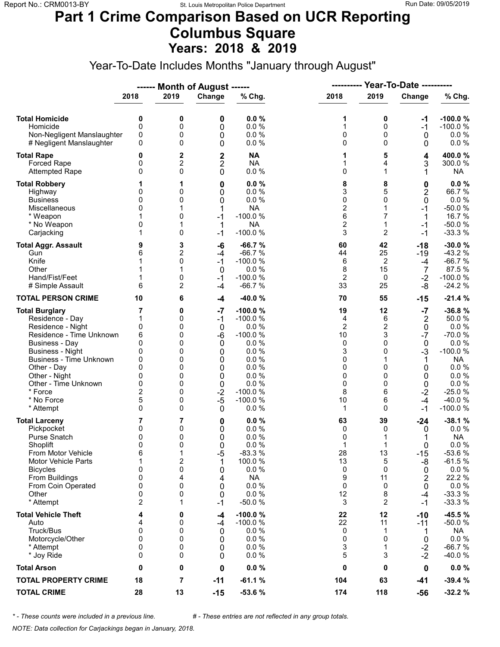### **Part 1 Crime Comparison Based on UCR Reporting Columbus Square Years: 2018 & 2019**

Year-To-Date Includes Months "January through August"

|                                                                                                                                                                                                                                                                               |                                                                                                     |                                                               | ------ Month of August ------                                                        |                                                                                                                               |                                                                    | <b>Year-To-Date ----------</b><br>----------                                           |                                                                                            |                                                                                                                                        |
|-------------------------------------------------------------------------------------------------------------------------------------------------------------------------------------------------------------------------------------------------------------------------------|-----------------------------------------------------------------------------------------------------|---------------------------------------------------------------|--------------------------------------------------------------------------------------|-------------------------------------------------------------------------------------------------------------------------------|--------------------------------------------------------------------|----------------------------------------------------------------------------------------|--------------------------------------------------------------------------------------------|----------------------------------------------------------------------------------------------------------------------------------------|
|                                                                                                                                                                                                                                                                               | 2018                                                                                                | 2019                                                          | Change                                                                               | % Chg.                                                                                                                        | 2018                                                               | 2019                                                                                   | Change                                                                                     | % Chg.                                                                                                                                 |
| <b>Total Homicide</b><br>Homicide<br>Non-Negligent Manslaughter<br># Negligent Manslaughter                                                                                                                                                                                   | 0<br>$\mathbf 0$<br>0<br>0                                                                          | 0<br>0<br>0<br>0                                              | 0<br>0<br>0<br>0                                                                     | 0.0%<br>0.0%<br>0.0%<br>0.0%                                                                                                  | 1<br>1<br>0<br>0                                                   | 0<br>0<br>0<br>$\Omega$                                                                | -1<br>$-1$<br>0<br>0                                                                       | $-100.0%$<br>$-100.0%$<br>$0.0 \%$<br>0.0 %                                                                                            |
| <b>Total Rape</b><br>Forced Rape<br><b>Attempted Rape</b>                                                                                                                                                                                                                     | 0<br>0<br>$\Omega$                                                                                  | 2<br>2<br>0                                                   | $\mathbf 2$<br>2<br>0                                                                | <b>NA</b><br><b>NA</b><br>0.0%                                                                                                | 1<br>1<br>0                                                        | 5<br>4<br>$\mathbf{1}$                                                                 | 4<br>3<br>1                                                                                | 400.0%<br>300.0%<br>NA                                                                                                                 |
| <b>Total Robbery</b><br>Highway<br><b>Business</b><br>Miscellaneous<br>* Weapon<br>* No Weapon<br>Carjacking                                                                                                                                                                  | 0<br>0<br>$\Omega$<br>0<br>1                                                                        | 1<br>0<br>0<br>1<br>0<br>1<br>0                               | 0<br>0<br>0<br>1<br>$-1$<br>1<br>$-1$                                                | 0.0%<br>0.0%<br>0.0%<br><b>NA</b><br>$-100.0%$<br><b>NA</b><br>$-100.0%$                                                      | 8<br>3<br>0<br>$\overline{\mathbf{c}}$<br>6<br>$\overline{c}$<br>3 | 8<br>5<br>0<br>$\mathbf{1}$<br>7<br>$\mathbf{1}$<br>$\overline{2}$                     | 0<br>$\overline{2}$<br>0<br>$-1$<br>1<br>$-1$<br>$-1$                                      | 0.0%<br>66.7%<br>0.0 %<br>$-50.0%$<br>16.7 %<br>$-50.0%$<br>$-33.3%$                                                                   |
| <b>Total Aggr. Assault</b><br>Gun<br>Knife<br>Other<br>Hand/Fist/Feet<br># Simple Assault                                                                                                                                                                                     | 9<br>6<br>1<br>6                                                                                    | 3<br>2<br>0<br>1<br>0<br>2                                    | -6<br>-4<br>$-1$<br>0<br>$-1$<br>$-4$                                                | $-66.7%$<br>$-66.7%$<br>$-100.0%$<br>0.0 %<br>$-100.0%$<br>$-66.7%$                                                           | 60<br>44<br>6<br>8<br>$\overline{2}$<br>33                         | 42<br>25<br>2<br>15<br>0<br>25                                                         | $-18$<br>-19<br>$-4$<br>7<br>$-2$<br>$-8$                                                  | $-30.0%$<br>$-43.2%$<br>$-66.7%$<br>87.5 %<br>$-100.0%$<br>$-24.2%$                                                                    |
| <b>TOTAL PERSON CRIME</b>                                                                                                                                                                                                                                                     | 10                                                                                                  | 6                                                             | -4                                                                                   | $-40.0%$                                                                                                                      | 70                                                                 | 55                                                                                     | $-15$                                                                                      | $-21.4%$                                                                                                                               |
| <b>Total Burglary</b><br>Residence - Day<br>Residence - Night<br>Residence - Time Unknown<br><b>Business - Day</b><br><b>Business - Night</b><br><b>Business - Time Unknown</b><br>Other - Day<br>Other - Night<br>Other - Time Unknown<br>* Force<br>* No Force<br>* Attempt | 7<br>1<br>0<br>6<br>$\mathbf{0}$<br>0<br>0<br>$\Omega$<br>0<br>0<br>$\overline{2}$<br>5<br>$\Omega$ | 0<br>0<br>0<br>0<br>0<br>0<br>0<br>0<br>0<br>0<br>0<br>0<br>0 | $-7$<br>$-1$<br>$\mathbf 0$<br>-6<br>0<br>0<br>0<br>0<br>0<br>0<br>$-2$<br>$-5$<br>0 | $-100.0%$<br>$-100.0%$<br>0.0%<br>$-100.0%$<br>0.0%<br>0.0%<br>0.0%<br>0.0%<br>0.0%<br>0.0%<br>$-100.0%$<br>$-100.0%$<br>0.0% | 19<br>4<br>2<br>10<br>0<br>3<br>0<br>0<br>0<br>0<br>8<br>10<br>1   | 12<br>6<br>$\mathbf 2$<br>3<br>$\Omega$<br>0<br>1<br>$\Omega$<br>0<br>0<br>6<br>6<br>0 | $-7$<br>$\overline{2}$<br>0<br>$-7$<br>0<br>$-3$<br>1<br>0<br>0<br>0<br>$-2$<br>$-4$<br>-1 | $-36.8%$<br>50.0%<br>0.0%<br>$-70.0%$<br>0.0%<br>$-100.0%$<br><b>NA</b><br>0.0 %<br>0.0%<br>0.0 %<br>$-25.0%$<br>$-40.0%$<br>$-100.0%$ |
| <b>Total Larceny</b><br>Pickpocket<br>Purse Snatch<br>Shoplift<br>From Motor Vehicle<br><b>Motor Vehicle Parts</b><br><b>Bicycles</b><br>From Buildings<br>From Coin Operated<br>Other<br>* Attempt                                                                           | 7<br>0<br>0<br>$\mathbf{0}$<br>6<br>1<br>0<br>0<br>0<br>0<br>2                                      | 7<br>0<br>0<br>0<br>1<br>2<br>0<br>4<br>0<br>0<br>1           | 0<br>0<br>0<br>0<br>$-5$<br>1<br>0<br>4<br>0<br>0<br>$-1$                            | 0.0%<br>0.0%<br>0.0%<br>0.0%<br>$-83.3%$<br>100.0 %<br>0.0 %<br><b>NA</b><br>0.0%<br>0.0%<br>$-50.0%$                         | 63<br>0<br>0<br>1<br>28<br>13<br>0<br>9<br>0<br>12<br>3            | 39<br>0<br>1<br>13<br>5<br>0<br>11<br>0<br>8<br>2                                      | $-24$<br>0<br>1<br>0<br>$-15$<br>-8<br>0<br>2<br>0<br>$-4$<br>$-1$                         | $-38.1%$<br>$0.0 \%$<br><b>NA</b><br>0.0 %<br>$-53.6%$<br>$-61.5%$<br>0.0 %<br>22.2 %<br>0.0 %<br>$-33.3%$<br>$-33.3%$                 |
| <b>Total Vehicle Theft</b><br>Auto<br>Truck/Bus<br>Motorcycle/Other<br>* Attempt<br>* Joy Ride                                                                                                                                                                                | 4<br>4<br>0<br>0<br>0<br>0                                                                          | 0<br>0<br>0<br>0<br>0<br>0                                    | -4<br>-4<br>0<br>0<br>0<br>0                                                         | $-100.0%$<br>$-100.0%$<br>0.0%<br>0.0%<br>0.0%<br>0.0%                                                                        | 22<br>22<br>0<br>0<br>3<br>5                                       | 12<br>11<br>1<br>$\Omega$<br>1<br>3                                                    | $-10$<br>$-11$<br>1<br>0<br>$-2$<br>$-2$                                                   | -45.5 %<br>$-50.0%$<br>NA<br>0.0 %<br>$-66.7%$<br>-40.0%                                                                               |
| <b>Total Arson</b>                                                                                                                                                                                                                                                            | 0                                                                                                   | 0                                                             | 0                                                                                    | 0.0%                                                                                                                          | 0                                                                  | 0                                                                                      | 0                                                                                          | $0.0 \%$                                                                                                                               |
| <b>TOTAL PROPERTY CRIME</b>                                                                                                                                                                                                                                                   | 18                                                                                                  | 7                                                             | $-11$                                                                                | $-61.1%$                                                                                                                      | 104                                                                | 63                                                                                     | -41                                                                                        | $-39.4%$                                                                                                                               |
| <b>TOTAL CRIME</b>                                                                                                                                                                                                                                                            | 28                                                                                                  | 13                                                            | $-15$                                                                                | $-53.6%$                                                                                                                      | 174                                                                | 118                                                                                    | $-56$                                                                                      | $-32.2%$                                                                                                                               |

*\* - These counts were included in a previous line. # - These entries are not reflected in any group totals.*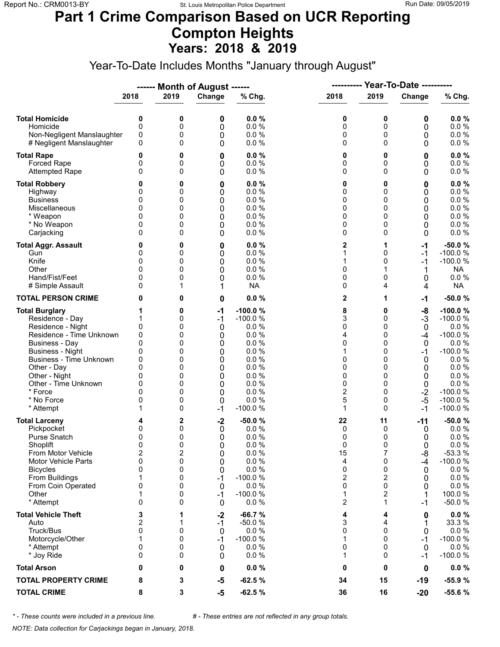### **Part 1 Crime Comparison Based on UCR Reporting Compton Heights Years: 2018 & 2019**

Year-To-Date Includes Months "January through August"

|                                                                                                                                                                                                                                                                               |                                                                                                   |                                                               | ------ Month of August ------                                          |                                                                                                                      | ----------                                                                 |                                                                             | Year-To-Date ----------                                                      |                                                                                                                                              |
|-------------------------------------------------------------------------------------------------------------------------------------------------------------------------------------------------------------------------------------------------------------------------------|---------------------------------------------------------------------------------------------------|---------------------------------------------------------------|------------------------------------------------------------------------|----------------------------------------------------------------------------------------------------------------------|----------------------------------------------------------------------------|-----------------------------------------------------------------------------|------------------------------------------------------------------------------|----------------------------------------------------------------------------------------------------------------------------------------------|
|                                                                                                                                                                                                                                                                               | 2018                                                                                              | 2019                                                          | Change                                                                 | % Chg.                                                                                                               | 2018                                                                       | 2019                                                                        | Change                                                                       | % Chg.                                                                                                                                       |
| <b>Total Homicide</b><br>Homicide<br>Non-Negligent Manslaughter<br># Negligent Manslaughter                                                                                                                                                                                   | 0<br>$\mathbf 0$<br>0<br>0                                                                        | 0<br>0<br>0<br>0                                              | 0<br>0<br>0<br>0                                                       | 0.0%<br>0.0 %<br>0.0 %<br>0.0%                                                                                       | 0<br>0<br>0<br>0                                                           | 0<br>0<br>0<br>$\Omega$                                                     | 0<br>0<br>0<br>0                                                             | 0.0%<br>0.0 %<br>$0.0 \%$<br>0.0 %                                                                                                           |
| <b>Total Rape</b><br>Forced Rape<br><b>Attempted Rape</b>                                                                                                                                                                                                                     | 0<br>0<br>$\Omega$                                                                                | 0<br>0<br>0                                                   | 0<br>0<br>0                                                            | 0.0%<br>0.0%<br>0.0 %                                                                                                | 0<br>0<br>0                                                                | 0<br>0<br>$\Omega$                                                          | 0<br>0<br>0                                                                  | $0.0 \%$<br>0.0 %<br>0.0%                                                                                                                    |
| <b>Total Robbery</b><br>Highway<br><b>Business</b><br>Miscellaneous<br>* Weapon<br>* No Weapon<br>Carjacking                                                                                                                                                                  | 0<br>0<br>0<br>0<br>0<br>0                                                                        | 0<br>0<br>0<br>0<br>0<br>0<br>0                               | 0<br>0<br>0<br>0<br>0<br>0<br>0                                        | 0.0%<br>0.0%<br>0.0 %<br>0.0%<br>0.0%<br>0.0%<br>0.0%                                                                | 0<br>0<br>0<br>0<br>0<br>0<br>0                                            | 0<br>0<br>0<br>0<br>0<br>0<br>0                                             | 0<br>0<br>0<br>0<br>0<br>0<br>0                                              | 0.0%<br>0.0 %<br>0.0 %<br>0.0%<br>0.0%<br>0.0%<br>0.0%                                                                                       |
| <b>Total Aggr. Assault</b><br>Gun<br>Knife<br>Other<br>Hand/Fist/Feet<br># Simple Assault                                                                                                                                                                                     | 0<br>0<br>0<br>0<br>0<br>0                                                                        | 0<br>0<br>0<br>0<br>0<br>1                                    | 0<br>0<br>0<br>0<br>0<br>1                                             | 0.0%<br>0.0%<br>0.0 %<br>0.0 %<br>0.0 %<br><b>NA</b>                                                                 | 2<br>1<br>1<br>0<br>0<br>0                                                 | 1<br>0<br>0<br>0<br>4                                                       | $-1$<br>-1<br>$-1$<br>0<br>4                                                 | $-50.0%$<br>$-100.0%$<br>$-100.0%$<br>NA.<br>0.0 %<br><b>NA</b>                                                                              |
| <b>TOTAL PERSON CRIME</b>                                                                                                                                                                                                                                                     | 0                                                                                                 | 0                                                             | 0                                                                      | 0.0%                                                                                                                 | 2                                                                          | 1                                                                           | -1                                                                           | $-50.0%$                                                                                                                                     |
| <b>Total Burglary</b><br>Residence - Day<br>Residence - Night<br>Residence - Time Unknown<br><b>Business - Day</b><br><b>Business - Night</b><br><b>Business - Time Unknown</b><br>Other - Day<br>Other - Night<br>Other - Time Unknown<br>* Force<br>* No Force<br>* Attempt | 0<br>0<br>$\Omega$<br>0<br>0<br>0<br>0<br>0<br>$\Omega$<br>0                                      | 0<br>0<br>0<br>0<br>0<br>0<br>0<br>0<br>0<br>0<br>0<br>0<br>0 | $-1$<br>$-1$<br>0<br>0<br>0<br>0<br>0<br>0<br>0<br>0<br>0<br>0<br>$-1$ | $-100.0%$<br>$-100.0%$<br>0.0%<br>0.0%<br>0.0%<br>0.0%<br>0.0%<br>0.0%<br>0.0%<br>0.0%<br>0.0%<br>0.0 %<br>$-100.0%$ | 8<br>3<br>0<br>4<br>0<br>1<br>0<br>0<br>0<br>0<br>$\overline{c}$<br>5<br>1 | 0<br>0<br>0<br>0<br>0<br>0<br>0<br>0<br>0<br>0<br>$\Omega$<br>0<br>$\Omega$ | -8<br>$-3$<br>0<br>$-4$<br>0<br>-1<br>0<br>0<br>0<br>0<br>$-2$<br>$-5$<br>-1 | $-100.0%$<br>$-100.0%$<br>0.0%<br>$-100.0%$<br>0.0%<br>$-100.0%$<br>$0.0 \%$<br>0.0%<br>0.0%<br>0.0 %<br>$-100.0%$<br>$-100.0%$<br>$-100.0%$ |
| <b>Total Larceny</b><br>Pickpocket<br><b>Purse Snatch</b><br>Shoplift<br>From Motor Vehicle<br><b>Motor Vehicle Parts</b><br><b>Bicycles</b><br>From Buildings<br>From Coin Operated<br>Other<br>* Attempt                                                                    | 4<br>0<br>0<br>$\Omega$<br>$\overline{\mathbf{c}}$<br>$\mathbf 0$<br>0<br>1<br>0<br>1<br>$\Omega$ | 2<br>0<br>0<br>0<br>2<br>0<br>0<br>0<br>0<br>0<br>0           | $-2$<br>0<br>0<br>$\Omega$<br>0<br>0<br>0<br>$-1$<br>0<br>$-1$<br>0    | $-50.0%$<br>0.0%<br>0.0%<br>0.0%<br>0.0 %<br>0.0 %<br>0.0%<br>$-100.0%$<br>0.0%<br>$-100.0%$<br>0.0%                 | 22<br>0<br>0<br>0<br>15<br>4<br>0<br>2<br>0<br>1<br>$\overline{c}$         | 11<br>0<br>0<br>$\Omega$<br>7<br>0<br>0<br>2<br>0<br>2<br>1                 | $-11$<br>0<br>0<br>0<br>-8<br>-4<br>0<br>0<br>0<br>1<br>-1                   | $-50.0%$<br>$0.0 \%$<br>0.0%<br>0.0%<br>$-53.3%$<br>$-100.0%$<br>$0.0 \%$<br>$0.0 \%$<br>0.0%<br>100.0%<br>$-50.0%$                          |
| <b>Total Vehicle Theft</b><br>Auto<br>Truck/Bus<br>Motorcycle/Other<br>* Attempt<br>* Joy Ride                                                                                                                                                                                | 3<br>2<br>0<br>1<br>0<br>$\Omega$                                                                 | 1<br>1<br>0<br>0<br>0<br>0                                    | $-2$<br>$-1$<br>0<br>$-1$<br>0<br>0                                    | $-66.7%$<br>$-50.0%$<br>0.0%<br>$-100.0%$<br>0.0%<br>0.0%                                                            | 4<br>3<br>0<br>1<br>0<br>1                                                 | 4<br>4<br>$\Omega$<br>$\Omega$<br>0<br>0                                    | 0<br>1<br>0<br>-1<br>0<br>-1                                                 | $0.0 \%$<br>33.3 %<br>$0.0 \%$<br>$-100.0%$<br>0.0%<br>$-100.0%$                                                                             |
| <b>Total Arson</b>                                                                                                                                                                                                                                                            | 0                                                                                                 | 0                                                             | 0                                                                      | 0.0%                                                                                                                 | 0                                                                          | 0                                                                           | 0                                                                            | $0.0 \%$                                                                                                                                     |
| <b>TOTAL PROPERTY CRIME</b>                                                                                                                                                                                                                                                   | 8                                                                                                 | 3                                                             | -5                                                                     | $-62.5%$                                                                                                             | 34                                                                         | 15                                                                          | -19                                                                          | $-55.9%$                                                                                                                                     |
| <b>TOTAL CRIME</b>                                                                                                                                                                                                                                                            | 8                                                                                                 | 3                                                             | -5                                                                     | $-62.5%$                                                                                                             | 36                                                                         | 16                                                                          | $-20$                                                                        | $-55.6%$                                                                                                                                     |

*\* - These counts were included in a previous line. # - These entries are not reflected in any group totals.*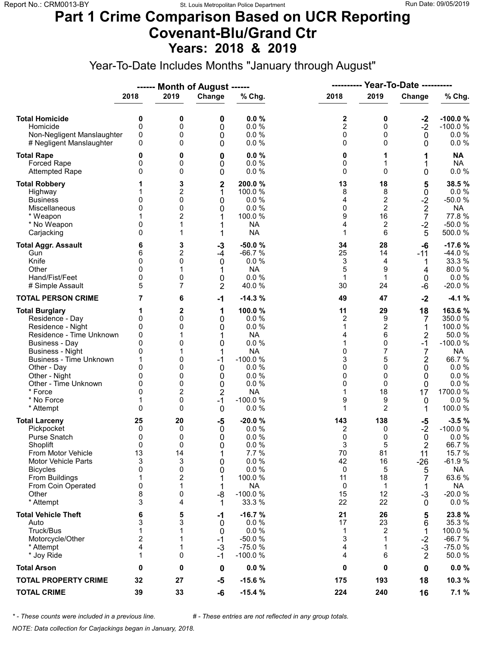### **Part 1 Crime Comparison Based on UCR Reporting Covenant-Blu/Grand Ctr Years: 2018 & 2019**

Year-To-Date Includes Months "January through August"

|                                                                                                                                                                                                                                                                               |                                                                                        |                                                                | ------ Month of August ------                                                    |                                                                                                                                   |                                                                | <b>Year-To-Date ----------</b><br>----------                                                        |                                                                                              |                                                                                                                                        |
|-------------------------------------------------------------------------------------------------------------------------------------------------------------------------------------------------------------------------------------------------------------------------------|----------------------------------------------------------------------------------------|----------------------------------------------------------------|----------------------------------------------------------------------------------|-----------------------------------------------------------------------------------------------------------------------------------|----------------------------------------------------------------|-----------------------------------------------------------------------------------------------------|----------------------------------------------------------------------------------------------|----------------------------------------------------------------------------------------------------------------------------------------|
|                                                                                                                                                                                                                                                                               | 2018                                                                                   | 2019                                                           | Change                                                                           | % Chg.                                                                                                                            | 2018                                                           | 2019                                                                                                | Change                                                                                       | % Chg.                                                                                                                                 |
| <b>Total Homicide</b><br>Homicide<br>Non-Negligent Manslaughter<br># Negligent Manslaughter                                                                                                                                                                                   | 0<br>$\mathbf 0$<br>0<br>0                                                             | 0<br>0<br>0<br>0                                               | 0<br>0<br>0<br>0                                                                 | 0.0%<br>0.0%<br>0.0%<br>0.0%                                                                                                      | 2<br>$\overline{2}$<br>0<br>0                                  | 0<br>0<br>0<br>$\Omega$                                                                             | $-2$<br>$-2$<br>$\mathbf 0$<br>0                                                             | $-100.0%$<br>$-100.0%$<br>$0.0 \%$<br>$0.0 \%$                                                                                         |
| <b>Total Rape</b><br>Forced Rape<br><b>Attempted Rape</b>                                                                                                                                                                                                                     | 0<br>0<br>$\Omega$                                                                     | 0<br>0<br>0                                                    | 0<br>0<br>0                                                                      | 0.0%<br>0.0%<br>0.0%                                                                                                              | 0<br>0<br>0                                                    | 1<br>1<br>$\Omega$                                                                                  | 1<br>1<br>0                                                                                  | <b>NA</b><br><b>NA</b><br>$0.0 \%$                                                                                                     |
| <b>Total Robbery</b><br>Highway<br><b>Business</b><br>Miscellaneous<br>* Weapon<br>* No Weapon<br>Carjacking                                                                                                                                                                  | 0<br>$\mathbf{0}$<br>0<br>$\Omega$                                                     | 3<br>2<br>0<br>0<br>2<br>1<br>1                                | $\overline{\mathbf{c}}$<br>1<br>0<br>0<br>1<br>1<br>1                            | 200.0%<br>100.0 %<br>0.0%<br>0.0 %<br>100.0 %<br><b>NA</b><br><b>NA</b>                                                           | 13<br>8<br>4<br>0<br>9<br>4<br>1                               | 18<br>8<br>2<br>$\overline{2}$<br>16<br>2<br>6                                                      | 5<br>0<br>$-2$<br>$\overline{c}$<br>7<br>$-2$<br>5                                           | 38.5%<br>0.0%<br>$-50.0%$<br><b>NA</b><br>77.8%<br>$-50.0%$<br>500.0%                                                                  |
| <b>Total Aggr. Assault</b><br>Gun<br>Knife<br>Other<br>Hand/Fist/Feet<br># Simple Assault                                                                                                                                                                                     | 6<br>6<br>0<br>$\Omega$<br>0<br>5                                                      | 3<br>2<br>0<br>1<br>0<br>7                                     | -3<br>-4<br>0<br>0<br>$\overline{2}$                                             | $-50.0%$<br>$-66.7%$<br>0.0%<br><b>NA</b><br>0.0 %<br>40.0%                                                                       | 34<br>25<br>3<br>5<br>$\mathbf{1}$<br>30                       | 28<br>14<br>4<br>9<br>$\mathbf 1$<br>24                                                             | $-6$<br>$-11$<br>1<br>4<br>0<br>-6                                                           | $-17.6%$<br>$-44.0%$<br>33.3 %<br>80.0%<br>$0.0 \%$<br>$-20.0%$                                                                        |
| <b>TOTAL PERSON CRIME</b>                                                                                                                                                                                                                                                     | 7                                                                                      | 6                                                              | $-1$                                                                             | $-14.3%$                                                                                                                          | 49                                                             | 47                                                                                                  | $-2$                                                                                         | $-4.1%$                                                                                                                                |
| <b>Total Burglary</b><br>Residence - Day<br>Residence - Night<br>Residence - Time Unknown<br><b>Business - Day</b><br><b>Business - Night</b><br><b>Business - Time Unknown</b><br>Other - Day<br>Other - Night<br>Other - Time Unknown<br>* Force<br>* No Force<br>* Attempt | 1<br>0<br>0<br>0<br>$\mathbf{0}$<br>0<br>1<br>0<br>0<br>0<br>$\Omega$<br>1<br>$\Omega$ | $\mathbf{2}$<br>0<br>0<br>0<br>0<br>0<br>0<br>0<br>2<br>0<br>0 | 1<br>0<br>0<br>1<br>0<br>1<br>$-1$<br>0<br>0<br>0<br>$\overline{2}$<br>$-1$<br>0 | 100.0%<br>0.0 %<br>0.0%<br><b>NA</b><br>0.0 %<br><b>NA</b><br>$-100.0%$<br>0.0%<br>0.0%<br>0.0%<br><b>NA</b><br>$-100.0%$<br>0.0% | 11<br>2<br>1<br>4<br>1<br>0<br>3<br>0<br>0<br>0<br>1<br>9<br>1 | 29<br>9<br>$\boldsymbol{2}$<br>6<br>$\Omega$<br>7<br>5<br>$\Omega$<br>0<br>$\Omega$<br>18<br>9<br>2 | 18<br>7<br>1<br>$\overline{2}$<br>$-1$<br>7<br>$\overline{2}$<br>0<br>0<br>0<br>17<br>0<br>1 | 163.6%<br>350.0 %<br>100.0 %<br>50.0%<br>$-100.0%$<br><b>NA</b><br>66.7%<br>$0.0 \%$<br>0.0%<br>0.0 %<br>1700.0%<br>$0.0 \%$<br>100.0% |
| <b>Total Larceny</b><br>Pickpocket<br>Purse Snatch<br>Shoplift<br>From Motor Vehicle<br><b>Motor Vehicle Parts</b><br><b>Bicycles</b><br>From Buildings<br>From Coin Operated<br>Other<br>* Attempt                                                                           | 25<br>0<br>0<br>0<br>13<br>3<br>0<br>1<br>0<br>8<br>3                                  | 20<br>0<br>0<br>0<br>14<br>3<br>0<br>2<br>1<br>0<br>4          | $-5$<br>0<br>0<br>$\Omega$<br>1<br>0<br>0<br>1<br>1<br>-8<br>1                   | $-20.0%$<br>0.0%<br>0.0%<br>0.0%<br>7.7 %<br>0.0 %<br>0.0 %<br>100.0 %<br><b>NA</b><br>$-100.0%$<br>33.3 %                        | 143<br>2<br>0<br>3<br>70<br>42<br>0<br>11<br>0<br>15<br>22     | 138<br>0<br>0<br>5<br>81<br>16<br>5<br>18<br>1<br>12<br>22                                          | -5<br>$-2$<br>$\mathbf 0$<br>2<br>11<br>$-26$<br>5<br>7<br>1<br>$-3$<br>$\mathbf{0}$         | $-3.5%$<br>$-100.0%$<br>0.0%<br>66.7%<br>15.7 %<br>$-61.9%$<br><b>NA</b><br>63.6%<br>NA<br>$-20.0%$<br>$0.0 \%$                        |
| <b>Total Vehicle Theft</b><br>Auto<br>Truck/Bus<br>Motorcycle/Other<br>* Attempt<br>* Joy Ride                                                                                                                                                                                | 6<br>3<br>1<br>$\overline{2}$<br>4<br>1                                                | 5<br>3<br>1<br>1<br>0                                          | -1<br>0<br>0<br>$-1$<br>$-3$<br>$-1$                                             | $-16.7%$<br>$0.0 \%$<br>0.0 %<br>$-50.0%$<br>$-75.0%$<br>$-100.0%$                                                                | 21<br>17<br>1<br>3<br>4<br>4                                   | 26<br>23<br>2<br>1<br>1<br>6                                                                        | 5<br>6<br>1<br>$-2$<br>$-3$<br>2                                                             | 23.8%<br>35.3 %<br>100.0%<br>$-66.7%$<br>$-75.0%$<br>50.0%                                                                             |
| <b>Total Arson</b>                                                                                                                                                                                                                                                            | 0                                                                                      | 0                                                              | 0                                                                                | 0.0%                                                                                                                              | 0                                                              | 0                                                                                                   | 0                                                                                            | $0.0 \%$                                                                                                                               |
| <b>TOTAL PROPERTY CRIME</b>                                                                                                                                                                                                                                                   | 32                                                                                     | 27                                                             | $-5$                                                                             | $-15.6%$                                                                                                                          | 175                                                            | 193                                                                                                 | 18                                                                                           | 10.3 %                                                                                                                                 |
| <b>TOTAL CRIME</b>                                                                                                                                                                                                                                                            | 39                                                                                     | 33                                                             | -6                                                                               | $-15.4%$                                                                                                                          | 224                                                            | 240                                                                                                 | 16                                                                                           | 7.1%                                                                                                                                   |

*\* - These counts were included in a previous line. # - These entries are not reflected in any group totals.*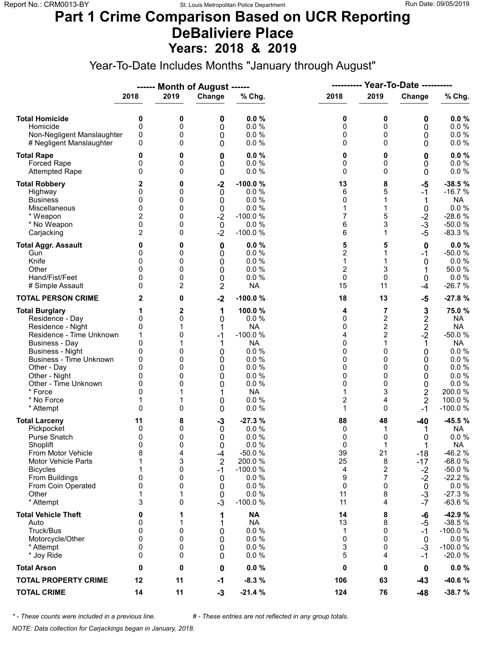#### **Part 1 Crime Comparison Based on UCR Reporting DeBaliviere Place Years: 2018 & 2019**

Year-To-Date Includes Months "January through August"

|                                                                                                                                                                                                                                                                               |                                                                                               |                                                           | ------ Month of August ------                                                       |                                                                                                                               | ----------                                                    |                                                                                                                    | <b>Year-To-Date ----------</b>                                                                       |                                                                                                                            |  |
|-------------------------------------------------------------------------------------------------------------------------------------------------------------------------------------------------------------------------------------------------------------------------------|-----------------------------------------------------------------------------------------------|-----------------------------------------------------------|-------------------------------------------------------------------------------------|-------------------------------------------------------------------------------------------------------------------------------|---------------------------------------------------------------|--------------------------------------------------------------------------------------------------------------------|------------------------------------------------------------------------------------------------------|----------------------------------------------------------------------------------------------------------------------------|--|
|                                                                                                                                                                                                                                                                               | 2018                                                                                          | 2019                                                      | Change                                                                              | % Chg.                                                                                                                        | 2018                                                          | 2019                                                                                                               | Change                                                                                               | % Chg.                                                                                                                     |  |
| <b>Total Homicide</b><br>Homicide<br>Non-Negligent Manslaughter<br># Negligent Manslaughter                                                                                                                                                                                   | 0<br>$\mathbf 0$<br>0<br>0                                                                    | 0<br>0<br>0<br>0                                          | 0<br>0<br>0<br>0                                                                    | 0.0%<br>0.0%<br>0.0%<br>0.0%                                                                                                  | 0<br>0<br>0<br>0                                              | 0<br>0<br>0<br>$\Omega$                                                                                            | 0<br>0<br>0<br>0                                                                                     | 0.0%<br>0.0 %<br>0.0 %<br>$0.0 \%$                                                                                         |  |
| <b>Total Rape</b><br>Forced Rape<br><b>Attempted Rape</b>                                                                                                                                                                                                                     | 0<br>0<br>0                                                                                   | 0<br>0<br>0                                               | 0<br>0<br>0                                                                         | 0.0%<br>0.0%<br>0.0%                                                                                                          | 0<br>0<br>0                                                   | 0<br>0<br>$\Omega$                                                                                                 | 0<br>0<br>0                                                                                          | 0.0%<br>0.0 %<br>0.0 %                                                                                                     |  |
| <b>Total Robbery</b><br>Highway<br><b>Business</b><br>Miscellaneous<br>* Weapon<br>* No Weapon<br>Carjacking                                                                                                                                                                  | 2<br>0<br>0<br>$\mathbf{0}$<br>2<br>0<br>$\overline{2}$                                       | 0<br>0<br>0<br>0<br>0<br>0<br>0                           | $-2$<br>0<br>0<br>0<br>$-2$<br>$\mathbf 0$<br>$-2$                                  | $-100.0%$<br>0.0%<br>0.0%<br>0.0%<br>$-100.0%$<br>0.0 %<br>$-100.0%$                                                          | 13<br>6<br>0<br>1<br>7<br>6<br>6                              | 8<br>5<br>1<br>1<br>5<br>3<br>$\mathbf{1}$                                                                         | -5<br>$-1$<br>1<br>0<br>$-2$<br>$-3$<br>$-5$                                                         | $-38.5%$<br>$-16.7%$<br><b>NA</b><br>$0.0 \%$<br>$-28.6%$<br>$-50.0%$<br>$-83.3%$                                          |  |
| <b>Total Aggr. Assault</b><br>Gun<br>Knife<br>Other<br>Hand/Fist/Feet<br># Simple Assault                                                                                                                                                                                     | 0<br>0<br>0<br>$\Omega$<br>0<br>0                                                             | 0<br>0<br>0<br>0<br>0<br>2                                | 0<br>0<br>0<br>0<br>0<br>2                                                          | 0.0%<br>0.0%<br>0.0%<br>0.0%<br>0.0%<br><b>NA</b>                                                                             | 5<br>$\overline{c}$<br>1<br>$\overline{c}$<br>0<br>15         | 5<br>1<br>1<br>3<br>0<br>11                                                                                        | 0<br>$-1$<br>0<br>1<br>0<br>$-4$                                                                     | 0.0%<br>$-50.0%$<br>$0.0 \%$<br>50.0%<br>$0.0 \%$<br>$-26.7%$                                                              |  |
| <b>TOTAL PERSON CRIME</b>                                                                                                                                                                                                                                                     | 2                                                                                             | 0                                                         | $-2$                                                                                | $-100.0%$                                                                                                                     | 18                                                            | 13                                                                                                                 | $-5$                                                                                                 | $-27.8%$                                                                                                                   |  |
| <b>Total Burglary</b><br>Residence - Day<br>Residence - Night<br>Residence - Time Unknown<br><b>Business - Day</b><br><b>Business - Night</b><br><b>Business - Time Unknown</b><br>Other - Day<br>Other - Night<br>Other - Time Unknown<br>* Force<br>* No Force<br>* Attempt | 1<br>0<br>0<br>1<br>$\mathbf{0}$<br>0<br>0<br>$\Omega$<br>0<br>0<br>$\Omega$<br>1<br>$\Omega$ | $\mathbf{2}$<br>0<br>0<br>1<br>0<br>0<br>0<br>0<br>0<br>0 | 1<br>0<br>1<br>$-1$<br>1<br>0<br>0<br>0<br>0<br>0<br>0<br>0                         | 100.0%<br>0.0 %<br><b>NA</b><br>$-100.0%$<br><b>NA</b><br>0.0 %<br>0.0%<br>0.0%<br>0.0%<br>0.0%<br><b>NA</b><br>0.0 %<br>0.0% | 4<br>0<br>0<br>4<br>0<br>0<br>0<br>0<br>0<br>0<br>1<br>2<br>1 | 7<br>$\overline{c}$<br>$\overline{c}$<br>$\overline{2}$<br>1<br>0<br>0<br>$\Omega$<br>0<br>0<br>3<br>4<br>$\Omega$ | 3<br>2<br>$\mathbf 2$<br>$-2$<br>1<br>0<br>0<br>0<br>0<br>0<br>$\mathbf 2$<br>$\overline{2}$<br>$-1$ | 75.0%<br>NA<br><b>NA</b><br>$-50.0%$<br>NA<br>0.0%<br>$0.0 \%$<br>0.0 %<br>0.0%<br>0.0 %<br>200.0%<br>100.0 %<br>$-100.0%$ |  |
| <b>Total Larceny</b><br>Pickpocket<br>Purse Snatch<br>Shoplift<br>From Motor Vehicle<br><b>Motor Vehicle Parts</b><br><b>Bicycles</b><br>From Buildings<br>From Coin Operated<br>Other<br>* Attempt                                                                           | 11<br>0<br>0<br>$\mathbf{0}$<br>8<br>1<br>1<br>0<br>0<br>1<br>3                               | 8<br>0<br>0<br>0<br>4<br>3<br>0<br>0<br>0<br>1<br>0       | $-3$<br>0<br>0<br>$\Omega$<br>$-4$<br>$\overline{2}$<br>$-1$<br>0<br>0<br>0<br>$-3$ | $-27.3%$<br>0.0%<br>0.0%<br>0.0%<br>$-50.0%$<br>200.0%<br>$-100.0%$<br>0.0%<br>0.0%<br>0.0%<br>$-100.0%$                      | 88<br>0<br>0<br>0<br>39<br>25<br>4<br>9<br>0<br>11<br>11      | 48<br>1<br>0<br>1<br>21<br>8<br>2<br>7<br>0<br>8<br>4                                                              | $-40$<br>1<br>0<br>$-18$<br>$-17$<br>$-2$<br>$-2$<br>$\mathbf 0$<br>$-3$<br>$-7$                     | $-45.5%$<br>NA<br>0.0%<br><b>NA</b><br>$-46.2%$<br>$-68.0%$<br>$-50.0%$<br>$-22.2%$<br>$0.0 \%$<br>$-27.3%$<br>$-63.6%$    |  |
| <b>Total Vehicle Theft</b><br>Auto<br>Truck/Bus<br>Motorcycle/Other<br>* Attempt<br>* Joy Ride                                                                                                                                                                                | 0<br>0<br>0<br>0<br>0<br>0                                                                    | 1<br>1<br>0<br>0<br>0<br>0                                | 1<br>1<br>0<br>0<br>0<br>0                                                          | <b>NA</b><br><b>NA</b><br>0.0 %<br>0.0 %<br>0.0%<br>0.0%                                                                      | 14<br>13<br>1<br>0<br>3<br>5                                  | 8<br>8<br>0<br>$\Omega$<br>0<br>4                                                                                  | -6<br>-5<br>$-1$<br>0<br>$-3$<br>-1                                                                  | -42.9 %<br>$-38.5%$<br>$-100.0%$<br>$0.0 \%$<br>$-100.0%$<br>$-20.0%$                                                      |  |
| <b>Total Arson</b>                                                                                                                                                                                                                                                            | 0                                                                                             | 0                                                         | 0                                                                                   | 0.0%                                                                                                                          | 0                                                             | 0                                                                                                                  | 0                                                                                                    | $0.0 \%$                                                                                                                   |  |
| <b>TOTAL PROPERTY CRIME</b>                                                                                                                                                                                                                                                   | 12                                                                                            | 11                                                        | $-1$                                                                                | $-8.3%$                                                                                                                       | 106                                                           | 63                                                                                                                 | $-43$                                                                                                | $-40.6%$                                                                                                                   |  |
| <b>TOTAL CRIME</b>                                                                                                                                                                                                                                                            | 14                                                                                            | 11                                                        | $-3$                                                                                | $-21.4%$                                                                                                                      | 124                                                           | 76                                                                                                                 | $-48$                                                                                                | $-38.7%$                                                                                                                   |  |

*\* - These counts were included in a previous line. # - These entries are not reflected in any group totals.*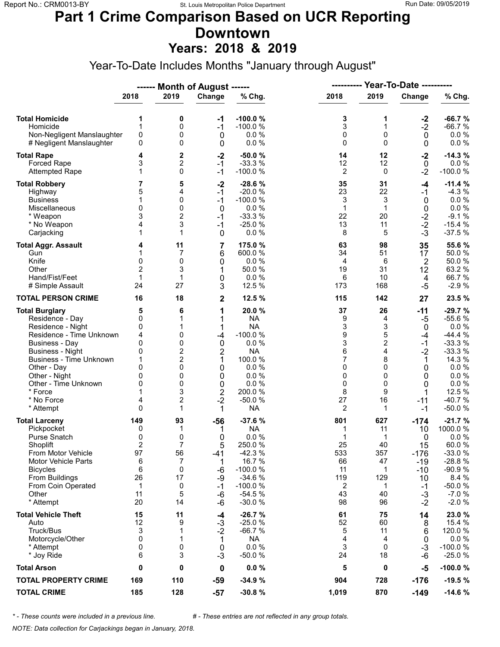#### **Part 1 Crime Comparison Based on UCR Reporting Downtown Years: 2018 & 2019**

Year-To-Date Includes Months "January through August"

|                                                                                                                                                                                                                                                                        |                                                                                   |                                                                                                 | ------ Month of August ------                                                            |                                                                                                                                         |                                                                 |                                                                                     |                                                                                    |                                                                                                                                        |
|------------------------------------------------------------------------------------------------------------------------------------------------------------------------------------------------------------------------------------------------------------------------|-----------------------------------------------------------------------------------|-------------------------------------------------------------------------------------------------|------------------------------------------------------------------------------------------|-----------------------------------------------------------------------------------------------------------------------------------------|-----------------------------------------------------------------|-------------------------------------------------------------------------------------|------------------------------------------------------------------------------------|----------------------------------------------------------------------------------------------------------------------------------------|
|                                                                                                                                                                                                                                                                        | 2018                                                                              | 2019                                                                                            | Change                                                                                   | % Chg.                                                                                                                                  | 2018                                                            | 2019                                                                                | Change                                                                             | % Chg.                                                                                                                                 |
| <b>Total Homicide</b><br>Homicide<br>Non-Negligent Manslaughter<br># Negligent Manslaughter                                                                                                                                                                            | 1<br>1<br>0<br>0                                                                  | 0<br>0<br>0<br>0                                                                                | $-1$<br>$-1$<br>$\mathbf 0$<br>0                                                         | $-100.0%$<br>$-100.0%$<br>0.0%<br>0.0%                                                                                                  | 3<br>3<br>0<br>0                                                | 1<br>1<br>0<br>$\Omega$                                                             | $-2$<br>$-2$<br>$\mathbf 0$<br>0                                                   | $-66.7%$<br>$-66.7%$<br>$0.0 \%$<br>0.0 %                                                                                              |
| <b>Total Rape</b><br><b>Forced Rape</b><br><b>Attempted Rape</b>                                                                                                                                                                                                       | 4<br>3<br>1                                                                       | 2<br>2<br>0                                                                                     | $-2$<br>$-1$<br>$-1$                                                                     | $-50.0%$<br>$-33.3%$<br>$-100.0%$                                                                                                       | 14<br>12<br>2                                                   | 12<br>12<br>0                                                                       | $-2$<br>$\mathbf 0$<br>$-2$                                                        | $-14.3%$<br>0.0%<br>$-100.0%$                                                                                                          |
| <b>Total Robbery</b><br>Highway<br><b>Business</b><br>Miscellaneous<br>* Weapon<br>* No Weapon<br>Carjacking                                                                                                                                                           | 7<br>5<br>1<br>0<br>3<br>4<br>1                                                   | 5<br>4<br>0<br>0<br>$\overline{c}$<br>3<br>1                                                    | $-2$<br>$-1$<br>$-1$<br>$\mathbf 0$<br>$-1$<br>$-1$<br>$\mathbf 0$                       | $-28.6%$<br>$-20.0%$<br>$-100.0%$<br>0.0%<br>$-33.3%$<br>$-25.0%$<br>0.0 %                                                              | 35<br>23<br>3<br>$\mathbf{1}$<br>22<br>13<br>8                  | 31<br>22<br>3<br>$\mathbf{1}$<br>20<br>11<br>5                                      | -4<br>$-1$<br>0<br>$\mathbf 0$<br>$-2$<br>$-2$<br>$-3$                             | $-11.4%$<br>$-4.3%$<br>0.0%<br>0.0 %<br>$-9.1%$<br>$-15.4%$<br>$-37.5%$                                                                |
| <b>Total Aggr. Assault</b><br>Gun<br>Knife<br>Other<br>Hand/Fist/Feet<br># Simple Assault                                                                                                                                                                              | 4<br>1<br>$\mathbf{0}$<br>$\overline{2}$<br>1<br>24                               | 11<br>7<br>0<br>3<br>1<br>27                                                                    | 7<br>6<br>0<br>1<br>0<br>3                                                               | 175.0 %<br>600.0%<br>0.0%<br>50.0%<br>0.0%<br>12.5 %                                                                                    | 63<br>34<br>4<br>19<br>6<br>173                                 | 98<br>51<br>6<br>31<br>10<br>168                                                    | 35<br>17<br>$\overline{2}$<br>12<br>4<br>$-5$                                      | 55.6 %<br>50.0%<br>50.0%<br>63.2%<br>66.7%<br>$-2.9%$                                                                                  |
| <b>TOTAL PERSON CRIME</b>                                                                                                                                                                                                                                              | 16                                                                                | 18                                                                                              | $\mathbf 2$                                                                              | 12.5 %                                                                                                                                  | 115                                                             | 142                                                                                 | 27                                                                                 | 23.5%                                                                                                                                  |
| <b>Total Burglary</b><br>Residence - Day<br>Residence - Night<br>Residence - Time Unknown<br><b>Business - Day</b><br><b>Business - Night</b><br>Business - Time Unknown<br>Other - Day<br>Other - Night<br>Other - Time Unknown<br>* Force<br>* No Force<br>* Attempt | 5<br>0<br>0<br>4<br>0<br>0<br>1<br>0<br>0<br>0<br>4<br>$\Omega$                   | 6<br>1<br>0<br>0<br>$\overline{2}$<br>$\overline{c}$<br>0<br>0<br>0<br>3<br>$\overline{c}$<br>1 | 1<br>1<br>1<br>-4<br>0<br>2<br>1<br>0<br>0<br>$\mathbf 0$<br>$\overline{2}$<br>$-2$<br>1 | 20.0%<br><b>NA</b><br><b>NA</b><br>$-100.0%$<br>0.0%<br><b>NA</b><br>100.0%<br>0.0%<br>0.0%<br>0.0 %<br>200.0%<br>$-50.0%$<br><b>NA</b> | 37<br>9<br>3<br>9<br>3<br>6<br>7<br>0<br>0<br>0<br>8<br>27<br>2 | 26<br>4<br>3<br>5<br>$\overline{c}$<br>4<br>8<br>$\Omega$<br>0<br>0<br>9<br>16<br>1 | $-11$<br>-5<br>0<br>$-4$<br>$-1$<br>$-2$<br>1<br>0<br>0<br>0<br>1<br>$-11$<br>$-1$ | $-29.7%$<br>$-55.6%$<br>0.0%<br>$-44.4%$<br>$-33.3%$<br>$-33.3%$<br>14.3 %<br>0.0%<br>0.0 %<br>0.0 %<br>12.5 %<br>$-40.7%$<br>$-50.0%$ |
| <b>Total Larceny</b><br>Pickpocket<br>Purse Snatch<br>Shoplift<br>From Motor Vehicle<br><b>Motor Vehicle Parts</b><br><b>Bicycles</b><br>From Buildings<br>From Coin Operated<br>Other<br>* Attempt                                                                    | 149<br>0<br>0<br>$\overline{2}$<br>97<br>6<br>6<br>26<br>$\mathbf{1}$<br>11<br>20 | 93<br>1<br>0<br>7<br>56<br>7<br>0<br>17<br>0<br>5<br>14                                         | $-56$<br>1<br>0<br>5<br>-41<br>1<br>-6<br>-9<br>$-1$<br>-6<br>$-6$                       | $-37.6%$<br><b>NA</b><br>0.0 %<br>250.0%<br>$-42.3%$<br>16.7 %<br>$-100.0%$<br>$-34.6%$<br>$-100.0%$<br>$-54.5%$<br>$-30.0%$            | 801<br>1<br>1<br>25<br>533<br>66<br>11<br>119<br>2<br>43<br>98  | 627<br>11<br>1<br>40<br>357<br>47<br>1<br>129<br>1<br>40<br>96                      | $-174$<br>10<br>0<br>15<br>$-176$<br>$-19$<br>-10<br>10<br>$-1$<br>$-3$<br>$-2$    | $-21.7%$<br>1000.0%<br>0.0%<br>60.0%<br>$-33.0%$<br>$-28.8%$<br>$-90.9%$<br>8.4 %<br>$-50.0%$<br>$-7.0%$<br>$-2.0%$                    |
| <b>Total Vehicle Theft</b><br>Auto<br>Truck/Bus<br>Motorcycle/Other<br>* Attempt<br>* Joy Ride                                                                                                                                                                         | 15<br>12<br>3<br>0<br>0<br>6                                                      | 11<br>9<br>1<br>1<br>0<br>3                                                                     | $-4$<br>$-3$<br>$-2$<br>1<br>$\mathbf 0$<br>$-3$                                         | $-26.7%$<br>$-25.0%$<br>$-66.7%$<br><b>NA</b><br>0.0%<br>$-50.0%$                                                                       | 61<br>52<br>5<br>4<br>3<br>24                                   | 75<br>60<br>11<br>4<br>0<br>18                                                      | 14<br>8<br>6<br>0<br>$-3$<br>$-6$                                                  | 23.0%<br>15.4 %<br>120.0%<br>$0.0 \%$<br>$-100.0%$<br>$-25.0%$                                                                         |
| <b>Total Arson</b>                                                                                                                                                                                                                                                     | 0                                                                                 | 0                                                                                               | 0                                                                                        | 0.0%                                                                                                                                    | 5                                                               | 0                                                                                   | $-5$                                                                               | $-100.0%$                                                                                                                              |
| <b>TOTAL PROPERTY CRIME</b>                                                                                                                                                                                                                                            | 169                                                                               | 110                                                                                             | -59                                                                                      | $-34.9%$                                                                                                                                | 904                                                             | 728                                                                                 | $-176$                                                                             | $-19.5%$                                                                                                                               |
| <b>TOTAL CRIME</b>                                                                                                                                                                                                                                                     | 185                                                                               | 128                                                                                             | $-57$                                                                                    | $-30.8%$                                                                                                                                | 1,019                                                           | 870                                                                                 | $-149$                                                                             | $-14.6%$                                                                                                                               |

*\* - These counts were included in a previous line. # - These entries are not reflected in any group totals.*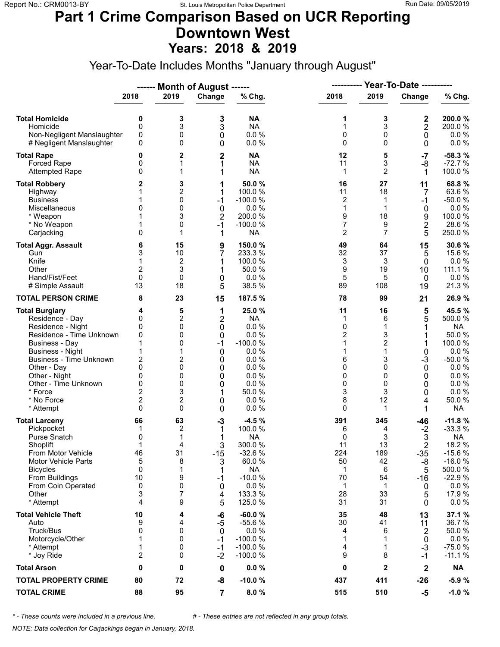#### **Part 1 Crime Comparison Based on UCR Reporting Downtown West Years: 2018 & 2019**

Year-To-Date Includes Months "January through August"

|                                                                                                                                                                                                                                                                        |                                                                                                           |                                                               | ------ Month of August ------                                                 |                                                                                                                       | ----------                                                                  |                                                                                        | <b>Year-To-Date ----------</b>                                      |                                                                                                                                       |  |
|------------------------------------------------------------------------------------------------------------------------------------------------------------------------------------------------------------------------------------------------------------------------|-----------------------------------------------------------------------------------------------------------|---------------------------------------------------------------|-------------------------------------------------------------------------------|-----------------------------------------------------------------------------------------------------------------------|-----------------------------------------------------------------------------|----------------------------------------------------------------------------------------|---------------------------------------------------------------------|---------------------------------------------------------------------------------------------------------------------------------------|--|
|                                                                                                                                                                                                                                                                        | 2018                                                                                                      | 2019                                                          | Change                                                                        | $%$ Chg.                                                                                                              | 2018                                                                        | 2019                                                                                   | Change                                                              | % Chg.                                                                                                                                |  |
| <b>Total Homicide</b><br>Homicide<br>Non-Negligent Manslaughter<br># Negligent Manslaughter                                                                                                                                                                            | 0<br>0<br>0<br>0                                                                                          | 3<br>3<br>0<br>0                                              | 3<br>3<br>$\mathbf 0$<br>0                                                    | <b>NA</b><br><b>NA</b><br>0.0%<br>0.0%                                                                                | 1<br>$\mathbf{1}$<br>0<br>0                                                 | 3<br>3<br>0<br>$\mathbf 0$                                                             | 2<br>$\mathbf 2$<br>$\mathbf 0$<br>0                                | 200.0%<br>200.0%<br>$0.0 \%$<br>$0.0 \%$                                                                                              |  |
| <b>Total Rape</b><br>Forced Rape<br><b>Attempted Rape</b>                                                                                                                                                                                                              | 0<br>0<br>0                                                                                               | 2<br>1<br>1                                                   | $\overline{2}$<br>1<br>1                                                      | <b>NA</b><br><b>NA</b><br><b>NA</b>                                                                                   | 12<br>11<br>1                                                               | 5<br>3<br>$\overline{2}$                                                               | $-7$<br>-8<br>1                                                     | $-58.3%$<br>$-72.7%$<br>100.0%                                                                                                        |  |
| <b>Total Robbery</b><br>Highway<br><b>Business</b><br>Miscellaneous<br>* Weapon<br>* No Weapon<br>Carjacking                                                                                                                                                           | 2<br>1<br>0<br>1<br>0                                                                                     | 3<br>2<br>0<br>0<br>3<br>0<br>1                               | 1<br>1<br>$-1$<br>$\mathbf 0$<br>$\overline{2}$<br>$-1$<br>1                  | 50.0 %<br>100.0 %<br>$-100.0%$<br>0.0%<br>200.0%<br>$-100.0%$<br><b>NA</b>                                            | 16<br>11<br>2<br>1<br>9<br>$\overline{7}$<br>$\overline{2}$                 | 27<br>18<br>1<br>1<br>18<br>9<br>$\overline{7}$                                        | 11<br>7<br>$-1$<br>0<br>9<br>$\overline{\mathbf{c}}$<br>5           | 68.8%<br>63.6%<br>$-50.0%$<br>$0.0 \%$<br>100.0 %<br>28.6%<br>250.0%                                                                  |  |
| <b>Total Aggr. Assault</b><br>Gun<br>Knife<br>Other<br>Hand/Fist/Feet<br># Simple Assault                                                                                                                                                                              | 6<br>3<br>2<br>$\mathbf{0}$<br>13                                                                         | 15<br>10<br>$\boldsymbol{2}$<br>3<br>0<br>18                  | 9<br>7<br>1<br>1<br>0<br>5                                                    | 150.0%<br>233.3 %<br>100.0 %<br>50.0 %<br>0.0%<br>38.5 %                                                              | 49<br>32<br>3<br>9<br>5<br>89                                               | 64<br>37<br>3<br>19<br>5<br>108                                                        | 15<br>5<br>0<br>10<br>$\mathbf{0}$<br>19                            | 30.6%<br>15.6 %<br>0.0 %<br>111.1 %<br>0.0%<br>21.3 %                                                                                 |  |
| <b>TOTAL PERSON CRIME</b>                                                                                                                                                                                                                                              | 8                                                                                                         | 23                                                            | 15                                                                            | 187.5 %                                                                                                               | 78                                                                          | 99                                                                                     | 21                                                                  | 26.9%                                                                                                                                 |  |
| <b>Total Burglary</b><br>Residence - Day<br>Residence - Night<br>Residence - Time Unknown<br><b>Business - Day</b><br><b>Business - Night</b><br>Business - Time Unknown<br>Other - Day<br>Other - Night<br>Other - Time Unknown<br>* Force<br>* No Force<br>* Attempt | 4<br>0<br>0<br>0<br>1<br>1<br>2<br>$\mathbf{0}$<br>0<br>0<br>$\overline{2}$<br>$\overline{c}$<br>$\Omega$ | 5<br>2<br>0<br>0<br>0<br>1<br>2<br>0<br>0<br>0<br>3<br>2<br>0 | 1<br>$\overline{c}$<br>0<br>0<br>$-1$<br>0<br>0<br>0<br>0<br>0<br>1<br>0<br>0 | 25.0 %<br><b>NA</b><br>0.0%<br>0.0%<br>$-100.0%$<br>0.0%<br>0.0%<br>0.0%<br>0.0%<br>0.0%<br>50.0 %<br>0.0%<br>0.0%    | 11<br>1<br>0<br>$\overline{c}$<br>1<br>1<br>6<br>0<br>0<br>0<br>3<br>8<br>0 | 16<br>6<br>1<br>3<br>$\overline{2}$<br>1<br>3<br>$\mathbf 0$<br>0<br>0<br>3<br>12<br>1 | 5<br>5<br>1<br>1<br>0<br>$-3$<br>0<br>0<br>0<br>0<br>4<br>1         | 45.5 %<br>500.0 %<br><b>NA</b><br>50.0%<br>100.0 %<br>$0.0 \%$<br>$-50.0%$<br>$0.0 \%$<br>0.0%<br>0.0 %<br>0.0%<br>50.0%<br><b>NA</b> |  |
| <b>Total Larceny</b><br>Pickpocket<br><b>Purse Snatch</b><br>Shoplift<br>From Motor Vehicle<br><b>Motor Vehicle Parts</b><br><b>Bicycles</b><br>From Buildings<br>From Coin Operated<br>Other<br>* Attempt                                                             | 66<br>1<br>0<br>1<br>46<br>5<br>0<br>10<br>0<br>3<br>4                                                    | 63<br>2<br>1<br>4<br>31<br>8<br>1<br>9<br>0<br>7<br>9         | $-3$<br>1<br>1<br>3<br>$-15$<br>3<br>1<br>$-1$<br>0<br>4<br>5                 | $-4.5%$<br>100.0 %<br><b>NA</b><br>300.0%<br>$-32.6%$<br>60.0%<br><b>NA</b><br>$-10.0%$<br>0.0%<br>133.3 %<br>125.0 % | 391<br>6<br>0<br>11<br>224<br>50<br>1<br>70<br>1<br>28<br>31                | 345<br>4<br>3<br>13<br>189<br>42<br>6<br>54<br>1<br>33<br>31                           | $-46$<br>$-2$<br>3<br>2<br>$-35$<br>-8<br>5<br>$-16$<br>0<br>5<br>0 | $-11.8%$<br>$-33.3%$<br><b>NA</b><br>18.2 %<br>$-15.6%$<br>$-16.0%$<br>500.0%<br>$-22.9%$<br>$0.0 \%$<br>17.9 %<br>$0.0 \%$           |  |
| <b>Total Vehicle Theft</b><br>Auto<br>Truck/Bus<br>Motorcycle/Other<br>* Attempt<br>* Joy Ride                                                                                                                                                                         | 10<br>9<br>0<br>1<br>1<br>$\overline{2}$                                                                  | 4<br>4<br>0<br>0<br>0<br>0                                    | -6<br>$-5$<br>0<br>$-1$<br>-1<br>$-2$                                         | $-60.0%$<br>$-55.6%$<br>0.0%<br>$-100.0%$<br>$-100.0%$<br>$-100.0%$                                                   | 35<br>30<br>4<br>1<br>4<br>9                                                | 48<br>41<br>6<br>1<br>1<br>8                                                           | 13<br>11<br>2<br>0<br>$-3$<br>$-1$                                  | 37.1 %<br>36.7 %<br>50.0%<br>$0.0 \%$<br>$-75.0%$<br>$-11.1%$                                                                         |  |
| <b>Total Arson</b>                                                                                                                                                                                                                                                     | $\bf{0}$                                                                                                  | 0                                                             | 0                                                                             | 0.0%                                                                                                                  | 0                                                                           | $\mathbf{2}$                                                                           | $\boldsymbol{2}$                                                    | <b>NA</b>                                                                                                                             |  |
| <b>TOTAL PROPERTY CRIME</b>                                                                                                                                                                                                                                            | 80                                                                                                        | 72                                                            | -8                                                                            | $-10.0%$                                                                                                              | 437                                                                         | 411                                                                                    | $-26$                                                               | $-5.9%$                                                                                                                               |  |
| <b>TOTAL CRIME</b>                                                                                                                                                                                                                                                     | 88                                                                                                        | 95                                                            | $\overline{7}$                                                                | 8.0%                                                                                                                  | 515                                                                         | 510                                                                                    | -5                                                                  | $-1.0%$                                                                                                                               |  |

*\* - These counts were included in a previous line. # - These entries are not reflected in any group totals.*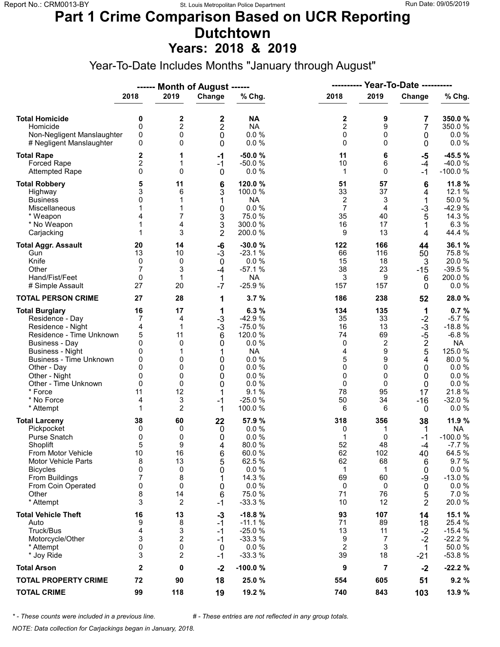## **Part 1 Crime Comparison Based on UCR Reporting Dutchtown**

**Years: 2018 & 2019**

Year-To-Date Includes Months "January through August"

|                                                                                                                                                                                                                                                                               |                                                                 |                                                                             | ------ Month of August ------                                     |                                                                                                                            |                                                                      | <b>Year-To-Date ----------</b><br>----------                                             |                                                                                            |                                                                                                                                    |
|-------------------------------------------------------------------------------------------------------------------------------------------------------------------------------------------------------------------------------------------------------------------------------|-----------------------------------------------------------------|-----------------------------------------------------------------------------|-------------------------------------------------------------------|----------------------------------------------------------------------------------------------------------------------------|----------------------------------------------------------------------|------------------------------------------------------------------------------------------|--------------------------------------------------------------------------------------------|------------------------------------------------------------------------------------------------------------------------------------|
|                                                                                                                                                                                                                                                                               | 2018                                                            | 2019                                                                        | Change                                                            | % Chg.                                                                                                                     | 2018                                                                 | 2019                                                                                     | Change                                                                                     | % Chg.                                                                                                                             |
| <b>Total Homicide</b><br>Homicide<br>Non-Negligent Manslaughter<br># Negligent Manslaughter                                                                                                                                                                                   | 0<br>$\mathbf 0$<br>0<br>0                                      | 2<br>$\overline{c}$<br>0<br>0                                               | 2<br>2<br>0<br>0                                                  | <b>NA</b><br><b>NA</b><br>0.0%<br>0.0%                                                                                     | 2<br>$\overline{c}$<br>0<br>0                                        | 9<br>9<br>0<br>$\Omega$                                                                  | 7<br>7<br>0<br>0                                                                           | 350.0%<br>350.0%<br>$0.0 \%$<br>0.0 %                                                                                              |
| <b>Total Rape</b><br>Forced Rape<br><b>Attempted Rape</b>                                                                                                                                                                                                                     | 2<br>$\overline{c}$<br>0                                        | 1<br>1<br>0                                                                 | $-1$<br>$-1$<br>0                                                 | $-50.0%$<br>$-50.0%$<br>0.0%                                                                                               | 11<br>10<br>$\mathbf{1}$                                             | 6<br>6<br>$\Omega$                                                                       | $-5$<br>$-4$<br>-1                                                                         | $-45.5%$<br>$-40.0%$<br>$-100.0%$                                                                                                  |
| <b>Total Robbery</b><br>Highway<br><b>Business</b><br>Miscellaneous<br>* Weapon<br>* No Weapon<br>Carjacking                                                                                                                                                                  | 5<br>3<br>0<br>1<br>4<br>1<br>1                                 | 11<br>6<br>1<br>1<br>7<br>4<br>3                                            | 6<br>3<br>1<br>0<br>3<br>3<br>$\overline{2}$                      | 120.0%<br>100.0 %<br><b>NA</b><br>0.0 %<br>75.0 %<br>300.0%<br>200.0%                                                      | 51<br>33<br>2<br>7<br>35<br>16<br>9                                  | 57<br>37<br>3<br>4<br>40<br>17<br>13                                                     | 6<br>4<br>1<br>$-3$<br>5<br>1<br>4                                                         | 11.8 %<br>12.1 %<br>50.0%<br>$-42.9%$<br>14.3 %<br>6.3%<br>44.4 %                                                                  |
| <b>Total Aggr. Assault</b><br>Gun<br>Knife<br>Other<br>Hand/Fist/Feet<br># Simple Assault                                                                                                                                                                                     | 20<br>13<br>0<br>7<br>0<br>27                                   | 14<br>10<br>0<br>3<br>1<br>20                                               | -6<br>$-3$<br>$\mathbf 0$<br>$-4$<br>1<br>$-7$                    | $-30.0%$<br>$-23.1%$<br>0.0%<br>$-57.1%$<br><b>NA</b><br>$-25.9%$                                                          | 122<br>66<br>15<br>38<br>3<br>157                                    | 166<br>116<br>18<br>23<br>9<br>157                                                       | 44<br>50<br>3<br>$-15$<br>6<br>0                                                           | 36.1 %<br>75.8%<br>20.0%<br>$-39.5%$<br>200.0%<br>$0.0 \%$                                                                         |
| <b>TOTAL PERSON CRIME</b>                                                                                                                                                                                                                                                     | 27                                                              | 28                                                                          | 1                                                                 | 3.7%                                                                                                                       | 186                                                                  | 238                                                                                      | 52                                                                                         | 28.0%                                                                                                                              |
| <b>Total Burglary</b><br>Residence - Day<br>Residence - Night<br>Residence - Time Unknown<br><b>Business - Day</b><br><b>Business - Night</b><br><b>Business - Time Unknown</b><br>Other - Day<br>Other - Night<br>Other - Time Unknown<br>* Force<br>* No Force<br>* Attempt | 16<br>7<br>4<br>5<br>0<br>0<br>0<br>0<br>0<br>0<br>11<br>4<br>1 | 17<br>4<br>$\mathbf{1}$<br>11<br>0<br>1<br>0<br>0<br>0<br>0<br>12<br>3<br>2 | 1<br>$-3$<br>$-3$<br>6<br>0<br>1<br>0<br>0<br>0<br>0<br>$-1$<br>1 | 6.3%<br>$-42.9%$<br>$-75.0%$<br>120.0 %<br>0.0%<br><b>NA</b><br>0.0%<br>0.0%<br>0.0%<br>0.0%<br>9.1%<br>$-25.0%$<br>100.0% | 134<br>35<br>16<br>74<br>0<br>4<br>5<br>0<br>0<br>0<br>78<br>50<br>6 | 135<br>33<br>13<br>69<br>$\overline{c}$<br>9<br>9<br>$\Omega$<br>0<br>0<br>95<br>34<br>6 | 1<br>$-2$<br>$-3$<br>$-5$<br>$\boldsymbol{2}$<br>5<br>4<br>0<br>0<br>0<br>17<br>$-16$<br>0 | 0.7%<br>$-5.7%$<br>$-18.8%$<br>$-6.8%$<br><b>NA</b><br>125.0 %<br>80.0%<br>0.0%<br>0.0 %<br>0.0 %<br>21.8%<br>$-32.0%$<br>$0.0 \%$ |
| <b>Total Larceny</b><br>Pickpocket<br>Purse Snatch<br>Shoplift<br>From Motor Vehicle<br><b>Motor Vehicle Parts</b><br><b>Bicycles</b><br>From Buildings<br>From Coin Operated<br>Other<br>* Attempt                                                                           | 38<br>0<br>0<br>5<br>10<br>8<br>0<br>7<br>0<br>8<br>3           | 60<br>0<br>0<br>9<br>16<br>13<br>0<br>8<br>0<br>14<br>2                     | 22<br>0<br>0<br>4<br>6<br>5<br>0<br>1<br>0<br>6<br>$-1$           | 57.9 %<br>0.0%<br>0.0%<br>80.0%<br>60.0%<br>62.5 %<br>0.0 %<br>14.3 %<br>0.0%<br>75.0 %<br>$-33.3%$                        | 318<br>0<br>1<br>52<br>62<br>62<br>1<br>69<br>0<br>71<br>10          | 356<br>1<br>0<br>48<br>102<br>68<br>1<br>60<br>0<br>76<br>12                             | 38<br>1<br>-1<br>-4<br>40<br>6<br>0<br>-9<br>0<br>5<br>2                                   | 11.9 %<br><b>NA</b><br>$-100.0%$<br>$-7.7%$<br>64.5 %<br>9.7%<br>0.0 %<br>$-13.0%$<br>0.0%<br>7.0%<br>20.0%                        |
| <b>Total Vehicle Theft</b><br>Auto<br>Truck/Bus<br>Motorcycle/Other<br>* Attempt<br>* Joy Ride                                                                                                                                                                                | 16<br>9<br>4<br>3<br>0<br>3                                     | 13<br>8<br>3<br>$\overline{2}$<br>0<br>2                                    | $-3$<br>$-1$<br>$-1$<br>$-1$<br>$\mathbf 0$<br>$-1$               | $-18.8%$<br>$-11.1%$<br>$-25.0%$<br>$-33.3%$<br>0.0%<br>$-33.3%$                                                           | 93<br>71<br>13<br>9<br>$\overline{2}$<br>39                          | 107<br>89<br>11<br>7<br>3<br>18                                                          | 14<br>18<br>$-2$<br>$-2$<br>1<br>$-21$                                                     | 15.1 %<br>25.4 %<br>$-15.4%$<br>$-22.2%$<br>50.0%<br>$-53.8%$                                                                      |
| <b>Total Arson</b>                                                                                                                                                                                                                                                            | $\mathbf{2}$                                                    | 0                                                                           | $-2$                                                              | -100.0%                                                                                                                    | 9                                                                    | 7                                                                                        | $-2$                                                                                       | $-22.2%$                                                                                                                           |
| <b>TOTAL PROPERTY CRIME</b>                                                                                                                                                                                                                                                   | 72                                                              | 90                                                                          | 18                                                                | 25.0 %                                                                                                                     | 554                                                                  | 605                                                                                      | 51                                                                                         | 9.2%                                                                                                                               |
| <b>TOTAL CRIME</b>                                                                                                                                                                                                                                                            | 99                                                              | 118                                                                         | 19                                                                | 19.2 %                                                                                                                     | 740                                                                  | 843                                                                                      | 103                                                                                        | 13.9 %                                                                                                                             |

*\* - These counts were included in a previous line. # - These entries are not reflected in any group totals.*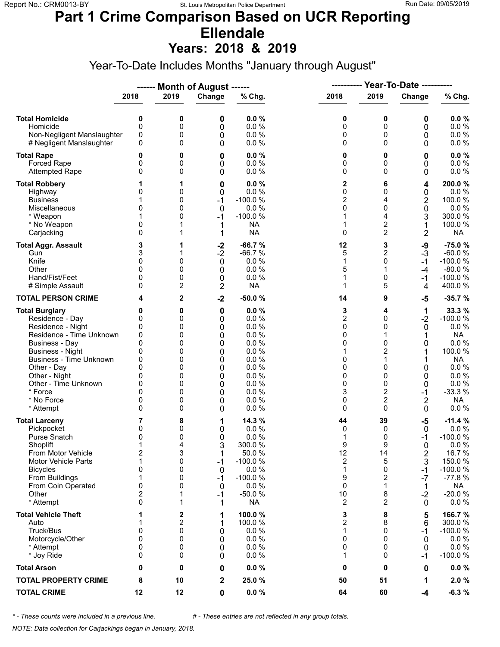# **Part 1 Crime Comparison Based on UCR Reporting Ellendale**

**Years: 2018 & 2019**

Year-To-Date Includes Months "January through August"

|                                                                                                                                                                                                                                                                               |                                                                                  |                                                               | ------ Month of August ------                                           |                                                                                                               |                                                                            | <b>Year-To-Date ----------</b><br>----------                                                                                              |                                                                                             |                                                                                                                                                |
|-------------------------------------------------------------------------------------------------------------------------------------------------------------------------------------------------------------------------------------------------------------------------------|----------------------------------------------------------------------------------|---------------------------------------------------------------|-------------------------------------------------------------------------|---------------------------------------------------------------------------------------------------------------|----------------------------------------------------------------------------|-------------------------------------------------------------------------------------------------------------------------------------------|---------------------------------------------------------------------------------------------|------------------------------------------------------------------------------------------------------------------------------------------------|
|                                                                                                                                                                                                                                                                               | 2018                                                                             | 2019                                                          | Change                                                                  | % Chg.                                                                                                        | 2018                                                                       | 2019                                                                                                                                      | Change                                                                                      | % Chg.                                                                                                                                         |
| <b>Total Homicide</b><br>Homicide<br>Non-Negligent Manslaughter<br># Negligent Manslaughter                                                                                                                                                                                   | 0<br>$\mathbf 0$<br>0<br>0                                                       | 0<br>0<br>0<br>0                                              | 0<br>0<br>0<br>0                                                        | 0.0%<br>0.0%<br>0.0%<br>0.0%                                                                                  | 0<br>0<br>0<br>0                                                           | 0<br>0<br>0<br>$\Omega$                                                                                                                   | 0<br>0<br>0<br>0                                                                            | 0.0%<br>0.0 %<br>0.0 %<br>$0.0 \%$                                                                                                             |
| <b>Total Rape</b><br>Forced Rape<br><b>Attempted Rape</b>                                                                                                                                                                                                                     | 0<br>0<br>0                                                                      | 0<br>0<br>0                                                   | 0<br>0<br>0                                                             | 0.0%<br>0.0%<br>0.0%                                                                                          | 0<br>0<br>0                                                                | 0<br>0<br>$\Omega$                                                                                                                        | 0<br>0<br>0                                                                                 | 0.0%<br>0.0 %<br>0.0 %                                                                                                                         |
| <b>Total Robbery</b><br>Highway<br><b>Business</b><br>Miscellaneous<br>* Weapon<br>* No Weapon<br>Carjacking                                                                                                                                                                  | 0<br>1<br>0<br>0<br>$\mathbf{0}$                                                 | 1<br>0<br>0<br>0<br>0<br>1<br>1                               | 0<br>0<br>$-1$<br>$\mathbf 0$<br>$-1$<br>1<br>1                         | 0.0%<br>0.0%<br>$-100.0%$<br>0.0%<br>$-100.0%$<br><b>NA</b><br><b>NA</b>                                      | 2<br>0<br>$\overline{c}$<br>0<br>1<br>1<br>0                               | 6<br>0<br>4<br>0<br>4<br>$\overline{c}$<br>$\overline{2}$                                                                                 | 4<br>0<br>2<br>0<br>3<br>1<br>$\overline{2}$                                                | 200.0%<br>$0.0 \%$<br>100.0%<br>0.0%<br>300.0 %<br>100.0%<br><b>NA</b>                                                                         |
| <b>Total Aggr. Assault</b><br>Gun<br>Knife<br>Other<br>Hand/Fist/Feet<br># Simple Assault                                                                                                                                                                                     | 3<br>3<br>0<br>$\Omega$<br>0<br>0                                                | 1<br>1<br>0<br>0<br>0<br>2                                    | $-2$<br>$-2$<br>$\mathbf 0$<br>0<br>0<br>2                              | $-66.7%$<br>$-66.7%$<br>0.0%<br>0.0%<br>0.0%<br><b>NA</b>                                                     | 12<br>5<br>1<br>5<br>1<br>1                                                | 3<br>2<br>0<br>1<br>0<br>5                                                                                                                | -9<br>$-3$<br>$-1$<br>-4<br>-1<br>4                                                         | $-75.0%$<br>$-60.0%$<br>$-100.0%$<br>$-80.0%$<br>$-100.0%$<br>400.0%                                                                           |
| <b>TOTAL PERSON CRIME</b>                                                                                                                                                                                                                                                     | 4                                                                                | 2                                                             | $-2$                                                                    | $-50.0%$                                                                                                      | 14                                                                         | 9                                                                                                                                         | -5                                                                                          | $-35.7%$                                                                                                                                       |
| <b>Total Burglary</b><br>Residence - Day<br>Residence - Night<br>Residence - Time Unknown<br><b>Business - Day</b><br><b>Business - Night</b><br><b>Business - Time Unknown</b><br>Other - Day<br>Other - Night<br>Other - Time Unknown<br>* Force<br>* No Force<br>* Attempt | 0<br>0<br>0<br>0<br>$\mathbf{0}$<br>0<br>0<br>$\Omega$<br>0<br>0<br>0<br>0<br>0  | 0<br>0<br>0<br>0<br>0<br>0<br>0<br>0<br>0<br>0<br>0<br>0<br>0 | $\mathbf 0$<br>0<br>0<br>0<br>0<br>0<br>0<br>0<br>0<br>0<br>0<br>0<br>0 | 0.0%<br>0.0%<br>0.0%<br>0.0%<br>0.0%<br>0.0%<br>0.0%<br>0.0%<br>0.0%<br>0.0%<br>0.0%<br>0.0%<br>0.0%          | 3<br>$\overline{c}$<br>0<br>0<br>0<br>1<br>0<br>0<br>0<br>0<br>3<br>0<br>0 | 4<br>$\Omega$<br>0<br>1<br>$\Omega$<br>$\overline{\mathbf{c}}$<br>1<br>$\Omega$<br>0<br>0<br>$\overline{2}$<br>$\overline{2}$<br>$\Omega$ | 1<br>$-2$<br>0<br>1<br>0<br>1<br>0<br>0<br>0<br>$-1$<br>$\overline{2}$<br>0                 | 33.3 %<br>$-100.0%$<br>0.0%<br><b>NA</b><br>$0.0 \%$<br>100.0 %<br><b>NA</b><br>0.0 %<br>0.0%<br>$0.0 \%$<br>$-33.3%$<br><b>NA</b><br>$0.0 \%$ |
| <b>Total Larceny</b><br>Pickpocket<br>Purse Snatch<br>Shoplift<br>From Motor Vehicle<br><b>Motor Vehicle Parts</b><br><b>Bicycles</b><br>From Buildings<br>From Coin Operated<br>Other<br>* Attempt                                                                           | 7<br>0<br>0<br>1<br>$\overline{\mathbf{c}}$<br>1<br>0<br>1<br>0<br>2<br>$\Omega$ | 8<br>0<br>0<br>4<br>3<br>0<br>0<br>0<br>0<br>1<br>1           | 1<br>0<br>0<br>3<br>1<br>-1<br>0<br>$-1$<br>0<br>$-1$<br>1              | 14.3 %<br>0.0%<br>0.0%<br>300.0%<br>50.0%<br>$-100.0%$<br>0.0 %<br>$-100.0%$<br>0.0%<br>$-50.0%$<br><b>NA</b> | 44<br>0<br>1<br>9<br>12<br>2<br>1<br>9<br>0<br>10<br>2                     | 39<br>0<br>0<br>9<br>14<br>5<br>0<br>$\overline{\mathbf{c}}$<br>1<br>8<br>2                                                               | $-5$<br>$\mathbf 0$<br>-1<br>$\Omega$<br>2<br>3<br>$-1$<br>$-7$<br>1<br>$-2$<br>$\mathbf 0$ | $-11.4%$<br>0.0%<br>$-100.0%$<br>0.0%<br>16.7%<br>150.0 %<br>$-100.0%$<br>$-77.8%$<br><b>NA</b><br>$-20.0%$<br>$0.0 \%$                        |
| <b>Total Vehicle Theft</b><br>Auto<br>Truck/Bus<br>Motorcycle/Other<br>* Attempt<br>* Joy Ride                                                                                                                                                                                | 1<br>0<br>0<br>0<br>0                                                            | 2<br>2<br>0<br>0<br>0<br>0                                    | 1<br>1<br>0<br>0<br>0<br>0                                              | 100.0%<br>100.0%<br>0.0%<br>0.0%<br>0.0%<br>0.0%                                                              | 3<br>$\overline{c}$<br>1<br>0<br>0<br>1                                    | 8<br>8<br>0<br>$\Omega$<br>0<br>0                                                                                                         | 5<br>6<br>-1<br>0<br>0<br>-1                                                                | 166.7%<br>300.0 %<br>$-100.0%$<br>$0.0 \%$<br>0.0%<br>$-100.0%$                                                                                |
| <b>Total Arson</b>                                                                                                                                                                                                                                                            | 0                                                                                | 0                                                             | 0                                                                       | 0.0%                                                                                                          | 0                                                                          | 0                                                                                                                                         | 0                                                                                           | $0.0 \%$                                                                                                                                       |
| <b>TOTAL PROPERTY CRIME</b>                                                                                                                                                                                                                                                   | 8                                                                                | 10                                                            | $\mathbf 2$                                                             | 25.0 %                                                                                                        | 50                                                                         | 51                                                                                                                                        | 1                                                                                           | 2.0%                                                                                                                                           |
| <b>TOTAL CRIME</b>                                                                                                                                                                                                                                                            | 12                                                                               | 12                                                            | $\mathbf 0$                                                             | $0.0 \%$                                                                                                      | 64                                                                         | 60                                                                                                                                        | $-4$                                                                                        | $-6.3%$                                                                                                                                        |

*\* - These counts were included in a previous line. # - These entries are not reflected in any group totals.*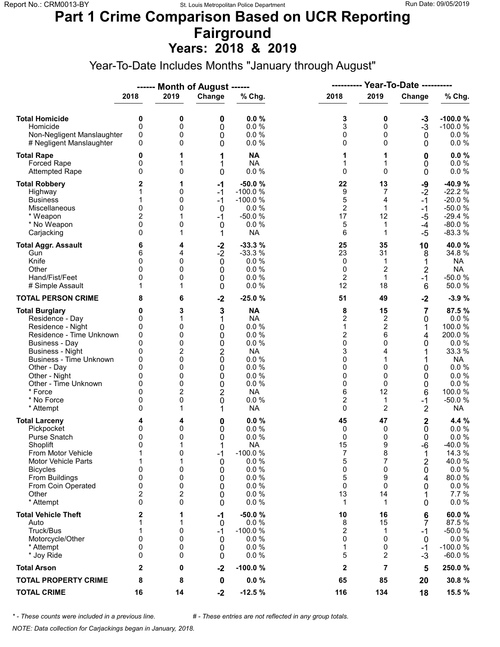#### **Part 1 Crime Comparison Based on UCR Reporting Fairground Years: 2018 & 2019**

Year-To-Date Includes Months "January through August"

|                                                                                                                                                                                                            |                                                                      |                                                     | ------ Month of August ------                          |                                                                                                 | ----------                                                     |                                                                    | <b>Year-To-Date ----------</b>                      |                                                                                                              |
|------------------------------------------------------------------------------------------------------------------------------------------------------------------------------------------------------------|----------------------------------------------------------------------|-----------------------------------------------------|--------------------------------------------------------|-------------------------------------------------------------------------------------------------|----------------------------------------------------------------|--------------------------------------------------------------------|-----------------------------------------------------|--------------------------------------------------------------------------------------------------------------|
|                                                                                                                                                                                                            | 2018                                                                 | 2019                                                | Change                                                 | % Chg.                                                                                          | 2018                                                           | 2019                                                               | Change                                              | % Chg.                                                                                                       |
| <b>Total Homicide</b><br>Homicide<br>Non-Negligent Manslaughter<br># Negligent Manslaughter                                                                                                                | 0<br>0<br>0<br>0                                                     | 0<br>0<br>0<br>0                                    | 0<br>0<br>0<br>0                                       | 0.0%<br>0.0%<br>0.0 %<br>0.0 %                                                                  | 3<br>3<br>0<br>0                                               | 0<br>0<br>0<br>0                                                   | $-3$<br>$-3$<br>0<br>0                              | $-100.0%$<br>$-100.0%$<br>$0.0 \%$<br>$0.0 \%$                                                               |
| <b>Total Rape</b><br>Forced Rape<br><b>Attempted Rape</b>                                                                                                                                                  | 0<br>0<br>0                                                          | 1<br>1<br>0                                         | 1<br>1<br>0                                            | <b>NA</b><br><b>NA</b><br>0.0%                                                                  | 1<br>1<br>0                                                    | 1<br>1<br>$\mathbf 0$                                              | 0<br>0<br>0                                         | 0.0%<br>0.0 %<br>0.0 %                                                                                       |
| <b>Total Robbery</b><br>Highway<br><b>Business</b><br>Miscellaneous<br>* Weapon<br>* No Weapon<br>Carjacking                                                                                               | 2<br>1<br>0<br>$\overline{2}$<br>0<br>0                              | 1<br>0<br>0<br>0<br>1<br>0<br>1                     | $-1$<br>$-1$<br>$-1$<br>0<br>$-1$<br>$\mathbf 0$<br>1  | $-50.0%$<br>$-100.0%$<br>$-100.0%$<br>0.0%<br>$-50.0%$<br>0.0%<br><b>NA</b>                     | 22<br>9<br>5<br>$\overline{2}$<br>17<br>5<br>6                 | 13<br>7<br>4<br>$\mathbf{1}$<br>12<br>$\mathbf{1}$<br>1            | -9<br>$-2$<br>$-1$<br>$-1$<br>$-5$<br>$-4$<br>$-5$  | $-40.9%$<br>$-22.2%$<br>$-20.0%$<br>$-50.0%$<br>$-29.4%$<br>$-80.0%$<br>$-83.3%$                             |
| <b>Total Aggr. Assault</b><br>Gun<br>Knife<br>Other<br>Hand/Fist/Feet<br># Simple Assault<br><b>TOTAL PERSON CRIME</b>                                                                                     | 6<br>6<br>0<br>$\Omega$<br>0<br>8                                    | 4<br>4<br>0<br>0<br>0<br>1<br>6                     | $-2$<br>$-2$<br>$\mathbf 0$<br>0<br>0<br>0<br>$-2$     | $-33.3%$<br>$-33.3%$<br>0.0%<br>0.0%<br>0.0%<br>0.0%<br>$-25.0%$                                | 25<br>23<br>0<br>0<br>$\overline{2}$<br>12<br>51               | 35<br>31<br>1<br>$\overline{2}$<br>$\mathbf{1}$<br>18<br>49        | 10<br>8<br>1<br>$\overline{2}$<br>$-1$<br>6<br>$-2$ | 40.0%<br>34.8%<br><b>NA</b><br><b>NA</b><br>$-50.0%$<br>50.0%<br>$-3.9%$                                     |
| <b>Total Burglary</b><br>Residence - Day<br>Residence - Night<br>Residence - Time Unknown<br><b>Business - Day</b><br><b>Business - Night</b>                                                              | 0<br>0<br>0<br>0<br>$\mathbf{0}$<br>0                                | 3<br>1<br>0<br>0<br>0<br>$\overline{\mathbf{c}}$    | 3<br>1<br>0<br>0<br>0<br>$\overline{\mathbf{c}}$       | <b>NA</b><br><b>NA</b><br>0.0 %<br>0.0%<br>0.0 %<br><b>NA</b>                                   | 8<br>$\overline{2}$<br>$\mathbf 1$<br>$\overline{2}$<br>0<br>3 | 15<br>2<br>$\overline{c}$<br>6<br>0<br>4                           | 7<br>0<br>1<br>4<br>0<br>1                          | 87.5%<br>$0.0 \%$<br>100.0 %<br>200.0%<br>0.0%<br>33.3 %                                                     |
| Business - Time Unknown<br>Other - Day<br>Other - Night<br>Other - Time Unknown<br>* Force<br>* No Force<br>* Attempt                                                                                      | 0<br>$\Omega$<br>0<br>0<br>$\Omega$<br>0<br>0                        | 0<br>0<br>0<br>0<br>2<br>0<br>1                     | 0<br>0<br>0<br>0<br>$\overline{c}$<br>0<br>1           | 0.0%<br>0.0%<br>0.0 %<br>0.0%<br><b>NA</b><br>0.0 %<br><b>NA</b>                                | 0<br>0<br>0<br>0<br>6<br>$\overline{c}$<br>0                   | 1<br>$\mathbf 0$<br>0<br>0<br>12<br>$\mathbf{1}$<br>$\overline{2}$ | 0<br>0<br>0<br>6<br>$-1$<br>2                       | <b>NA</b><br>0.0%<br>0.0%<br>0.0 %<br>100.0%<br>$-50.0%$<br><b>NA</b>                                        |
| <b>Total Larceny</b><br>Pickpocket<br><b>Purse Snatch</b><br>Shoplift<br>From Motor Vehicle<br><b>Motor Vehicle Parts</b><br><b>Bicycles</b><br>From Buildings<br>From Coin Operated<br>Other<br>* Attempt | 4<br>0<br>0<br>$\Omega$<br>1<br>1<br>0<br>$\mathbf 0$<br>0<br>2<br>0 | 4<br>0<br>0<br>1<br>0<br>1<br>0<br>0<br>0<br>2<br>0 | 0<br>0<br>0<br>1<br>$-1$<br>0<br>0<br>0<br>0<br>0<br>0 | 0.0%<br>0.0 %<br>0.0%<br><b>NA</b><br>$-100.0%$<br>0.0%<br>0.0%<br>0.0%<br>0.0%<br>0.0%<br>0.0% | 45<br>0<br>0<br>15<br>7<br>5<br>0<br>5<br>0<br>13<br>1         | 47<br>0<br>0<br>9<br>8<br>$\overline{7}$<br>0<br>9<br>0<br>14<br>1 | 2<br>0<br>0<br>$-6$<br>1<br>2<br>0<br>4<br>0<br>0   | 4.4 %<br>$0.0 \%$<br>0.0%<br>-40.0%<br>14.3 %<br>40.0%<br>$0.0 \%$<br>80.0%<br>$0.0 \%$<br>7.7 %<br>$0.0 \%$ |
| <b>Total Vehicle Theft</b><br>Auto<br>Truck/Bus<br>Motorcycle/Other<br>* Attempt<br>* Joy Ride                                                                                                             | 2<br>1<br>1<br>0<br>0<br>0                                           | 1<br>1<br>0<br>0<br>0<br>0                          | -1<br>0<br>-1<br>0<br>0<br>0                           | $-50.0%$<br>0.0%<br>$-100.0%$<br>0.0%<br>0.0%<br>0.0%                                           | 10<br>8<br>2<br>0<br>1<br>5                                    | 16<br>15<br>1<br>$\mathbf 0$<br>0<br>2                             | 6<br>7<br>$-1$<br>0<br>$-1$<br>$-3$                 | 60.0%<br>87.5 %<br>$-50.0%$<br>$0.0 \%$<br>$-100.0%$<br>$-60.0%$                                             |
| <b>Total Arson</b>                                                                                                                                                                                         | 2                                                                    | 0                                                   | $-2$                                                   | $-100.0%$                                                                                       | 2                                                              | 7                                                                  | 5                                                   | 250.0%                                                                                                       |
| <b>TOTAL PROPERTY CRIME</b>                                                                                                                                                                                | 8                                                                    | 8                                                   | 0                                                      | $0.0 \%$                                                                                        | 65                                                             | 85                                                                 | 20                                                  | 30.8%                                                                                                        |
| <b>TOTAL CRIME</b>                                                                                                                                                                                         | 16                                                                   | 14                                                  | $-2$                                                   | $-12.5%$                                                                                        | 116                                                            | 134                                                                | 18                                                  | 15.5 %                                                                                                       |

*\* - These counts were included in a previous line. # - These entries are not reflected in any group totals.*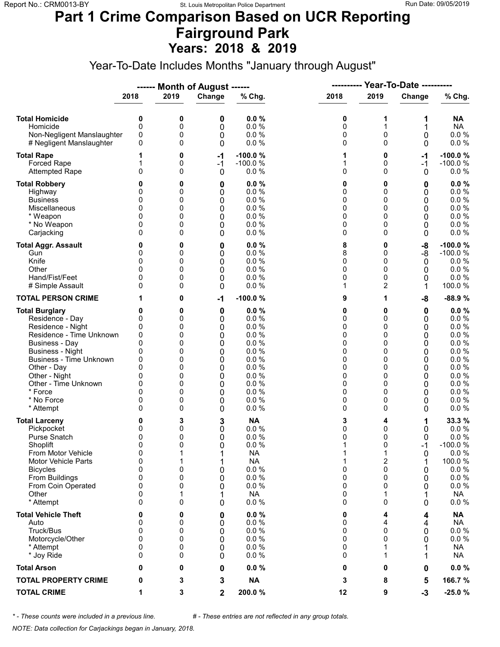### **Part 1 Crime Comparison Based on UCR Reporting Fairground Park Years: 2018 & 2019**

Year-To-Date Includes Months "January through August"

|                                                                                                                                                                                                                                                                               |                                                                      |                                                               | ------ Month of August ------                                           |                                                                                                               |                                                               |                                                                         |                                                               |                                                                                                                      |
|-------------------------------------------------------------------------------------------------------------------------------------------------------------------------------------------------------------------------------------------------------------------------------|----------------------------------------------------------------------|---------------------------------------------------------------|-------------------------------------------------------------------------|---------------------------------------------------------------------------------------------------------------|---------------------------------------------------------------|-------------------------------------------------------------------------|---------------------------------------------------------------|----------------------------------------------------------------------------------------------------------------------|
|                                                                                                                                                                                                                                                                               | 2018                                                                 | 2019                                                          | Change                                                                  | % Chg.                                                                                                        | 2018                                                          | 2019                                                                    | Change                                                        | % Chg.                                                                                                               |
| <b>Total Homicide</b><br>Homicide<br>Non-Negligent Manslaughter<br># Negligent Manslaughter                                                                                                                                                                                   | 0<br>0<br>0<br>0                                                     | 0<br>0<br>0<br>0                                              | 0<br>0<br>0<br>0                                                        | 0.0%<br>0.0%<br>0.0%<br>0.0%                                                                                  | 0<br>0<br>0<br>0                                              | 1<br>1<br>0<br>0                                                        | 1<br>1<br>0<br>0                                              | <b>NA</b><br><b>NA</b><br>$0.0 \%$<br>0.0 %                                                                          |
| <b>Total Rape</b><br><b>Forced Rape</b><br><b>Attempted Rape</b>                                                                                                                                                                                                              | 1<br>0                                                               | 0<br>0<br>0                                                   | $-1$<br>$-1$<br>$\mathbf{0}$                                            | $-100.0%$<br>$-100.0%$<br>0.0%                                                                                | 1<br>1<br>0                                                   | 0<br>0<br>$\Omega$                                                      | $-1$<br>$-1$<br>0                                             | $-100.0%$<br>$-100.0%$<br>$0.0 \%$                                                                                   |
| <b>Total Robbery</b><br>Highway<br><b>Business</b><br>Miscellaneous<br>* Weapon<br>* No Weapon<br>Carjacking                                                                                                                                                                  | 0<br>0<br>0<br>0<br>0<br>0<br>0                                      | 0<br>0<br>0<br>0<br>0<br>0<br>0                               | 0<br>0<br>0<br>0<br>0<br>0<br>0                                         | 0.0%<br>0.0%<br>0.0%<br>0.0%<br>0.0%<br>0.0%<br>0.0 %                                                         | 0<br>0<br>0<br>0<br>0<br>0<br>0                               | 0<br>0<br>0<br>0<br>0<br>$\Omega$<br>0                                  | 0<br>0<br>0<br>0<br>0<br>0<br>0                               | 0.0%<br>0.0 %<br>0.0%<br>$0.0 \%$<br>0.0 %<br>$0.0 \%$<br>0.0%                                                       |
| <b>Total Aggr. Assault</b><br>Gun<br>Knife<br>Other<br>Hand/Fist/Feet<br># Simple Assault                                                                                                                                                                                     | 0<br>0<br>$\Omega$<br>0<br>0<br>0                                    | 0<br>0<br>0<br>0<br>0<br>0                                    | 0<br>0<br>$\mathbf 0$<br>0<br>0<br>0                                    | 0.0%<br>0.0 %<br>0.0%<br>0.0%<br>0.0%<br>0.0%                                                                 | 8<br>8<br>0<br>0<br>0<br>1                                    | 0<br>0<br>0<br>0<br>0<br>$\overline{c}$                                 | -8<br>-8<br>0<br>0<br>0<br>1                                  | $-100.0%$<br>$-100.0%$<br>0.0%<br>0.0%<br>0.0%<br>100.0%                                                             |
| <b>TOTAL PERSON CRIME</b>                                                                                                                                                                                                                                                     |                                                                      | 0                                                             | $-1$                                                                    | $-100.0%$                                                                                                     | 9                                                             | 1                                                                       | -8                                                            | -88.9%                                                                                                               |
| <b>Total Burglary</b><br>Residence - Day<br>Residence - Night<br>Residence - Time Unknown<br><b>Business - Day</b><br><b>Business - Night</b><br><b>Business - Time Unknown</b><br>Other - Day<br>Other - Night<br>Other - Time Unknown<br>* Force<br>* No Force<br>* Attempt | 0<br>0<br>0<br>0<br>0<br>0<br>0<br>0<br>0<br>0<br>0<br>0<br>$\Omega$ | 0<br>0<br>0<br>0<br>0<br>0<br>0<br>0<br>0<br>0<br>0<br>0<br>0 | 0<br>0<br>0<br>0<br>0<br>0<br>$\mathbf 0$<br>0<br>0<br>0<br>0<br>0<br>0 | 0.0%<br>0.0%<br>0.0%<br>0.0%<br>0.0%<br>0.0%<br>0.0%<br>0.0%<br>0.0%<br>0.0%<br>0.0%<br>0.0%<br>0.0%          | 0<br>0<br>0<br>0<br>0<br>0<br>0<br>0<br>0<br>0<br>0<br>0<br>0 | 0<br>0<br>0<br>0<br>0<br>0<br>0<br>0<br>0<br>0<br>0<br>0<br>0           | 0<br>0<br>0<br>0<br>0<br>0<br>0<br>0<br>0<br>0<br>0<br>0<br>0 | 0.0%<br>$0.0 \%$<br>0.0%<br>$0.0 \%$<br>0.0%<br>0.0%<br>$0.0 \%$<br>0.0%<br>0.0%<br>$0.0 \%$<br>0.0%<br>0.0%<br>0.0% |
| <b>Total Larceny</b><br>Pickpocket<br><b>Purse Snatch</b><br>Shoplift<br>From Motor Vehicle<br><b>Motor Vehicle Parts</b><br><b>Bicycles</b><br>From Buildings<br>From Coin Operated<br>Other<br>* Attempt                                                                    | 0<br>0<br>0<br>$\Omega$<br>0<br>0<br>0<br>0<br>0<br>0<br>0           | 3<br>0<br>0<br>0<br>1<br>1<br>0<br>0<br>0<br>0                | 3<br>0<br>0<br>0<br>1<br>1<br>0<br>0<br>0<br>0                          | <b>NA</b><br>0.0 %<br>0.0%<br>0.0 %<br><b>NA</b><br><b>NA</b><br>0.0 %<br>0.0%<br>0.0 %<br><b>NA</b><br>0.0 % | 3<br>0<br>0<br>1<br>1<br>1<br>0<br>0<br>0<br>0<br>0           | 4<br>0<br>0<br>$\Omega$<br>1<br>$\overline{c}$<br>0<br>0<br>0<br>1<br>0 | 1<br>0<br>0<br>$-1$<br>0<br>1<br>0<br>0<br>0<br>0             | 33.3 %<br>0.0%<br>0.0 %<br>$-100.0%$<br>0.0 %<br>100.0%<br>0.0 %<br>0.0 %<br>$0.0 \%$<br>NA<br>$0.0 \%$              |
| <b>Total Vehicle Theft</b><br>Auto<br>Truck/Bus<br>Motorcycle/Other<br>* Attempt<br>* Joy Ride                                                                                                                                                                                | 0<br>0<br>0<br>0<br>0<br>0                                           | 0<br>0<br>0<br>0<br>0<br>0                                    | 0<br>0<br>0<br>0<br>0<br>0                                              | 0.0%<br>$0.0 \%$<br>0.0 %<br>0.0 %<br>0.0%<br>0.0%                                                            | 0<br>0<br>0<br>0<br>0<br>0                                    | 4<br>4<br>0<br>$\Omega$<br>1<br>1                                       | 4<br>4<br>0<br>0                                              | <b>NA</b><br><b>NA</b><br>$0.0 \%$<br>0.0 %<br><b>NA</b><br>NA                                                       |
| <b>Total Arson</b>                                                                                                                                                                                                                                                            | 0                                                                    | 0                                                             | 0                                                                       | 0.0%                                                                                                          | 0                                                             | 0                                                                       | 0                                                             | $0.0 \%$                                                                                                             |
| <b>TOTAL PROPERTY CRIME</b>                                                                                                                                                                                                                                                   | 0                                                                    | 3                                                             | 3                                                                       | <b>NA</b>                                                                                                     | 3                                                             | 8                                                                       | 5                                                             | 166.7%                                                                                                               |
| <b>TOTAL CRIME</b>                                                                                                                                                                                                                                                            | 1                                                                    | 3                                                             | $\mathbf{2}$                                                            | 200.0%                                                                                                        | 12                                                            | 9                                                                       | $-3$                                                          | $-25.0%$                                                                                                             |

*\* - These counts were included in a previous line. # - These entries are not reflected in any group totals.*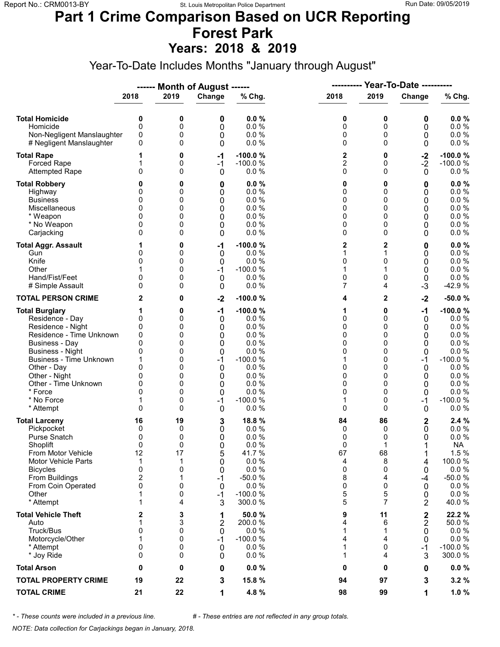## **Part 1 Crime Comparison Based on UCR Reporting Forest Park**

**Years: 2018 & 2019**

Year-To-Date Includes Months "January through August"

|                                                                                                                                                                                                                                                                               |                                                                                 |                                                               | ------ Month of August ------                                          |                                                                                                                      | ----------                                                    |                                                                             | <b>Year-To-Date ----------</b>                                       |                                                                                                                                     |
|-------------------------------------------------------------------------------------------------------------------------------------------------------------------------------------------------------------------------------------------------------------------------------|---------------------------------------------------------------------------------|---------------------------------------------------------------|------------------------------------------------------------------------|----------------------------------------------------------------------------------------------------------------------|---------------------------------------------------------------|-----------------------------------------------------------------------------|----------------------------------------------------------------------|-------------------------------------------------------------------------------------------------------------------------------------|
|                                                                                                                                                                                                                                                                               | 2018                                                                            | 2019                                                          | Change                                                                 | % Chg.                                                                                                               | 2018                                                          | 2019                                                                        | Change                                                               | % Chg.                                                                                                                              |
| <b>Total Homicide</b><br>Homicide<br>Non-Negligent Manslaughter<br># Negligent Manslaughter                                                                                                                                                                                   | 0<br>$\mathbf 0$<br>0<br>0                                                      | 0<br>0<br>0<br>0                                              | 0<br>0<br>0<br>0                                                       | 0.0%<br>0.0 %<br>0.0%<br>0.0%                                                                                        | 0<br>0<br>0<br>0                                              | 0<br>0<br>0<br>$\Omega$                                                     | 0<br>0<br>0<br>0                                                     | 0.0%<br>0.0 %<br>0.0 %<br>0.0 %                                                                                                     |
| <b>Total Rape</b><br>Forced Rape<br><b>Attempted Rape</b>                                                                                                                                                                                                                     | 1<br>0                                                                          | 0<br>0<br>0                                                   | $-1$<br>$-1$<br>0                                                      | $-100.0%$<br>$-100.0%$<br>0.0%                                                                                       | 2<br>$\overline{2}$<br>0                                      | 0<br>0<br>$\Omega$                                                          | $-2$<br>$-2$<br>$\mathbf{0}$                                         | $-100.0%$<br>$-100.0%$<br>$0.0 \%$                                                                                                  |
| <b>Total Robbery</b><br>Highway<br><b>Business</b><br>Miscellaneous<br>* Weapon<br>* No Weapon<br>Carjacking                                                                                                                                                                  | 0<br>0<br>0<br>0<br>0<br>0                                                      | 0<br>0<br>0<br>0<br>0<br>0<br>0                               | 0<br>0<br>0<br>0<br>0<br>0<br>0                                        | 0.0%<br>0.0%<br>0.0%<br>0.0%<br>0.0%<br>0.0%<br>0.0%                                                                 | 0<br>0<br>0<br>0<br>0<br>0<br>0                               | 0<br>0<br>0<br>0<br>0<br>0<br>0                                             | 0<br>0<br>0<br>0<br>0<br>0<br>0                                      | 0.0%<br>0.0%<br>0.0%<br>0.0 %<br>$0.0 \%$<br>$0.0 \%$<br>$0.0 \%$                                                                   |
| <b>Total Aggr. Assault</b><br>Gun<br>Knife<br>Other<br>Hand/Fist/Feet<br># Simple Assault                                                                                                                                                                                     | 1<br>0<br>0<br>0<br>$\Omega$                                                    | 0<br>0<br>0<br>0<br>0<br>0                                    | -1<br>0<br>0<br>$-1$<br>$\mathbf 0$<br>0                               | $-100.0%$<br>0.0 %<br>0.0%<br>$-100.0%$<br>0.0%<br>0.0%                                                              | 2<br>1<br>0<br>1<br>0<br>7                                    | 2<br>1<br>0<br>1<br>0<br>4                                                  | 0<br>0<br>0<br>0<br>$\mathbf 0$<br>$-3$                              | 0.0%<br>0.0 %<br>0.0 %<br>$0.0 \%$<br>$0.0 \%$<br>$-42.9%$                                                                          |
| <b>TOTAL PERSON CRIME</b>                                                                                                                                                                                                                                                     | 2                                                                               | 0                                                             | $-2$                                                                   | $-100.0%$                                                                                                            | 4                                                             | $\mathbf{2}$                                                                | $-2$                                                                 | $-50.0%$                                                                                                                            |
| <b>Total Burglary</b><br>Residence - Day<br>Residence - Night<br>Residence - Time Unknown<br><b>Business - Day</b><br><b>Business - Night</b><br><b>Business - Time Unknown</b><br>Other - Day<br>Other - Night<br>Other - Time Unknown<br>* Force<br>* No Force<br>* Attempt | 1<br>0<br>0<br>0<br>$\mathbf{0}$<br>0<br>1<br>0<br>0<br>0<br>0<br>1<br>$\Omega$ | 0<br>0<br>0<br>0<br>0<br>0<br>0<br>0<br>0<br>0<br>0<br>0<br>0 | $-1$<br>0<br>0<br>0<br>0<br>0<br>$-1$<br>0<br>0<br>0<br>0<br>$-1$<br>0 | $-100.0%$<br>0.0 %<br>0.0%<br>0.0%<br>0.0%<br>0.0%<br>$-100.0%$<br>0.0%<br>0.0%<br>0.0%<br>0.0%<br>$-100.0%$<br>0.0% | 1<br>0<br>0<br>0<br>0<br>0<br>1<br>0<br>0<br>0<br>0<br>1<br>0 | 0<br>0<br>0<br>0<br>$\Omega$<br>0<br>0<br>0<br>0<br>0<br>$\Omega$<br>0<br>0 | $-1$<br>0<br>0<br>0<br>0<br>0<br>$-1$<br>0<br>0<br>0<br>0<br>-1<br>0 | $-100.0%$<br>$0.0 \%$<br>0.0%<br>$0.0 \%$<br>0.0%<br>0.0%<br>$-100.0%$<br>0.0%<br>0.0%<br>$0.0 \%$<br>0.0%<br>$-100.0%$<br>$0.0 \%$ |
| <b>Total Larceny</b><br>Pickpocket<br>Purse Snatch<br>Shoplift<br>From Motor Vehicle<br>Motor Vehicle Parts<br><b>Bicycles</b><br>From Buildings<br>From Coin Operated<br>Other<br>* Attempt                                                                                  | 16<br>0<br>0<br>0<br>12<br>$\mathbf 1$<br>0<br>$\overline{c}$<br>0<br>1<br>1    | 19<br>0<br>0<br>0<br>17<br>1<br>0<br>1<br>0<br>0<br>4         | 3<br>0<br>0<br>0<br>5<br>0<br>0<br>$-1$<br>0<br>$-1$<br>3              | 18.8 %<br>0.0%<br>0.0%<br>0.0%<br>41.7%<br>0.0 %<br>0.0%<br>$-50.0%$<br>0.0%<br>$-100.0%$<br>300.0 %                 | 84<br>0<br>0<br>0<br>67<br>4<br>0<br>8<br>0<br>5<br>5         | 86<br>0<br>0<br>1<br>68<br>8<br>0<br>4<br>0<br>5<br>7                       | 2<br>0<br>0<br>1<br>4<br>0<br>-4<br>0<br>0<br>2                      | 2.4%<br>$0.0 \%$<br>0.0 %<br><b>NA</b><br>1.5 %<br>100.0%<br>0.0%<br>$-50.0%$<br>0.0%<br>0.0 %<br>40.0%                             |
| <b>Total Vehicle Theft</b><br>Auto<br>Truck/Bus<br>Motorcycle/Other<br>* Attempt<br>* Joy Ride                                                                                                                                                                                | 2<br>1<br>0<br>1<br>0<br>0                                                      | 3<br>3<br>0<br>0<br>0<br>0                                    | 1<br>$\overline{2}$<br>0<br>$-1$<br>0<br>0                             | 50.0 %<br>200.0%<br>0.0%<br>$-100.0%$<br>0.0%<br>0.0%                                                                | 9<br>4<br>1<br>4<br>1<br>1                                    | 11<br>6<br>1<br>4<br>0<br>4                                                 | $\mathbf 2$<br>2<br>0<br>0<br>-1<br>3                                | 22.2 %<br>50.0%<br>$0.0 \%$<br>0.0 %<br>$-100.0%$<br>300.0%                                                                         |
| <b>Total Arson</b>                                                                                                                                                                                                                                                            | 0                                                                               | 0                                                             | 0                                                                      | 0.0%                                                                                                                 | 0                                                             | 0                                                                           | 0                                                                    | $0.0 \%$                                                                                                                            |
| <b>TOTAL PROPERTY CRIME</b>                                                                                                                                                                                                                                                   | 19                                                                              | 22                                                            | 3                                                                      | 15.8 %                                                                                                               | 94                                                            | 97                                                                          | 3                                                                    | 3.2%                                                                                                                                |
| <b>TOTAL CRIME</b>                                                                                                                                                                                                                                                            | 21                                                                              | 22                                                            | 1                                                                      | 4.8 %                                                                                                                | 98                                                            | 99                                                                          | 1                                                                    | 1.0%                                                                                                                                |

*\* - These counts were included in a previous line. # - These entries are not reflected in any group totals.*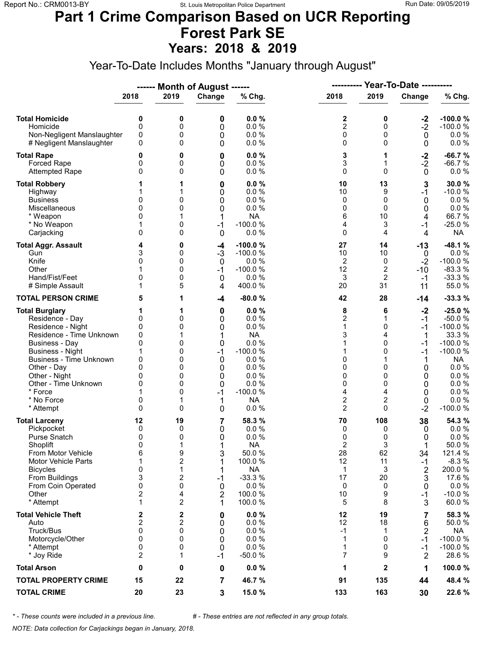#### **Part 1 Crime Comparison Based on UCR Reporting Forest Park SE Years: 2018 & 2019**

Year-To-Date Includes Months "January through August"

|                                                                                                                                                                                                                                                                               |                                                                        |                                                                   | ------ Month of August ------                                       |                                                                                                                          | ----------                                                                              |                                                                               | <b>Year-To-Date ----------</b>                                                |                                                                                                                                               |
|-------------------------------------------------------------------------------------------------------------------------------------------------------------------------------------------------------------------------------------------------------------------------------|------------------------------------------------------------------------|-------------------------------------------------------------------|---------------------------------------------------------------------|--------------------------------------------------------------------------------------------------------------------------|-----------------------------------------------------------------------------------------|-------------------------------------------------------------------------------|-------------------------------------------------------------------------------|-----------------------------------------------------------------------------------------------------------------------------------------------|
|                                                                                                                                                                                                                                                                               | 2018                                                                   | 2019                                                              | Change                                                              | % Chg.                                                                                                                   | 2018                                                                                    | 2019                                                                          | Change                                                                        | % Chg.                                                                                                                                        |
| <b>Total Homicide</b><br>Homicide<br>Non-Negligent Manslaughter<br># Negligent Manslaughter                                                                                                                                                                                   | 0<br>$\mathbf 0$<br>0<br>0                                             | 0<br>0<br>0<br>0                                                  | 0<br>0<br>0<br>0                                                    | 0.0%<br>0.0%<br>0.0%<br>0.0%                                                                                             | 2<br>$\overline{c}$<br>0<br>0                                                           | 0<br>0<br>0<br>$\Omega$                                                       | $-2$<br>$-2$<br>$\mathbf 0$<br>0                                              | $-100.0%$<br>$-100.0%$<br>$0.0 \%$<br>$0.0 \%$                                                                                                |
| <b>Total Rape</b><br>Forced Rape<br><b>Attempted Rape</b>                                                                                                                                                                                                                     | 0<br>0<br>$\Omega$                                                     | 0<br>0<br>0                                                       | 0<br>0<br>0                                                         | 0.0%<br>0.0%<br>0.0%                                                                                                     | 3<br>3<br>0                                                                             | 1<br>1<br>$\Omega$                                                            | $-2$<br>$-2$<br>$\mathbf 0$                                                   | $-66.7%$<br>$-66.7%$<br>$0.0 \%$                                                                                                              |
| <b>Total Robbery</b><br>Highway<br><b>Business</b><br>Miscellaneous<br>* Weapon<br>* No Weapon<br>Carjacking                                                                                                                                                                  | 0<br>$\Omega$<br>0<br>1<br>0                                           | 1<br>0<br>0<br>0<br>0                                             | 0<br>0<br>0<br>0<br>1<br>$-1$<br>0                                  | 0.0%<br>0.0%<br>0.0%<br>0.0%<br><b>NA</b><br>$-100.0%$<br>0.0%                                                           | 10<br>10<br>0<br>0<br>6<br>4<br>0                                                       | 13<br>9<br>0<br>$\Omega$<br>10<br>3<br>4                                      | 3<br>$-1$<br>0<br>0<br>4<br>$-1$<br>4                                         | 30.0%<br>$-10.0%$<br>0.0%<br>$0.0 \%$<br>66.7%<br>$-25.0%$<br><b>NA</b>                                                                       |
| <b>Total Aggr. Assault</b><br>Gun<br>Knife<br>Other<br>Hand/Fist/Feet<br># Simple Assault                                                                                                                                                                                     | 4<br>3<br>0<br>0<br>1                                                  | 0<br>0<br>0<br>0<br>0<br>5                                        | -4<br>$-3$<br>$\mathbf 0$<br>$-1$<br>$\mathbf 0$<br>4               | $-100.0%$<br>$-100.0%$<br>0.0%<br>$-100.0%$<br>0.0%<br>400.0%                                                            | 27<br>10<br>2<br>12<br>3<br>20                                                          | 14<br>10<br>0<br>$\overline{\mathbf{c}}$<br>$\overline{2}$<br>31              | $-13$<br>0<br>$-2$<br>$-10$<br>-1<br>11                                       | $-48.1%$<br>0.0%<br>$-100.0%$<br>$-83.3%$<br>$-33.3%$<br>55.0 %                                                                               |
| <b>TOTAL PERSON CRIME</b>                                                                                                                                                                                                                                                     | 5                                                                      | 1                                                                 | -4                                                                  | $-80.0%$                                                                                                                 | 42                                                                                      | 28                                                                            | $-14$                                                                         | $-33.3%$                                                                                                                                      |
| <b>Total Burglary</b><br>Residence - Day<br>Residence - Night<br>Residence - Time Unknown<br><b>Business - Day</b><br><b>Business - Night</b><br><b>Business - Time Unknown</b><br>Other - Day<br>Other - Night<br>Other - Time Unknown<br>* Force<br>* No Force<br>* Attempt | 1<br>0<br>0<br>0<br>0<br>1<br>0<br>$\Omega$<br>0<br>0<br>0<br>$\Omega$ | 1<br>0<br>0<br>1<br>0<br>0<br>0<br>0<br>0<br>0<br>0<br>1<br>0     | 0<br>0<br>0<br>1<br>0<br>$-1$<br>0<br>0<br>0<br>0<br>$-1$<br>1<br>0 | 0.0%<br>0.0%<br>0.0%<br><b>NA</b><br>0.0%<br>$-100.0%$<br>0.0%<br>0.0%<br>0.0%<br>0.0%<br>$-100.0%$<br><b>NA</b><br>0.0% | 8<br>$\overline{2}$<br>1<br>3<br>1<br>1<br>0<br>0<br>0<br>0<br>4<br>2<br>$\overline{c}$ | 6<br>1<br>0<br>4<br>$\Omega$<br>0<br>$\Omega$<br>0<br>0<br>4<br>2<br>$\Omega$ | $-2$<br>$-1$<br>$-1$<br>1<br>$-1$<br>-1<br>1<br>0<br>0<br>0<br>0<br>0<br>$-2$ | $-25.0%$<br>$-50.0%$<br>$-100.0%$<br>33.3 %<br>$-100.0%$<br>$-100.0%$<br><b>NA</b><br>0.0 %<br>0.0%<br>0.0 %<br>$0.0 \%$<br>0.0%<br>$-100.0%$ |
| <b>Total Larceny</b><br>Pickpocket<br>Purse Snatch<br>Shoplift<br>From Motor Vehicle<br><b>Motor Vehicle Parts</b><br><b>Bicycles</b><br>From Buildings<br>From Coin Operated<br>Other<br>* Attempt                                                                           | 12<br>0<br>0<br>0<br>6<br>1<br>0<br>3<br>0<br>2<br>1                   | 19<br>0<br>0<br>1<br>9<br>2<br>1<br>2<br>0<br>4<br>$\overline{2}$ | 7<br>0<br>0<br>1<br>3<br>1<br>1<br>$-1$<br>0<br>2<br>1              | 58.3 %<br>0.0%<br>0.0%<br><b>NA</b><br>50.0%<br>100.0 %<br><b>NA</b><br>$-33.3%$<br>0.0%<br>100.0%<br>100.0 %            | 70<br>0<br>0<br>$\overline{2}$<br>28<br>12<br>$\mathbf{1}$<br>17<br>0<br>10<br>5        | 108<br>0<br>0<br>3<br>62<br>11<br>3<br>20<br>0<br>9<br>8                      | 38<br>0<br>0<br>34<br>-1<br>2<br>3<br>0<br>-1<br>3                            | 54.3 %<br>$0.0 \%$<br>0.0%<br>50.0%<br>121.4 %<br>$-8.3%$<br>200.0%<br>17.6 %<br>0.0%<br>$-10.0%$<br>60.0%                                    |
| <b>Total Vehicle Theft</b><br>Auto<br>Truck/Bus<br>Motorcycle/Other<br>* Attempt<br>* Joy Ride                                                                                                                                                                                | 2<br>$\mathbf 2$<br>0<br>0<br>0<br>2                                   | 2<br>2<br>0<br>0<br>0<br>1                                        | 0<br>0<br>0<br>0<br>0<br>$-1$                                       | 0.0%<br>0.0%<br>0.0%<br>0.0%<br>0.0%<br>$-50.0%$                                                                         | 12<br>12<br>$-1$<br>1<br>1<br>7                                                         | 19<br>18<br>1<br>$\Omega$<br>0<br>9                                           | 7<br>6<br>2<br>$-1$<br>$-1$<br>$\overline{2}$                                 | 58.3 %<br>50.0%<br><b>NA</b><br>$-100.0%$<br>$-100.0%$<br>28.6%                                                                               |
| <b>Total Arson</b>                                                                                                                                                                                                                                                            | 0                                                                      | 0                                                                 | 0                                                                   | 0.0%                                                                                                                     | 1                                                                                       | $\mathbf{2}$                                                                  | 1                                                                             | 100.0%                                                                                                                                        |
| <b>TOTAL PROPERTY CRIME</b>                                                                                                                                                                                                                                                   | 15                                                                     | 22                                                                | 7                                                                   | 46.7%                                                                                                                    | 91                                                                                      | 135                                                                           | 44                                                                            | 48.4 %                                                                                                                                        |
| <b>TOTAL CRIME</b>                                                                                                                                                                                                                                                            | 20                                                                     | 23                                                                | 3                                                                   | 15.0 %                                                                                                                   | 133                                                                                     | 163                                                                           | 30                                                                            | 22.6 %                                                                                                                                        |

*\* - These counts were included in a previous line. # - These entries are not reflected in any group totals.*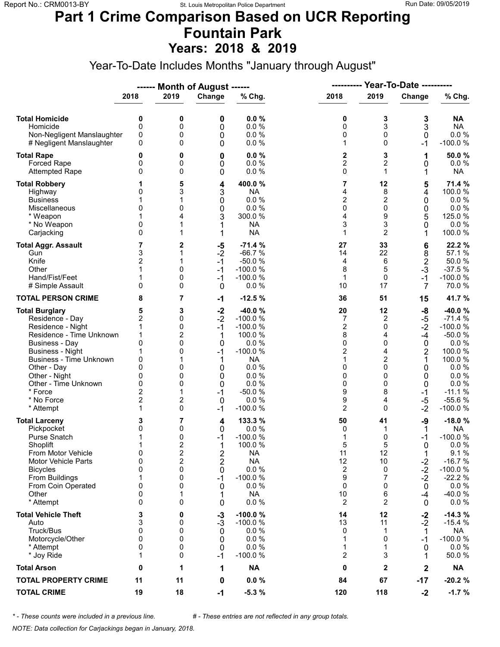#### **Part 1 Crime Comparison Based on UCR Reporting Fountain Park Years: 2018 & 2019**

Year-To-Date Includes Months "January through August"

|                                                                                                                                                                                                                                                                        |                                                                                         |                                                          | ------ Month of August ------                                                   |                                                                                                                                           |                                                                                          |                                                                                           |                                                                                            |                                                                                                                                            |
|------------------------------------------------------------------------------------------------------------------------------------------------------------------------------------------------------------------------------------------------------------------------|-----------------------------------------------------------------------------------------|----------------------------------------------------------|---------------------------------------------------------------------------------|-------------------------------------------------------------------------------------------------------------------------------------------|------------------------------------------------------------------------------------------|-------------------------------------------------------------------------------------------|--------------------------------------------------------------------------------------------|--------------------------------------------------------------------------------------------------------------------------------------------|
|                                                                                                                                                                                                                                                                        | 2018                                                                                    | 2019                                                     | Change                                                                          | % Chg.                                                                                                                                    | 2018                                                                                     | 2019                                                                                      | Change                                                                                     | % Chg.                                                                                                                                     |
| <b>Total Homicide</b><br>Homicide<br>Non-Negligent Manslaughter<br># Negligent Manslaughter                                                                                                                                                                            | 0<br>0<br>0<br>0                                                                        | 0<br>0<br>0<br>0                                         | 0<br>0<br>0<br>0                                                                | 0.0%<br>0.0%<br>0.0%<br>0.0%                                                                                                              | 0<br>0<br>0<br>1                                                                         | 3<br>3<br>0<br>$\Omega$                                                                   | 3<br>3<br>$\mathbf 0$<br>-1                                                                | <b>NA</b><br><b>NA</b><br>$0.0 \%$<br>$-100.0%$                                                                                            |
| <b>Total Rape</b><br><b>Forced Rape</b><br><b>Attempted Rape</b>                                                                                                                                                                                                       | 0<br>0<br>0                                                                             | 0<br>0<br>0                                              | 0<br>0<br>0                                                                     | 0.0%<br>0.0%<br>0.0 %                                                                                                                     | 2<br>$\overline{\mathbf{c}}$<br>0                                                        | 3<br>2<br>1                                                                               | 1<br>0<br>1                                                                                | 50.0%<br>$0.0 \%$<br><b>NA</b>                                                                                                             |
| <b>Total Robbery</b><br>Highway<br><b>Business</b><br>Miscellaneous<br>* Weapon<br>* No Weapon<br>Carjacking                                                                                                                                                           | 0<br>1<br>0<br>0<br>0                                                                   | 5<br>3<br>1<br>0<br>4                                    | 4<br>3<br>0<br>0<br>3<br>1                                                      | 400.0%<br><b>NA</b><br>0.0%<br>0.0 %<br>300.0%<br><b>NA</b><br><b>NA</b>                                                                  | 7<br>4<br>2<br>0<br>4<br>3<br>1                                                          | 12<br>8<br>$\overline{2}$<br>0<br>9<br>3<br>$\overline{2}$                                | 5<br>4<br>0<br>0<br>5<br>0<br>1                                                            | 71.4 %<br>100.0%<br>0.0%<br>0.0%<br>125.0%<br>0.0%<br>100.0 %                                                                              |
| <b>Total Aggr. Assault</b><br>Gun<br>Knife<br>Other<br>Hand/Fist/Feet<br># Simple Assault                                                                                                                                                                              | 7<br>3<br>2<br>1<br>0                                                                   | 2<br>1<br>0<br>0<br>0                                    | $-5$<br>$-2$<br>$-1$<br>$-1$<br>$-1$<br>0                                       | $-71.4%$<br>$-66.7%$<br>$-50.0%$<br>$-100.0%$<br>$-100.0%$<br>0.0 %                                                                       | 27<br>14<br>4<br>8<br>1<br>10                                                            | 33<br>22<br>6<br>5<br>0<br>17                                                             | 6<br>8<br>$\mathbf 2$<br>$-3$<br>$-1$<br>$\overline{7}$                                    | 22.2 %<br>57.1 %<br>50.0%<br>$-37.5%$<br>$-100.0%$<br>70.0%                                                                                |
| <b>TOTAL PERSON CRIME</b>                                                                                                                                                                                                                                              | 8                                                                                       | 7                                                        | $-1$                                                                            | $-12.5%$                                                                                                                                  | 36                                                                                       | 51                                                                                        | 15                                                                                         | 41.7 %                                                                                                                                     |
| <b>Total Burglary</b><br>Residence - Day<br>Residence - Night<br>Residence - Time Unknown<br><b>Business - Day</b><br><b>Business - Night</b><br>Business - Time Unknown<br>Other - Day<br>Other - Night<br>Other - Time Unknown<br>* Force<br>* No Force<br>* Attempt | 5<br>$\overline{c}$<br>1<br>1<br>0<br>1<br>0<br>0<br>0<br>0<br>2<br>$\overline{2}$<br>1 | 3<br>0<br>0<br>2<br>0<br>0<br>0<br>0<br>0<br>1<br>2<br>0 | $-2$<br>$-2$<br>$-1$<br>1<br>0<br>$-1$<br>1<br>0<br>0<br>0<br>$-1$<br>0<br>$-1$ | $-40.0%$<br>$-100.0%$<br>$-100.0%$<br>100.0 %<br>0.0%<br>$-100.0%$<br><b>NA</b><br>0.0%<br>0.0%<br>0.0%<br>$-50.0%$<br>0.0 %<br>$-100.0%$ | 20<br>7<br>2<br>8<br>0<br>$\overline{2}$<br>1<br>0<br>0<br>0<br>9<br>9<br>$\overline{2}$ | 12<br>2<br>0<br>4<br>0<br>4<br>$\overline{c}$<br>$\Omega$<br>0<br>0<br>8<br>4<br>$\Omega$ | -8<br>$-5$<br>$-2$<br>$-4$<br>$\mathbf 0$<br>2<br>1<br>0<br>0<br>0<br>$-1$<br>$-5$<br>$-2$ | $-40.0%$<br>$-71.4%$<br>$-100.0%$<br>$-50.0%$<br>0.0%<br>100.0%<br>100.0%<br>0.0%<br>0.0%<br>$0.0 \%$<br>$-11.1%$<br>$-55.6%$<br>$-100.0%$ |
| <b>Total Larceny</b><br>Pickpocket<br>Purse Snatch<br>Shoplift<br>From Motor Vehicle<br><b>Motor Vehicle Parts</b><br><b>Bicycles</b><br>From Buildings<br>From Coin Operated<br>Other<br>* Attempt                                                                    | 3<br>0<br>1<br>0<br>0<br>$\mathbf{0}$<br>1<br>0<br>0<br>0                               | 7<br>0<br>0<br>2<br>2<br>2<br>0<br>0<br>0<br>1<br>0      | 4<br>0<br>$-1$<br>1<br>$\frac{2}{2}$<br>0<br>$-1$<br>0<br>0                     | 133.3 %<br>0.0%<br>$-100.0%$<br>100.0%<br><b>NA</b><br><b>NA</b><br>$0.0 \%$<br>$-100.0%$<br>0.0%<br><b>NA</b><br>0.0 %                   | 50<br>0<br>1<br>5<br>11<br>12<br>2<br>9<br>0<br>10<br>2                                  | 41<br>1<br>0<br>5<br>12<br>10<br>0<br>7<br>0<br>6<br>$\overline{2}$                       | -9<br>1<br>$-1$<br>0<br>1<br>$-2$<br>$-2$<br>$-2$<br>0<br>-4<br>0                          | $-18.0%$<br><b>NA</b><br>$-100.0%$<br>0.0 %<br>9.1%<br>$-16.7%$<br>$-100.0%$<br>$-22.2%$<br>0.0 %<br>-40.0%<br>$0.0 \%$                    |
| <b>Total Vehicle Theft</b><br>Auto<br>Truck/Bus<br>Motorcycle/Other<br>* Attempt<br>* Joy Ride                                                                                                                                                                         | 3<br>3<br>$\mathbf{0}$<br>0<br>0<br>1                                                   | 0<br>0<br>0<br>0<br>0<br>0                               | $-3$<br>-3<br>0<br>0<br>0<br>$-1$                                               | $-100.0%$<br>$-100.0%$<br>0.0%<br>0.0 %<br>0.0%<br>$-100.0%$                                                                              | 14<br>13<br>0<br>1<br>1<br>$\overline{2}$                                                | 12<br>11<br>1<br>$\Omega$<br>1<br>3                                                       | $-2$<br>$-2$<br>$\mathbf 1$<br>-1<br>0<br>1                                                | $-14.3%$<br>$-15.4%$<br><b>NA</b><br>$-100.0%$<br>$0.0 \%$<br>50.0%                                                                        |
| <b>Total Arson</b>                                                                                                                                                                                                                                                     | 0                                                                                       | 1                                                        | 1                                                                               | <b>NA</b>                                                                                                                                 | 0                                                                                        | $\mathbf 2$                                                                               | 2                                                                                          | <b>NA</b>                                                                                                                                  |
| <b>TOTAL PROPERTY CRIME</b>                                                                                                                                                                                                                                            | 11                                                                                      | 11                                                       | 0                                                                               | 0.0%                                                                                                                                      | 84                                                                                       | 67                                                                                        | $-17$                                                                                      | $-20.2%$                                                                                                                                   |
| <b>TOTAL CRIME</b>                                                                                                                                                                                                                                                     | 19                                                                                      | 18                                                       | $-1$                                                                            | $-5.3%$                                                                                                                                   | 120                                                                                      | 118                                                                                       | $-2$                                                                                       | $-1.7%$                                                                                                                                    |

*\* - These counts were included in a previous line. # - These entries are not reflected in any group totals.*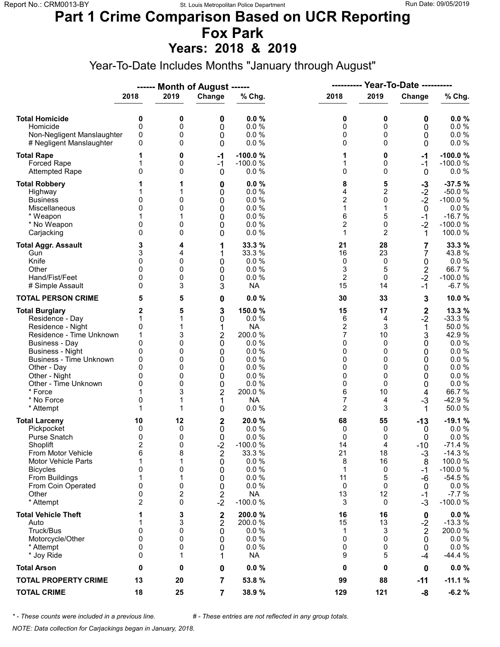### **Part 1 Crime Comparison Based on UCR Reporting Fox Park**

**Years: 2018 & 2019**

Year-To-Date Includes Months "January through August"

|                                                                                                                                                                                                                                                                               |                                                                                |                                                      | ------ Month of August ------                                                                     |                                                                                                                       | ----------                                                                               |                                                                                       | Year-To-Date ----------                                                                 |                                                                                                                              |
|-------------------------------------------------------------------------------------------------------------------------------------------------------------------------------------------------------------------------------------------------------------------------------|--------------------------------------------------------------------------------|------------------------------------------------------|---------------------------------------------------------------------------------------------------|-----------------------------------------------------------------------------------------------------------------------|------------------------------------------------------------------------------------------|---------------------------------------------------------------------------------------|-----------------------------------------------------------------------------------------|------------------------------------------------------------------------------------------------------------------------------|
|                                                                                                                                                                                                                                                                               | 2018                                                                           | 2019                                                 | Change                                                                                            | % Chg.                                                                                                                | 2018                                                                                     | 2019                                                                                  | Change                                                                                  | % Chg.                                                                                                                       |
| <b>Total Homicide</b><br>Homicide<br>Non-Negligent Manslaughter<br># Negligent Manslaughter                                                                                                                                                                                   | 0<br>$\mathbf 0$<br>0<br>0                                                     | 0<br>0<br>0<br>0                                     | 0<br>0<br>0<br>0                                                                                  | 0.0%<br>0.0%<br>0.0%<br>0.0%                                                                                          | 0<br>0<br>0<br>0                                                                         | 0<br>0<br>0<br>$\Omega$                                                               | 0<br>0<br>0<br>0                                                                        | 0.0%<br>0.0 %<br>0.0 %<br>0.0 %                                                                                              |
| <b>Total Rape</b><br>Forced Rape<br><b>Attempted Rape</b>                                                                                                                                                                                                                     | 1<br>0                                                                         | 0<br>0<br>0                                          | $-1$<br>$-1$<br>$\mathbf 0$                                                                       | $-100.0%$<br>$-100.0%$<br>0.0%                                                                                        | 1<br>1<br>0                                                                              | 0<br>0<br>$\Omega$                                                                    | -1<br>$-1$<br>0                                                                         | $-100.0%$<br>$-100.0%$<br>$0.0 \%$                                                                                           |
| <b>Total Robbery</b><br>Highway<br><b>Business</b><br>Miscellaneous<br>* Weapon<br>* No Weapon<br>Carjacking                                                                                                                                                                  | 0<br>0<br>0<br>0                                                               | 1<br>0<br>0<br>0<br>0                                | 0<br>0<br>0<br>0<br>0<br>0<br>0                                                                   | 0.0%<br>0.0%<br>0.0%<br>0.0%<br>0.0%<br>0.0%<br>0.0%                                                                  | 8<br>4<br>$\overline{2}$<br>1<br>6<br>$\overline{c}$<br>1                                | 5<br>$\overline{c}$<br>0<br>$\mathbf{1}$<br>5<br>0<br>$\overline{2}$                  | $-3$<br>$-2$<br>$-2$<br>$\mathbf 0$<br>$-1$<br>$-2$<br>1                                | $-37.5%$<br>$-50.0%$<br>$-100.0%$<br>$0.0 \%$<br>$-16.7%$<br>$-100.0%$<br>100.0 %                                            |
| <b>Total Aggr. Assault</b><br>Gun<br>Knife<br>Other<br>Hand/Fist/Feet<br># Simple Assault                                                                                                                                                                                     | 3<br>3<br>0<br>$\Omega$<br>0<br>0                                              | 4<br>4<br>0<br>0<br>0<br>3                           | 1<br>1<br>0<br>0<br>0<br>3                                                                        | 33.3 %<br>33.3 %<br>0.0%<br>0.0%<br>0.0%<br><b>NA</b>                                                                 | 21<br>16<br>0<br>3<br>$\overline{2}$<br>15                                               | 28<br>23<br>0<br>5<br>0<br>14                                                         | 7<br>7<br>0<br>$\sqrt{2}$<br>$-2$<br>$-1$                                               | 33.3 %<br>43.8%<br>0.0 %<br>66.7%<br>$-100.0%$<br>$-6.7%$                                                                    |
| <b>TOTAL PERSON CRIME</b>                                                                                                                                                                                                                                                     | 5                                                                              | 5                                                    | 0                                                                                                 | 0.0%                                                                                                                  | 30                                                                                       | 33                                                                                    | 3                                                                                       | 10.0%                                                                                                                        |
| <b>Total Burglary</b><br>Residence - Day<br>Residence - Night<br>Residence - Time Unknown<br><b>Business - Day</b><br><b>Business - Night</b><br><b>Business - Time Unknown</b><br>Other - Day<br>Other - Night<br>Other - Time Unknown<br>* Force<br>* No Force<br>* Attempt | 2<br>1<br>0<br>1<br>$\mathbf{0}$<br>0<br>0<br>$\Omega$<br>0<br>0<br>0<br>1     | 5<br>3<br>0<br>0<br>0<br>0<br>0<br>0<br>3            | 3<br>0<br>1<br>$\overline{2}$<br>0<br>0<br>0<br>0<br>0<br>$\mathbf 0$<br>$\overline{2}$<br>1<br>0 | 150.0%<br>0.0 %<br><b>NA</b><br>200.0%<br>0.0%<br>0.0%<br>0.0%<br>0.0%<br>0.0%<br>0.0%<br>200.0%<br><b>NA</b><br>0.0% | 15<br>6<br>$\overline{2}$<br>7<br>0<br>0<br>0<br>0<br>0<br>0<br>6<br>$\overline{7}$<br>2 | 17<br>4<br>3<br>10<br>$\Omega$<br>0<br>0<br>$\Omega$<br>0<br>$\Omega$<br>10<br>4<br>3 | $\mathbf 2$<br>$-2$<br>$\mathbf 1$<br>3<br>0<br>0<br>0<br>0<br>0<br>0<br>4<br>$-3$<br>1 | 13.3 %<br>$-33.3%$<br>50.0%<br>42.9%<br>$0.0 \%$<br>0.0%<br>0.0 %<br>0.0 %<br>0.0%<br>0.0 %<br>66.7%<br>$-42.9%$<br>50.0%    |
| <b>Total Larceny</b><br>Pickpocket<br>Purse Snatch<br>Shoplift<br>From Motor Vehicle<br><b>Motor Vehicle Parts</b><br><b>Bicycles</b><br>From Buildings<br>From Coin Operated<br>Other<br>* Attempt                                                                           | 10<br>0<br>0<br>$\overline{2}$<br>6<br>1<br>0<br>1<br>0<br>0<br>$\overline{2}$ | 12<br>0<br>0<br>0<br>8<br>1<br>0<br>1<br>0<br>2<br>0 | 2<br>0<br>0<br>$-2$<br>2<br>0<br>0<br>0<br>0<br>2<br>$-2$                                         | 20.0%<br>0.0%<br>0.0%<br>$-100.0%$<br>33.3 %<br>0.0%<br>0.0%<br>0.0%<br>0.0%<br><b>NA</b><br>$-100.0%$                | 68<br>0<br>0<br>14<br>21<br>8<br>1<br>11<br>0<br>13<br>3                                 | 55<br>0<br>0<br>4<br>18<br>16<br>0<br>5<br>0<br>12<br>0                               | $-13$<br>0<br>0<br>$-10$<br>$-3$<br>8<br>-1<br>-6<br>0<br>$-1$<br>-3                    | $-19.1%$<br>$0.0 \%$<br>0.0%<br>$-71.4%$<br>$-14.3%$<br>100.0 %<br>$-100.0%$<br>$-54.5%$<br>$0.0 \%$<br>$-7.7%$<br>$-100.0%$ |
| <b>Total Vehicle Theft</b><br>Auto<br>Truck/Bus<br>Motorcycle/Other<br>* Attempt<br>* Joy Ride                                                                                                                                                                                | 1<br>0<br>$\mathbf{0}$<br>0<br>0                                               | 3<br>3<br>0<br>0<br>0<br>1                           | $\mathbf 2$<br>2<br>0<br>0<br>0<br>1                                                              | 200.0%<br>200.0%<br>0.0%<br>0.0%<br>0.0%<br><b>NA</b>                                                                 | 16<br>15<br>1<br>0<br>0<br>9                                                             | 16<br>13<br>3<br>0<br>0<br>5                                                          | 0<br>$-2$<br>$\boldsymbol{2}$<br>0<br>0<br>-4                                           | $0.0 \%$<br>$-13.3%$<br>200.0%<br>$0.0 \%$<br>$0.0 \%$<br>$-44.4%$                                                           |
| <b>Total Arson</b>                                                                                                                                                                                                                                                            | 0                                                                              | 0                                                    | 0                                                                                                 | 0.0%                                                                                                                  | 0                                                                                        | 0                                                                                     | 0                                                                                       | $0.0 \%$                                                                                                                     |
| <b>TOTAL PROPERTY CRIME</b>                                                                                                                                                                                                                                                   | 13                                                                             | 20                                                   | 7                                                                                                 | 53.8 %                                                                                                                | 99                                                                                       | 88                                                                                    | -11                                                                                     | $-11.1%$                                                                                                                     |
| <b>TOTAL CRIME</b>                                                                                                                                                                                                                                                            | 18                                                                             | 25                                                   | $\overline{7}$                                                                                    | 38.9 %                                                                                                                | 129                                                                                      | 121                                                                                   | -8                                                                                      | $-6.2%$                                                                                                                      |

*\* - These counts were included in a previous line. # - These entries are not reflected in any group totals.*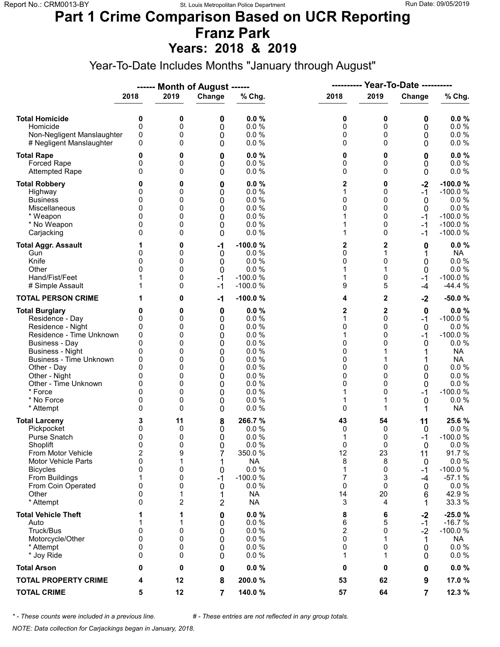### **Part 1 Crime Comparison Based on UCR Reporting Franz Park**

**Years: 2018 & 2019**

Year-To-Date Includes Months "January through August"

|                                                                                                                                                                                                                                                                               |                                                                                             |                                                               | ------ Month of August ------                                 |                                                                                                               | ----------                                                    |                                                                     | <b>Year-To-Date ----------</b>                                  |                                                                                                                                                    |
|-------------------------------------------------------------------------------------------------------------------------------------------------------------------------------------------------------------------------------------------------------------------------------|---------------------------------------------------------------------------------------------|---------------------------------------------------------------|---------------------------------------------------------------|---------------------------------------------------------------------------------------------------------------|---------------------------------------------------------------|---------------------------------------------------------------------|-----------------------------------------------------------------|----------------------------------------------------------------------------------------------------------------------------------------------------|
|                                                                                                                                                                                                                                                                               | 2018                                                                                        | 2019                                                          | Change                                                        | % Chg.                                                                                                        | 2018                                                          | 2019                                                                | Change                                                          | % Chg.                                                                                                                                             |
| <b>Total Homicide</b><br>Homicide<br>Non-Negligent Manslaughter<br># Negligent Manslaughter                                                                                                                                                                                   | 0<br>$\mathbf 0$<br>0<br>0                                                                  | 0<br>0<br>0<br>0                                              | 0<br>0<br>0<br>0                                              | 0.0%<br>0.0%<br>0.0%<br>0.0%                                                                                  | 0<br>0<br>0<br>0                                              | 0<br>0<br>0<br>$\Omega$                                             | 0<br>0<br>0<br>0                                                | 0.0%<br>0.0 %<br>0.0 %<br>$0.0 \%$                                                                                                                 |
| <b>Total Rape</b><br>Forced Rape<br><b>Attempted Rape</b>                                                                                                                                                                                                                     | 0<br>0<br>$\Omega$                                                                          | 0<br>0<br>0                                                   | 0<br>0<br>0                                                   | 0.0%<br>0.0%<br>0.0%                                                                                          | 0<br>0<br>0                                                   | 0<br>0<br>$\Omega$                                                  | 0<br>0<br>0                                                     | 0.0%<br>0.0 %<br>0.0 %                                                                                                                             |
| <b>Total Robbery</b><br>Highway<br><b>Business</b><br>Miscellaneous<br>* Weapon<br>* No Weapon<br>Carjacking                                                                                                                                                                  | 0<br>0<br>0<br>0<br>0<br>0                                                                  | 0<br>0<br>0<br>0<br>0<br>0<br>0                               | 0<br>0<br>0<br>0<br>0<br>0<br>0                               | 0.0%<br>0.0%<br>0.0%<br>0.0%<br>0.0%<br>0.0%<br>0.0%                                                          | 2<br>1<br>0<br>0<br>1<br>1<br>1                               | 0<br>0<br>0<br>$\mathbf{0}$<br>0<br>0<br>0                          | $-2$<br>$-1$<br>0<br>$\mathbf 0$<br>-1<br>$-1$<br>-1            | $-100.0%$<br>$-100.0%$<br>0.0%<br>0.0 %<br>$-100.0%$<br>$-100.0%$<br>$-100.0%$                                                                     |
| <b>Total Aggr. Assault</b><br>Gun<br>Knife<br>Other<br>Hand/Fist/Feet<br># Simple Assault                                                                                                                                                                                     | 1<br>0<br>$\Omega$<br>$\Omega$                                                              | 0<br>0<br>0<br>0<br>0<br>0                                    | -1<br>0<br>0<br>0<br>$-1$<br>$-1$                             | $-100.0%$<br>0.0 %<br>0.0%<br>0.0%<br>$-100.0%$<br>$-100.0%$                                                  | 2<br>0<br>0<br>1<br>1<br>9                                    | 2<br>1<br>0<br>1<br>0<br>5                                          | 0<br>1<br>0<br>0<br>$-1$<br>-4                                  | 0.0%<br><b>NA</b><br>0.0 %<br>$0.0 \%$<br>$-100.0%$<br>$-44.4%$                                                                                    |
| <b>TOTAL PERSON CRIME</b>                                                                                                                                                                                                                                                     | 1                                                                                           | 0                                                             | $-1$                                                          | $-100.0%$                                                                                                     | 4                                                             | $\mathbf{2}$                                                        | $-2$                                                            | $-50.0%$                                                                                                                                           |
| <b>Total Burglary</b><br>Residence - Day<br>Residence - Night<br>Residence - Time Unknown<br><b>Business - Day</b><br><b>Business - Night</b><br><b>Business - Time Unknown</b><br>Other - Day<br>Other - Night<br>Other - Time Unknown<br>* Force<br>* No Force<br>* Attempt | 0<br>0<br>0<br>0<br>$\mathbf{0}$<br>0<br>0<br>$\Omega$<br>0<br>0<br>$\Omega$<br>0<br>0      | 0<br>0<br>0<br>0<br>0<br>0<br>0<br>0<br>0<br>0<br>0<br>0<br>0 | 0<br>0<br>0<br>0<br>0<br>0<br>0<br>0<br>0<br>0<br>0<br>0<br>0 | 0.0%<br>0.0%<br>0.0%<br>0.0%<br>0.0%<br>0.0%<br>0.0%<br>0.0%<br>0.0%<br>0.0%<br>0.0%<br>0.0%<br>0.0%          | 2<br>1<br>0<br>1<br>0<br>0<br>0<br>0<br>0<br>0<br>1<br>1<br>0 | 2<br>$\Omega$<br>0<br>0<br>$\Omega$<br>$\Omega$<br>0<br>0<br>0<br>1 | 0<br>$-1$<br>0<br>$-1$<br>0<br>1<br>0<br>0<br>0<br>-1<br>0<br>1 | $0.0 \%$<br>$-100.0%$<br>0.0%<br>$-100.0%$<br>$0.0 \%$<br><b>NA</b><br><b>NA</b><br>$0.0 \%$<br>0.0%<br>$0.0 \%$<br>$-100.0%$<br>0.0%<br><b>NA</b> |
| <b>Total Larceny</b><br>Pickpocket<br>Purse Snatch<br>Shoplift<br>From Motor Vehicle<br><b>Motor Vehicle Parts</b><br><b>Bicycles</b><br>From Buildings<br>From Coin Operated<br>Other<br>* Attempt                                                                           | 3<br>0<br>0<br>$\mathbf{0}$<br>$\overline{\mathbf{c}}$<br>0<br>0<br>1<br>0<br>0<br>$\Omega$ | 11<br>0<br>0<br>0<br>9<br>1<br>0<br>0<br>0<br>1<br>2          | 8<br>0<br>0<br>0<br>7<br>1<br>0<br>$-1$<br>0<br>1<br>2        | 266.7%<br>0.0%<br>0.0%<br>0.0%<br>350.0%<br><b>NA</b><br>0.0 %<br>$-100.0%$<br>0.0%<br><b>NA</b><br><b>NA</b> | 43<br>0<br>1<br>0<br>12<br>8<br>1<br>7<br>0<br>14<br>3        | 54<br>0<br>0<br>$\Omega$<br>23<br>8<br>0<br>3<br>0<br>20<br>4       | 11<br>0<br>-1<br>$\Omega$<br>11<br>0<br>-1<br>-4<br>0<br>6<br>1 | 25.6%<br>$0.0 \%$<br>$-100.0%$<br>0.0%<br>91.7%<br>0.0 %<br>$-100.0%$<br>$-57.1%$<br>0.0 %<br>42.9%<br>33.3 %                                      |
| <b>Total Vehicle Theft</b><br>Auto<br>Truck/Bus<br>Motorcycle/Other<br>* Attempt<br>* Joy Ride                                                                                                                                                                                | 1<br>0<br>$\mathbf{0}$<br>0<br>0                                                            | 1<br>1<br>0<br>0<br>0<br>0                                    | 0<br>0<br>0<br>0<br>0<br>0                                    | 0.0%<br>$0.0 \%$<br>0.0%<br>0.0%<br>0.0%<br>0.0%                                                              | 8<br>6<br>$\overline{2}$<br>0<br>0<br>1                       | 6<br>5<br>0<br>1<br>0<br>1                                          | $-2$<br>-1<br>$-2$<br>1<br>0<br>0                               | $-25.0%$<br>$-16.7%$<br>$-100.0%$<br>NA.<br>$0.0 \%$<br>$0.0 \%$                                                                                   |
| <b>Total Arson</b>                                                                                                                                                                                                                                                            | 0                                                                                           | 0                                                             | 0                                                             | 0.0%                                                                                                          | 0                                                             | 0                                                                   | 0                                                               | $0.0 \%$                                                                                                                                           |
| <b>TOTAL PROPERTY CRIME</b>                                                                                                                                                                                                                                                   | 4                                                                                           | 12                                                            | 8                                                             | 200.0%                                                                                                        | 53                                                            | 62                                                                  | 9                                                               | 17.0 %                                                                                                                                             |
| <b>TOTAL CRIME</b>                                                                                                                                                                                                                                                            | 5                                                                                           | 12                                                            | 7                                                             | 140.0%                                                                                                        | 57                                                            | 64                                                                  | 7                                                               | 12.3 %                                                                                                                                             |

*\* - These counts were included in a previous line. # - These entries are not reflected in any group totals.*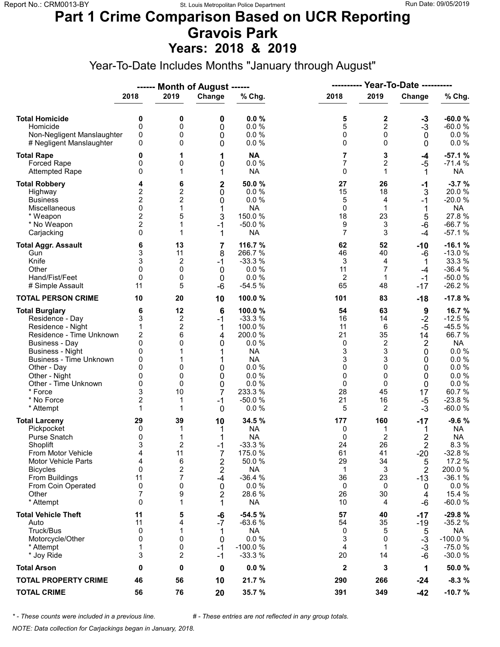#### **Part 1 Crime Comparison Based on UCR Reporting Gravois Park Years: 2018 & 2019**

Year-To-Date Includes Months "January through August"

|                                             |                         |                     | ------ Month of August ------ |                       |                |                         |                  |                       |  |  |
|---------------------------------------------|-------------------------|---------------------|-------------------------------|-----------------------|----------------|-------------------------|------------------|-----------------------|--|--|
|                                             | 2018                    | 2019                | Change                        | % Chg.                | 2018           | 2019                    | Change           | % Chg.                |  |  |
| <b>Total Homicide</b>                       | 0                       | 0                   | 0                             | 0.0%                  | 5              | 2                       |                  | $-60.0%$              |  |  |
| Homicide                                    | $\mathbf 0$             | 0                   | 0                             | 0.0%                  | 5              | $\overline{2}$          | $-3$<br>$-3$     | $-60.0%$              |  |  |
| Non-Negligent Manslaughter                  | 0                       | 0                   | 0                             | 0.0%                  | 0              | 0                       | $\mathbf 0$      | 0.0%                  |  |  |
| # Negligent Manslaughter                    | 0                       | 0                   | 0                             | 0.0%                  | 0              | $\Omega$                | 0                | 0.0 %                 |  |  |
| <b>Total Rape</b>                           | 0                       | 1                   | 1                             | <b>NA</b>             | 7              | 3                       | -4               | $-57.1%$              |  |  |
| <b>Forced Rape</b><br><b>Attempted Rape</b> | 0<br>0                  | 0<br>1              | 0<br>1                        | 0.0 %<br><b>NA</b>    | 7<br>0         | 2<br>1                  | $-5$<br>1        | $-71.4%$<br><b>NA</b> |  |  |
| <b>Total Robbery</b>                        | 4                       | 6                   | $\mathbf 2$                   | 50.0%                 | 27             | 26                      | -1               | $-3.7%$               |  |  |
| Highway                                     | 2                       | 2                   | 0                             | 0.0%                  | 15             | 18                      | 3                | 20.0%                 |  |  |
| <b>Business</b>                             | $\overline{2}$          | $\overline{c}$      | 0                             | 0.0%                  | 5              | 4                       | $-1$             | $-20.0%$              |  |  |
| Miscellaneous                               | 0                       | 1                   | 1                             | <b>NA</b>             | 0              | $\mathbf{1}$            | 1                | <b>NA</b>             |  |  |
| * Weapon                                    | $\overline{c}$          | 5                   | 3                             | 150.0%                | 18             | 23                      | 5                | 27.8%                 |  |  |
| * No Weapon                                 | $\overline{c}$          | 1                   | $-1$                          | $-50.0%$              | 9              | 3                       | -6               | $-66.7%$              |  |  |
| Carjacking                                  | 0                       | 1                   | 1                             | <b>NA</b>             | $\overline{7}$ | 3                       | $-4$             | $-57.1%$              |  |  |
| <b>Total Aggr. Assault</b>                  | 6                       | 13                  | 7                             | 116.7 %               | 62             | 52                      | -10              | $-16.1%$              |  |  |
| Gun                                         | 3                       | 11                  | 8                             | 266.7%                | 46             | 40                      | -6               | $-13.0%$              |  |  |
| Knife                                       | 3                       | 2                   | $-1$                          | $-33.3%$              | 3              | 4                       | 1                | 33.3 %                |  |  |
| Other                                       | 0                       | 0                   | 0                             | 0.0%                  | 11             | 7                       | -4               | $-36.4%$              |  |  |
| Hand/Fist/Feet<br># Simple Assault          | 0<br>11                 | 0<br>5              | 0<br>$-6$                     | 0.0%<br>$-54.5%$      | 2<br>65        | $\mathbf 1$<br>48       | $-1$<br>$-17$    | $-50.0%$<br>$-26.2%$  |  |  |
| <b>TOTAL PERSON CRIME</b>                   | 10                      | 20                  | 10                            | 100.0%                | 101            | 83                      | $-18$            | $-17.8%$              |  |  |
| <b>Total Burglary</b>                       | 6                       | 12                  | 6                             | 100.0%                | 54             | 63                      | $\boldsymbol{9}$ | 16.7%                 |  |  |
| Residence - Day                             | 3                       | 2                   | $-1$                          | $-33.3%$              | 16             | 14                      | $-2$             | $-12.5%$              |  |  |
| Residence - Night                           | 1                       | $\overline{c}$      | 1                             | 100.0%                | 11             | 6                       | $-5$             | $-45.5%$              |  |  |
| Residence - Time Unknown                    | $\overline{\mathbf{c}}$ | 6                   | 4                             | 200.0%                | 21             | 35                      | 14               | 66.7%                 |  |  |
| <b>Business - Day</b>                       | 0                       | 0                   | 0                             | 0.0%                  | 0              | $\overline{\mathbf{c}}$ | $\overline{2}$   | <b>NA</b>             |  |  |
| <b>Business - Night</b>                     | 0                       | 1                   | 1                             | <b>NA</b>             | 3              | 3                       | 0                | 0.0 %                 |  |  |
| Business - Time Unknown                     | 0                       |                     | 1                             | <b>NA</b>             | 3              | 3                       | 0                | 0.0 %                 |  |  |
| Other - Day                                 | 0                       | 0                   | 0                             | 0.0 %                 | 0              | 0                       | 0                | 0.0%                  |  |  |
| Other - Night                               | 0                       | 0                   | 0                             | 0.0%                  | 0              | 0                       | 0                | 0.0 %                 |  |  |
| Other - Time Unknown                        | 0                       | 0                   | $\mathbf 0$                   | 0.0 %                 | 0              | $\Omega$                | 0                | $0.0 \%$              |  |  |
| * Force                                     | 3                       | 10                  | 7                             | 233.3 %               | 28             | 45                      | 17               | 60.7%                 |  |  |
| * No Force                                  | $\overline{c}$          | 1                   | $-1$                          | $-50.0%$              | 21             | 16                      | $-5$             | $-23.8%$              |  |  |
| * Attempt                                   | 1                       | 1                   | 0                             | 0.0%                  | 5              | 2                       | $-3$             | $-60.0%$              |  |  |
| <b>Total Larceny</b><br>Pickpocket          | 29<br>0                 | 39<br>1             | 10<br>1                       | 34.5 %<br><b>NA</b>   | 177<br>0       | 160<br>1                | $-17$            | $-9.6%$<br><b>NA</b>  |  |  |
| Purse Snatch                                | 0                       | 1                   | 1                             | <b>NA</b>             | 0              | 2                       | 1<br>2           | <b>NA</b>             |  |  |
| Shoplift                                    | 3                       | 2                   | -1                            | $-33.3%$              | 24             | 26                      | $\overline{2}$   | 8.3%                  |  |  |
| From Motor Vehicle                          | 4                       | 11                  | 7                             | 175.0 %               | 61             | 41                      | $-20$            | $-32.8%$              |  |  |
| <b>Motor Vehicle Parts</b>                  | 4                       | 6                   | 2                             | 50.0%                 | 29             | 34                      | 5                | 17.2 %                |  |  |
| <b>Bicycles</b>                             | $\mathbf{0}$            | 2                   | 2                             | <b>NA</b>             | 1              | 3                       | 2                | 200.0%                |  |  |
| From Buildings                              | 11                      | 7                   | -4                            | $-36.4%$              | 36             | 23                      | $-13$            | $-36.1%$              |  |  |
| From Coin Operated                          | 0                       | 0                   | 0                             | 0.0%                  | 0              | 0                       | 0                | $0.0 \%$              |  |  |
| Other                                       | 7                       | 9                   | $\overline{2}$                | 28.6%                 | 26             | 30                      | 4                | 15.4 %                |  |  |
| * Attempt                                   | 0                       | 1                   | 1                             | <b>NA</b>             | 10             | 4                       | -6               | $-60.0%$              |  |  |
| <b>Total Vehicle Theft</b>                  | 11                      | 5                   | -6                            | $-54.5%$              | 57             | 40                      | -17              | $-29.8%$              |  |  |
| Auto                                        | 11                      | 4                   | $-7$                          | $-63.6%$              | 54             | 35                      | $-19$            | $-35.2%$              |  |  |
| Truck/Bus                                   | 0                       | 1                   | 1                             | <b>NA</b>             | 0              | 5                       | 5                | <b>NA</b>             |  |  |
| Motorcycle/Other                            | 0                       | 0                   | 0                             | 0.0 %                 | 3              | 0                       | $-3$             | $-100.0%$             |  |  |
| * Attempt<br>* Joy Ride                     | 1<br>3                  | 0<br>$\overline{2}$ | $-1$<br>$-1$                  | $-100.0%$<br>$-33.3%$ | 4<br>20        | $\mathbf 1$<br>14       | $-3$<br>$-6$     | $-75.0%$<br>$-30.0%$  |  |  |
| <b>Total Arson</b>                          | 0                       | 0                   | 0                             | 0.0%                  | $\mathbf 2$    | 3                       | 1                | 50.0%                 |  |  |
| <b>TOTAL PROPERTY CRIME</b>                 | 46                      | 56                  | 10                            | 21.7 %                | 290            | 266                     | $-24$            | $-8.3%$               |  |  |
| <b>TOTAL CRIME</b>                          | 56                      | 76                  | 20                            | 35.7 %                | 391            | 349                     | $-42$            | $-10.7%$              |  |  |

*\* - These counts were included in a previous line. # - These entries are not reflected in any group totals.*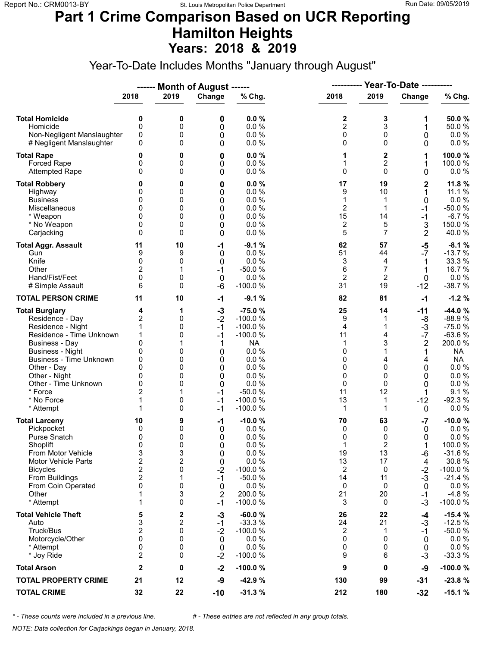### **Part 1 Crime Comparison Based on UCR Reporting Hamilton Heights Years: 2018 & 2019**

Year-To-Date Includes Months "January through August"

|                                                                                                                                                                                                                                                                               |                                                                                                          |                                                                  | ------ Month of August ------                                                       |                                                                                                                                             | ----------                                                        |                                                                                   | Year-To-Date ----------                                                                             |                                                                                                                                               |
|-------------------------------------------------------------------------------------------------------------------------------------------------------------------------------------------------------------------------------------------------------------------------------|----------------------------------------------------------------------------------------------------------|------------------------------------------------------------------|-------------------------------------------------------------------------------------|---------------------------------------------------------------------------------------------------------------------------------------------|-------------------------------------------------------------------|-----------------------------------------------------------------------------------|-----------------------------------------------------------------------------------------------------|-----------------------------------------------------------------------------------------------------------------------------------------------|
|                                                                                                                                                                                                                                                                               | 2018                                                                                                     | 2019                                                             | Change                                                                              | % Chg.                                                                                                                                      | 2018                                                              | 2019                                                                              | Change                                                                                              | % Chg.                                                                                                                                        |
| <b>Total Homicide</b><br>Homicide<br>Non-Negligent Manslaughter<br># Negligent Manslaughter                                                                                                                                                                                   | 0<br>$\mathbf 0$<br>0<br>0                                                                               | 0<br>0<br>0<br>0                                                 | 0<br>0<br>0<br>0                                                                    | 0.0%<br>0.0%<br>0.0%<br>0.0%                                                                                                                | 2<br>$\overline{2}$<br>0<br>0                                     | 3<br>3<br>0<br>$\Omega$                                                           | 1<br>1<br>0<br>0                                                                                    | 50.0%<br>50.0%<br>0.0 %<br>0.0 %                                                                                                              |
| <b>Total Rape</b><br>Forced Rape<br><b>Attempted Rape</b>                                                                                                                                                                                                                     | 0<br>0<br>$\Omega$                                                                                       | 0<br>0<br>0                                                      | 0<br>0<br>0                                                                         | 0.0%<br>0.0 %<br>0.0%                                                                                                                       | 1<br>1<br>0                                                       | $\mathbf 2$<br>2<br>$\Omega$                                                      | 1<br>1<br>0                                                                                         | 100.0%<br>100.0%<br>$0.0 \%$                                                                                                                  |
| <b>Total Robbery</b><br>Highway<br><b>Business</b><br>Miscellaneous<br>* Weapon<br>* No Weapon<br>Carjacking                                                                                                                                                                  | 0<br>0<br>0<br>0<br>0<br>0<br>$\Omega$                                                                   | 0<br>0<br>0<br>0<br>0<br>0<br>0                                  | 0<br>0<br>0<br>0<br>0<br>0<br>0                                                     | 0.0%<br>0.0%<br>0.0%<br>0.0 %<br>0.0%<br>0.0%<br>0.0%                                                                                       | 17<br>9<br>1<br>$\overline{c}$<br>15<br>2<br>5                    | 19<br>10<br>$\mathbf 1$<br>1<br>14<br>5<br>$\overline{7}$                         | $\mathbf 2$<br>1<br>0<br>$-1$<br>$-1$<br>3<br>$\overline{2}$                                        | 11.8 %<br>11.1 %<br>0.0 %<br>$-50.0%$<br>$-6.7%$<br>150.0%<br>40.0%                                                                           |
| <b>Total Aggr. Assault</b><br>Gun<br>Knife<br>Other<br>Hand/Fist/Feet<br># Simple Assault                                                                                                                                                                                     | 11<br>9<br>0<br>$\overline{c}$<br>0<br>6                                                                 | 10<br>9<br>0<br>1<br>0<br>0                                      | -1<br>0<br>0<br>$-1$<br>$\boldsymbol{0}$<br>-6                                      | $-9.1%$<br>0.0%<br>0.0%<br>$-50.0%$<br>0.0%<br>$-100.0%$                                                                                    | 62<br>51<br>3<br>6<br>$\overline{2}$<br>31                        | 57<br>44<br>4<br>$\overline{7}$<br>$\overline{2}$<br>19                           | $-5$<br>$-7$<br>1<br>1<br>$\mathbf 0$<br>$-12$                                                      | $-8.1%$<br>$-13.7%$<br>33.3 %<br>16.7 %<br>$0.0 \%$<br>$-38.7%$                                                                               |
| <b>TOTAL PERSON CRIME</b>                                                                                                                                                                                                                                                     | 11                                                                                                       | 10                                                               | $-1$                                                                                | $-9.1%$                                                                                                                                     | 82                                                                | 81                                                                                | $-1$                                                                                                | $-1.2%$                                                                                                                                       |
| <b>Total Burglary</b><br>Residence - Day<br>Residence - Night<br>Residence - Time Unknown<br><b>Business - Day</b><br><b>Business - Night</b><br><b>Business - Time Unknown</b><br>Other - Day<br>Other - Night<br>Other - Time Unknown<br>* Force<br>* No Force<br>* Attempt | 4<br>$\overline{c}$<br>1<br>1<br>0<br>0<br>0<br>$\Omega$<br>0<br>0<br>$\overline{2}$<br>1<br>1           | 1<br>0<br>0<br>0<br>1<br>0<br>0<br>0<br>0<br>0<br>1<br>0<br>0    | $-3$<br>$-2$<br>$-1$<br>$-1$<br>1<br>0<br>0<br>0<br>0<br>0<br>$-1$<br>$-1$<br>$-1$  | $-75.0%$<br>$-100.0%$<br>$-100.0%$<br>$-100.0%$<br><b>NA</b><br>0.0 %<br>0.0%<br>0.0%<br>0.0%<br>0.0%<br>$-50.0%$<br>$-100.0%$<br>$-100.0%$ | 25<br>9<br>4<br>11<br>1<br>0<br>0<br>0<br>0<br>0<br>11<br>13<br>1 | 14<br>1<br>1<br>4<br>3<br>1<br>4<br>$\Omega$<br>0<br>0<br>12<br>$\mathbf{1}$<br>1 | $-11$<br>-8<br>$-3$<br>$-7$<br>$\overline{2}$<br>1<br>4<br>0<br>0<br>0<br>1<br>$-12$<br>$\mathbf 0$ | $-44.0%$<br>$-88.9%$<br>$-75.0%$<br>$-63.6%$<br>200.0%<br><b>NA</b><br><b>NA</b><br>$0.0 \%$<br>0.0%<br>0.0 %<br>9.1%<br>$-92.3%$<br>$0.0 \%$ |
| <b>Total Larceny</b><br>Pickpocket<br>Purse Snatch<br>Shoplift<br>From Motor Vehicle<br><b>Motor Vehicle Parts</b><br><b>Bicycles</b><br>From Buildings<br>From Coin Operated<br>Other<br>* Attempt                                                                           | 10<br>0<br>0<br>$\Omega$<br>3<br>$\overline{\mathbf{c}}$<br>$\overline{2}$<br>$\mathbf 2$<br>0<br>1<br>1 | 9<br>0<br>0<br>0<br>3<br>$\overline{2}$<br>0<br>1<br>0<br>3<br>0 | $-1$<br>0<br>0<br>$\Omega$<br>0<br>0<br>$-2$<br>$-1$<br>0<br>$\overline{2}$<br>$-1$ | $-10.0%$<br>0.0%<br>0.0%<br>0.0%<br>0.0 %<br>0.0%<br>$-100.0%$<br>$-50.0%$<br>0.0%<br>200.0%<br>$-100.0%$                                   | 70<br>0<br>0<br>1<br>19<br>13<br>2<br>14<br>0<br>21<br>3          | 63<br>0<br>0<br>2<br>13<br>17<br>0<br>11<br>0<br>20<br>0                          | $-7$<br>0<br>0<br>-6<br>4<br>$-2$<br>$-3$<br>0<br>$-1$<br>$-3$                                      | $-10.0%$<br>$0.0 \%$<br>0.0%<br>100.0%<br>$-31.6%$<br>30.8%<br>$-100.0%$<br>$-21.4%$<br>$0.0 \%$<br>$-4.8%$<br>$-100.0%$                      |
| <b>Total Vehicle Theft</b><br>Auto<br>Truck/Bus<br>Motorcycle/Other<br>* Attempt<br>* Joy Ride                                                                                                                                                                                | 5<br>3<br>$\overline{2}$<br>$\mathbf{0}$<br>0<br>$\overline{c}$                                          | 2<br>2<br>0<br>0<br>0<br>0                                       | $-3$<br>$-1$<br>$-2$<br>0<br>$\mathbf 0$<br>$-2$                                    | $-60.0%$<br>$-33.3%$<br>$-100.0%$<br>0.0%<br>0.0%<br>$-100.0%$                                                                              | 26<br>24<br>2<br>0<br>0<br>9                                      | 22<br>21<br>1<br>$\Omega$<br>0<br>6                                               | -4<br>$-3$<br>$-1$<br>0<br>0<br>$-3$                                                                | $-15.4%$<br>$-12.5%$<br>$-50.0%$<br>$0.0 \%$<br>0.0 %<br>$-33.3%$                                                                             |
| <b>Total Arson</b>                                                                                                                                                                                                                                                            | $\mathbf{2}$                                                                                             | 0                                                                | $-2$                                                                                | $-100.0%$                                                                                                                                   | 9                                                                 | 0                                                                                 | -9                                                                                                  | $-100.0%$                                                                                                                                     |
| <b>TOTAL PROPERTY CRIME</b>                                                                                                                                                                                                                                                   | 21                                                                                                       | 12                                                               | -9                                                                                  | $-42.9%$                                                                                                                                    | 130                                                               | 99                                                                                | $-31$                                                                                               | $-23.8%$                                                                                                                                      |
| <b>TOTAL CRIME</b>                                                                                                                                                                                                                                                            | 32                                                                                                       | 22                                                               | $-10$                                                                               | $-31.3%$                                                                                                                                    | 212                                                               | 180                                                                               | $-32$                                                                                               | $-15.1%$                                                                                                                                      |

*\* - These counts were included in a previous line. # - These entries are not reflected in any group totals.*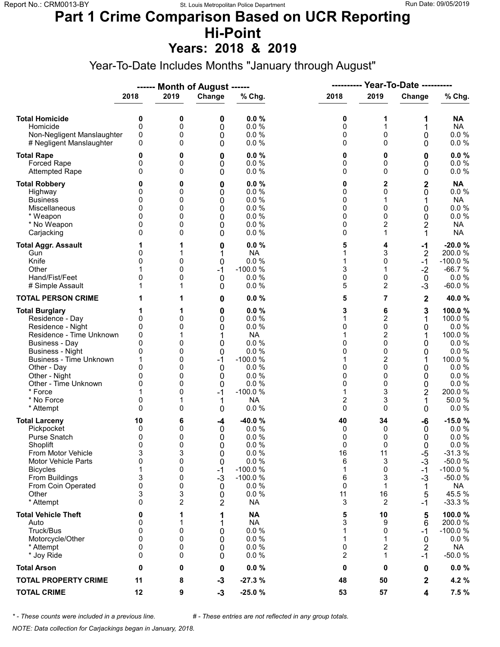### **Part 1 Crime Comparison Based on UCR Reporting Hi-Point**

**Years: 2018 & 2019**

Year-To-Date Includes Months "January through August"

|                                                                                                                                                                                                                                                                               |                                                                       |                                                                  | ------ Month of August ------                                       |                                                                                                                            | ----------                                                       |                                                               | Year-To-Date ----------                                                    |                                                                                                                       |
|-------------------------------------------------------------------------------------------------------------------------------------------------------------------------------------------------------------------------------------------------------------------------------|-----------------------------------------------------------------------|------------------------------------------------------------------|---------------------------------------------------------------------|----------------------------------------------------------------------------------------------------------------------------|------------------------------------------------------------------|---------------------------------------------------------------|----------------------------------------------------------------------------|-----------------------------------------------------------------------------------------------------------------------|
|                                                                                                                                                                                                                                                                               | 2018                                                                  | 2019                                                             | Change                                                              | % Chg.                                                                                                                     | 2018                                                             | 2019                                                          | Change                                                                     | % Chg.                                                                                                                |
| <b>Total Homicide</b><br>Homicide<br>Non-Negligent Manslaughter<br># Negligent Manslaughter                                                                                                                                                                                   | 0<br>0<br>0<br>0                                                      | 0<br>0<br>0<br>0                                                 | 0<br>0<br>0<br>0                                                    | 0.0%<br>0.0 %<br>0.0 %<br>0.0%                                                                                             | 0<br>0<br>0<br>0                                                 | 1<br>1<br>0<br>0                                              | 1<br>1<br>0<br>0                                                           | <b>NA</b><br><b>NA</b><br>0.0 %<br>0.0 %                                                                              |
| <b>Total Rape</b><br>Forced Rape<br><b>Attempted Rape</b>                                                                                                                                                                                                                     | 0<br>0<br>$\Omega$                                                    | 0<br>0<br>0                                                      | 0<br>0<br>0                                                         | 0.0%<br>0.0%<br>0.0%                                                                                                       | 0<br>0<br>0                                                      | 0<br>0<br>0                                                   | 0<br>0<br>0                                                                | 0.0%<br>0.0 %<br>0.0%                                                                                                 |
| <b>Total Robbery</b><br>Highway<br><b>Business</b><br>Miscellaneous<br>* Weapon<br>* No Weapon<br>Carjacking                                                                                                                                                                  | 0<br>0<br>0<br>0<br>0<br>0                                            | 0<br>0<br>0<br>0<br>0<br>0<br>0                                  | 0<br>0<br>0<br>0<br>0<br>0<br>0                                     | 0.0%<br>0.0%<br>0.0%<br>0.0%<br>0.0%<br>0.0%<br>0.0%                                                                       | 0<br>0<br>0<br>0<br>0<br>0<br>0                                  | 2<br>0<br>1<br>0<br>0<br>2<br>1                               | $\overline{\mathbf{c}}$<br>0<br>1<br>0<br>0<br>$\overline{c}$<br>1         | <b>NA</b><br>0.0 %<br><b>NA</b><br>0.0 %<br>0.0 %<br><b>NA</b><br><b>NA</b>                                           |
| <b>Total Aggr. Assault</b><br>Gun<br>Knife<br>Other<br>Hand/Fist/Feet<br># Simple Assault                                                                                                                                                                                     | 0<br>0<br>0                                                           | 1<br>1<br>0<br>0<br>0<br>1                                       | 0<br>1<br>0<br>$-1$<br>0<br>0                                       | 0.0%<br><b>NA</b><br>0.0%<br>$-100.0%$<br>0.0%<br>0.0%                                                                     | 5<br>1<br>1<br>3<br>0<br>5                                       | 4<br>3<br>0<br>1<br>0<br>2                                    | $-1$<br>$\overline{2}$<br>$-1$<br>$-2$<br>0<br>$-3$                        | $-20.0%$<br>200.0%<br>$-100.0%$<br>$-66.7%$<br>0.0%<br>$-60.0%$                                                       |
| <b>TOTAL PERSON CRIME</b>                                                                                                                                                                                                                                                     |                                                                       | 1                                                                | 0                                                                   | 0.0%                                                                                                                       | 5                                                                | 7                                                             | $\mathbf 2$                                                                | 40.0%                                                                                                                 |
| <b>Total Burglary</b><br>Residence - Day<br>Residence - Night<br>Residence - Time Unknown<br><b>Business - Day</b><br><b>Business - Night</b><br><b>Business - Time Unknown</b><br>Other - Day<br>Other - Night<br>Other - Time Unknown<br>* Force<br>* No Force<br>* Attempt | 0<br>0<br>0<br>0<br>0<br>$\Omega$<br>0<br>0<br>0<br>$\Omega$          | 1<br>0<br>0<br>1<br>0<br>0<br>0<br>0<br>0<br>0<br>0<br>1<br>0    | 0<br>0<br>0<br>1<br>0<br>0<br>$-1$<br>0<br>0<br>0<br>$-1$<br>1<br>0 | 0.0%<br>0.0%<br>0.0 %<br><b>NA</b><br>0.0 %<br>0.0%<br>$-100.0%$<br>0.0%<br>0.0%<br>0.0%<br>$-100.0%$<br><b>NA</b><br>0.0% | 3<br>1<br>0<br>1<br>0<br>0<br>1<br>0<br>0<br>0<br>1<br>2<br>0    | 6<br>2<br>0<br>2<br>0<br>0<br>2<br>0<br>0<br>0<br>3<br>3<br>0 | 3<br>1<br>0<br>1<br>0<br>0<br>1<br>0<br>0<br>0<br>$\overline{c}$<br>1<br>0 | 100.0%<br>100.0 %<br>0.0%<br>100.0%<br>0.0%<br>0.0 %<br>100.0%<br>0.0%<br>0.0%<br>0.0 %<br>200.0%<br>50.0%<br>0.0 %   |
| <b>Total Larceny</b><br>Pickpocket<br>Purse Snatch<br>Shoplift<br>From Motor Vehicle<br><b>Motor Vehicle Parts</b><br><b>Bicycles</b><br>From Buildings<br>From Coin Operated<br>Other<br>* Attempt                                                                           | 10<br>0<br>0<br>$\Omega$<br>3<br>$\mathbf 0$<br>1<br>3<br>0<br>3<br>0 | 6<br>0<br>0<br>0<br>3<br>0<br>0<br>0<br>0<br>3<br>$\overline{c}$ | -4<br>0<br>0<br>$\Omega$<br>0<br>0<br>$-1$<br>$-3$<br>0<br>0<br>2   | $-40.0%$<br>0.0%<br>0.0%<br>0.0%<br>0.0 %<br>0.0 %<br>$-100.0%$<br>$-100.0%$<br>0.0%<br>0.0%<br><b>NA</b>                  | 40<br>0<br>0<br>0<br>16<br>6<br>1<br>6<br>$\mathbf 0$<br>11<br>3 | 34<br>0<br>0<br>0<br>11<br>3<br>0<br>3<br>1<br>16<br>2        | -6<br>0<br>0<br>0<br>$-5$<br>$-3$<br>$-1$<br>$-3$<br>1<br>5<br>$-1$        | $-15.0%$<br>0.0%<br>0.0 %<br>0.0%<br>$-31.3%$<br>$-50.0%$<br>$-100.0%$<br>$-50.0%$<br><b>NA</b><br>45.5 %<br>$-33.3%$ |
| <b>Total Vehicle Theft</b><br>Auto<br>Truck/Bus<br>Motorcycle/Other<br>* Attempt<br>* Joy Ride                                                                                                                                                                                | 0<br>0<br>0<br>0<br>0<br>0                                            | 1<br>1<br>0<br>0<br>0<br>0                                       | 1<br>1<br>0<br>0<br>0<br>0                                          | <b>NA</b><br><b>NA</b><br>0.0 %<br>0.0 %<br>0.0 %<br>0.0 %                                                                 | 5<br>3<br>1<br>1<br>0<br>2                                       | 10<br>9<br>0<br>1<br>2<br>1                                   | 5<br>6<br>$-1$<br>0<br>$\overline{2}$<br>$-1$                              | 100.0%<br>200.0%<br>$-100.0%$<br>0.0 %<br><b>NA</b><br>$-50.0%$                                                       |
| <b>Total Arson</b>                                                                                                                                                                                                                                                            | 0                                                                     | 0                                                                | 0                                                                   | 0.0%                                                                                                                       | 0                                                                | 0                                                             | 0                                                                          | $0.0 \%$                                                                                                              |
| <b>TOTAL PROPERTY CRIME</b>                                                                                                                                                                                                                                                   | 11                                                                    | 8                                                                | $-3$                                                                | $-27.3%$                                                                                                                   | 48                                                               | 50                                                            | $\mathbf 2$                                                                | 4.2%                                                                                                                  |
| <b>TOTAL CRIME</b>                                                                                                                                                                                                                                                            | 12                                                                    | 9                                                                | $-3$                                                                | $-25.0%$                                                                                                                   | 53                                                               | 57                                                            | 4                                                                          | 7.5%                                                                                                                  |

*\* - These counts were included in a previous line. # - These entries are not reflected in any group totals.*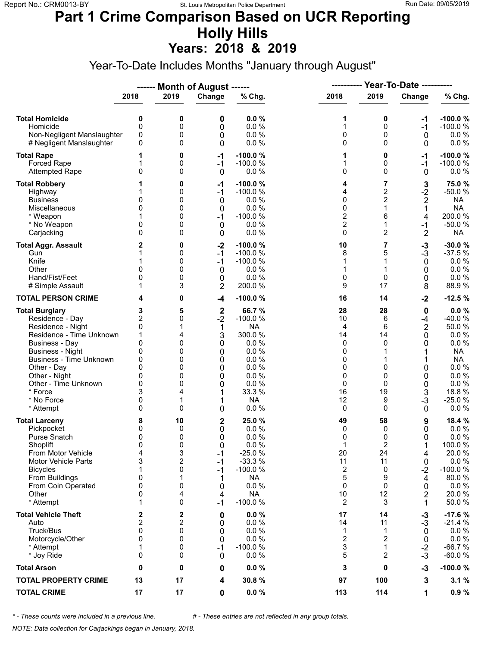#### **Part 1 Crime Comparison Based on UCR Reporting Holly Hills Years: 2018 & 2019**

Year-To-Date Includes Months "January through August"

|                                                                                                                                                                                                                                                                               |                                                                                 |                                                          | ------ Month of August ------                                         |                                                                                                                          | ----------                                                         |                                                                                   | <b>Year-To-Date ----------</b>                                                      |                                                                                                                                         |
|-------------------------------------------------------------------------------------------------------------------------------------------------------------------------------------------------------------------------------------------------------------------------------|---------------------------------------------------------------------------------|----------------------------------------------------------|-----------------------------------------------------------------------|--------------------------------------------------------------------------------------------------------------------------|--------------------------------------------------------------------|-----------------------------------------------------------------------------------|-------------------------------------------------------------------------------------|-----------------------------------------------------------------------------------------------------------------------------------------|
|                                                                                                                                                                                                                                                                               | 2018                                                                            | 2019                                                     | Change                                                                | % Chg.                                                                                                                   | 2018                                                               | 2019                                                                              | Change                                                                              | % Chg.                                                                                                                                  |
| <b>Total Homicide</b><br>Homicide<br>Non-Negligent Manslaughter<br># Negligent Manslaughter                                                                                                                                                                                   | 0<br>$\mathbf 0$<br>0<br>0                                                      | 0<br>0<br>0<br>0                                         | 0<br>0<br>0<br>0                                                      | 0.0%<br>0.0%<br>0.0%<br>0.0%                                                                                             | 1<br>1<br>0<br>0                                                   | 0<br>0<br>0<br>$\Omega$                                                           | -1<br>$-1$<br>0<br>0                                                                | $-100.0%$<br>$-100.0%$<br>$0.0 \%$<br>0.0 %                                                                                             |
| <b>Total Rape</b><br>Forced Rape<br><b>Attempted Rape</b>                                                                                                                                                                                                                     | 1<br>0                                                                          | 0<br>0<br>0                                              | $-1$<br>$-1$<br>$\mathbf 0$                                           | $-100.0%$<br>$-100.0%$<br>0.0 %                                                                                          | 1<br>1<br>0                                                        | 0<br>0<br>$\Omega$                                                                | -1<br>$-1$<br>0                                                                     | $-100.0%$<br>$-100.0%$<br>$0.0 \%$                                                                                                      |
| <b>Total Robbery</b><br>Highway<br><b>Business</b><br>Miscellaneous<br>* Weapon<br>* No Weapon<br>Carjacking                                                                                                                                                                  | 0<br>0<br>0<br>$\Omega$                                                         | 0<br>0<br>0<br>0<br>0<br>0<br>0                          | $-1$<br>$-1$<br>0<br>0<br>$-1$<br>0<br>0                              | $-100.0%$<br>$-100.0%$<br>0.0 %<br>0.0%<br>$-100.0%$<br>0.0%<br>0.0%                                                     | 4<br>4<br>0<br>0<br>$\overline{c}$<br>$\overline{\mathbf{c}}$<br>0 | 7<br>$\overline{c}$<br>$\overline{2}$<br>$\mathbf{1}$<br>6<br>1<br>$\overline{2}$ | 3<br>$-2$<br>$\overline{2}$<br>1<br>4<br>$-1$<br>$\overline{2}$                     | 75.0%<br>$-50.0%$<br><b>NA</b><br><b>NA</b><br>200.0%<br>$-50.0%$<br><b>NA</b>                                                          |
| <b>Total Aggr. Assault</b><br>Gun<br>Knife<br>Other<br>Hand/Fist/Feet<br># Simple Assault                                                                                                                                                                                     | 2<br>0<br>0<br>1                                                                | 0<br>0<br>0<br>0<br>0<br>3                               | $-2$<br>$-1$<br>$-1$<br>0<br>0<br>$\overline{2}$                      | $-100.0%$<br>$-100.0%$<br>$-100.0%$<br>0.0%<br>0.0%<br>200.0%                                                            | 10<br>8<br>1<br>1<br>0<br>9                                        | 7<br>5<br>1<br>1<br>0<br>17                                                       | $-3$<br>$-3$<br>0<br>0<br>0<br>8                                                    | $-30.0%$<br>$-37.5%$<br>$0.0 \%$<br>0.0 %<br>$0.0 \%$<br>88.9%                                                                          |
| <b>TOTAL PERSON CRIME</b>                                                                                                                                                                                                                                                     | 4                                                                               | 0                                                        | $-4$                                                                  | $-100.0%$                                                                                                                | 16                                                                 | 14                                                                                | $-2$                                                                                | $-12.5%$                                                                                                                                |
| <b>Total Burglary</b><br>Residence - Day<br>Residence - Night<br>Residence - Time Unknown<br><b>Business - Day</b><br><b>Business - Night</b><br><b>Business - Time Unknown</b><br>Other - Day<br>Other - Night<br>Other - Time Unknown<br>* Force<br>* No Force<br>* Attempt | 3<br>2<br>0<br>1<br>$\mathbf{0}$<br>0<br>0<br>$\Omega$<br>0<br>0<br>3<br>0<br>0 | 5<br>0<br>4<br>0<br>0<br>0<br>0<br>0<br>0<br>4<br>1<br>0 | $\mathbf 2$<br>$-2$<br>1<br>3<br>0<br>0<br>0<br>0<br>0<br>0<br>1<br>0 | 66.7%<br>$-100.0%$<br><b>NA</b><br>300.0%<br>0.0%<br>0.0%<br>0.0%<br>0.0%<br>0.0%<br>0.0%<br>33.3 %<br><b>NA</b><br>0.0% | 28<br>10<br>4<br>14<br>0<br>0<br>0<br>0<br>0<br>0<br>16<br>12<br>0 | 28<br>6<br>6<br>14<br>$\Omega$<br>$\Omega$<br>0<br>$\Omega$<br>19<br>9<br>0       | $\pmb{0}$<br>$-4$<br>$\overline{2}$<br>0<br>0<br>1<br>0<br>0<br>0<br>3<br>$-3$<br>0 | 0.0%<br>-40.0%<br>50.0%<br>$0.0 \%$<br>$0.0 \%$<br><b>NA</b><br><b>NA</b><br>$0.0 \%$<br>0.0%<br>0.0 %<br>18.8%<br>$-25.0%$<br>$0.0 \%$ |
| <b>Total Larceny</b><br>Pickpocket<br>Purse Snatch<br>Shoplift<br>From Motor Vehicle<br><b>Motor Vehicle Parts</b><br><b>Bicycles</b><br>From Buildings<br>From Coin Operated<br>Other<br>* Attempt                                                                           | 8<br>0<br>0<br>$\mathbf{0}$<br>4<br>3<br>1<br>0<br>0<br>0<br>1                  | 10<br>0<br>0<br>0<br>3<br>2<br>0<br>1<br>0<br>4<br>0     | 2<br>0<br>0<br>$\Omega$<br>$-1$<br>-1<br>$-1$<br>1<br>0<br>4<br>$-1$  | 25.0%<br>0.0%<br>0.0%<br>0.0%<br>$-25.0%$<br>$-33.3%$<br>$-100.0%$<br><b>NA</b><br>0.0 %<br><b>NA</b><br>$-100.0%$       | 49<br>0<br>0<br>1<br>20<br>11<br>2<br>5<br>0<br>10<br>2            | 58<br>0<br>0<br>2<br>24<br>11<br>0<br>9<br>0<br>12<br>3                           | 9<br>0<br>0<br>4<br>0<br>$-2$<br>4<br>0<br>2<br>1                                   | 18.4 %<br>$0.0 \%$<br>0.0%<br>100.0%<br>20.0%<br>0.0 %<br>$-100.0%$<br>80.0%<br>$0.0 \%$<br>20.0%<br>50.0%                              |
| <b>Total Vehicle Theft</b><br>Auto<br>Truck/Bus<br>Motorcycle/Other<br>* Attempt<br>* Joy Ride                                                                                                                                                                                | 2<br>$\mathbf 2$<br>$\mathbf{0}$<br>0<br>1<br>0                                 | 2<br>2<br>0<br>0<br>0<br>0                               | 0<br>0<br>0<br>0<br>$-1$<br>0                                         | 0.0%<br>0.0%<br>0.0%<br>0.0%<br>$-100.0%$<br>0.0%                                                                        | 17<br>14<br>1<br>$\overline{2}$<br>3<br>5                          | 14<br>11<br>1<br>$\overline{2}$<br>$\mathbf{1}$<br>2                              | $-3$<br>$-3$<br>0<br>0<br>$-2$<br>$-3$                                              | $-17.6%$<br>$-21.4%$<br>$0.0 \%$<br>0.0 %<br>$-66.7%$<br>$-60.0%$                                                                       |
| <b>Total Arson</b>                                                                                                                                                                                                                                                            | 0                                                                               | 0                                                        | 0                                                                     | 0.0%                                                                                                                     | 3                                                                  | 0                                                                                 | $-3$                                                                                | $-100.0%$                                                                                                                               |
| <b>TOTAL PROPERTY CRIME</b>                                                                                                                                                                                                                                                   | 13                                                                              | 17                                                       | 4                                                                     | 30.8%                                                                                                                    | 97                                                                 | 100                                                                               | 3                                                                                   | 3.1%                                                                                                                                    |
| <b>TOTAL CRIME</b>                                                                                                                                                                                                                                                            | 17                                                                              | 17                                                       | 0                                                                     | $0.0 \%$                                                                                                                 | 113                                                                | 114                                                                               | 1                                                                                   | 0.9%                                                                                                                                    |

*\* - These counts were included in a previous line. # - These entries are not reflected in any group totals.*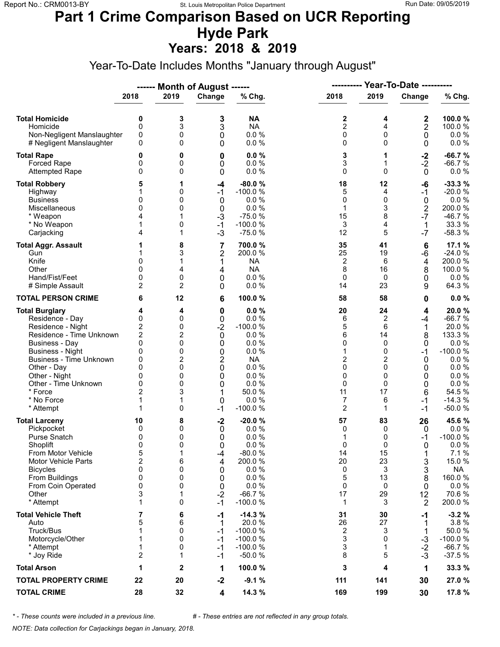# **Part 1 Crime Comparison Based on UCR Reporting Hyde Park**

**Years: 2018 & 2019**

Year-To-Date Includes Months "January through August"

|                                                                                                                                                                                                                                                                               |                                                                                                               |                                                               | ------ Month of August ------                                                                        |                                                                                                                       | <b>Year-To-Date ----------</b><br>----------                    |                                                                                       |                                                                                   |                                                                                                                                     |
|-------------------------------------------------------------------------------------------------------------------------------------------------------------------------------------------------------------------------------------------------------------------------------|---------------------------------------------------------------------------------------------------------------|---------------------------------------------------------------|------------------------------------------------------------------------------------------------------|-----------------------------------------------------------------------------------------------------------------------|-----------------------------------------------------------------|---------------------------------------------------------------------------------------|-----------------------------------------------------------------------------------|-------------------------------------------------------------------------------------------------------------------------------------|
|                                                                                                                                                                                                                                                                               | 2018                                                                                                          | 2019                                                          | Change                                                                                               | % Chg.                                                                                                                | 2018                                                            | 2019                                                                                  | Change                                                                            | % Chg.                                                                                                                              |
| <b>Total Homicide</b><br>Homicide<br>Non-Negligent Manslaughter<br># Negligent Manslaughter                                                                                                                                                                                   | 0<br>$\mathbf 0$<br>0<br>0                                                                                    | 3<br>3<br>0<br>0                                              | 3<br>3<br>0<br>0                                                                                     | <b>NA</b><br><b>NA</b><br>0.0%<br>0.0 %                                                                               | 2<br>$\overline{c}$<br>0<br>0                                   | 4<br>4<br>$\mathbf 0$<br>$\Omega$                                                     | 2<br>$\mathbf 2$<br>0<br>0                                                        | 100.0%<br>100.0%<br>$0.0 \%$<br>0.0 %                                                                                               |
| <b>Total Rape</b><br>Forced Rape<br><b>Attempted Rape</b>                                                                                                                                                                                                                     | 0<br>0<br>0                                                                                                   | 0<br>0<br>0                                                   | 0<br>0<br>0                                                                                          | 0.0%<br>0.0%<br>0.0%                                                                                                  | 3<br>3<br>0                                                     | 1<br>1<br>$\Omega$                                                                    | $-2$<br>$-2$<br>$\mathbf 0$                                                       | $-66.7%$<br>$-66.7%$<br>$0.0 \%$                                                                                                    |
| <b>Total Robbery</b><br>Highway<br><b>Business</b><br>Miscellaneous<br>* Weapon<br>* No Weapon<br>Carjacking                                                                                                                                                                  | 5<br>0<br>$\Omega$<br>1<br>4                                                                                  | 1<br>0<br>0<br>0<br>0<br>1                                    | $-4$<br>$-1$<br>0<br>0<br>$-3$<br>$-1$<br>$-3$                                                       | $-80.0%$<br>$-100.0%$<br>0.0 %<br>0.0%<br>$-75.0%$<br>$-100.0%$<br>$-75.0%$                                           | 18<br>5<br>0<br>1<br>15<br>3<br>12                              | 12<br>4<br>0<br>3<br>8<br>4<br>5                                                      | -6<br>$-1$<br>$\mathbf 0$<br>$\overline{2}$<br>$-7$<br>1<br>$-7$                  | $-33.3%$<br>$-20.0%$<br>0.0%<br>200.0%<br>$-46.7%$<br>33.3 %<br>$-58.3%$                                                            |
| <b>Total Aggr. Assault</b><br>Gun<br>Knife<br>Other<br>Hand/Fist/Feet<br># Simple Assault                                                                                                                                                                                     | 1<br>0<br>$\Omega$<br>0<br>2                                                                                  | 8<br>3<br>4<br>0<br>$\overline{2}$                            | 7<br>2<br>1<br>4<br>0<br>0                                                                           | 700.0%<br>200.0%<br><b>NA</b><br><b>NA</b><br>$0.0 \%$<br>0.0%                                                        | 35<br>25<br>$\overline{\mathbf{c}}$<br>8<br>$\mathbf 0$<br>14   | 41<br>19<br>6<br>16<br>0<br>23                                                        | $6\phantom{1}6$<br>-6<br>4<br>8<br>0<br>9                                         | 17.1 %<br>$-24.0%$<br>200.0%<br>100.0%<br>$0.0 \%$<br>64.3 %                                                                        |
| <b>TOTAL PERSON CRIME</b>                                                                                                                                                                                                                                                     | 6                                                                                                             | 12                                                            | 6                                                                                                    | 100.0%                                                                                                                | 58                                                              | 58                                                                                    | 0                                                                                 | 0.0%                                                                                                                                |
| <b>Total Burglary</b><br>Residence - Day<br>Residence - Night<br>Residence - Time Unknown<br><b>Business - Day</b><br><b>Business - Night</b><br><b>Business - Time Unknown</b><br>Other - Day<br>Other - Night<br>Other - Time Unknown<br>* Force<br>* No Force<br>* Attempt | 4<br>0<br>$\overline{\mathbf{c}}$<br>$\overline{c}$<br>0<br>0<br>0<br>0<br>0<br>0<br>$\overline{2}$<br>1<br>1 | 4<br>0<br>0<br>2<br>0<br>0<br>2<br>0<br>0<br>0<br>3<br>1<br>0 | $\mathbf 0$<br>0<br>$-2$<br>0<br>0<br>0<br>$\overline{c}$<br>$\mathbf 0$<br>0<br>0<br>1<br>0<br>$-1$ | 0.0%<br>0.0%<br>$-100.0%$<br>0.0%<br>0.0%<br>0.0%<br><b>NA</b><br>0.0%<br>0.0%<br>0.0%<br>50.0 %<br>0.0%<br>$-100.0%$ | 20<br>6<br>5<br>6<br>0<br>1<br>2<br>0<br>0<br>0<br>11<br>7<br>2 | 24<br>2<br>6<br>14<br>$\Omega$<br>0<br>2<br>$\Omega$<br>0<br>$\Omega$<br>17<br>6<br>1 | 4<br>-4<br>$\mathbf 1$<br>8<br>0<br>$-1$<br>0<br>0<br>0<br>0<br>6<br>$-1$<br>$-1$ | 20.0%<br>$-66.7%$<br>20.0%<br>133.3 %<br>0.0 %<br>$-100.0%$<br>$0.0 \%$<br>0.0 %<br>0.0%<br>0.0 %<br>54.5 %<br>$-14.3%$<br>$-50.0%$ |
| <b>Total Larceny</b><br>Pickpocket<br>Purse Snatch<br>Shoplift<br>From Motor Vehicle<br><b>Motor Vehicle Parts</b><br><b>Bicycles</b><br>From Buildings<br>From Coin Operated<br>Other<br>* Attempt                                                                           | 10<br>0<br>0<br>0<br>5<br>$\overline{2}$<br>0<br>0<br>0<br>3<br>1                                             | 8<br>0<br>0<br>0<br>1<br>6<br>0<br>0<br>0<br>1<br>0           | $-2$<br>0<br>0<br>$\Omega$<br>-4<br>4<br>0<br>0<br>0<br>$-2$<br>$-1$                                 | $-20.0%$<br>0.0%<br>0.0%<br>0.0%<br>$-80.0%$<br>200.0%<br>0.0 %<br>0.0%<br>0.0%<br>$-66.7%$<br>$-100.0%$              | 57<br>0<br>1<br>0<br>14<br>20<br>0<br>5<br>0<br>17<br>1         | 83<br>0<br>0<br>$\Omega$<br>15<br>23<br>3<br>13<br>0<br>29<br>3                       | 26<br>0<br>-1<br>$\Omega$<br>1<br>3<br>3<br>8<br>0<br>12<br>2                     | 45.6 %<br>$0.0 \%$<br>$-100.0%$<br>0.0%<br>7.1%<br>15.0%<br><b>NA</b><br>160.0%<br>$0.0 \%$<br>70.6%<br>200.0%                      |
| <b>Total Vehicle Theft</b><br>Auto<br>Truck/Bus<br>Motorcycle/Other<br>* Attempt<br>* Joy Ride                                                                                                                                                                                | 7<br>5<br>1<br>1<br>1<br>$\overline{c}$                                                                       | 6<br>6<br>0<br>0<br>0<br>1                                    | -1<br>1<br>$-1$<br>$-1$<br>$-1$<br>$-1$                                                              | $-14.3%$<br>20.0 %<br>$-100.0%$<br>$-100.0%$<br>$-100.0%$<br>$-50.0%$                                                 | 31<br>26<br>2<br>3<br>3<br>8                                    | 30<br>27<br>3<br>0<br>1<br>5                                                          | -1<br>1<br>1<br>$-3$<br>$-2$<br>$-3$                                              | $-3.2%$<br>3.8%<br>50.0%<br>$-100.0%$<br>$-66.7%$<br>$-37.5%$                                                                       |
| <b>Total Arson</b>                                                                                                                                                                                                                                                            | 1                                                                                                             | 2                                                             | 1                                                                                                    | 100.0%                                                                                                                | 3                                                               | 4                                                                                     | 1                                                                                 | 33.3 %                                                                                                                              |
| <b>TOTAL PROPERTY CRIME</b>                                                                                                                                                                                                                                                   | 22                                                                                                            | 20                                                            | $-2$                                                                                                 | $-9.1%$                                                                                                               | 111                                                             | 141                                                                                   | 30                                                                                | 27.0 %                                                                                                                              |
| <b>TOTAL CRIME</b>                                                                                                                                                                                                                                                            | 28                                                                                                            | 32                                                            | 4                                                                                                    | 14.3 %                                                                                                                | 169                                                             | 199                                                                                   | 30                                                                                | 17.8 %                                                                                                                              |

*\* - These counts were included in a previous line. # - These entries are not reflected in any group totals.*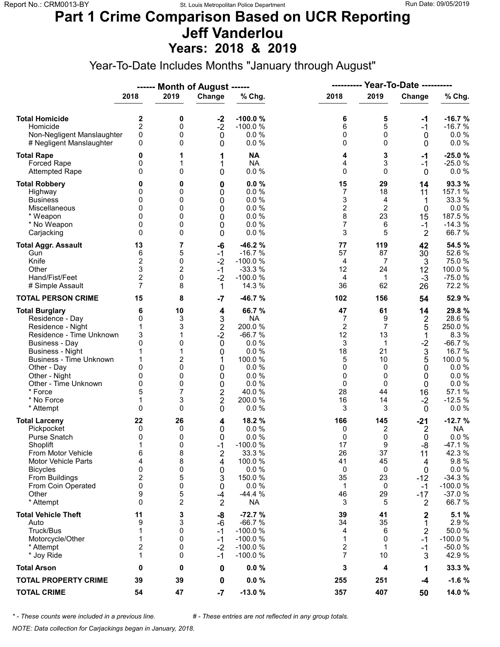### **Part 1 Crime Comparison Based on UCR Reporting Jeff Vanderlou Years: 2018 & 2019**

Year-To-Date Includes Months "January through August"

|                                          |                         |                | ------ Month of August ------ |                       |                         | <b>Year-To-Date ----------</b><br>---------- |                     |                       |
|------------------------------------------|-------------------------|----------------|-------------------------------|-----------------------|-------------------------|----------------------------------------------|---------------------|-----------------------|
|                                          | 2018                    | 2019           | Change                        | % Chg.                | 2018                    | 2019                                         | Change              | % Chg.                |
| <b>Total Homicide</b>                    | 2                       | 0              | $-2$                          | $-100.0%$             | 6                       | 5                                            | -1                  | $-16.7%$              |
| Homicide                                 | $\overline{2}$          | 0              | $-2$                          | $-100.0%$             | 6                       | 5                                            | $-1$                | $-16.7%$              |
| Non-Negligent Manslaughter               | 0                       | 0              | $\mathbf 0$                   | 0.0%                  | 0                       | 0                                            | 0                   | $0.0 \%$              |
| # Negligent Manslaughter                 | 0                       | 0              | 0                             | 0.0%                  | 0                       | $\Omega$                                     | 0                   | 0.0 %                 |
| <b>Total Rape</b>                        | 0                       | 1              | 1                             | <b>NA</b>             | 4                       | 3                                            | -1                  | $-25.0%$              |
| Forced Rape<br><b>Attempted Rape</b>     | 0<br>$\Omega$           | 1<br>0         | 1<br>0                        | <b>NA</b><br>0.0 %    | 4<br>0                  | 3<br>$\Omega$                                | $-1$<br>$\mathbf 0$ | $-25.0%$<br>$0.0 \%$  |
| <b>Total Robbery</b>                     | 0                       | 0              |                               | 0.0%                  | 15                      | 29                                           | 14                  | 93.3%                 |
| Highway                                  | 0                       | 0              | 0<br>0                        | 0.0%                  | 7                       | 18                                           | 11                  | 157.1 %               |
| <b>Business</b>                          | 0                       | 0              | 0                             | 0.0%                  | 3                       | 4                                            | 1                   | 33.3 %                |
| Miscellaneous                            | 0                       | 0              | 0                             | 0.0%                  | $\overline{\mathbf{c}}$ | $\overline{2}$                               | $\mathbf 0$         | 0.0 %                 |
| * Weapon                                 | 0                       | 0              | 0                             | 0.0%                  | 8                       | 23                                           | 15                  | 187.5 %               |
| * No Weapon                              | 0                       | 0              | 0                             | 0.0%                  | 7                       | 6                                            | $-1$                | $-14.3%$              |
| Carjacking                               | $\Omega$                | 0              | 0                             | 0.0%                  | 3                       | 5                                            | 2                   | 66.7%                 |
| <b>Total Aggr. Assault</b>               | 13                      | 7              | -6                            | $-46.2%$              | 77                      | 119                                          | 42                  | 54.5 %                |
| Gun                                      | 6                       | 5              | $-1$                          | $-16.7%$              | 57                      | 87                                           | 30                  | 52.6%                 |
| Knife                                    | $\mathbf 2$             | 0              | $-2$                          | $-100.0%$             | 4                       | $\overline{7}$                               | 3                   | 75.0%                 |
| Other                                    | 3                       | $\overline{2}$ | $-1$                          | $-33.3%$              | 12                      | 24                                           | 12                  | 100.0%                |
| Hand/Fist/Feet                           | $\mathbf 2$             | 0              | $-2$                          | $-100.0%$             | 4                       | $\mathbf{1}$                                 | $-3$                | $-75.0%$              |
| # Simple Assault                         | $\overline{7}$          | 8              | 1                             | 14.3 %                | 36                      | 62                                           | 26                  | 72.2 %                |
| <b>TOTAL PERSON CRIME</b>                | 15                      | 8              | $-7$                          | $-46.7%$              | 102                     | 156                                          | 54                  | 52.9 %                |
| <b>Total Burglary</b><br>Residence - Day | 6<br>0                  | 10<br>3        | 4                             | 66.7%<br><b>NA</b>    | 47<br>7                 | 61<br>9                                      | 14                  | 29.8%<br>28.6%        |
| Residence - Night                        | 1                       | 3              | 3<br>$\mathbf 2$              | 200.0%                | $\overline{2}$          | $\overline{7}$                               | 2<br>5              | 250.0%                |
| Residence - Time Unknown                 | 3                       | 1              | $-2$                          | $-66.7%$              | 12                      | 13                                           | 1                   | 8.3%                  |
| <b>Business - Day</b>                    | 0                       | 0              | $\mathbf 0$                   | 0.0%                  | 3                       | $\mathbf{1}$                                 | $-2$                | $-66.7%$              |
| <b>Business - Night</b>                  | 1                       | 1              | 0                             | 0.0%                  | 18                      | 21                                           | 3                   | 16.7 %                |
| <b>Business - Time Unknown</b>           | 1                       | 2              | 1                             | 100.0 %               | 5                       | 10                                           | 5                   | 100.0%                |
| Other - Day                              | 0                       | 0              | 0                             | 0.0%                  | 0                       | $\Omega$                                     | 0                   | 0.0%                  |
| Other - Night                            | 0                       | 0              | 0                             | 0.0%                  | 0                       | 0                                            | 0                   | 0.0%                  |
| Other - Time Unknown                     | 0                       | 0              | 0                             | 0.0%                  | 0                       | 0                                            | 0                   | 0.0 %                 |
| * Force                                  | 5                       | 7              | $\overline{\mathbf{c}}$       | 40.0 %                | 28                      | 44                                           | 16                  | 57.1 %                |
| * No Force                               | 1                       | 3              | $\overline{2}$                | 200.0%                | 16                      | 14                                           | $-2$                | $-12.5%$              |
| * Attempt                                | $\Omega$                | 0              | 0                             | 0.0%                  | 3                       | 3                                            | $\mathbf 0$         | $0.0 \%$              |
| <b>Total Larceny</b>                     | 22                      | 26             | 4                             | 18.2 %                | 166                     | 145                                          | $-21$               | $-12.7%$              |
| Pickpocket                               | 0                       | 0              | 0                             | 0.0%                  | 0                       | 2                                            | 2                   | <b>NA</b>             |
| Purse Snatch                             | 0                       | 0              | 0                             | 0.0%                  | 0                       | 0                                            | $\mathbf 0$         | 0.0%                  |
| Shoplift                                 | 1                       | 0              | $-1$                          | $-100.0%$             | 17                      | 9                                            | -8                  | $-47.1%$              |
| From Motor Vehicle                       | 6                       | 8              | 2                             | 33.3 %                | 26                      | 37                                           | 11                  | 42.3 %                |
| <b>Motor Vehicle Parts</b>               | 4                       | 8              | 4                             | 100.0%                | 41                      | 45                                           | 4                   | 9.8%                  |
| <b>Bicycles</b>                          | 0                       | 0              | 0                             | 0.0 %                 | 0                       | 0                                            | 0                   | 0.0 %                 |
| From Buildings                           | $\boldsymbol{2}$        | 5              | 3                             | 150.0%                | 35                      | 23                                           | $-12$               | $-34.3%$              |
| From Coin Operated                       | 0<br>9                  | 0<br>5         | 0                             | 0.0%                  | 1<br>46                 | 0<br>29                                      | $-1$                | $-100.0%$<br>$-37.0%$ |
| Other<br>* Attempt                       | $\Omega$                | 2              | $-4$<br>$\overline{2}$        | $-44.4%$<br><b>NA</b> | 3                       | 5                                            | $-17$<br>2          | 66.7%                 |
| <b>Total Vehicle Theft</b>               | 11                      | 3              | -8                            | $-72.7%$              | 39                      | 41                                           | 2                   | 5.1 %                 |
| Auto                                     | 9                       | 3              | $-6$                          | $-66.7%$              | 34                      | 35                                           | 1                   | 2.9%                  |
| Truck/Bus                                | 1                       | 0              | $-1$                          | $-100.0%$             | 4                       | 6                                            | $\overline{2}$      | 50.0%                 |
| Motorcycle/Other                         | 1                       | 0              | $-1$                          | $-100.0%$             | 1                       | 0                                            | $-1$                | $-100.0%$             |
| * Attempt                                | $\overline{\mathbf{c}}$ | 0              | $-2$                          | $-100.0%$             | 2                       | 1                                            | $-1$                | $-50.0%$              |
| * Joy Ride                               | 1                       | 0              | $-1$                          | $-100.0%$             | 7                       | 10                                           | 3                   | 42.9%                 |
| <b>Total Arson</b>                       | 0                       | 0              | 0                             | 0.0%                  | 3                       | 4                                            | 1                   | 33.3 %                |
| <b>TOTAL PROPERTY CRIME</b>              | 39                      | 39             | 0                             | 0.0%                  | 255                     | 251                                          | -4                  | $-1.6%$               |
| <b>TOTAL CRIME</b>                       | 54                      | 47             | $-7$                          | $-13.0%$              | 357                     | 407                                          | 50                  | 14.0 %                |

*\* - These counts were included in a previous line. # - These entries are not reflected in any group totals.*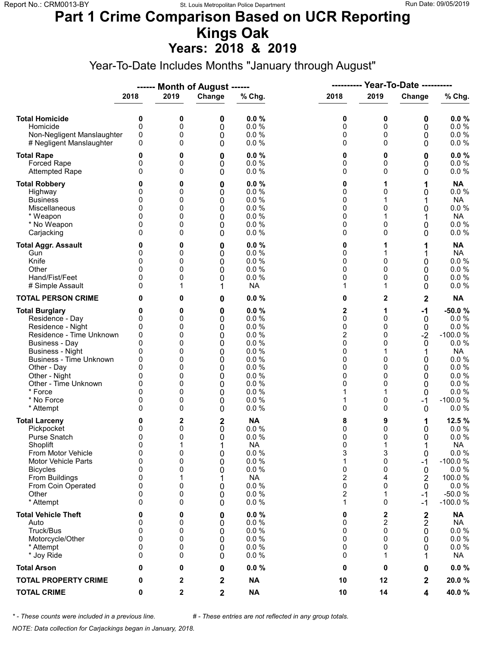#### **Part 1 Crime Comparison Based on UCR Reporting Kings Oak Years: 2018 & 2019**

Year-To-Date Includes Months "January through August"

|                                                                                                                                                                                                                                                                               |                                                                             |                                                               | ------ Month of August ------                                 |                                                                                                          | -----------                                                                 |                                                                 | <b>Year-To-Date ----------</b>                                       |                                                                                                                                   |
|-------------------------------------------------------------------------------------------------------------------------------------------------------------------------------------------------------------------------------------------------------------------------------|-----------------------------------------------------------------------------|---------------------------------------------------------------|---------------------------------------------------------------|----------------------------------------------------------------------------------------------------------|-----------------------------------------------------------------------------|-----------------------------------------------------------------|----------------------------------------------------------------------|-----------------------------------------------------------------------------------------------------------------------------------|
|                                                                                                                                                                                                                                                                               | 2018                                                                        | 2019                                                          | Change                                                        | % Chg.                                                                                                   | 2018                                                                        | 2019                                                            | Change                                                               | % Chg.                                                                                                                            |
| <b>Total Homicide</b><br>Homicide<br>Non-Negligent Manslaughter<br># Negligent Manslaughter                                                                                                                                                                                   | 0<br>0<br>0<br>0                                                            | 0<br>0<br>0<br>0                                              | 0<br>0<br>0<br>0                                              | 0.0%<br>$0.0 \%$<br>0.0 %<br>0.0 %                                                                       | 0<br>0<br>0<br>0                                                            | 0<br>0<br>0<br>$\Omega$                                         | 0<br>0<br>0<br>0                                                     | 0.0%<br>0.0 %<br>$0.0 \%$<br>0.0 %                                                                                                |
| <b>Total Rape</b><br>Forced Rape<br><b>Attempted Rape</b>                                                                                                                                                                                                                     | 0<br>0<br>$\Omega$                                                          | 0<br>0<br>0                                                   | 0<br>0<br>0                                                   | 0.0%<br>0.0%<br>0.0 %                                                                                    | 0<br>0<br>0                                                                 | 0<br>0<br>$\Omega$                                              | 0<br>0<br>0                                                          | $0.0 \%$<br>0.0 %<br>$0.0 \%$                                                                                                     |
| <b>Total Robbery</b><br>Highway<br><b>Business</b><br>Miscellaneous<br>* Weapon<br>* No Weapon<br>Carjacking                                                                                                                                                                  | 0<br>0<br>0<br>0<br>0<br>0<br>$\Omega$                                      | 0<br>0<br>0<br>0<br>0<br>0<br>0                               | 0<br>0<br>0<br>0<br>0<br>0<br>0                               | 0.0%<br>0.0%<br>0.0%<br>0.0 %<br>0.0%<br>0.0%<br>0.0 %                                                   | 0<br>0<br>0<br>0<br>0<br>0<br>0                                             | 1<br>0<br>1<br>0<br>0<br>0                                      | 1<br>0<br>0<br>0<br>0                                                | <b>NA</b><br>0.0 %<br><b>NA</b><br>0.0 %<br><b>NA</b><br>0.0 %<br>0.0%                                                            |
| <b>Total Aggr. Assault</b><br>Gun<br>Knife<br>Other<br>Hand/Fist/Feet<br># Simple Assault                                                                                                                                                                                     | 0<br>0<br>0<br>$\Omega$<br>0<br>0                                           | 0<br>0<br>0<br>0<br>0<br>1                                    | 0<br>0<br>0<br>0<br>0<br>1                                    | 0.0%<br>0.0 %<br>0.0 %<br>0.0 %<br>0.0 %<br><b>NA</b>                                                    | 0<br>0<br>0<br>0<br>0<br>1                                                  | 1<br>1<br>$\Omega$<br>0<br>0<br>1                               | 1<br>0<br>0<br>0<br>0                                                | <b>NA</b><br><b>NA</b><br>0.0 %<br>$0.0 \%$<br>0.0 %<br>$0.0 \%$                                                                  |
| <b>TOTAL PERSON CRIME</b>                                                                                                                                                                                                                                                     | 0                                                                           | 0                                                             | 0                                                             | 0.0%                                                                                                     | 0                                                                           | 2                                                               | $\overline{\mathbf{2}}$                                              | <b>NA</b>                                                                                                                         |
| <b>Total Burglary</b><br>Residence - Day<br>Residence - Night<br>Residence - Time Unknown<br><b>Business - Day</b><br><b>Business - Night</b><br><b>Business - Time Unknown</b><br>Other - Day<br>Other - Night<br>Other - Time Unknown<br>* Force<br>* No Force<br>* Attempt | 0<br>0<br>0<br>0<br>0<br>0<br>0<br>$\Omega$<br>0<br>0<br>$\Omega$<br>0<br>0 | 0<br>0<br>0<br>0<br>0<br>0<br>0<br>0<br>0<br>0<br>0<br>0<br>0 | 0<br>0<br>0<br>0<br>0<br>0<br>0<br>0<br>0<br>0<br>0<br>0<br>0 | 0.0%<br>0.0%<br>0.0 %<br>0.0%<br>0.0%<br>0.0 %<br>0.0%<br>0.0%<br>0.0%<br>0.0%<br>0.0%<br>0.0%<br>0.0%   | 2<br>0<br>0<br>2<br>0<br>0<br>0<br>0<br>0<br>0<br>1<br>1<br>0               | 1<br>$\Omega$<br>0<br>0<br>0<br>0<br>0<br>0<br>0<br>1<br>0<br>0 | $-1$<br>0<br>0<br>$-2$<br>0<br>1<br>0<br>0<br>0<br>0<br>0<br>-1<br>0 | $-50.0%$<br>0.0 %<br>0.0%<br>$-100.0%$<br>0.0%<br><b>NA</b><br>0.0 %<br>0.0%<br>0.0%<br>$0.0 \%$<br>0.0%<br>$-100.0%$<br>$0.0 \%$ |
| <b>Total Larceny</b><br>Pickpocket<br>Purse Snatch<br>Shoplift<br>From Motor Vehicle<br>Motor Vehicle Parts<br><b>Bicycles</b><br>From Buildings<br>From Coin Operated<br>Other<br>* Attempt                                                                                  | 0<br>0<br>0<br>$\Omega$<br>0<br>0<br>0<br>0<br>0<br>0<br>$\Omega$           | 2<br>0<br>0<br>1<br>0<br>0<br>0<br>1<br>0<br>0<br>0           | 2<br>0<br>0<br>1<br>0<br>0<br>0<br>1<br>0<br>0<br>0           | <b>NA</b><br>0.0 %<br>0.0%<br><b>NA</b><br>0.0 %<br>0.0 %<br>0.0%<br><b>NA</b><br>0.0 %<br>0.0%<br>0.0 % | 8<br>0<br>0<br>0<br>3<br>1<br>0<br>$\overline{2}$<br>0<br>2<br>$\mathbf{1}$ | 9<br>0<br>0<br>1<br>3<br>0<br>0<br>4<br>0<br>1<br>0             | 1<br>0<br>0<br>0<br>-1<br>0<br>2<br>0<br>-1<br>-1                    | 12.5 %<br>0.0%<br>0.0 %<br><b>NA</b><br>0.0 %<br>$-100.0%$<br>$0.0 \%$<br>100.0%<br>0.0%<br>$-50.0%$<br>$-100.0%$                 |
| <b>Total Vehicle Theft</b><br>Auto<br>Truck/Bus<br>Motorcycle/Other<br>* Attempt<br>* Joy Ride                                                                                                                                                                                | 0<br>0<br>0<br>0<br>0<br>0                                                  | 0<br>0<br>0<br>0<br>0<br>0                                    | 0<br>0<br>0<br>0<br>0<br>0                                    | 0.0%<br>0.0 %<br>0.0 %<br>0.0 %<br>0.0 %<br>0.0%                                                         | 0<br>0<br>0<br>0<br>0<br>0                                                  | 2<br>$\overline{c}$<br>$\Omega$<br>$\Omega$<br>0<br>1           | $\boldsymbol{2}$<br>2<br>0<br>0<br>0<br>1                            | <b>NA</b><br><b>NA</b><br>0.0 %<br>0.0%<br>$0.0 \%$<br><b>NA</b>                                                                  |
| <b>Total Arson</b>                                                                                                                                                                                                                                                            | 0                                                                           | 0                                                             | 0                                                             | 0.0%                                                                                                     | 0                                                                           | 0                                                               | 0                                                                    | $0.0 \%$                                                                                                                          |
| <b>TOTAL PROPERTY CRIME</b>                                                                                                                                                                                                                                                   | 0                                                                           | 2                                                             | $\mathbf 2$                                                   | <b>NA</b>                                                                                                | 10                                                                          | 12                                                              | 2                                                                    | 20.0%                                                                                                                             |
| <b>TOTAL CRIME</b>                                                                                                                                                                                                                                                            | 0                                                                           | 2                                                             | $\mathbf 2$                                                   | <b>NA</b>                                                                                                | 10                                                                          | 14                                                              | 4                                                                    | 40.0%                                                                                                                             |

*\* - These counts were included in a previous line. # - These entries are not reflected in any group totals.*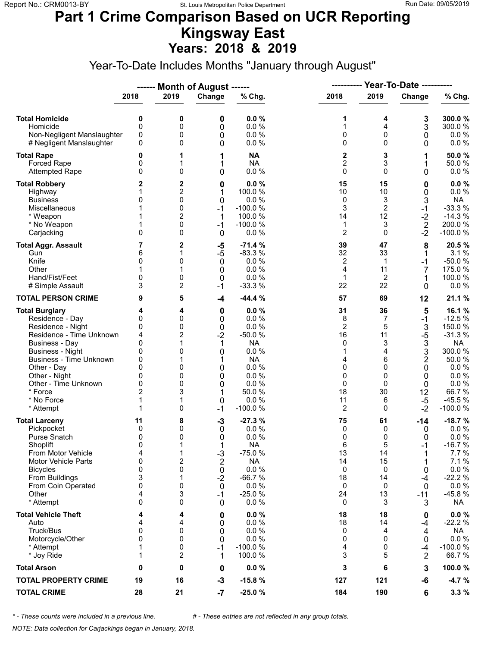#### **Part 1 Crime Comparison Based on UCR Reporting Kingsway East Years: 2018 & 2019**

Year-To-Date Includes Months "January through August"

|                                                                                                                                                                                                                                                                               |                                                                              |                                                               | ------ Month of August ------                                            |                                                                                                                            | ----------                                                                     |                                                                            | <b>Year-To-Date ----------</b>                                                                                  |                                                                                                                                      |
|-------------------------------------------------------------------------------------------------------------------------------------------------------------------------------------------------------------------------------------------------------------------------------|------------------------------------------------------------------------------|---------------------------------------------------------------|--------------------------------------------------------------------------|----------------------------------------------------------------------------------------------------------------------------|--------------------------------------------------------------------------------|----------------------------------------------------------------------------|-----------------------------------------------------------------------------------------------------------------|--------------------------------------------------------------------------------------------------------------------------------------|
|                                                                                                                                                                                                                                                                               | 2018                                                                         | 2019                                                          | Change                                                                   | % Chg.                                                                                                                     | 2018                                                                           | 2019                                                                       | Change                                                                                                          | % Chg.                                                                                                                               |
| <b>Total Homicide</b><br>Homicide<br>Non-Negligent Manslaughter<br># Negligent Manslaughter                                                                                                                                                                                   | 0<br>0<br>0<br>0                                                             | 0<br>0<br>0<br>0                                              | 0<br>0<br>0<br>0                                                         | 0.0%<br>0.0%<br>0.0 %<br>0.0 %                                                                                             | 1<br>1<br>0<br>0                                                               | 4<br>4<br>0<br>$\mathbf 0$                                                 | 3<br>3<br>0<br>0                                                                                                | 300.0%<br>300.0%<br>$0.0 \%$<br>0.0 %                                                                                                |
| <b>Total Rape</b><br>Forced Rape<br><b>Attempted Rape</b>                                                                                                                                                                                                                     | 0<br>0<br>$\Omega$                                                           | 1<br>1<br>0                                                   | 1<br>1<br>0                                                              | <b>NA</b><br><b>NA</b><br>0.0%                                                                                             | 2<br>$\overline{2}$<br>$\mathbf 0$                                             | 3<br>3<br>$\mathbf 0$                                                      | 1<br>1<br>0                                                                                                     | 50.0%<br>50.0%<br>$0.0 \%$                                                                                                           |
| <b>Total Robbery</b><br>Highway<br><b>Business</b><br>Miscellaneous<br>* Weapon<br>* No Weapon<br>Carjacking                                                                                                                                                                  | 2<br>0<br>1<br>0                                                             | 2<br>2<br>0<br>0<br>2<br>0<br>0                               | 0<br>1<br>$\mathbf{0}$<br>$-1$<br>1<br>$-1$<br>$\mathbf 0$               | 0.0%<br>100.0 %<br>0.0%<br>$-100.0%$<br>100.0 %<br>$-100.0%$<br>0.0%                                                       | 15<br>10<br>0<br>3<br>14<br>1<br>$\overline{2}$                                | 15<br>10<br>3<br>$\overline{2}$<br>12<br>3<br>$\Omega$                     | 0<br>0<br>3<br>$-1$<br>$-2$<br>$\sqrt{2}$<br>$-2$                                                               | 0.0%<br>0.0 %<br><b>NA</b><br>$-33.3%$<br>$-14.3%$<br>200.0%<br>$-100.0%$                                                            |
| <b>Total Aggr. Assault</b><br>Gun<br>Knife<br>Other<br>Hand/Fist/Feet<br># Simple Assault                                                                                                                                                                                     | 7<br>6<br>0<br>0<br>3                                                        | 2<br>1<br>0<br>1<br>0<br>2                                    | -5<br>$-5$<br>$\mathbf 0$<br>0<br>0<br>$-1$                              | $-71.4%$<br>$-83.3%$<br>0.0%<br>0.0%<br>0.0%<br>$-33.3%$                                                                   | 39<br>32<br>2<br>4<br>$\mathbf{1}$<br>22                                       | 47<br>33<br>$\mathbf 1$<br>11<br>2<br>22                                   | 8<br>1<br>$-1$<br>7<br>1<br>0                                                                                   | 20.5%<br>3.1%<br>$-50.0%$<br>175.0 %<br>100.0%<br>0.0 %                                                                              |
| <b>TOTAL PERSON CRIME</b>                                                                                                                                                                                                                                                     | 9                                                                            | 5                                                             | $-4$                                                                     | $-44.4%$                                                                                                                   | 57                                                                             | 69                                                                         | 12                                                                                                              | 21.1 %                                                                                                                               |
| <b>Total Burglary</b><br>Residence - Day<br>Residence - Night<br>Residence - Time Unknown<br><b>Business - Day</b><br><b>Business - Night</b><br><b>Business - Time Unknown</b><br>Other - Day<br>Other - Night<br>Other - Time Unknown<br>* Force<br>* No Force<br>* Attempt | 4<br>0<br>0<br>4<br>0<br>0<br>0<br>$\Omega$<br>0<br>0<br>$\overline{2}$<br>1 | 4<br>0<br>0<br>2<br>1<br>0<br>1<br>0<br>0<br>0<br>3<br>1<br>0 | 0<br>0<br>0<br>$-2$<br>1<br>0<br>1<br>0<br>0<br>0<br>0<br>$-1$           | 0.0%<br>0.0%<br>0.0%<br>$-50.0%$<br><b>NA</b><br>0.0 %<br><b>NA</b><br>0.0%<br>0.0%<br>0.0%<br>50.0 %<br>0.0%<br>$-100.0%$ | 31<br>8<br>$\overline{2}$<br>16<br>0<br>1<br>4<br>0<br>0<br>0<br>18<br>11<br>2 | 36<br>7<br>5<br>11<br>3<br>4<br>6<br>$\mathbf 0$<br>0<br>0<br>30<br>6<br>0 | 5<br>$-1$<br>3<br>$-5$<br>$\ensuremath{\mathsf{3}}$<br>3<br>$\overline{2}$<br>0<br>0<br>0<br>12<br>$-5$<br>$-2$ | 16.1%<br>$-12.5%$<br>150.0 %<br>$-31.3%$<br><b>NA</b><br>300.0%<br>50.0%<br>0.0%<br>0.0 %<br>0.0 %<br>66.7%<br>$-45.5%$<br>$-100.0%$ |
| <b>Total Larceny</b><br>Pickpocket<br><b>Purse Snatch</b><br>Shoplift<br>From Motor Vehicle<br>Motor Vehicle Parts<br><b>Bicycles</b><br>From Buildings<br>From Coin Operated<br>Other<br>* Attempt                                                                           | 11<br>0<br>0<br>0<br>4<br>$\mathbf 0$<br>0<br>3<br>0<br>4<br>$\Omega$        | 8<br>0<br>0<br>1<br>1<br>2<br>0<br>1<br>0<br>3<br>0           | $-3$<br>0<br>0<br>1<br>$-3$<br>2<br>0<br>$-2$<br>0<br>-1<br>$\mathbf{0}$ | $-27.3%$<br>0.0%<br>0.0%<br><b>NA</b><br>$-75.0%$<br><b>NA</b><br>0.0 %<br>$-66.7%$<br>0.0%<br>$-25.0%$<br>0.0%            | 75<br>0<br>0<br>6<br>13<br>14<br>0<br>18<br>0<br>24<br>0                       | 61<br>0<br>0<br>5<br>14<br>15<br>0<br>14<br>0<br>13<br>3                   | $-14$<br>0<br>0<br>$-1$<br>1<br>1<br>0<br>$-4$<br>0<br>$-11$<br>3                                               | $-18.7%$<br>$0.0 \%$<br>0.0 %<br>$-16.7%$<br>7.7 %<br>7.1%<br>0.0 %<br>$-22.2%$<br>0.0%<br>-45.8%<br>NA                              |
| <b>Total Vehicle Theft</b><br>Auto<br>Truck/Bus<br>Motorcycle/Other<br>* Attempt<br>* Joy Ride                                                                                                                                                                                | 4<br>4<br>0<br>0<br>1<br>1                                                   | 4<br>4<br>0<br>0<br>0<br>2                                    | 0<br>0<br>0<br>0<br>$-1$<br>1                                            | 0.0%<br>0.0%<br>0.0 %<br>0.0 %<br>$-100.0%$<br>100.0%                                                                      | 18<br>18<br>0<br>0<br>4<br>3                                                   | 18<br>14<br>4<br>0<br>0<br>5                                               | 0<br>$-4$<br>4<br>0<br>$-4$<br>$\overline{2}$                                                                   | $0.0 \%$<br>$-22.2%$<br><b>NA</b><br>$0.0 \%$<br>$-100.0%$<br>66.7%                                                                  |
| <b>Total Arson</b>                                                                                                                                                                                                                                                            | 0                                                                            | 0                                                             | 0                                                                        | 0.0%                                                                                                                       | 3                                                                              | 6                                                                          | 3                                                                                                               | 100.0%                                                                                                                               |
| <b>TOTAL PROPERTY CRIME</b>                                                                                                                                                                                                                                                   | 19                                                                           | 16                                                            | $-3$                                                                     | $-15.8%$                                                                                                                   | 127                                                                            | 121                                                                        | -6                                                                                                              | $-4.7%$                                                                                                                              |
| <b>TOTAL CRIME</b>                                                                                                                                                                                                                                                            | 28                                                                           | 21                                                            | $-7$                                                                     | $-25.0%$                                                                                                                   | 184                                                                            | 190                                                                        | 6                                                                                                               | 3.3%                                                                                                                                 |

*\* - These counts were included in a previous line. # - These entries are not reflected in any group totals.*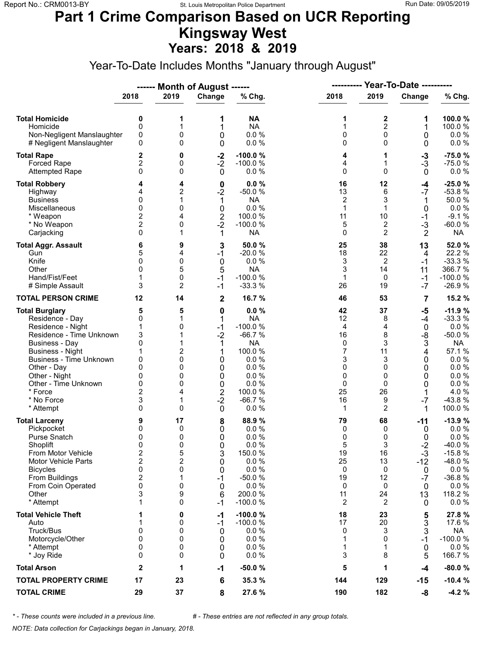### **Part 1 Crime Comparison Based on UCR Reporting Kingsway West Years: 2018 & 2019**

Year-To-Date Includes Months "January through August"

|                                                                                                                                                                                                                                                                        |                                                                                                              |                                                      | ------ Month of August ------                                                                                    |                                                                                                                                 | ----------                                                         |                                                                         | <b>Year-To-Date ----------</b>                                                    |                                                                                                                                       |
|------------------------------------------------------------------------------------------------------------------------------------------------------------------------------------------------------------------------------------------------------------------------|--------------------------------------------------------------------------------------------------------------|------------------------------------------------------|------------------------------------------------------------------------------------------------------------------|---------------------------------------------------------------------------------------------------------------------------------|--------------------------------------------------------------------|-------------------------------------------------------------------------|-----------------------------------------------------------------------------------|---------------------------------------------------------------------------------------------------------------------------------------|
|                                                                                                                                                                                                                                                                        | 2018                                                                                                         | 2019                                                 | Change                                                                                                           | % Chg.                                                                                                                          | 2018                                                               | 2019                                                                    | Change                                                                            | % Chg.                                                                                                                                |
| <b>Total Homicide</b><br>Homicide<br>Non-Negligent Manslaughter<br># Negligent Manslaughter                                                                                                                                                                            | 0<br>$\mathbf 0$<br>0<br>0                                                                                   | 1<br>1<br>0<br>0                                     | 1<br>1<br>0<br>0                                                                                                 | <b>NA</b><br><b>NA</b><br>0.0%<br>0.0%                                                                                          | 1<br>$\mathbf{1}$<br>0<br>0                                        | 2<br>$\overline{c}$<br>0<br>$\Omega$                                    | 1<br>1<br>0<br>0                                                                  | 100.0%<br>100.0%<br>$0.0 \%$<br>0.0 %                                                                                                 |
| <b>Total Rape</b><br>Forced Rape<br><b>Attempted Rape</b>                                                                                                                                                                                                              | 2<br>$\overline{c}$<br>0                                                                                     | 0<br>0<br>0                                          | $-2$<br>$-2$<br>$\mathbf 0$                                                                                      | $-100.0%$<br>$-100.0%$<br>0.0%                                                                                                  | 4<br>4<br>0                                                        | 1<br>1<br>$\Omega$                                                      | $-3$<br>$-3$<br>$\mathbf{0}$                                                      | $-75.0%$<br>$-75.0%$<br>$0.0 \%$                                                                                                      |
| <b>Total Robbery</b><br>Highway<br><b>Business</b><br>Miscellaneous<br>* Weapon<br>* No Weapon<br>Carjacking                                                                                                                                                           | 4<br>0<br>0<br>2<br>$\overline{c}$<br>$\mathbf{0}$                                                           | 4<br>2<br>1<br>0<br>4<br>0<br>1                      | $\bf{0}$<br>$-2$<br>1<br>0<br>$\overline{\mathbf{c}}$<br>$-2$<br>1                                               | $0.0 \%$<br>$-50.0%$<br><b>NA</b><br>0.0%<br>100.0 %<br>$-100.0%$<br><b>NA</b>                                                  | 16<br>13<br>$\overline{c}$<br>$\mathbf{1}$<br>11<br>5<br>0         | 12<br>6<br>3<br>$\mathbf{1}$<br>10<br>2<br>$\overline{2}$               | $-4$<br>$-7$<br>1<br>0<br>$-1$<br>$-3$<br>$\overline{2}$                          | $-25.0%$<br>$-53.8%$<br>50.0%<br>0.0 %<br>$-9.1%$<br>$-60.0%$<br><b>NA</b>                                                            |
| <b>Total Aggr. Assault</b><br>Gun<br>Knife<br>Other<br>Hand/Fist/Feet<br># Simple Assault                                                                                                                                                                              | 6<br>5<br>$\mathbf{0}$<br>$\Omega$<br>1<br>3                                                                 | 9<br>4<br>0<br>5<br>0<br>2                           | 3<br>$-1$<br>$\mathbf 0$<br>5<br>$-1$<br>$-1$                                                                    | 50.0%<br>$-20.0%$<br>0.0%<br><b>NA</b><br>$-100.0%$<br>$-33.3%$                                                                 | 25<br>18<br>3<br>3<br>$\mathbf{1}$<br>26                           | 38<br>22<br>$\overline{c}$<br>14<br>0<br>19                             | 13<br>4<br>$-1$<br>11<br>$-1$<br>$-7$                                             | 52.0%<br>22.2 %<br>$-33.3%$<br>366.7 %<br>$-100.0%$<br>$-26.9%$                                                                       |
| <b>TOTAL PERSON CRIME</b>                                                                                                                                                                                                                                              | 12                                                                                                           | 14                                                   | $\mathbf 2$                                                                                                      | 16.7%                                                                                                                           | 46                                                                 | 53                                                                      | 7                                                                                 | 15.2 %                                                                                                                                |
| <b>Total Burglary</b><br>Residence - Day<br>Residence - Night<br>Residence - Time Unknown<br>Business - Day<br><b>Business - Night</b><br><b>Business - Time Unknown</b><br>Other - Day<br>Other - Night<br>Other - Time Unknown<br>* Force<br>* No Force<br>* Attempt | 5<br>0<br>1<br>3<br>0<br>1<br>0<br>0<br>0<br>0<br>$\overline{c}$<br>3<br>$\Omega$                            | 5<br>1<br>0<br>2<br>0<br>0<br>0<br>0<br>4<br>1<br>0  | $\mathbf 0$<br>1<br>$-1$<br>$-2$<br>1<br>1<br>0<br>0<br>0<br>$\mathbf 0$<br>$\overline{\mathbf{c}}$<br>$-2$<br>0 | 0.0%<br><b>NA</b><br>$-100.0%$<br>$-66.7%$<br><b>NA</b><br>100.0%<br>0.0%<br>0.0%<br>0.0%<br>0.0%<br>100.0%<br>$-66.7%$<br>0.0% | 42<br>12<br>4<br>16<br>0<br>7<br>3<br>0<br>0<br>0<br>25<br>16<br>1 | 37<br>8<br>4<br>8<br>3<br>11<br>3<br>$\Omega$<br>0<br>0<br>26<br>9<br>2 | $-5$<br>$-4$<br>$\mathbf 0$<br>-8<br>3<br>4<br>0<br>0<br>0<br>0<br>1<br>$-7$<br>1 | $-11.9%$<br>$-33.3%$<br>0.0%<br>$-50.0%$<br><b>NA</b><br>57.1 %<br>$0.0 \%$<br>0.0%<br>0.0%<br>$0.0 \%$<br>4.0%<br>$-43.8%$<br>100.0% |
| <b>Total Larceny</b><br>Pickpocket<br>Purse Snatch<br>Shoplift<br>From Motor Vehicle<br><b>Motor Vehicle Parts</b><br><b>Bicycles</b><br>From Buildings<br>From Coin Operated<br>Other<br>* Attempt                                                                    | 9<br>0<br>0<br>$\Omega$<br>$\overline{\mathbf{c}}$<br>$\overline{2}$<br>0<br>$\boldsymbol{2}$<br>0<br>3<br>1 | 17<br>0<br>0<br>0<br>5<br>2<br>0<br>1<br>0<br>9<br>0 | 8<br>0<br>0<br>0<br>3<br>0<br>0<br>$-1$<br>0<br>6<br>$-1$                                                        | 88.9%<br>0.0%<br>0.0%<br>0.0%<br>150.0%<br>0.0%<br>0.0 %<br>$-50.0%$<br>0.0%<br>200.0%<br>$-100.0%$                             | 79<br>0<br>0<br>5<br>19<br>25<br>0<br>19<br>0<br>11<br>2           | 68<br>0<br>0<br>3<br>16<br>13<br>0<br>12<br>0<br>24<br>2                | -11<br>0<br>0<br>$-2$<br>$-3$<br>$-12$<br>0<br>$-7$<br>0<br>13<br>0               | $-13.9%$<br>$0.0 \%$<br>0.0 %<br>-40.0%<br>$-15.8%$<br>-48.0%<br>$0.0 \%$<br>$-36.8%$<br>0.0 %<br>118.2 %<br>$0.0 \%$                 |
| <b>Total Vehicle Theft</b><br>Auto<br>Truck/Bus<br>Motorcycle/Other<br>* Attempt<br>* Joy Ride                                                                                                                                                                         | 1<br>1<br>0<br>0<br>0<br>0                                                                                   | 0<br>0<br>0<br>0<br>0<br>0                           | -1<br>-1<br>0<br>0<br>0<br>0                                                                                     | $-100.0%$<br>$-100.0%$<br>0.0%<br>0.0 %<br>0.0%<br>0.0%                                                                         | 18<br>17<br>0<br>1<br>1<br>3                                       | 23<br>20<br>3<br>0<br>1<br>8                                            | 5<br>3<br>3<br>-1<br>0<br>5                                                       | 27.8%<br>17.6 %<br><b>NA</b><br>$-100.0%$<br>$0.0 \%$<br>166.7 %                                                                      |
| <b>Total Arson</b>                                                                                                                                                                                                                                                     | $\mathbf{2}$                                                                                                 | 1                                                    | $-1$                                                                                                             | $-50.0%$                                                                                                                        | 5                                                                  | 1                                                                       | $-4$                                                                              | $-80.0%$                                                                                                                              |
| <b>TOTAL PROPERTY CRIME</b>                                                                                                                                                                                                                                            | 17                                                                                                           | 23                                                   | 6                                                                                                                | 35.3 %                                                                                                                          | 144                                                                | 129                                                                     | $-15$                                                                             | $-10.4%$                                                                                                                              |
| <b>TOTAL CRIME</b>                                                                                                                                                                                                                                                     | 29                                                                                                           | 37                                                   | 8                                                                                                                | 27.6%                                                                                                                           | 190                                                                | 182                                                                     | -8                                                                                | $-4.2%$                                                                                                                               |

*\* - These counts were included in a previous line. # - These entries are not reflected in any group totals.*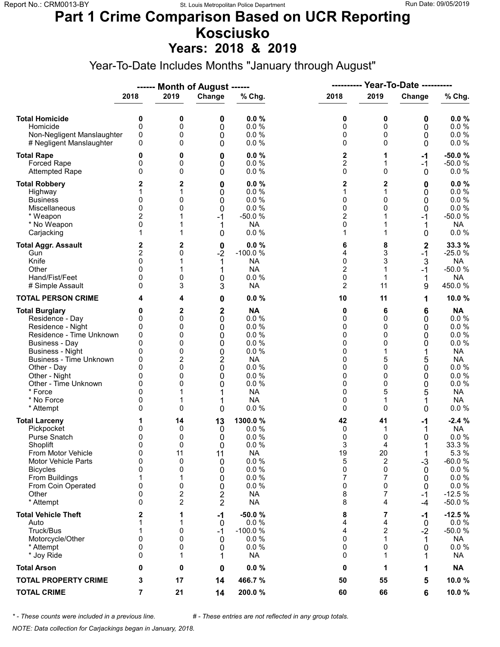# **Part 1 Crime Comparison Based on UCR Reporting Kosciusko**

**Years: 2018 & 2019**

Year-To-Date Includes Months "January through August"

|                                                                                                                                                                                                                                                                               |                                                                                        |                                                                     | ------ Month of August ------                                                   |                                                                                                                              | <b>Year-To-Date ----------</b><br>----------                  |                                                                               |                                                               |                                                                                                                                                     |
|-------------------------------------------------------------------------------------------------------------------------------------------------------------------------------------------------------------------------------------------------------------------------------|----------------------------------------------------------------------------------------|---------------------------------------------------------------------|---------------------------------------------------------------------------------|------------------------------------------------------------------------------------------------------------------------------|---------------------------------------------------------------|-------------------------------------------------------------------------------|---------------------------------------------------------------|-----------------------------------------------------------------------------------------------------------------------------------------------------|
|                                                                                                                                                                                                                                                                               | 2018                                                                                   | 2019                                                                | Change                                                                          | % Chg.                                                                                                                       | 2018                                                          | 2019                                                                          | Change                                                        | % Chg.                                                                                                                                              |
| <b>Total Homicide</b><br>Homicide<br>Non-Negligent Manslaughter<br># Negligent Manslaughter                                                                                                                                                                                   | 0<br>$\mathbf 0$<br>0<br>0                                                             | 0<br>0<br>0<br>0                                                    | 0<br>0<br>0<br>0                                                                | 0.0%<br>0.0 %<br>0.0%<br>0.0%                                                                                                | 0<br>0<br>0<br>0                                              | 0<br>0<br>0<br>$\Omega$                                                       | 0<br>0<br>0<br>0                                              | 0.0%<br>0.0 %<br>0.0 %<br>$0.0 \%$                                                                                                                  |
| <b>Total Rape</b><br>Forced Rape<br><b>Attempted Rape</b>                                                                                                                                                                                                                     | 0<br>0<br>$\mathbf{0}$                                                                 | 0<br>0<br>0                                                         | 0<br>0<br>0                                                                     | 0.0%<br>0.0 %<br>0.0%                                                                                                        | 2<br>$\overline{2}$<br>0                                      | 1<br>1<br>$\Omega$                                                            | -1<br>$-1$<br>0                                               | $-50.0%$<br>$-50.0%$<br>$0.0 \%$                                                                                                                    |
| <b>Total Robbery</b><br>Highway<br><b>Business</b><br>Miscellaneous<br>* Weapon<br>* No Weapon<br>Carjacking                                                                                                                                                                  | 2<br>0<br>$\mathbf{0}$<br>2<br>0<br>1                                                  | 2<br>1<br>0<br>0<br>1                                               | 0<br>0<br>0<br>0<br>$-1$<br>1<br>0                                              | 0.0%<br>0.0%<br>0.0%<br>0.0%<br>$-50.0%$<br><b>NA</b><br>0.0%                                                                | 2<br>1<br>0<br>0<br>$\overline{c}$<br>0<br>1                  | 2<br>0<br>$\mathbf{0}$<br>1<br>1                                              | 0<br>0<br>0<br>0<br>-1<br>0                                   | 0.0%<br>$0.0 \%$<br>0.0 %<br>$0.0 \%$<br>$-50.0%$<br><b>NA</b><br>$0.0 \%$                                                                          |
| <b>Total Aggr. Assault</b><br>Gun<br>Knife<br>Other<br>Hand/Fist/Feet<br># Simple Assault                                                                                                                                                                                     | 2<br>2<br>0<br>$\Omega$<br>0<br>0                                                      | 2<br>0<br>0<br>3                                                    | 0<br>$-2$<br>1<br>1<br>0<br>3                                                   | 0.0%<br>$-100.0%$<br><b>NA</b><br><b>NA</b><br>0.0 %<br><b>NA</b>                                                            | 6<br>4<br>0<br>$\overline{c}$<br>0<br>$\overline{2}$          | 8<br>3<br>3<br>1<br>1<br>11                                                   | $\boldsymbol{2}$<br>$-1$<br>3<br>$-1$<br>1<br>9               | 33.3 %<br>$-25.0%$<br><b>NA</b><br>$-50.0%$<br><b>NA</b><br>450.0%                                                                                  |
| <b>TOTAL PERSON CRIME</b>                                                                                                                                                                                                                                                     |                                                                                        | 4                                                                   | 0                                                                               | 0.0%                                                                                                                         | 10                                                            | 11                                                                            | 1                                                             | 10.0%                                                                                                                                               |
| <b>Total Burglary</b><br>Residence - Day<br>Residence - Night<br>Residence - Time Unknown<br><b>Business - Day</b><br><b>Business - Night</b><br><b>Business - Time Unknown</b><br>Other - Day<br>Other - Night<br>Other - Time Unknown<br>* Force<br>* No Force<br>* Attempt | 0<br>0<br>0<br>0<br>$\mathbf{0}$<br>0<br>0<br>$\Omega$<br>0<br>0<br>$\Omega$<br>0<br>0 | $\mathbf{2}$<br>0<br>0<br>0<br>0<br>0<br>2<br>0<br>0<br>0<br>1<br>0 | 2<br>0<br>0<br>0<br>0<br>0<br>$\overline{c}$<br>$\mathbf 0$<br>0<br>0<br>1<br>0 | <b>NA</b><br>0.0%<br>0.0 %<br>0.0%<br>0.0%<br>0.0%<br><b>NA</b><br>0.0 %<br>0.0%<br>0.0 %<br><b>NA</b><br><b>NA</b><br>0.0 % | 0<br>0<br>0<br>0<br>0<br>0<br>0<br>0<br>0<br>0<br>0<br>0<br>0 | 6<br>$\Omega$<br>0<br>0<br>0<br>5<br>$\Omega$<br>0<br>0<br>5<br>1<br>$\Omega$ | 6<br>0<br>0<br>0<br>0<br>1<br>5<br>0<br>0<br>0<br>5<br>1<br>0 | <b>NA</b><br>$0.0 \%$<br>$0.0 \%$<br>0.0 %<br>$0.0 \%$<br><b>NA</b><br><b>NA</b><br>$0.0 \%$<br>0.0%<br>0.0 %<br><b>NA</b><br><b>NA</b><br>$0.0 \%$ |
| <b>Total Larceny</b><br>Pickpocket<br>Purse Snatch<br>Shoplift<br>From Motor Vehicle<br>Motor Vehicle Parts<br><b>Bicycles</b><br>From Buildings<br>From Coin Operated<br>Other<br>* Attempt                                                                                  | 1<br>0<br>0<br>$\mathbf{0}$<br>0<br>0<br>0<br>1<br>0<br>0<br>0                         | 14<br>0<br>0<br>0<br>11<br>0<br>0<br>1<br>0<br>2<br>$\overline{2}$  | 13<br>0<br>0<br>$\Omega$<br>11<br>0<br>0<br>0<br>0<br>2<br>$\overline{2}$       | 1300.0%<br>0.0%<br>0.0%<br>0.0%<br><b>NA</b><br>0.0 %<br>0.0 %<br>0.0 %<br>0.0 %<br><b>NA</b><br><b>NA</b>                   | 42<br>0<br>0<br>3<br>19<br>5<br>0<br>7<br>0<br>8<br>8         | 41<br>1<br>0<br>4<br>20<br>2<br>0<br>7<br>$\mathbf 0$<br>7<br>4               | -1<br>1<br>0<br>1<br>$-3$<br>0<br>0<br>0<br>$-1$<br>-4        | $-2.4%$<br><b>NA</b><br>0.0 %<br>33.3 %<br>5.3 %<br>$-60.0%$<br>$0.0 \%$<br>0.0 %<br>0.0 %<br>$-12.5%$<br>$-50.0%$                                  |
| <b>Total Vehicle Theft</b><br>Auto<br>Truck/Bus<br>Motorcycle/Other<br>* Attempt<br>* Joy Ride                                                                                                                                                                                | 2<br>1<br>1<br>0<br>0<br>0                                                             | 1<br>1<br>0<br>0<br>0<br>1                                          | $-1$<br>$\mathbf 0$<br>$-1$<br>0<br>0<br>1                                      | $-50.0%$<br>0.0%<br>$-100.0%$<br>0.0%<br>0.0%<br><b>NA</b>                                                                   | 8<br>4<br>4<br>0<br>0<br>0                                    | 7<br>4<br>2<br>$\mathbf{1}$<br>0<br>1                                         | -1<br>0<br>$-2$<br>1<br>0                                     | $-12.5%$<br>$0.0 \%$<br>$-50.0%$<br><b>NA</b><br>$0.0 \%$<br><b>NA</b>                                                                              |
| <b>Total Arson</b>                                                                                                                                                                                                                                                            | 0                                                                                      | 0                                                                   | 0                                                                               | 0.0%                                                                                                                         | 0                                                             | 1                                                                             | 1                                                             | <b>NA</b>                                                                                                                                           |
| <b>TOTAL PROPERTY CRIME</b>                                                                                                                                                                                                                                                   | 3                                                                                      | 17                                                                  | 14                                                                              | 466.7%                                                                                                                       | 50                                                            | 55                                                                            | 5                                                             | 10.0%                                                                                                                                               |
| <b>TOTAL CRIME</b>                                                                                                                                                                                                                                                            | 7                                                                                      | 21                                                                  | 14                                                                              | 200.0%                                                                                                                       | 60                                                            | 66                                                                            | 6                                                             | 10.0%                                                                                                                                               |

*\* - These counts were included in a previous line. # - These entries are not reflected in any group totals.*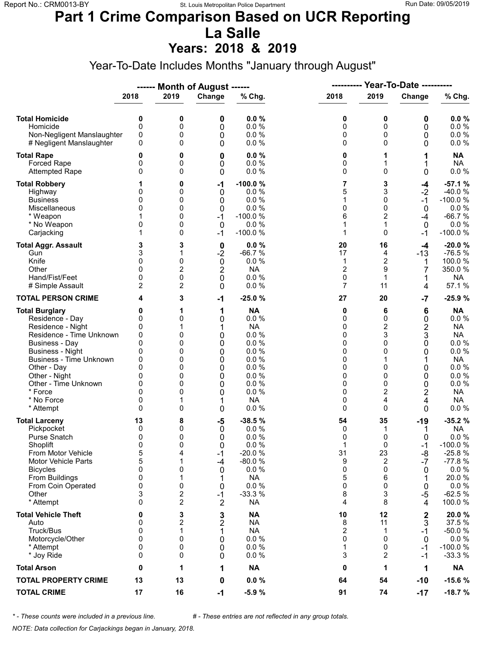### **Part 1 Crime Comparison Based on UCR Reporting La Salle**

**Years: 2018 & 2019**

Year-To-Date Includes Months "January through August"

|                                                                                                                                                                                                                                                                               |                                                                                        |                                                                  | ------ Month of August ------                                                   |                                                                                                                     | <b>Year-To-Date ----------</b><br>----------                  |                                                                                                                  |                                                                            |                                                                                                                                     |  |
|-------------------------------------------------------------------------------------------------------------------------------------------------------------------------------------------------------------------------------------------------------------------------------|----------------------------------------------------------------------------------------|------------------------------------------------------------------|---------------------------------------------------------------------------------|---------------------------------------------------------------------------------------------------------------------|---------------------------------------------------------------|------------------------------------------------------------------------------------------------------------------|----------------------------------------------------------------------------|-------------------------------------------------------------------------------------------------------------------------------------|--|
|                                                                                                                                                                                                                                                                               | 2018                                                                                   | 2019                                                             | Change                                                                          | % Chg.                                                                                                              | 2018                                                          | 2019                                                                                                             | Change                                                                     | % Chg.                                                                                                                              |  |
| <b>Total Homicide</b><br>Homicide<br>Non-Negligent Manslaughter<br># Negligent Manslaughter                                                                                                                                                                                   | 0<br>$\mathbf 0$<br>0<br>0                                                             | 0<br>0<br>0<br>0                                                 | 0<br>0<br>0<br>0                                                                | 0.0%<br>0.0%<br>0.0%<br>0.0%                                                                                        | 0<br>0<br>0<br>0                                              | 0<br>0<br>0<br>$\Omega$                                                                                          | 0<br>0<br>0<br>0                                                           | 0.0%<br>0.0 %<br>0.0 %<br>$0.0 \%$                                                                                                  |  |
| <b>Total Rape</b><br>Forced Rape<br><b>Attempted Rape</b>                                                                                                                                                                                                                     | 0<br>0<br>$\Omega$                                                                     | 0<br>0<br>0                                                      | 0<br>0<br>0                                                                     | 0.0%<br>0.0%<br>0.0%                                                                                                | 0<br>0<br>0                                                   | 1<br>$\Omega$                                                                                                    | 1<br>0                                                                     | <b>NA</b><br><b>NA</b><br>0.0 %                                                                                                     |  |
| <b>Total Robbery</b><br>Highway<br><b>Business</b><br>Miscellaneous<br>* Weapon<br>* No Weapon<br>Carjacking                                                                                                                                                                  | 0<br>0<br>0<br>0<br>1                                                                  | 0<br>0<br>0<br>0<br>0<br>0<br>0                                  | $-1$<br>0<br>0<br>0<br>$-1$<br>$\mathbf 0$<br>$-1$                              | $-100.0%$<br>0.0%<br>0.0%<br>0.0%<br>$-100.0%$<br>0.0 %<br>$-100.0%$                                                | 7<br>5<br>1<br>0<br>6<br>1<br>1                               | 3<br>3<br>0<br>0<br>$\overline{2}$<br>1<br>$\Omega$                                                              | $-4$<br>$-2$<br>$-1$<br>0<br>-4<br>0<br>$-1$                               | $-57.1%$<br>$-40.0%$<br>$-100.0%$<br>0.0 %<br>$-66.7%$<br>0.0%<br>$-100.0%$                                                         |  |
| <b>Total Aggr. Assault</b><br>Gun<br>Knife<br>Other<br>Hand/Fist/Feet<br># Simple Assault                                                                                                                                                                                     | 3<br>3<br>0<br>$\Omega$<br>0<br>2                                                      | 3<br>1<br>0<br>$\overline{2}$<br>0<br>2                          | 0<br>$-2$<br>$\mathbf 0$<br>$\overline{2}$<br>0<br>0                            | 0.0%<br>$-66.7%$<br>0.0%<br><b>NA</b><br>0.0 %<br>0.0%                                                              | 20<br>17<br>1<br>2<br>0<br>7                                  | 16<br>4<br>$\overline{c}$<br>9<br>1<br>11                                                                        | $-4$<br>$-13$<br>1<br>7<br>1<br>4                                          | $-20.0%$<br>$-76.5%$<br>100.0%<br>350.0%<br><b>NA</b><br>57.1 %                                                                     |  |
| <b>TOTAL PERSON CRIME</b>                                                                                                                                                                                                                                                     | 4                                                                                      | 3                                                                | $-1$                                                                            | $-25.0%$                                                                                                            | 27                                                            | 20                                                                                                               | $-7$                                                                       | $-25.9%$                                                                                                                            |  |
| <b>Total Burglary</b><br>Residence - Day<br>Residence - Night<br>Residence - Time Unknown<br><b>Business - Day</b><br><b>Business - Night</b><br><b>Business - Time Unknown</b><br>Other - Day<br>Other - Night<br>Other - Time Unknown<br>* Force<br>* No Force<br>* Attempt | 0<br>0<br>0<br>0<br>$\mathbf{0}$<br>0<br>0<br>$\Omega$<br>0<br>0<br>$\Omega$<br>0<br>0 | 1<br>0<br>1<br>0<br>0<br>0<br>0<br>0<br>0<br>0<br>0<br>0         | 1<br>0<br>1<br>0<br>0<br>0<br>0<br>0<br>0<br>0<br>0<br>1<br>0                   | <b>NA</b><br>0.0%<br><b>NA</b><br>0.0%<br>0.0%<br>0.0%<br>0.0%<br>0.0%<br>0.0%<br>0.0%<br>0.0%<br><b>NA</b><br>0.0% | 0<br>0<br>0<br>0<br>0<br>0<br>0<br>0<br>0<br>0<br>0<br>0<br>0 | 6<br>0<br>$\overline{\mathbf{c}}$<br>3<br>$\Omega$<br>0<br>$\Omega$<br>0<br>0<br>$\overline{2}$<br>4<br>$\Omega$ | 6<br>0<br>$\overline{2}$<br>3<br>0<br>0<br>1<br>0<br>0<br>0<br>2<br>4<br>0 | <b>NA</b><br>0.0 %<br>NA<br><b>NA</b><br>0.0 %<br>0.0%<br><b>NA</b><br>0.0 %<br>0.0%<br>0.0 %<br><b>NA</b><br><b>NA</b><br>$0.0 \%$ |  |
| <b>Total Larceny</b><br>Pickpocket<br>Purse Snatch<br>Shoplift<br>From Motor Vehicle<br>Motor Vehicle Parts<br><b>Bicycles</b><br>From Buildings<br>From Coin Operated<br>Other<br>* Attempt                                                                                  | 13<br>0<br>0<br>$\mathbf{0}$<br>5<br>5<br>0<br>0<br>0<br>3<br>$\Omega$                 | 8<br>0<br>0<br>0<br>4<br>1<br>0<br>1<br>0<br>2<br>$\overline{c}$ | -5<br>0<br>0<br>$\Omega$<br>$-1$<br>-4<br>0<br>1<br>0<br>$-1$<br>$\overline{2}$ | $-38.5%$<br>0.0%<br>0.0%<br>0.0%<br>$-20.0%$<br>$-80.0%$<br>0.0 %<br><b>NA</b><br>0.0%<br>$-33.3%$<br><b>NA</b>     | 54<br>0<br>0<br>1<br>31<br>9<br>0<br>5<br>0<br>8<br>4         | 35<br>1<br>0<br>$\Omega$<br>23<br>$\overline{2}$<br>0<br>6<br>0<br>3<br>8                                        | $-19$<br>1<br>0<br>$-1$<br>-8<br>$-7$<br>0<br>1<br>0<br>$-5$<br>4          | $-35.2%$<br><b>NA</b><br>0.0 %<br>$-100.0%$<br>$-25.8%$<br>$-77.8%$<br>$0.0 \%$<br>20.0%<br>$0.0 \%$<br>$-62.5%$<br>100.0%          |  |
| <b>Total Vehicle Theft</b><br>Auto<br>Truck/Bus<br>Motorcycle/Other<br>* Attempt<br>* Joy Ride                                                                                                                                                                                | 0<br>0<br>0<br>0<br>0<br>0                                                             | 3<br>2<br>1<br>0<br>0<br>0                                       | 3<br>$\overline{2}$<br>1<br>0<br>0<br>0                                         | <b>NA</b><br><b>NA</b><br><b>NA</b><br>0.0 %<br>0.0 %<br>0.0%                                                       | 10<br>8<br>2<br>0<br>1<br>3                                   | 12<br>11<br>1<br>$\Omega$<br>0<br>2                                                                              | $\boldsymbol{2}$<br>3<br>$-1$<br>0<br>-1<br>-1                             | 20.0%<br>37.5 %<br>$-50.0%$<br>$0.0 \%$<br>$-100.0%$<br>$-33.3%$                                                                    |  |
| <b>Total Arson</b>                                                                                                                                                                                                                                                            | 0                                                                                      | 1                                                                | 1                                                                               | <b>NA</b>                                                                                                           | 0                                                             | 1                                                                                                                | 1                                                                          | <b>NA</b>                                                                                                                           |  |
| <b>TOTAL PROPERTY CRIME</b>                                                                                                                                                                                                                                                   | 13                                                                                     | 13                                                               | 0                                                                               | $0.0 \%$                                                                                                            | 64                                                            | 54                                                                                                               | $-10$                                                                      | $-15.6%$                                                                                                                            |  |
| <b>TOTAL CRIME</b>                                                                                                                                                                                                                                                            | 17                                                                                     | 16                                                               | $-1$                                                                            | $-5.9%$                                                                                                             | 91                                                            | 74                                                                                                               | $-17$                                                                      | $-18.7%$                                                                                                                            |  |

*\* - These counts were included in a previous line. # - These entries are not reflected in any group totals.*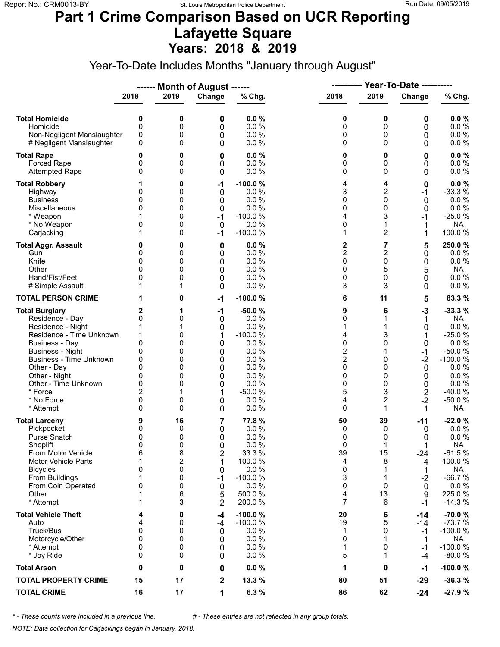### **Part 1 Crime Comparison Based on UCR Reporting Lafayette Square Years: 2018 & 2019**

Year-To-Date Includes Months "January through August"

|                                                                                                                                                                                                                                                                               |                                                                                   |                                                               | ------ Month of August ------                                          |                                                                                                                    | ----------                                                                                       |                                                            | <b>Year-To-Date ----------</b>                                                  |                                                                                                                                     |
|-------------------------------------------------------------------------------------------------------------------------------------------------------------------------------------------------------------------------------------------------------------------------------|-----------------------------------------------------------------------------------|---------------------------------------------------------------|------------------------------------------------------------------------|--------------------------------------------------------------------------------------------------------------------|--------------------------------------------------------------------------------------------------|------------------------------------------------------------|---------------------------------------------------------------------------------|-------------------------------------------------------------------------------------------------------------------------------------|
|                                                                                                                                                                                                                                                                               | 2018                                                                              | 2019                                                          | Change                                                                 | % Chg.                                                                                                             | 2018                                                                                             | 2019                                                       | Change                                                                          | % Chg.                                                                                                                              |
| <b>Total Homicide</b><br>Homicide<br>Non-Negligent Manslaughter<br># Negligent Manslaughter                                                                                                                                                                                   | 0<br>$\mathbf 0$<br>0<br>0                                                        | 0<br>0<br>0<br>0                                              | 0<br>0<br>0<br>0                                                       | 0.0%<br>0.0 %<br>0.0%<br>0.0%                                                                                      | 0<br>0<br>0<br>0                                                                                 | 0<br>0<br>0<br>$\Omega$                                    | 0<br>0<br>0<br>0                                                                | 0.0%<br>0.0 %<br>0.0 %<br>0.0 %                                                                                                     |
| <b>Total Rape</b><br>Forced Rape<br><b>Attempted Rape</b>                                                                                                                                                                                                                     | 0<br>0<br>0                                                                       | 0<br>0<br>0                                                   | 0<br>0<br>0                                                            | 0.0%<br>0.0%<br>0.0%                                                                                               | 0<br>0<br>0                                                                                      | 0<br>0<br>$\Omega$                                         | 0<br>0<br>0                                                                     | 0.0%<br>0.0 %<br>0.0 %                                                                                                              |
| <b>Total Robbery</b><br>Highway<br><b>Business</b><br>Miscellaneous<br>* Weapon<br>* No Weapon<br>Carjacking                                                                                                                                                                  | 0<br>0<br>$\Omega$<br>0                                                           | 0<br>0<br>0<br>0<br>0<br>0<br>0                               | -1<br>0<br>0<br>0<br>$-1$<br>$\mathbf 0$<br>$-1$                       | $-100.0%$<br>0.0%<br>0.0%<br>0.0%<br>$-100.0%$<br>0.0 %<br>$-100.0%$                                               | 4<br>3<br>0<br>0<br>4<br>0<br>1                                                                  | 4<br>$\overline{2}$<br>0<br>0<br>3<br>1<br>$\overline{2}$  | 0<br>$-1$<br>0<br>0<br>-1<br>1                                                  | $0.0 \%$<br>$-33.3%$<br>0.0%<br>0.0 %<br>$-25.0%$<br><b>NA</b><br>100.0 %                                                           |
| <b>Total Aggr. Assault</b><br>Gun<br>Knife<br>Other<br>Hand/Fist/Feet<br># Simple Assault                                                                                                                                                                                     | 0<br>0<br>$\Omega$<br>0<br>1                                                      | 0<br>0<br>0<br>0<br>0<br>1                                    | 0<br>0<br>0<br>0<br>0<br>0                                             | 0.0%<br>0.0%<br>0.0%<br>0.0%<br>0.0%<br>0.0%                                                                       | 2<br>$\overline{c}$<br>0<br>0<br>0<br>3                                                          | 7<br>$\overline{c}$<br>0<br>5<br>0<br>3                    | 5<br>0<br>0<br>5<br>0<br>0                                                      | 250.0%<br>$0.0 \%$<br>0.0 %<br>NA<br>$0.0 \%$<br>$0.0 \%$                                                                           |
| <b>TOTAL PERSON CRIME</b>                                                                                                                                                                                                                                                     | 1                                                                                 | 0                                                             | $-1$                                                                   | $-100.0%$                                                                                                          | 6                                                                                                | 11                                                         | 5                                                                               | 83.3 %                                                                                                                              |
| <b>Total Burglary</b><br>Residence - Day<br>Residence - Night<br>Residence - Time Unknown<br><b>Business - Day</b><br><b>Business - Night</b><br><b>Business - Time Unknown</b><br>Other - Day<br>Other - Night<br>Other - Time Unknown<br>* Force<br>* No Force<br>* Attempt | 2<br>0<br>1<br>1<br>0<br>0<br>0<br>$\Omega$<br>0<br>0<br>$\overline{2}$<br>0<br>0 | 1<br>0<br>1<br>0<br>0<br>0<br>0<br>0<br>0<br>0<br>1<br>0<br>0 | $-1$<br>0<br>0<br>$-1$<br>0<br>0<br>0<br>0<br>0<br>0<br>$-1$<br>0<br>0 | $-50.0%$<br>0.0 %<br>0.0%<br>$-100.0%$<br>0.0%<br>0.0%<br>0.0%<br>0.0%<br>0.0%<br>0.0%<br>$-50.0%$<br>0.0%<br>0.0% | 9<br>0<br>1<br>4<br>0<br>$\overline{\mathbf{c}}$<br>$\overline{2}$<br>0<br>0<br>0<br>5<br>4<br>0 | 6<br>1<br>3<br>0<br>0<br>$\Omega$<br>0<br>0<br>3<br>2<br>1 | $-3$<br>1<br>0<br>$-1$<br>0<br>$-1$<br>$-2$<br>0<br>0<br>0<br>$-2$<br>$-2$<br>1 | $-33.3%$<br>NA<br>0.0 %<br>$-25.0%$<br>0.0 %<br>$-50.0%$<br>$-100.0%$<br>0.0%<br>0.0%<br>0.0 %<br>$-40.0%$<br>$-50.0%$<br><b>NA</b> |
| <b>Total Larceny</b><br>Pickpocket<br>Purse Snatch<br>Shoplift<br>From Motor Vehicle<br><b>Motor Vehicle Parts</b><br><b>Bicycles</b><br>From Buildings<br>From Coin Operated<br>Other<br>* Attempt                                                                           | 9<br>0<br>0<br>$\mathbf{0}$<br>6<br>1<br>0<br>1<br>0<br>1<br>1                    | 16<br>0<br>0<br>0<br>8<br>2<br>0<br>0<br>0<br>6<br>3          | 7<br>0<br>0<br>0<br>2<br>1<br>0<br>$-1$<br>0<br>5<br>$\overline{2}$    | 77.8%<br>0.0%<br>0.0%<br>0.0%<br>33.3 %<br>100.0 %<br>0.0 %<br>$-100.0%$<br>0.0%<br>500.0%<br>200.0%               | 50<br>0<br>0<br>0<br>39<br>4<br>0<br>3<br>0<br>4<br>7                                            | 39<br>0<br>0<br>1<br>15<br>8<br>1<br>1<br>0<br>13<br>6     | -11<br>0<br>0<br>$-24$<br>4<br>1<br>$-2$<br>0<br>9<br>$-1$                      | $-22.0%$<br>0.0 %<br>0.0 %<br><b>NA</b><br>$-61.5%$<br>100.0%<br><b>NA</b><br>$-66.7%$<br>$0.0 \%$<br>225.0%<br>$-14.3%$            |
| <b>Total Vehicle Theft</b><br>Auto<br>Truck/Bus<br>Motorcycle/Other<br>* Attempt<br>* Joy Ride                                                                                                                                                                                | 4<br>4<br>0<br>0<br>0<br>0                                                        | 0<br>0<br>0<br>0<br>0<br>0                                    | -4<br>-4<br>0<br>0<br>0<br>0                                           | $-100.0%$<br>$-100.0%$<br>0.0%<br>0.0%<br>0.0%<br>0.0%                                                             | 20<br>19<br>1<br>0<br>1<br>5                                                                     | 6<br>5<br>0<br>1<br>0<br>1                                 | $-14$<br>-14<br>$-1$<br>1<br>$-1$<br>-4                                         | $-70.0%$<br>$-73.7%$<br>$-100.0%$<br>NA<br>$-100.0%$<br>$-80.0%$                                                                    |
| <b>Total Arson</b>                                                                                                                                                                                                                                                            | 0                                                                                 | 0                                                             | 0                                                                      | 0.0%                                                                                                               | 1                                                                                                | 0                                                          | -1                                                                              | $-100.0%$                                                                                                                           |
| <b>TOTAL PROPERTY CRIME</b>                                                                                                                                                                                                                                                   | 15                                                                                | 17                                                            | $\mathbf 2$                                                            | 13.3 %                                                                                                             | 80                                                                                               | 51                                                         | $-29$                                                                           | $-36.3%$                                                                                                                            |
| <b>TOTAL CRIME</b>                                                                                                                                                                                                                                                            | 16                                                                                | 17                                                            | 1                                                                      | 6.3 %                                                                                                              | 86                                                                                               | 62                                                         | $-24$                                                                           | $-27.9%$                                                                                                                            |

*\* - These counts were included in a previous line. # - These entries are not reflected in any group totals.*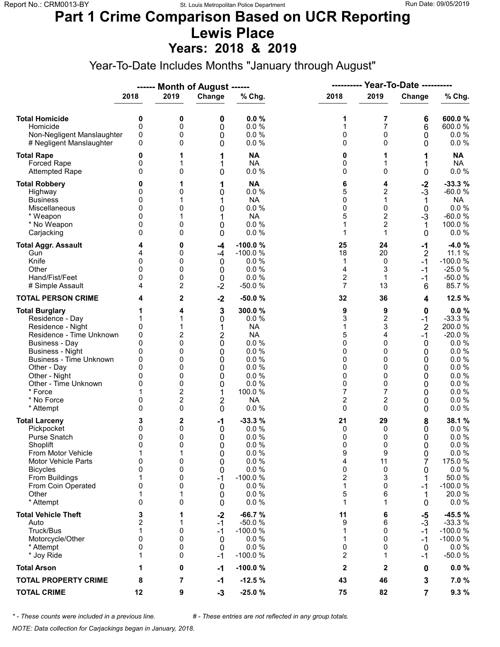#### **Part 1 Crime Comparison Based on UCR Reporting Lewis Place Years: 2018 & 2019**

Year-To-Date Includes Months "January through August"

|                                                                                                                                                                                                                                                                               |                                                                         |                                                                       | ------ Month of August ------                                 |                                                                                                                          |                                                                                     | ---------- Year-To-Date ----------                                                                                    |                                                                                  |                                                                                                                           |
|-------------------------------------------------------------------------------------------------------------------------------------------------------------------------------------------------------------------------------------------------------------------------------|-------------------------------------------------------------------------|-----------------------------------------------------------------------|---------------------------------------------------------------|--------------------------------------------------------------------------------------------------------------------------|-------------------------------------------------------------------------------------|-----------------------------------------------------------------------------------------------------------------------|----------------------------------------------------------------------------------|---------------------------------------------------------------------------------------------------------------------------|
|                                                                                                                                                                                                                                                                               | 2018                                                                    | 2019                                                                  | Change                                                        | % Chg.                                                                                                                   | 2018                                                                                | 2019                                                                                                                  | Change                                                                           | % Chg.                                                                                                                    |
| <b>Total Homicide</b><br>Homicide<br>Non-Negligent Manslaughter<br># Negligent Manslaughter                                                                                                                                                                                   | 0<br>0<br>0<br>0                                                        | 0<br>0<br>0<br>0                                                      | 0<br>0<br>0<br>0                                              | 0.0%<br>0.0%<br>0.0%<br>0.0%                                                                                             | 1<br>1<br>0<br>0                                                                    | 7<br>7<br>0<br>0                                                                                                      | 6<br>6<br>0<br>0                                                                 | 600.0%<br>600.0%<br>0.0 %<br>$0.0 \%$                                                                                     |
| <b>Total Rape</b><br>Forced Rape<br><b>Attempted Rape</b>                                                                                                                                                                                                                     | 0<br>0<br>0                                                             | 1<br>1<br>0                                                           | 1<br>1<br>0                                                   | <b>NA</b><br><b>NA</b><br>0.0 %                                                                                          | 0<br>0<br>0                                                                         | 1<br>1<br>$\Omega$                                                                                                    | 1<br>1<br>0                                                                      | <b>NA</b><br><b>NA</b><br>0.0 %                                                                                           |
| <b>Total Robbery</b><br>Highway<br><b>Business</b><br>Miscellaneous<br>* Weapon<br>* No Weapon<br>Carjacking                                                                                                                                                                  | 0<br>0<br>0<br>0<br>0<br>0<br>0                                         | 1<br>0<br>0<br>1<br>0<br>0                                            | 1<br>0<br>1<br>0<br>1<br>0<br>0                               | <b>NA</b><br>0.0 %<br><b>NA</b><br>0.0 %<br><b>NA</b><br>0.0%<br>0.0%                                                    | 6<br>5<br>0<br>0<br>5<br>1<br>1                                                     | 4<br>2<br>1<br>0<br>$\overline{c}$<br>$\overline{2}$<br>1                                                             | $\frac{-2}{3}$<br>1<br>0<br>$-3$<br>1<br>0                                       | $-33.3%$<br>$-60.0%$<br>NA<br>0.0 %<br>$-60.0%$<br>100.0 %<br>0.0%                                                        |
| <b>Total Aggr. Assault</b><br>Gun<br>Knife<br>Other<br>Hand/Fist/Feet<br># Simple Assault                                                                                                                                                                                     | 0<br>0<br>$\Omega$<br>4                                                 | 0<br>0<br>0<br>0<br>0<br>2                                            | -4<br>-4<br>$\mathbf 0$<br>0<br>0<br>$-2$                     | $-100.0%$<br>$-100.0%$<br>0.0%<br>0.0%<br>0.0%<br>$-50.0%$                                                               | 25<br>18<br>1<br>4<br>$\overline{c}$<br>$\overline{7}$                              | 24<br>20<br>0<br>3<br>1<br>13                                                                                         | $-1$<br>$\overline{2}$<br>$-1$<br>$-1$<br>$-1$<br>6                              | $-4.0%$<br>11.1 %<br>$-100.0%$<br>$-25.0%$<br>$-50.0%$<br>85.7%                                                           |
| <b>TOTAL PERSON CRIME</b>                                                                                                                                                                                                                                                     | 4                                                                       | $\overline{2}$                                                        | $-2$                                                          | $-50.0%$                                                                                                                 | 32                                                                                  | 36                                                                                                                    | 4                                                                                | 12.5 %                                                                                                                    |
| <b>Total Burglary</b><br>Residence - Day<br>Residence - Night<br>Residence - Time Unknown<br><b>Business - Day</b><br><b>Business - Night</b><br><b>Business - Time Unknown</b><br>Other - Day<br>Other - Night<br>Other - Time Unknown<br>* Force<br>* No Force<br>* Attempt | 0<br>0<br>0<br>$\mathbf{0}$<br>0<br>0<br>$\Omega$<br>0<br>$\Omega$<br>0 | 4<br>1<br>2<br>0<br>0<br>0<br>0<br>0<br>0<br>2<br>$\overline{2}$<br>0 | 3<br>0<br>1<br>2<br>0<br>0<br>0<br>0<br>0<br>0<br>1<br>2<br>0 | 300.0%<br>0.0 %<br><b>NA</b><br><b>NA</b><br>0.0%<br>0.0%<br>0.0%<br>0.0%<br>0.0%<br>0.0%<br>100.0%<br><b>NA</b><br>0.0% | 9<br>3<br>1<br>5<br>0<br>0<br>0<br>0<br>0<br>0<br>7<br>$\overline{\mathbf{c}}$<br>0 | 9<br>$\overline{\mathbf{c}}$<br>3<br>4<br>0<br>$\Omega$<br>0<br>0<br>$\Omega$<br>0<br>7<br>$\overline{c}$<br>$\Omega$ | 0<br>$-1$<br>$\overline{2}$<br>$-1$<br>0<br>0<br>0<br>0<br>0<br>0<br>0<br>0<br>0 | 0.0%<br>$-33.3%$<br>200.0%<br>$-20.0%$<br>0.0 %<br>0.0 %<br>0.0 %<br>0.0 %<br>0.0 %<br>$0.0 \%$<br>0.0 %<br>0.0%<br>0.0 % |
| <b>Total Larceny</b><br>Pickpocket<br><b>Purse Snatch</b><br>Shoplift<br>From Motor Vehicle<br>Motor Vehicle Parts<br><b>Bicycles</b><br>From Buildings<br>From Coin Operated<br>Other<br>* Attempt                                                                           | 3<br>0<br>0<br>$\Omega$<br>1<br>0<br>0<br>1<br>0<br>0                   | 2<br>0<br>0<br>0<br>1<br>0<br>0<br>0<br>0<br>0                        | -1<br>0<br>0<br>0<br>0<br>0<br>0<br>$-1$<br>0<br>0<br>0       | $-33.3%$<br>0.0 %<br>0.0%<br>0.0 %<br>0.0 %<br>0.0 %<br>0.0 %<br>$-100.0%$<br>0.0%<br>0.0%<br>0.0%                       | 21<br>0<br>0<br><sup>0</sup><br>9<br>4<br>0<br>2<br>1<br>5<br>1                     | 29<br>0<br>0<br>$\Omega$<br>9<br>11<br>0<br>3<br>0<br>6<br>1                                                          | 8<br>0<br>0<br>0<br>0<br>7<br>0<br>-1<br>1<br>0                                  | 38.1 %<br>0.0%<br>0.0 %<br>0.0 %<br>$0.0\ \%$<br>175.0 %<br>0.0 %<br>50.0%<br>$-100.0%$<br>20.0 %<br>$0.0 \%$             |
| <b>Total Vehicle Theft</b><br>Auto<br>Truck/Bus<br>Motorcycle/Other<br>* Attempt<br>* Joy Ride                                                                                                                                                                                | 3<br>2<br>1<br>0<br>$\Omega$<br>1                                       | 1<br>1<br>0<br>0<br>0<br>0                                            | $-2$<br>$-1$<br>$-1$<br>0<br>0<br>-1                          | $-66.7%$<br>$-50.0%$<br>$-100.0%$<br>0.0%<br>0.0%<br>$-100.0%$                                                           | 11<br>9<br>1<br>1<br>0<br>2                                                         | 6<br>6<br>0<br>0<br>0<br>1                                                                                            | $-5$<br>$-3$<br>$-1$<br>$-1$<br>0<br>-1                                          | $-45.5%$<br>$-33.3%$<br>$-100.0%$<br>$-100.0%$<br>$0.0 \%$<br>$-50.0%$                                                    |
| <b>Total Arson</b>                                                                                                                                                                                                                                                            | 1                                                                       | 0                                                                     | -1                                                            | $-100.0%$                                                                                                                | $\mathbf{2}$                                                                        | 2                                                                                                                     | 0                                                                                | $0.0 \%$                                                                                                                  |
| <b>TOTAL PROPERTY CRIME</b>                                                                                                                                                                                                                                                   | 8                                                                       | 7                                                                     | -1                                                            | $-12.5%$                                                                                                                 | 43                                                                                  | 46                                                                                                                    | 3                                                                                | 7.0%                                                                                                                      |
| <b>TOTAL CRIME</b>                                                                                                                                                                                                                                                            | 12                                                                      | 9                                                                     | $-3$                                                          | $-25.0%$                                                                                                                 | 75                                                                                  | 82                                                                                                                    | $\overline{7}$                                                                   | 9.3%                                                                                                                      |

*\* - These counts were included in a previous line. # - These entries are not reflected in any group totals.*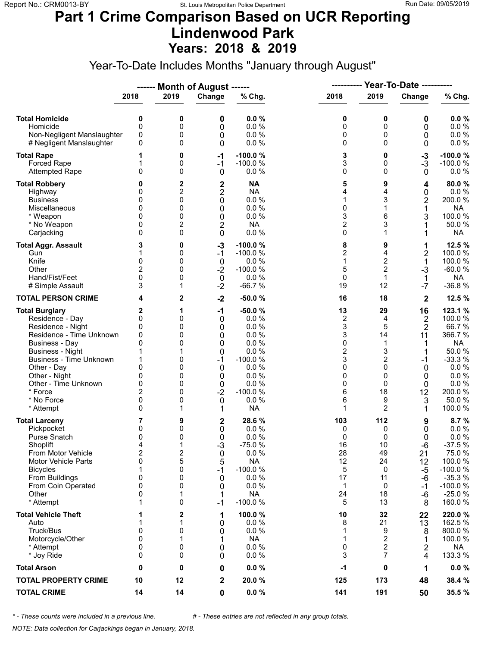#### **Part 1 Crime Comparison Based on UCR Reporting Lindenwood Park Years: 2018 & 2019**

Year-To-Date Includes Months "January through August"

|                                                                                                                                                                                                                                                                               |                                                                                   |                                                          | ------ Month of August ------                                          |                                                                                                                          | ----------                                                                           |                                                                                             | <b>Year-To-Date ----------</b>                                                   |                                                                                                                               |
|-------------------------------------------------------------------------------------------------------------------------------------------------------------------------------------------------------------------------------------------------------------------------------|-----------------------------------------------------------------------------------|----------------------------------------------------------|------------------------------------------------------------------------|--------------------------------------------------------------------------------------------------------------------------|--------------------------------------------------------------------------------------|---------------------------------------------------------------------------------------------|----------------------------------------------------------------------------------|-------------------------------------------------------------------------------------------------------------------------------|
|                                                                                                                                                                                                                                                                               | 2018                                                                              | 2019                                                     | Change                                                                 | % Chg.                                                                                                                   | 2018                                                                                 | 2019                                                                                        | Change                                                                           | % Chg.                                                                                                                        |
| <b>Total Homicide</b><br>Homicide<br>Non-Negligent Manslaughter<br># Negligent Manslaughter                                                                                                                                                                                   | 0<br>$\mathbf 0$<br>0<br>0                                                        | 0<br>0<br>0<br>0                                         | 0<br>0<br>0<br>0                                                       | 0.0%<br>0.0%<br>0.0%<br>0.0%                                                                                             | 0<br>0<br>0<br>0                                                                     | 0<br>0<br>0<br>$\Omega$                                                                     | 0<br>0<br>0<br>0                                                                 | 0.0%<br>0.0 %<br>0.0 %<br>0.0 %                                                                                               |
| <b>Total Rape</b><br>Forced Rape<br><b>Attempted Rape</b>                                                                                                                                                                                                                     | 1<br>0                                                                            | 0<br>0<br>0                                              | $-1$<br>$-1$<br>$\mathbf 0$                                            | $-100.0%$<br>$-100.0%$<br>0.0 %                                                                                          | 3<br>3<br>0                                                                          | 0<br>0<br>$\Omega$                                                                          | $-3$<br>$-3$<br>0                                                                | $-100.0%$<br>$-100.0%$<br>$0.0 \%$                                                                                            |
| <b>Total Robbery</b><br>Highway<br><b>Business</b><br>Miscellaneous<br>* Weapon<br>* No Weapon<br>Carjacking                                                                                                                                                                  | 0<br>0<br>0<br>0<br>0<br>0                                                        | 2<br>2<br>0<br>0<br>0<br>2<br>0                          | 2<br>2<br>0<br>0<br>0<br>$\overline{2}$<br>0                           | <b>NA</b><br><b>NA</b><br>$0.0 \%$<br>0.0%<br>0.0%<br><b>NA</b><br>0.0%                                                  | 5<br>4<br>1<br>0<br>3<br>$\overline{c}$<br>0                                         | 9<br>4<br>3<br>1<br>6<br>3<br>1                                                             | 4<br>0<br>2<br>1<br>3<br>1                                                       | 80.0%<br>$0.0 \%$<br>200.0%<br><b>NA</b><br>100.0%<br>50.0%<br><b>NA</b>                                                      |
| <b>Total Aggr. Assault</b><br>Gun<br>Knife<br>Other<br>Hand/Fist/Feet<br># Simple Assault                                                                                                                                                                                     | 3<br>1<br>0<br>2<br>0<br>3                                                        | 0<br>0<br>0<br>0<br>0<br>1                               | $-3$<br>$-1$<br>0<br>$-2$<br>$\boldsymbol{0}$<br>$-2$                  | $-100.0%$<br>$-100.0%$<br>0.0%<br>$-100.0%$<br>0.0%<br>$-66.7%$                                                          | 8<br>$\overline{c}$<br>$\mathbf{1}$<br>5<br>0<br>19                                  | 9<br>4<br>$\mathbf 2$<br>$\overline{2}$<br>$\mathbf{1}$<br>12                               | 1<br>$\overline{\mathbf{c}}$<br>1<br>$-3$<br>$\mathbf 1$<br>$-7$                 | 12.5 %<br>100.0%<br>100.0%<br>$-60.0%$<br><b>NA</b><br>$-36.8%$                                                               |
| <b>TOTAL PERSON CRIME</b>                                                                                                                                                                                                                                                     | 4                                                                                 | 2                                                        | $-2$                                                                   | $-50.0%$                                                                                                                 | 16                                                                                   | 18                                                                                          | $\mathbf{2}$                                                                     | 12.5 %                                                                                                                        |
| <b>Total Burglary</b><br>Residence - Day<br>Residence - Night<br>Residence - Time Unknown<br><b>Business - Day</b><br><b>Business - Night</b><br><b>Business - Time Unknown</b><br>Other - Day<br>Other - Night<br>Other - Time Unknown<br>* Force<br>* No Force<br>* Attempt | 2<br>0<br>0<br>0<br>0<br>1<br>1<br>0<br>0<br>0<br>$\overline{2}$<br>0<br>$\Omega$ | 1<br>0<br>0<br>0<br>0<br>0<br>0<br>0<br>0<br>0<br>0<br>1 | $-1$<br>0<br>0<br>0<br>0<br>0<br>$-1$<br>0<br>0<br>0<br>$-2$<br>0<br>1 | $-50.0%$<br>0.0 %<br>0.0%<br>0.0%<br>0.0%<br>0.0%<br>$-100.0%$<br>0.0%<br>0.0%<br>0.0%<br>$-100.0%$<br>0.0%<br><b>NA</b> | 13<br>2<br>3<br>3<br>0<br>$\overline{\mathbf{c}}$<br>3<br>0<br>0<br>0<br>6<br>6<br>1 | 29<br>4<br>5<br>14<br>1<br>3<br>$\overline{c}$<br>$\Omega$<br>0<br>$\Omega$<br>18<br>9<br>2 | 16<br>2<br>$\overline{2}$<br>11<br>1<br>1<br>$-1$<br>0<br>0<br>0<br>12<br>3<br>1 | 123.1 %<br>100.0%<br>66.7%<br>366.7 %<br><b>NA</b><br>50.0%<br>$-33.3%$<br>0.0%<br>0.0%<br>0.0 %<br>200.0%<br>50.0%<br>100.0% |
| <b>Total Larceny</b><br>Pickpocket<br>Purse Snatch<br>Shoplift<br>From Motor Vehicle<br>Motor Vehicle Parts<br><b>Bicycles</b><br>From Buildings<br>From Coin Operated<br>Other<br>* Attempt                                                                                  | 7<br>0<br>0<br>4<br>$\overline{\mathbf{c}}$<br>0<br>1<br>0<br>0<br>0<br>1         | 9<br>0<br>0<br>1<br>2<br>5<br>0<br>0<br>0<br>1<br>0      | 2<br>0<br>0<br>$-3$<br>0<br>5<br>$-1$<br>0<br>0<br>1<br>$-1$           | 28.6 %<br>0.0%<br>0.0%<br>$-75.0%$<br>0.0 %<br><b>NA</b><br>$-100.0%$<br>0.0%<br>0.0%<br><b>NA</b><br>$-100.0%$          | 103<br>0<br>0<br>16<br>28<br>12<br>5<br>17<br>1<br>24<br>5                           | 112<br>0<br>0<br>10<br>49<br>24<br>0<br>11<br>0<br>18<br>13                                 | 9<br>0<br>0<br>-6<br>21<br>12<br>-5<br>-6<br>-1<br>-6<br>8                       | 8.7%<br>$0.0 \%$<br>0.0%<br>$-37.5%$<br>75.0%<br>100.0%<br>$-100.0%$<br>$-35.3%$<br>$-100.0%$<br>$-25.0%$<br>160.0%           |
| <b>Total Vehicle Theft</b><br>Auto<br>Truck/Bus<br>Motorcycle/Other<br>* Attempt<br>* Joy Ride                                                                                                                                                                                | 1<br>1<br>0<br>$\mathbf{0}$<br>0<br>0                                             | 2<br>1<br>0<br>1<br>0<br>0                               | 1<br>0<br>0<br>0<br>0                                                  | 100.0%<br>0.0%<br>0.0 %<br><b>NA</b><br>0.0 %<br>0.0%                                                                    | 10<br>8<br>1<br>1<br>0<br>3                                                          | 32<br>21<br>9<br>$\overline{c}$<br>$\overline{c}$<br>7                                      | 22<br>13<br>8<br>1<br>2<br>4                                                     | 220.0%<br>162.5 %<br>800.0%<br>100.0%<br>NA<br>133.3 %                                                                        |
| <b>Total Arson</b>                                                                                                                                                                                                                                                            | 0                                                                                 | 0                                                        | 0                                                                      | 0.0%                                                                                                                     | $-1$                                                                                 | 0                                                                                           | 1                                                                                | $0.0 \%$                                                                                                                      |
| <b>TOTAL PROPERTY CRIME</b>                                                                                                                                                                                                                                                   | 10                                                                                | 12                                                       | $\mathbf 2$                                                            | 20.0 %                                                                                                                   | 125                                                                                  | 173                                                                                         | 48                                                                               | 38.4 %                                                                                                                        |
| <b>TOTAL CRIME</b>                                                                                                                                                                                                                                                            | 14                                                                                | 14                                                       | $\mathbf 0$                                                            | $0.0 \%$                                                                                                                 | 141                                                                                  | 191                                                                                         | 50                                                                               | 35.5 %                                                                                                                        |

*\* - These counts were included in a previous line. # - These entries are not reflected in any group totals.*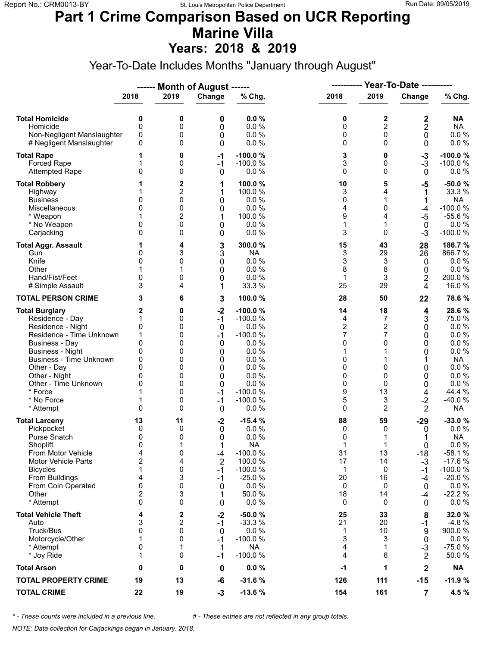#### **Part 1 Crime Comparison Based on UCR Reporting Marine Villa Years: 2018 & 2019**

Year-To-Date Includes Months "January through August"

|                                                                                                                                                                                                                                                                 |                                                                          |                                                               | ------ Month of August ------                                                |                                                                                                                                |                                                                             |                                                                                       |                                                                               |                                                                                                                                    |
|-----------------------------------------------------------------------------------------------------------------------------------------------------------------------------------------------------------------------------------------------------------------|--------------------------------------------------------------------------|---------------------------------------------------------------|------------------------------------------------------------------------------|--------------------------------------------------------------------------------------------------------------------------------|-----------------------------------------------------------------------------|---------------------------------------------------------------------------------------|-------------------------------------------------------------------------------|------------------------------------------------------------------------------------------------------------------------------------|
|                                                                                                                                                                                                                                                                 | 2018                                                                     | 2019                                                          | Change                                                                       | % Chg.                                                                                                                         | 2018                                                                        | 2019                                                                                  | Change                                                                        | % Chg.                                                                                                                             |
| <b>Total Homicide</b><br>Homicide<br>Non-Negligent Manslaughter<br># Negligent Manslaughter                                                                                                                                                                     | 0<br>0<br>0<br>0                                                         | 0<br>0<br>0<br>0                                              | 0<br>0<br>0<br>0                                                             | 0.0%<br>0.0%<br>0.0%<br>0.0%                                                                                                   | 0<br>0<br>0<br>0                                                            | 2<br>$\overline{c}$<br>$\mathbf 0$<br>$\Omega$                                        | 2<br>$\overline{2}$<br>0<br>0                                                 | <b>NA</b><br><b>NA</b><br>$0.0 \%$<br>0.0 %                                                                                        |
| <b>Total Rape</b><br><b>Forced Rape</b><br><b>Attempted Rape</b>                                                                                                                                                                                                | 1<br>0                                                                   | 0<br>0<br>0                                                   | $-1$<br>$-1$<br>0                                                            | $-100.0%$<br>$-100.0%$<br>0.0%                                                                                                 | 3<br>3<br>0                                                                 | 0<br>0<br>$\Omega$                                                                    | $-3$<br>$-3$<br>0                                                             | $-100.0%$<br>$-100.0%$<br>$0.0 \%$                                                                                                 |
| <b>Total Robbery</b><br>Highway<br><b>Business</b><br>Miscellaneous<br>* Weapon<br>* No Weapon<br>Carjacking                                                                                                                                                    | 0<br>0<br>0<br>0                                                         | 2<br>2<br>0<br>0<br>2<br>0<br>0                               | 1<br>1<br>0<br>0<br>1<br>0<br>0                                              | 100.0%<br>100.0%<br>0.0 %<br>0.0%<br>100.0 %<br>0.0%<br>0.0%                                                                   | 10<br>3<br>0<br>4<br>9<br>1<br>3                                            | 5<br>4<br>1<br>0<br>4<br>1<br>$\Omega$                                                | $-5$<br>1<br>1<br>$-4$<br>$-5$<br>0<br>$-3$                                   | $-50.0%$<br>33.3 %<br>NA<br>$-100.0%$<br>$-55.6%$<br>$0.0 \%$<br>$-100.0%$                                                         |
| <b>Total Aggr. Assault</b><br>Gun<br>Knife<br>Other<br>Hand/Fist/Feet<br># Simple Assault                                                                                                                                                                       | 1<br>0<br>0<br>0<br>3                                                    | 4<br>3<br>0<br>0<br>4                                         | 3<br>3<br>0<br>0<br>0<br>1                                                   | 300.0%<br><b>NA</b><br>0.0%<br>0.0%<br>0.0 %<br>33.3 %                                                                         | 15<br>3<br>3<br>8<br>1<br>25                                                | 43<br>29<br>3<br>8<br>3<br>29                                                         | 28<br>26<br>0<br>0<br>2<br>4                                                  | 186.7 %<br>866.7%<br>$0.0 \%$<br>$0.0 \%$<br>200.0%<br>16.0%                                                                       |
| <b>TOTAL PERSON CRIME</b>                                                                                                                                                                                                                                       | 3                                                                        | 6                                                             | 3                                                                            | 100.0%                                                                                                                         | 28                                                                          | 50                                                                                    | 22                                                                            | 78.6%                                                                                                                              |
| <b>Total Burglary</b><br>Residence - Day<br>Residence - Night<br>Residence - Time Unknown<br>Business - Day<br><b>Business - Night</b><br>Business - Time Unknown<br>Other - Day<br>Other - Night<br>Other - Time Unknown<br>* Force<br>* No Force<br>* Attempt | 2<br>1<br>0<br>1<br>0<br>0<br>0<br>0<br>0<br>0<br>1<br>$\Omega$          | 0<br>0<br>0<br>0<br>0<br>0<br>0<br>0<br>0<br>0<br>0<br>0<br>0 | $-2$<br>$-1$<br>0<br>$-1$<br>0<br>0<br>0<br>0<br>0<br>0<br>$-1$<br>$-1$<br>0 | $-100.0%$<br>$-100.0%$<br>0.0 %<br>$-100.0%$<br>0.0%<br>0.0%<br>0.0%<br>0.0%<br>0.0%<br>0.0%<br>$-100.0%$<br>$-100.0%$<br>0.0% | 14<br>4<br>$\overline{c}$<br>7<br>0<br>1<br>0<br>0<br>0<br>0<br>9<br>5<br>0 | 18<br>7<br>2<br>7<br>$\Omega$<br>1<br>0<br>0<br>$\Omega$<br>13<br>3<br>$\overline{2}$ | 4<br>3<br>0<br>0<br>0<br>0<br>1<br>0<br>0<br>0<br>4<br>$-2$<br>$\overline{2}$ | 28.6%<br>75.0 %<br>$0.0 \%$<br>$0.0 \%$<br>0.0%<br>0.0%<br><b>NA</b><br>0.0 %<br>0.0%<br>$0.0 \%$<br>44.4 %<br>-40.0%<br><b>NA</b> |
| <b>Total Larceny</b><br>Pickpocket<br>Purse Snatch<br>Shoplift<br>From Motor Vehicle<br><b>Motor Vehicle Parts</b><br><b>Bicycles</b><br>From Buildings<br>From Coin Operated<br>Other<br>* Attempt                                                             | 13<br>0<br>0<br>$\Omega$<br>4<br>$\overline{2}$<br>1<br>4<br>0<br>2<br>0 | 11<br>0<br>0<br>0<br>4<br>0<br>3<br>0<br>3<br>0               | $-2$<br>0<br>0<br>1<br>-4<br>$\overline{2}$<br>-1<br>-1<br>0<br>0            | $-15.4%$<br>0.0%<br>0.0%<br><b>NA</b><br>$-100.0%$<br>100.0 %<br>$-100.0%$<br>$-25.0%$<br>0.0%<br>50.0 %<br>0.0%               | 88<br>0<br>0<br>1<br>31<br>17<br>1<br>20<br>0<br>18<br>0                    | 59<br>0<br>1<br>13<br>14<br>0<br>16<br>0<br>14<br>0                                   | $-29$<br>0<br>1<br>0<br>$-18$<br>$-3$<br>-1<br>-4<br>0<br>-4<br>0             | $-33.0%$<br>$0.0 \%$<br><b>NA</b><br>0.0 %<br>$-58.1%$<br>$-17.6%$<br>$-100.0%$<br>$-20.0%$<br>$0.0 \%$<br>$-22.2%$<br>$0.0 \%$    |
| <b>Total Vehicle Theft</b><br>Auto<br>Truck/Bus<br>Motorcycle/Other<br>* Attempt<br>* Joy Ride                                                                                                                                                                  | 4<br>3<br>$\mathbf{0}$<br>1<br>0<br>1                                    | 2<br>2<br>0<br>0<br>1<br>0                                    | $-2$<br>$-1$<br>0<br>$-1$<br>1<br>$-1$                                       | $-50.0%$<br>$-33.3%$<br>0.0%<br>$-100.0%$<br><b>NA</b><br>$-100.0%$                                                            | 25<br>21<br>1<br>3<br>4<br>4                                                | 33<br>20<br>10<br>3<br>1<br>6                                                         | 8<br>-1<br>9<br>0<br>$-3$<br>$\overline{2}$                                   | 32.0%<br>$-4.8%$<br>900.0%<br>$0.0 \%$<br>$-75.0%$<br>50.0%                                                                        |
| <b>Total Arson</b>                                                                                                                                                                                                                                              | 0                                                                        | 0                                                             | 0                                                                            | 0.0%                                                                                                                           | -1                                                                          | 1                                                                                     | $\mathbf 2$                                                                   | <b>NA</b>                                                                                                                          |
| <b>TOTAL PROPERTY CRIME</b>                                                                                                                                                                                                                                     | 19                                                                       | 13                                                            | -6                                                                           | $-31.6%$                                                                                                                       | 126                                                                         | 111                                                                                   | $-15$                                                                         | $-11.9%$                                                                                                                           |
| <b>TOTAL CRIME</b>                                                                                                                                                                                                                                              | 22                                                                       | 19                                                            | $-3$                                                                         | $-13.6%$                                                                                                                       | 154                                                                         | 161                                                                                   | $\overline{7}$                                                                | 4.5 %                                                                                                                              |

*\* - These counts were included in a previous line. # - These entries are not reflected in any group totals.*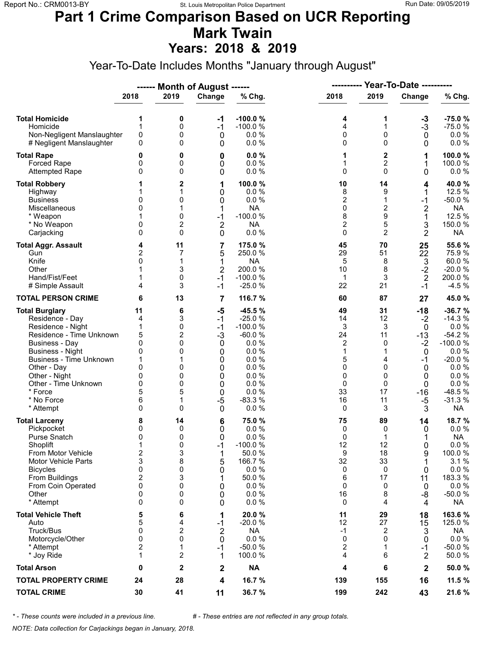#### **Part 1 Crime Comparison Based on UCR Reporting Mark Twain Years: 2018 & 2019**

Year-To-Date Includes Months "January through August"

|                                  |                         |                     | ------ Month of August ------ |                      |                |                |                        |                 |  |
|----------------------------------|-------------------------|---------------------|-------------------------------|----------------------|----------------|----------------|------------------------|-----------------|--|
|                                  | 2018                    | 2019                | Change                        | % Chg.               | 2018           | 2019           | Change                 | % Chg.          |  |
| <b>Total Homicide</b>            | 1                       | 0                   | $-1$                          | $-100.0%$            | 4              | 1              | $-3$                   | $-75.0%$        |  |
| Homicide                         | 1                       | 0                   | $-1$                          | $-100.0%$            | 4              | 1              | $-3$                   | $-75.0%$        |  |
| Non-Negligent Manslaughter       | 0                       | 0                   | $\mathbf 0$                   | 0.0%                 | 0              | 0              | $\mathbf 0$            | $0.0 \%$        |  |
| # Negligent Manslaughter         | 0                       | 0                   | 0                             | 0.0%                 | 0              | 0              | 0                      | 0.0 %           |  |
| <b>Total Rape</b>                | 0                       | 0                   | 0                             | 0.0%                 | 1              | $\mathbf{2}$   | 1                      | 100.0%          |  |
| <b>Forced Rape</b>               | 0                       | 0                   | 0                             | 0.0%                 | 1              | 2              | 1                      | 100.0%          |  |
| <b>Attempted Rape</b>            | 0                       | 0                   | 0                             | 0.0%                 | 0              | $\Omega$       | 0                      | $0.0 \%$        |  |
|                                  |                         |                     |                               |                      |                |                |                        |                 |  |
| <b>Total Robbery</b>             |                         | 2<br>1              | 1<br>0                        | 100.0%<br>0.0%       | 10<br>8        | 14<br>9        | 4<br>1                 | 40.0%<br>12.5 % |  |
| Highway<br><b>Business</b>       | 0                       | 0                   | 0                             | 0.0%                 | $\overline{2}$ | 1              | $-1$                   | $-50.0%$        |  |
| Miscellaneous                    | 0                       | 1                   | 1                             | <b>NA</b>            | 0              | 2              | $\overline{2}$         | <b>NA</b>       |  |
| * Weapon                         |                         | 0                   | $-1$                          | $-100.0%$            | 8              | 9              | 1                      | 12.5 %          |  |
| * No Weapon                      | 0                       | 2                   | $\overline{2}$                | <b>NA</b>            | $\overline{2}$ | 5              | 3                      | 150.0 %         |  |
| Carjacking                       | 0                       | 0                   | 0                             | 0.0 %                | 0              | $\overline{2}$ | $\overline{2}$         | <b>NA</b>       |  |
|                                  |                         |                     |                               |                      |                |                |                        |                 |  |
| <b>Total Aggr. Assault</b>       | 4                       | 11                  | 7                             | 175.0 %              | 45             | 70             | 25                     | 55.6 %          |  |
| Gun<br>Knife                     | 2<br>$\mathbf{0}$       | 7<br>1              | 5                             | 250.0%<br><b>NA</b>  | 29<br>5        | 51<br>8        | 22                     | 75.9%<br>60.0%  |  |
| Other                            |                         | 3                   | 1                             | 200.0%               | 10             | 8              | 3                      | $-20.0%$        |  |
| Hand/Fist/Feet                   | 1                       | 0                   | $\overline{2}$<br>$-1$        | $-100.0%$            | $\mathbf{1}$   | 3              | $-2$                   | 200.0%          |  |
| # Simple Assault                 | 4                       | 3                   | $-1$                          | $-25.0%$             | 22             | 21             | $\overline{2}$<br>$-1$ | $-4.5%$         |  |
| <b>TOTAL PERSON CRIME</b>        | 6                       | 13                  | 7                             | 116.7 %              | 60             | 87             | 27                     | 45.0%           |  |
| <b>Total Burglary</b>            | 11                      | 6                   | $-5$                          | $-45.5%$             | 49             | 31             | $-18$                  | $-36.7%$        |  |
| Residence - Day                  | 4                       | 3                   | $-1$                          | $-25.0%$             | 14             | 12             | $-2$                   | $-14.3%$        |  |
| Residence - Night                | 1                       | 0                   | $-1$                          | $-100.0%$            | 3              | 3              | 0                      | 0.0%            |  |
| Residence - Time Unknown         | 5                       | 2                   | $-3$                          | $-60.0%$             | 24             | 11             | $-13$                  | $-54.2%$        |  |
| <b>Business - Day</b>            | 0                       | 0                   | 0                             | 0.0%                 | 2              | 0              | $-2$                   | $-100.0%$       |  |
| <b>Business - Night</b>          | 0                       | 0                   | 0                             | 0.0%                 | 1              | 1              | 0                      | 0.0%            |  |
| Business - Time Unknown          | 1                       | 1                   | 0                             | 0.0%                 | 5              | 4              | $-1$                   | $-20.0%$        |  |
| Other - Day                      | 0                       | 0                   | 0                             | 0.0%                 | 0              | $\Omega$       | $\mathbf 0$            | $0.0 \%$        |  |
| Other - Night                    | 0                       | 0                   | 0                             | 0.0%                 | 0              | 0              | 0                      | 0.0%            |  |
| Other - Time Unknown             | 0                       | 0                   | 0                             | 0.0%                 | 0              | 0              | 0                      | $0.0 \%$        |  |
| * Force                          | 5                       | 5                   | 0                             | 0.0%                 | 33             | 17             | -16                    | $-48.5%$        |  |
| * No Force                       | 6                       | 1                   | $-5$                          | $-83.3%$             | 16             | 11             | -5                     | $-31.3%$        |  |
| * Attempt                        | $\Omega$                | 0                   | 0                             | 0.0%                 | 0              | 3              | 3                      | NA              |  |
| <b>Total Larceny</b>             | 8                       | 14                  | 6                             | 75.0 %               | 75             | 89             | 14                     | 18.7 %          |  |
| Pickpocket                       | 0                       | 0                   | 0                             | 0.0%                 | 0              | 0              | 0                      | $0.0 \%$        |  |
| Purse Snatch                     | 0                       | 0                   | 0                             | 0.0%                 | 0              | 1              | 1                      | <b>NA</b>       |  |
| Shoplift                         | 1                       | 0                   | $-1$                          | $-100.0%$            | 12             | 12             | 0                      | 0.0 %           |  |
| From Motor Vehicle               | $\overline{\mathbf{c}}$ | 3                   | 1                             | 50.0%                | 9              | 18             | 9                      | 100.0%          |  |
| <b>Motor Vehicle Parts</b>       | 3                       | 8                   | 5                             | 166.7%               | 32             | 33             | 1                      | 3.1%            |  |
| <b>Bicycles</b>                  | 0                       | 0                   | 0                             | 0.0 %                | 0              | 0              | 0                      | $0.0 \%$        |  |
| From Buildings                   | $\overline{\mathbf{c}}$ | 3                   | 1                             | 50.0%                | 6              | 17             | 11                     | 183.3 %         |  |
| From Coin Operated               | 0                       | 0                   | 0                             | 0.0%                 | 0              | 0              | 0                      | $0.0 \%$        |  |
| Other                            | 0                       | 0                   | 0                             | 0.0 %                | 16             | 8              | -8                     | $-50.0%$        |  |
| * Attempt                        | 0                       | 0                   | 0                             | 0.0%                 | 0              | 4              | 4                      | NA              |  |
| <b>Total Vehicle Theft</b>       | 5                       | 6                   | 1                             | 20.0 %               | 11             | 29             | 18                     | 163.6 %         |  |
| Auto                             | 5                       | 4                   | $-1$                          | $-20.0%$             | 12             | 27             | 15                     | 125.0 %         |  |
| Truck/Bus                        | 0                       | 2                   | $\overline{2}$                | <b>NA</b>            | $-1$           | 2              | 3                      | NA              |  |
| Motorcycle/Other                 | 0                       | 0                   | 0                             | 0.0 %                | 0              | $\Omega$       | 0                      | 0.0%            |  |
| * Attempt                        | $\overline{c}$          | 1                   | $-1$                          | $-50.0%$             | 2              | $\mathbf 1$    | $-1$                   | $-50.0%$        |  |
| * Joy Ride<br><b>Total Arson</b> | 1<br>0                  | $\overline{2}$<br>2 | 1<br>$\mathbf 2$              | 100.0 %<br><b>NA</b> | 4<br>4         | 6<br>6         | 2<br>$\mathbf 2$       | 50.0%<br>50.0%  |  |
| <b>TOTAL PROPERTY CRIME</b>      | 24                      | 28                  | 4                             | 16.7 %               | 139            | 155            | 16                     | 11.5 %          |  |
| <b>TOTAL CRIME</b>               | 30                      | 41                  | 11                            | 36.7 %               | 199            | 242            | 43                     | 21.6 %          |  |
|                                  |                         |                     |                               |                      |                |                |                        |                 |  |

*\* - These counts were included in a previous line. # - These entries are not reflected in any group totals.*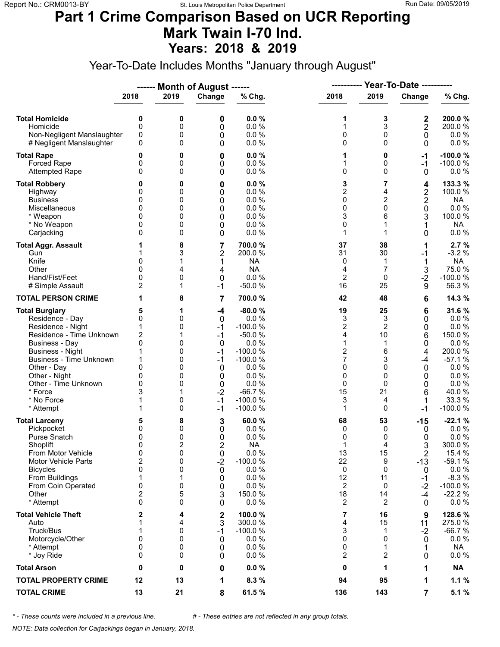### **Part 1 Crime Comparison Based on UCR Reporting Mark Twain I-70 Ind. Years: 2018 & 2019**

Year-To-Date Includes Months "January through August"

|                                                                                                                                                                                                                                                                               |                                                                                        |                                                                  | ------ Month of August ------                                                         |                                                                                                                                           | ----------                                                                                         |                                                                                             | <b>Year-To-Date ----------</b>                                                            |                                                                                                                             |  |
|-------------------------------------------------------------------------------------------------------------------------------------------------------------------------------------------------------------------------------------------------------------------------------|----------------------------------------------------------------------------------------|------------------------------------------------------------------|---------------------------------------------------------------------------------------|-------------------------------------------------------------------------------------------------------------------------------------------|----------------------------------------------------------------------------------------------------|---------------------------------------------------------------------------------------------|-------------------------------------------------------------------------------------------|-----------------------------------------------------------------------------------------------------------------------------|--|
|                                                                                                                                                                                                                                                                               | 2018                                                                                   | 2019                                                             | Change                                                                                | % Chg.                                                                                                                                    | 2018                                                                                               | 2019                                                                                        | Change                                                                                    | % Chg.                                                                                                                      |  |
| <b>Total Homicide</b><br>Homicide<br>Non-Negligent Manslaughter<br># Negligent Manslaughter                                                                                                                                                                                   | 0<br>$\mathbf 0$<br>0<br>0                                                             | 0<br>0<br>0<br>0                                                 | 0<br>0<br>0<br>0                                                                      | 0.0%<br>0.0 %<br>0.0%<br>0.0%                                                                                                             | 1<br>1<br>0<br>0                                                                                   | 3<br>3<br>0<br>$\Omega$                                                                     | 2<br>$\mathbf 2$<br>0<br>0                                                                | 200.0%<br>200.0%<br>$0.0 \%$<br>0.0 %                                                                                       |  |
| <b>Total Rape</b><br>Forced Rape<br><b>Attempted Rape</b>                                                                                                                                                                                                                     | 0<br>0<br>$\Omega$                                                                     | 0<br>0<br>0                                                      | 0<br>0<br>0                                                                           | 0.0%<br>0.0%<br>0.0%                                                                                                                      | 1<br>1<br>0                                                                                        | 0<br>0<br>$\Omega$                                                                          | -1<br>$-1$<br>0                                                                           | $-100.0%$<br>$-100.0%$<br>$0.0 \%$                                                                                          |  |
| <b>Total Robbery</b><br>Highway<br><b>Business</b><br>Miscellaneous<br>* Weapon<br>* No Weapon<br>Carjacking                                                                                                                                                                  | 0<br>0<br>0<br>0<br>0<br>$\Omega$                                                      | 0<br>0<br>0<br>0<br>0<br>0<br>0                                  | 0<br>0<br>0<br>0<br>0<br>0<br>0                                                       | 0.0%<br>0.0%<br>0.0%<br>0.0%<br>0.0%<br>0.0%<br>0.0%                                                                                      | 3<br>$\overline{2}$<br>0<br>0<br>3<br>0<br>1                                                       | 7<br>4<br>2<br>0<br>6<br>1<br>1                                                             | 4<br>$\overline{\mathbf{c}}$<br>$\overline{\mathbf{c}}$<br>0<br>3<br>1<br>0               | 133.3 %<br>100.0 %<br><b>NA</b><br>0.0 %<br>100.0 %<br><b>NA</b><br>$0.0 \%$                                                |  |
| <b>Total Aggr. Assault</b><br>Gun<br>Knife<br>Other<br>Hand/Fist/Feet<br># Simple Assault                                                                                                                                                                                     | 0<br>$\Omega$<br>0<br>$\overline{2}$                                                   | 8<br>3<br>4<br>0<br>1                                            | 7<br>2<br>1<br>4<br>0<br>$-1$                                                         | 700.0%<br>200.0%<br><b>NA</b><br><b>NA</b><br>0.0%<br>$-50.0%$                                                                            | 37<br>31<br>0<br>4<br>2<br>16                                                                      | 38<br>30<br>1<br>7<br>0<br>25                                                               | 1<br>-1<br>1<br>3<br>$-2$<br>9                                                            | 2.7%<br>$-3.2%$<br><b>NA</b><br>75.0%<br>$-100.0%$<br>56.3%                                                                 |  |
| <b>TOTAL PERSON CRIME</b>                                                                                                                                                                                                                                                     | 1                                                                                      | 8                                                                | 7                                                                                     | 700.0%                                                                                                                                    | 42                                                                                                 | 48                                                                                          | 6                                                                                         | 14.3 %                                                                                                                      |  |
| <b>Total Burglary</b><br>Residence - Day<br>Residence - Night<br>Residence - Time Unknown<br><b>Business - Day</b><br><b>Business - Night</b><br><b>Business - Time Unknown</b><br>Other - Day<br>Other - Night<br>Other - Time Unknown<br>* Force<br>* No Force<br>* Attempt | 5<br>0<br>1<br>$\overline{c}$<br>0<br>1<br>1<br>0<br>0<br>$\Omega$<br>3<br>1           | 1<br>0<br>0<br>1<br>0<br>0<br>0<br>0<br>0<br>0<br>1<br>0<br>0    | $-4$<br>0<br>$-1$<br>$-1$<br>0<br>$-1$<br>$-1$<br>0<br>0<br>0<br>$-2$<br>$-1$<br>$-1$ | $-80.0%$<br>0.0%<br>$-100.0%$<br>$-50.0%$<br>0.0%<br>$-100.0%$<br>$-100.0%$<br>0.0%<br>0.0%<br>0.0%<br>$-66.7%$<br>$-100.0%$<br>$-100.0%$ | 19<br>3<br>$\overline{c}$<br>4<br>1<br>$\overline{\mathbf{c}}$<br>7<br>0<br>0<br>0<br>15<br>3<br>1 | 25<br>3<br>$\overline{2}$<br>10<br>1<br>6<br>3<br>$\Omega$<br>0<br>0<br>21<br>4<br>$\Omega$ | 6<br>0<br>0<br>6<br>0<br>4<br>$-4$<br>0<br>0<br>0<br>6<br>1<br>$-1$                       | 31.6 %<br>$0.0 \%$<br>0.0%<br>150.0%<br>0.0%<br>200.0%<br>$-57.1%$<br>0.0%<br>0.0%<br>0.0 %<br>40.0%<br>33.3 %<br>$-100.0%$ |  |
| <b>Total Larceny</b><br>Pickpocket<br>Purse Snatch<br>Shoplift<br>From Motor Vehicle<br><b>Motor Vehicle Parts</b><br><b>Bicycles</b><br>From Buildings<br>From Coin Operated<br>Other<br>* Attempt                                                                           | 5<br>0<br>0<br>$\mathbf{0}$<br>0<br>$\overline{2}$<br>0<br>1<br>0<br>2<br>$\mathbf{0}$ | 8<br>0<br>0<br>$\overline{2}$<br>0<br>0<br>0<br>1<br>0<br>5<br>0 | 3<br>0<br>0<br>$\overline{2}$<br>0<br>$-2$<br>0<br>0<br>0<br>3<br>0                   | 60.0%<br>0.0%<br>0.0%<br><b>NA</b><br>$0.0 \%$<br>$-100.0%$<br>0.0 %<br>0.0%<br>0.0%<br>150.0%<br>0.0%                                    | 68<br>0<br>0<br>$\mathbf 1$<br>13<br>22<br>0<br>12<br>$\overline{2}$<br>18<br>2                    | 53<br>0<br>0<br>4<br>15<br>9<br>0<br>11<br>0<br>14<br>2                                     | -15<br>0<br>0<br>3<br>$\overline{2}$<br>$-13$<br>0<br>$-1$<br>$-2$<br>$-4$<br>$\mathbf 0$ | $-22.1%$<br>$0.0 \%$<br>0.0%<br>300.0%<br>15.4 %<br>$-59.1%$<br>0.0 %<br>$-8.3%$<br>$-100.0%$<br>$-22.2%$<br>$0.0 \%$       |  |
| <b>Total Vehicle Theft</b><br>Auto<br>Truck/Bus<br>Motorcycle/Other<br>* Attempt<br>* Joy Ride                                                                                                                                                                                | 2<br>1<br>1<br>0<br>0<br>0                                                             | 4<br>4<br>0<br>0<br>0<br>0                                       | $\boldsymbol{2}$<br>3<br>$-1$<br>0<br>0<br>0                                          | 100.0%<br>300.0 %<br>$-100.0%$<br>0.0 %<br>0.0%<br>0.0%                                                                                   | 7<br>4<br>3<br>0<br>0<br>2                                                                         | 16<br>15<br>1<br>0<br>1<br>2                                                                | 9<br>11<br>$-2$<br>0<br>1<br>0                                                            | 128.6%<br>275.0%<br>$-66.7%$<br>$0.0 \%$<br><b>NA</b><br>$0.0 \%$                                                           |  |
| <b>Total Arson</b>                                                                                                                                                                                                                                                            | 0                                                                                      | 0                                                                | 0                                                                                     | 0.0%                                                                                                                                      | 0                                                                                                  | 1                                                                                           | 1                                                                                         | <b>NA</b>                                                                                                                   |  |
| <b>TOTAL PROPERTY CRIME</b>                                                                                                                                                                                                                                                   | 12                                                                                     | 13                                                               | 1                                                                                     | 8.3%                                                                                                                                      | 94                                                                                                 | 95                                                                                          | 1                                                                                         | 1.1%                                                                                                                        |  |
| <b>TOTAL CRIME</b>                                                                                                                                                                                                                                                            | 13                                                                                     | 21                                                               | 8                                                                                     | 61.5 %                                                                                                                                    | 136                                                                                                | 143                                                                                         | $\overline{7}$                                                                            | 5.1 %                                                                                                                       |  |

*\* - These counts were included in a previous line. # - These entries are not reflected in any group totals.*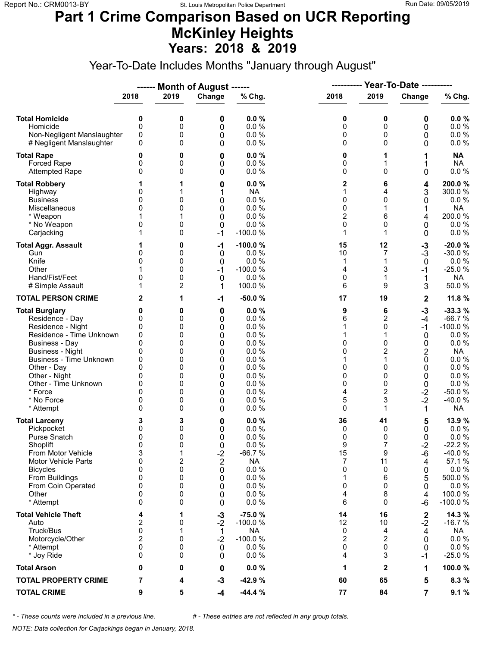### **Part 1 Crime Comparison Based on UCR Reporting McKinley Heights Years: 2018 & 2019**

Year-To-Date Includes Months "January through August"

|                                                                                                                                                                                                                                                                               |                                                                                 |                                                               | ------ Month of August ------                                       |                                                                                                      | ----------                                                    |                                                                                                    | <b>Year-To-Date ----------</b>                                             |                                                                                                                                              |
|-------------------------------------------------------------------------------------------------------------------------------------------------------------------------------------------------------------------------------------------------------------------------------|---------------------------------------------------------------------------------|---------------------------------------------------------------|---------------------------------------------------------------------|------------------------------------------------------------------------------------------------------|---------------------------------------------------------------|----------------------------------------------------------------------------------------------------|----------------------------------------------------------------------------|----------------------------------------------------------------------------------------------------------------------------------------------|
|                                                                                                                                                                                                                                                                               | 2018                                                                            | 2019                                                          | Change                                                              | % Chg.                                                                                               | 2018                                                          | 2019                                                                                               | Change                                                                     | % Chg.                                                                                                                                       |
| <b>Total Homicide</b><br>Homicide<br>Non-Negligent Manslaughter<br># Negligent Manslaughter                                                                                                                                                                                   | 0<br>$\mathbf 0$<br>0<br>0                                                      | 0<br>0<br>0<br>0                                              | 0<br>0<br>0<br>0                                                    | 0.0%<br>0.0 %<br>0.0%<br>0.0%                                                                        | 0<br>0<br>0<br>0                                              | 0<br>0<br>0<br>$\Omega$                                                                            | 0<br>0<br>0<br>0                                                           | 0.0%<br>0.0 %<br>0.0 %<br>$0.0 \%$                                                                                                           |
| <b>Total Rape</b><br>Forced Rape<br><b>Attempted Rape</b>                                                                                                                                                                                                                     | 0<br>0<br>0                                                                     | 0<br>0<br>0                                                   | 0<br>0<br>0                                                         | 0.0%<br>0.0 %<br>0.0%                                                                                | 0<br>0<br>0                                                   | 1<br>$\Omega$                                                                                      | 1<br>1<br>0                                                                | <b>NA</b><br><b>NA</b><br>0.0 %                                                                                                              |
| <b>Total Robbery</b><br>Highway<br><b>Business</b><br>Miscellaneous<br>* Weapon<br>* No Weapon<br>Carjacking                                                                                                                                                                  | 0<br>0<br>$\Omega$<br>0<br>1                                                    | 0<br>0<br>0<br>0                                              | 0<br>1<br>0<br>0<br>0<br>0<br>$-1$                                  | 0.0%<br><b>NA</b><br>0.0%<br>0.0 %<br>0.0%<br>0.0%<br>$-100.0%$                                      | 2<br>1<br>0<br>0<br>$\overline{2}$<br>0<br>1                  | 6<br>4<br>0<br>1<br>6<br>0<br>1                                                                    | 4<br>3<br>0<br>1<br>4<br>0<br>0                                            | 200.0%<br>300.0%<br>0.0%<br><b>NA</b><br>200.0%<br>0.0%<br>$0.0 \%$                                                                          |
| <b>Total Aggr. Assault</b><br>Gun<br>Knife<br>Other<br>Hand/Fist/Feet<br># Simple Assault                                                                                                                                                                                     | 1<br>0<br>0<br>0<br>1                                                           | 0<br>0<br>0<br>0<br>0<br>2                                    | -1<br>0<br>0<br>$-1$<br>0<br>1                                      | $-100.0%$<br>0.0 %<br>0.0%<br>$-100.0%$<br>0.0%<br>100.0%                                            | 15<br>10<br>1<br>4<br>0<br>6                                  | 12<br>7<br>1<br>3<br>1<br>9                                                                        | $-3$<br>$-3$<br>$\mathbf 0$<br>$-1$<br>1<br>3                              | $-20.0%$<br>$-30.0%$<br>$0.0 \%$<br>$-25.0%$<br>NA<br>50.0%                                                                                  |
| <b>TOTAL PERSON CRIME</b>                                                                                                                                                                                                                                                     | 2                                                                               | 1                                                             | $-1$                                                                | $-50.0%$                                                                                             | 17                                                            | 19                                                                                                 | $\mathbf 2$                                                                | 11.8 %                                                                                                                                       |
| <b>Total Burglary</b><br>Residence - Day<br>Residence - Night<br>Residence - Time Unknown<br><b>Business - Day</b><br><b>Business - Night</b><br><b>Business - Time Unknown</b><br>Other - Day<br>Other - Night<br>Other - Time Unknown<br>* Force<br>* No Force<br>* Attempt | 0<br>0<br>0<br>0<br>$\mathbf{0}$<br>0<br>0<br>$\Omega$<br>0<br>0<br>0<br>0<br>0 | 0<br>0<br>0<br>0<br>0<br>0<br>0<br>0<br>0<br>0<br>0<br>0<br>0 | 0<br>0<br>0<br>0<br>0<br>0<br>0<br>0<br>0<br>0<br>0<br>0<br>0       | 0.0%<br>0.0%<br>0.0%<br>0.0%<br>0.0%<br>0.0%<br>0.0%<br>0.0%<br>0.0%<br>0.0%<br>0.0%<br>0.0%<br>0.0% | 9<br>6<br>1<br>1<br>0<br>0<br>1<br>0<br>0<br>0<br>4<br>5<br>0 | 6<br>2<br>$\mathbf 0$<br>1<br>$\Omega$<br>2<br>1<br>$\Omega$<br>0<br>0<br>$\overline{2}$<br>3<br>1 | $-3$<br>-4<br>$-1$<br>0<br>0<br>2<br>0<br>0<br>0<br>0<br>$-2$<br>$-2$<br>1 | $-33.3%$<br>$-66.7%$<br>$-100.0%$<br>$0.0 \%$<br>$0.0 \%$<br><b>NA</b><br>0.0 %<br>0.0 %<br>0.0%<br>0.0 %<br>$-50.0%$<br>-40.0%<br><b>NA</b> |
| <b>Total Larceny</b><br>Pickpocket<br>Purse Snatch<br>Shoplift<br>From Motor Vehicle<br><b>Motor Vehicle Parts</b><br><b>Bicycles</b><br>From Buildings<br>From Coin Operated<br>Other<br>* Attempt                                                                           | 3<br>0<br>0<br>$\mathbf{0}$<br>3<br>0<br>0<br>0<br>0<br>0<br>0                  | 3<br>0<br>0<br>0<br>1<br>2<br>0<br>0<br>0<br>0<br>0           | 0<br>0<br>0<br>0<br>$-2$<br>$\overline{2}$<br>0<br>0<br>0<br>0<br>0 | 0.0%<br>0.0%<br>0.0%<br>0.0%<br>$-66.7%$<br><b>NA</b><br>0.0 %<br>0.0%<br>0.0%<br>0.0%<br>0.0%       | 36<br>0<br>0<br>9<br>15<br>7<br>0<br>1<br>0<br>4<br>6         | 41<br>0<br>0<br>$\overline{7}$<br>9<br>11<br>0<br>6<br>0<br>8<br>$\Omega$                          | 5<br>0<br>0<br>$-2$<br>-6<br>4<br>0<br>5<br>0<br>4<br>-6                   | 13.9 %<br>$0.0 \%$<br>0.0%<br>$-22.2%$<br>-40.0%<br>57.1 %<br>$0.0 \%$<br>500.0%<br>$0.0 \%$<br>100.0%<br>$-100.0%$                          |
| <b>Total Vehicle Theft</b><br>Auto<br>Truck/Bus<br>Motorcycle/Other<br>* Attempt<br>* Joy Ride                                                                                                                                                                                | 4<br>$\overline{\mathbf{c}}$<br>0<br>2<br>0<br>0                                | 1<br>0<br>1<br>0<br>0<br>0                                    | $-3$<br>$-2$<br>1<br>$-2$<br>0<br>0                                 | $-75.0%$<br>$-100.0%$<br><b>NA</b><br>$-100.0%$<br>0.0%<br>0.0%                                      | 14<br>12<br>0<br>$\overline{c}$<br>0<br>4                     | 16<br>10<br>4<br>2<br>0<br>3                                                                       | $\boldsymbol{2}$<br>$-2$<br>4<br>0<br>0<br>-1                              | 14.3 %<br>$-16.7%$<br>NA<br>0.0 %<br>$0.0 \%$<br>$-25.0%$                                                                                    |
| <b>Total Arson</b>                                                                                                                                                                                                                                                            | 0                                                                               | 0                                                             | 0                                                                   | 0.0%                                                                                                 | 1                                                             | $\mathbf{2}$                                                                                       | 1                                                                          | 100.0%                                                                                                                                       |
| <b>TOTAL PROPERTY CRIME</b>                                                                                                                                                                                                                                                   | 7                                                                               | 4                                                             | $-3$                                                                | $-42.9%$                                                                                             | 60                                                            | 65                                                                                                 | 5                                                                          | 8.3%                                                                                                                                         |
| <b>TOTAL CRIME</b>                                                                                                                                                                                                                                                            | 9                                                                               | 5                                                             | $-4$                                                                | $-44.4%$                                                                                             | 77                                                            | 84                                                                                                 | $\overline{7}$                                                             | 9.1%                                                                                                                                         |

*\* - These counts were included in a previous line. # - These entries are not reflected in any group totals.*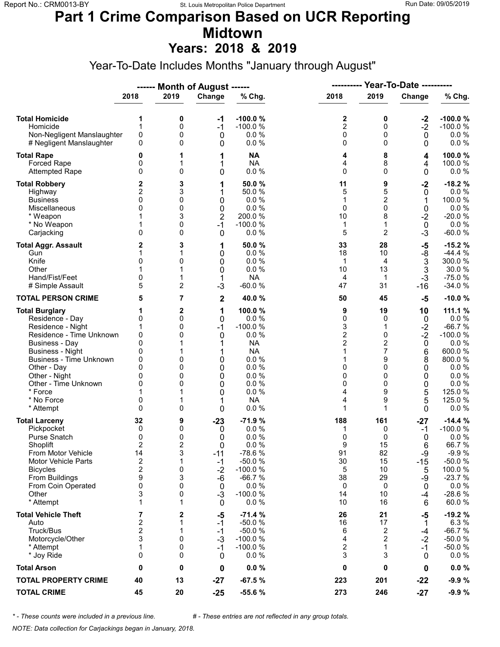# **Part 1 Crime Comparison Based on UCR Reporting Midtown**

**Years: 2018 & 2019**

Year-To-Date Includes Months "January through August"

|                                                                                                                                                                                                                                                                               |                                                                                                       |                                                                  | ------ Month of August ------                                                          |                                                                                                                              | <b>Year-To-Date ----------</b><br>----------                                            |                                                                                                 |                                                                      |                                                                                                                                    |  |
|-------------------------------------------------------------------------------------------------------------------------------------------------------------------------------------------------------------------------------------------------------------------------------|-------------------------------------------------------------------------------------------------------|------------------------------------------------------------------|----------------------------------------------------------------------------------------|------------------------------------------------------------------------------------------------------------------------------|-----------------------------------------------------------------------------------------|-------------------------------------------------------------------------------------------------|----------------------------------------------------------------------|------------------------------------------------------------------------------------------------------------------------------------|--|
|                                                                                                                                                                                                                                                                               | 2018                                                                                                  | 2019                                                             | Change                                                                                 | % Chg.                                                                                                                       | 2018                                                                                    | 2019                                                                                            | Change                                                               | % Chg.                                                                                                                             |  |
| <b>Total Homicide</b><br>Homicide<br>Non-Negligent Manslaughter<br># Negligent Manslaughter                                                                                                                                                                                   | 1<br>1<br>$\mathsf 0$<br>0                                                                            | 0<br>0<br>0<br>0                                                 | -1<br>$-1$<br>0<br>0                                                                   | $-100.0%$<br>$-100.0%$<br>0.0%<br>0.0%                                                                                       | 2<br>$\overline{c}$<br>0<br>0                                                           | 0<br>0<br>0<br>$\Omega$                                                                         | $-2$<br>$-2$<br>$\mathbf 0$<br>0                                     | $-100.0%$<br>$-100.0%$<br>$0.0 \%$<br>0.0 %                                                                                        |  |
| <b>Total Rape</b><br>Forced Rape<br><b>Attempted Rape</b>                                                                                                                                                                                                                     | 0<br>0<br>$\mathbf{0}$                                                                                | 1<br>1<br>0                                                      | 1<br>1<br>0                                                                            | <b>NA</b><br><b>NA</b><br>0.0 %                                                                                              | 4<br>4<br>0                                                                             | 8<br>8<br>$\Omega$                                                                              | 4<br>4<br>0                                                          | 100.0%<br>100.0%<br>$0.0 \%$                                                                                                       |  |
| <b>Total Robbery</b><br>Highway<br><b>Business</b><br>Miscellaneous<br>* Weapon<br>* No Weapon<br>Carjacking                                                                                                                                                                  | 2<br>2<br>0<br>$\mathbf{0}$<br>1<br>$\mathbf{0}$                                                      | 3<br>3<br>0<br>0<br>3<br>0<br>0                                  | 1<br>1<br>0<br>0<br>$\overline{2}$<br>$-1$<br>0                                        | 50.0%<br>50.0 %<br>0.0%<br>0.0%<br>200.0%<br>$-100.0%$<br>0.0%                                                               | 11<br>5<br>1<br>0<br>10<br>1<br>5                                                       | 9<br>5<br>$\overline{c}$<br>$\mathbf 0$<br>8<br>1<br>$\overline{2}$                             | $-2$<br>0<br>1<br>0<br>$-2$<br>$\mathbf 0$<br>$-3$                   | $-18.2%$<br>$0.0 \%$<br>100.0%<br>0.0 %<br>$-20.0%$<br>0.0%<br>$-60.0%$                                                            |  |
| <b>Total Aggr. Assault</b><br>Gun<br>Knife<br>Other<br>Hand/Fist/Feet<br># Simple Assault                                                                                                                                                                                     | 2<br>1<br>0<br>0<br>5                                                                                 | 3<br>1<br>0<br>1<br>2                                            | 1<br>0<br>0<br>0<br>1<br>$-3$                                                          | 50.0 %<br>0.0%<br>0.0%<br>0.0%<br><b>NA</b><br>$-60.0%$                                                                      | 33<br>18<br>1<br>10<br>4<br>47                                                          | 28<br>10<br>4<br>13<br>$\mathbf{1}$<br>31                                                       | -5<br>$-8$<br>$\ensuremath{\mathsf{3}}$<br>3<br>$-3$<br>$-16$        | $-15.2%$<br>$-44.4%$<br>300.0%<br>30.0%<br>$-75.0%$<br>$-34.0%$                                                                    |  |
| <b>TOTAL PERSON CRIME</b>                                                                                                                                                                                                                                                     | 5                                                                                                     | 7                                                                | $\mathbf 2$                                                                            | 40.0%                                                                                                                        | 50                                                                                      | 45                                                                                              | -5                                                                   | $-10.0%$                                                                                                                           |  |
| <b>Total Burglary</b><br>Residence - Day<br>Residence - Night<br>Residence - Time Unknown<br><b>Business - Day</b><br><b>Business - Night</b><br><b>Business - Time Unknown</b><br>Other - Day<br>Other - Night<br>Other - Time Unknown<br>* Force<br>* No Force<br>* Attempt | 1<br>0<br>1<br>0<br>$\mathbf{0}$<br>0<br>0<br>$\Omega$<br>0<br>0<br>0<br>$\Omega$                     | $\mathbf{2}$<br>0<br>0<br>0<br>0<br>0<br>0<br>0<br>0             | 1<br>0<br>$-1$<br>0<br>1<br>0<br>0<br>0<br>0<br>0<br>1<br>0                            | 100.0%<br>0.0 %<br>$-100.0%$<br>0.0 %<br><b>NA</b><br><b>NA</b><br>0.0%<br>0.0%<br>0.0%<br>0.0%<br>0.0%<br><b>NA</b><br>0.0% | 9<br>0<br>3<br>$\overline{2}$<br>$\overline{2}$<br>1<br>1<br>0<br>0<br>0<br>4<br>4<br>1 | 19<br>0<br>1<br>0<br>$\overline{c}$<br>$\overline{7}$<br>9<br>$\Omega$<br>0<br>0<br>9<br>9<br>1 | 10<br>0<br>$-2$<br>$-2$<br>0<br>6<br>8<br>0<br>0<br>0<br>5<br>5<br>0 | 111.1 %<br>$0.0 \%$<br>$-66.7%$<br>$-100.0%$<br>0.0%<br>600.0%<br>800.0%<br>0.0%<br>0.0%<br>0.0 %<br>125.0 %<br>125.0%<br>$0.0 \%$ |  |
| <b>Total Larceny</b><br>Pickpocket<br>Purse Snatch<br>Shoplift<br>From Motor Vehicle<br><b>Motor Vehicle Parts</b><br><b>Bicycles</b><br>From Buildings<br>From Coin Operated<br>Other<br>* Attempt                                                                           | 32<br>0<br>0<br>$\overline{2}$<br>14<br>$\overline{\mathbf{c}}$<br>$\overline{2}$<br>9<br>0<br>3<br>1 | 9<br>0<br>0<br>$\overline{2}$<br>3<br>1<br>0<br>3<br>0<br>0<br>1 | $-23$<br>0<br>0<br>$\Omega$<br>$-11$<br>-1<br>$-2$<br>$-6$<br>0<br>$-3$<br>$\mathbf 0$ | $-71.9%$<br>0.0%<br>0.0%<br>0.0%<br>-78.6%<br>$-50.0%$<br>$-100.0%$<br>$-66.7%$<br>0.0%<br>$-100.0%$<br>0.0%                 | 188<br>1<br>0<br>9<br>91<br>30<br>5<br>38<br>0<br>14<br>10                              | 161<br>0<br>0<br>15<br>82<br>15<br>10<br>29<br>0<br>10<br>16                                    | $-27$<br>$-1$<br>0<br>6<br>-9<br>$-15$<br>5<br>-9<br>0<br>-4<br>6    | $-14.4%$<br>$-100.0%$<br>0.0%<br>66.7%<br>$-9.9%$<br>$-50.0%$<br>100.0%<br>$-23.7%$<br>0.0 %<br>$-28.6%$<br>60.0%                  |  |
| <b>Total Vehicle Theft</b><br>Auto<br>Truck/Bus<br>Motorcycle/Other<br>* Attempt<br>* Joy Ride                                                                                                                                                                                | 7<br>$\boldsymbol{2}$<br>$\mathbf 2$<br>3<br>1<br>0                                                   | 2<br>1<br>1<br>0<br>0<br>0                                       | -5<br>$-1$<br>$-1$<br>$-3$<br>-1<br>0                                                  | $-71.4%$<br>$-50.0%$<br>$-50.0%$<br>$-100.0%$<br>$-100.0%$<br>0.0%                                                           | 26<br>16<br>6<br>4<br>2<br>3                                                            | 21<br>17<br>2<br>$\overline{2}$<br>$\mathbf{1}$<br>3                                            | -5<br>1<br>-4<br>$-2$<br>-1<br>0                                     | $-19.2%$<br>6.3%<br>$-66.7%$<br>$-50.0%$<br>$-50.0%$<br>$0.0 \%$                                                                   |  |
| <b>Total Arson</b>                                                                                                                                                                                                                                                            | 0                                                                                                     | 0                                                                | 0                                                                                      | 0.0%                                                                                                                         | 0                                                                                       | 0                                                                                               | 0                                                                    | $0.0 \%$                                                                                                                           |  |
| <b>TOTAL PROPERTY CRIME</b>                                                                                                                                                                                                                                                   | 40                                                                                                    | 13                                                               | $-27$                                                                                  | $-67.5%$                                                                                                                     | 223                                                                                     | 201                                                                                             | $-22$                                                                | $-9.9%$                                                                                                                            |  |
| <b>TOTAL CRIME</b>                                                                                                                                                                                                                                                            | 45                                                                                                    | 20                                                               | $-25$                                                                                  | -55.6 %                                                                                                                      | 273                                                                                     | 246                                                                                             | $-27$                                                                | $-9.9%$                                                                                                                            |  |

*\* - These counts were included in a previous line. # - These entries are not reflected in any group totals.*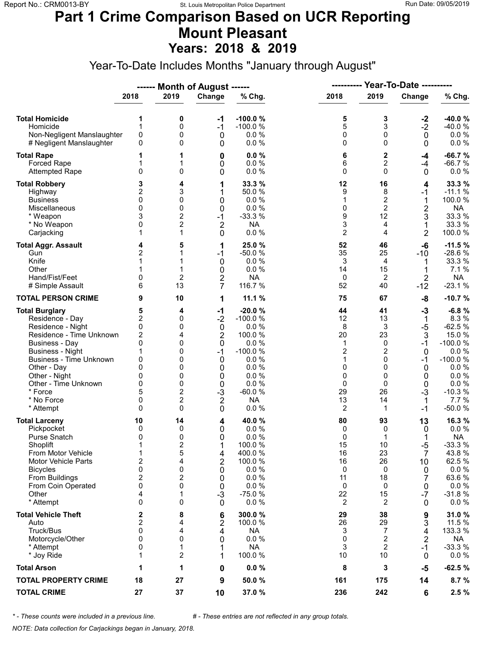#### **Part 1 Crime Comparison Based on UCR Reporting Mount Pleasant Years: 2018 & 2019**

Year-To-Date Includes Months "January through August"

|                                                                                                                                                                                                                                                                               |                                                                                                            |                                                                                         | ------ Month of August ------                                                                                      |                                                                                                                               |                                                                    | <b>Year-To-Date ----------</b><br>----------                              |                                                                                           |                                                                                                                                      |
|-------------------------------------------------------------------------------------------------------------------------------------------------------------------------------------------------------------------------------------------------------------------------------|------------------------------------------------------------------------------------------------------------|-----------------------------------------------------------------------------------------|--------------------------------------------------------------------------------------------------------------------|-------------------------------------------------------------------------------------------------------------------------------|--------------------------------------------------------------------|---------------------------------------------------------------------------|-------------------------------------------------------------------------------------------|--------------------------------------------------------------------------------------------------------------------------------------|
|                                                                                                                                                                                                                                                                               | 2018                                                                                                       | 2019                                                                                    | Change                                                                                                             | % Chg.                                                                                                                        | 2018                                                               | 2019                                                                      | Change                                                                                    | % Chg.                                                                                                                               |
| <b>Total Homicide</b><br>Homicide<br>Non-Negligent Manslaughter<br># Negligent Manslaughter                                                                                                                                                                                   | 1<br>1<br>$\pmb{0}$<br>0                                                                                   | 0<br>0<br>0<br>0                                                                        | -1<br>$-1$<br>0<br>0                                                                                               | $-100.0%$<br>$-100.0%$<br>0.0%<br>0.0%                                                                                        | 5<br>5<br>0<br>0                                                   | 3<br>3<br>0<br>$\Omega$                                                   | $-2$<br>$-2$<br>$\mathbf 0$<br>$\mathbf 0$                                                | $-40.0%$<br>-40.0%<br>$0.0 \%$<br>$0.0 \%$                                                                                           |
| <b>Total Rape</b><br>Forced Rape<br><b>Attempted Rape</b>                                                                                                                                                                                                                     | 1<br>$\mathbf{0}$                                                                                          | 1<br>1<br>0                                                                             | 0<br>0<br>0                                                                                                        | 0.0%<br>0.0%<br>0.0%                                                                                                          | 6<br>6<br>0                                                        | $\mathbf 2$<br>2<br>$\Omega$                                              | -4<br>$-4$<br>$\mathbf 0$                                                                 | $-66.7%$<br>$-66.7%$<br>$0.0 \%$                                                                                                     |
| <b>Total Robbery</b><br>Highway<br><b>Business</b><br>Miscellaneous<br>* Weapon<br>* No Weapon<br>Carjacking                                                                                                                                                                  | 3<br>2<br>0<br>$\mathbf{0}$<br>3<br>0<br>1                                                                 | 4<br>3<br>0<br>0<br>2<br>$\overline{2}$<br>1                                            | 1<br>1<br>0<br>0<br>$-1$<br>$\overline{2}$<br>0                                                                    | 33.3 %<br>50.0 %<br>0.0%<br>0.0 %<br>$-33.3%$<br><b>NA</b><br>0.0%                                                            | 12<br>9<br>1<br>0<br>9<br>3<br>$\overline{2}$                      | 16<br>8<br>2<br>$\overline{2}$<br>12<br>4<br>4                            | 4<br>$-1$<br>1<br>$\overline{\mathbf{c}}$<br>3<br>1<br>$\overline{2}$                     | 33.3 %<br>$-11.1%$<br>100.0%<br><b>NA</b><br>33.3 %<br>33.3 %<br>100.0%                                                              |
| <b>Total Aggr. Assault</b><br>Gun<br>Knife<br>Other<br>Hand/Fist/Feet<br># Simple Assault                                                                                                                                                                                     | 4<br>$\overline{c}$<br>1<br>0<br>6                                                                         | 5<br>1<br>$\overline{2}$<br>13                                                          | 1<br>$-1$<br>0<br>0<br>2<br>7                                                                                      | 25.0%<br>$-50.0%$<br>0.0%<br>0.0%<br><b>NA</b><br>116.7 %                                                                     | 52<br>35<br>3<br>14<br>$\mathbf 0$<br>52                           | 46<br>25<br>4<br>15<br>2<br>40                                            | $-6$<br>$-10$<br>1<br>$\overline{2}$<br>$-12$                                             | $-11.5%$<br>$-28.6%$<br>33.3 %<br>7.1 %<br><b>NA</b><br>$-23.1%$                                                                     |
| <b>TOTAL PERSON CRIME</b>                                                                                                                                                                                                                                                     | 9                                                                                                          | 10                                                                                      | 1                                                                                                                  | 11.1 %                                                                                                                        | 75                                                                 | 67                                                                        | -8                                                                                        | $-10.7%$                                                                                                                             |
| <b>Total Burglary</b><br>Residence - Day<br>Residence - Night<br>Residence - Time Unknown<br><b>Business - Day</b><br><b>Business - Night</b><br><b>Business - Time Unknown</b><br>Other - Day<br>Other - Night<br>Other - Time Unknown<br>* Force<br>* No Force<br>* Attempt | 5<br>$\overline{\mathbf{c}}$<br>0<br>$\overline{c}$<br>0<br>1<br>0<br>0<br>0<br>0<br>5<br>0<br>$\Omega$    | 4<br>0<br>0<br>4<br>0<br>0<br>0<br>0<br>0<br>0<br>$\overline{c}$<br>$\overline{c}$<br>0 | $-1$<br>$-2$<br>$\boldsymbol{0}$<br>$\overline{2}$<br>0<br>$-1$<br>0<br>0<br>0<br>0<br>$-3$<br>$\overline{2}$<br>0 | $-20.0%$<br>$-100.0%$<br>0.0%<br>100.0%<br>0.0%<br>$-100.0%$<br>0.0%<br>0.0%<br>0.0%<br>0.0%<br>$-60.0%$<br><b>NA</b><br>0.0% | 44<br>12<br>8<br>20<br>1<br>2<br>1<br>0<br>0<br>0<br>29<br>13<br>2 | 41<br>13<br>3<br>23<br>0<br>2<br>0<br>$\Omega$<br>0<br>0<br>26<br>14<br>1 | $-3$<br>$\mathbf 1$<br>$-5$<br>3<br>$-1$<br>0<br>$-1$<br>0<br>0<br>0<br>$-3$<br>1<br>$-1$ | $-6.8%$<br>8.3%<br>$-62.5%$<br>15.0%<br>$-100.0%$<br>0.0%<br>$-100.0%$<br>$0.0 \%$<br>0.0 %<br>0.0 %<br>$-10.3%$<br>7.7%<br>$-50.0%$ |
| <b>Total Larceny</b><br>Pickpocket<br>Purse Snatch<br>Shoplift<br>From Motor Vehicle<br><b>Motor Vehicle Parts</b><br><b>Bicycles</b><br>From Buildings<br>From Coin Operated<br>Other<br>* Attempt                                                                           | 10<br>0<br>0<br>$\mathbf 1$<br>1<br>$\overline{\mathbf{c}}$<br>0<br>$\overline{\mathbf{c}}$<br>0<br>4<br>0 | 14<br>0<br>0<br>$\overline{2}$<br>5<br>4<br>0<br>2<br>0<br>1<br>0                       | 4<br>0<br>0<br>1<br>4<br>$\overline{2}$<br>0<br>0<br>0<br>$-3$<br>$\mathbf 0$                                      | 40.0 %<br>0.0%<br>0.0%<br>100.0%<br>400.0%<br>100.0%<br>0.0 %<br>0.0%<br>0.0%<br>$-75.0%$<br>0.0%                             | 80<br>0<br>0<br>15<br>16<br>16<br>0<br>11<br>0<br>22<br>2          | 93<br>0<br>1<br>10<br>23<br>26<br>0<br>18<br>0<br>15<br>2                 | 13<br>0<br>1<br>$-5$<br>$\overline{7}$<br>10<br>0<br>7<br>0<br>$-7$<br>0                  | 16.3%<br>$0.0 \%$<br><b>NA</b><br>$-33.3%$<br>43.8%<br>62.5 %<br>$0.0 \%$<br>63.6%<br>$0.0 \%$<br>$-31.8%$<br>$0.0 \%$               |
| <b>Total Vehicle Theft</b><br>Auto<br>Truck/Bus<br>Motorcycle/Other<br>* Attempt<br>* Joy Ride                                                                                                                                                                                | 2<br>$\overline{\mathbf{c}}$<br>0<br>0<br>0<br>1                                                           | 8<br>4<br>4<br>0<br>1<br>2                                                              | 6<br>2<br>4<br>0<br>1<br>1                                                                                         | 300.0%<br>100.0 %<br><b>NA</b><br>0.0%<br><b>NA</b><br>100.0%                                                                 | 29<br>26<br>3<br>0<br>3<br>10                                      | 38<br>29<br>7<br>2<br>$\overline{2}$<br>10                                | 9<br>3<br>4<br>$\overline{2}$<br>$-1$<br>0                                                | 31.0%<br>11.5 %<br>133.3 %<br><b>NA</b><br>$-33.3%$<br>$0.0 \%$                                                                      |
| <b>Total Arson</b>                                                                                                                                                                                                                                                            | 1                                                                                                          | 1                                                                                       | 0                                                                                                                  | 0.0%                                                                                                                          | 8                                                                  | 3                                                                         | -5                                                                                        | $-62.5%$                                                                                                                             |
| <b>TOTAL PROPERTY CRIME</b>                                                                                                                                                                                                                                                   | 18                                                                                                         | 27                                                                                      | 9                                                                                                                  | 50.0%                                                                                                                         | 161                                                                | 175                                                                       | 14                                                                                        | 8.7%                                                                                                                                 |
| <b>TOTAL CRIME</b>                                                                                                                                                                                                                                                            | 27                                                                                                         | 37                                                                                      | 10                                                                                                                 | 37.0 %                                                                                                                        | 236                                                                | 242                                                                       | 6                                                                                         | 2.5%                                                                                                                                 |

*\* - These counts were included in a previous line. # - These entries are not reflected in any group totals.*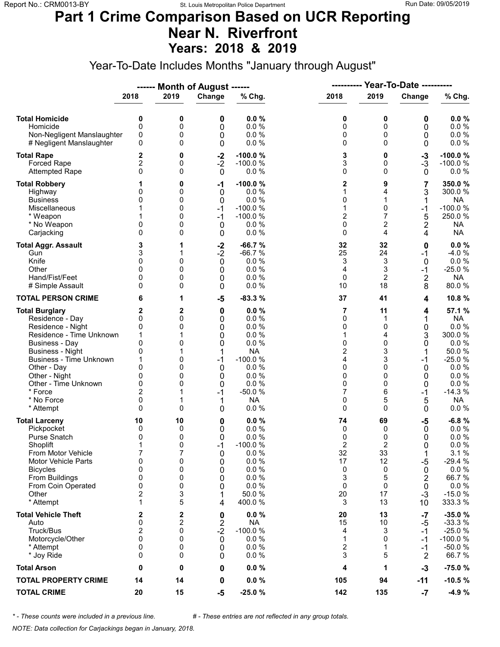### **Part 1 Crime Comparison Based on UCR Reporting Near N. Riverfront Years: 2018 & 2019**

Year-To-Date Includes Months "January through August"

|                                                                                                                                                                                                                                                                               |                                                                                  |                                                      | ------ Month of August ------                                       |                                                                                                                         | ----------                                                                     |                                                                       | <b>Year-To-Date ----------</b>                                                       |                                                                                                                                |  |
|-------------------------------------------------------------------------------------------------------------------------------------------------------------------------------------------------------------------------------------------------------------------------------|----------------------------------------------------------------------------------|------------------------------------------------------|---------------------------------------------------------------------|-------------------------------------------------------------------------------------------------------------------------|--------------------------------------------------------------------------------|-----------------------------------------------------------------------|--------------------------------------------------------------------------------------|--------------------------------------------------------------------------------------------------------------------------------|--|
|                                                                                                                                                                                                                                                                               | 2018                                                                             | 2019                                                 | Change                                                              | % Chg.                                                                                                                  | 2018                                                                           | 2019                                                                  | Change                                                                               | % Chg.                                                                                                                         |  |
| <b>Total Homicide</b><br>Homicide<br>Non-Negligent Manslaughter<br># Negligent Manslaughter                                                                                                                                                                                   | 0<br>0<br>0<br>0                                                                 | 0<br>0<br>0<br>0                                     | 0<br>0<br>0<br>0                                                    | 0.0%<br>0.0%<br>0.0%<br>0.0%                                                                                            | 0<br>0<br>0<br>0                                                               | 0<br>0<br>0<br>0                                                      | 0<br>0<br>0<br>0                                                                     | 0.0%<br>0.0 %<br>0.0 %<br>$0.0 \%$                                                                                             |  |
| <b>Total Rape</b><br>Forced Rape<br><b>Attempted Rape</b>                                                                                                                                                                                                                     | 2<br>2<br>0                                                                      | 0<br>0<br>0                                          | $-2$<br>$-2$<br>$\mathbf 0$                                         | $-100.0%$<br>$-100.0%$<br>0.0%                                                                                          | 3<br>3<br>0                                                                    | 0<br>0<br>$\mathbf 0$                                                 | $-3$<br>$-3$<br>0                                                                    | $-100.0%$<br>$-100.0%$<br>$0.0 \%$                                                                                             |  |
| <b>Total Robbery</b><br>Highway<br><b>Business</b><br>Miscellaneous<br>* Weapon<br>* No Weapon<br>Carjacking                                                                                                                                                                  | 0<br>0<br>0<br>0                                                                 | 0<br>0<br>0<br>0<br>0<br>0<br>0                      | -1<br>0<br>0<br>$-1$<br>$-1$<br>$\mathbf 0$<br>0                    | $-100.0%$<br>0.0%<br>0.0%<br>$-100.0%$<br>$-100.0%$<br>0.0%<br>0.0%                                                     | 2<br>1<br>0<br>1<br>2<br>0<br>0                                                | 9<br>4<br>1<br>0<br>7<br>2<br>4                                       | 7<br>3<br>$-1$<br>5<br>2<br>4                                                        | 350.0%<br>300.0%<br><b>NA</b><br>$-100.0%$<br>250.0%<br><b>NA</b><br><b>NA</b>                                                 |  |
| <b>Total Aggr. Assault</b><br>Gun<br>Knife<br>Other<br>Hand/Fist/Feet<br># Simple Assault                                                                                                                                                                                     | 3<br>3<br>0<br>$\Omega$<br>0<br>0                                                | 1<br>1<br>0<br>0<br>0<br>0                           | $-2$<br>$-2$<br>$\mathbf 0$<br>0<br>0<br>0                          | $-66.7%$<br>$-66.7%$<br>0.0%<br>0.0%<br>0.0%<br>0.0%                                                                    | 32<br>25<br>3<br>4<br>0<br>10                                                  | 32<br>24<br>3<br>3<br>$\overline{2}$<br>18                            | 0<br>$-1$<br>$\mathbf 0$<br>$-1$<br>$\overline{2}$<br>8                              | $0.0 \%$<br>$-4.0%$<br>$0.0 \%$<br>$-25.0%$<br><b>NA</b><br>80.0%                                                              |  |
| <b>TOTAL PERSON CRIME</b>                                                                                                                                                                                                                                                     | 6                                                                                | 1                                                    | -5                                                                  | $-83.3%$                                                                                                                | 37                                                                             | 41                                                                    | 4                                                                                    | 10.8%                                                                                                                          |  |
| <b>Total Burglary</b><br>Residence - Day<br>Residence - Night<br>Residence - Time Unknown<br><b>Business - Day</b><br><b>Business - Night</b><br><b>Business - Time Unknown</b><br>Other - Day<br>Other - Night<br>Other - Time Unknown<br>* Force<br>* No Force<br>* Attempt | 2<br>0<br>0<br>1<br>$\mathbf{0}$<br>0<br>0<br>0<br>0<br>$\overline{2}$<br>0<br>0 | 2<br>0<br>0<br>0<br>1<br>0<br>0<br>0<br>0<br>1<br>0  | 0<br>0<br>0<br>0<br>0<br>1<br>$-1$<br>0<br>0<br>0<br>$-1$<br>1<br>0 | 0.0%<br>0.0%<br>0.0%<br>0.0%<br>0.0%<br><b>NA</b><br>$-100.0%$<br>0.0%<br>0.0%<br>0.0%<br>$-50.0%$<br><b>NA</b><br>0.0% | 7<br>0<br>0<br>1<br>0<br>2<br>4<br>0<br>0<br>0<br>7<br>0<br>0                  | 11<br>1<br>0<br>4<br>$\Omega$<br>3<br>3<br>0<br>0<br>0<br>6<br>5<br>0 | 4<br>1<br>0<br>3<br>0<br>1<br>$-1$<br>0<br>0<br>0<br>$-1$<br>5<br>0                  | 57.1 %<br><b>NA</b><br>0.0 %<br>300.0%<br>0.0%<br>50.0%<br>$-25.0%$<br>$0.0 \%$<br>0.0%<br>0.0 %<br>$-14.3%$<br>NA<br>$0.0 \%$ |  |
| <b>Total Larceny</b><br>Pickpocket<br><b>Purse Snatch</b><br>Shoplift<br>From Motor Vehicle<br>Motor Vehicle Parts<br><b>Bicycles</b><br>From Buildings<br>From Coin Operated<br>Other<br>* Attempt                                                                           | 10<br>0<br>0<br>1<br>7<br>0<br>0<br>$\mathbf 0$<br>0<br>2<br>1                   | 10<br>0<br>0<br>0<br>7<br>0<br>0<br>0<br>0<br>3<br>5 | 0<br>0<br>0<br>$-1$<br>0<br>0<br>0<br>0<br>0<br>1<br>4              | 0.0%<br>0.0 %<br>0.0%<br>$-100.0%$<br>$0.0 \%$<br>0.0%<br>0.0%<br>0.0%<br>0.0%<br>50.0%<br>400.0%                       | 74<br>0<br>0<br>$\overline{2}$<br>32<br>17<br>0<br>3<br>$\mathbf 0$<br>20<br>3 | 69<br>0<br>0<br>2<br>33<br>12<br>0<br>5<br>0<br>17<br>13              | $-5$<br>0<br>0<br>0<br>1<br>$-5$<br>0<br>$\overline{2}$<br>$\mathbf 0$<br>$-3$<br>10 | $-6.8%$<br>$0.0 \%$<br>0.0%<br>0.0%<br>3.1%<br>$-29.4%$<br>0.0 %<br>66.7%<br>$0.0 \%$<br>$-15.0%$<br>333.3 %                   |  |
| <b>Total Vehicle Theft</b><br>Auto<br>Truck/Bus<br>Motorcycle/Other<br>* Attempt<br>* Joy Ride                                                                                                                                                                                | 2<br>0<br>2<br>$\mathbf{0}$<br>0<br>0                                            | 2<br>$\overline{2}$<br>0<br>0<br>0<br>0              | 0<br>$\boldsymbol{2}$<br>$-2$<br>0<br>0<br>0                        | 0.0%<br><b>NA</b><br>$-100.0%$<br>0.0%<br>0.0%<br>0.0%                                                                  | 20<br>15<br>4<br>1<br>2<br>3                                                   | 13<br>10<br>3<br>0<br>1<br>5                                          | -7<br>-5<br>$-1$<br>-1<br>$-1$<br>$\overline{2}$                                     | $-35.0%$<br>$-33.3%$<br>$-25.0%$<br>$-100.0%$<br>$-50.0%$<br>66.7%                                                             |  |
| <b>Total Arson</b>                                                                                                                                                                                                                                                            | 0                                                                                | 0                                                    | 0                                                                   | 0.0%                                                                                                                    | 4                                                                              | 1                                                                     | $-3$                                                                                 | $-75.0%$                                                                                                                       |  |
| <b>TOTAL PROPERTY CRIME</b>                                                                                                                                                                                                                                                   | 14                                                                               | 14                                                   | 0                                                                   | $0.0 \%$                                                                                                                | 105                                                                            | 94                                                                    | -11                                                                                  | $-10.5%$                                                                                                                       |  |
| <b>TOTAL CRIME</b>                                                                                                                                                                                                                                                            | 20                                                                               | 15                                                   | $-5$                                                                | $-25.0%$                                                                                                                | 142                                                                            | 135                                                                   | -7                                                                                   | $-4.9%$                                                                                                                        |  |

*\* - These counts were included in a previous line. # - These entries are not reflected in any group totals.*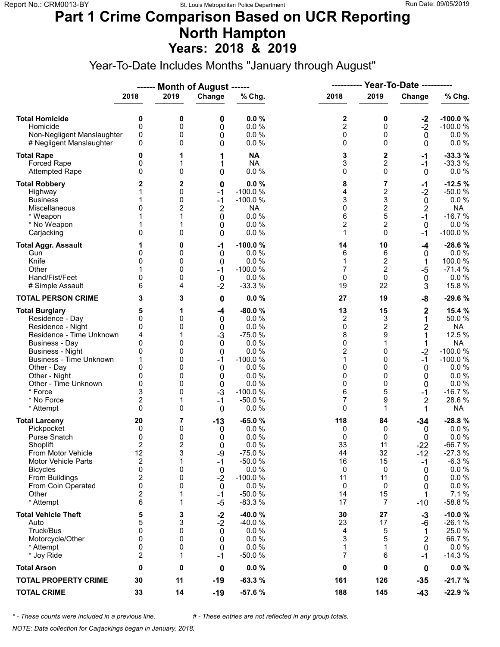### **Part 1 Crime Comparison Based on UCR Reporting North Hampton Years: 2018 & 2019**

Year-To-Date Includes Months "January through August"

|                                                                                                                                                                                                                                                                               |                                                                                                                      |                                                                  | ------ Month of August ------                                                                       |                                                                                                                            | ----------                                                                  | <b>Year-To-Date ----------</b>                                                  |                                                                                                            |                                                                                                                                           |
|-------------------------------------------------------------------------------------------------------------------------------------------------------------------------------------------------------------------------------------------------------------------------------|----------------------------------------------------------------------------------------------------------------------|------------------------------------------------------------------|-----------------------------------------------------------------------------------------------------|----------------------------------------------------------------------------------------------------------------------------|-----------------------------------------------------------------------------|---------------------------------------------------------------------------------|------------------------------------------------------------------------------------------------------------|-------------------------------------------------------------------------------------------------------------------------------------------|
|                                                                                                                                                                                                                                                                               | 2018                                                                                                                 | 2019                                                             | Change                                                                                              | % Chg.                                                                                                                     | 2018                                                                        | 2019                                                                            | Change                                                                                                     | % Chg.                                                                                                                                    |
| <b>Total Homicide</b><br>Homicide<br>Non-Negligent Manslaughter<br># Negligent Manslaughter                                                                                                                                                                                   | 0<br>$\mathbf 0$<br>0<br>0                                                                                           | 0<br>0<br>0<br>0                                                 | 0<br>0<br>0<br>0                                                                                    | 0.0%<br>0.0 %<br>0.0%<br>0.0%                                                                                              | 2<br>$\overline{c}$<br>0<br>0                                               | 0<br>0<br>0<br>$\Omega$                                                         | $-2$<br>$-2$<br>$\mathbf 0$<br>0                                                                           | $-100.0%$<br>$-100.0%$<br>$0.0 \%$<br>$0.0 \%$                                                                                            |
| <b>Total Rape</b><br>Forced Rape<br><b>Attempted Rape</b>                                                                                                                                                                                                                     | 0<br>0<br>0                                                                                                          | 1<br>1<br>0                                                      | 1<br>1<br>0                                                                                         | <b>NA</b><br><b>NA</b><br>0.0%                                                                                             | 3<br>3<br>0                                                                 | $\mathbf 2$<br>2<br>$\Omega$                                                    | -1<br>$-1$<br>$\mathbf 0$                                                                                  | $-33.3%$<br>$-33.3%$<br>$0.0 \%$                                                                                                          |
| <b>Total Robbery</b><br>Highway<br><b>Business</b><br>Miscellaneous<br>* Weapon<br>* No Weapon<br>Carjacking                                                                                                                                                                  | 2<br>1<br>$\mathbf{0}$<br>1<br>0                                                                                     | 2<br>0<br>0<br>2<br>1<br>0                                       | 0<br>$-1$<br>$-1$<br>$\overline{2}$<br>0<br>0<br>0                                                  | 0.0%<br>$-100.0%$<br>$-100.0%$<br><b>NA</b><br>0.0%<br>0.0%<br>0.0%                                                        | 8<br>4<br>3<br>0<br>6<br>$\overline{c}$<br>1                                | 7<br>$\mathbf 2$<br>3<br>$\overline{c}$<br>5<br>2<br>$\Omega$                   | $-1$<br>$-2$<br>0<br>$\overline{2}$<br>$-1$<br>$\mathbf 0$<br>$-1$                                         | $-12.5%$<br>$-50.0%$<br>0.0%<br><b>NA</b><br>$-16.7%$<br>0.0 %<br>$-100.0%$                                                               |
| <b>Total Aggr. Assault</b><br>Gun<br>Knife<br>Other<br>Hand/Fist/Feet<br># Simple Assault                                                                                                                                                                                     | 1<br>0<br>0<br>0<br>6                                                                                                | 0<br>0<br>0<br>0<br>0<br>4                                       | -1<br>0<br>0<br>$-1$<br>$\mathbf 0$<br>$-2$                                                         | $-100.0%$<br>0.0 %<br>0.0%<br>$-100.0%$<br>0.0%<br>$-33.3%$                                                                | 14<br>6<br>1<br>7<br>0<br>19                                                | 10<br>6<br>$\overline{c}$<br>$\overline{2}$<br>0<br>22                          | -4<br>0<br>1<br>$-5$<br>$\mathbf 0$<br>3                                                                   | $-28.6%$<br>0.0 %<br>100.0%<br>$-71.4%$<br>$0.0 \%$<br>15.8 %                                                                             |
| <b>TOTAL PERSON CRIME</b>                                                                                                                                                                                                                                                     | 3                                                                                                                    | 3                                                                | 0                                                                                                   | 0.0%                                                                                                                       | 27                                                                          | 19                                                                              | -8                                                                                                         | $-29.6%$                                                                                                                                  |
| <b>Total Burglary</b><br>Residence - Day<br>Residence - Night<br>Residence - Time Unknown<br><b>Business - Day</b><br><b>Business - Night</b><br><b>Business - Time Unknown</b><br>Other - Day<br>Other - Night<br>Other - Time Unknown<br>* Force<br>* No Force<br>* Attempt | 5<br>0<br>0<br>4<br>0<br>0<br>1<br>0<br>0<br>0<br>3<br>$\overline{c}$<br>$\Omega$                                    | 1<br>0<br>0<br>1<br>0<br>0<br>0<br>0<br>0<br>0<br>0<br>1<br>0    | -4<br>0<br>$\boldsymbol{0}$<br>$-3$<br>0<br>$\mathbf 0$<br>$-1$<br>0<br>0<br>0<br>$-3$<br>$-1$<br>0 | $-80.0%$<br>0.0%<br>0.0%<br>$-75.0%$<br>0.0%<br>0.0%<br>$-100.0%$<br>0.0%<br>0.0%<br>0.0%<br>$-100.0%$<br>$-50.0%$<br>0.0% | 13<br>2<br>0<br>8<br>0<br>$\overline{c}$<br>1<br>0<br>0<br>0<br>6<br>7<br>0 | 15<br>3<br>$\mathbf 2$<br>9<br>1<br>0<br>0<br>$\Omega$<br>0<br>0<br>5<br>9<br>1 | $\mathbf 2$<br>1<br>$\overline{2}$<br>1<br>1<br>$-2$<br>$-1$<br>0<br>0<br>0<br>$-1$<br>$\overline{2}$<br>1 | 15.4 %<br>50.0%<br><b>NA</b><br>12.5 %<br><b>NA</b><br>$-100.0%$<br>$-100.0%$<br>0.0%<br>0.0 %<br>0.0 %<br>$-16.7%$<br>28.6%<br><b>NA</b> |
| <b>Total Larceny</b><br>Pickpocket<br>Purse Snatch<br>Shoplift<br>From Motor Vehicle<br><b>Motor Vehicle Parts</b><br><b>Bicycles</b><br>From Buildings<br>From Coin Operated<br>Other<br>* Attempt                                                                           | 20<br>0<br>0<br>$\overline{2}$<br>12<br>$\overline{\mathbf{c}}$<br>0<br>$\boldsymbol{2}$<br>0<br>$\overline{c}$<br>6 | 7<br>0<br>0<br>$\overline{2}$<br>3<br>1<br>0<br>0<br>0<br>1<br>1 | $-13$<br>0<br>0<br>$\Omega$<br>-9<br>-1<br>0<br>$-2$<br>$\mathbf 0$<br>$-1$<br>$-5$                 | $-65.0%$<br>0.0%<br>0.0%<br>0.0%<br>$-75.0%$<br>$-50.0%$<br>0.0 %<br>$-100.0%$<br>0.0%<br>$-50.0%$<br>$-83.3%$             | 118<br>0<br>0<br>33<br>44<br>16<br>0<br>11<br>0<br>14<br>17                 | 84<br>0<br>0<br>11<br>32<br>15<br>0<br>11<br>0<br>15<br>7                       | $-34$<br>0<br>0<br>$-22$<br>$-12$<br>$-1$<br>0<br>0<br>0<br>1<br>$-10$                                     | $-28.8%$<br>$0.0 \%$<br>0.0 %<br>$-66.7%$<br>$-27.3%$<br>$-6.3%$<br>$0.0 \%$<br>0.0 %<br>$0.0 \%$<br>7.1%<br>$-58.8%$                     |
| <b>Total Vehicle Theft</b><br>Auto<br>Truck/Bus<br>Motorcycle/Other<br>* Attempt<br>* Joy Ride                                                                                                                                                                                | 5<br>5<br>0<br>0<br>0<br>$\overline{2}$                                                                              | 3<br>3<br>0<br>0<br>0<br>1                                       | $-2$<br>$-2$<br>0<br>0<br>$\mathbf 0$<br>$-1$                                                       | $-40.0%$<br>$-40.0%$<br>0.0%<br>0.0%<br>0.0%<br>$-50.0%$                                                                   | 30<br>23<br>4<br>3<br>$\mathbf 1$<br>7                                      | 27<br>17<br>5<br>5<br>1<br>6                                                    | $-3$<br>-6<br>1<br>2<br>0<br>$-1$                                                                          | $-10.0%$<br>$-26.1%$<br>25.0%<br>66.7%<br>$0.0 \%$<br>$-14.3%$                                                                            |
| <b>Total Arson</b>                                                                                                                                                                                                                                                            | 0                                                                                                                    | 0                                                                | 0                                                                                                   | 0.0%                                                                                                                       | 0                                                                           | 0                                                                               | 0                                                                                                          | $0.0 \%$                                                                                                                                  |
| <b>TOTAL PROPERTY CRIME</b>                                                                                                                                                                                                                                                   | 30                                                                                                                   | 11                                                               | $-19$                                                                                               | $-63.3%$                                                                                                                   | 161                                                                         | 126                                                                             | $-35$                                                                                                      | $-21.7%$                                                                                                                                  |
| <b>TOTAL CRIME</b>                                                                                                                                                                                                                                                            | 33                                                                                                                   | 14                                                               | $-19$                                                                                               | -57.6 %                                                                                                                    | 188                                                                         | 145                                                                             | $-43$                                                                                                      | $-22.9%$                                                                                                                                  |

*\* - These counts were included in a previous line. # - These entries are not reflected in any group totals.*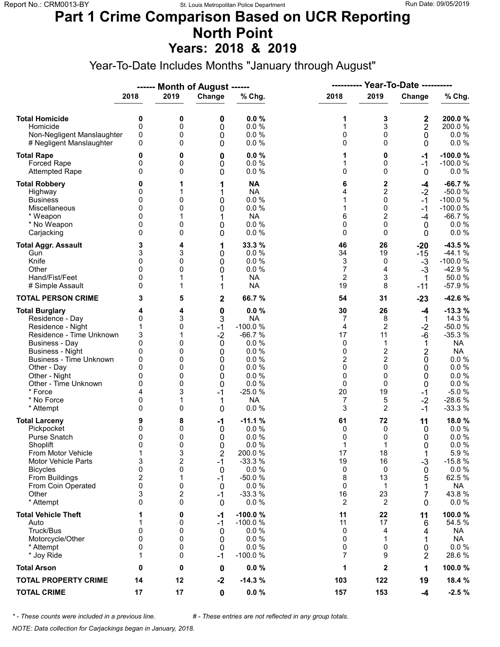#### **Part 1 Crime Comparison Based on UCR Reporting North Point Years: 2018 & 2019**

Year-To-Date Includes Months "January through August"

|                                                                                                                                                                                                                                                                               |                                                                                |                                                               | ------ Month of August ------                                                 |                                                                                                                             |                                                                                            | <b>Year-To-Date ----------</b><br>-----------                                                              |                                                                               |                                                                                                                                       |
|-------------------------------------------------------------------------------------------------------------------------------------------------------------------------------------------------------------------------------------------------------------------------------|--------------------------------------------------------------------------------|---------------------------------------------------------------|-------------------------------------------------------------------------------|-----------------------------------------------------------------------------------------------------------------------------|--------------------------------------------------------------------------------------------|------------------------------------------------------------------------------------------------------------|-------------------------------------------------------------------------------|---------------------------------------------------------------------------------------------------------------------------------------|
|                                                                                                                                                                                                                                                                               | 2018                                                                           | 2019                                                          | Change                                                                        | % Chg.                                                                                                                      | 2018                                                                                       | 2019                                                                                                       | Change                                                                        | % Chg.                                                                                                                                |
| <b>Total Homicide</b><br>Homicide<br>Non-Negligent Manslaughter<br># Negligent Manslaughter                                                                                                                                                                                   | 0<br>$\mathbf 0$<br>0<br>0                                                     | 0<br>0<br>0<br>0                                              | 0<br>0<br>0<br>0                                                              | 0.0%<br>0.0%<br>0.0 %<br>0.0%                                                                                               | 1<br>1<br>0<br>0                                                                           | 3<br>3<br>0<br>$\Omega$                                                                                    | 2<br>2<br>$\mathbf 0$<br>$\mathbf{0}$                                         | 200.0%<br>200.0%<br>$0.0 \%$<br>$0.0 \%$                                                                                              |
| <b>Total Rape</b><br>Forced Rape<br><b>Attempted Rape</b>                                                                                                                                                                                                                     | 0<br>0<br>$\Omega$                                                             | 0<br>0<br>0                                                   | 0<br>0<br>0                                                                   | 0.0%<br>0.0%<br>0.0 %                                                                                                       | 1<br>1<br>0                                                                                | 0<br>0<br>$\Omega$                                                                                         | $-1$<br>$-1$<br>$\mathbf{0}$                                                  | $-100.0%$<br>$-100.0%$<br>$0.0 \%$                                                                                                    |
| <b>Total Robbery</b><br>Highway<br><b>Business</b><br>Miscellaneous<br>* Weapon<br>* No Weapon<br>Carjacking                                                                                                                                                                  | 0<br>0<br>0<br>$\Omega$<br>0<br>0<br>0                                         | 1<br>1<br>0<br>0<br>1<br>0<br>0                               | 1<br>1<br>0<br>0<br>1<br>0<br>0                                               | <b>NA</b><br><b>NA</b><br>0.0 %<br>0.0 %<br><b>NA</b><br>0.0 %<br>0.0%                                                      | 6<br>4<br>1<br>1<br>6<br>0<br>0                                                            | 2<br>$\overline{2}$<br>0<br>0<br>$\overline{2}$<br>0<br>$\Omega$                                           | -4<br>$-2$<br>$-1$<br>$-1$<br>$-4$<br>0<br>$\mathbf{0}$                       | $-66.7%$<br>$-50.0%$<br>$-100.0%$<br>$-100.0%$<br>$-66.7%$<br>$0.0 \%$<br>0.0%                                                        |
| <b>Total Aggr. Assault</b><br>Gun<br>Knife<br>Other<br>Hand/Fist/Feet<br># Simple Assault                                                                                                                                                                                     | 3<br>3<br>0<br>$\Omega$<br>0<br>0                                              | 4<br>3<br>0<br>0<br>1                                         | 1<br>0<br>0<br>0<br>1<br>1                                                    | 33.3 %<br>0.0%<br>0.0%<br>0.0 %<br><b>NA</b><br><b>NA</b>                                                                   | 46<br>34<br>3<br>7<br>$\overline{2}$<br>19                                                 | 26<br>19<br>0<br>4<br>3<br>8                                                                               | $-20$<br>$-15$<br>$-3$<br>$-3$<br>-1<br>$-11$                                 | $-43.5%$<br>$-44.1%$<br>$-100.0%$<br>$-42.9%$<br>50.0%<br>$-57.9%$                                                                    |
| <b>TOTAL PERSON CRIME</b>                                                                                                                                                                                                                                                     | 3                                                                              | 5                                                             | $\mathbf 2$                                                                   | 66.7%                                                                                                                       | 54                                                                                         | 31                                                                                                         | $-23$                                                                         | -42.6%                                                                                                                                |
| <b>Total Burglary</b><br>Residence - Day<br>Residence - Night<br>Residence - Time Unknown<br><b>Business - Day</b><br><b>Business - Night</b><br><b>Business - Time Unknown</b><br>Other - Day<br>Other - Night<br>Other - Time Unknown<br>* Force<br>* No Force<br>* Attempt | 4<br>0<br>1<br>3<br>0<br>0<br>0<br>$\Omega$<br>0<br>0<br>4<br>0<br>0           | 4<br>3<br>0<br>1<br>0<br>0<br>0<br>0<br>0<br>0<br>3<br>1<br>0 | $\bf{0}$<br>3<br>$-1$<br>$-2$<br>0<br>0<br>0<br>0<br>0<br>0<br>$-1$<br>1<br>0 | 0.0%<br><b>NA</b><br>$-100.0%$<br>$-66.7%$<br>0.0%<br>0.0%<br>0.0%<br>0.0%<br>0.0%<br>0.0%<br>$-25.0%$<br><b>NA</b><br>0.0% | 30<br>7<br>$\overline{4}$<br>17<br>0<br>0<br>$\overline{c}$<br>0<br>0<br>0<br>20<br>7<br>3 | 26<br>8<br>$\overline{2}$<br>11<br>1<br>$\boldsymbol{2}$<br>2<br>$\Omega$<br>0<br>$\Omega$<br>19<br>5<br>2 | -4<br>1<br>$-2$<br>$-6$<br>1<br>2<br>0<br>0<br>0<br>0<br>$-1$<br>$-2$<br>$-1$ | $-13.3%$<br>14.3 %<br>$-50.0%$<br>$-35.3%$<br>NA<br><b>NA</b><br>0.0 %<br>0.0%<br>0.0%<br>$0.0 \%$<br>$-5.0%$<br>$-28.6%$<br>$-33.3%$ |
| <b>Total Larceny</b><br>Pickpocket<br>Purse Snatch<br>Shoplift<br>From Motor Vehicle<br><b>Motor Vehicle Parts</b><br><b>Bicycles</b><br>From Buildings<br>From Coin Operated<br>Other<br>* Attempt                                                                           | 9<br>0<br>0<br>$\Omega$<br>1<br>3<br>0<br>$\overline{c}$<br>0<br>3<br>$\Omega$ | 8<br>0<br>0<br>0<br>3<br>2<br>0<br>1<br>0<br>2<br>0           | -1<br>0<br>0<br>0<br>2<br>$-1$<br>0<br>$-1$<br>0<br>-1<br>0                   | $-11.1%$<br>0.0%<br>0.0%<br>0.0%<br>200.0%<br>$-33.3%$<br>0.0%<br>$-50.0%$<br>0.0%<br>$-33.3%$<br>0.0%                      | 61<br>0<br>0<br>1<br>17<br>19<br>0<br>8<br>0<br>16<br>$\overline{c}$                       | 72<br>0<br>0<br>1<br>18<br>16<br>0<br>13<br>-1<br>23<br>2                                                  | 11<br>0<br>0<br>0<br>1<br>$-3$<br>0<br>5<br>1<br>7<br>0                       | 18.0%<br>$0.0 \%$<br>0.0%<br>0.0 %<br>5.9%<br>$-15.8%$<br>$0.0 \%$<br>62.5 %<br><b>NA</b><br>43.8%<br>$0.0 \%$                        |
| <b>Total Vehicle Theft</b><br>Auto<br>Truck/Bus<br>Motorcycle/Other<br>* Attempt<br>* Joy Ride                                                                                                                                                                                | 1<br>0<br>$\mathbf{0}$<br>0<br>1                                               | 0<br>0<br>0<br>0<br>0<br>0                                    | -1<br>-1<br>0<br>0<br>0<br>$-1$                                               | $-100.0%$<br>$-100.0%$<br>0.0%<br>0.0%<br>0.0%<br>$-100.0%$                                                                 | 11<br>11<br>0<br>0<br>0<br>7                                                               | 22<br>17<br>4<br>1<br>0<br>9                                                                               | 11<br>6<br>4<br>0<br>2                                                        | 100.0%<br>54.5 %<br>NA<br><b>NA</b><br>$0.0 \%$<br>28.6%                                                                              |
| <b>Total Arson</b>                                                                                                                                                                                                                                                            | 0                                                                              | 0                                                             | 0                                                                             | 0.0%                                                                                                                        | 1                                                                                          | 2                                                                                                          | 1                                                                             | 100.0%                                                                                                                                |
| <b>TOTAL PROPERTY CRIME</b>                                                                                                                                                                                                                                                   | 14                                                                             | 12                                                            | $-2$                                                                          | $-14.3%$                                                                                                                    | 103                                                                                        | 122                                                                                                        | 19                                                                            | 18.4 %                                                                                                                                |
| <b>TOTAL CRIME</b>                                                                                                                                                                                                                                                            | 17                                                                             | 17                                                            | $\mathbf 0$                                                                   | $0.0 \%$                                                                                                                    | 157                                                                                        | 153                                                                                                        | $-4$                                                                          | $-2.5%$                                                                                                                               |

*\* - These counts were included in a previous line. # - These entries are not reflected in any group totals.*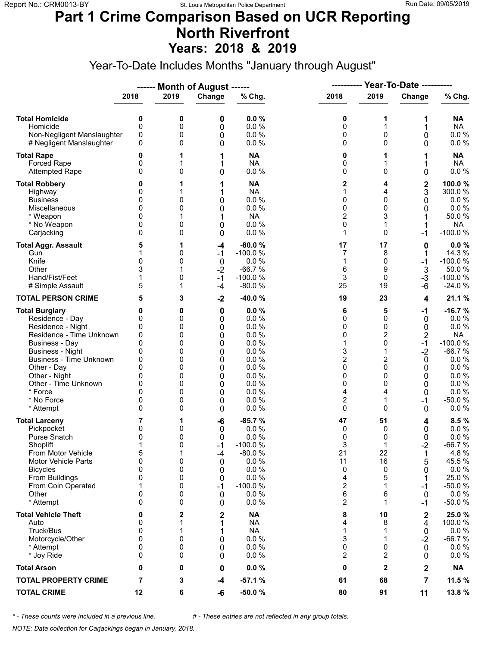### **Part 1 Crime Comparison Based on UCR Reporting North Riverfront Years: 2018 & 2019**

Year-To-Date Includes Months "January through August"

|                                                                                                                                                                                                                                                                        |                                                               |                                                               | ------ Month of August ------                                        |                                                                                                         | ----------                                                                 |                                                                         | <b>Year-To-Date ----------</b>                                                                  |                                                                                                                                                     |  |
|------------------------------------------------------------------------------------------------------------------------------------------------------------------------------------------------------------------------------------------------------------------------|---------------------------------------------------------------|---------------------------------------------------------------|----------------------------------------------------------------------|---------------------------------------------------------------------------------------------------------|----------------------------------------------------------------------------|-------------------------------------------------------------------------|-------------------------------------------------------------------------------------------------|-----------------------------------------------------------------------------------------------------------------------------------------------------|--|
|                                                                                                                                                                                                                                                                        | 2018                                                          | 2019                                                          | Change                                                               | % Chg.                                                                                                  | 2018                                                                       | 2019                                                                    | Change                                                                                          | % Chg.                                                                                                                                              |  |
| <b>Total Homicide</b><br>Homicide<br>Non-Negligent Manslaughter<br># Negligent Manslaughter                                                                                                                                                                            | 0<br>0<br>0<br>0                                              | 0<br>0<br>0<br>0                                              | 0<br>0<br>0<br>0                                                     | 0.0%<br>0.0%<br>0.0 %<br>0.0 %                                                                          | 0<br>0<br>0<br>0                                                           | 1<br>1<br>0<br>0                                                        | 1<br>1<br>0<br>0                                                                                | NA<br><b>NA</b><br>$0.0 \%$<br>0.0 %                                                                                                                |  |
| <b>Total Rape</b><br>Forced Rape<br><b>Attempted Rape</b>                                                                                                                                                                                                              | 0<br>0<br>0                                                   | 1<br>1<br>0                                                   | 1<br>1<br>0                                                          | <b>NA</b><br><b>NA</b><br>0.0 %                                                                         | 0<br>0<br>0                                                                | 1<br>$\Omega$                                                           | 1<br>0                                                                                          | <b>NA</b><br><b>NA</b><br>$0.0 \%$                                                                                                                  |  |
| <b>Total Robbery</b><br>Highway<br><b>Business</b><br>Miscellaneous<br>* Weapon<br>* No Weapon<br>Carjacking                                                                                                                                                           | 0<br>0<br>0<br>0<br>0<br>0                                    | 1<br>1<br>0<br>0<br>1<br>0<br>0                               | 1<br>1<br>0<br>0<br>1<br>0<br>0                                      | <b>NA</b><br><b>NA</b><br>0.0 %<br>0.0 %<br><b>NA</b><br>0.0%<br>0.0%                                   | 2<br>1<br>0<br>0<br>$\overline{2}$<br>0<br>1                               | 4<br>4<br>0<br>0<br>3<br>1<br>0                                         | $\mathbf 2$<br>3<br>0<br>0<br>-1                                                                | 100.0%<br>300.0%<br>$0.0 \%$<br>$0.0 \%$<br>50.0%<br><b>NA</b><br>$-100.0%$                                                                         |  |
| <b>Total Aggr. Assault</b><br>Gun<br>Knife<br>Other<br>Hand/Fist/Feet<br># Simple Assault                                                                                                                                                                              | 5<br>0<br>3<br>5                                              | 1<br>0<br>0<br>0<br>1                                         | -4<br>$-1$<br>$\boldsymbol{0}$<br>$-2$<br>$-1$<br>$-4$               | $-80.0%$<br>$-100.0%$<br>0.0 %<br>$-66.7%$<br>$-100.0%$<br>$-80.0%$                                     | 17<br>7<br>1<br>6<br>$\ensuremath{\mathsf{3}}$<br>25                       | 17<br>8<br>0<br>9<br>0<br>19                                            | 0<br>1<br>$-1$<br>$\mathbf{3}$<br>$-3$<br>$-6$                                                  | 0.0%<br>14.3 %<br>$-100.0%$<br>50.0%<br>$-100.0%$<br>$-24.0%$                                                                                       |  |
| <b>TOTAL PERSON CRIME</b>                                                                                                                                                                                                                                              | 5                                                             | 3                                                             | $-2$                                                                 | -40.0%                                                                                                  | 19                                                                         | 23                                                                      | 4                                                                                               | 21.1 %                                                                                                                                              |  |
| <b>Total Burglary</b><br>Residence - Day<br>Residence - Night<br>Residence - Time Unknown<br>Business - Day<br><b>Business - Night</b><br><b>Business - Time Unknown</b><br>Other - Day<br>Other - Night<br>Other - Time Unknown<br>* Force<br>* No Force<br>* Attempt | 0<br>0<br>0<br>0<br>0<br>0<br>0<br>0<br>0<br>0<br>0<br>0<br>0 | 0<br>0<br>0<br>0<br>0<br>0<br>0<br>0<br>0<br>0<br>0<br>0<br>0 | $\bf{0}$<br>0<br>0<br>0<br>0<br>0<br>0<br>0<br>0<br>0<br>0<br>0<br>0 | 0.0%<br>0.0%<br>0.0%<br>0.0%<br>0.0%<br>0.0 %<br>0.0%<br>0.0%<br>0.0%<br>0.0%<br>0.0%<br>0.0%<br>0.0%   | 6<br>0<br>0<br>0<br>1<br>3<br>2<br>0<br>0<br>0<br>4<br>$\overline{c}$<br>0 | 5<br>0<br>0<br>2<br>$\mathbf 0$<br>1<br>2<br>0<br>0<br>0<br>4<br>1<br>0 | $-1$<br>0<br>0<br>$\overline{\mathbf{c}}$<br>$-1$<br>$-2$<br>0<br>0<br>0<br>0<br>0<br>$-1$<br>0 | $-16.7%$<br>$0.0 \%$<br>0.0 %<br><b>NA</b><br>$-100.0%$<br>$-66.7%$<br>$0.0 \%$<br>0.0%<br>$0.0 \%$<br>$0.0 \%$<br>$0.0 \%$<br>$-50.0%$<br>$0.0 \%$ |  |
| <b>Total Larceny</b><br>Pickpocket<br><b>Purse Snatch</b><br>Shoplift<br>From Motor Vehicle<br>Motor Vehicle Parts<br><b>Bicycles</b><br>From Buildings<br>From Coin Operated<br>Other<br>* Attempt                                                                    | 7<br>0<br>0<br>1<br>5<br>$\mathbf 0$<br>0<br>0<br>1<br>0<br>0 | 1<br>0<br>0<br>0<br>1<br>0<br>0<br>0<br>0<br>0<br>0           | -6<br>0<br>0<br>$-1$<br>-4<br>0<br>0<br>0<br>-1<br>0<br>0            | $-85.7%$<br>0.0%<br>0.0%<br>$-100.0%$<br>$-80.0%$<br>0.0 %<br>0.0%<br>0.0%<br>$-100.0%$<br>0.0%<br>0.0% | 47<br>0<br>0<br>3<br>21<br>11<br>0<br>4<br>2<br>6<br>$\overline{c}$        | 51<br>0<br>0<br>1<br>22<br>16<br>0<br>5<br>1<br>6<br>1                  | 4<br>0<br>0<br>$-2$<br>1<br>5<br>0<br>1<br>-1<br>0<br>-1                                        | 8.5%<br>$0.0 \%$<br>0.0 %<br>$-66.7%$<br>4.8%<br>45.5 %<br>0.0 %<br>25.0%<br>$-50.0%$<br>$0.0 \%$<br>$-50.0%$                                       |  |
| <b>Total Vehicle Theft</b><br>Auto<br>Truck/Bus<br>Motorcycle/Other<br>* Attempt<br>* Joy Ride                                                                                                                                                                         | 0<br>0<br>0<br>0<br>0<br>0                                    | 2<br>1<br>1<br>0<br>0<br>0                                    | 2<br>1<br>1<br>0<br>0<br>0                                           | <b>NA</b><br><b>NA</b><br><b>NA</b><br>0.0 %<br>0.0 %<br>0.0%                                           | 8<br>4<br>1<br>3<br>0<br>2                                                 | 10<br>8<br>1<br>1<br>0<br>2                                             | 2<br>4<br>0<br>$-2$<br>$\mathbf 0$<br>0                                                         | 25.0%<br>100.0%<br>$0.0 \%$<br>$-66.7%$<br>$0.0 \%$<br>$0.0 \%$                                                                                     |  |
| <b>Total Arson</b>                                                                                                                                                                                                                                                     | 0                                                             | 0                                                             | 0                                                                    | 0.0%                                                                                                    | 0                                                                          | $\mathbf{2}$                                                            | 2                                                                                               | <b>NA</b>                                                                                                                                           |  |
| <b>TOTAL PROPERTY CRIME</b>                                                                                                                                                                                                                                            | 7                                                             | 3                                                             | $-4$                                                                 | $-57.1%$                                                                                                | 61                                                                         | 68                                                                      | $\overline{7}$                                                                                  | 11.5 %                                                                                                                                              |  |
| <b>TOTAL CRIME</b>                                                                                                                                                                                                                                                     | 12                                                            | 6                                                             | -6                                                                   | $-50.0%$                                                                                                | 80                                                                         | 91                                                                      | 11                                                                                              | 13.8 %                                                                                                                                              |  |

*\* - These counts were included in a previous line. # - These entries are not reflected in any group totals.*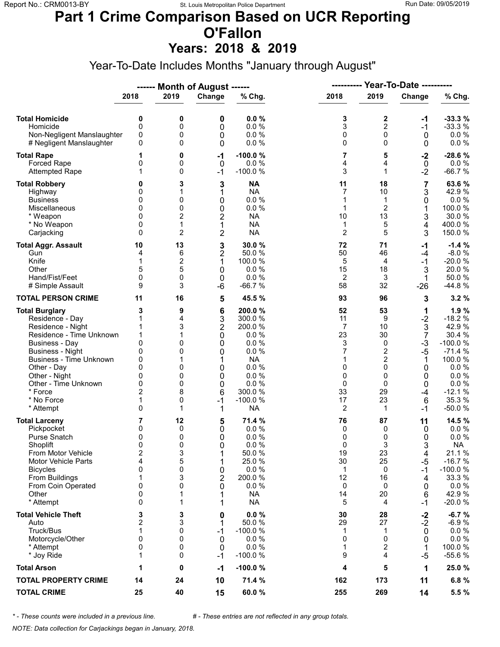# **Part 1 Crime Comparison Based on UCR Reporting O'Fallon**

**Years: 2018 & 2019**

Year-To-Date Includes Months "January through August"

|                                |                         |                | ------ Month of August ------ |           | <b>Year-To-Date ----------</b><br>---------- |                |                |           |  |
|--------------------------------|-------------------------|----------------|-------------------------------|-----------|----------------------------------------------|----------------|----------------|-----------|--|
|                                | 2018                    | 2019           | Change                        | % Chg.    | 2018                                         | 2019           | Change         | % Chg.    |  |
| <b>Total Homicide</b>          | 0                       | 0              | 0                             | 0.0%      | 3                                            | 2              | -1             | $-33.3%$  |  |
| Homicide                       | $\mathbf 0$             | 0              | 0                             | 0.0%      | 3                                            | $\overline{2}$ | $-1$           | $-33.3%$  |  |
| Non-Negligent Manslaughter     | 0                       | 0              | 0                             | 0.0%      | 0                                            | $\mathbf 0$    | 0              | $0.0 \%$  |  |
| # Negligent Manslaughter       | 0                       | 0              | 0                             | 0.0%      | 0                                            | $\Omega$       | 0              | $0.0 \%$  |  |
| <b>Total Rape</b>              | 1                       | 0              | $-1$                          | $-100.0%$ | 7                                            | 5              | $-2$           | $-28.6%$  |  |
| Forced Rape                    | 0                       | 0              | 0                             | 0.0%      | 4                                            | 4              | $\mathbf 0$    | 0.0 %     |  |
| <b>Attempted Rape</b>          | 1                       | 0              | $-1$                          | $-100.0%$ | 3                                            | $\mathbf{1}$   | $-2$           | $-66.7%$  |  |
| <b>Total Robbery</b>           | 0                       | 3              | 3                             | <b>NA</b> | 11                                           | 18             | 7              | 63.6%     |  |
| Highway                        | 0                       | 1              | 1                             | <b>NA</b> | $\overline{7}$                               | 10             | 3              | 42.9%     |  |
| <b>Business</b>                | 0                       | 0              | 0                             | 0.0 %     | 1                                            | 1              | 0              | 0.0%      |  |
| Miscellaneous                  | 0                       | 0              | $\mathbf 0$                   | 0.0 %     | 1                                            | $\overline{2}$ | 1              | 100.0%    |  |
| * Weapon                       | 0                       | $\overline{c}$ | $\overline{2}$                | <b>NA</b> | 10                                           | 13             | 3              | 30.0%     |  |
| * No Weapon                    | 0                       | 1              | 1                             | <b>NA</b> | 1                                            | 5              | 4              | 400.0%    |  |
| Carjacking                     | $\Omega$                | $\overline{c}$ | $\overline{2}$                | <b>NA</b> | $\mathbf 2$                                  | 5              | 3              | 150.0%    |  |
| <b>Total Aggr. Assault</b>     | 10                      | 13             | 3                             | 30.0 %    | 72                                           | 71             | $-1$           | $-1.4%$   |  |
| Gun                            | 4                       | 6              | $\overline{\mathbf{c}}$       | 50.0 %    | 50                                           | 46             | $-4$           | $-8.0%$   |  |
| Knife                          | 1                       | 2              | 1                             | 100.0%    | 5                                            | 4              | $-1$           | $-20.0%$  |  |
| Other                          | 5                       | 5              | 0                             | 0.0%      | 15                                           | 18             | 3              | 20.0%     |  |
| Hand/Fist/Feet                 | 0                       | 0              | 0                             | 0.0%      | 2                                            | 3              | 1              | 50.0%     |  |
| # Simple Assault               | 9                       | 3              | -6                            | $-66.7%$  | 58                                           | 32             | $-26$          | -44.8 %   |  |
| <b>TOTAL PERSON CRIME</b>      | 11                      | 16             | 5                             | 45.5 %    | 93                                           | 96             | 3              | 3.2%      |  |
| <b>Total Burglary</b>          | 3                       | 9              | 6                             | 200.0%    | 52                                           | 53             | 1              | 1.9%      |  |
| Residence - Day                | 1                       | 4              | 3                             | 300.0%    | 11                                           | 9              | $-2$           | $-18.2%$  |  |
| Residence - Night              | 1                       | 3              | $\overline{2}$                | 200.0%    | $\overline{7}$                               | 10             | 3              | 42.9%     |  |
| Residence - Time Unknown       | 1                       | 1              | 0                             | 0.0%      | 23                                           | 30             | $\overline{7}$ | 30.4 %    |  |
| <b>Business - Day</b>          | 0                       | 0              | 0                             | 0.0%      | 3                                            | $\mathbf 0$    | $-3$           | $-100.0%$ |  |
| <b>Business - Night</b>        | 0                       | 0              | 0                             | 0.0%      | 7                                            | $\overline{c}$ | $-5$           | $-71.4%$  |  |
| <b>Business - Time Unknown</b> | 0                       | 1              | 1                             | <b>NA</b> | 1                                            | $\overline{c}$ | 1              | 100.0%    |  |
| Other - Day                    | 0                       | 0              | 0                             | 0.0%      | 0                                            | $\Omega$       | 0              | $0.0 \%$  |  |
| Other - Night                  | 0                       | 0              | 0                             | 0.0%      | 0                                            | 0              | 0              | 0.0%      |  |
| Other - Time Unknown           | 0                       | 0              | 0                             | 0.0%      | 0                                            | 0              | 0              | 0.0 %     |  |
| * Force                        | $\overline{2}$          | 8              | 6                             | 300.0%    | 33                                           | 29             | $-4$           | $-12.1%$  |  |
| * No Force                     | 1                       | 0              | $-1$                          | $-100.0%$ | 17                                           | 23             | 6              | 35.3 %    |  |
| * Attempt                      | 0                       | 1              | 1                             | <b>NA</b> | 2                                            | 1              | $-1$           | $-50.0%$  |  |
| <b>Total Larceny</b>           | 7                       | 12             | 5                             | 71.4 %    | 76                                           | 87             | 11             | 14.5 %    |  |
| Pickpocket                     | 0                       | 0              | 0                             | 0.0%      | 0                                            | 0              | 0              | $0.0 \%$  |  |
| Purse Snatch                   | 0                       | 0              | 0                             | 0.0%      | 0                                            | 0              | 0              | 0.0 %     |  |
| Shoplift                       | $\mathbf{0}$            | 0              | $\Omega$                      | 0.0%      | 0                                            | 3              | 3              | <b>NA</b> |  |
| From Motor Vehicle             | $\overline{\mathbf{c}}$ | 3              | 1                             | 50.0%     | 19                                           | 23             | 4              | 21.1%     |  |
| <b>Motor Vehicle Parts</b>     | 4                       | 5              | 1                             | 25.0 %    | 30                                           | 25             | -5             | $-16.7%$  |  |
| <b>Bicycles</b>                | 0                       | 0              | 0                             | 0.0%      | 1                                            | 0              | $-1$           | $-100.0%$ |  |
| From Buildings                 | 1                       | 3              | $\overline{2}$                | 200.0%    | 12                                           | 16             | 4              | 33.3 %    |  |
| From Coin Operated             | 0                       | 0              | 0                             | 0.0%      | 0                                            | 0              | 0              | $0.0 \%$  |  |
| Other                          | 0                       | 1              | 1                             | <b>NA</b> | 14                                           | 20             | 6              | 42.9%     |  |
| * Attempt                      | 0                       | 1              | 1                             | <b>NA</b> | 5                                            | 4              | -1             | $-20.0%$  |  |
| <b>Total Vehicle Theft</b>     | 3                       | 3              | 0                             | 0.0%      | 30                                           | 28             | $-2$           | $-6.7%$   |  |
| Auto                           | $\overline{\mathbf{c}}$ | 3              | 1                             | 50.0%     | 29                                           | 27             | $-2$           | $-6.9%$   |  |
| Truck/Bus                      | 1                       | 0              | $-1$                          | $-100.0%$ | 1                                            | 1              | 0              | $0.0 \%$  |  |
| Motorcycle/Other               | 0                       | 0              | 0                             | 0.0%      | 0                                            | $\Omega$       | 0              | 0.0 %     |  |
| * Attempt                      | 0                       | 0              | 0                             | 0.0%      | 1                                            | 2              | 1              | 100.0 %   |  |
| * Joy Ride                     | 1                       | 0              | $-1$                          | $-100.0%$ | 9                                            | 4              | $-5$           | $-55.6%$  |  |
| <b>Total Arson</b>             | 1                       | 0              | $-1$                          | $-100.0%$ | 4                                            | 5              | 1              | 25.0 %    |  |
| <b>TOTAL PROPERTY CRIME</b>    | 14                      | 24             | 10                            | 71.4 %    | 162                                          | 173            | 11             | 6.8%      |  |
| <b>TOTAL CRIME</b>             | 25                      | 40             | 15                            | 60.0%     | 255                                          | 269            | 14             | 5.5 %     |  |

*\* - These counts were included in a previous line. # - These entries are not reflected in any group totals.*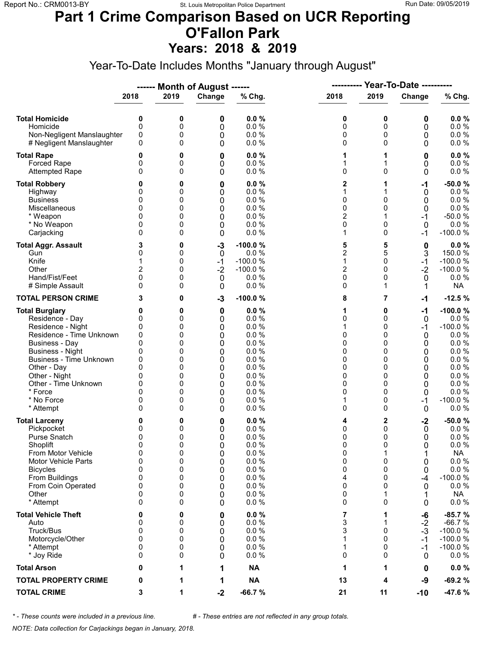#### **Part 1 Crime Comparison Based on UCR Reporting O'Fallon Park Years: 2018 & 2019**

Year-To-Date Includes Months "January through August"

|                                                                                                                                                                                                                                                                        |                                                                       |                                                               | ------ Month of August ------                                 |                                                                                                      |                                                                    |                                                                      |                                                                      |                                                                                                                                         |
|------------------------------------------------------------------------------------------------------------------------------------------------------------------------------------------------------------------------------------------------------------------------|-----------------------------------------------------------------------|---------------------------------------------------------------|---------------------------------------------------------------|------------------------------------------------------------------------------------------------------|--------------------------------------------------------------------|----------------------------------------------------------------------|----------------------------------------------------------------------|-----------------------------------------------------------------------------------------------------------------------------------------|
|                                                                                                                                                                                                                                                                        | 2018                                                                  | 2019                                                          | Change                                                        | % Chg.                                                                                               | 2018                                                               | 2019                                                                 | Change                                                               | % Chg.                                                                                                                                  |
| <b>Total Homicide</b><br>Homicide<br>Non-Negligent Manslaughter<br># Negligent Manslaughter                                                                                                                                                                            | 0<br>0<br>0<br>0                                                      | 0<br>0<br>0<br>0                                              | 0<br>0<br>0<br>0                                              | 0.0%<br>0.0%<br>0.0%<br>0.0%                                                                         | 0<br>0<br>0<br>0                                                   | 0<br>0<br>0<br>0                                                     | 0<br>0<br>0<br>0                                                     | 0.0%<br>$0.0 \%$<br>$0.0 \%$<br>0.0 %                                                                                                   |
| <b>Total Rape</b><br><b>Forced Rape</b><br><b>Attempted Rape</b>                                                                                                                                                                                                       | 0<br>0<br>0                                                           | 0<br>0<br>0                                                   | 0<br>0<br>0                                                   | 0.0%<br>0.0%<br>0.0%                                                                                 | 1<br>1<br>0                                                        | 1<br>1<br>$\Omega$                                                   | 0<br>0<br>0                                                          | $0.0 \%$<br>$0.0 \%$<br>$0.0 \%$                                                                                                        |
| <b>Total Robbery</b><br>Highway<br><b>Business</b><br>Miscellaneous<br>* Weapon<br>* No Weapon<br>Carjacking                                                                                                                                                           | 0<br>0<br>0<br>0<br>0<br>0<br>0                                       | 0<br>0<br>0<br>0<br>0<br>0<br>0                               | 0<br>0<br>0<br>0<br>0<br>0<br>0                               | 0.0%<br>0.0%<br>0.0%<br>0.0%<br>0.0%<br>0.0%<br>0.0%                                                 | $\overline{\mathbf{c}}$<br>1<br>0<br>0<br>$\overline{2}$<br>0<br>1 | 1<br>0<br>0<br>1<br>$\Omega$<br>0                                    | -1<br>0<br>0<br>0<br>$-1$<br>0<br>-1                                 | $-50.0%$<br>0.0 %<br>0.0%<br>0.0 %<br>$-50.0%$<br>0.0%<br>$-100.0%$                                                                     |
| <b>Total Aggr. Assault</b><br>Gun<br>Knife<br>Other<br>Hand/Fist/Feet<br># Simple Assault                                                                                                                                                                              | 3<br>0<br>1<br>2<br>0<br>0                                            | 0<br>0<br>0<br>0<br>0<br>0                                    | $-3$<br>0<br>$-1$<br>$-2$<br>0<br>0                           | $-100.0%$<br>0.0 %<br>$-100.0%$<br>$-100.0%$<br>0.0%<br>0.0%                                         | 5<br>$\overline{2}$<br>1<br>$\overline{2}$<br>0<br>0               | 5<br>5<br>0<br>0<br>0<br>1                                           | 0<br>3<br>$-1$<br>$-2$<br>0<br>1                                     | $0.0 \%$<br>150.0%<br>$-100.0%$<br>$-100.0%$<br>0.0%<br><b>NA</b>                                                                       |
| <b>TOTAL PERSON CRIME</b>                                                                                                                                                                                                                                              | 3                                                                     | 0                                                             | $-3$                                                          | $-100.0%$                                                                                            | 8                                                                  | 7                                                                    | $-1$                                                                 | $-12.5%$                                                                                                                                |
| <b>Total Burglary</b><br>Residence - Day<br>Residence - Night<br>Residence - Time Unknown<br>Business - Day<br><b>Business - Night</b><br><b>Business - Time Unknown</b><br>Other - Day<br>Other - Night<br>Other - Time Unknown<br>* Force<br>* No Force<br>* Attempt | 0<br>0<br>0<br>0<br>0<br>0<br>0<br>0<br>0<br>0<br>0<br>0<br>$\Omega$  | 0<br>0<br>0<br>0<br>0<br>0<br>0<br>0<br>0<br>0<br>0<br>0<br>0 | 0<br>0<br>0<br>0<br>0<br>0<br>0<br>0<br>0<br>0<br>0<br>0<br>0 | 0.0%<br>0.0%<br>0.0%<br>0.0%<br>0.0%<br>0.0%<br>0.0%<br>0.0%<br>0.0%<br>0.0%<br>0.0%<br>0.0%<br>0.0% | 1<br>0<br>1<br>0<br>0<br>0<br>0<br>0<br>0<br>0<br>0<br>1<br>0      | 0<br>$\Omega$<br>0<br>0<br>0<br>0<br>0<br>0<br>0<br>0<br>0<br>0<br>0 | $-1$<br>0<br>-1<br>0<br>0<br>0<br>0<br>0<br>0<br>0<br>0<br>$-1$<br>0 | $-100.0%$<br>$0.0 \%$<br>$-100.0%$<br>$0.0 \%$<br>0.0%<br>0.0%<br>$0.0 \%$<br>0.0%<br>0.0%<br>$0.0 \%$<br>0.0%<br>$-100.0%$<br>$0.0 \%$ |
| <b>Total Larceny</b><br>Pickpocket<br><b>Purse Snatch</b><br>Shoplift<br>From Motor Vehicle<br>Motor Vehicle Parts<br><b>Bicycles</b><br>From Buildings<br>From Coin Operated<br>Other<br>* Attempt                                                                    | 0<br>0<br>0<br>$\Omega$<br>0<br>0<br>$\mathbf{0}$<br>0<br>0<br>0<br>0 | 0<br>0<br>0<br>0<br>0<br>0<br>0<br>0<br>0<br>0<br>0           | 0<br>0<br>0<br>0<br>0<br>0<br>0<br>0<br>0<br>0<br>0           | 0.0%<br>0.0%<br>0.0 %<br>0.0 %<br>$0.0 \%$<br>0.0 %<br>0.0%<br>0.0%<br>0.0 %<br>0.0 %<br>0.0 %       | 4<br>0<br>0<br>0<br>0<br>0<br>0<br>4<br>0<br>0<br>0                | 2<br>0<br>0<br>$\Omega$<br>1<br>0<br>0<br>0<br>0<br>1<br>0           | $-2$<br>0<br>0<br>0<br>1<br>0<br>0<br>-4<br>0<br>0                   | $-50.0%$<br>$0.0 \%$<br>0.0 %<br>0.0 %<br><b>NA</b><br>0.0 %<br>$0.0 \%$<br>$-100.0%$<br>$0.0 \%$<br>NA<br>$0.0 \%$                     |
| <b>Total Vehicle Theft</b><br>Auto<br>Truck/Bus<br>Motorcycle/Other<br>* Attempt<br>* Joy Ride                                                                                                                                                                         | 0<br>0<br>0<br>0<br>0<br>0                                            | 0<br>0<br>0<br>0<br>0<br>0                                    | 0<br>0<br>0<br>0<br>0<br>0                                    | 0.0%<br>$0.0 \%$<br>0.0 %<br>0.0 %<br>0.0%<br>0.0%                                                   | 7<br>3<br>3<br>1<br>1<br>0                                         | 1<br>1<br>0<br>$\Omega$<br>0<br>0                                    | -6<br>$-2$<br>$-3$<br>-1<br>-1<br>0                                  | $-85.7%$<br>$-66.7%$<br>$-100.0%$<br>$-100.0%$<br>$-100.0%$<br>$0.0 \%$                                                                 |
| <b>Total Arson</b>                                                                                                                                                                                                                                                     | 0                                                                     | 1                                                             | 1                                                             | <b>NA</b>                                                                                            | 1                                                                  | 1                                                                    | 0                                                                    | $0.0 \%$                                                                                                                                |
| <b>TOTAL PROPERTY CRIME</b>                                                                                                                                                                                                                                            | 0                                                                     | 1                                                             | 1                                                             | <b>NA</b>                                                                                            | 13                                                                 | 4                                                                    | -9                                                                   | $-69.2%$                                                                                                                                |
| <b>TOTAL CRIME</b>                                                                                                                                                                                                                                                     | 3                                                                     | 1                                                             | $-2$                                                          | $-66.7%$                                                                                             | 21                                                                 | 11                                                                   | $-10$                                                                | -47.6%                                                                                                                                  |

*\* - These counts were included in a previous line. # - These entries are not reflected in any group totals.*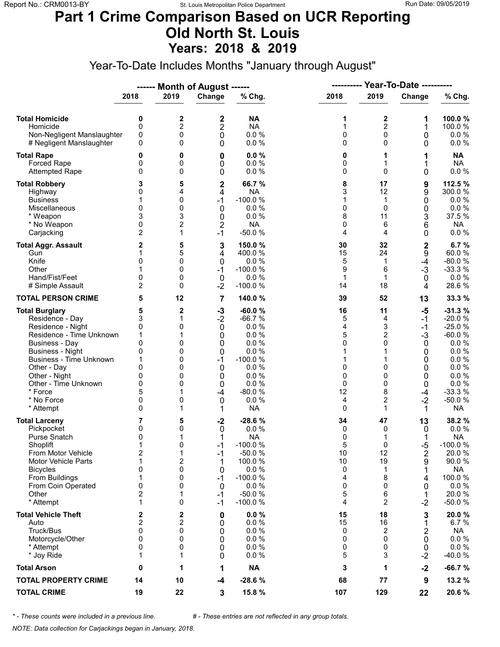### **Part 1 Crime Comparison Based on UCR Reporting Old North St. Louis Years: 2018 & 2019**

Year-To-Date Includes Months "January through August"

|                                                                                                                                                                                                                                                                               |                                                                          |                                                               | ------ Month of August ------                                                                           |                                                                                                                            |                                                                        | <b>Year-To-Date ----------</b><br>----------                                    |                                                                                 |                                                                                                                                           |
|-------------------------------------------------------------------------------------------------------------------------------------------------------------------------------------------------------------------------------------------------------------------------------|--------------------------------------------------------------------------|---------------------------------------------------------------|---------------------------------------------------------------------------------------------------------|----------------------------------------------------------------------------------------------------------------------------|------------------------------------------------------------------------|---------------------------------------------------------------------------------|---------------------------------------------------------------------------------|-------------------------------------------------------------------------------------------------------------------------------------------|
|                                                                                                                                                                                                                                                                               | 2018                                                                     | 2019                                                          | Change                                                                                                  | % Chg.                                                                                                                     | 2018                                                                   | 2019                                                                            | Change                                                                          | % Chg.                                                                                                                                    |
| <b>Total Homicide</b><br>Homicide<br>Non-Negligent Manslaughter<br># Negligent Manslaughter                                                                                                                                                                                   | 0<br>$\mathbf 0$<br>0<br>0                                               | 2<br>$\overline{c}$<br>0<br>0                                 | 2<br>2<br>0<br>0                                                                                        | <b>NA</b><br><b>NA</b><br>0.0%<br>0.0 %                                                                                    | 1<br>$\mathbf{1}$<br>0<br>0                                            | 2<br>$\overline{c}$<br>0<br>$\Omega$                                            | 1<br>1<br>0<br>0                                                                | 100.0%<br>100.0%<br>$0.0 \%$<br>$0.0 \%$                                                                                                  |
| <b>Total Rape</b><br>Forced Rape<br><b>Attempted Rape</b>                                                                                                                                                                                                                     | 0<br>0<br>0                                                              | 0<br>0<br>0                                                   | 0<br>0<br>0                                                                                             | 0.0%<br>0.0%<br>0.0%                                                                                                       | 0<br>0<br>0                                                            | 1<br>1<br>$\Omega$                                                              | 1<br>1<br>0                                                                     | <b>NA</b><br><b>NA</b><br>$0.0 \%$                                                                                                        |
| <b>Total Robbery</b><br>Highway<br><b>Business</b><br>Miscellaneous<br>* Weapon<br>* No Weapon<br>Carjacking                                                                                                                                                                  | 3<br>0<br>1<br>$\mathbf{0}$<br>3<br>0<br>2                               | 5<br>4<br>0<br>0<br>3<br>$\overline{2}$<br>1                  | $\mathbf 2$<br>4<br>$-1$<br>$\mathbf 0$<br>0<br>$\overline{2}$<br>$-1$                                  | 66.7%<br><b>NA</b><br>$-100.0%$<br>0.0%<br>0.0%<br><b>NA</b><br>$-50.0%$                                                   | 8<br>3<br>1<br>0<br>8<br>0<br>4                                        | 17<br>12<br>$\mathbf{1}$<br>$\Omega$<br>11<br>6<br>4                            | 9<br>9<br>0<br>0<br>3<br>6<br>0                                                 | 112.5 %<br>300.0 %<br>0.0%<br>0.0 %<br>37.5 %<br><b>NA</b><br>$0.0 \%$                                                                    |
| <b>Total Aggr. Assault</b><br>Gun<br>Knife<br>Other<br>Hand/Fist/Feet<br># Simple Assault                                                                                                                                                                                     | 2<br>1<br>0<br>0<br>2                                                    | 5<br>5<br>0<br>0<br>0<br>0                                    | 3<br>4<br>0<br>$-1$<br>$\mathbf 0$<br>$-2$                                                              | 150.0%<br>400.0%<br>0.0%<br>$-100.0%$<br>0.0%<br>$-100.0%$                                                                 | 30<br>15<br>5<br>9<br>$\mathbf{1}$<br>14                               | 32<br>24<br>1<br>6<br>1<br>18                                                   | $\mathbf 2$<br>9<br>$-4$<br>$-3$<br>0<br>4                                      | 6.7%<br>60.0%<br>$-80.0%$<br>$-33.3%$<br>$0.0 \%$<br>28.6%                                                                                |
| <b>TOTAL PERSON CRIME</b>                                                                                                                                                                                                                                                     | 5                                                                        | 12                                                            | 7                                                                                                       | 140.0%                                                                                                                     | 39                                                                     | 52                                                                              | 13                                                                              | 33.3 %                                                                                                                                    |
| <b>Total Burglary</b><br>Residence - Day<br>Residence - Night<br>Residence - Time Unknown<br><b>Business - Day</b><br><b>Business - Night</b><br><b>Business - Time Unknown</b><br>Other - Day<br>Other - Night<br>Other - Time Unknown<br>* Force<br>* No Force<br>* Attempt | 5<br>3<br>0<br>1<br>$\mathbf{0}$<br>0<br>1<br>0<br>0<br>0<br>5<br>0<br>0 | 2<br>1<br>0<br>1<br>0<br>0<br>0<br>0<br>0<br>0<br>1<br>0<br>1 | $-3$<br>$-2$<br>$\boldsymbol{0}$<br>0<br>0<br>$\boldsymbol{0}$<br>$-1$<br>0<br>0<br>0<br>$-4$<br>0<br>1 | $-60.0%$<br>$-66.7%$<br>0.0%<br>0.0%<br>0.0%<br>0.0%<br>$-100.0%$<br>0.0%<br>0.0%<br>0.0%<br>$-80.0%$<br>0.0%<br><b>NA</b> | 16<br>5<br>4<br>5<br>$\Omega$<br>1<br>1<br>0<br>0<br>0<br>12<br>4<br>0 | 11<br>4<br>3<br>2<br>$\Omega$<br>$\Omega$<br>0<br>0<br>8<br>$\overline{c}$<br>1 | $-5$<br>$-1$<br>$-1$<br>$-3$<br>0<br>0<br>0<br>0<br>0<br>0<br>$-4$<br>$-2$<br>1 | $-31.3%$<br>$-20.0%$<br>$-25.0%$<br>$-60.0%$<br>$0.0 \%$<br>0.0 %<br>0.0 %<br>0.0 %<br>0.0%<br>0.0 %<br>$-33.3%$<br>$-50.0%$<br><b>NA</b> |
| <b>Total Larceny</b><br>Pickpocket<br>Purse Snatch<br>Shoplift<br>From Motor Vehicle<br><b>Motor Vehicle Parts</b><br><b>Bicycles</b><br>From Buildings<br>From Coin Operated<br>Other<br>* Attempt                                                                           | 7<br>0<br>0<br>1<br>2<br>1<br>0<br>1<br>0<br>2<br>1                      | 5<br>0<br>0<br>1<br>2<br>0<br>0<br>0<br>1<br>0                | $-2$<br>0<br>1<br>$-1$<br>$-1$<br>1<br>0<br>$-1$<br>0<br>$-1$<br>$-1$                                   | $-28.6%$<br>0.0%<br><b>NA</b><br>$-100.0%$<br>$-50.0%$<br>100.0 %<br>0.0 %<br>$-100.0%$<br>0.0%<br>$-50.0%$<br>$-100.0%$   | 34<br>0<br>0<br>5<br>10<br>10<br>0<br>4<br>0<br>5<br>4                 | 47<br>0<br>1<br>$\Omega$<br>12<br>19<br>1<br>8<br>0<br>6<br>$\overline{2}$      | 13<br>0<br>1<br>$-5$<br>2<br>9<br>4<br>0<br>1<br>$-2$                           | 38.2 %<br>$0.0 \%$<br><b>NA</b><br>$-100.0%$<br>20.0%<br>90.0%<br><b>NA</b><br>100.0%<br>$0.0 \%$<br>20.0%<br>$-50.0%$                    |
| <b>Total Vehicle Theft</b><br>Auto<br>Truck/Bus<br>Motorcycle/Other<br>* Attempt<br>* Joy Ride                                                                                                                                                                                | 2<br>$\overline{\mathbf{c}}$<br>0<br>0<br>0<br>1                         | 2<br>2<br>0<br>0<br>0<br>1                                    | 0<br>0<br>0<br>0<br>0<br>0                                                                              | 0.0%<br>0.0 %<br>0.0 %<br>0.0%<br>0.0%<br>0.0%                                                                             | 15<br>15<br>0<br>0<br>0<br>5                                           | 18<br>16<br>2<br>$\Omega$<br>0<br>3                                             | 3<br>1<br>2<br>0<br>0<br>$-2$                                                   | 20.0%<br>6.7%<br>NA<br>$0.0 \%$<br>$0.0 \%$<br>$-40.0%$                                                                                   |
| <b>Total Arson</b>                                                                                                                                                                                                                                                            | 0                                                                        | 1                                                             | 1                                                                                                       | <b>NA</b>                                                                                                                  | 3                                                                      | 1                                                                               | $-2$                                                                            | $-66.7%$                                                                                                                                  |
| <b>TOTAL PROPERTY CRIME</b>                                                                                                                                                                                                                                                   | 14                                                                       | 10                                                            | -4                                                                                                      | $-28.6%$                                                                                                                   | 68                                                                     | 77                                                                              | 9                                                                               | 13.2 %                                                                                                                                    |
| <b>TOTAL CRIME</b>                                                                                                                                                                                                                                                            | 19                                                                       | 22                                                            | 3                                                                                                       | 15.8 %                                                                                                                     | 107                                                                    | 129                                                                             | 22                                                                              | 20.6%                                                                                                                                     |

*\* - These counts were included in a previous line. # - These entries are not reflected in any group totals.*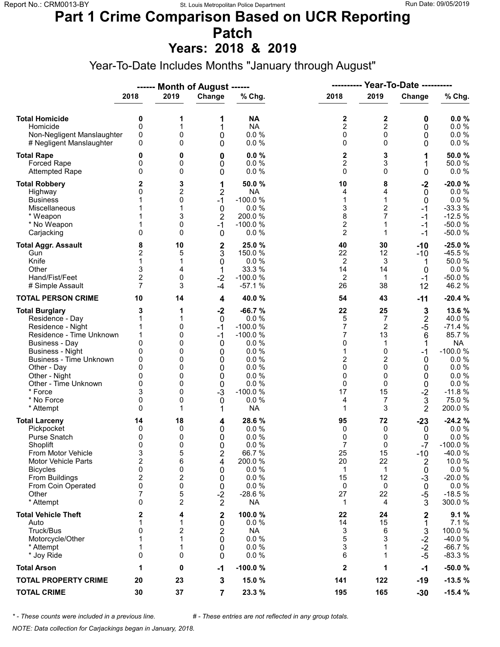### **Part 1 Crime Comparison Based on UCR Reporting Patch**

**Years: 2018 & 2019**

Year-To-Date Includes Months "January through August"

|                                                                                                                                                                                                                                                                               |                                                                                        |                                                                   | ------ Month of August ------                                                       |                                                                                                                              | ----------                                                                     | Year-To-Date ----------                                                        |                                                                                  |                                                                                                                                    |
|-------------------------------------------------------------------------------------------------------------------------------------------------------------------------------------------------------------------------------------------------------------------------------|----------------------------------------------------------------------------------------|-------------------------------------------------------------------|-------------------------------------------------------------------------------------|------------------------------------------------------------------------------------------------------------------------------|--------------------------------------------------------------------------------|--------------------------------------------------------------------------------|----------------------------------------------------------------------------------|------------------------------------------------------------------------------------------------------------------------------------|
|                                                                                                                                                                                                                                                                               | 2018                                                                                   | 2019                                                              | Change                                                                              | % Chg.                                                                                                                       | 2018                                                                           | 2019                                                                           | Change                                                                           | % Chg.                                                                                                                             |
| <b>Total Homicide</b><br>Homicide<br>Non-Negligent Manslaughter<br># Negligent Manslaughter                                                                                                                                                                                   | 0<br>$\mathbf 0$<br>0<br>0                                                             | 1<br>1<br>0<br>0                                                  | 1<br>1<br>0<br>0                                                                    | <b>NA</b><br><b>NA</b><br>0.0%<br>0.0 %                                                                                      | 2<br>$\overline{c}$<br>0<br>0                                                  | 2<br>$\overline{c}$<br>$\mathbf 0$<br>$\Omega$                                 | 0<br>0<br>0<br>0                                                                 | 0.0%<br>0.0 %<br>0.0 %<br>$0.0 \%$                                                                                                 |
| <b>Total Rape</b><br>Forced Rape<br><b>Attempted Rape</b>                                                                                                                                                                                                                     | 0<br>0<br>0                                                                            | 0<br>0<br>0                                                       | 0<br>0<br>0                                                                         | 0.0%<br>0.0%<br>0.0%                                                                                                         | 2<br>$\overline{2}$<br>$\mathbf 0$                                             | 3<br>3<br>$\Omega$                                                             | 1<br>1<br>0                                                                      | 50.0%<br>50.0%<br>$0.0 \%$                                                                                                         |
| <b>Total Robbery</b><br>Highway<br><b>Business</b><br>Miscellaneous<br>* Weapon<br>* No Weapon<br>Carjacking                                                                                                                                                                  | 2<br>0<br>1<br>1<br>$\mathbf{0}$                                                       | 3<br>2<br>0<br>1<br>3<br>0<br>0                                   | 1<br>$\overline{2}$<br>$-1$<br>$\mathbf 0$<br>$\overline{2}$<br>$-1$<br>$\mathbf 0$ | 50.0 %<br><b>NA</b><br>$-100.0%$<br>0.0%<br>200.0%<br>$-100.0%$<br>0.0%                                                      | 10<br>4<br>$\mathbf{1}$<br>3<br>8<br>$\overline{\mathbf{c}}$<br>$\overline{2}$ | 8<br>4<br>1<br>$\overline{c}$<br>7<br>$\mathbf 1$<br>1                         | $-2$<br>0<br>0<br>$-1$<br>$-1$<br>$-1$<br>$-1$                                   | $-20.0%$<br>$0.0 \%$<br>0.0 %<br>$-33.3%$<br>$-12.5%$<br>$-50.0%$<br>$-50.0%$                                                      |
| <b>Total Aggr. Assault</b><br>Gun<br>Knife<br>Other<br>Hand/Fist/Feet<br># Simple Assault                                                                                                                                                                                     | 8<br>$\overline{c}$<br>1<br>3<br>$\mathbf 2$<br>$\overline{7}$                         | 10<br>5<br>1<br>4<br>0<br>3                                       | $\mathbf 2$<br>3<br>0<br>1<br>$-2$<br>$-4$                                          | 25.0 %<br>150.0%<br>0.0%<br>33.3 %<br>$-100.0%$<br>$-57.1%$                                                                  | 40<br>22<br>2<br>14<br>2<br>26                                                 | 30<br>12<br>3<br>14<br>$\mathbf{1}$<br>38                                      | $-10$<br>$-10$<br>1<br>0<br>$-1$<br>12                                           | $-25.0%$<br>$-45.5%$<br>50.0%<br>$0.0 \%$<br>$-50.0%$<br>46.2%                                                                     |
| <b>TOTAL PERSON CRIME</b>                                                                                                                                                                                                                                                     | 10                                                                                     | 14                                                                | 4                                                                                   | 40.0 %                                                                                                                       | 54                                                                             | 43                                                                             | $-11$                                                                            | $-20.4%$                                                                                                                           |
| <b>Total Burglary</b><br>Residence - Day<br>Residence - Night<br>Residence - Time Unknown<br><b>Business - Day</b><br><b>Business - Night</b><br><b>Business - Time Unknown</b><br>Other - Day<br>Other - Night<br>Other - Time Unknown<br>* Force<br>* No Force<br>* Attempt | 3<br>1<br>1<br>1<br>$\mathbf{0}$<br>0<br>0<br>$\Omega$<br>0<br>0<br>3<br>0<br>0        | 1<br>1<br>0<br>0<br>0<br>0<br>0<br>0<br>0<br>0<br>0<br>0<br>1     | $-2$<br>0<br>$-1$<br>$-1$<br>0<br>0<br>0<br>0<br>0<br>0<br>$-3$<br>$\mathbf 0$<br>1 | $-66.7%$<br>0.0%<br>$-100.0%$<br>$-100.0%$<br>0.0%<br>0.0%<br>0.0%<br>0.0%<br>0.0%<br>0.0%<br>$-100.0%$<br>0.0%<br><b>NA</b> | 22<br>5<br>7<br>7<br>0<br>1<br>2<br>0<br>0<br>0<br>17<br>4<br>1                | 25<br>7<br>2<br>13<br>1<br>0<br>2<br>$\Omega$<br>0<br>$\Omega$<br>15<br>7<br>3 | 3<br>$\mathbf 2$<br>$-5$<br>6<br>1<br>$-1$<br>0<br>0<br>0<br>0<br>$-2$<br>3<br>2 | 13.6%<br>40.0%<br>$-71.4%$<br>85.7%<br><b>NA</b><br>$-100.0%$<br>$0.0 \%$<br>0.0 %<br>0.0%<br>0.0 %<br>$-11.8%$<br>75.0%<br>200.0% |
| <b>Total Larceny</b><br>Pickpocket<br>Purse Snatch<br>Shoplift<br>From Motor Vehicle<br><b>Motor Vehicle Parts</b><br><b>Bicycles</b><br>From Buildings<br>From Coin Operated<br>Other<br>* Attempt                                                                           | 14<br>0<br>0<br>0<br>3<br>$\overline{2}$<br>0<br>$\mathbf 2$<br>0<br>7<br>$\mathbf{0}$ | 18<br>0<br>0<br>0<br>5<br>6<br>0<br>2<br>0<br>5<br>$\overline{2}$ | 4<br>0<br>0<br>$\Omega$<br>2<br>4<br>0<br>0<br>0<br>$-2$<br>$\overline{2}$          | 28.6 %<br>0.0%<br>0.0%<br>0.0%<br>66.7%<br>200.0%<br>0.0 %<br>0.0%<br>0.0%<br>$-28.6%$<br><b>NA</b>                          | 95<br>0<br>0<br>$\overline{7}$<br>25<br>20<br>1<br>15<br>0<br>27<br>1          | 72<br>0<br>0<br>$\Omega$<br>15<br>22<br>$\mathbf{1}$<br>12<br>0<br>22<br>4     | $-23$<br>0<br>0<br>$-7$<br>$-10$<br>2<br>0<br>$-3$<br>0<br>$-5$<br>3             | $-24.2%$<br>$0.0 \%$<br>0.0%<br>$-100.0%$<br>-40.0%<br>10.0%<br>$0.0 \%$<br>$-20.0%$<br>$0.0 \%$<br>$-18.5%$<br>300.0%             |
| <b>Total Vehicle Theft</b><br>Auto<br>Truck/Bus<br>Motorcycle/Other<br>* Attempt<br>* Joy Ride                                                                                                                                                                                | 2<br>1<br>0<br>1<br>1<br>0                                                             | 4<br>1<br>2<br>1<br>1<br>0                                        | 2<br>0<br>2<br>0<br>0<br>0                                                          | 100.0%<br>0.0%<br><b>NA</b><br>0.0 %<br>0.0%<br>0.0%                                                                         | 22<br>14<br>3<br>5<br>3<br>6                                                   | 24<br>15<br>6<br>3<br>1<br>1                                                   | 2<br>1<br>3<br>$-2$<br>$-2$<br>$-5$                                              | 9.1%<br>7.1%<br>100.0%<br>$-40.0%$<br>$-66.7%$<br>$-83.3%$                                                                         |
| <b>Total Arson</b>                                                                                                                                                                                                                                                            | 1                                                                                      | 0                                                                 | $-1$                                                                                | $-100.0%$                                                                                                                    | $\mathbf{2}$                                                                   | 1                                                                              | $-1$                                                                             | $-50.0%$                                                                                                                           |
| <b>TOTAL PROPERTY CRIME</b>                                                                                                                                                                                                                                                   | 20                                                                                     | 23                                                                | $\mathbf 3$                                                                         | 15.0 %                                                                                                                       | 141                                                                            | 122                                                                            | $-19$                                                                            | $-13.5%$                                                                                                                           |
| <b>TOTAL CRIME</b>                                                                                                                                                                                                                                                            | 30                                                                                     | 37                                                                | $\overline{7}$                                                                      | 23.3 %                                                                                                                       | 195                                                                            | 165                                                                            | $-30$                                                                            | $-15.4%$                                                                                                                           |

*\* - These counts were included in a previous line. # - These entries are not reflected in any group totals.*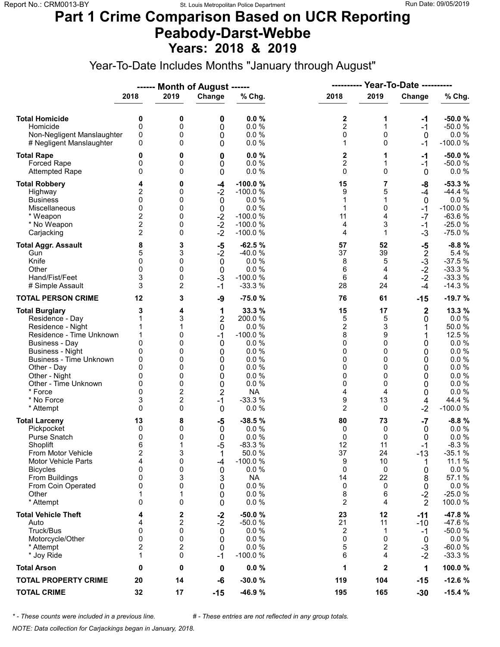### **Part 1 Crime Comparison Based on UCR Reporting Peabody-Darst-Webbe Years: 2018 & 2019**

Year-To-Date Includes Months "January through August"

|                                                                                                                                                                                                                                                                               |                                                                                            |                                                                                         | ------ Month of August ------                                                                           |                                                                                                                        | Year-To-Date ----------<br>----------                                                |                                                                               |                                                                               |                                                                                                                         |
|-------------------------------------------------------------------------------------------------------------------------------------------------------------------------------------------------------------------------------------------------------------------------------|--------------------------------------------------------------------------------------------|-----------------------------------------------------------------------------------------|---------------------------------------------------------------------------------------------------------|------------------------------------------------------------------------------------------------------------------------|--------------------------------------------------------------------------------------|-------------------------------------------------------------------------------|-------------------------------------------------------------------------------|-------------------------------------------------------------------------------------------------------------------------|
|                                                                                                                                                                                                                                                                               | 2018                                                                                       | 2019                                                                                    | Change                                                                                                  | % Chg.                                                                                                                 | 2018                                                                                 | 2019                                                                          | Change                                                                        | % Chg.                                                                                                                  |
| <b>Total Homicide</b><br>Homicide<br>Non-Negligent Manslaughter<br># Negligent Manslaughter                                                                                                                                                                                   | 0<br>$\mathbf 0$<br>0<br>0                                                                 | 0<br>0<br>0<br>0                                                                        | 0<br>0<br>0<br>0                                                                                        | 0.0%<br>0.0%<br>0.0%<br>0.0%                                                                                           | 2<br>$\overline{2}$<br>0<br>1                                                        | 1<br>1<br>0<br>$\Omega$                                                       | -1<br>$-1$<br>$\mathbf 0$<br>-1                                               | $-50.0%$<br>$-50.0%$<br>$0.0 \%$<br>$-100.0%$                                                                           |
| <b>Total Rape</b><br>Forced Rape<br><b>Attempted Rape</b>                                                                                                                                                                                                                     | 0<br>0<br>0                                                                                | 0<br>0<br>0                                                                             | 0<br>0<br>0                                                                                             | 0.0%<br>0.0 %<br>0.0%                                                                                                  | 2<br>$\overline{c}$<br>$\mathbf 0$                                                   | 1<br>1<br>$\Omega$                                                            | -1<br>$-1$<br>$\mathbf 0$                                                     | $-50.0%$<br>$-50.0%$<br>$0.0 \%$                                                                                        |
| <b>Total Robbery</b><br>Highway<br><b>Business</b><br>Miscellaneous<br>* Weapon<br>* No Weapon<br>Carjacking                                                                                                                                                                  | 4<br>2<br>0<br>$\mathbf{0}$<br>$\overline{\mathbf{c}}$<br>$\overline{c}$<br>$\overline{2}$ | 0<br>0<br>0<br>0<br>0<br>0<br>0                                                         | -4<br>$-2$<br>0<br>$\pmb{0}$<br>$-2$<br>$-2$<br>$-2$                                                    | $-100.0%$<br>$-100.0%$<br>0.0 %<br>0.0%<br>$-100.0%$<br>$-100.0%$<br>$-100.0%$                                         | 15<br>9<br>1<br>1<br>11<br>4<br>4                                                    | 7<br>5<br>1<br>$\mathbf{0}$<br>4<br>3<br>$\mathbf{1}$                         | -8<br>$-4$<br>0<br>$-1$<br>$-7$<br>$-1$<br>$-3$                               | $-53.3%$<br>$-44.4%$<br>0.0%<br>$-100.0%$<br>$-63.6%$<br>$-25.0%$<br>$-75.0%$                                           |
| <b>Total Aggr. Assault</b><br>Gun<br>Knife<br>Other<br>Hand/Fist/Feet<br># Simple Assault                                                                                                                                                                                     | 8<br>5<br>$\mathbf{0}$<br>0<br>3<br>3                                                      | 3<br>3<br>0<br>0<br>0<br>2                                                              | $-5$<br>$-2$<br>$\mathbf 0$<br>0<br>$-3$<br>$-1$                                                        | $-62.5%$<br>$-40.0%$<br>0.0%<br>0.0%<br>$-100.0%$<br>$-33.3%$                                                          | 57<br>37<br>8<br>6<br>6<br>28                                                        | 52<br>39<br>5<br>4<br>4<br>24                                                 | -5<br>$\frac{2}{3}$<br>$\frac{3}{2}$<br>$-2$<br>$-4$                          | $-8.8%$<br>5.4 %<br>$-37.5%$<br>$-33.3%$<br>$-33.3%$<br>$-14.3%$                                                        |
| <b>TOTAL PERSON CRIME</b>                                                                                                                                                                                                                                                     | 12                                                                                         | 3                                                                                       | -9                                                                                                      | $-75.0%$                                                                                                               | 76                                                                                   | 61                                                                            | $-15$                                                                         | $-19.7%$                                                                                                                |
| <b>Total Burglary</b><br>Residence - Day<br>Residence - Night<br>Residence - Time Unknown<br><b>Business - Day</b><br><b>Business - Night</b><br><b>Business - Time Unknown</b><br>Other - Day<br>Other - Night<br>Other - Time Unknown<br>* Force<br>* No Force<br>* Attempt | 3<br>1<br>1<br>1<br>0<br>0<br>0<br>$\Omega$<br>0<br>0<br>$\Omega$<br>3<br>$\Omega$         | 4<br>3<br>1<br>0<br>0<br>0<br>0<br>0<br>0<br>0<br>$\overline{2}$<br>$\overline{c}$<br>0 | 1<br>$\overline{2}$<br>$\mathbf 0$<br>$-1$<br>0<br>0<br>0<br>0<br>0<br>0<br>$\overline{c}$<br>$-1$<br>0 | 33.3 %<br>200.0%<br>0.0%<br>$-100.0%$<br>0.0%<br>0.0%<br>0.0%<br>0.0%<br>0.0%<br>0.0%<br><b>NA</b><br>$-33.3%$<br>0.0% | 15<br>5<br>$\overline{\mathbf{c}}$<br>8<br>0<br>0<br>0<br>0<br>0<br>0<br>4<br>9<br>2 | 17<br>5<br>3<br>9<br>$\Omega$<br>0<br>0<br>$\Omega$<br>0<br>0<br>4<br>13<br>0 | $\mathbf 2$<br>0<br>1<br>0<br>0<br>0<br>0<br>0<br>0<br>0<br>4<br>$-2$         | 13.3 %<br>$0.0 \%$<br>50.0%<br>12.5 %<br>0.0%<br>0.0%<br>0.0 %<br>0.0 %<br>0.0%<br>0.0 %<br>0.0%<br>44.4 %<br>$-100.0%$ |
| <b>Total Larceny</b><br>Pickpocket<br>Purse Snatch<br>Shoplift<br>From Motor Vehicle<br><b>Motor Vehicle Parts</b><br><b>Bicycles</b><br>From Buildings<br>From Coin Operated<br>Other<br>* Attempt                                                                           | 13<br>0<br>0<br>6<br>$\overline{\mathbf{c}}$<br>4<br>0<br>0<br>0<br>1<br>0                 | 8<br>0<br>0<br>1<br>3<br>0<br>0<br>3<br>0<br>1<br>0                                     | $-5$<br>0<br>0<br>$-5$<br>1<br>-4<br>0<br>3<br>0<br>0<br>0                                              | $-38.5%$<br>0.0%<br>0.0%<br>$-83.3%$<br>50.0%<br>$-100.0%$<br>0.0 %<br><b>NA</b><br>0.0 %<br>0.0%<br>0.0%              | 80<br>0<br>0<br>12<br>37<br>9<br>0<br>14<br>0<br>8<br>$\overline{c}$                 | 73<br>0<br>0<br>11<br>24<br>10<br>0<br>22<br>0<br>6<br>4                      | $-7$<br>0<br>0<br>$-1$<br>$-13$<br>1<br>0<br>8<br>0<br>$-2$<br>$\overline{2}$ | $-8.8%$<br>$0.0 \%$<br>0.0%<br>$-8.3%$<br>$-35.1%$<br>11.1 %<br>0.0 %<br>57.1 %<br>0.0 %<br>$-25.0%$<br>100.0%          |
| <b>Total Vehicle Theft</b><br>Auto<br>Truck/Bus<br>Motorcycle/Other<br>* Attempt<br>* Joy Ride                                                                                                                                                                                | 4<br>4<br>0<br>0<br>$\overline{\mathbf{c}}$<br>1                                           | 2<br>2<br>0<br>0<br>2<br>0                                                              | $-2$<br>$-2$<br>0<br>0<br>0<br>$-1$                                                                     | $-50.0%$<br>$-50.0%$<br>0.0%<br>0.0%<br>0.0%<br>$-100.0%$                                                              | 23<br>21<br>2<br>0<br>5<br>6                                                         | 12<br>11<br>1<br>$\Omega$<br>2<br>4                                           | $-11$<br>-10<br>$-1$<br>0<br>$-3$<br>$-2$                                     | -47.8%<br>-47.6%<br>$-50.0%$<br>$0.0 \%$<br>$-60.0%$<br>$-33.3%$                                                        |
| <b>Total Arson</b>                                                                                                                                                                                                                                                            | 0                                                                                          | 0                                                                                       | 0                                                                                                       | $0.0 \%$                                                                                                               | 1                                                                                    | $\mathbf{2}$                                                                  | 1                                                                             | 100.0%                                                                                                                  |
| <b>TOTAL PROPERTY CRIME</b>                                                                                                                                                                                                                                                   | 20                                                                                         | 14                                                                                      | -6                                                                                                      | $-30.0%$                                                                                                               | 119                                                                                  | 104                                                                           | $-15$                                                                         | $-12.6%$                                                                                                                |
| <b>TOTAL CRIME</b>                                                                                                                                                                                                                                                            | 32                                                                                         | 17                                                                                      | $-15$                                                                                                   | -46.9%                                                                                                                 | 195                                                                                  | 165                                                                           | $-30$                                                                         | $-15.4%$                                                                                                                |

*\* - These counts were included in a previous line. # - These entries are not reflected in any group totals.*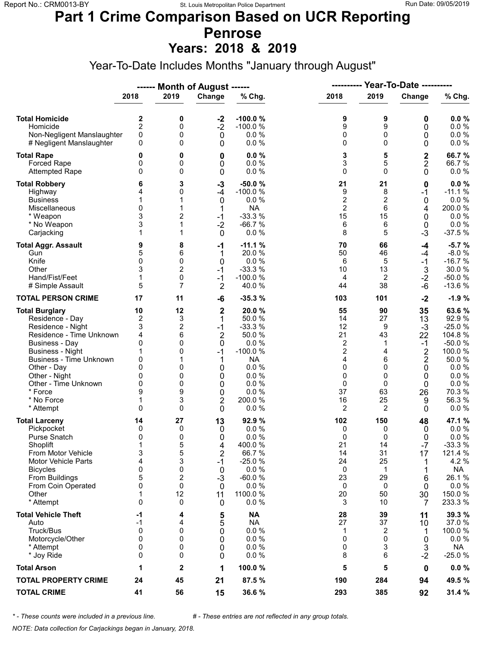## **Part 1 Crime Comparison Based on UCR Reporting Penrose**

**Years: 2018 & 2019**

Year-To-Date Includes Months "January through August"

|                                                                                                                                                                                                                                                                               |                                                                                             |                                                                             | ------ Month of August ------                                                                            |                                                                                                                            | ----------                                                                                |                                                                           | Year-To-Date ----------                                                                                              |                                                                                                                              |
|-------------------------------------------------------------------------------------------------------------------------------------------------------------------------------------------------------------------------------------------------------------------------------|---------------------------------------------------------------------------------------------|-----------------------------------------------------------------------------|----------------------------------------------------------------------------------------------------------|----------------------------------------------------------------------------------------------------------------------------|-------------------------------------------------------------------------------------------|---------------------------------------------------------------------------|----------------------------------------------------------------------------------------------------------------------|------------------------------------------------------------------------------------------------------------------------------|
|                                                                                                                                                                                                                                                                               | 2018                                                                                        | 2019                                                                        | Change                                                                                                   | % Chg.                                                                                                                     | 2018                                                                                      | 2019                                                                      | Change                                                                                                               | % Chg.                                                                                                                       |
| <b>Total Homicide</b><br>Homicide<br>Non-Negligent Manslaughter<br># Negligent Manslaughter                                                                                                                                                                                   | 2<br>$\overline{2}$<br>0<br>0                                                               | 0<br>0<br>0<br>0                                                            | $-2$<br>$-2$<br>$\mathbf 0$<br>0                                                                         | $-100.0%$<br>$-100.0%$<br>0.0%<br>0.0%                                                                                     | 9<br>9<br>0<br>0                                                                          | 9<br>9<br>0<br>$\Omega$                                                   | 0<br>0<br>0<br>0                                                                                                     | 0.0%<br>0.0 %<br>0.0 %<br>$0.0 \%$                                                                                           |
| <b>Total Rape</b><br>Forced Rape<br><b>Attempted Rape</b>                                                                                                                                                                                                                     | 0<br>0<br>0                                                                                 | 0<br>0<br>0                                                                 | 0<br>0<br>0                                                                                              | 0.0%<br>0.0%<br>0.0%                                                                                                       | 3<br>3<br>0                                                                               | 5<br>5<br>$\Omega$                                                        | $\mathbf 2$<br>$\mathbf 2$<br>0                                                                                      | 66.7%<br>66.7%<br>$0.0 \%$                                                                                                   |
| <b>Total Robbery</b><br>Highway<br><b>Business</b><br>Miscellaneous<br>* Weapon<br>* No Weapon<br>Carjacking                                                                                                                                                                  | 6<br>4<br>1<br>$\mathbf{0}$<br>3<br>3<br>1                                                  | 3<br>0<br>1<br>1<br>2<br>1<br>1                                             | $-3$<br>$-4$<br>$\mathbf 0$<br>1<br>$-1$<br>$-2$<br>$\mathbf 0$                                          | $-50.0%$<br>$-100.0%$<br>0.0%<br><b>NA</b><br>$-33.3%$<br>$-66.7%$<br>0.0%                                                 | 21<br>9<br>$\overline{\mathbf{c}}$<br>$\overline{2}$<br>15<br>6<br>8                      | 21<br>8<br>2<br>6<br>15<br>6<br>5                                         | 0<br>$-1$<br>0<br>4<br>0<br>0<br>$-3$                                                                                | 0.0%<br>$-11.1%$<br>0.0%<br>200.0%<br>$0.0 \%$<br>0.0 %<br>$-37.5%$                                                          |
| <b>Total Aggr. Assault</b><br>Gun<br>Knife<br>Other<br>Hand/Fist/Feet<br># Simple Assault                                                                                                                                                                                     | 9<br>5<br>0<br>3<br>1<br>5                                                                  | 8<br>6<br>0<br>$\overline{2}$<br>0<br>$\overline{7}$                        | -1<br>1<br>0<br>$-1$<br>$-1$<br>$\overline{2}$                                                           | $-11.1%$<br>20.0 %<br>0.0%<br>$-33.3%$<br>$-100.0%$<br>40.0%                                                               | 70<br>50<br>6<br>10<br>4<br>44                                                            | 66<br>46<br>5<br>13<br>2<br>38                                            | $-4$<br>$-4$<br>$-1$<br>$\mathfrak{S}$<br>$-2$<br>$-6$                                                               | $-5.7%$<br>$-8.0%$<br>$-16.7%$<br>30.0%<br>$-50.0%$<br>$-13.6%$                                                              |
| <b>TOTAL PERSON CRIME</b>                                                                                                                                                                                                                                                     | 17                                                                                          | 11                                                                          | -6                                                                                                       | $-35.3%$                                                                                                                   | 103                                                                                       | 101                                                                       | $-2$                                                                                                                 | $-1.9%$                                                                                                                      |
| <b>Total Burglary</b><br>Residence - Day<br>Residence - Night<br>Residence - Time Unknown<br><b>Business - Day</b><br><b>Business - Night</b><br><b>Business - Time Unknown</b><br>Other - Day<br>Other - Night<br>Other - Time Unknown<br>* Force<br>* No Force<br>* Attempt | 10<br>$\overline{\mathbf{c}}$<br>3<br>4<br>0<br>1<br>0<br>0<br>0<br>0<br>9<br>1<br>$\Omega$ | 12<br>3<br>$\overline{c}$<br>6<br>0<br>0<br>1<br>0<br>0<br>0<br>9<br>3<br>0 | $\mathbf{2}$<br>1<br>$-1$<br>$\overline{2}$<br>0<br>$-1$<br>1<br>0<br>0<br>0<br>0<br>$\overline{2}$<br>0 | 20.0%<br>50.0 %<br>$-33.3%$<br>50.0 %<br>0.0%<br>$-100.0%$<br><b>NA</b><br>0.0 %<br>0.0%<br>0.0%<br>0.0%<br>200.0%<br>0.0% | 55<br>14<br>12<br>21<br>2<br>$\overline{\mathbf{c}}$<br>4<br>0<br>0<br>0<br>37<br>16<br>2 | 90<br>27<br>9<br>43<br>1<br>4<br>6<br>$\Omega$<br>0<br>0<br>63<br>25<br>2 | 35<br>13<br>$-3$<br>22<br>$-1$<br>$\overline{2}$<br>$\overline{\mathbf{c}}$<br>0<br>0<br>0<br>26<br>9<br>$\mathbf 0$ | 63.6%<br>92.9%<br>$-25.0%$<br>104.8%<br>$-50.0%$<br>100.0 %<br>50.0%<br>0.0%<br>0.0 %<br>0.0 %<br>70.3%<br>56.3%<br>$0.0 \%$ |
| <b>Total Larceny</b><br>Pickpocket<br>Purse Snatch<br>Shoplift<br>From Motor Vehicle<br><b>Motor Vehicle Parts</b><br><b>Bicycles</b><br>From Buildings<br>From Coin Operated<br>Other<br>* Attempt                                                                           | 14<br>0<br>0<br>$\mathbf 1$<br>3<br>4<br>0<br>5<br>0<br>1<br>$\mathbf{0}$                   | 27<br>0<br>0<br>5<br>5<br>3<br>0<br>2<br>0<br>12<br>0                       | 13<br>0<br>0<br>4<br>$\overline{\mathbf{c}}$<br>$-1$<br>0<br>$-3$<br>0<br>11<br>0                        | 92.9 %<br>0.0%<br>0.0%<br>400.0%<br>66.7%<br>$-25.0%$<br>0.0 %<br>$-60.0%$<br>0.0%<br>1100.0%<br>0.0 %                     | 102<br>0<br>0<br>21<br>14<br>24<br>0<br>23<br>0<br>20<br>3                                | 150<br>0<br>0<br>14<br>31<br>25<br>$\mathbf 1$<br>29<br>0<br>50<br>10     | 48<br>0<br>0<br>$-7$<br>17<br>1<br>6<br>0<br>30<br>7                                                                 | 47.1 %<br>$0.0 \%$<br>0.0%<br>$-33.3%$<br>121.4 %<br>4.2 %<br><b>NA</b><br>26.1%<br>$0.0 \%$<br>150.0%<br>233.3 %            |
| <b>Total Vehicle Theft</b><br>Auto<br>Truck/Bus<br>Motorcycle/Other<br>* Attempt<br>* Joy Ride                                                                                                                                                                                | -1<br>-1<br>0<br>0<br>0<br>0                                                                | 4<br>4<br>0<br>0<br>0<br>0                                                  | 5<br>5<br>0<br>0<br>0<br>0                                                                               | <b>NA</b><br><b>NA</b><br>0.0 %<br>0.0 %<br>0.0%<br>0.0%                                                                   | 28<br>27<br>1<br>0<br>0<br>8                                                              | 39<br>37<br>2<br>$\Omega$<br>3<br>6                                       | 11<br>10<br>1<br>0<br>3<br>$-2$                                                                                      | 39.3 %<br>37.0%<br>100.0%<br>$0.0 \%$<br><b>NA</b><br>$-25.0%$                                                               |
| <b>Total Arson</b>                                                                                                                                                                                                                                                            | 1                                                                                           | 2                                                                           | 1                                                                                                        | 100.0%                                                                                                                     | 5                                                                                         | 5                                                                         | 0                                                                                                                    | $0.0 \%$                                                                                                                     |
| <b>TOTAL PROPERTY CRIME</b>                                                                                                                                                                                                                                                   | 24                                                                                          | 45                                                                          | 21                                                                                                       | 87.5 %                                                                                                                     | 190                                                                                       | 284                                                                       | 94                                                                                                                   | 49.5 %                                                                                                                       |
| <b>TOTAL CRIME</b>                                                                                                                                                                                                                                                            | 41                                                                                          | 56                                                                          | 15                                                                                                       | 36.6%                                                                                                                      | 293                                                                                       | 385                                                                       | 92                                                                                                                   | 31.4 %                                                                                                                       |

*\* - These counts were included in a previous line. # - These entries are not reflected in any group totals.*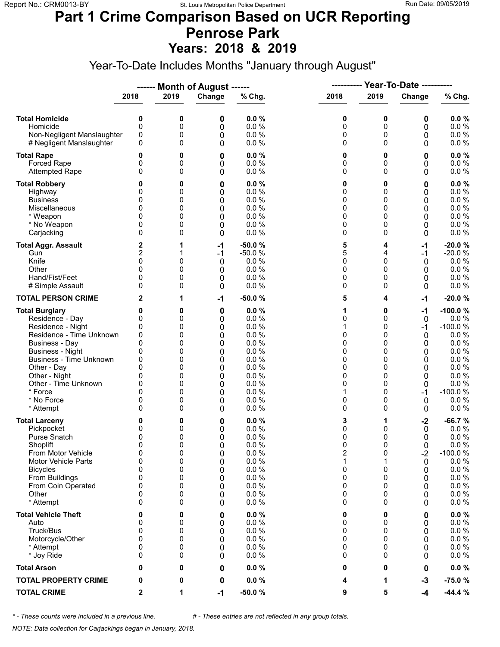#### **Part 1 Crime Comparison Based on UCR Reporting Penrose Park Years: 2018 & 2019**

Year-To-Date Includes Months "January through August"

|                                                                                                                                                                                                                                                                               |                                                                             |                                                               | ------ Month of August ------                                 |                                                                                                      |                                                               |                                                               | <b>Year-To-Date ----------</b>                                       |                                                                                                                                        |
|-------------------------------------------------------------------------------------------------------------------------------------------------------------------------------------------------------------------------------------------------------------------------------|-----------------------------------------------------------------------------|---------------------------------------------------------------|---------------------------------------------------------------|------------------------------------------------------------------------------------------------------|---------------------------------------------------------------|---------------------------------------------------------------|----------------------------------------------------------------------|----------------------------------------------------------------------------------------------------------------------------------------|
|                                                                                                                                                                                                                                                                               | 2018                                                                        | 2019                                                          | Change                                                        | % Chg.                                                                                               | 2018                                                          | 2019                                                          | Change                                                               | % Chg.                                                                                                                                 |
| <b>Total Homicide</b><br>Homicide<br>Non-Negligent Manslaughter<br># Negligent Manslaughter                                                                                                                                                                                   | 0<br>0<br>0<br>0                                                            | 0<br>0<br>0<br>0                                              | 0<br>0<br>0<br>0                                              | 0.0%<br>0.0%<br>0.0 %<br>0.0%                                                                        | 0<br>0<br>0<br>0                                              | 0<br>0<br>0<br>0                                              | 0<br>0<br>0<br>0                                                     | 0.0%<br>0.0 %<br>0.0 %<br>$0.0 \%$                                                                                                     |
| <b>Total Rape</b><br>Forced Rape<br><b>Attempted Rape</b>                                                                                                                                                                                                                     | 0<br>0<br>0                                                                 | 0<br>0<br>0                                                   | 0<br>0<br>0                                                   | 0.0%<br>0.0%<br>0.0 %                                                                                | 0<br>0<br>0                                                   | 0<br>0<br>$\mathbf 0$                                         | 0<br>0<br>0                                                          | 0.0%<br>0.0 %<br>0.0 %                                                                                                                 |
| <b>Total Robbery</b><br>Highway<br><b>Business</b><br>Miscellaneous<br>* Weapon<br>* No Weapon<br>Carjacking                                                                                                                                                                  | 0<br>0<br>0<br>0<br>0<br>0<br>0                                             | 0<br>0<br>0<br>0<br>0<br>0<br>0                               | 0<br>0<br>0<br>0<br>0<br>0<br>0                               | 0.0%<br>0.0%<br>0.0%<br>0.0 %<br>0.0%<br>0.0%<br>0.0%                                                | 0<br>0<br>0<br>0<br>0<br>0<br>0                               | 0<br>0<br>0<br>0<br>0<br>0<br>0                               | 0<br>0<br>0<br>0<br>0<br>0<br>0                                      | $0.0 \%$<br>0.0 %<br>0.0%<br>0.0 %<br>$0.0 \%$<br>$0.0 \%$<br>$0.0 \%$                                                                 |
| <b>Total Aggr. Assault</b><br>Gun<br>Knife<br>Other<br>Hand/Fist/Feet<br># Simple Assault                                                                                                                                                                                     | 2<br>2<br>0<br>$\Omega$<br>0<br>0                                           | 1<br>1<br>0<br>0<br>0<br>0                                    | -1<br>$-1$<br>0<br>0<br>0<br>0                                | $-50.0%$<br>$-50.0%$<br>0.0%<br>0.0%<br>0.0%<br>0.0%                                                 | 5<br>5<br>0<br>0<br>0<br>0                                    | 4<br>4<br>0<br>0<br>0<br>0                                    | $-1$<br>$-1$<br>0<br>0<br>0<br>0                                     | $-20.0%$<br>$-20.0%$<br>$0.0 \%$<br>0.0 %<br>$0.0 \%$<br>$0.0 \%$                                                                      |
| <b>TOTAL PERSON CRIME</b>                                                                                                                                                                                                                                                     | 2                                                                           | 1                                                             | $-1$                                                          | $-50.0%$                                                                                             | 5                                                             | 4                                                             | $-1$                                                                 | $-20.0%$                                                                                                                               |
| <b>Total Burglary</b><br>Residence - Day<br>Residence - Night<br>Residence - Time Unknown<br><b>Business - Day</b><br><b>Business - Night</b><br><b>Business - Time Unknown</b><br>Other - Day<br>Other - Night<br>Other - Time Unknown<br>* Force<br>* No Force<br>* Attempt | 0<br>0<br>0<br>0<br>0<br>0<br>0<br>$\Omega$<br>0<br>0<br>$\Omega$<br>0<br>0 | 0<br>0<br>0<br>0<br>0<br>0<br>0<br>0<br>0<br>0<br>0<br>0<br>0 | 0<br>0<br>0<br>0<br>0<br>0<br>0<br>0<br>0<br>0<br>0<br>0<br>0 | 0.0%<br>0.0%<br>0.0%<br>0.0%<br>0.0%<br>0.0%<br>0.0%<br>0.0%<br>0.0%<br>0.0%<br>0.0%<br>0.0%<br>0.0% | 1<br>0<br>1<br>0<br>0<br>0<br>0<br>0<br>0<br>0<br>1<br>0<br>0 | 0<br>0<br>0<br>0<br>0<br>0<br>0<br>0<br>0<br>0<br>0<br>0<br>0 | $-1$<br>0<br>-1<br>0<br>0<br>0<br>0<br>0<br>0<br>0<br>$-1$<br>0<br>0 | $-100.0%$<br>$0.0 \%$<br>$-100.0%$<br>$0.0 \%$<br>0.0%<br>0.0%<br>0.0 %<br>0.0 %<br>0.0%<br>0.0 %<br>$-100.0%$<br>$0.0 \%$<br>$0.0 \%$ |
| <b>Total Larceny</b><br>Pickpocket<br><b>Purse Snatch</b><br>Shoplift<br>From Motor Vehicle<br>Motor Vehicle Parts<br><b>Bicycles</b><br>From Buildings<br>From Coin Operated<br>Other<br>* Attempt                                                                           | 0<br>0<br>0<br>$\Omega$<br>0<br>$\mathbf 0$<br>0<br>0<br>0<br>0<br>0        | 0<br>0<br>0<br>0<br>0<br>0<br>0<br>0<br>0<br>0<br>0           | 0<br>0<br>0<br>0<br>0<br>0<br>0<br>0<br>0<br>0<br>0           | 0.0%<br>0.0 %<br>0.0%<br>0.0%<br>0.0 %<br>0.0 %<br>0.0%<br>0.0 %<br>0.0 %<br>0.0%<br>0.0%            | 3<br>0<br>0<br>0<br>2<br>1<br>0<br>0<br>0<br>0<br>0           | 1<br>0<br>0<br>$\Omega$<br>0<br>0<br>0<br>0<br>0<br>0         | $-2$<br>0<br>0<br>$\Omega$<br>$-2$<br>0<br>0<br>0<br>0<br>0<br>0     | $-66.7%$<br>0.0 %<br>0.0%<br>0.0%<br>$-100.0%$<br>$0.0 \%$<br>0.0 %<br>0.0 %<br>0.0 %<br>$0.0 \%$<br>$0.0 \%$                          |
| <b>Total Vehicle Theft</b><br>Auto<br>Truck/Bus<br>Motorcycle/Other<br>* Attempt<br>* Joy Ride                                                                                                                                                                                | 0<br>0<br>0<br>0<br>0<br>0                                                  | 0<br>0<br>0<br>0<br>0<br>0                                    | 0<br>0<br>0<br>0<br>0<br>0                                    | 0.0%<br>$0.0 \%$<br>0.0 %<br>0.0 %<br>0.0 %<br>0.0%                                                  | 0<br>0<br>0<br>0<br>0<br>0                                    | 0<br>0<br>0<br>0<br>0<br>0                                    | 0<br>0<br>0<br>0<br>0<br>0                                           | $0.0 \%$<br>0.0 %<br>0.0 %<br>0.0 %<br>$0.0 \%$<br>$0.0 \%$                                                                            |
| <b>Total Arson</b>                                                                                                                                                                                                                                                            | 0                                                                           | 0                                                             | 0                                                             | 0.0%                                                                                                 | 0                                                             | 0                                                             | 0                                                                    | $0.0 \%$                                                                                                                               |
| <b>TOTAL PROPERTY CRIME</b>                                                                                                                                                                                                                                                   | 0                                                                           | 0                                                             | 0                                                             | $0.0 \%$                                                                                             | 4                                                             | 1                                                             | $-3$                                                                 | $-75.0%$                                                                                                                               |
| <b>TOTAL CRIME</b>                                                                                                                                                                                                                                                            | $\mathbf{2}$                                                                | 1                                                             | $-1$                                                          | $-50.0%$                                                                                             | 9                                                             | 5                                                             | -4                                                                   | $-44.4%$                                                                                                                               |

*\* - These counts were included in a previous line. # - These entries are not reflected in any group totals.*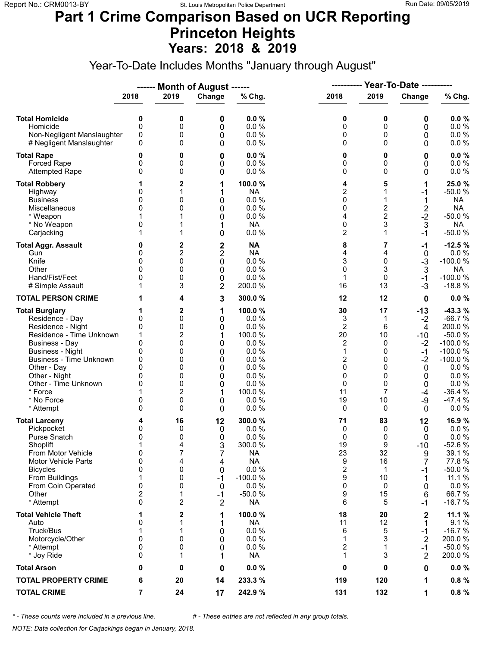### **Part 1 Crime Comparison Based on UCR Reporting Princeton Heights Years: 2018 & 2019**

Year-To-Date Includes Months "January through August"

|                                                                                                                                                                                                                                                                               |                                                               |                                                                            | ------ Month of August ------                                           |                                                                                                                   | ----------                                                                                |                                                                                | <b>Year-To-Date ----------</b>                                                                 |                                                                                                                                                   |
|-------------------------------------------------------------------------------------------------------------------------------------------------------------------------------------------------------------------------------------------------------------------------------|---------------------------------------------------------------|----------------------------------------------------------------------------|-------------------------------------------------------------------------|-------------------------------------------------------------------------------------------------------------------|-------------------------------------------------------------------------------------------|--------------------------------------------------------------------------------|------------------------------------------------------------------------------------------------|---------------------------------------------------------------------------------------------------------------------------------------------------|
|                                                                                                                                                                                                                                                                               | 2018                                                          | 2019                                                                       | Change                                                                  | % Chg.                                                                                                            | 2018                                                                                      | 2019                                                                           | Change                                                                                         | % Chg.                                                                                                                                            |
| <b>Total Homicide</b><br>Homicide<br>Non-Negligent Manslaughter<br># Negligent Manslaughter                                                                                                                                                                                   | 0<br>$\mathbf 0$<br>0<br>$\Omega$                             | 0<br>0<br>0<br>0                                                           | 0<br>0<br>0<br>0                                                        | 0.0%<br>0.0 %<br>0.0 %<br>0.0%                                                                                    | 0<br>0<br>0<br>0                                                                          | 0<br>0<br>0<br>$\Omega$                                                        | 0<br>0<br>0<br>0                                                                               | 0.0%<br>0.0 %<br>$0.0 \%$<br>0.0 %                                                                                                                |
| <b>Total Rape</b><br>Forced Rape<br><b>Attempted Rape</b>                                                                                                                                                                                                                     | 0<br>0<br>$\Omega$                                            | 0<br>0<br>0                                                                | 0<br>0<br>0                                                             | 0.0%<br>0.0%<br>0.0 %                                                                                             | 0<br>0<br>0                                                                               | 0<br>0<br>$\Omega$                                                             | 0<br>0<br>0                                                                                    | 0.0%<br>0.0 %<br>$0.0 \%$                                                                                                                         |
| <b>Total Robbery</b><br>Highway<br><b>Business</b><br>Miscellaneous<br>* Weapon<br>* No Weapon<br>Carjacking                                                                                                                                                                  | 0<br>0<br>0<br>0                                              | 2<br>1<br>0<br>0                                                           | 1<br>1<br>0<br>0<br>0<br>1<br>0                                         | 100.0 %<br><b>NA</b><br>0.0 %<br>0.0%<br>0.0 %<br><b>NA</b><br>0.0 %                                              | 4<br>$\overline{2}$<br>0<br>0<br>4<br>0<br>$\overline{c}$                                 | 5<br>1<br>2<br>$\overline{2}$<br>3<br>1                                        | 1<br>-1<br>1<br>$\frac{2}{2}$<br>3<br>$-1$                                                     | 25.0 %<br>$-50.0%$<br><b>NA</b><br><b>NA</b><br>$-50.0%$<br><b>NA</b><br>$-50.0%$                                                                 |
| <b>Total Aggr. Assault</b><br>Gun<br>Knife<br>Other<br>Hand/Fist/Feet<br># Simple Assault                                                                                                                                                                                     | 0<br>0<br>0<br><sup>0</sup><br>0                              | 2<br>$\overline{c}$<br>0<br>0<br>0<br>3                                    | $\frac{2}{2}$<br>0<br>0<br>0<br>$\overline{2}$                          | <b>NA</b><br><b>NA</b><br>0.0 %<br>0.0%<br>0.0%<br>200.0%                                                         | 8<br>4<br>3<br>0<br>$\mathbf{1}$<br>16                                                    | 7<br>4<br>0<br>3<br>0<br>13                                                    | $-1$<br>$\mathbf 0$<br>$-3$<br>$\mathfrak{Z}$<br>$-1$<br>$-3$                                  | $-12.5%$<br>0.0 %<br>$-100.0%$<br>NA<br>$-100.0%$<br>$-18.8%$                                                                                     |
| <b>TOTAL PERSON CRIME</b>                                                                                                                                                                                                                                                     |                                                               | 4                                                                          | 3                                                                       | 300.0%                                                                                                            | 12                                                                                        | 12                                                                             | 0                                                                                              | 0.0%                                                                                                                                              |
| <b>Total Burglary</b><br>Residence - Day<br>Residence - Night<br>Residence - Time Unknown<br><b>Business - Day</b><br><b>Business - Night</b><br><b>Business - Time Unknown</b><br>Other - Day<br>Other - Night<br>Other - Time Unknown<br>* Force<br>* No Force<br>* Attempt | 0<br>0<br>1<br>$\Omega$<br>0<br>0<br>0<br>0<br>0<br>0<br>0    | 2<br>0<br>0<br>2<br>0<br>0<br>0<br>0<br>0<br>0<br>$\overline{c}$<br>0<br>0 | 1<br>0<br>0<br>1<br>0<br>0<br>0<br>0<br>0<br>0<br>1<br>0<br>0           | 100.0 %<br>0.0 %<br>0.0%<br>100.0 %<br>0.0%<br>0.0%<br>0.0%<br>0.0%<br>0.0%<br>0.0%<br>100.0 %<br>0.0%<br>0.0%    | 30<br>3<br>$\overline{2}$<br>20<br>2<br>$\mathbf{1}$<br>2<br>0<br>0<br>0<br>11<br>19<br>0 | 17<br>1<br>6<br>10<br>$\Omega$<br>0<br>0<br>$\Omega$<br>0<br>0<br>7<br>10<br>0 | $-13$<br>$-2$<br>4<br>$-10$<br>$-2$<br>$-1$<br>$-2$<br>0<br>0<br>0<br>-4<br>-9<br>$\mathbf{0}$ | $-43.3%$<br>$-66.7%$<br>200.0%<br>$-50.0%$<br>$-100.0%$<br>$-100.0%$<br>$-100.0%$<br>0.0%<br>0.0%<br>$0.0 \%$<br>$-36.4%$<br>$-47.4%$<br>$0.0 \%$ |
| <b>Total Larceny</b><br>Pickpocket<br><b>Purse Snatch</b><br>Shoplift<br>From Motor Vehicle<br><b>Motor Vehicle Parts</b><br><b>Bicycles</b><br>From Buildings<br>From Coin Operated<br>Other<br>* Attempt                                                                    | 4<br>0<br>0<br>1<br>0<br>$\mathbf 0$<br>0<br>1<br>0<br>2<br>0 | 16<br>0<br>0<br>4<br>7<br>4<br>0<br>0<br>0<br>1<br>2                       | 12<br>0<br>0<br>3<br>7<br>4<br>0<br>$-1$<br>0<br>$-1$<br>$\overline{2}$ | 300.0%<br>0.0%<br>0.0%<br>300.0%<br><b>NA</b><br><b>NA</b><br>0.0 %<br>$-100.0%$<br>0.0%<br>$-50.0%$<br><b>NA</b> | 71<br>0<br>0<br>19<br>23<br>9<br>2<br>9<br>0<br>9<br>6                                    | 83<br>0<br>0<br>9<br>32<br>16<br>$\mathbf 1$<br>10<br>0<br>15<br>5             | 12<br>0<br>0<br>$-10$<br>9<br>7<br>-1<br>1<br>0<br>6<br>$-1$                                   | 16.9%<br>0.0%<br>0.0%<br>$-52.6%$<br>39.1 %<br>77.8%<br>$-50.0%$<br>11.1 %<br>0.0 %<br>66.7%<br>$-16.7%$                                          |
| <b>Total Vehicle Theft</b><br>Auto<br>Truck/Bus<br>Motorcycle/Other<br>* Attempt<br>* Joy Ride                                                                                                                                                                                | 0<br>1<br>$\mathbf 0$<br>0<br>0                               | 2<br>1<br>1<br>0<br>0<br>1                                                 | 1<br>1<br>0<br>0<br>0<br>1                                              | 100.0 %<br><b>NA</b><br>0.0%<br>0.0 %<br>0.0%<br><b>NA</b>                                                        | 18<br>11<br>6<br>1<br>2<br>1                                                              | 20<br>12<br>5<br>3<br>1<br>3                                                   | 2<br>1<br>$-1$<br>$\overline{2}$<br>$-1$<br>2                                                  | 11.1 %<br>9.1%<br>$-16.7%$<br>200.0%<br>$-50.0%$<br>200.0%                                                                                        |
| <b>Total Arson</b>                                                                                                                                                                                                                                                            | 0                                                             | 0                                                                          | 0                                                                       | 0.0%                                                                                                              | 0                                                                                         | 0                                                                              | 0                                                                                              | $0.0 \%$                                                                                                                                          |
| <b>TOTAL PROPERTY CRIME</b>                                                                                                                                                                                                                                                   | 6                                                             | 20                                                                         | 14                                                                      | 233.3 %                                                                                                           | 119                                                                                       | 120                                                                            | 1                                                                                              | 0.8%                                                                                                                                              |
| <b>TOTAL CRIME</b>                                                                                                                                                                                                                                                            | $\overline{7}$                                                | 24                                                                         | 17                                                                      | 242.9 %                                                                                                           | 131                                                                                       | 132                                                                            | 1                                                                                              | 0.8%                                                                                                                                              |

*\* - These counts were included in a previous line. # - These entries are not reflected in any group totals.*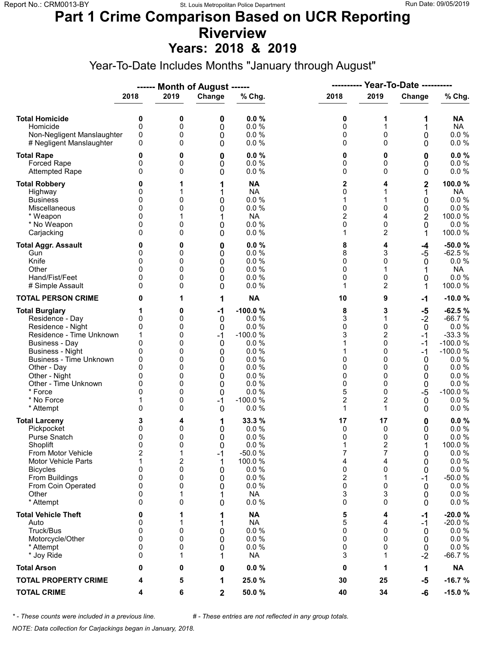# **Part 1 Crime Comparison Based on UCR Reporting Riverview**

**Years: 2018 & 2019**

Year-To-Date Includes Months "January through August"

|                                                                                                                                                                                                                                                                               |                                                                                        |                                                               | ------ Month of August ------                                                    |                                                                                                                     | ----------                                                                 |                                                                                                       | Year-To-Date ----------                                                                   |                                                                                                                                                    |
|-------------------------------------------------------------------------------------------------------------------------------------------------------------------------------------------------------------------------------------------------------------------------------|----------------------------------------------------------------------------------------|---------------------------------------------------------------|----------------------------------------------------------------------------------|---------------------------------------------------------------------------------------------------------------------|----------------------------------------------------------------------------|-------------------------------------------------------------------------------------------------------|-------------------------------------------------------------------------------------------|----------------------------------------------------------------------------------------------------------------------------------------------------|
|                                                                                                                                                                                                                                                                               | 2018                                                                                   | 2019                                                          | Change                                                                           | % Chg.                                                                                                              | 2018                                                                       | 2019                                                                                                  | Change                                                                                    | % Chg.                                                                                                                                             |
| <b>Total Homicide</b><br>Homicide<br>Non-Negligent Manslaughter<br># Negligent Manslaughter                                                                                                                                                                                   | 0<br>$\mathbf 0$<br>0<br>0                                                             | 0<br>0<br>0<br>0                                              | 0<br>0<br>0<br>0                                                                 | 0.0%<br>0.0%<br>0.0%<br>0.0%                                                                                        | 0<br>0<br>0<br>0                                                           | 1<br>1<br>0<br>$\Omega$                                                                               | 1<br>1<br>0<br>0                                                                          | NA<br><b>NA</b><br>$0.0 \%$<br>$0.0 \%$                                                                                                            |
| <b>Total Rape</b><br>Forced Rape<br><b>Attempted Rape</b>                                                                                                                                                                                                                     | 0<br>0<br>$\Omega$                                                                     | 0<br>0<br>0                                                   | 0<br>0<br>0                                                                      | 0.0%<br>0.0 %<br>0.0%                                                                                               | 0<br>0<br>0                                                                | 0<br>0<br>$\Omega$                                                                                    | 0<br>0<br>0                                                                               | 0.0%<br>0.0 %<br>0.0 %                                                                                                                             |
| <b>Total Robbery</b><br>Highway<br><b>Business</b><br>Miscellaneous<br>* Weapon<br>* No Weapon<br>Carjacking                                                                                                                                                                  | 0<br>0<br>0<br>0<br>0<br>$\Omega$                                                      | 0<br>0<br>0<br>0                                              | 1<br>1<br>0<br>0<br>1<br>0<br>0                                                  | <b>NA</b><br><b>NA</b><br>0.0 %<br>0.0 %<br><b>NA</b><br>$0.0 \%$<br>0.0%                                           | 2<br>0<br>1<br>0<br>$\overline{2}$<br>0<br>1                               | 4<br>1<br>$\mathbf{0}$<br>4<br>0<br>2                                                                 | 2<br>1<br>0<br>0<br>2<br>0<br>1                                                           | 100.0%<br><b>NA</b><br>0.0 %<br>0.0 %<br>100.0 %<br>0.0%<br>100.0 %                                                                                |
| <b>Total Aggr. Assault</b><br>Gun<br>Knife<br>Other<br>Hand/Fist/Feet<br># Simple Assault                                                                                                                                                                                     | 0<br>0<br>0<br>0<br>0                                                                  | 0<br>0<br>0<br>0<br>0<br>0                                    | 0<br>0<br>0<br>0<br>0<br>0                                                       | 0.0%<br>0.0%<br>0.0%<br>0.0%<br>0.0 %<br>0.0%                                                                       | 8<br>8<br>0<br>0<br>0<br>1                                                 | 4<br>3<br>0<br>1<br>0<br>2                                                                            | -4<br>$-5$<br>0<br>1<br>0<br>1                                                            | $-50.0%$<br>$-62.5%$<br>$0.0 \%$<br><b>NA</b><br>$0.0 \%$<br>100.0%                                                                                |
| <b>TOTAL PERSON CRIME</b>                                                                                                                                                                                                                                                     | 0                                                                                      | 1                                                             | 1                                                                                | <b>NA</b>                                                                                                           | 10                                                                         | 9                                                                                                     | $-1$                                                                                      | $-10.0%$                                                                                                                                           |
| <b>Total Burglary</b><br>Residence - Day<br>Residence - Night<br>Residence - Time Unknown<br><b>Business - Day</b><br><b>Business - Night</b><br><b>Business - Time Unknown</b><br>Other - Day<br>Other - Night<br>Other - Time Unknown<br>* Force<br>* No Force<br>* Attempt | 1<br>0<br>0<br>1<br>$\mathbf{0}$<br>0<br>0<br>$\Omega$<br>0<br>0<br>$\Omega$<br>1<br>0 | 0<br>0<br>0<br>0<br>0<br>0<br>0<br>0<br>0<br>0<br>0<br>0<br>0 | $-1$<br>0<br>$\mathbf 0$<br>$-1$<br>0<br>0<br>0<br>0<br>0<br>0<br>0<br>$-1$<br>0 | $-100.0%$<br>0.0%<br>0.0%<br>$-100.0%$<br>0.0%<br>0.0%<br>0.0%<br>0.0%<br>0.0%<br>0.0%<br>0.0%<br>$-100.0%$<br>0.0% | 8<br>3<br>0<br>3<br>1<br>1<br>0<br>0<br>0<br>0<br>5<br>$\overline{2}$<br>1 | 3<br>1<br>0<br>$\overline{c}$<br>$\Omega$<br>0<br>0<br>0<br>0<br>0<br>$\Omega$<br>$\overline{c}$<br>1 | $-5$<br>$-2$<br>$\mathbf 0$<br>$-1$<br>$-1$<br>$-1$<br>0<br>0<br>0<br>0<br>$-5$<br>0<br>0 | $-62.5%$<br>$-66.7%$<br>0.0 %<br>$-33.3%$<br>$-100.0%$<br>$-100.0%$<br>$0.0 \%$<br>0.0 %<br>$0.0 \%$<br>0.0 %<br>$-100.0%$<br>$0.0 \%$<br>$0.0 \%$ |
| <b>Total Larceny</b><br>Pickpocket<br>Purse Snatch<br>Shoplift<br>From Motor Vehicle<br>Motor Vehicle Parts<br><b>Bicycles</b><br>From Buildings<br>From Coin Operated<br>Other<br>* Attempt                                                                                  | 3<br>0<br>0<br>$\mathbf{0}$<br>2<br>1<br>0<br>0<br>0<br>0<br>$\Omega$                  | 4<br>0<br>0<br>0<br>1<br>2<br>0<br>0<br>0<br>1<br>0           | 1<br>0<br>0<br>0<br>$-1$<br>1<br>0<br>0<br>0<br>1<br>0                           | 33.3 %<br>0.0%<br>0.0%<br>0.0%<br>$-50.0%$<br>100.0 %<br>0.0 %<br>0.0%<br>0.0 %<br><b>NA</b><br>0.0 %               | 17<br>0<br>0<br>1<br>7<br>4<br>0<br>$\overline{\mathbf{c}}$<br>0<br>3<br>0 | 17<br>0<br>0<br>$\overline{2}$<br>7<br>4<br>0<br>1<br>0<br>3<br>0                                     | 0<br>0<br>0<br>0<br>0<br>0<br>$-1$<br>0<br>0<br>0                                         | 0.0%<br>0.0 %<br>0.0%<br>100.0%<br>$0.0 \%$<br>0.0 %<br>0.0 %<br>$-50.0%$<br>0.0%<br>$0.0 \%$<br>0.0 %                                             |
| <b>Total Vehicle Theft</b><br>Auto<br>Truck/Bus<br>Motorcycle/Other<br>* Attempt<br>* Joy Ride                                                                                                                                                                                | 0<br>0<br>0<br>0<br>0<br>0                                                             | 0<br>0<br>0<br>1                                              | 1<br>1<br>0<br>0<br>0<br>1                                                       | <b>NA</b><br><b>NA</b><br>0.0 %<br>0.0 %<br>0.0%<br><b>NA</b>                                                       | 5<br>5<br>0<br>0<br>0<br>3                                                 | 4<br>4<br>0<br>$\Omega$<br>0<br>1                                                                     | -1<br>-1<br>0<br>0<br>0<br>$-2$                                                           | $-20.0%$<br>$-20.0%$<br>$0.0 \%$<br>0.0 %<br>$0.0 \%$<br>$-66.7%$                                                                                  |
| <b>Total Arson</b>                                                                                                                                                                                                                                                            | 0                                                                                      | 0                                                             | 0                                                                                | 0.0%                                                                                                                | 0                                                                          | 1                                                                                                     | 1                                                                                         | <b>NA</b>                                                                                                                                          |
| <b>TOTAL PROPERTY CRIME</b>                                                                                                                                                                                                                                                   | 4                                                                                      | 5                                                             | 1                                                                                | 25.0%                                                                                                               | 30                                                                         | 25                                                                                                    | $-5$                                                                                      | $-16.7%$                                                                                                                                           |
| <b>TOTAL CRIME</b>                                                                                                                                                                                                                                                            | 4                                                                                      | 6                                                             | $\mathbf 2$                                                                      | 50.0%                                                                                                               | 40                                                                         | 34                                                                                                    | -6                                                                                        | $-15.0%$                                                                                                                                           |

*\* - These counts were included in a previous line. # - These entries are not reflected in any group totals.*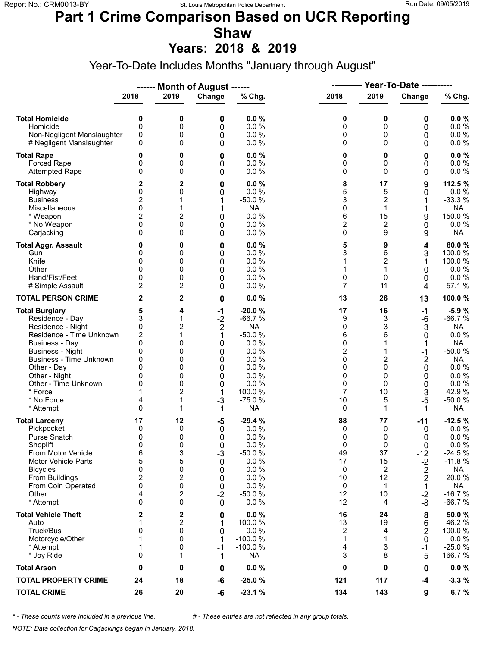### **Part 1 Crime Comparison Based on UCR Reporting Shaw**

**Years: 2018 & 2019**

Year-To-Date Includes Months "January through August"

|                                                                                                                                                                                                                                                                               |                                                                                            |                                                           | ------ Month of August ------                                                          |                                                                                                                                   | ----------                                                                              |                                                                          | <b>Year-To-Date ----------</b>                                                                |                                                                                                                                             |  |
|-------------------------------------------------------------------------------------------------------------------------------------------------------------------------------------------------------------------------------------------------------------------------------|--------------------------------------------------------------------------------------------|-----------------------------------------------------------|----------------------------------------------------------------------------------------|-----------------------------------------------------------------------------------------------------------------------------------|-----------------------------------------------------------------------------------------|--------------------------------------------------------------------------|-----------------------------------------------------------------------------------------------|---------------------------------------------------------------------------------------------------------------------------------------------|--|
|                                                                                                                                                                                                                                                                               | 2018                                                                                       | 2019                                                      | Change                                                                                 | % Chg.                                                                                                                            | 2018                                                                                    | 2019                                                                     | Change                                                                                        | % Chg.                                                                                                                                      |  |
| <b>Total Homicide</b><br>Homicide<br>Non-Negligent Manslaughter<br># Negligent Manslaughter                                                                                                                                                                                   | 0<br>$\mathbf 0$<br>0<br>0                                                                 | 0<br>0<br>0<br>0                                          | 0<br>0<br>0<br>0                                                                       | 0.0%<br>0.0 %<br>0.0%<br>0.0%                                                                                                     | 0<br>0<br>0<br>0                                                                        | 0<br>0<br>0<br>$\Omega$                                                  | 0<br>0<br>0<br>0                                                                              | 0.0%<br>0.0 %<br>0.0 %<br>$0.0 \%$                                                                                                          |  |
| <b>Total Rape</b><br>Forced Rape<br><b>Attempted Rape</b>                                                                                                                                                                                                                     | 0<br>0<br>0                                                                                | 0<br>0<br>0                                               | 0<br>0<br>0                                                                            | 0.0%<br>0.0%<br>0.0%                                                                                                              | 0<br>0<br>0                                                                             | 0<br>0<br>$\Omega$                                                       | 0<br>0<br>0                                                                                   | 0.0%<br>0.0 %<br>0.0 %                                                                                                                      |  |
| <b>Total Robbery</b><br>Highway<br><b>Business</b><br>Miscellaneous<br>* Weapon<br>* No Weapon<br>Carjacking                                                                                                                                                                  | 2<br>0<br>$\overline{c}$<br>$\mathbf{0}$<br>2<br>0<br>0                                    | 2<br>0<br>1<br>1<br>2<br>0<br>0                           | 0<br>0<br>$-1$<br>1<br>0<br>0<br>0                                                     | 0.0%<br>0.0%<br>$-50.0%$<br><b>NA</b><br>0.0%<br>0.0%<br>0.0%                                                                     | 8<br>5<br>3<br>0<br>6<br>$\overline{c}$<br>0                                            | 17<br>5<br>2<br>$\mathbf{1}$<br>15<br>2<br>9                             | 9<br>0<br>$-1$<br>1<br>9<br>0<br>9                                                            | 112.5 %<br>0.0%<br>$-33.3%$<br><b>NA</b><br>150.0%<br>0.0%<br><b>NA</b>                                                                     |  |
| <b>Total Aggr. Assault</b><br>Gun<br>Knife<br>Other<br>Hand/Fist/Feet<br># Simple Assault                                                                                                                                                                                     | 0<br>0<br>0<br>$\Omega$<br>0<br>$\overline{c}$                                             | 0<br>0<br>0<br>0<br>0<br>2                                | 0<br>0<br>0<br>0<br>0<br>0                                                             | 0.0%<br>0.0%<br>0.0%<br>0.0%<br>0.0%<br>0.0%                                                                                      | 5<br>3<br>1<br>1<br>0<br>7                                                              | 9<br>6<br>$\overline{c}$<br>1<br>0<br>11                                 | 4<br>3<br>1<br>0<br>0<br>4                                                                    | 80.0%<br>100.0 %<br>100.0%<br>0.0%<br>$0.0 \%$<br>57.1 %                                                                                    |  |
| <b>TOTAL PERSON CRIME</b>                                                                                                                                                                                                                                                     | 2                                                                                          | 2                                                         | 0                                                                                      | 0.0%                                                                                                                              | 13                                                                                      | 26                                                                       | 13                                                                                            | 100.0%                                                                                                                                      |  |
| <b>Total Burglary</b><br>Residence - Day<br>Residence - Night<br>Residence - Time Unknown<br><b>Business - Day</b><br><b>Business - Night</b><br><b>Business - Time Unknown</b><br>Other - Day<br>Other - Night<br>Other - Time Unknown<br>* Force<br>* No Force<br>* Attempt | 5<br>3<br>0<br>2<br>0<br>0<br>0<br>$\Omega$<br>0<br>0<br>4<br>0                            | 4<br>1<br>2<br>1<br>0<br>0<br>0<br>0<br>0<br>0<br>2<br>1  | $-1$<br>$-2$<br>$\overline{2}$<br>$-1$<br>0<br>0<br>0<br>0<br>0<br>0<br>1<br>$-3$<br>1 | $-20.0%$<br>$-66.7%$<br><b>NA</b><br>$-50.0%$<br>0.0%<br>0.0%<br>0.0%<br>0.0%<br>0.0%<br>0.0%<br>100.0 %<br>$-75.0%$<br><b>NA</b> | 17<br>9<br>0<br>6<br>0<br>$\overline{\mathbf{c}}$<br>0<br>0<br>0<br>0<br>7<br>$10$<br>0 | 16<br>3<br>3<br>6<br>1<br>2<br>$\Omega$<br>0<br>$\Omega$<br>10<br>5<br>1 | $-1$<br>-6<br>3<br>0<br>1<br>$-1$<br>$\overline{\mathbf{c}}$<br>0<br>0<br>0<br>3<br>$-5$<br>1 | $-5.9%$<br>$-66.7%$<br><b>NA</b><br>0.0 %<br><b>NA</b><br>$-50.0%$<br><b>NA</b><br>0.0 %<br>0.0%<br>0.0 %<br>42.9%<br>$-50.0%$<br><b>NA</b> |  |
| <b>Total Larceny</b><br>Pickpocket<br>Purse Snatch<br>Shoplift<br>From Motor Vehicle<br>Motor Vehicle Parts<br><b>Bicycles</b><br>From Buildings<br>From Coin Operated<br>Other<br>* Attempt<br><b>Total Vehicle Theft</b>                                                    | 17<br>0<br>0<br>$\mathbf{0}$<br>6<br>5<br>0<br>$\overline{\mathbf{c}}$<br>0<br>4<br>0<br>2 | 12<br>0<br>0<br>0<br>3<br>5<br>0<br>2<br>0<br>2<br>0<br>2 | $-5$<br>0<br>0<br>$\Omega$<br>$-3$<br>0<br>0<br>0<br>0<br>$-2$<br>0<br>0               | $-29.4%$<br>0.0%<br>0.0%<br>0.0%<br>$-50.0%$<br>0.0%<br>0.0%<br>0.0%<br>0.0%<br>$-50.0%$<br>0.0%<br>0.0%                          | 88<br>0<br>0<br>0<br>49<br>17<br>0<br>10<br>0<br>12<br>12<br>16                         | 77<br>0<br>0<br>$\Omega$<br>37<br>15<br>2<br>12<br>1<br>10<br>4<br>24    | -11<br>0<br>0<br>0<br>$-12$<br>$-2$<br>2<br>$\overline{2}$<br>1<br>$-2$<br>-8<br>8            | $-12.5%$<br>0.0 %<br>0.0 %<br>0.0%<br>$-24.5%$<br>$-11.8%$<br>NA<br>20.0%<br><b>NA</b><br>$-16.7%$<br>$-66.7%$<br>50.0%                     |  |
| Auto<br>Truck/Bus<br>Motorcycle/Other<br>* Attempt<br>* Joy Ride                                                                                                                                                                                                              | 1<br>0<br>1<br>1<br>0                                                                      | 2<br>0<br>0<br>0<br>1                                     | 1<br>0<br>$-1$<br>$-1$<br>1                                                            | 100.0%<br>0.0%<br>$-100.0%$<br>$-100.0%$<br><b>NA</b>                                                                             | 13<br>2<br>1<br>4<br>3                                                                  | 19<br>4<br>1<br>3<br>8                                                   | 6<br>2<br>0<br>-1<br>5                                                                        | 46.2%<br>100.0%<br>$0.0 \%$<br>$-25.0%$<br>166.7 %                                                                                          |  |
| <b>Total Arson</b>                                                                                                                                                                                                                                                            | 0                                                                                          | 0                                                         | 0                                                                                      | 0.0%                                                                                                                              | 0                                                                                       | 0                                                                        | 0                                                                                             | $0.0 \%$                                                                                                                                    |  |
| <b>TOTAL PROPERTY CRIME</b>                                                                                                                                                                                                                                                   | 24                                                                                         | 18                                                        | -6                                                                                     | $-25.0%$                                                                                                                          | 121                                                                                     | 117                                                                      | -4                                                                                            | $-3.3%$                                                                                                                                     |  |
| <b>TOTAL CRIME</b>                                                                                                                                                                                                                                                            | 26                                                                                         | 20                                                        | -6                                                                                     | $-23.1%$                                                                                                                          | 134                                                                                     | 143                                                                      | 9                                                                                             | 6.7%                                                                                                                                        |  |

*\* - These counts were included in a previous line. # - These entries are not reflected in any group totals.*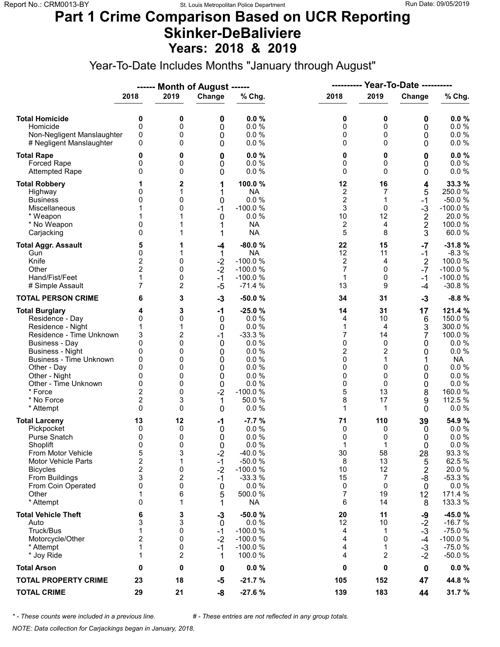### **Part 1 Crime Comparison Based on UCR Reporting Skinker-DeBaliviere Years: 2018 & 2019**

Year-To-Date Includes Months "January through August"

|                                                                                                                                                                                                                                                                               |                                                                                                |                                                               | ------ Month of August ------                                           |                                                                                                                     | Year-To-Date ----------<br>----------                                         |                                                                           |                                                                |                                                                                                                                |
|-------------------------------------------------------------------------------------------------------------------------------------------------------------------------------------------------------------------------------------------------------------------------------|------------------------------------------------------------------------------------------------|---------------------------------------------------------------|-------------------------------------------------------------------------|---------------------------------------------------------------------------------------------------------------------|-------------------------------------------------------------------------------|---------------------------------------------------------------------------|----------------------------------------------------------------|--------------------------------------------------------------------------------------------------------------------------------|
|                                                                                                                                                                                                                                                                               | 2018                                                                                           | 2019                                                          | Change                                                                  | % Chg.                                                                                                              | 2018                                                                          | 2019                                                                      | Change                                                         | % Chg.                                                                                                                         |
| <b>Total Homicide</b><br>Homicide<br>Non-Negligent Manslaughter<br># Negligent Manslaughter                                                                                                                                                                                   | 0<br>$\mathbf 0$<br>0<br>0                                                                     | 0<br>0<br>0<br>0                                              | 0<br>0<br>0<br>0                                                        | 0.0%<br>0.0%<br>0.0%<br>0.0%                                                                                        | 0<br>0<br>0<br>0                                                              | 0<br>0<br>0<br>$\Omega$                                                   | 0<br>0<br>0<br>0                                               | 0.0%<br>0.0 %<br>0.0 %<br>$0.0 \%$                                                                                             |
| <b>Total Rape</b><br>Forced Rape<br><b>Attempted Rape</b>                                                                                                                                                                                                                     | 0<br>0<br>0                                                                                    | 0<br>0<br>0                                                   | 0<br>0<br>0                                                             | 0.0%<br>0.0 %<br>0.0%                                                                                               | 0<br>0<br>0                                                                   | 0<br>0<br>$\Omega$                                                        | 0<br>0<br>0                                                    | 0.0%<br>0.0 %<br>0.0 %                                                                                                         |
| <b>Total Robbery</b><br>Highway<br><b>Business</b><br>Miscellaneous<br>* Weapon<br>* No Weapon<br>Carjacking                                                                                                                                                                  | 0<br>0<br>1<br>0<br>$\mathbf{0}$                                                               | 2<br>1<br>0<br>0                                              | 1<br>1<br>0<br>$-1$<br>0<br>1<br>1                                      | 100.0%<br><b>NA</b><br>0.0 %<br>$-100.0%$<br>0.0%<br><b>NA</b><br><b>NA</b>                                         | 12<br>$\overline{\mathbf{c}}$<br>$\overline{\mathbf{c}}$<br>3<br>10<br>2<br>5 | 16<br>7<br>1<br>$\Omega$<br>12<br>4<br>8                                  | 4<br>5<br>-1<br>$-3$<br>$\frac{2}{2}$<br>3                     | 33.3 %<br>250.0%<br>$-50.0%$<br>$-100.0%$<br>20.0%<br>100.0%<br>60.0%                                                          |
| <b>Total Aggr. Assault</b><br>Gun<br>Knife<br>Other<br>Hand/Fist/Feet<br># Simple Assault                                                                                                                                                                                     | 5<br>0<br>2<br>$\overline{2}$<br>1<br>7                                                        | 1<br>1<br>0<br>0<br>0<br>2                                    | -4<br>1<br>$-2$<br>$-2$<br>$-1$<br>$-5$                                 | $-80.0%$<br><b>NA</b><br>$-100.0%$<br>$-100.0%$<br>$-100.0%$<br>$-71.4%$                                            | 22<br>12<br>2<br>7<br>$\mathbf{1}$<br>13                                      | 15<br>11<br>4<br>$\Omega$<br>0<br>9                                       | $-7$<br>$-1$<br>$\overline{2}$<br>$-7$<br>$-1$<br>-4           | $-31.8%$<br>$-8.3%$<br>100.0%<br>$-100.0%$<br>$-100.0%$<br>$-30.8%$                                                            |
| <b>TOTAL PERSON CRIME</b>                                                                                                                                                                                                                                                     | 6                                                                                              | 3                                                             | $-3$                                                                    | $-50.0%$                                                                                                            | 34                                                                            | 31                                                                        | $-3$                                                           | $-8.8%$                                                                                                                        |
| <b>Total Burglary</b><br>Residence - Day<br>Residence - Night<br>Residence - Time Unknown<br><b>Business - Day</b><br><b>Business - Night</b><br><b>Business - Time Unknown</b><br>Other - Day<br>Other - Night<br>Other - Time Unknown<br>* Force<br>* No Force<br>* Attempt | 4<br>0<br>1<br>3<br>0<br>0<br>0<br>0<br>0<br>0<br>$\overline{2}$<br>$\overline{2}$<br>$\Omega$ | 3<br>0<br>1<br>2<br>0<br>0<br>0<br>0<br>0<br>0<br>0<br>3<br>0 | $-1$<br>0<br>0<br>$-1$<br>0<br>0<br>0<br>0<br>0<br>0<br>$-2$<br>1<br>0  | $-25.0%$<br>0.0%<br>0.0%<br>$-33.3%$<br>0.0%<br>0.0%<br>0.0%<br>0.0%<br>0.0%<br>0.0%<br>$-100.0%$<br>50.0 %<br>0.0% | 14<br>4<br>1<br>7<br>0<br>2<br>0<br>0<br>0<br>0<br>5<br>8<br>1                | 31<br>10<br>4<br>14<br>0<br>2<br>1<br>$\Omega$<br>0<br>0<br>13<br>17<br>1 | 17<br>6<br>3<br>7<br>0<br>0<br>1<br>0<br>0<br>0<br>8<br>9<br>0 | 121.4 %<br>150.0 %<br>300.0 %<br>100.0%<br>0.0%<br>0.0%<br><b>NA</b><br>0.0%<br>0.0%<br>0.0 %<br>160.0%<br>112.5 %<br>$0.0 \%$ |
| <b>Total Larceny</b><br>Pickpocket<br>Purse Snatch<br>Shoplift<br>From Motor Vehicle<br><b>Motor Vehicle Parts</b><br><b>Bicycles</b><br>From Buildings<br>From Coin Operated<br>Other<br>* Attempt                                                                           | 13<br>0<br>0<br>0<br>5<br>$\overline{\mathbf{c}}$<br>$\overline{2}$<br>3<br>0<br>1<br>0        | 12<br>0<br>0<br>0<br>3<br>1<br>0<br>2<br>0<br>6<br>1          | -1<br>0<br>0<br>$\Omega$<br>$-2$<br>$-1$<br>$-2$<br>$-1$<br>0<br>5<br>1 | $-7.7%$<br>0.0%<br>0.0%<br>0.0%<br>$-40.0%$<br>$-50.0%$<br>$-100.0%$<br>$-33.3%$<br>0.0%<br>500.0%<br><b>NA</b>     | 71<br>0<br>0<br>1<br>30<br>8<br>10<br>15<br>0<br>$\overline{7}$<br>6          | 110<br>0<br>0<br>1<br>58<br>13<br>12<br>7<br>0<br>19<br>14                | 39<br>0<br>0<br>0<br>28<br>5<br>2<br>-8<br>0<br>12<br>8        | 54.9 %<br>$0.0 \%$<br>0.0%<br>0.0%<br>93.3 %<br>62.5 %<br>20.0%<br>$-53.3%$<br>0.0 %<br>171.4 %<br>133.3 %                     |
| <b>Total Vehicle Theft</b><br>Auto<br>Truck/Bus<br>Motorcycle/Other<br>* Attempt<br>* Joy Ride                                                                                                                                                                                | 6<br>3<br>1<br>$\overline{2}$<br>$\mathbf{1}$<br>1                                             | 3<br>3<br>0<br>0<br>0<br>2                                    | $-3$<br>$\mathbf 0$<br>$-1$<br>$-2$<br>$-1$<br>1                        | $-50.0%$<br>0.0%<br>$-100.0%$<br>$-100.0%$<br>$-100.0%$<br>100.0%                                                   | 20<br>12<br>4<br>4<br>4<br>4                                                  | 11<br>10<br>1<br>$\Omega$<br>1<br>2                                       | -9<br>$-2$<br>$-3$<br>$-4$<br>$-3$<br>$-2$                     | $-45.0%$<br>$-16.7%$<br>$-75.0%$<br>$-100.0%$<br>$-75.0%$<br>$-50.0%$                                                          |
| <b>Total Arson</b>                                                                                                                                                                                                                                                            | 0                                                                                              | 0                                                             | 0                                                                       | 0.0%                                                                                                                | 0                                                                             | 0                                                                         | 0                                                              | $0.0 \%$                                                                                                                       |
| <b>TOTAL PROPERTY CRIME</b>                                                                                                                                                                                                                                                   | 23                                                                                             | 18                                                            | $-5$                                                                    | $-21.7%$                                                                                                            | 105                                                                           | 152                                                                       | 47                                                             | 44.8 %                                                                                                                         |
| <b>TOTAL CRIME</b>                                                                                                                                                                                                                                                            | 29                                                                                             | 21                                                            | -8                                                                      | $-27.6%$                                                                                                            | 139                                                                           | 183                                                                       | 44                                                             | 31.7%                                                                                                                          |

*\* - These counts were included in a previous line. # - These entries are not reflected in any group totals.*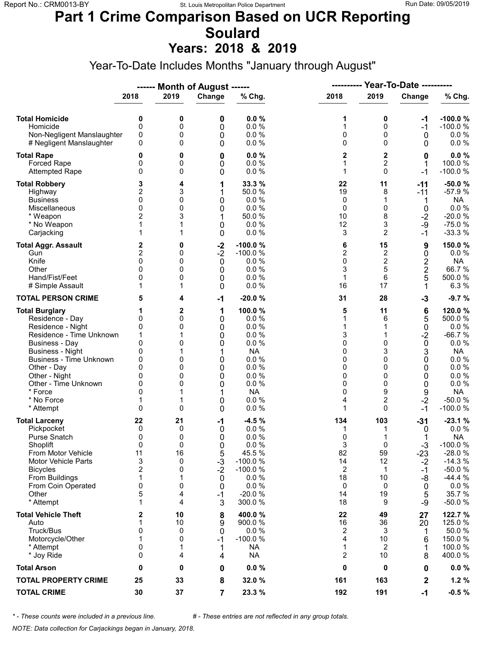# **Part 1 Crime Comparison Based on UCR Reporting Soulard**

**Years: 2018 & 2019**

Year-To-Date Includes Months "January through August"

|                                                                                                                                                                                                                                                                               |                                                                                               |                                                       | ------ Month of August ------                                 |                                                                                                                     |                                                               | <b>Year-To-Date ----------</b><br>----------                                 |                                                                                            |                                                                                                                                             |
|-------------------------------------------------------------------------------------------------------------------------------------------------------------------------------------------------------------------------------------------------------------------------------|-----------------------------------------------------------------------------------------------|-------------------------------------------------------|---------------------------------------------------------------|---------------------------------------------------------------------------------------------------------------------|---------------------------------------------------------------|------------------------------------------------------------------------------|--------------------------------------------------------------------------------------------|---------------------------------------------------------------------------------------------------------------------------------------------|
|                                                                                                                                                                                                                                                                               | 2018                                                                                          | 2019                                                  | Change                                                        | % Chg.                                                                                                              | 2018                                                          | 2019                                                                         | Change                                                                                     | % Chg.                                                                                                                                      |
| <b>Total Homicide</b><br>Homicide<br>Non-Negligent Manslaughter<br># Negligent Manslaughter                                                                                                                                                                                   | 0<br>$\mathbf 0$<br>0<br>0                                                                    | 0<br>0<br>0<br>0                                      | 0<br>0<br>0<br>0                                              | 0.0%<br>0.0 %<br>0.0%<br>0.0%                                                                                       | 1<br>1<br>0<br>0                                              | 0<br>0<br>0<br>$\Omega$                                                      | -1<br>$-1$<br>0<br>0                                                                       | $-100.0%$<br>$-100.0%$<br>$0.0 \%$<br>$0.0 \%$                                                                                              |
| <b>Total Rape</b><br>Forced Rape<br><b>Attempted Rape</b>                                                                                                                                                                                                                     | 0<br>0<br>0                                                                                   | 0<br>0<br>0                                           | 0<br>0<br>0                                                   | 0.0%<br>0.0%<br>0.0%                                                                                                | 2<br>1<br>1                                                   | $\mathbf 2$<br>2<br>$\Omega$                                                 | 0<br>1<br>$-1$                                                                             | 0.0%<br>100.0%<br>$-100.0%$                                                                                                                 |
| <b>Total Robbery</b><br>Highway<br><b>Business</b><br>Miscellaneous<br>* Weapon<br>* No Weapon<br>Carjacking                                                                                                                                                                  | 3<br>2<br>0<br>$\mathbf{0}$<br>2<br>1<br>1                                                    | 4<br>3<br>0<br>0<br>3<br>1<br>1                       | 1<br>1<br>0<br>0<br>1<br>0<br>0                               | 33.3 %<br>50.0 %<br>0.0%<br>0.0%<br>50.0 %<br>0.0%<br>0.0%                                                          | 22<br>19<br>0<br>0<br>10<br>12<br>3                           | 11<br>8<br>1<br>0<br>8<br>3<br>$\overline{2}$                                | $-11$<br>$-11$<br>1<br>0<br>$-2$<br>-9<br>$-1$                                             | $-50.0%$<br>$-57.9%$<br><b>NA</b><br>$0.0 \%$<br>$-20.0%$<br>$-75.0%$<br>$-33.3%$                                                           |
| <b>Total Aggr. Assault</b><br>Gun<br>Knife<br>Other<br>Hand/Fist/Feet<br># Simple Assault                                                                                                                                                                                     | 2<br>$\overline{c}$<br>0<br>$\Omega$<br>0<br>1                                                | 0<br>0<br>0<br>0<br>0<br>1                            | $-2$<br>$-2$<br>0<br>0<br>0<br>0                              | $-100.0%$<br>$-100.0%$<br>0.0%<br>0.0%<br>0.0%<br>0.0%                                                              | 6<br>$\overline{c}$<br>0<br>3<br>$\mathbf{1}$<br>16           | 15<br>$\boldsymbol{2}$<br>$\overline{\mathbf{c}}$<br>5<br>6<br>17            | 9<br>$\pmb{0}$<br>2<br>2<br>5<br>1                                                         | 150.0%<br>$0.0 \%$<br><b>NA</b><br>66.7%<br>500.0%<br>6.3%                                                                                  |
| <b>TOTAL PERSON CRIME</b>                                                                                                                                                                                                                                                     | 5                                                                                             | 4                                                     | $-1$                                                          | $-20.0%$                                                                                                            | 31                                                            | 28                                                                           | $-3$                                                                                       | $-9.7%$                                                                                                                                     |
| <b>Total Burglary</b><br>Residence - Day<br>Residence - Night<br>Residence - Time Unknown<br><b>Business - Day</b><br><b>Business - Night</b><br><b>Business - Time Unknown</b><br>Other - Day<br>Other - Night<br>Other - Time Unknown<br>* Force<br>* No Force<br>* Attempt | 1<br>0<br>0<br>1<br>$\mathbf{0}$<br>0<br>0<br>$\Omega$<br>0<br>0<br>$\Omega$<br>1<br>$\Omega$ | $\mathbf{2}$<br>0<br>0<br>0<br>0<br>0<br>0<br>0<br>0  | 1<br>0<br>0<br>0<br>0<br>1<br>0<br>0<br>0<br>0<br>0<br>0      | 100.0%<br>0.0 %<br>0.0%<br>0.0%<br>0.0%<br><b>NA</b><br>0.0%<br>0.0%<br>0.0%<br>0.0 %<br><b>NA</b><br>0.0 %<br>0.0% | 5<br>1<br>1<br>3<br>0<br>0<br>0<br>0<br>0<br>0<br>0<br>4<br>1 | 11<br>6<br>1<br>1<br>$\Omega$<br>3<br>0<br>$\Omega$<br>0<br>0<br>9<br>2<br>0 | 6<br>5<br>$\mathbf 0$<br>$-2$<br>$\mathbf 0$<br>3<br>0<br>0<br>0<br>0<br>9<br>$-2$<br>$-1$ | 120.0 %<br>500.0%<br>$0.0 \%$<br>$-66.7%$<br>$0.0 \%$<br><b>NA</b><br>0.0 %<br>0.0 %<br>0.0%<br>0.0 %<br><b>NA</b><br>$-50.0%$<br>$-100.0%$ |
| <b>Total Larceny</b><br>Pickpocket<br>Purse Snatch<br>Shoplift<br>From Motor Vehicle<br><b>Motor Vehicle Parts</b><br><b>Bicycles</b><br>From Buildings<br>From Coin Operated<br>Other<br>* Attempt                                                                           | 22<br>0<br>0<br>0<br>11<br>3<br>$\overline{2}$<br>1<br>0<br>5<br>1                            | 21<br>0<br>0<br>0<br>16<br>0<br>0<br>1<br>0<br>4<br>4 | -1<br>0<br>0<br>0<br>5<br>$-3$<br>$-2$<br>0<br>0<br>$-1$<br>3 | $-4.5%$<br>0.0%<br>0.0%<br>0.0%<br>45.5 %<br>$-100.0%$<br>$-100.0%$<br>0.0%<br>0.0%<br>$-20.0%$<br>300.0 %          | 134<br>1<br>0<br>3<br>82<br>14<br>2<br>18<br>0<br>14<br>18    | 103<br>1<br>$\Omega$<br>59<br>12<br>$\mathbf{1}$<br>10<br>0<br>19<br>9       | $-31$<br>0<br>1<br>$-3$<br>$-23$<br>$-2$<br>$-1$<br>-8<br>0<br>5<br>-9                     | $-23.1%$<br>$0.0 \%$<br><b>NA</b><br>$-100.0%$<br>$-28.0%$<br>$-14.3%$<br>$-50.0%$<br>$-44.4%$<br>$0.0 \%$<br>35.7%<br>$-50.0%$             |
| <b>Total Vehicle Theft</b><br>Auto<br>Truck/Bus<br>Motorcycle/Other<br>* Attempt<br>* Joy Ride                                                                                                                                                                                | 2<br>1<br>0<br>1<br>0<br>0                                                                    | 10<br>10<br>0<br>0<br>1<br>4                          | 8<br>9<br>0<br>$-1$<br>1<br>4                                 | 400.0%<br>900.0%<br>0.0%<br>$-100.0%$<br><b>NA</b><br><b>NA</b>                                                     | 22<br>16<br>2<br>4<br>1<br>2                                  | 49<br>36<br>3<br>10<br>2<br>10                                               | 27<br>20<br>1<br>6<br>1<br>8                                                               | 122.7 %<br>125.0 %<br>50.0%<br>150.0%<br>100.0 %<br>400.0%                                                                                  |
| <b>Total Arson</b>                                                                                                                                                                                                                                                            | 0                                                                                             | 0                                                     | 0                                                             | $0.0 \%$                                                                                                            | 0                                                             | 0                                                                            | 0                                                                                          | $0.0 \%$                                                                                                                                    |
| <b>TOTAL PROPERTY CRIME</b>                                                                                                                                                                                                                                                   | 25                                                                                            | 33                                                    | 8                                                             | 32.0 %                                                                                                              | 161                                                           | 163                                                                          | $\mathbf 2$                                                                                | 1.2%                                                                                                                                        |
| <b>TOTAL CRIME</b>                                                                                                                                                                                                                                                            | 30                                                                                            | 37                                                    | $\overline{7}$                                                | 23.3 %                                                                                                              | 192                                                           | 191                                                                          | $-1$                                                                                       | $-0.5%$                                                                                                                                     |

*\* - These counts were included in a previous line. # - These entries are not reflected in any group totals.*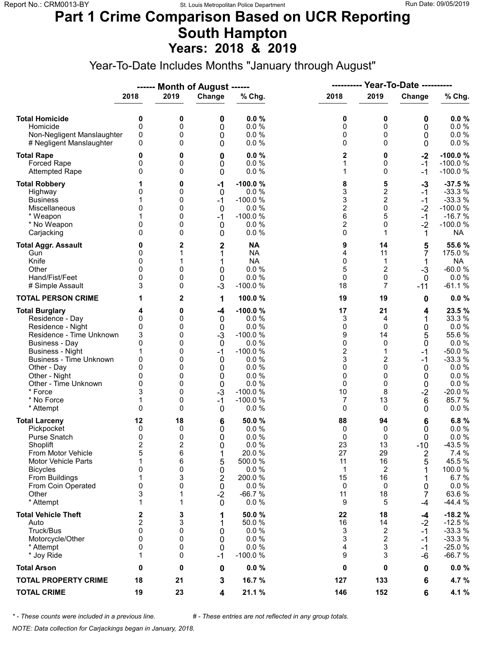### **Part 1 Crime Comparison Based on UCR Reporting South Hampton Years: 2018 & 2019**

Year-To-Date Includes Months "January through August"

|                                                                                                                                                                                                                                                                               |                                                                             |                                                               | ------ Month of August ------                                                        |                                                                                                                                | ----------                                                                            |                                                                                | Year-To-Date ----------                                                |                                                                                                                                 |  |
|-------------------------------------------------------------------------------------------------------------------------------------------------------------------------------------------------------------------------------------------------------------------------------|-----------------------------------------------------------------------------|---------------------------------------------------------------|--------------------------------------------------------------------------------------|--------------------------------------------------------------------------------------------------------------------------------|---------------------------------------------------------------------------------------|--------------------------------------------------------------------------------|------------------------------------------------------------------------|---------------------------------------------------------------------------------------------------------------------------------|--|
|                                                                                                                                                                                                                                                                               | 2018                                                                        | 2019                                                          | Change                                                                               | % Chg.                                                                                                                         | 2018                                                                                  | 2019                                                                           | Change                                                                 | % Chg.                                                                                                                          |  |
| <b>Total Homicide</b><br>Homicide<br>Non-Negligent Manslaughter<br># Negligent Manslaughter                                                                                                                                                                                   | 0<br>$\mathbf 0$<br>0<br>0                                                  | 0<br>0<br>0<br>0                                              | 0<br>0<br>0<br>0                                                                     | 0.0%<br>0.0%<br>0.0%<br>0.0%                                                                                                   | 0<br>0<br>0<br>0                                                                      | 0<br>0<br>0<br>$\Omega$                                                        | 0<br>0<br>0<br>0                                                       | 0.0%<br>0.0 %<br>0.0 %<br>0.0%                                                                                                  |  |
| <b>Total Rape</b><br>Forced Rape<br><b>Attempted Rape</b>                                                                                                                                                                                                                     | 0<br>0<br>0                                                                 | 0<br>0<br>0                                                   | 0<br>0<br>0                                                                          | 0.0%<br>0.0%<br>0.0%                                                                                                           | 2<br>1<br>1                                                                           | 0<br>0<br>$\Omega$                                                             | $-2$<br>$-1$<br>$-1$                                                   | $-100.0%$<br>$-100.0%$<br>$-100.0%$                                                                                             |  |
| <b>Total Robbery</b><br>Highway<br><b>Business</b><br>Miscellaneous<br>* Weapon<br>* No Weapon<br>Carjacking                                                                                                                                                                  | 0<br>1<br>0<br>0<br>$\Omega$                                                | 0<br>0<br>0<br>0<br>0<br>0<br>0                               | -1<br>0<br>$-1$<br>0<br>$-1$<br>0<br>0                                               | $-100.0%$<br>0.0%<br>$-100.0%$<br>0.0%<br>$-100.0%$<br>0.0%<br>0.0%                                                            | 8<br>3<br>3<br>$\overline{\mathbf{c}}$<br>6<br>$\overline{c}$<br>0                    | 5<br>$\overline{\mathbf{c}}$<br>$\overline{c}$<br>$\mathsf 0$<br>5<br>0<br>1   | $-3$<br>$-1$<br>$-1$<br>$-2$<br>$-1$<br>$-2$<br>1                      | $-37.5%$<br>$-33.3%$<br>$-33.3%$<br>$-100.0%$<br>$-16.7%$<br>$-100.0%$<br><b>NA</b>                                             |  |
| <b>Total Aggr. Assault</b><br>Gun<br>Knife<br>Other<br>Hand/Fist/Feet<br># Simple Assault                                                                                                                                                                                     | 0<br>0<br>0<br>$\Omega$<br>0<br>3                                           | 2<br>1<br>0<br>0<br>0                                         | $\overline{\mathbf{c}}$<br>1<br>1<br>0<br>$\boldsymbol{0}$<br>$-3$                   | <b>NA</b><br><b>NA</b><br><b>NA</b><br>0.0%<br>0.0%<br>$-100.0%$                                                               | 9<br>4<br>0<br>5<br>0<br>18                                                           | 14<br>11<br>1<br>$\overline{c}$<br>$\mathbf 0$<br>7                            | 5<br>7<br>1<br>$-3$<br>$\mathbf{0}$<br>$-11$                           | 55.6%<br>175.0 %<br><b>NA</b><br>$-60.0%$<br>0.0%<br>$-61.1%$                                                                   |  |
| <b>TOTAL PERSON CRIME</b>                                                                                                                                                                                                                                                     | 1                                                                           | 2                                                             | 1                                                                                    | 100.0%                                                                                                                         | 19                                                                                    | 19                                                                             | 0                                                                      | 0.0%                                                                                                                            |  |
| <b>Total Burglary</b><br>Residence - Day<br>Residence - Night<br>Residence - Time Unknown<br><b>Business - Day</b><br><b>Business - Night</b><br><b>Business - Time Unknown</b><br>Other - Day<br>Other - Night<br>Other - Time Unknown<br>* Force<br>* No Force<br>* Attempt | 4<br>0<br>0<br>3<br>0<br>1<br>0<br>$\Omega$<br>0<br>0<br>3<br>1<br>$\Omega$ | 0<br>0<br>0<br>0<br>0<br>0<br>0<br>0<br>0<br>0<br>0<br>0<br>0 | -4<br>0<br>$\mathbf 0$<br>$-3$<br>0<br>$-1$<br>0<br>0<br>0<br>0<br>$-3$<br>$-1$<br>0 | $-100.0%$<br>0.0 %<br>0.0%<br>$-100.0%$<br>0.0%<br>$-100.0%$<br>0.0%<br>0.0%<br>0.0%<br>0.0%<br>$-100.0%$<br>$-100.0%$<br>0.0% | 17<br>3<br>0<br>9<br>0<br>$\overline{\mathbf{c}}$<br>3<br>0<br>0<br>0<br>10<br>7<br>0 | 21<br>4<br>0<br>14<br>$\Omega$<br>1<br>2<br>$\Omega$<br>0<br>0<br>8<br>13<br>0 | 4<br>1<br>0<br>5<br>0<br>$-1$<br>$-1$<br>0<br>0<br>0<br>$-2$<br>6<br>0 | 23.5 %<br>33.3 %<br>0.0%<br>55.6%<br>0.0%<br>$-50.0%$<br>$-33.3%$<br>$0.0 \%$<br>0.0%<br>0.0 %<br>$-20.0%$<br>85.7%<br>$0.0 \%$ |  |
| <b>Total Larceny</b><br>Pickpocket<br>Purse Snatch<br>Shoplift<br>From Motor Vehicle<br><b>Motor Vehicle Parts</b><br><b>Bicycles</b><br>From Buildings<br>From Coin Operated<br>Other<br>* Attempt                                                                           | 12<br>0<br>0<br>$\overline{2}$<br>5<br>1<br>0<br>1<br>0<br>3<br>1           | 18<br>0<br>0<br>2<br>6<br>6<br>0<br>3<br>0<br>1<br>1          | 6<br>0<br>0<br>0<br>1<br>5<br>0<br>2<br>0<br>$-2$<br>0                               | 50.0%<br>0.0%<br>0.0%<br>0.0%<br>20.0%<br>500.0%<br>0.0 %<br>200.0%<br>0.0 %<br>$-66.7%$<br>0.0%                               | 88<br>0<br>0<br>23<br>27<br>11<br>1<br>15<br>0<br>11<br>9                             | 94<br>0<br>0<br>13<br>29<br>16<br>2<br>16<br>0<br>18<br>5                      | 6<br>0<br>0<br>$-10$<br>2<br>5<br>0<br>7<br>-4                         | 6.8%<br>$0.0 \%$<br>0.0%<br>$-43.5%$<br>7.4 %<br>45.5 %<br>100.0%<br>6.7%<br>$0.0 \%$<br>63.6%<br>$-44.4%$                      |  |
| <b>Total Vehicle Theft</b><br>Auto<br>Truck/Bus<br>Motorcycle/Other<br>* Attempt<br>* Joy Ride                                                                                                                                                                                | 2<br>$\overline{\mathbf{c}}$<br>$\mathbf{0}$<br>0<br>0<br>1                 | 3<br>3<br>0<br>0<br>0<br>0                                    | 1<br>1<br>0<br>0<br>$\mathbf 0$<br>$-1$                                              | 50.0 %<br>50.0%<br>0.0%<br>0.0%<br>0.0%<br>$-100.0%$                                                                           | 22<br>16<br>3<br>3<br>4<br>9                                                          | 18<br>14<br>2<br>$\overline{2}$<br>3<br>3                                      | -4<br>$-2$<br>$-1$<br>-1<br>$-1$<br>-6                                 | $-18.2%$<br>$-12.5%$<br>$-33.3%$<br>$-33.3%$<br>$-25.0%$<br>$-66.7%$                                                            |  |
| <b>Total Arson</b>                                                                                                                                                                                                                                                            | 0                                                                           | 0                                                             | 0                                                                                    | 0.0%                                                                                                                           | 0                                                                                     | 0                                                                              | 0                                                                      | $0.0 \%$                                                                                                                        |  |
| <b>TOTAL PROPERTY CRIME</b>                                                                                                                                                                                                                                                   | 18                                                                          | 21                                                            | 3                                                                                    | 16.7 %                                                                                                                         | 127                                                                                   | 133                                                                            | 6                                                                      | 4.7 %                                                                                                                           |  |
| <b>TOTAL CRIME</b>                                                                                                                                                                                                                                                            | 19                                                                          | 23                                                            | 4                                                                                    | 21.1 %                                                                                                                         | 146                                                                                   | 152                                                                            | 6                                                                      | 4.1 %                                                                                                                           |  |

*\* - These counts were included in a previous line. # - These entries are not reflected in any group totals.*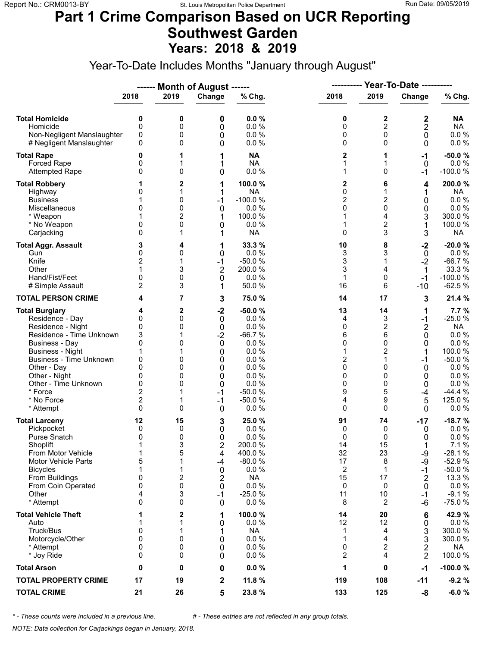### **Part 1 Crime Comparison Based on UCR Reporting Southwest Garden Years: 2018 & 2019**

Year-To-Date Includes Months "January through August"

|                                                                                                                                                                                                                                                                 |                                                                      |                                                          | ------ Month of August ------                                                                 |                                                                                                                       |                                                                |                                                                       |                                                                      |                                                                                                                                            |  |
|-----------------------------------------------------------------------------------------------------------------------------------------------------------------------------------------------------------------------------------------------------------------|----------------------------------------------------------------------|----------------------------------------------------------|-----------------------------------------------------------------------------------------------|-----------------------------------------------------------------------------------------------------------------------|----------------------------------------------------------------|-----------------------------------------------------------------------|----------------------------------------------------------------------|--------------------------------------------------------------------------------------------------------------------------------------------|--|
|                                                                                                                                                                                                                                                                 | 2018                                                                 | 2019                                                     | Change                                                                                        | % Chg.                                                                                                                | 2018                                                           | 2019                                                                  | Change                                                               | % Chg.                                                                                                                                     |  |
| <b>Total Homicide</b><br>Homicide<br>Non-Negligent Manslaughter<br># Negligent Manslaughter                                                                                                                                                                     | 0<br>0<br>0<br>0                                                     | 0<br>0<br>0<br>0                                         | 0<br>0<br>0<br>0                                                                              | 0.0%<br>0.0%<br>0.0%<br>0.0%                                                                                          | 0<br>0<br>0<br>0                                               | 2<br>$\overline{c}$<br>0<br>0                                         | 2<br>$\overline{2}$<br>0<br>0                                        | <b>NA</b><br><b>NA</b><br>$0.0 \%$<br>0.0 %                                                                                                |  |
| <b>Total Rape</b><br><b>Forced Rape</b><br><b>Attempted Rape</b>                                                                                                                                                                                                | 0<br>0<br>0                                                          | 1<br>1<br>0                                              | 1<br>1<br>0                                                                                   | <b>NA</b><br><b>NA</b><br>0.0 %                                                                                       | 2<br>1<br>1                                                    | $\mathbf 0$                                                           | $-1$<br>0<br>-1                                                      | $-50.0%$<br>$0.0 \%$<br>$-100.0%$                                                                                                          |  |
| <b>Total Robbery</b><br>Highway<br><b>Business</b><br>Miscellaneous<br>* Weapon<br>* No Weapon<br>Carjacking                                                                                                                                                    | 0<br>0<br>0<br>0                                                     | 2<br>1<br>0<br>0<br>2<br>0<br>1                          | 1<br>1<br>$-1$<br>0<br>1<br>0<br>1                                                            | 100.0%<br><b>NA</b><br>$-100.0%$<br>0.0%<br>100.0 %<br>0.0%<br><b>NA</b>                                              | 2<br>0<br>$\overline{c}$<br>0<br>1<br>1<br>0                   | 6<br>1<br>2<br>0<br>4<br>2<br>3                                       | 4<br>1<br>0<br>0<br>3<br>1<br>3                                      | 200.0%<br><b>NA</b><br>0.0 %<br>0.0%<br>300.0%<br>100.0 %<br><b>NA</b>                                                                     |  |
| <b>Total Aggr. Assault</b><br>Gun<br>Knife<br>Other<br>Hand/Fist/Feet<br># Simple Assault                                                                                                                                                                       | 3<br>0<br>$\overline{2}$<br>0<br>$\overline{2}$                      | 4<br>0<br>1<br>3<br>0<br>3                               | 1<br>0<br>$-1$<br>$\overline{2}$<br>0<br>1                                                    | 33.3%<br>0.0%<br>$-50.0%$<br>200.0%<br>0.0%<br>50.0%                                                                  | 10<br>3<br>3<br>3<br>1<br>16                                   | 8<br>3<br>1<br>4<br>0<br>6                                            | $-2$<br>0<br>$-2$<br>$\mathbf 1$<br>$-1$<br>-10                      | $-20.0%$<br>0.0 %<br>$-66.7%$<br>33.3 %<br>$-100.0%$<br>$-62.5%$                                                                           |  |
| <b>TOTAL PERSON CRIME</b>                                                                                                                                                                                                                                       | 4                                                                    | 7                                                        | 3                                                                                             | 75.0 %                                                                                                                | 14                                                             | 17                                                                    | 3                                                                    | 21.4 %                                                                                                                                     |  |
| <b>Total Burglary</b><br>Residence - Day<br>Residence - Night<br>Residence - Time Unknown<br>Business - Day<br><b>Business - Night</b><br>Business - Time Unknown<br>Other - Day<br>Other - Night<br>Other - Time Unknown<br>* Force<br>* No Force<br>* Attempt | 4<br>0<br>0<br>3<br>0<br>1<br>0<br>0<br>0<br>0<br>2<br>2<br>$\Omega$ | 2<br>0<br>0<br>1<br>0<br>1<br>0<br>0<br>0<br>0<br>1<br>0 | $-2$<br>0<br>0<br>$-2$<br>$\mathbf 0$<br>0<br>0<br>0<br>0<br>0<br>$-1$<br>$-1$<br>$\mathbf 0$ | $-50.0%$<br>0.0%<br>0.0%<br>$-66.7%$<br>0.0%<br>0.0%<br>0.0%<br>0.0%<br>0.0%<br>0.0 %<br>$-50.0%$<br>$-50.0%$<br>0.0% | 13<br>4<br>0<br>6<br>0<br>1<br>2<br>0<br>0<br>0<br>9<br>4<br>0 | 14<br>3<br>2<br>6<br>0<br>2<br>1<br>0<br>0<br>0<br>5<br>9<br>0        | 1<br>$-1$<br>2<br>0<br>0<br>1<br>-1<br>0<br>0<br>0<br>-4<br>5<br>0   | 7.7%<br>$-25.0%$<br><b>NA</b><br>$0.0 \%$<br>$0.0 \%$<br>100.0%<br>$-50.0%$<br>0.0%<br>0.0%<br>$0.0 \%$<br>$-44.4%$<br>125.0 %<br>$0.0 \%$ |  |
| <b>Total Larceny</b><br>Pickpocket<br><b>Purse Snatch</b><br>Shoplift<br>From Motor Vehicle<br><b>Motor Vehicle Parts</b><br><b>Bicycles</b><br>From Buildings<br>From Coin Operated<br>Other<br>* Attempt                                                      | 12<br>0<br>0<br>1<br>1<br>5<br>1<br>0<br>0<br>4<br>0                 | 15<br>0<br>0<br>3<br>5<br>1<br>1<br>2<br>0<br>3<br>0     | 3<br>0<br>0<br>$\overline{2}$<br>4<br>-4<br>0<br>2<br>0<br>-1<br>0                            | 25.0 %<br>0.0%<br>0.0%<br>200.0%<br>400.0%<br>$-80.0%$<br>0.0 %<br><b>NA</b><br>0.0%<br>$-25.0%$<br>0.0%              | 91<br>0<br>0<br>14<br>32<br>17<br>2<br>15<br>0<br>11<br>8      | 74<br>0<br>0<br>15<br>23<br>8<br>1<br>17<br>0<br>10<br>$\overline{2}$ | $-17$<br>0<br>0<br>-9<br>-9<br>-1<br>$\overline{2}$<br>0<br>-1<br>-6 | $-18.7%$<br>$0.0 \%$<br>0.0 %<br>7.1 %<br>$-28.1%$<br>$-52.9%$<br>$-50.0%$<br>13.3 %<br>$0.0 \%$<br>$-9.1%$<br>$-75.0%$                    |  |
| <b>Total Vehicle Theft</b><br>Auto<br>Truck/Bus<br>Motorcycle/Other<br>* Attempt<br>* Joy Ride                                                                                                                                                                  | 1<br>1<br>0<br>0<br>0<br>0                                           | 2<br>1<br>1<br>0<br>0<br>0                               | 1<br>0<br>1<br>0<br>0<br>0                                                                    | 100.0%<br>0.0%<br><b>NA</b><br>0.0 %<br>0.0 %<br>0.0%                                                                 | 14<br>12<br>1<br>1<br>0<br>2                                   | 20<br>12<br>4<br>4<br>2<br>4                                          | 6<br>0<br>3<br>3<br>2<br>$\overline{2}$                              | 42.9%<br>0.0 %<br>300.0 %<br>300.0%<br>NA<br>100.0%                                                                                        |  |
| <b>Total Arson</b>                                                                                                                                                                                                                                              | 0                                                                    | 0                                                        | 0                                                                                             | 0.0%                                                                                                                  | 1                                                              | 0                                                                     | $-1$                                                                 | $-100.0%$                                                                                                                                  |  |
| <b>TOTAL PROPERTY CRIME</b>                                                                                                                                                                                                                                     | 17                                                                   | 19                                                       | $\mathbf{2}$                                                                                  | 11.8 %                                                                                                                | 119                                                            | 108                                                                   | -11                                                                  | $-9.2%$                                                                                                                                    |  |
| <b>TOTAL CRIME</b>                                                                                                                                                                                                                                              | 21                                                                   | 26                                                       | 5                                                                                             | 23.8%                                                                                                                 | 133                                                            | 125                                                                   | -8                                                                   | $-6.0%$                                                                                                                                    |  |

*\* - These counts were included in a previous line. # - These entries are not reflected in any group totals.*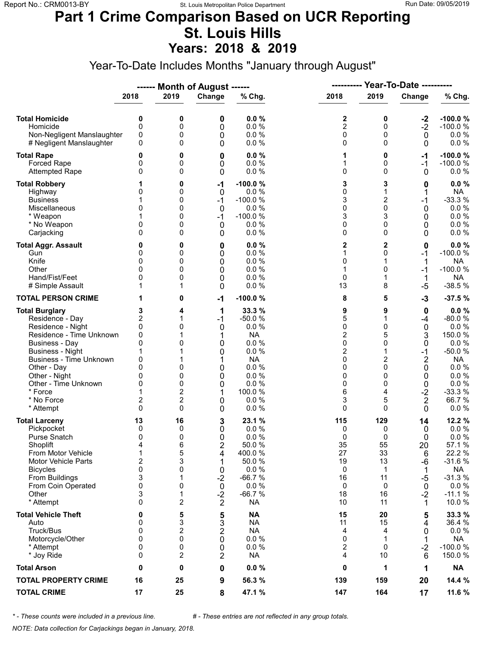#### **Part 1 Crime Comparison Based on UCR Reporting St. Louis Hills Years: 2018 & 2019**

Year-To-Date Includes Months "January through August"

|                                                                                                                                                                                                                                                                               |                                                                                       |                                                                          | ------ Month of August ------                                                       |                                                                                                                         | Year-To-Date ----------<br>----------                                                            |                                                                        |                                                                                                                   |                                                                                                                                |  |
|-------------------------------------------------------------------------------------------------------------------------------------------------------------------------------------------------------------------------------------------------------------------------------|---------------------------------------------------------------------------------------|--------------------------------------------------------------------------|-------------------------------------------------------------------------------------|-------------------------------------------------------------------------------------------------------------------------|--------------------------------------------------------------------------------------------------|------------------------------------------------------------------------|-------------------------------------------------------------------------------------------------------------------|--------------------------------------------------------------------------------------------------------------------------------|--|
|                                                                                                                                                                                                                                                                               | 2018                                                                                  | 2019                                                                     | Change                                                                              | % Chg.                                                                                                                  | 2018                                                                                             | 2019                                                                   | Change                                                                                                            | % Chg.                                                                                                                         |  |
| <b>Total Homicide</b><br>Homicide<br>Non-Negligent Manslaughter<br># Negligent Manslaughter                                                                                                                                                                                   | 0<br>$\mathbf 0$<br>0<br>0                                                            | 0<br>0<br>0<br>0                                                         | 0<br>0<br>0<br>0                                                                    | 0.0%<br>0.0%<br>0.0%<br>0.0%                                                                                            | 2<br>$\overline{c}$<br>0<br>0                                                                    | 0<br>0<br>0<br>$\Omega$                                                | $-2$<br>$-2$<br>0<br>0                                                                                            | $-100.0%$<br>$-100.0%$<br>$0.0 \%$<br>0.0 %                                                                                    |  |
| <b>Total Rape</b><br>Forced Rape<br><b>Attempted Rape</b>                                                                                                                                                                                                                     | 0<br>0<br>0                                                                           | 0<br>0<br>0                                                              | 0<br>0<br>0                                                                         | 0.0%<br>0.0%<br>0.0%                                                                                                    | 1<br>1<br>0                                                                                      | 0<br>0<br>$\Omega$                                                     | -1<br>$-1$<br>0                                                                                                   | $-100.0%$<br>$-100.0%$<br>$0.0 \%$                                                                                             |  |
| <b>Total Robbery</b><br>Highway<br><b>Business</b><br>Miscellaneous<br>* Weapon<br>* No Weapon<br>Carjacking                                                                                                                                                                  | 0<br>1<br>0<br>0<br>$\Omega$                                                          | 0<br>0<br>0<br>0<br>0<br>0<br>0                                          | -1<br>0<br>$-1$<br>0<br>$-1$<br>0<br>0                                              | $-100.0%$<br>0.0%<br>$-100.0%$<br>0.0%<br>$-100.0%$<br>0.0%<br>0.0%                                                     | 3<br>0<br>3<br>0<br>3<br>0<br>0                                                                  | 3<br>2<br>$\mathbf 0$<br>3<br>0<br>0                                   | 0<br>1<br>$-1$<br>0<br>0<br>0<br>0                                                                                | 0.0%<br><b>NA</b><br>$-33.3%$<br>0.0 %<br>0.0%<br>0.0%<br>$0.0 \%$                                                             |  |
| <b>Total Aggr. Assault</b><br>Gun<br>Knife<br>Other<br>Hand/Fist/Feet<br># Simple Assault                                                                                                                                                                                     | 0<br>0<br>$\Omega$<br>0<br>1                                                          | 0<br>0<br>0<br>0<br>0<br>1                                               | 0<br>0<br>0<br>0<br>0<br>0                                                          | 0.0%<br>0.0%<br>0.0%<br>0.0%<br>0.0%<br>0.0%                                                                            | 2<br>1<br>0<br>1<br>0<br>13                                                                      | 2<br>0<br>1<br>0<br>1<br>8                                             | 0<br>-1<br>1<br>-1<br>1<br>$-5$                                                                                   | $0.0 \%$<br>$-100.0%$<br><b>NA</b><br>$-100.0%$<br><b>NA</b><br>$-38.5%$                                                       |  |
| <b>TOTAL PERSON CRIME</b>                                                                                                                                                                                                                                                     | 1                                                                                     | 0                                                                        | $-1$                                                                                | $-100.0%$                                                                                                               | 8                                                                                                | 5                                                                      | $-3$                                                                                                              | $-37.5%$                                                                                                                       |  |
| <b>Total Burglary</b><br>Residence - Day<br>Residence - Night<br>Residence - Time Unknown<br><b>Business - Day</b><br><b>Business - Night</b><br><b>Business - Time Unknown</b><br>Other - Day<br>Other - Night<br>Other - Time Unknown<br>* Force<br>* No Force<br>* Attempt | 3<br>2<br>0<br>0<br>0<br>1<br>0<br>0<br>0<br>0<br>$\overline{\mathbf{c}}$<br>$\Omega$ | 4<br>1<br>0<br>0<br>0<br>0<br>0<br>$\overline{2}$<br>$\overline{c}$<br>0 | 1<br>$-1$<br>0<br>1<br>0<br>0<br>1<br>0<br>0<br>0<br>1<br>0<br>0                    | 33.3 %<br>$-50.0%$<br>0.0%<br><b>NA</b><br>0.0%<br>0.0%<br><b>NA</b><br>0.0%<br>0.0%<br>0.0%<br>100.0 %<br>0.0%<br>0.0% | 9<br>5<br>0<br>$\overline{2}$<br>0<br>$\overline{\mathbf{c}}$<br>0<br>0<br>0<br>0<br>6<br>3<br>0 | 9<br>1<br>0<br>5<br>0<br>2<br>$\Omega$<br>0<br>0<br>4<br>5<br>0        | 0<br>-4<br>$\mathbf 0$<br>3<br>0<br>$-1$<br>$\overline{\mathbf{c}}$<br>0<br>0<br>0<br>$-2$<br>$\overline{2}$<br>0 | 0.0%<br>$-80.0%$<br>0.0%<br>150.0%<br>0.0%<br>$-50.0%$<br><b>NA</b><br>0.0 %<br>0.0%<br>0.0 %<br>$-33.3%$<br>66.7%<br>$0.0 \%$ |  |
| <b>Total Larceny</b><br>Pickpocket<br>Purse Snatch<br>Shoplift<br>From Motor Vehicle<br><b>Motor Vehicle Parts</b><br><b>Bicycles</b><br>From Buildings<br>From Coin Operated<br>Other<br>* Attempt                                                                           | 13<br>0<br>0<br>4<br>1<br>$\overline{2}$<br>0<br>3<br>0<br>3<br>$\Omega$              | 16<br>0<br>0<br>6<br>5<br>3<br>0<br>1<br>0<br>1<br>2                     | 3<br>0<br>0<br>$\overline{2}$<br>4<br>1<br>0<br>$-2$<br>0<br>$-2$<br>$\overline{2}$ | 23.1 %<br>0.0%<br>0.0%<br>50.0%<br>400.0%<br>50.0 %<br>0.0%<br>$-66.7%$<br>0.0%<br>$-66.7%$<br><b>NA</b>                | 115<br>0<br>0<br>35<br>27<br>19<br>0<br>16<br>0<br>18<br>10                                      | 129<br>0<br>0<br>55<br>33<br>13<br>$\mathbf{1}$<br>11<br>0<br>16<br>11 | 14<br>0<br>0<br>20<br>6<br>-6<br>1<br>$-5$<br>0<br>$-2$<br>1                                                      | 12.2 %<br>$0.0\ \%$<br>0.0%<br>57.1 %<br>22.2 %<br>$-31.6%$<br><b>NA</b><br>$-31.3%$<br>0.0%<br>$-11.1%$<br>10.0%              |  |
| <b>Total Vehicle Theft</b><br>Auto<br>Truck/Bus<br>Motorcycle/Other<br>* Attempt<br>* Joy Ride                                                                                                                                                                                | 0<br>0<br>0<br>0<br>0<br>0                                                            | 5<br>3<br>2<br>0<br>0<br>2                                               | 5<br>3<br>$\overline{2}$<br>0<br>0<br>2                                             | <b>NA</b><br><b>NA</b><br><b>NA</b><br>0.0 %<br>0.0%<br><b>NA</b>                                                       | 15<br>11<br>4<br>0<br>2<br>4                                                                     | 20<br>15<br>4<br>1<br>0<br>10                                          | 5<br>4<br>0<br>1<br>$-2$<br>6                                                                                     | 33.3 %<br>36.4 %<br>$0.0 \%$<br><b>NA</b><br>$-100.0%$<br>150.0 %                                                              |  |
| <b>Total Arson</b>                                                                                                                                                                                                                                                            | 0                                                                                     | 0                                                                        | 0                                                                                   | 0.0%                                                                                                                    | 0                                                                                                | 1                                                                      | 1                                                                                                                 | <b>NA</b>                                                                                                                      |  |
| <b>TOTAL PROPERTY CRIME</b>                                                                                                                                                                                                                                                   | 16                                                                                    | 25                                                                       | 9                                                                                   | 56.3 %                                                                                                                  | 139                                                                                              | 159                                                                    | 20                                                                                                                | 14.4 %                                                                                                                         |  |
| <b>TOTAL CRIME</b>                                                                                                                                                                                                                                                            | 17                                                                                    | 25                                                                       | 8                                                                                   | 47.1 %                                                                                                                  | 147                                                                                              | 164                                                                    | 17                                                                                                                | 11.6 %                                                                                                                         |  |

*\* - These counts were included in a previous line. # - These entries are not reflected in any group totals.*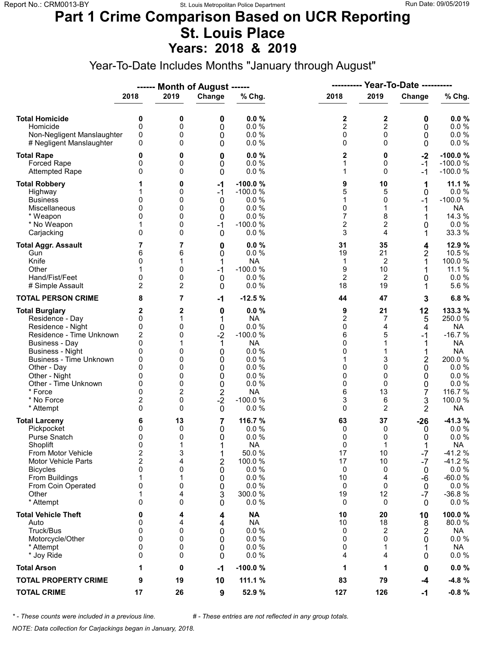#### **Part 1 Crime Comparison Based on UCR Reporting St. Louis Place Years: 2018 & 2019**

Year-To-Date Includes Months "January through August"

|                                                                                                                                                                                                                                                                               |                                                                                                                       |                                                               | ------ Month of August ------                                                                  |                                                                                                                                 | ----------                                                                          |                                                                          | <b>Year-To-Date ----------</b>                                          |                                                                                                                                    |
|-------------------------------------------------------------------------------------------------------------------------------------------------------------------------------------------------------------------------------------------------------------------------------|-----------------------------------------------------------------------------------------------------------------------|---------------------------------------------------------------|------------------------------------------------------------------------------------------------|---------------------------------------------------------------------------------------------------------------------------------|-------------------------------------------------------------------------------------|--------------------------------------------------------------------------|-------------------------------------------------------------------------|------------------------------------------------------------------------------------------------------------------------------------|
|                                                                                                                                                                                                                                                                               | 2018                                                                                                                  | 2019                                                          | Change                                                                                         | % Chg.                                                                                                                          | 2018                                                                                | 2019                                                                     | Change                                                                  | % Chg.                                                                                                                             |
| <b>Total Homicide</b><br>Homicide<br>Non-Negligent Manslaughter<br># Negligent Manslaughter                                                                                                                                                                                   | 0<br>$\mathbf 0$<br>0<br>0                                                                                            | 0<br>0<br>0<br>0                                              | 0<br>0<br>0<br>0                                                                               | 0.0%<br>0.0%<br>0.0%<br>0.0%                                                                                                    | 2<br>$\overline{c}$<br>0<br>0                                                       | 2<br>$\overline{c}$<br>$\mathbf 0$<br>$\Omega$                           | 0<br>0<br>0<br>0                                                        | 0.0%<br>0.0 %<br>0.0 %<br>0.0 %                                                                                                    |
| <b>Total Rape</b><br>Forced Rape<br><b>Attempted Rape</b>                                                                                                                                                                                                                     | 0<br>0<br>$\Omega$                                                                                                    | 0<br>0<br>0                                                   | 0<br>0<br>0                                                                                    | 0.0%<br>0.0%<br>0.0%                                                                                                            | 2<br>1<br>1                                                                         | 0<br>0<br>$\Omega$                                                       | $-2$<br>$-1$<br>-1                                                      | $-100.0%$<br>$-100.0%$<br>$-100.0%$                                                                                                |
| <b>Total Robbery</b><br>Highway<br><b>Business</b><br>Miscellaneous<br>* Weapon<br>* No Weapon<br>Carjacking                                                                                                                                                                  | 0<br>0<br>0<br>1<br>$\mathbf{0}$                                                                                      | 0<br>0<br>0<br>0<br>0<br>0<br>0                               | $-1$<br>$-1$<br>0<br>0<br>0<br>$-1$<br>$\mathbf 0$                                             | $-100.0%$<br>$-100.0%$<br>0.0 %<br>0.0%<br>0.0%<br>$-100.0%$<br>0.0%                                                            | 9<br>5<br>1<br>0<br>7<br>$\overline{c}$<br>3                                        | 10<br>5<br>0<br>1<br>8<br>2<br>4                                         | 1<br>0<br>-1<br>1<br>1<br>0<br>1                                        | 11.1%<br>0.0%<br>$-100.0%$<br><b>NA</b><br>14.3 %<br>$0.0 \%$<br>33.3 %                                                            |
| <b>Total Aggr. Assault</b><br>Gun<br>Knife<br>Other<br>Hand/Fist/Feet<br># Simple Assault                                                                                                                                                                                     | 7<br>6<br>0<br>0<br>$\overline{2}$                                                                                    | 7<br>6<br>1<br>0<br>0<br>2                                    | 0<br>0<br>1<br>$-1$<br>$\mathbf 0$<br>0                                                        | 0.0%<br>0.0%<br><b>NA</b><br>$-100.0%$<br>0.0%<br>0.0%                                                                          | 31<br>19<br>1<br>9<br>$\overline{2}$<br>18                                          | 35<br>21<br>$\overline{2}$<br>10<br>2<br>19                              | 4<br>2<br>0<br>1                                                        | 12.9 %<br>10.5 %<br>100.0%<br>11.1 %<br>0.0%<br>5.6%                                                                               |
| <b>TOTAL PERSON CRIME</b>                                                                                                                                                                                                                                                     | 8                                                                                                                     | 7                                                             | $-1$                                                                                           | $-12.5%$                                                                                                                        | 44                                                                                  | 47                                                                       | 3                                                                       | 6.8%                                                                                                                               |
| <b>Total Burglary</b><br>Residence - Day<br>Residence - Night<br>Residence - Time Unknown<br><b>Business - Day</b><br><b>Business - Night</b><br><b>Business - Time Unknown</b><br>Other - Day<br>Other - Night<br>Other - Time Unknown<br>* Force<br>* No Force<br>* Attempt | 2<br>0<br>0<br>$\overline{c}$<br>0<br>0<br>0<br>$\Omega$<br>0<br>0<br>$\Omega$<br>$\overline{\mathbf{c}}$<br>$\Omega$ | 2<br>1<br>0<br>0<br>1<br>0<br>0<br>0<br>0<br>0<br>2<br>0<br>0 | 0<br>0<br>$-2$<br>1<br>0<br>0<br>0<br>0<br>$\mathbf 0$<br>$\overline{\mathbf{c}}$<br>$-2$<br>0 | 0.0%<br><b>NA</b><br>0.0 %<br>$-100.0%$<br><b>NA</b><br>0.0 %<br>0.0%<br>0.0%<br>0.0%<br>0.0%<br><b>NA</b><br>$-100.0%$<br>0.0% | 9<br>$\overline{\mathbf{c}}$<br>0<br>6<br>0<br>0<br>1<br>0<br>0<br>0<br>6<br>3<br>0 | 21<br>7<br>4<br>5<br>1<br>3<br>$\Omega$<br>0<br>$\Omega$<br>13<br>6<br>2 | 12<br>5<br>4<br>-1<br>1<br>2<br>0<br>0<br>0<br>7<br>3<br>2              | 133.3 %<br>250.0%<br><b>NA</b><br>$-16.7%$<br>NA<br><b>NA</b><br>200.0%<br>0.0%<br>0.0%<br>0.0 %<br>116.7 %<br>100.0%<br><b>NA</b> |
| <b>Total Larceny</b><br>Pickpocket<br>Purse Snatch<br>Shoplift<br>From Motor Vehicle<br><b>Motor Vehicle Parts</b><br><b>Bicycles</b><br>From Buildings<br>From Coin Operated<br>Other<br>* Attempt                                                                           | 6<br>0<br>0<br>$\mathbf{0}$<br>$\overline{\mathbf{c}}$<br>$\overline{2}$<br>0<br>1<br>0<br>1<br>0                     | 13<br>0<br>0<br>1<br>3<br>4<br>0<br>1<br>0<br>4<br>0          | 7<br>0<br>0<br>1<br>1<br>$\overline{2}$<br>0<br>0<br>0<br>3<br>0                               | 116.7 %<br>0.0%<br>0.0%<br><b>NA</b><br>50.0%<br>100.0 %<br>0.0 %<br>0.0%<br>0.0%<br>300.0%<br>0.0 %                            | 63<br>0<br>0<br>0<br>17<br>17<br>0<br>10<br>0<br>19<br>0                            | 37<br>0<br>0<br>$\mathbf{1}$<br>10<br>10<br>0<br>4<br>0<br>12<br>0       | $-26$<br>0<br>0<br>$-7$<br>$-7$<br>0<br>-6<br>0<br>$-7$<br>$\mathbf{0}$ | $-41.3%$<br>$0.0 \%$<br>0.0%<br><b>NA</b><br>$-41.2%$<br>$-41.2%$<br>$0.0 \%$<br>$-60.0%$<br>0.0%<br>$-36.8%$<br>$0.0 \%$          |
| <b>Total Vehicle Theft</b><br>Auto<br>Truck/Bus<br>Motorcycle/Other<br>* Attempt<br>* Joy Ride                                                                                                                                                                                | 0<br>0<br>0<br>0<br>0<br>0                                                                                            | 4<br>4<br>0<br>0<br>0<br>0                                    | 4<br>4<br>0<br>0<br>0<br>0                                                                     | <b>NA</b><br><b>NA</b><br>0.0 %<br>0.0 %<br>0.0%<br>0.0%                                                                        | 10<br>10<br>0<br>0<br>0<br>4                                                        | 20<br>18<br>2<br>$\Omega$<br>1<br>4                                      | 10<br>8<br>2<br>0<br>1<br>0                                             | 100.0%<br>80.0%<br>NA<br>$0.0 \%$<br>NA<br>$0.0 \%$                                                                                |
| <b>Total Arson</b>                                                                                                                                                                                                                                                            | 1                                                                                                                     | 0                                                             | $-1$                                                                                           | $-100.0%$                                                                                                                       | 1                                                                                   | 1                                                                        | 0                                                                       | $0.0 \%$                                                                                                                           |
| <b>TOTAL PROPERTY CRIME</b>                                                                                                                                                                                                                                                   | 9                                                                                                                     | 19                                                            | 10                                                                                             | 111.1 %                                                                                                                         | 83                                                                                  | 79                                                                       | $-4$                                                                    | $-4.8%$                                                                                                                            |
| <b>TOTAL CRIME</b>                                                                                                                                                                                                                                                            | 17                                                                                                                    | 26                                                            | 9                                                                                              | 52.9 %                                                                                                                          | 127                                                                                 | 126                                                                      | -1                                                                      | $-0.8%$                                                                                                                            |

*\* - These counts were included in a previous line. # - These entries are not reflected in any group totals.*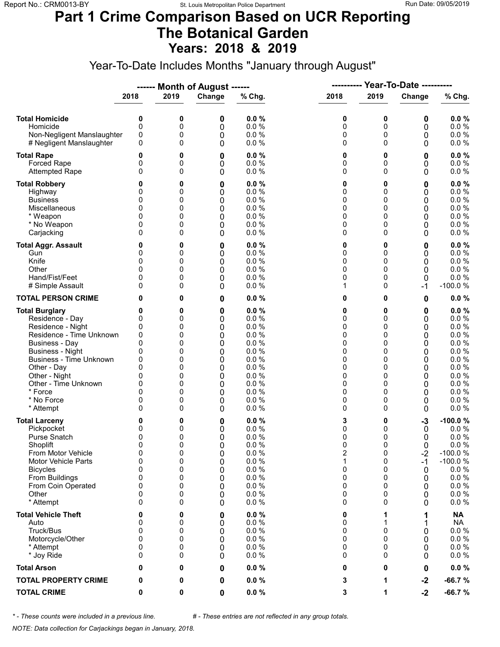### **Part 1 Crime Comparison Based on UCR Reporting The Botanical Garden Years: 2018 & 2019**

Year-To-Date Includes Months "January through August"

|                                                                                                                                                                                                                                                                               |                                                                       |                                                               | Month of August ------                                               |                                                                                                      | ----------                                                    |                                                                                           | <b>Year-To-Date ----------</b>                                |                                                                                                                       |
|-------------------------------------------------------------------------------------------------------------------------------------------------------------------------------------------------------------------------------------------------------------------------------|-----------------------------------------------------------------------|---------------------------------------------------------------|----------------------------------------------------------------------|------------------------------------------------------------------------------------------------------|---------------------------------------------------------------|-------------------------------------------------------------------------------------------|---------------------------------------------------------------|-----------------------------------------------------------------------------------------------------------------------|
|                                                                                                                                                                                                                                                                               | 2018                                                                  | 2019                                                          | Change                                                               | % Chg.                                                                                               | 2018                                                          | 2019                                                                                      | Change                                                        | % Chg.                                                                                                                |
| <b>Total Homicide</b><br>Homicide<br>Non-Negligent Manslaughter<br># Negligent Manslaughter                                                                                                                                                                                   | 0<br>0<br>0<br>0                                                      | 0<br>0<br>0<br>0                                              | 0<br>0<br>0<br>0                                                     | 0.0%<br>0.0%<br>0.0%<br>0.0%                                                                         | 0<br>0<br>0<br>0                                              | 0<br>0<br>0<br>$\Omega$                                                                   | 0<br>0<br>0<br>0                                              | 0.0%<br>0.0 %<br>$0.0 \%$<br>$0.0 \%$                                                                                 |
| <b>Total Rape</b><br>Forced Rape<br><b>Attempted Rape</b>                                                                                                                                                                                                                     | 0<br>0<br>0                                                           | 0<br>0<br>0                                                   | 0<br>0<br>0                                                          | 0.0%<br>0.0 %<br>0.0%                                                                                | 0<br>0<br>0                                                   | 0<br>0<br>$\Omega$                                                                        | 0<br>0<br>0                                                   | 0.0%<br>0.0 %<br>0.0 %                                                                                                |
| <b>Total Robbery</b><br>Highway<br><b>Business</b><br>Miscellaneous<br>* Weapon<br>* No Weapon<br>Carjacking                                                                                                                                                                  | 0<br>0<br>0<br>0<br>0<br>0<br>0                                       | 0<br>0<br>0<br>0<br>0<br>0<br>0                               | 0<br>0<br>0<br>0<br>0<br>0<br>0                                      | 0.0%<br>0.0%<br>0.0 %<br>0.0 %<br>0.0%<br>0.0%<br>0.0%                                               | 0<br>0<br>0<br>0<br>0<br>0<br>0                               | 0<br>0<br>0<br>0<br>0<br>0<br>0                                                           | 0<br>0<br>0<br>0<br>0<br>0<br>0                               | $0.0 \%$<br>0.0 %<br>0.0%<br>0.0 %<br>$0.0 \%$<br>0.0%<br>$0.0 \%$                                                    |
| <b>Total Aggr. Assault</b><br>Gun<br>Knife<br>Other<br>Hand/Fist/Feet<br># Simple Assault                                                                                                                                                                                     | 0<br>0<br>0<br>0<br>0<br>0                                            | 0<br>0<br>0<br>0<br>0<br>0                                    | 0<br>0<br>0<br>0<br>0<br>0                                           | 0.0%<br>0.0 %<br>0.0 %<br>0.0%<br>0.0%<br>0.0 %                                                      | 0<br>0<br>0<br>0<br>0<br>1                                    | 0<br>0<br>0<br>0<br>0<br>0                                                                | 0<br>0<br>0<br>0<br>0<br>-1                                   | $0.0 \%$<br>0.0 %<br>0.0 %<br>0.0 %<br>0.0 %<br>$-100.0%$                                                             |
| <b>TOTAL PERSON CRIME</b>                                                                                                                                                                                                                                                     | 0                                                                     | 0                                                             | 0                                                                    | 0.0%                                                                                                 | 0                                                             | 0                                                                                         | 0                                                             | $0.0 \%$                                                                                                              |
| <b>Total Burglary</b><br>Residence - Day<br>Residence - Night<br>Residence - Time Unknown<br><b>Business - Day</b><br><b>Business - Night</b><br><b>Business - Time Unknown</b><br>Other - Day<br>Other - Night<br>Other - Time Unknown<br>* Force<br>* No Force<br>* Attempt | 0<br>0<br>0<br>0<br>0<br>0<br>0<br>0<br>0<br>0<br>$\Omega$<br>0<br>0  | 0<br>0<br>0<br>0<br>0<br>0<br>0<br>0<br>0<br>0<br>0<br>0<br>0 | $\bf{0}$<br>0<br>0<br>0<br>0<br>0<br>0<br>0<br>0<br>0<br>0<br>0<br>0 | 0.0%<br>0.0%<br>0.0%<br>0.0%<br>0.0%<br>0.0%<br>0.0%<br>0.0%<br>0.0%<br>0.0%<br>0.0%<br>0.0%<br>0.0% | 0<br>0<br>0<br>0<br>0<br>0<br>0<br>0<br>0<br>0<br>0<br>0<br>0 | 0<br>$\Omega$<br>0<br>0<br>$\Omega$<br>0<br>0<br>$\Omega$<br>0<br>0<br>$\Omega$<br>0<br>0 | 0<br>0<br>0<br>0<br>0<br>0<br>0<br>0<br>0<br>0<br>0<br>0<br>0 | $0.0 \%$<br>0.0 %<br>0.0%<br>0.0 %<br>0.0%<br>0.0%<br>0.0 %<br>0.0 %<br>0.0%<br>$0.0 \%$<br>0.0%<br>0.0%<br>$0.0 \%$  |
| <b>Total Larceny</b><br>Pickpocket<br><b>Purse Snatch</b><br>Shoplift<br>From Motor Vehicle<br><b>Motor Vehicle Parts</b><br><b>Bicycles</b><br>From Buildings<br>From Coin Operated<br>Other<br>* Attempt                                                                    | 0<br>0<br>0<br>$\mathbf{0}$<br>0<br>0<br>0<br>0<br>0<br>0<br>$\Omega$ | 0<br>0<br>0<br>0<br>0<br>0<br>0<br>0<br>0<br>0<br>0           | 0<br>0<br>0<br>0<br>0<br>0<br>0<br>0<br>0<br>0<br>0                  | 0.0%<br>0.0%<br>0.0%<br>0.0%<br>0.0 %<br>0.0 %<br>0.0 %<br>0.0%<br>0.0%<br>0.0%<br>0.0%              | 3<br>0<br>0<br>0<br>2<br>1<br>0<br>0<br>0<br>0<br>0           | 0<br>0<br>0<br>$\Omega$<br>0<br>0<br>0<br>0<br>0<br>0<br>0                                | $-3$<br>0<br>0<br>0<br>$-2$<br>$-1$<br>0<br>0<br>0<br>0<br>0  | $-100.0%$<br>$0.0 \%$<br>0.0%<br>0.0%<br>$-100.0%$<br>$-100.0%$<br>$0.0 \%$<br>0.0 %<br>$0.0 \%$<br>$0.0 \%$<br>0.0 % |
| <b>Total Vehicle Theft</b><br>Auto<br>Truck/Bus<br>Motorcycle/Other<br>* Attempt<br>* Joy Ride                                                                                                                                                                                | 0<br>0<br>0<br>0<br>0<br>0                                            | 0<br>0<br>0<br>0<br>0<br>0                                    | 0<br>0<br>0<br>0<br>0<br>0                                           | 0.0%<br>0.0%<br>0.0 %<br>0.0%<br>0.0%<br>0.0%                                                        | 0<br>0<br>0<br>0<br>0<br>0                                    | 1<br>1<br>0<br>$\Omega$<br>0<br>0                                                         | 1<br>0<br>0<br>0<br>0                                         | <b>NA</b><br><b>NA</b><br>0.0 %<br>0.0 %<br>$0.0 \%$<br>$0.0 \%$                                                      |
| <b>Total Arson</b>                                                                                                                                                                                                                                                            | 0                                                                     | 0                                                             | 0                                                                    | 0.0%                                                                                                 | 0                                                             | 0                                                                                         | 0                                                             | $0.0 \%$                                                                                                              |
| <b>TOTAL PROPERTY CRIME</b>                                                                                                                                                                                                                                                   | 0                                                                     | 0                                                             | 0                                                                    | 0.0%                                                                                                 | 3                                                             | 1                                                                                         | $-2$                                                          | $-66.7%$                                                                                                              |
| <b>TOTAL CRIME</b>                                                                                                                                                                                                                                                            | 0                                                                     | 0                                                             | 0                                                                    | $0.0 \%$                                                                                             | 3                                                             | 1                                                                                         | $-2$                                                          | $-66.7%$                                                                                                              |

*\* - These counts were included in a previous line. # - These entries are not reflected in any group totals.*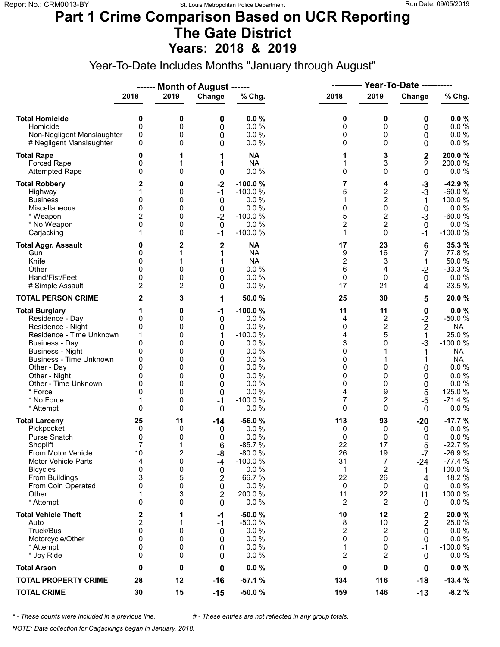#### **Part 1 Crime Comparison Based on UCR Reporting The Gate District Years: 2018 & 2019**

Year-To-Date Includes Months "January through August"

|                                                                                                                                                                                                                                                                 |                                                                 |                                                               | ------ Month of August ------                                                    |                                                                                                                      |                                                                |                                                                       |                                                                                                                       |                                                                                                                                                  |
|-----------------------------------------------------------------------------------------------------------------------------------------------------------------------------------------------------------------------------------------------------------------|-----------------------------------------------------------------|---------------------------------------------------------------|----------------------------------------------------------------------------------|----------------------------------------------------------------------------------------------------------------------|----------------------------------------------------------------|-----------------------------------------------------------------------|-----------------------------------------------------------------------------------------------------------------------|--------------------------------------------------------------------------------------------------------------------------------------------------|
|                                                                                                                                                                                                                                                                 | 2018                                                            | 2019                                                          | Change                                                                           | % Chg.                                                                                                               | 2018                                                           | 2019                                                                  | Change                                                                                                                | % Chg.                                                                                                                                           |
| <b>Total Homicide</b><br>Homicide<br>Non-Negligent Manslaughter<br># Negligent Manslaughter                                                                                                                                                                     | 0<br>0<br>0<br>0                                                | 0<br>0<br>0<br>0                                              | 0<br>0<br>0<br>0                                                                 | 0.0%<br>0.0%<br>0.0%<br>0.0%                                                                                         | 0<br>0<br>0<br>0                                               | 0<br>0<br>0<br>0                                                      | 0<br>0<br>0<br>0                                                                                                      | 0.0%<br>$0.0 \%$<br>$0.0 \%$<br>0.0 %                                                                                                            |
| <b>Total Rape</b><br><b>Forced Rape</b><br><b>Attempted Rape</b>                                                                                                                                                                                                | 0<br>0<br>0                                                     | 1<br>1<br>0                                                   | 1<br>1<br>0                                                                      | <b>NA</b><br><b>NA</b><br>0.0%                                                                                       | 1<br>1<br>0                                                    | 3<br>3<br>$\Omega$                                                    | $\mathbf 2$<br>$\overline{2}$<br>$\mathbf 0$                                                                          | 200.0%<br>200.0%<br>0.0%                                                                                                                         |
| <b>Total Robbery</b><br>Highway<br><b>Business</b><br>Miscellaneous<br>* Weapon<br>* No Weapon<br>Carjacking                                                                                                                                                    | 2<br>0<br>0<br>2<br>0                                           | 0<br>0<br>0<br>0<br>0<br>0<br>0                               | $-2$<br>$-1$<br>0<br>0<br>$-2$<br>0<br>$-1$                                      | $-100.0%$<br>$-100.0%$<br>0.0%<br>0.0%<br>$-100.0%$<br>0.0%<br>$-100.0%$                                             | 7<br>5<br>1<br>0<br>5<br>$\overline{2}$<br>1                   | 4<br>$\overline{\mathbf{c}}$<br>2<br>0<br>2<br>2<br>0                 | $-3$<br>$-3$<br>1<br>$\mathbf 0$<br>$-3$<br>$\mathbf{0}$<br>-1                                                        | $-42.9%$<br>$-60.0%$<br>100.0%<br>0.0%<br>$-60.0%$<br>0.0%<br>$-100.0%$                                                                          |
| <b>Total Aggr. Assault</b><br>Gun<br>Knife<br>Other<br>Hand/Fist/Feet<br># Simple Assault                                                                                                                                                                       | 0<br>0<br>0<br>0<br>0<br>$\overline{2}$                         | $\overline{2}$<br>1<br>1<br>0<br>0<br>2                       | $\mathbf{2}$<br>1<br>1<br>0<br>0<br>0                                            | <b>NA</b><br><b>NA</b><br><b>NA</b><br>0.0%<br>0.0 %<br>0.0%                                                         | 17<br>9<br>$\overline{\mathbf{c}}$<br>6<br>$\mathbf 0$<br>17   | 23<br>16<br>3<br>4<br>0<br>21                                         | 6<br>7<br>1<br>$-2$<br>0<br>4                                                                                         | 35.3 %<br>77.8%<br>50.0%<br>$-33.3%$<br>$0.0 \%$<br>23.5 %                                                                                       |
| <b>TOTAL PERSON CRIME</b>                                                                                                                                                                                                                                       | 2                                                               | 3                                                             | 1                                                                                | 50.0%                                                                                                                | 25                                                             | 30                                                                    | 5                                                                                                                     | 20.0%                                                                                                                                            |
| <b>Total Burglary</b><br>Residence - Day<br>Residence - Night<br>Residence - Time Unknown<br>Business - Day<br><b>Business - Night</b><br>Business - Time Unknown<br>Other - Day<br>Other - Night<br>Other - Time Unknown<br>* Force<br>* No Force<br>* Attempt | 0<br>0<br>1<br>0<br>0<br>0<br>0<br>0<br>0<br>0<br>1<br>$\Omega$ | 0<br>0<br>0<br>0<br>0<br>0<br>0<br>0<br>0<br>0<br>0<br>0<br>0 | $-1$<br>0<br>0<br>$-1$<br>0<br>0<br>0<br>0<br>0<br>0<br>0<br>$-1$<br>$\mathbf 0$ | $-100.0%$<br>0.0%<br>0.0%<br>$-100.0%$<br>0.0%<br>0.0%<br>0.0%<br>0.0%<br>0.0%<br>0.0%<br>0.0%<br>$-100.0%$<br>0.0 % | 11<br>4<br>0<br>4<br>3<br>0<br>0<br>0<br>0<br>0<br>4<br>7<br>0 | 11<br>2<br>2<br>5<br>0<br>0<br>0<br>0<br>9<br>2<br>0                  | $\pmb{0}$<br>$-2$<br>$\overline{\mathbf{c}}$<br>$\mathbf{1}$<br>$-3$<br>1<br>0<br>0<br>0<br>5<br>$-5$<br>$\mathbf{0}$ | 0.0%<br>$-50.0%$<br><b>NA</b><br>25.0%<br>$-100.0%$<br><b>NA</b><br><b>NA</b><br>$0.0 \%$<br>0.0%<br>$0.0 \%$<br>125.0 %<br>$-71.4%$<br>$0.0 \%$ |
| <b>Total Larceny</b><br>Pickpocket<br><b>Purse Snatch</b><br>Shoplift<br>From Motor Vehicle<br><b>Motor Vehicle Parts</b><br><b>Bicycles</b><br>From Buildings<br>From Coin Operated<br>Other<br>* Attempt                                                      | 25<br>0<br>0<br>$\overline{7}$<br>10<br>4<br>0<br>3<br>0<br>0   | 11<br>0<br>0<br>1<br>2<br>0<br>0<br>5<br>0<br>3<br>0          | -14<br>0<br>0<br>-6<br>-8<br>-4<br>0<br>2<br>0<br>2<br>0                         | $-56.0%$<br>0.0%<br>0.0%<br>$-85.7%$<br>$-80.0%$<br>$-100.0%$<br>0.0 %<br>66.7%<br>0.0 %<br>200.0 %<br>0.0 %         | 113<br>0<br>0<br>22<br>26<br>31<br>1<br>22<br>0<br>11<br>2     | 93<br>0<br>0<br>17<br>19<br>7<br>2<br>26<br>0<br>22<br>$\overline{2}$ | $-20$<br>0<br>0<br>-5<br>$-7$<br>-24<br>1<br>4<br>0<br>11<br>0                                                        | $-17.7%$<br>0.0%<br>0.0 %<br>$-22.7%$<br>$-26.9%$<br>$-77.4%$<br>100.0%<br>18.2 %<br>0.0 %<br>100.0%<br>$0.0 \%$                                 |
| <b>Total Vehicle Theft</b><br>Auto<br>Truck/Bus<br>Motorcycle/Other<br>* Attempt<br>* Joy Ride                                                                                                                                                                  | 2<br>2<br>0<br>0<br>0<br>0                                      | 1<br>1<br>0<br>0<br>0<br>0                                    | -1<br>-1<br>0<br>0<br>0<br>0                                                     | $-50.0%$<br>$-50.0%$<br>0.0%<br>0.0 %<br>0.0%<br>0.0%                                                                | 10<br>8<br>2<br>0<br>1<br>2                                    | 12<br>10<br>2<br>$\Omega$<br>0<br>2                                   | $\mathbf 2$<br>2<br>0<br>0<br>-1<br>0                                                                                 | 20.0%<br>25.0%<br>$0.0 \%$<br>$0.0 \%$<br>$-100.0%$<br>$0.0 \%$                                                                                  |
| <b>Total Arson</b>                                                                                                                                                                                                                                              | 0                                                               | 0                                                             | 0                                                                                | 0.0%                                                                                                                 | 0                                                              | 0                                                                     | 0                                                                                                                     | $0.0 \%$                                                                                                                                         |
| <b>TOTAL PROPERTY CRIME</b>                                                                                                                                                                                                                                     | 28                                                              | 12                                                            | $-16$                                                                            | $-57.1%$                                                                                                             | 134                                                            | 116                                                                   | $-18$                                                                                                                 | $-13.4%$                                                                                                                                         |
| <b>TOTAL CRIME</b>                                                                                                                                                                                                                                              | 30                                                              | 15                                                            | $-15$                                                                            | $-50.0%$                                                                                                             | 159                                                            | 146                                                                   | $-13$                                                                                                                 | $-8.2%$                                                                                                                                          |

*\* - These counts were included in a previous line. # - These entries are not reflected in any group totals.*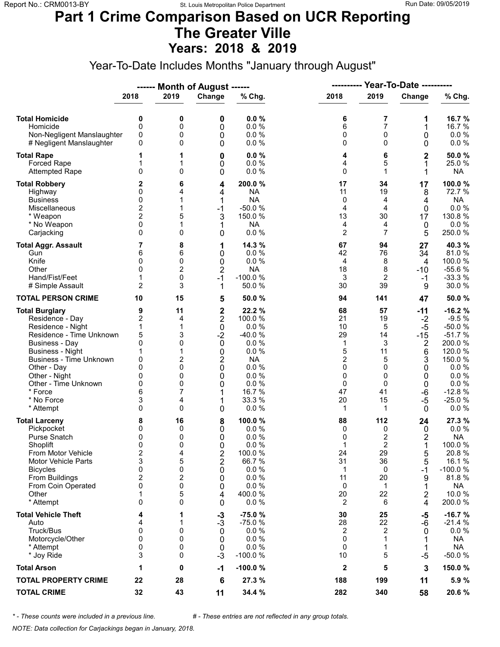#### **Part 1 Crime Comparison Based on UCR Reporting The Greater Ville Years: 2018 & 2019**

Year-To-Date Includes Months "January through August"

|                                                                                                                                                                                                                                                                               |                                                                                                   |                                                                | Month of August ------                                                                                                                      |                                                                                                                        | ----------                                                                       |                                                                                     | <b>Year-To-Date ----------</b>                                                            |                                                                                                                                        |  |
|-------------------------------------------------------------------------------------------------------------------------------------------------------------------------------------------------------------------------------------------------------------------------------|---------------------------------------------------------------------------------------------------|----------------------------------------------------------------|---------------------------------------------------------------------------------------------------------------------------------------------|------------------------------------------------------------------------------------------------------------------------|----------------------------------------------------------------------------------|-------------------------------------------------------------------------------------|-------------------------------------------------------------------------------------------|----------------------------------------------------------------------------------------------------------------------------------------|--|
|                                                                                                                                                                                                                                                                               | 2018                                                                                              | 2019                                                           | Change                                                                                                                                      | % Chg.                                                                                                                 | 2018                                                                             | 2019                                                                                | Change                                                                                    | % Chg.                                                                                                                                 |  |
| <b>Total Homicide</b><br>Homicide<br>Non-Negligent Manslaughter<br># Negligent Manslaughter                                                                                                                                                                                   | 0<br>$\mathbf 0$<br>0<br>0                                                                        | 0<br>0<br>0<br>0                                               | 0<br>0<br>0<br>0                                                                                                                            | 0.0%<br>0.0 %<br>0.0%<br>0.0%                                                                                          | 6<br>6<br>0<br>0                                                                 | 7<br>$\overline{7}$<br>$\mathbf 0$<br>$\Omega$                                      | 1<br>1<br>0<br>0                                                                          | 16.7%<br>16.7 %<br>$0.0 \%$<br>$0.0 \%$                                                                                                |  |
| <b>Total Rape</b><br>Forced Rape<br><b>Attempted Rape</b>                                                                                                                                                                                                                     | 1<br>1<br>$\mathbf{0}$                                                                            | 1<br>1<br>0                                                    | 0<br>0<br>0                                                                                                                                 | 0.0%<br>0.0 %<br>0.0%                                                                                                  | 4<br>4<br>0                                                                      | 6<br>5<br>1                                                                         | $\mathbf 2$<br>1<br>1                                                                     | 50.0%<br>25.0%<br><b>NA</b>                                                                                                            |  |
| <b>Total Robbery</b><br>Highway<br><b>Business</b><br>Miscellaneous<br>* Weapon<br>* No Weapon<br>Carjacking                                                                                                                                                                  | 2<br>0<br>0<br>$\mathbf 2$<br>$\overline{2}$<br>0<br>$\mathbf{0}$                                 | 6<br>4<br>1<br>1<br>5<br>1<br>0                                | 4<br>4<br>1<br>$-1$<br>3<br>1<br>0                                                                                                          | 200.0%<br><b>NA</b><br><b>NA</b><br>$-50.0%$<br>150.0 %<br><b>NA</b><br>0.0%                                           | 17<br>11<br>0<br>4<br>13<br>4<br>$\overline{2}$                                  | 34<br>19<br>4<br>4<br>30<br>4<br>$\overline{7}$                                     | 17<br>8<br>4<br>$\mathbf 0$<br>17<br>0<br>5                                               | 100.0%<br>72.7 %<br><b>NA</b><br>0.0 %<br>130.8 %<br>0.0%<br>250.0%                                                                    |  |
| <b>Total Aggr. Assault</b><br>Gun<br>Knife<br>Other<br>Hand/Fist/Feet<br># Simple Assault                                                                                                                                                                                     | 7<br>6<br>0<br>$\mathbf{0}$<br>1<br>$\overline{2}$                                                | 8<br>6<br>0<br>$\overline{2}$<br>0<br>3                        | 1<br>0<br>0<br>$\overline{2}$<br>$-1$<br>1                                                                                                  | 14.3 %<br>0.0%<br>0.0%<br><b>NA</b><br>$-100.0%$<br>50.0%                                                              | 67<br>42<br>4<br>18<br>3<br>30                                                   | 94<br>76<br>8<br>8<br>$\overline{2}$<br>39                                          | 27<br>34<br>$\overline{4}$<br>$-10$<br>$-1$<br>9                                          | 40.3%<br>81.0%<br>100.0%<br>$-55.6%$<br>$-33.3%$<br>30.0%                                                                              |  |
| <b>TOTAL PERSON CRIME</b>                                                                                                                                                                                                                                                     | 10                                                                                                | 15                                                             | 5                                                                                                                                           | 50.0 %                                                                                                                 | 94                                                                               | 141                                                                                 | 47                                                                                        | 50.0%                                                                                                                                  |  |
| <b>Total Burglary</b><br>Residence - Day<br>Residence - Night<br>Residence - Time Unknown<br><b>Business - Day</b><br><b>Business - Night</b><br><b>Business - Time Unknown</b><br>Other - Day<br>Other - Night<br>Other - Time Unknown<br>* Force<br>* No Force<br>* Attempt | 9<br>$\mathbf 2$<br>1<br>5<br>0<br>1<br>0<br>$\Omega$<br>0<br>0<br>6<br>3<br>0                    | 11<br>4<br>1<br>3<br>0<br>1<br>2<br>0<br>0<br>0<br>7<br>4<br>0 | $\mathbf 2$<br>$\overline{2}$<br>$\boldsymbol{0}$<br>$-2$<br>$\mathbf 0$<br>0<br>$\overline{\mathbf{c}}$<br>$\mathbf 0$<br>0<br>0<br>1<br>0 | 22.2 %<br>100.0 %<br>0.0%<br>$-40.0%$<br>0.0%<br>0.0%<br><b>NA</b><br>0.0%<br>0.0%<br>0.0%<br>16.7 %<br>33.3 %<br>0.0% | 68<br>21<br>10<br>29<br>1<br>5<br>$\overline{2}$<br>0<br>0<br>0<br>47<br>20<br>1 | 57<br>19<br>5<br>14<br>3<br>11<br>5<br>$\Omega$<br>0<br>$\Omega$<br>41<br>15<br>1   | $-11$<br>$-2$<br>$-5$<br>$-15$<br>2<br>6<br>3<br>0<br>0<br>0<br>-6<br>$-5$<br>$\mathbf 0$ | $-16.2%$<br>$-9.5%$<br>$-50.0%$<br>$-51.7%$<br>200.0%<br>120.0%<br>150.0%<br>0.0%<br>0.0%<br>0.0 %<br>$-12.8%$<br>$-25.0%$<br>$0.0 \%$ |  |
| <b>Total Larceny</b><br>Pickpocket<br>Purse Snatch<br>Shoplift<br>From Motor Vehicle<br><b>Motor Vehicle Parts</b><br><b>Bicycles</b><br>From Buildings<br>From Coin Operated<br>Other<br>* Attempt                                                                           | 8<br>0<br>0<br>$\mathbf{0}$<br>$\overline{\mathbf{c}}$<br>3<br>0<br>$\overline{c}$<br>0<br>1<br>0 | 16<br>0<br>0<br>0<br>4<br>5<br>0<br>2<br>0<br>5<br>0           | 8<br>0<br>0<br>$\Omega$<br>2<br>$\overline{2}$<br>0<br>0<br>0<br>4<br>0                                                                     | 100.0%<br>0.0%<br>0.0%<br>0.0%<br>100.0%<br>66.7 %<br>0.0 %<br>0.0%<br>0.0%<br>400.0%<br>0.0%                          | 88<br>0<br>0<br>1<br>24<br>31<br>1<br>11<br>0<br>20<br>2                         | 112<br>0<br>$\overline{c}$<br>$\overline{2}$<br>29<br>36<br>0<br>20<br>1<br>22<br>6 | 24<br>0<br>2<br>5<br>5<br>$-1$<br>9<br>1<br>2<br>4                                        | 27.3 %<br>$0.0 \%$<br><b>NA</b><br>100.0%<br>20.8%<br>16.1 %<br>$-100.0%$<br>81.8%<br><b>NA</b><br>10.0%<br>200.0%                     |  |
| <b>Total Vehicle Theft</b><br>Auto<br>Truck/Bus<br>Motorcycle/Other<br>* Attempt<br>* Joy Ride                                                                                                                                                                                | 4<br>4<br>0<br>0<br>0<br>3                                                                        | 1<br>1<br>0<br>0<br>0<br>0                                     | $-3$<br>$-3$<br>0<br>0<br>$\mathbf 0$<br>$-3$                                                                                               | $-75.0%$<br>$-75.0%$<br>0.0%<br>0.0%<br>0.0%<br>$-100.0%$                                                              | 30<br>28<br>2<br>0<br>0<br>10                                                    | 25<br>22<br>$\overline{c}$<br>1<br>1<br>5                                           | -5<br>-6<br>0<br>1<br>1<br>$-5$                                                           | $-16.7%$<br>$-21.4%$<br>$0.0 \%$<br><b>NA</b><br>NA<br>$-50.0%$                                                                        |  |
| <b>Total Arson</b>                                                                                                                                                                                                                                                            | 1                                                                                                 | 0                                                              | $-1$                                                                                                                                        | $-100.0%$                                                                                                              | $\mathbf{2}$                                                                     | 5                                                                                   | 3                                                                                         | 150.0%                                                                                                                                 |  |
| <b>TOTAL PROPERTY CRIME</b>                                                                                                                                                                                                                                                   | 22                                                                                                | 28                                                             | $6\phantom{1}6$                                                                                                                             | 27.3 %                                                                                                                 | 188                                                                              | 199                                                                                 | 11                                                                                        | 5.9%                                                                                                                                   |  |
| <b>TOTAL CRIME</b>                                                                                                                                                                                                                                                            | 32                                                                                                | 43                                                             | 11                                                                                                                                          | 34.4 %                                                                                                                 | 282                                                                              | 340                                                                                 | 58                                                                                        | 20.6%                                                                                                                                  |  |

*\* - These counts were included in a previous line. # - These entries are not reflected in any group totals.*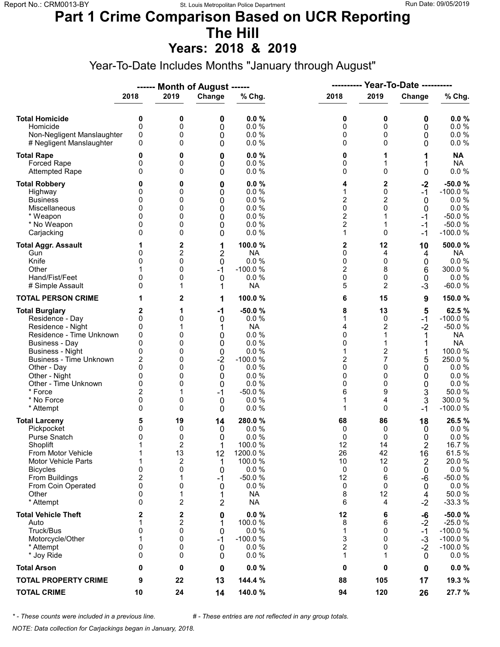## **Part 1 Crime Comparison Based on UCR Reporting The Hill**

**Years: 2018 & 2019**

Year-To-Date Includes Months "January through August"

|                                                                                                                                                                                                                                                                               |                                                                            |                                                                    | ------ Month of August ------                                                    |                                                                                                                         | ----------                                                    |                                                                                                                 | Year-To-Date ----------                                         |                                                                                                                                            |  |
|-------------------------------------------------------------------------------------------------------------------------------------------------------------------------------------------------------------------------------------------------------------------------------|----------------------------------------------------------------------------|--------------------------------------------------------------------|----------------------------------------------------------------------------------|-------------------------------------------------------------------------------------------------------------------------|---------------------------------------------------------------|-----------------------------------------------------------------------------------------------------------------|-----------------------------------------------------------------|--------------------------------------------------------------------------------------------------------------------------------------------|--|
|                                                                                                                                                                                                                                                                               | 2018                                                                       | 2019                                                               | Change                                                                           | % Chg.                                                                                                                  | 2018                                                          | 2019                                                                                                            | Change                                                          | % Chg.                                                                                                                                     |  |
| <b>Total Homicide</b><br>Homicide<br>Non-Negligent Manslaughter<br># Negligent Manslaughter                                                                                                                                                                                   | 0<br>$\mathbf 0$<br>0<br>0                                                 | 0<br>0<br>0<br>0                                                   | 0<br>0<br>0<br>0                                                                 | 0.0%<br>0.0%<br>0.0%<br>0.0%                                                                                            | 0<br>0<br>0<br>0                                              | 0<br>0<br>0<br>$\Omega$                                                                                         | 0<br>0<br>0<br>0                                                | 0.0%<br>0.0 %<br>$0.0 \%$<br>$0.0 \%$                                                                                                      |  |
| <b>Total Rape</b><br>Forced Rape<br><b>Attempted Rape</b>                                                                                                                                                                                                                     | 0<br>0<br>$\Omega$                                                         | 0<br>0<br>0                                                        | 0<br>0<br>0                                                                      | 0.0%<br>0.0%<br>0.0%                                                                                                    | 0<br>0<br>0                                                   | 1<br>$\Omega$                                                                                                   | 1<br>0                                                          | <b>NA</b><br><b>NA</b><br>$0.0 \%$                                                                                                         |  |
| <b>Total Robbery</b><br>Highway<br><b>Business</b><br>Miscellaneous<br>* Weapon<br>* No Weapon<br>Carjacking                                                                                                                                                                  | 0<br>0<br>0<br>0<br>0<br>$\Omega$                                          | 0<br>0<br>0<br>0<br>0<br>0<br>0                                    | 0<br>0<br>0<br>0<br>0<br>0<br>0                                                  | 0.0%<br>0.0%<br>0.0%<br>0.0%<br>0.0%<br>0.0%<br>0.0%                                                                    | 4<br>1<br>$\overline{2}$<br>0<br>2<br>$\overline{c}$<br>1     | 2<br>$\mathbf 0$<br>2<br>$\mathbf{0}$<br>1<br>0                                                                 | $-2$<br>$-1$<br>0<br>0<br>-1<br>$-1$<br>$-1$                    | $-50.0%$<br>$-100.0%$<br>0.0%<br>$0.0 \%$<br>$-50.0%$<br>$-50.0%$<br>$-100.0%$                                                             |  |
| <b>Total Aggr. Assault</b><br>Gun<br>Knife<br>Other<br>Hand/Fist/Feet<br># Simple Assault                                                                                                                                                                                     | 1<br>0<br>0<br>0<br>0                                                      | 2<br>2<br>0<br>0<br>0<br>1                                         | 1<br>2<br>0<br>$-1$<br>0<br>1                                                    | 100.0%<br><b>NA</b><br>0.0 %<br>$-100.0%$<br>0.0%<br><b>NA</b>                                                          | 2<br>0<br>0<br>$\overline{\mathbf{c}}$<br>0<br>5              | 12<br>4<br>0<br>8<br>0<br>2                                                                                     | 10<br>4<br>0<br>6<br>$\mathbf 0$<br>$-3$                        | 500.0%<br><b>NA</b><br>0.0 %<br>300.0%<br>0.0%<br>$-60.0%$                                                                                 |  |
| <b>TOTAL PERSON CRIME</b>                                                                                                                                                                                                                                                     | 1                                                                          | 2                                                                  | 1                                                                                | 100.0%                                                                                                                  | 6                                                             | 15                                                                                                              | 9                                                               | 150.0%                                                                                                                                     |  |
| <b>Total Burglary</b><br>Residence - Day<br>Residence - Night<br>Residence - Time Unknown<br><b>Business - Day</b><br><b>Business - Night</b><br><b>Business - Time Unknown</b><br>Other - Day<br>Other - Night<br>Other - Time Unknown<br>* Force<br>* No Force<br>* Attempt | 2<br>0<br>0<br>0<br>0<br>0<br>2<br>0<br>0<br>0<br>$\overline{2}$<br>0<br>0 | 1<br>0<br>1<br>0<br>0<br>0<br>0<br>0<br>0<br>0<br>1<br>0<br>0      | $-1$<br>0<br>1<br>0<br>0<br>0<br>$-2$<br>$\mathbf 0$<br>0<br>0<br>$-1$<br>0<br>0 | $-50.0%$<br>0.0 %<br><b>NA</b><br>0.0%<br>0.0%<br>0.0%<br>$-100.0%$<br>0.0%<br>0.0%<br>0.0%<br>$-50.0%$<br>0.0%<br>0.0% | 8<br>1<br>4<br>0<br>0<br>1<br>2<br>0<br>0<br>0<br>6<br>1<br>1 | 13<br>0<br>$\overline{c}$<br>1<br>1<br>$\overline{\mathbf{c}}$<br>7<br>$\Omega$<br>0<br>0<br>9<br>4<br>$\Omega$ | 5<br>$-1$<br>$-2$<br>1<br>1<br>5<br>0<br>0<br>0<br>3<br>3<br>-1 | 62.5%<br>$-100.0%$<br>$-50.0%$<br><b>NA</b><br><b>NA</b><br>100.0 %<br>250.0%<br>0.0%<br>0.0%<br>$0.0 \%$<br>50.0%<br>300.0 %<br>$-100.0%$ |  |
| <b>Total Larceny</b><br>Pickpocket<br>Purse Snatch<br>Shoplift<br>From Motor Vehicle<br><b>Motor Vehicle Parts</b><br><b>Bicycles</b><br>From Buildings<br>From Coin Operated<br>Other<br>* Attempt                                                                           | 5<br>0<br>0<br>1<br>1<br>1<br>0<br>$\overline{c}$<br>0<br>0<br>0           | 19<br>0<br>0<br>$\overline{2}$<br>13<br>2<br>0<br>1<br>0<br>1<br>2 | 14<br>0<br>0<br>1<br>12<br>1<br>0<br>$-1$<br>0<br>1<br>2                         | 280.0%<br>0.0%<br>0.0%<br>100.0 %<br>1200.0%<br>100.0%<br>0.0%<br>$-50.0%$<br>0.0%<br><b>NA</b><br><b>NA</b>            | 68<br>0<br>0<br>12<br>26<br>10<br>0<br>12<br>0<br>8<br>6      | 86<br>0<br>0<br>14<br>42<br>12<br>0<br>6<br>0<br>12<br>4                                                        | 18<br>0<br>0<br>2<br>16<br>2<br>0<br>-6<br>0<br>4<br>$-2$       | 26.5%<br>$0.0 \%$<br>0.0%<br>16.7%<br>61.5%<br>20.0%<br>$0.0 \%$<br>$-50.0%$<br>$0.0 \%$<br>50.0%<br>$-33.3%$                              |  |
| <b>Total Vehicle Theft</b><br>Auto<br>Truck/Bus<br>Motorcycle/Other<br>* Attempt<br>* Joy Ride                                                                                                                                                                                | 2<br>1<br>0<br>1<br>0<br>0                                                 | 2<br>2<br>0<br>0<br>0<br>0                                         | 0<br>1<br>0<br>$-1$<br>0<br>0                                                    | 0.0%<br>100.0%<br>0.0%<br>$-100.0%$<br>0.0%<br>0.0%                                                                     | 12<br>8<br>1<br>3<br>$\overline{c}$<br>1                      | 6<br>6<br>0<br>$\Omega$<br>0<br>1                                                                               | -6<br>$-2$<br>$-1$<br>$-3$<br>$-2$<br>0                         | $-50.0%$<br>$-25.0%$<br>$-100.0%$<br>$-100.0%$<br>$-100.0%$<br>$0.0 \%$                                                                    |  |
| <b>Total Arson</b>                                                                                                                                                                                                                                                            | 0                                                                          | 0                                                                  | 0                                                                                | 0.0%                                                                                                                    | 0                                                             | 0                                                                                                               | 0                                                               | $0.0 \%$                                                                                                                                   |  |
| <b>TOTAL PROPERTY CRIME</b>                                                                                                                                                                                                                                                   | 9                                                                          | 22                                                                 | 13                                                                               | 144.4 %                                                                                                                 | 88                                                            | 105                                                                                                             | 17                                                              | 19.3 %                                                                                                                                     |  |
| <b>TOTAL CRIME</b>                                                                                                                                                                                                                                                            | 10                                                                         | 24                                                                 | 14                                                                               | 140.0%                                                                                                                  | 94                                                            | 120                                                                                                             | 26                                                              | 27.7 %                                                                                                                                     |  |

*\* - These counts were included in a previous line. # - These entries are not reflected in any group totals.*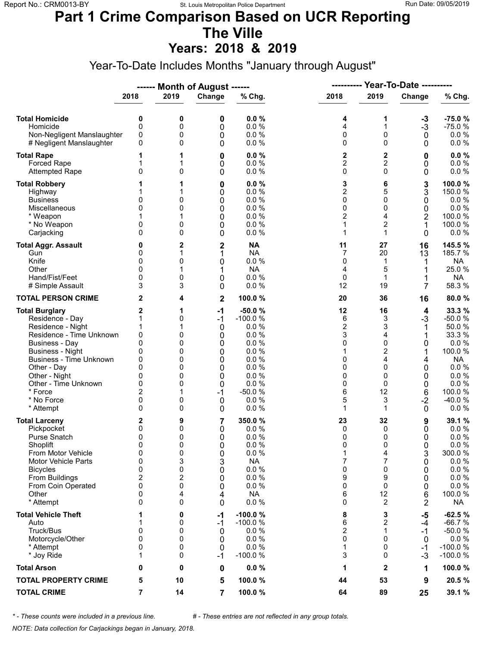## **Part 1 Crime Comparison Based on UCR Reporting The Ville**

**Years: 2018 & 2019**

Year-To-Date Includes Months "January through August"

|                                                                                                                                                                                                                                                                               |                                                                                    |                                                               | ------ Month of August ------                                          |                                                                                                                   | ----------                                                                           |                                                                                  | <b>Year-To-Date ----------</b>                                          |                                                                                                                                 |
|-------------------------------------------------------------------------------------------------------------------------------------------------------------------------------------------------------------------------------------------------------------------------------|------------------------------------------------------------------------------------|---------------------------------------------------------------|------------------------------------------------------------------------|-------------------------------------------------------------------------------------------------------------------|--------------------------------------------------------------------------------------|----------------------------------------------------------------------------------|-------------------------------------------------------------------------|---------------------------------------------------------------------------------------------------------------------------------|
|                                                                                                                                                                                                                                                                               | 2018                                                                               | 2019                                                          | Change                                                                 | % Chg.                                                                                                            | 2018                                                                                 | 2019                                                                             | Change                                                                  | % Chg.                                                                                                                          |
| <b>Total Homicide</b><br>Homicide<br>Non-Negligent Manslaughter<br># Negligent Manslaughter                                                                                                                                                                                   | 0<br>$\mathbf 0$<br>0<br>0                                                         | 0<br>0<br>0<br>0                                              | 0<br>0<br>0<br>0                                                       | 0.0%<br>0.0%<br>0.0%<br>0.0%                                                                                      | 4<br>4<br>0<br>0                                                                     | 1<br>1<br>0<br>$\Omega$                                                          | $-3$<br>$-3$<br>$\mathbf 0$<br>0                                        | $-75.0%$<br>$-75.0%$<br>$0.0 \%$<br>0.0 %                                                                                       |
| <b>Total Rape</b><br>Forced Rape<br><b>Attempted Rape</b>                                                                                                                                                                                                                     | 1<br>$\mathbf{0}$                                                                  | 1<br>1<br>0                                                   | 0<br>0<br>0                                                            | 0.0%<br>0.0 %<br>0.0%                                                                                             | 2<br>$\overline{c}$<br>0                                                             | $\mathbf 2$<br>$\overline{c}$<br>$\Omega$                                        | 0<br>0<br>0                                                             | 0.0%<br>0.0 %<br>0.0 %                                                                                                          |
| <b>Total Robbery</b><br>Highway<br><b>Business</b><br>Miscellaneous<br>* Weapon<br>* No Weapon<br>Carjacking                                                                                                                                                                  | 0<br>0<br>0<br>$\Omega$                                                            | 1<br>0<br>0<br>0<br>0                                         | 0<br>0<br>0<br>0<br>0<br>0<br>0                                        | 0.0%<br>0.0%<br>0.0%<br>0.0 %<br>0.0 %<br>0.0%<br>0.0%                                                            | 3<br>$\overline{2}$<br>0<br>0<br>$\overline{2}$<br>1<br>1                            | 6<br>5<br>0<br>0<br>4<br>$\overline{c}$<br>1                                     | 3<br>3<br>0<br>0<br>2<br>1<br>0                                         | 100.0%<br>150.0 %<br>0.0%<br>0.0 %<br>100.0 %<br>100.0%<br>$0.0 \%$                                                             |
| <b>Total Aggr. Assault</b><br>Gun<br>Knife<br>Other<br>Hand/Fist/Feet<br># Simple Assault                                                                                                                                                                                     | 0<br>0<br>0<br>$\Omega$<br>0<br>3                                                  | 2<br>1<br>0<br>1<br>0<br>3                                    | $\overline{\mathbf{c}}$<br>1<br>0<br>1<br>0<br>0                       | <b>NA</b><br><b>NA</b><br>0.0 %<br><b>NA</b><br>0.0 %<br>0.0%                                                     | 11<br>$\overline{7}$<br>0<br>4<br>0<br>12                                            | 27<br>20<br>1<br>5<br>1<br>19                                                    | 16<br>13<br>1<br>1<br>7                                                 | 145.5%<br>185.7 %<br><b>NA</b><br>25.0%<br>NA<br>58.3 %                                                                         |
| <b>TOTAL PERSON CRIME</b>                                                                                                                                                                                                                                                     | 2                                                                                  | 4                                                             | $\mathbf 2$                                                            | 100.0%                                                                                                            | 20                                                                                   | 36                                                                               | 16                                                                      | 80.0%                                                                                                                           |
| <b>Total Burglary</b><br>Residence - Day<br>Residence - Night<br>Residence - Time Unknown<br><b>Business - Day</b><br><b>Business - Night</b><br><b>Business - Time Unknown</b><br>Other - Day<br>Other - Night<br>Other - Time Unknown<br>* Force<br>* No Force<br>* Attempt | 2<br>1<br>1<br>0<br>0<br>0<br>0<br>0<br>0<br>0<br>$\overline{2}$<br>0<br>0         | 1<br>0<br>1<br>0<br>0<br>0<br>0<br>0<br>0<br>0<br>1<br>0<br>0 | $-1$<br>$-1$<br>0<br>0<br>0<br>0<br>0<br>0<br>0<br>0<br>$-1$<br>0<br>0 | $-50.0%$<br>$-100.0%$<br>0.0%<br>0.0%<br>0.0%<br>0.0%<br>0.0%<br>0.0%<br>0.0%<br>0.0%<br>$-50.0%$<br>0.0%<br>0.0% | 12<br>6<br>$\overline{\mathbf{c}}$<br>3<br>0<br>1<br>0<br>0<br>0<br>0<br>6<br>5<br>1 | 16<br>3<br>3<br>4<br>$\mathbf 0$<br>2<br>4<br>$\Omega$<br>0<br>0<br>12<br>3<br>1 | 4<br>$-3$<br>1<br>0<br>1<br>4<br>0<br>0<br>0<br>6<br>$-2$<br>0          | 33.3 %<br>$-50.0%$<br>50.0%<br>33.3 %<br>0.0 %<br>100.0%<br><b>NA</b><br>0.0%<br>0.0%<br>0.0 %<br>100.0 %<br>-40.0%<br>$0.0 \%$ |
| <b>Total Larceny</b><br>Pickpocket<br>Purse Snatch<br>Shoplift<br>From Motor Vehicle<br>Motor Vehicle Parts<br><b>Bicycles</b><br>From Buildings<br>From Coin Operated<br>Other<br>* Attempt                                                                                  | 2<br>0<br>0<br>$\mathbf{0}$<br>0<br>0<br>0<br>$\overline{c}$<br>0<br>0<br>$\Omega$ | 9<br>0<br>0<br>0<br>0<br>3<br>0<br>2<br>0<br>4<br>0           | 7<br>0<br>0<br>0<br>0<br>3<br>0<br>0<br>0<br>4<br>0                    | 350.0%<br>0.0%<br>0.0%<br>0.0%<br>0.0 %<br><b>NA</b><br>0.0 %<br>0.0%<br>0.0%<br><b>NA</b><br>0.0 %               | 23<br>0<br>0<br>0<br>1<br>7<br>0<br>9<br>0<br>6<br>0                                 | 32<br>0<br>0<br>$\Omega$<br>4<br>7<br>0<br>9<br>0<br>12<br>2                     | 9<br>0<br>0<br>$\Omega$<br>3<br>0<br>0<br>0<br>0<br>6<br>$\overline{2}$ | 39.1 %<br>$0.0 \%$<br>0.0%<br>0.0%<br>300.0%<br>$0.0 \%$<br>$0.0 \%$<br>0.0 %<br>$0.0 \%$<br>100.0%<br>NA                       |
| <b>Total Vehicle Theft</b><br>Auto<br>Truck/Bus<br>Motorcycle/Other<br>* Attempt<br>* Joy Ride                                                                                                                                                                                | 1<br>0<br>$\mathbf{0}$<br>0<br>1                                                   | 0<br>0<br>0<br>0<br>0<br>0                                    | -1<br>$-1$<br>0<br>0<br>0<br>$-1$                                      | $-100.0%$<br>$-100.0%$<br>0.0%<br>0.0%<br>0.0%<br>$-100.0%$                                                       | 8<br>6<br>$\overline{2}$<br>0<br>1<br>3                                              | 3<br>2<br>1<br>$\Omega$<br>0<br>0                                                | -5<br>$-4$<br>$-1$<br>0<br>-1<br>$-3$                                   | $-62.5%$<br>$-66.7%$<br>$-50.0%$<br>$0.0 \%$<br>$-100.0%$<br>$-100.0%$                                                          |
| <b>Total Arson</b>                                                                                                                                                                                                                                                            | 0                                                                                  | 0                                                             | 0                                                                      | 0.0%                                                                                                              | 1                                                                                    | $\mathbf{2}$                                                                     | 1                                                                       | 100.0%                                                                                                                          |
| <b>TOTAL PROPERTY CRIME</b>                                                                                                                                                                                                                                                   | 5                                                                                  | 10                                                            | 5                                                                      | 100.0%                                                                                                            | 44                                                                                   | 53                                                                               | 9                                                                       | 20.5%                                                                                                                           |
| <b>TOTAL CRIME</b>                                                                                                                                                                                                                                                            | 7                                                                                  | 14                                                            | 7                                                                      | 100.0%                                                                                                            | 64                                                                                   | 89                                                                               | 25                                                                      | 39.1 %                                                                                                                          |

*\* - These counts were included in a previous line. # - These entries are not reflected in any group totals.*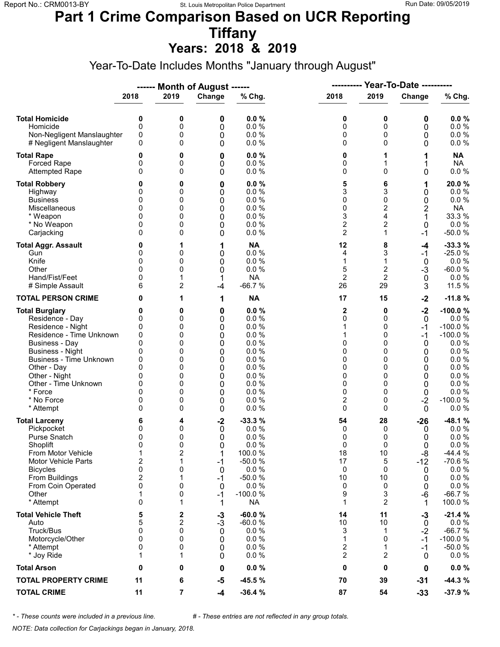## **Part 1 Crime Comparison Based on UCR Reporting Tiffany**

**Years: 2018 & 2019**

Year-To-Date Includes Months "January through August"

|                                                                                                                                                                                                                                                                               |                                                                                        |                                                               | ------ Month of August ------                                        |                                                                                                               | ----------                                                                 |                                                                                           | <b>Year-To-Date ----------</b>                                                              |                                                                                                                                             |
|-------------------------------------------------------------------------------------------------------------------------------------------------------------------------------------------------------------------------------------------------------------------------------|----------------------------------------------------------------------------------------|---------------------------------------------------------------|----------------------------------------------------------------------|---------------------------------------------------------------------------------------------------------------|----------------------------------------------------------------------------|-------------------------------------------------------------------------------------------|---------------------------------------------------------------------------------------------|---------------------------------------------------------------------------------------------------------------------------------------------|
|                                                                                                                                                                                                                                                                               | 2018                                                                                   | 2019                                                          | Change                                                               | % Chg.                                                                                                        | 2018                                                                       | 2019                                                                                      | Change                                                                                      | % Chg.                                                                                                                                      |
| <b>Total Homicide</b><br>Homicide<br>Non-Negligent Manslaughter<br># Negligent Manslaughter                                                                                                                                                                                   | 0<br>$\mathbf 0$<br>0<br>0                                                             | 0<br>0<br>0<br>0                                              | 0<br>0<br>0<br>0                                                     | 0.0%<br>0.0 %<br>0.0%<br>0.0%                                                                                 | 0<br>0<br>0<br>0                                                           | 0<br>0<br>0<br>$\Omega$                                                                   | 0<br>0<br>0<br>0                                                                            | 0.0%<br>0.0 %<br>0.0 %<br>$0.0 \%$                                                                                                          |
| <b>Total Rape</b><br>Forced Rape<br><b>Attempted Rape</b>                                                                                                                                                                                                                     | 0<br>0<br>$\Omega$                                                                     | 0<br>0<br>0                                                   | 0<br>0<br>0                                                          | 0.0%<br>0.0 %<br>0.0%                                                                                         | 0<br>0<br>0                                                                | 1<br>$\Omega$                                                                             | 1<br>1<br>0                                                                                 | <b>NA</b><br><b>NA</b><br>$0.0 \%$                                                                                                          |
| <b>Total Robbery</b><br>Highway<br><b>Business</b><br>Miscellaneous<br>* Weapon<br>* No Weapon<br>Carjacking                                                                                                                                                                  | 0<br>0<br>0<br>0<br>0<br>$\Omega$                                                      | 0<br>0<br>0<br>0<br>0<br>0<br>0                               | 0<br>0<br>0<br>0<br>0<br>0<br>0                                      | 0.0%<br>0.0%<br>0.0%<br>0.0 %<br>0.0 %<br>0.0%<br>0.0%                                                        | 5<br>3<br>0<br>0<br>3<br>$\overline{\mathbf{c}}$<br>$\overline{2}$         | 6<br>3<br>0<br>$\overline{2}$<br>4<br>$\overline{c}$<br>$\mathbf{1}$                      | 1<br>0<br>0<br>2<br>1<br>0<br>$-1$                                                          | 20.0%<br>$0.0 \%$<br>0.0%<br><b>NA</b><br>33.3 %<br>0.0 %<br>$-50.0%$                                                                       |
| <b>Total Aggr. Assault</b><br>Gun<br>Knife<br>Other<br>Hand/Fist/Feet<br># Simple Assault                                                                                                                                                                                     | 0<br>0<br>0<br>$\Omega$<br>0<br>6                                                      | 1<br>0<br>0<br>0<br>1<br>2                                    | 1<br>0<br>0<br>0<br>1<br>$-4$                                        | <b>NA</b><br>0.0 %<br>0.0 %<br>0.0%<br><b>NA</b><br>$-66.7%$                                                  | 12<br>4<br>1<br>5<br>$\overline{2}$<br>26                                  | 8<br>3<br>1<br>$\overline{c}$<br>$\overline{2}$<br>29                                     | -4<br>$-1$<br>$\mathbf 0$<br>$-3$<br>$\mathbf 0$<br>3                                       | $-33.3%$<br>$-25.0%$<br>0.0 %<br>$-60.0%$<br>$0.0 \%$<br>11.5 %                                                                             |
| <b>TOTAL PERSON CRIME</b>                                                                                                                                                                                                                                                     | 0                                                                                      | 1                                                             | 1                                                                    | <b>NA</b>                                                                                                     | 17                                                                         | 15                                                                                        | $-2$                                                                                        | $-11.8%$                                                                                                                                    |
| <b>Total Burglary</b><br>Residence - Day<br>Residence - Night<br>Residence - Time Unknown<br><b>Business - Day</b><br><b>Business - Night</b><br><b>Business - Time Unknown</b><br>Other - Day<br>Other - Night<br>Other - Time Unknown<br>* Force<br>* No Force<br>* Attempt | 0<br>0<br>0<br>0<br>$\mathbf{0}$<br>0<br>0<br>$\Omega$<br>0<br>0<br>$\Omega$<br>0<br>0 | 0<br>0<br>0<br>0<br>0<br>0<br>0<br>0<br>0<br>0<br>0<br>0<br>0 | 0<br>0<br>0<br>0<br>0<br>0<br>0<br>0<br>0<br>0<br>0<br>0<br>0        | 0.0%<br>0.0%<br>0.0%<br>0.0%<br>0.0%<br>0.0%<br>0.0%<br>0.0%<br>0.0%<br>0.0%<br>0.0%<br>0.0%<br>0.0%          | 2<br>0<br>1<br>1<br>0<br>0<br>0<br>0<br>0<br>0<br>0<br>$\overline{2}$<br>0 | 0<br>$\Omega$<br>0<br>0<br>$\Omega$<br>0<br>0<br>$\Omega$<br>0<br>0<br>$\Omega$<br>0<br>0 | $-2$<br>$\mathbf 0$<br>-1<br>$-1$<br>0<br>0<br>0<br>0<br>0<br>0<br>0<br>$-2$<br>$\mathbf 0$ | $-100.0%$<br>$0.0 \%$<br>$-100.0%$<br>$-100.0%$<br>$0.0 \%$<br>0.0 %<br>0.0 %<br>0.0 %<br>0.0%<br>$0.0 \%$<br>0.0%<br>$-100.0%$<br>$0.0 \%$ |
| <b>Total Larceny</b><br>Pickpocket<br>Purse Snatch<br>Shoplift<br>From Motor Vehicle<br>Motor Vehicle Parts<br><b>Bicycles</b><br>From Buildings<br>From Coin Operated<br>Other<br>* Attempt                                                                                  | 6<br>0<br>0<br>$\mathbf{0}$<br>1<br>$\overline{2}$<br>0<br>$\mathbf 2$<br>0<br>1<br>0  | 4<br>0<br>0<br>0<br>2<br>1<br>0<br>1<br>0<br>0<br>1           | $-2$<br>0<br>0<br>$\Omega$<br>1<br>-1<br>0<br>$-1$<br>0<br>$-1$<br>1 | $-33.3%$<br>0.0%<br>0.0%<br>0.0%<br>100.0%<br>$-50.0%$<br>0.0 %<br>$-50.0%$<br>0.0%<br>$-100.0%$<br><b>NA</b> | 54<br>0<br>0<br>0<br>18<br>17<br>0<br>10<br>0<br>9<br>1                    | 28<br>0<br>0<br>$\Omega$<br>10<br>5<br>0<br>10<br>0<br>3<br>2                             | $-26$<br>0<br>0<br>0<br>-8<br>$-12$<br>0<br>0<br>0<br>-6<br>1                               | $-48.1%$<br>$0.0 \%$<br>0.0%<br>0.0%<br>$-44.4%$<br>$-70.6%$<br>$0.0 \%$<br>0.0 %<br>$0.0 \%$<br>$-66.7%$<br>100.0%                         |
| <b>Total Vehicle Theft</b><br>Auto<br>Truck/Bus<br>Motorcycle/Other<br>* Attempt<br>* Joy Ride                                                                                                                                                                                | 5<br>5<br>0<br>0<br>0<br>1                                                             | 2<br>2<br>0<br>0<br>0<br>1                                    | $-3$<br>$-3$<br>0<br>0<br>0<br>0                                     | $-60.0%$<br>$-60.0%$<br>0.0%<br>0.0%<br>0.0%<br>0.0%                                                          | 14<br>10<br>3<br>1<br>2<br>2                                               | 11<br>10<br>1<br>$\Omega$<br>1<br>2                                                       | $-3$<br>0<br>$-2$<br>$-1$<br>-1<br>0                                                        | $-21.4%$<br>$0.0 \%$<br>$-66.7%$<br>$-100.0%$<br>$-50.0%$<br>$0.0 \%$                                                                       |
| <b>Total Arson</b>                                                                                                                                                                                                                                                            | 0                                                                                      | 0                                                             | 0                                                                    | 0.0%                                                                                                          | 0                                                                          | 0                                                                                         | 0                                                                                           | $0.0 \%$                                                                                                                                    |
| <b>TOTAL PROPERTY CRIME</b>                                                                                                                                                                                                                                                   | 11                                                                                     | 6                                                             | $-5$                                                                 | $-45.5%$                                                                                                      | 70                                                                         | 39                                                                                        | $-31$                                                                                       | $-44.3%$                                                                                                                                    |
| <b>TOTAL CRIME</b>                                                                                                                                                                                                                                                            | 11                                                                                     | 7                                                             | $-4$                                                                 | $-36.4%$                                                                                                      | 87                                                                         | 54                                                                                        | $-33$                                                                                       | $-37.9%$                                                                                                                                    |

*\* - These counts were included in a previous line. # - These entries are not reflected in any group totals.*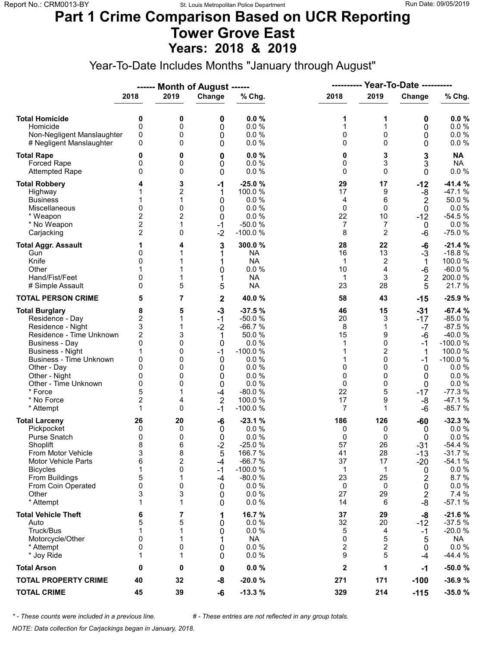#### **Part 1 Crime Comparison Based on UCR Reporting Tower Grove East Years: 2018 & 2019**

Year-To-Date Includes Months "January through August"

|                                                                                                                                                                                                                                                                               |                                                                                                             |                                                               | ------ Month of August ------                                                                |                                                                                                                                    | ----------                                                         |                                                                              | Year-To-Date ----------                                                               |                                                                                                                                                 |  |
|-------------------------------------------------------------------------------------------------------------------------------------------------------------------------------------------------------------------------------------------------------------------------------|-------------------------------------------------------------------------------------------------------------|---------------------------------------------------------------|----------------------------------------------------------------------------------------------|------------------------------------------------------------------------------------------------------------------------------------|--------------------------------------------------------------------|------------------------------------------------------------------------------|---------------------------------------------------------------------------------------|-------------------------------------------------------------------------------------------------------------------------------------------------|--|
|                                                                                                                                                                                                                                                                               | 2018                                                                                                        | 2019                                                          | Change                                                                                       | % Chg.                                                                                                                             | 2018                                                               | 2019                                                                         | Change                                                                                | % Chg.                                                                                                                                          |  |
| <b>Total Homicide</b><br>Homicide<br>Non-Negligent Manslaughter<br># Negligent Manslaughter                                                                                                                                                                                   | 0<br>$\mathbf 0$<br>0<br>0                                                                                  | 0<br>0<br>0<br>0                                              | 0<br>0<br>0<br>0                                                                             | 0.0%<br>0.0%<br>0.0%<br>0.0%                                                                                                       | 1<br>1<br>0<br>0                                                   | 1<br>1<br>0<br>$\Omega$                                                      | 0<br>0<br>0<br>0                                                                      | 0.0%<br>0.0 %<br>0.0 %<br>$0.0 \%$                                                                                                              |  |
| <b>Total Rape</b><br>Forced Rape<br><b>Attempted Rape</b>                                                                                                                                                                                                                     | 0<br>0<br>$\Omega$                                                                                          | 0<br>0<br>0                                                   | 0<br>0<br>0                                                                                  | 0.0%<br>0.0 %<br>0.0%                                                                                                              | 0<br>0<br>0                                                        | 3<br>3<br>$\Omega$                                                           | 3<br>3<br>0                                                                           | <b>NA</b><br><b>NA</b><br>$0.0 \%$                                                                                                              |  |
| <b>Total Robbery</b><br>Highway<br><b>Business</b><br>Miscellaneous<br>* Weapon<br>* No Weapon<br>Carjacking                                                                                                                                                                  | 1<br>$\mathbf{0}$<br>2<br>$\overline{2}$<br>$\overline{2}$                                                  | 3<br>2<br>1<br>0<br>2<br>1<br>0                               | $-1$<br>1<br>0<br>0<br>0<br>$-1$<br>$-2$                                                     | $-25.0%$<br>100.0 %<br>0.0%<br>0.0%<br>0.0%<br>$-50.0%$<br>$-100.0%$                                                               | 29<br>17<br>4<br>0<br>22<br>7<br>8                                 | 17<br>9<br>6<br>$\Omega$<br>10<br>7<br>2                                     | $-12$<br>-8<br>2<br>$\mathbf 0$<br>$-12$<br>0<br>-6                                   | $-41.4%$<br>$-47.1%$<br>50.0%<br>0.0 %<br>$-54.5%$<br>0.0%<br>$-75.0%$                                                                          |  |
| <b>Total Aggr. Assault</b><br>Gun<br>Knife<br>Other<br>Hand/Fist/Feet<br># Simple Assault                                                                                                                                                                                     | 1<br>0<br>0<br>0<br>0                                                                                       | 4<br>5                                                        | 3<br>1<br>1<br>0<br>1<br>5                                                                   | 300.0%<br><b>NA</b><br><b>NA</b><br>0.0 %<br><b>NA</b><br><b>NA</b>                                                                | 28<br>16<br>1<br>10<br>1<br>23                                     | 22<br>13<br>2<br>4<br>3<br>28                                                | -6<br>$-3$<br>1<br>-6<br>$\boldsymbol{2}$<br>5                                        | $-21.4%$<br>$-18.8%$<br>100.0%<br>$-60.0%$<br>200.0%<br>21.7%                                                                                   |  |
| <b>TOTAL PERSON CRIME</b>                                                                                                                                                                                                                                                     | 5                                                                                                           | 7                                                             | $\mathbf 2$                                                                                  | 40.0 %                                                                                                                             | 58                                                                 | 43                                                                           | $-15$                                                                                 | $-25.9%$                                                                                                                                        |  |
| <b>Total Burglary</b><br>Residence - Day<br>Residence - Night<br>Residence - Time Unknown<br><b>Business - Day</b><br><b>Business - Night</b><br><b>Business - Time Unknown</b><br>Other - Day<br>Other - Night<br>Other - Time Unknown<br>* Force<br>* No Force<br>* Attempt | 8<br>$\overline{c}$<br>3<br>$\overline{2}$<br>0<br>1<br>0<br>$\Omega$<br>0<br>0<br>5<br>$\overline{2}$<br>1 | 5<br>1<br>1<br>3<br>0<br>0<br>0<br>0<br>0<br>0<br>1<br>4<br>0 | $-3$<br>$-1$<br>$-2$<br>1<br>0<br>$-1$<br>0<br>0<br>0<br>0<br>$-4$<br>$\overline{2}$<br>$-1$ | $-37.5%$<br>$-50.0%$<br>$-66.7%$<br>50.0 %<br>0.0%<br>$-100.0%$<br>0.0%<br>0.0%<br>0.0%<br>0.0%<br>$-80.0%$<br>100.0%<br>$-100.0%$ | 46<br>20<br>8<br>15<br>1<br>1<br>1<br>0<br>0<br>0<br>22<br>17<br>7 | 15<br>3<br>1<br>9<br>$\Omega$<br>2<br>0<br>$\Omega$<br>0<br>0<br>5<br>9<br>1 | $-31$<br>-17<br>$-7$<br>$-6$<br>$-1$<br>1<br>$-1$<br>0<br>0<br>0<br>$-17$<br>-8<br>-6 | $-67.4%$<br>$-85.0%$<br>$-87.5%$<br>$-40.0%$<br>$-100.0%$<br>100.0 %<br>$-100.0%$<br>0.0%<br>0.0 %<br>0.0 %<br>$-77.3%$<br>$-47.1%$<br>$-85.7%$ |  |
| <b>Total Larceny</b><br>Pickpocket<br>Purse Snatch<br>Shoplift<br>From Motor Vehicle<br><b>Motor Vehicle Parts</b><br><b>Bicycles</b><br>From Buildings<br>From Coin Operated<br>Other<br>* Attempt                                                                           | 26<br>0<br>0<br>8<br>3<br>6<br>1<br>5<br>0<br>3<br>1                                                        | 20<br>0<br>0<br>6<br>8<br>2<br>0<br>1<br>0<br>3<br>1          | -6<br>0<br>0<br>$-2$<br>5<br>-4<br>$-1$<br>$-4$<br>0<br>0<br>0                               | $-23.1%$<br>0.0%<br>0.0%<br>$-25.0%$<br>166.7%<br>$-66.7%$<br>$-100.0%$<br>$-80.0%$<br>0.0%<br>0.0%<br>0.0%                        | 186<br>0<br>0<br>57<br>41<br>37<br>1<br>23<br>0<br>27<br>14        | 126<br>0<br>0<br>26<br>28<br>17<br>$\mathbf 1$<br>25<br>0<br>29<br>6         | $-60$<br>0<br>0<br>$-31$<br>$-13$<br>$-20$<br>0<br>2<br>0<br>2<br>-8                  | $-32.3%$<br>$0.0 \%$<br>0.0%<br>$-54.4%$<br>$-31.7%$<br>$-54.1%$<br>$0.0 \%$<br>8.7%<br>0.0 %<br>7.4 %<br>$-57.1%$                              |  |
| <b>Total Vehicle Theft</b><br>Auto<br>Truck/Bus<br>Motorcycle/Other<br>* Attempt<br>* Joy Ride                                                                                                                                                                                | 6<br>5<br>1<br>0<br>0<br>1                                                                                  | 7<br>5<br>1<br>1<br>0<br>1                                    | 1<br>0<br>0<br>1<br>0<br>0                                                                   | 16.7%<br>0.0%<br>0.0 %<br><b>NA</b><br>0.0 %<br>0.0%                                                                               | 37<br>32<br>5<br>0<br>2<br>9                                       | 29<br>20<br>4<br>5<br>2<br>5                                                 | -8<br>$-12$<br>$-1$<br>5<br>0<br>-4                                                   | $-21.6%$<br>$-37.5%$<br>$-20.0%$<br>NA<br>$0.0 \%$<br>$-44.4%$                                                                                  |  |
| <b>Total Arson</b>                                                                                                                                                                                                                                                            | 0                                                                                                           | 0                                                             | 0                                                                                            | 0.0%                                                                                                                               | $\mathbf{2}$                                                       | 1                                                                            | -1                                                                                    | $-50.0%$                                                                                                                                        |  |
| <b>TOTAL PROPERTY CRIME</b>                                                                                                                                                                                                                                                   | 40                                                                                                          | 32                                                            | -8                                                                                           | $-20.0%$                                                                                                                           | 271                                                                | 171                                                                          | $-100$                                                                                | $-36.9%$                                                                                                                                        |  |
| <b>TOTAL CRIME</b>                                                                                                                                                                                                                                                            | 45                                                                                                          | 39                                                            | -6                                                                                           | $-13.3%$                                                                                                                           | 329                                                                | 214                                                                          | $-115$                                                                                | $-35.0%$                                                                                                                                        |  |

*\* - These counts were included in a previous line. # - These entries are not reflected in any group totals.*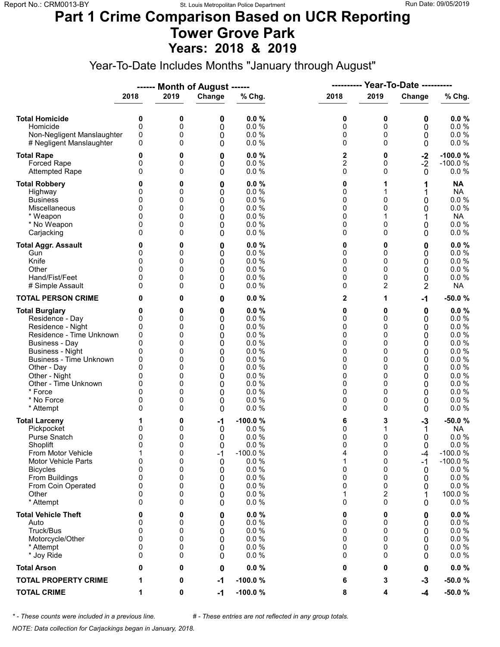#### **Part 1 Crime Comparison Based on UCR Reporting Tower Grove Park Years: 2018 & 2019**

Year-To-Date Includes Months "January through August"

|                                                                                                                                                                                                                                                                               |                                                                                        |                                                               | ------ Month of August ------                                        |                                                                                                      | ----------                                                    |                                                                                    | <b>Year-To-Date ----------</b>                                |                                                                                                                           |  |
|-------------------------------------------------------------------------------------------------------------------------------------------------------------------------------------------------------------------------------------------------------------------------------|----------------------------------------------------------------------------------------|---------------------------------------------------------------|----------------------------------------------------------------------|------------------------------------------------------------------------------------------------------|---------------------------------------------------------------|------------------------------------------------------------------------------------|---------------------------------------------------------------|---------------------------------------------------------------------------------------------------------------------------|--|
|                                                                                                                                                                                                                                                                               | 2018                                                                                   | 2019                                                          | Change                                                               | % Chg.                                                                                               | 2018                                                          | 2019                                                                               | Change                                                        | % Chg.                                                                                                                    |  |
| <b>Total Homicide</b><br>Homicide<br>Non-Negligent Manslaughter<br># Negligent Manslaughter                                                                                                                                                                                   | 0<br>0<br>0<br>0                                                                       | 0<br>0<br>0<br>0                                              | 0<br>0<br>0<br>0                                                     | 0.0%<br>0.0%<br>0.0%<br>0.0%                                                                         | 0<br>0<br>0<br>0                                              | 0<br>0<br>0<br>$\Omega$                                                            | 0<br>0<br>0<br>0                                              | 0.0%<br>0.0 %<br>0.0 %<br>0.0 %                                                                                           |  |
| <b>Total Rape</b><br>Forced Rape<br><b>Attempted Rape</b>                                                                                                                                                                                                                     | 0<br>0<br>$\Omega$                                                                     | 0<br>0<br>0                                                   | 0<br>0<br>0                                                          | 0.0%<br>0.0 %<br>0.0%                                                                                | 2<br>$\overline{2}$<br>0                                      | 0<br>0<br>$\Omega$                                                                 | $-2$<br>$-2$<br>0                                             | $-100.0%$<br>$-100.0%$<br>0.0%                                                                                            |  |
| <b>Total Robbery</b><br>Highway<br><b>Business</b><br>Miscellaneous<br>* Weapon<br>* No Weapon<br>Carjacking                                                                                                                                                                  | 0<br>0<br>0<br>0<br>0<br>$\Omega$                                                      | 0<br>0<br>0<br>0<br>0<br>0<br>0                               | 0<br>0<br>0<br>0<br>0<br>0<br>0                                      | 0.0%<br>0.0%<br>0.0 %<br>0.0 %<br>0.0%<br>0.0%<br>0.0%                                               | 0<br>0<br>0<br>0<br>0<br>0<br>0                               | 0<br>$\mathbf{0}$<br>0<br>0                                                        | 1<br>1<br>0<br>0<br>1<br>0<br>0                               | <b>NA</b><br><b>NA</b><br>0.0 %<br>0.0 %<br><b>NA</b><br>0.0 %<br>$0.0 \%$                                                |  |
| <b>Total Aggr. Assault</b><br>Gun<br>Knife<br>Other<br>Hand/Fist/Feet<br># Simple Assault                                                                                                                                                                                     | 0<br>0<br>0<br>0<br>0<br>0                                                             | 0<br>0<br>0<br>0<br>0<br>0                                    | 0<br>0<br>0<br>0<br>0<br>0                                           | 0.0%<br>0.0%<br>0.0 %<br>0.0%<br>0.0%<br>0.0 %                                                       | 0<br>0<br>0<br>0<br>0<br>0                                    | 0<br>0<br>0<br>0<br>0<br>2                                                         | 0<br>0<br>0<br>0<br>0<br>2                                    | $0.0 \%$<br>0.0 %<br>0.0 %<br>$0.0 \%$<br>0.0%<br><b>NA</b>                                                               |  |
| <b>TOTAL PERSON CRIME</b>                                                                                                                                                                                                                                                     | 0                                                                                      | 0                                                             | 0                                                                    | 0.0%                                                                                                 | 2                                                             | 1                                                                                  | $-1$                                                          | $-50.0%$                                                                                                                  |  |
| <b>Total Burglary</b><br>Residence - Day<br>Residence - Night<br>Residence - Time Unknown<br><b>Business - Day</b><br><b>Business - Night</b><br><b>Business - Time Unknown</b><br>Other - Day<br>Other - Night<br>Other - Time Unknown<br>* Force<br>* No Force<br>* Attempt | 0<br>0<br>0<br>0<br>$\mathbf{0}$<br>0<br>0<br>$\Omega$<br>0<br>0<br>$\Omega$<br>0<br>0 | 0<br>0<br>0<br>0<br>0<br>0<br>0<br>0<br>0<br>0<br>0<br>0<br>0 | $\bf{0}$<br>0<br>0<br>0<br>0<br>0<br>0<br>0<br>0<br>0<br>0<br>0<br>0 | 0.0%<br>0.0%<br>0.0%<br>0.0%<br>0.0%<br>0.0%<br>0.0%<br>0.0%<br>0.0%<br>0.0%<br>0.0%<br>0.0%<br>0.0% | 0<br>0<br>0<br>0<br>0<br>0<br>0<br>0<br>0<br>0<br>0<br>0<br>0 | 0<br>$\Omega$<br>0<br>0<br>$\Omega$<br>0<br>0<br>0<br>0<br>0<br>$\Omega$<br>0<br>0 | 0<br>0<br>0<br>0<br>0<br>0<br>0<br>0<br>0<br>0<br>0<br>0<br>0 | $0.0 \%$<br>0.0 %<br>0.0%<br>0.0 %<br>0.0%<br>0.0%<br>0.0 %<br>0.0 %<br>0.0%<br>0.0 %<br>$0.0 \%$<br>$0.0 \%$<br>$0.0 \%$ |  |
| <b>Total Larceny</b><br>Pickpocket<br>Purse Snatch<br>Shoplift<br>From Motor Vehicle<br>Motor Vehicle Parts<br><b>Bicycles</b><br>From Buildings<br>From Coin Operated<br>Other<br>* Attempt                                                                                  | 1<br>0<br>0<br>$\mathbf{0}$<br>1<br>0<br>0<br>0<br>0<br>0<br>$\Omega$                  | 0<br>0<br>0<br>0<br>0<br>0<br>0<br>0<br>0<br>0<br>0           | $-1$<br>0<br>0<br>0<br>$-1$<br>0<br>0<br>0<br>0<br>0<br>0            | $-100.0%$<br>0.0%<br>0.0%<br>0.0%<br>$-100.0%$<br>0.0%<br>0.0 %<br>0.0%<br>0.0%<br>0.0%<br>0.0%      | 6<br>0<br>0<br>0<br>4<br>1<br>0<br>0<br>0<br>1<br>0           | 3<br>1<br>0<br>$\Omega$<br>0<br>0<br>0<br>0<br>0<br>2<br>$\Omega$                  | $-3$<br>1<br>0<br>0<br>-4<br>-1<br>0<br>0<br>0<br>0           | $-50.0%$<br>NA<br>0.0 %<br>0.0%<br>$-100.0%$<br>$-100.0%$<br>$0.0 \%$<br>0.0 %<br>$0.0 \%$<br>100.0%<br>$0.0 \%$          |  |
| <b>Total Vehicle Theft</b><br>Auto<br>Truck/Bus<br>Motorcycle/Other<br>* Attempt<br>* Joy Ride                                                                                                                                                                                | 0<br>0<br>0<br>0<br>0<br>0                                                             | 0<br>0<br>0<br>0<br>0<br>0                                    | 0<br>0<br>0<br>0<br>0<br>0                                           | 0.0%<br>0.0%<br>0.0 %<br>0.0%<br>0.0%<br>0.0%                                                        | 0<br>0<br>0<br>0<br>0<br>0                                    | 0<br>0<br>0<br>0<br>0<br>0                                                         | 0<br>0<br>0<br>0<br>0<br>0                                    | $0.0 \%$<br>$0.0 \%$<br>0.0 %<br>0.0 %<br>$0.0 \%$<br>$0.0 \%$                                                            |  |
| <b>Total Arson</b>                                                                                                                                                                                                                                                            | 0                                                                                      | 0                                                             | 0                                                                    | 0.0%                                                                                                 | 0                                                             | 0                                                                                  | 0                                                             | $0.0 \%$                                                                                                                  |  |
| <b>TOTAL PROPERTY CRIME</b>                                                                                                                                                                                                                                                   | 1                                                                                      | 0                                                             | $-1$                                                                 | $-100.0%$                                                                                            | 6                                                             | 3                                                                                  | $-3$                                                          | $-50.0%$                                                                                                                  |  |
| <b>TOTAL CRIME</b>                                                                                                                                                                                                                                                            | 1                                                                                      | 0                                                             | $-1$                                                                 | $-100.0%$                                                                                            | 8                                                             | 4                                                                                  | -4                                                            | $-50.0%$                                                                                                                  |  |

*\* - These counts were included in a previous line. # - These entries are not reflected in any group totals.*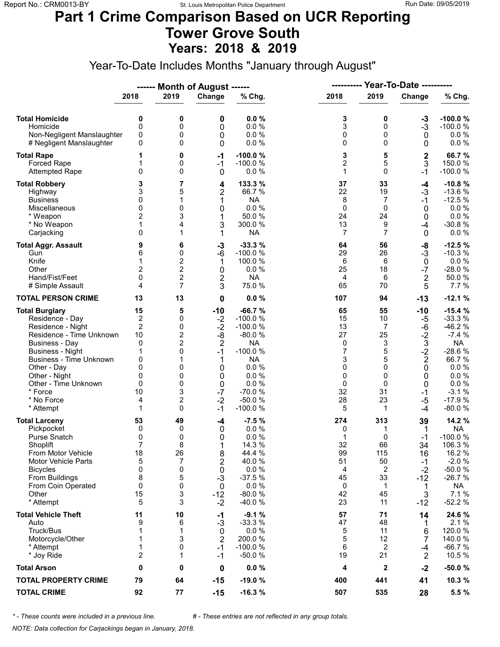#### **Part 1 Crime Comparison Based on UCR Reporting Tower Grove South Years: 2018 & 2019**

Year-To-Date Includes Months "January through August"

|                                |                |                         | ------ Month of August ------ |           | Year-To-Date ----------<br>---------- |                |                  |           |  |
|--------------------------------|----------------|-------------------------|-------------------------------|-----------|---------------------------------------|----------------|------------------|-----------|--|
|                                | 2018           | 2019                    | Change                        | % Chg.    | 2018                                  | 2019           | Change           | % Chg.    |  |
| <b>Total Homicide</b>          | 0              | 0                       | 0                             | 0.0%      | 3                                     | 0              | $-3$             | $-100.0%$ |  |
| Homicide                       | $\mathbf 0$    | 0                       | 0                             | 0.0%      | 3                                     | 0              | $-3$             | $-100.0%$ |  |
| Non-Negligent Manslaughter     | 0              | 0                       | 0                             | 0.0%      | 0                                     | 0              | 0                | $0.0 \%$  |  |
| # Negligent Manslaughter       | 0              | 0                       | 0                             | 0.0%      | 0                                     | $\Omega$       | 0                | $0.0 \%$  |  |
| <b>Total Rape</b>              | 1              | 0                       | $-1$                          | $-100.0%$ | 3                                     | 5              | $\mathbf 2$      | 66.7%     |  |
| Forced Rape                    | 1              | 0                       | $-1$                          | $-100.0%$ | $\overline{2}$                        | 5              | 3                | 150.0%    |  |
| <b>Attempted Rape</b>          | $\mathbf{0}$   | 0                       | $\mathbf 0$                   | 0.0%      | 1                                     | $\Omega$       | $-1$             | $-100.0%$ |  |
| <b>Total Robbery</b>           | 3              | 7                       | 4                             | 133.3 %   | 37                                    | 33             | $-4$             | $-10.8%$  |  |
| Highway                        | 3              | 5                       | $\overline{2}$                | 66.7 %    | 22                                    | 19             | $-3$             | $-13.6%$  |  |
| <b>Business</b>                | 0              | 1                       | 1                             | <b>NA</b> | 8                                     | 7              | $-1$             | $-12.5%$  |  |
| Miscellaneous                  | $\mathbf{0}$   | 0                       | 0                             | 0.0 %     | 0                                     | $\Omega$       | 0                | $0.0\ \%$ |  |
| * Weapon                       | 2              | 3                       | 1                             | 50.0 %    | 24                                    | 24             | 0                | $0.0 \%$  |  |
| * No Weapon                    | 1              | 4                       | 3                             | 300.0%    | 13                                    | 9              | $-4$             | $-30.8%$  |  |
| Carjacking                     | $\mathbf{0}$   | 1                       | 1                             | <b>NA</b> | $\overline{7}$                        | 7              | $\mathbf 0$      | $0.0 \%$  |  |
| <b>Total Aggr. Assault</b>     | 9              | 6                       | -3                            | $-33.3%$  | 64                                    | 56             | -8               | $-12.5%$  |  |
| Gun                            | 6              | 0                       | $-6$                          | $-100.0%$ | 29                                    | 26             | $-3$             | $-10.3%$  |  |
| Knife                          | 1              | $\overline{\mathbf{c}}$ | 1                             | 100.0%    | 6                                     | 6              | $\mathbf 0$      | $0.0 \%$  |  |
| Other                          | $\overline{c}$ | $\overline{\mathbf{c}}$ | 0                             | 0.0%      | 25                                    | 18             | $-7$             | $-28.0%$  |  |
| Hand/Fist/Feet                 | 0              | $\overline{c}$          | 2                             | <b>NA</b> | 4                                     | 6              | $\boldsymbol{2}$ | 50.0%     |  |
| # Simple Assault               | 4              | $\overline{7}$          | 3                             | 75.0 %    | 65                                    | 70             | 5                | 7.7 %     |  |
| <b>TOTAL PERSON CRIME</b>      | 13             | 13                      | 0                             | 0.0%      | 107                                   | 94             | $-13$            | $-12.1%$  |  |
| <b>Total Burglary</b>          | 15             | 5                       | $-10$                         | $-66.7%$  | 65                                    | 55             | $-10$            | $-15.4%$  |  |
| Residence - Day                | $\overline{c}$ | 0                       | $-2$                          | $-100.0%$ | 15                                    | 10             | -5               | $-33.3%$  |  |
| Residence - Night              | $\overline{2}$ | 0                       | $-2$                          | $-100.0%$ | 13                                    | $\overline{7}$ | -6               | $-46.2%$  |  |
| Residence - Time Unknown       | 10             | 2                       | -8                            | $-80.0%$  | 27                                    | 25             | $-2$             | $-7.4%$   |  |
| <b>Business - Day</b>          | $\mathbf 0$    | $\overline{2}$          | $\overline{2}$                | <b>NA</b> | 0                                     | 3              | $\mathbf{3}$     | <b>NA</b> |  |
| <b>Business - Night</b>        | 1              | 0                       | $-1$                          | $-100.0%$ | 7                                     | 5              | $-2$             | $-28.6%$  |  |
| <b>Business - Time Unknown</b> | 0              | 1                       | 1                             | <b>NA</b> | 3                                     | 5              | $\mathbf 2$      | 66.7%     |  |
| Other - Day                    | 0              | 0                       | 0                             | 0.0%      | 0                                     | $\Omega$       | 0                | $0.0 \%$  |  |
| Other - Night                  | 0              | 0                       | 0                             | 0.0%      | 0                                     | 0              | 0                | 0.0 %     |  |
| Other - Time Unknown           | 0              | 0                       | 0                             | 0.0%      | 0                                     | $\Omega$       | 0                | 0.0 %     |  |
| * Force                        | 10             | 3                       | $-7$                          | $-70.0%$  | 32                                    | 31             | $-1$             | $-3.1%$   |  |
| * No Force                     | 4              | $\overline{c}$          | $-2$                          | $-50.0%$  | 28                                    | 23             | $-5$             | $-17.9%$  |  |
| * Attempt                      | 1              | 0                       | $-1$                          | $-100.0%$ | 5                                     | 1              | -4               | $-80.0%$  |  |
| <b>Total Larceny</b>           | 53             | 49                      | -4                            | $-7.5%$   | 274                                   | 313            | 39               | 14.2 %    |  |
| Pickpocket                     | 0              | 0                       | 0                             | 0.0%      | 0                                     | 1              | 1                | <b>NA</b> |  |
| Purse Snatch                   | 0              | 0                       | 0                             | 0.0%      | 1                                     | 0              | -1               | $-100.0%$ |  |
| Shoplift                       | $\overline{7}$ | 8                       | 1                             | 14.3 %    | 32                                    | 66             | 34               | 106.3%    |  |
| From Motor Vehicle             | 18             | 26                      | 8                             | 44.4 %    | 99                                    | 115            | 16               | 16.2 %    |  |
| <b>Motor Vehicle Parts</b>     | 5              | 7                       | 2                             | 40.0%     | 51                                    | 50             | $-1$             | $-2.0%$   |  |
| <b>Bicycles</b>                | 0              | 0                       | 0                             | 0.0%      | 4                                     | 2              | $-2$             | $-50.0%$  |  |
| From Buildings                 | 8              | 5                       | $-3$                          | $-37.5%$  | 45                                    | 33             | $-12$            | $-26.7%$  |  |
| From Coin Operated             | 0              | 0                       | 0                             | 0.0%      | 0                                     | 1              | 1                | <b>NA</b> |  |
| Other                          | 15             | 3                       | $-12$                         | $-80.0%$  | 42                                    | 45             | 3                | 7.1%      |  |
| * Attempt                      | 5              | 3                       | $-2$                          | $-40.0%$  | 23                                    | 11             | $-12$            | $-52.2%$  |  |
| <b>Total Vehicle Theft</b>     | 11             | 10                      | -1                            | $-9.1%$   | 57                                    | 71             | 14               | 24.6 %    |  |
| Auto                           | 9              | 6                       | $-3$                          | $-33.3%$  | 47                                    | 48             | 1                | 2.1%      |  |
| Truck/Bus                      | 1              | 1                       | 0                             | 0.0 %     | 5                                     | 11             | 6                | 120.0%    |  |
| Motorcycle/Other               | 1              | 3                       | $\overline{2}$                | 200.0%    | 5                                     | 12             | 7                | 140.0%    |  |
| * Attempt                      | 1              | 0                       | $-1$                          | $-100.0%$ | 6                                     | 2              | -4               | $-66.7%$  |  |
| * Joy Ride                     | 2              | 1                       | $-1$                          | $-50.0%$  | 19                                    | 21             | $\overline{2}$   | 10.5 %    |  |
| <b>Total Arson</b>             | 0              | 0                       | 0                             | 0.0%      | 4                                     | $\mathbf{2}$   | $-2$             | $-50.0%$  |  |
| <b>TOTAL PROPERTY CRIME</b>    | 79             | 64                      | $-15$                         | $-19.0%$  | 400                                   | 441            | 41               | 10.3 %    |  |
| <b>TOTAL CRIME</b>             | 92             | 77                      | $-15$                         | $-16.3%$  | 507                                   | 535            | 28               | 5.5 %     |  |

*\* - These counts were included in a previous line. # - These entries are not reflected in any group totals.*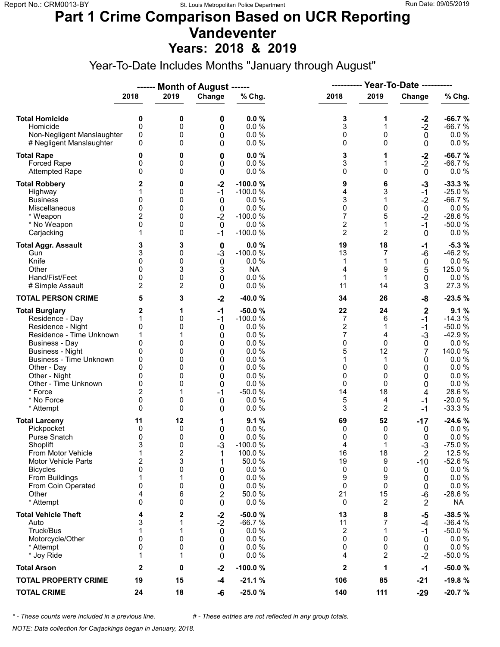#### **Part 1 Crime Comparison Based on UCR Reporting Vandeventer Years: 2018 & 2019**

Year-To-Date Includes Months "January through August"

|                                                                                                                                                                                                                                                                        |                                                                                       |                                                      | ------ Month of August ------                                          |                                                                                                                    |                                                                              |                                                                                   |                                                                                           |                                                                                                                               |
|------------------------------------------------------------------------------------------------------------------------------------------------------------------------------------------------------------------------------------------------------------------------|---------------------------------------------------------------------------------------|------------------------------------------------------|------------------------------------------------------------------------|--------------------------------------------------------------------------------------------------------------------|------------------------------------------------------------------------------|-----------------------------------------------------------------------------------|-------------------------------------------------------------------------------------------|-------------------------------------------------------------------------------------------------------------------------------|
|                                                                                                                                                                                                                                                                        | 2018                                                                                  | 2019                                                 | Change                                                                 | % Chg.                                                                                                             | 2018                                                                         | 2019                                                                              | Change                                                                                    | % Chg.                                                                                                                        |
| <b>Total Homicide</b><br>Homicide<br>Non-Negligent Manslaughter<br># Negligent Manslaughter                                                                                                                                                                            | 0<br>0<br>0<br>0                                                                      | 0<br>0<br>0<br>0                                     | 0<br>0<br>0<br>0                                                       | 0.0%<br>0.0%<br>0.0%<br>0.0%                                                                                       | 3<br>3<br>0<br>0                                                             | 1<br>1<br>0<br>0                                                                  | $-2$<br>$-2$<br>$\mathbf 0$<br>0                                                          | $-66.7%$<br>$-66.7%$<br>$0.0 \%$<br>0.0 %                                                                                     |
| <b>Total Rape</b><br><b>Forced Rape</b><br><b>Attempted Rape</b>                                                                                                                                                                                                       | 0<br>0<br>0                                                                           | 0<br>0<br>0                                          | 0<br>0<br>0                                                            | 0.0%<br>0.0%<br>0.0 %                                                                                              | 3<br>3<br>0                                                                  | 1<br>1<br>0                                                                       | $-2$<br>$-2$<br>$\mathbf 0$                                                               | $-66.7%$<br>$-66.7%$<br>$0.0 \%$                                                                                              |
| <b>Total Robbery</b><br>Highway<br><b>Business</b><br>Miscellaneous<br>* Weapon<br>* No Weapon<br>Carjacking                                                                                                                                                           | 2<br>0<br>0<br>2<br>$\mathbf{0}$<br>1                                                 | 0<br>0<br>0<br>0<br>0<br>0<br>0                      | $-2$<br>$-1$<br>0<br>$\boldsymbol{0}$<br>$-2$<br>0<br>$-1$             | -100.0%<br>$-100.0%$<br>0.0 %<br>0.0%<br>$-100.0%$<br>0.0 %<br>$-100.0%$                                           | 9<br>4<br>3<br>0<br>7<br>$\overline{2}$<br>$\overline{2}$                    | 6<br>3<br>1<br>0<br>5<br>$\mathbf{1}$<br>$\overline{2}$                           | $-3$<br>$-1$<br>$-2$<br>$\pmb{0}$<br>$-2$<br>$-1$<br>$\mathbf 0$                          | $-33.3%$<br>$-25.0%$<br>$-66.7%$<br>$0.0 \%$<br>$-28.6%$<br>$-50.0%$<br>0.0%                                                  |
| <b>Total Aggr. Assault</b><br>Gun<br>Knife<br>Other<br>Hand/Fist/Feet<br># Simple Assault                                                                                                                                                                              | 3<br>3<br>$\mathbf{0}$<br>0<br>0<br>$\overline{2}$                                    | 3<br>0<br>0<br>3<br>0<br>2                           | 0<br>$-3$<br>$\mathbf 0$<br>3<br>0<br>0                                | 0.0%<br>$-100.0%$<br>0.0%<br><b>NA</b><br>0.0 %<br>0.0%                                                            | 19<br>13<br>1<br>4<br>1<br>11                                                | 18<br>7<br>1<br>9<br>1<br>14                                                      | -1<br>-6<br>$\mathbf 0$<br>5<br>0<br>3                                                    | $-5.3%$<br>$-46.2%$<br>$0.0 \%$<br>125.0%<br>$0.0 \%$<br>27.3 %                                                               |
| <b>TOTAL PERSON CRIME</b>                                                                                                                                                                                                                                              | 5                                                                                     | 3                                                    | $-2$                                                                   | $-40.0%$                                                                                                           | 34                                                                           | 26                                                                                | -8                                                                                        | $-23.5%$                                                                                                                      |
| <b>Total Burglary</b><br>Residence - Day<br>Residence - Night<br>Residence - Time Unknown<br><b>Business - Day</b><br><b>Business - Night</b><br>Business - Time Unknown<br>Other - Day<br>Other - Night<br>Other - Time Unknown<br>* Force<br>* No Force<br>* Attempt | 2<br>1<br>0<br>1<br>0<br>0<br>0<br>0<br>0<br>0<br>2<br>0<br>$\Omega$                  | 1<br>0<br>0<br>0<br>0<br>0<br>0<br>0<br>0<br>0<br>0  | $-1$<br>$-1$<br>0<br>0<br>0<br>0<br>0<br>0<br>0<br>0<br>$-1$<br>0<br>0 | $-50.0%$<br>$-100.0%$<br>0.0%<br>0.0%<br>0.0%<br>0.0%<br>0.0%<br>0.0%<br>0.0%<br>0.0 %<br>$-50.0%$<br>0.0%<br>0.0% | 22<br>7<br>$\overline{c}$<br>7<br>0<br>5<br>1<br>0<br>0<br>0<br>14<br>5<br>3 | 24<br>6<br>$\mathbf 1$<br>4<br>0<br>12<br>1<br>0<br>0<br>$\Omega$<br>18<br>4<br>2 | $\mathbf 2$<br>$-1$<br>$-1$<br>$-3$<br>0<br>7<br>0<br>0<br>0<br>0<br>4<br>$-1$<br>$-1$    | 9.1%<br>$-14.3%$<br>$-50.0%$<br>$-42.9%$<br>0.0%<br>140.0%<br>0.0 %<br>0.0%<br>0.0%<br>0.0 %<br>28.6%<br>$-20.0%$<br>$-33.3%$ |
| <b>Total Larceny</b><br>Pickpocket<br>Purse Snatch<br>Shoplift<br>From Motor Vehicle<br><b>Motor Vehicle Parts</b><br><b>Bicycles</b><br>From Buildings<br>From Coin Operated<br>Other<br>* Attempt                                                                    | 11<br>0<br>0<br>3<br>1<br>$\overline{\mathbf{c}}$<br>$\mathbf{0}$<br>1<br>0<br>4<br>0 | 12<br>0<br>0<br>0<br>2<br>3<br>0<br>1<br>0<br>6<br>0 | 1<br>0<br>0<br>$-3$<br>1<br>1<br>0<br>0<br>0<br>$\overline{2}$<br>0    | 9.1%<br>0.0%<br>0.0%<br>$-100.0%$<br>100.0%<br>50.0%<br>0.0 %<br>0.0 %<br>0.0%<br>50.0%<br>0.0%                    | 69<br>0<br>0<br>4<br>16<br>19<br>0<br>9<br>0<br>21<br>0                      | 52<br>0<br>0<br>1<br>18<br>9<br>0<br>9<br>0<br>15<br>2                            | $-17$<br>0<br>0<br>$-3$<br>$\overline{2}$<br>$-10$<br>0<br>0<br>0<br>-6<br>$\overline{2}$ | $-24.6%$<br>0.0%<br>0.0 %<br>$-75.0%$<br>12.5 %<br>$-52.6%$<br>$0.0 \%$<br>$0.0 \%$<br>$0.0 \%$<br>$-28.6%$<br>NA             |
| <b>Total Vehicle Theft</b><br>Auto<br>Truck/Bus<br>Motorcycle/Other<br>* Attempt<br>* Joy Ride                                                                                                                                                                         | 4<br>3<br>1<br>0<br>0<br>1                                                            | 2<br>1<br>1<br>0<br>0<br>1                           | $-2$<br>$-2$<br>$\mathbf 0$<br>0<br>0<br>0                             | $-50.0%$<br>$-66.7%$<br>0.0%<br>0.0 %<br>0.0%<br>0.0%                                                              | 13<br>11<br>2<br>0<br>0<br>4                                                 | 8<br>7<br>$\mathbf{1}$<br>$\Omega$<br>0<br>$\overline{2}$                         | $-5$<br>-4<br>$-1$<br>0<br>0<br>$-2$                                                      | $-38.5%$<br>$-36.4%$<br>$-50.0%$<br>$0.0 \%$<br>$0.0 \%$<br>$-50.0%$                                                          |
| <b>Total Arson</b>                                                                                                                                                                                                                                                     | 2                                                                                     | 0                                                    | $-2$                                                                   | $-100.0%$                                                                                                          | $\mathbf 2$                                                                  | 1                                                                                 | $-1$                                                                                      | $-50.0%$                                                                                                                      |
| <b>TOTAL PROPERTY CRIME</b>                                                                                                                                                                                                                                            | 19                                                                                    | 15                                                   | $-4$                                                                   | $-21.1%$                                                                                                           | 106                                                                          | 85                                                                                | -21                                                                                       | $-19.8%$                                                                                                                      |
| <b>TOTAL CRIME</b>                                                                                                                                                                                                                                                     | 24                                                                                    | 18                                                   | -6                                                                     | $-25.0%$                                                                                                           | 140                                                                          | 111                                                                               | $-29$                                                                                     | $-20.7%$                                                                                                                      |

*\* - These counts were included in a previous line. # - These entries are not reflected in any group totals.*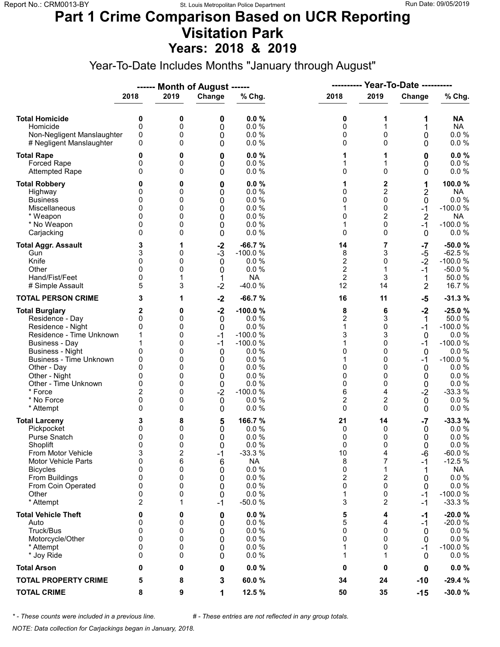#### **Part 1 Crime Comparison Based on UCR Reporting Visitation Park Years: 2018 & 2019**

Year-To-Date Includes Months "January through August"

|                                                                                                                                                                                                                                                                        |                                                                                   |                                                               | ------ Month of August ------                                                       |                                                                                                                           |                                                                                         |                                                                                    | <b>Year-To-Date ----------</b>                                               |                                                                                                                                       |  |
|------------------------------------------------------------------------------------------------------------------------------------------------------------------------------------------------------------------------------------------------------------------------|-----------------------------------------------------------------------------------|---------------------------------------------------------------|-------------------------------------------------------------------------------------|---------------------------------------------------------------------------------------------------------------------------|-----------------------------------------------------------------------------------------|------------------------------------------------------------------------------------|------------------------------------------------------------------------------|---------------------------------------------------------------------------------------------------------------------------------------|--|
|                                                                                                                                                                                                                                                                        | 2018                                                                              | 2019                                                          | Change                                                                              | % Chg.                                                                                                                    | 2018                                                                                    | 2019                                                                               | Change                                                                       | % Chg.                                                                                                                                |  |
| <b>Total Homicide</b><br>Homicide<br>Non-Negligent Manslaughter<br># Negligent Manslaughter                                                                                                                                                                            | 0<br>0<br>0<br>0                                                                  | 0<br>0<br>0<br>0                                              | 0<br>0<br>0<br>0                                                                    | 0.0%<br>0.0 %<br>0.0 %<br>0.0%                                                                                            | 0<br>0<br>0<br>0                                                                        | 1<br>1<br>0<br>0                                                                   | 1<br>1<br>0<br>0                                                             | NA<br><b>NA</b><br>$0.0 \%$<br>0.0 %                                                                                                  |  |
| <b>Total Rape</b><br>Forced Rape<br><b>Attempted Rape</b>                                                                                                                                                                                                              | 0<br>0<br>$\Omega$                                                                | 0<br>0<br>0                                                   | 0<br>0<br>0                                                                         | 0.0%<br>0.0%<br>0.0 %                                                                                                     | 1<br>1<br>0                                                                             | 1<br>1<br>$\mathbf 0$                                                              | 0<br>0<br>0                                                                  | 0.0%<br>0.0 %<br>0.0 %                                                                                                                |  |
| <b>Total Robbery</b><br>Highway<br><b>Business</b><br>Miscellaneous<br>* Weapon<br>* No Weapon<br>Carjacking                                                                                                                                                           | 0<br>0<br>0<br>0<br>0<br>0                                                        | 0<br>0<br>0<br>0<br>0<br>0<br>0                               | 0<br>0<br>0<br>0<br>0<br>$\mathbf 0$<br>0                                           | 0.0%<br>0.0%<br>0.0%<br>0.0 %<br>0.0%<br>0.0%<br>0.0%                                                                     | 1<br>0<br>0<br>1<br>0<br>1<br>0                                                         | 2<br>$\overline{c}$<br>0<br>0<br>$\overline{2}$<br>0<br>0                          | 1<br>2<br>0<br>$-1$<br>$\overline{2}$<br>$-1$<br>0                           | 100.0%<br><b>NA</b><br>0.0 %<br>$-100.0%$<br><b>NA</b><br>$-100.0%$<br>$0.0 \%$                                                       |  |
| <b>Total Aggr. Assault</b><br>Gun<br>Knife<br>Other<br>Hand/Fist/Feet<br># Simple Assault                                                                                                                                                                              | 3<br>3<br>0<br>$\Omega$<br>0<br>5                                                 | 1<br>0<br>0<br>0<br>1<br>3                                    | $-2$<br>$-3$<br>$\mathbf 0$<br>0<br>1<br>$-2$                                       | $-66.7%$<br>$-100.0%$<br>0.0%<br>0.0%<br><b>NA</b><br>$-40.0%$                                                            | 14<br>8<br>$\overline{c}$<br>$\overline{2}$<br>$\overline{2}$<br>12                     | 7<br>3<br>0<br>1<br>3<br>14                                                        | -7<br>$-5$<br>$-2$<br>$-1$<br>1<br>$\overline{2}$                            | $-50.0%$<br>$-62.5%$<br>$-100.0%$<br>$-50.0%$<br>50.0%<br>16.7%                                                                       |  |
| <b>TOTAL PERSON CRIME</b>                                                                                                                                                                                                                                              | 3                                                                                 | 1                                                             | $-2$                                                                                | $-66.7%$                                                                                                                  | 16                                                                                      | 11                                                                                 | $-5$                                                                         | $-31.3%$                                                                                                                              |  |
| <b>Total Burglary</b><br>Residence - Day<br>Residence - Night<br>Residence - Time Unknown<br><b>Business - Day</b><br><b>Business - Night</b><br>Business - Time Unknown<br>Other - Day<br>Other - Night<br>Other - Time Unknown<br>* Force<br>* No Force<br>* Attempt | 2<br>0<br>0<br>1<br>1<br>0<br>0<br>$\Omega$<br>0<br>0<br>$\overline{2}$<br>0<br>0 | 0<br>0<br>0<br>0<br>0<br>0<br>0<br>0<br>0<br>0<br>0<br>0<br>0 | $-2$<br>$\mathbf 0$<br>0<br>$-1$<br>$-1$<br>0<br>0<br>0<br>0<br>0<br>$-2$<br>0<br>0 | $-100.0%$<br>0.0%<br>0.0 %<br>$-100.0%$<br>$-100.0%$<br>0.0%<br>0.0%<br>0.0%<br>0.0%<br>0.0%<br>$-100.0%$<br>0.0%<br>0.0% | 8<br>$\overline{2}$<br>1<br>3<br>1<br>0<br>1<br>0<br>0<br>0<br>6<br>$\overline{c}$<br>0 | 6<br>3<br>0<br>3<br>0<br>0<br>0<br>0<br>0<br>0<br>4<br>2<br>0                      | $-2$<br>1<br>$-1$<br>0<br>$-1$<br>0<br>$-1$<br>0<br>0<br>0<br>$-2$<br>0<br>0 | $-25.0%$<br>50.0%<br>$-100.0%$<br>$0.0 \%$<br>$-100.0%$<br>0.0%<br>$-100.0%$<br>0.0%<br>0.0%<br>0.0 %<br>$-33.3%$<br>0.0%<br>$0.0 \%$ |  |
| <b>Total Larceny</b><br>Pickpocket<br><b>Purse Snatch</b><br>Shoplift<br>From Motor Vehicle<br>Motor Vehicle Parts<br><b>Bicycles</b><br>From Buildings<br>From Coin Operated<br>Other<br>* Attempt                                                                    | З<br>0<br>0<br>$\Omega$<br>3<br>$\mathbf 0$<br>0<br>0<br>0<br>0<br>$\overline{2}$ | 8<br>0<br>0<br>0<br>2<br>6<br>0<br>0<br>0<br>0<br>1           | 5<br>0<br>0<br>0<br>$-1$<br>6<br>0<br>0<br>0<br>0<br>$-1$                           | 166.7%<br>0.0%<br>0.0%<br>0.0%<br>$-33.3%$<br><b>NA</b><br>$0.0 \%$<br>0.0%<br>0.0%<br>0.0%<br>$-50.0%$                   | 21<br>0<br>0<br>0<br>10<br>8<br>0<br>2<br>0<br>1<br>3                                   | 14<br>0<br>0<br>$\Omega$<br>4<br>$\overline{7}$<br>1<br>2<br>$\mathbf 0$<br>0<br>2 | $-7$<br>0<br>0<br>0<br>-6<br>-1<br>0<br>0<br>$-1$<br>$-1$                    | $-33.3%$<br>0.0 %<br>0.0%<br>0.0%<br>$-60.0%$<br>$-12.5%$<br><b>NA</b><br>0.0 %<br>0.0%<br>$-100.0%$<br>$-33.3%$                      |  |
| <b>Total Vehicle Theft</b><br>Auto<br>Truck/Bus<br>Motorcycle/Other<br>* Attempt<br>* Joy Ride                                                                                                                                                                         | 0<br>0<br>0<br>0<br>0<br>0                                                        | 0<br>0<br>0<br>0<br>0<br>0                                    | 0<br>0<br>0<br>0<br>0<br>0                                                          | 0.0%<br>0.0%<br>0.0 %<br>0.0 %<br>0.0 %<br>0.0%                                                                           | 5<br>5<br>0<br>0<br>1<br>1                                                              | 4<br>4<br>0<br>$\mathbf 0$<br>0<br>1                                               | -1<br>-1<br>0<br>0<br>-1<br>0                                                | $-20.0%$<br>$-20.0%$<br>$0.0 \%$<br>$0.0 \%$<br>$-100.0%$<br>$0.0 \%$                                                                 |  |
| <b>Total Arson</b>                                                                                                                                                                                                                                                     | 0                                                                                 | 0                                                             | 0                                                                                   | 0.0%                                                                                                                      | 0                                                                                       | 0                                                                                  | 0                                                                            | $0.0 \%$                                                                                                                              |  |
| <b>TOTAL PROPERTY CRIME</b>                                                                                                                                                                                                                                            | 5                                                                                 | 8                                                             | 3                                                                                   | 60.0%                                                                                                                     | 34                                                                                      | 24                                                                                 | $-10$                                                                        | $-29.4%$                                                                                                                              |  |
| <b>TOTAL CRIME</b>                                                                                                                                                                                                                                                     | 8                                                                                 | 9                                                             | 1                                                                                   | 12.5 %                                                                                                                    | 50                                                                                      | 35                                                                                 | $-15$                                                                        | $-30.0%$                                                                                                                              |  |

*\* - These counts were included in a previous line. # - These entries are not reflected in any group totals.*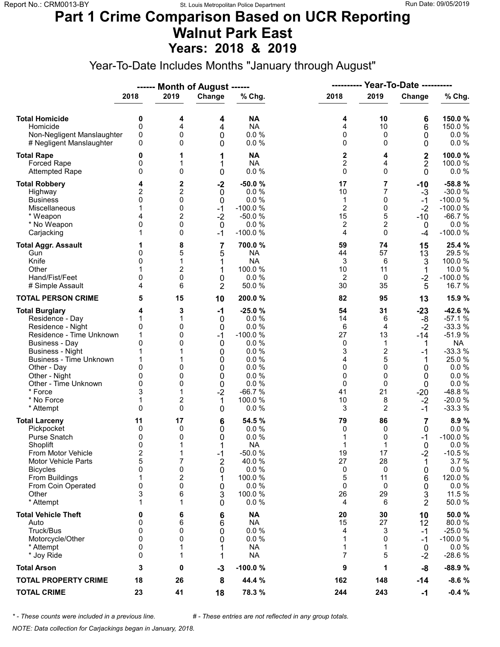#### **Part 1 Crime Comparison Based on UCR Reporting Walnut Park East Years: 2018 & 2019**

Year-To-Date Includes Months "January through August"

|                                                                                                                                                                                                                                                                               |                                                                                 |                                                      | ------ Month of August ------                                                    |                                                                                                                     | ----------                                                           | Year-To-Date ----------                                                                                 |                                                                                        |                                                                                                                                            |
|-------------------------------------------------------------------------------------------------------------------------------------------------------------------------------------------------------------------------------------------------------------------------------|---------------------------------------------------------------------------------|------------------------------------------------------|----------------------------------------------------------------------------------|---------------------------------------------------------------------------------------------------------------------|----------------------------------------------------------------------|---------------------------------------------------------------------------------------------------------|----------------------------------------------------------------------------------------|--------------------------------------------------------------------------------------------------------------------------------------------|
|                                                                                                                                                                                                                                                                               | 2018                                                                            | 2019                                                 | Change                                                                           | % Chg.                                                                                                              | 2018                                                                 | 2019                                                                                                    | Change                                                                                 | % Chg.                                                                                                                                     |
| <b>Total Homicide</b><br>Homicide<br>Non-Negligent Manslaughter<br># Negligent Manslaughter                                                                                                                                                                                   | 0<br>$\mathbf 0$<br>0<br>0                                                      | 4<br>4<br>0<br>0                                     | 4<br>4<br>0<br>0                                                                 | <b>NA</b><br><b>NA</b><br>0.0%<br>0.0 %                                                                             | 4<br>4<br>0<br>0                                                     | 10<br>10<br>0<br>$\Omega$                                                                               | 6<br>6<br>0<br>0                                                                       | 150.0%<br>150.0%<br>$0.0 \%$<br>0.0 %                                                                                                      |
| <b>Total Rape</b><br>Forced Rape<br><b>Attempted Rape</b>                                                                                                                                                                                                                     | 0<br>0<br>$\mathbf{0}$                                                          | 1<br>1<br>0                                          | 1<br>1<br>0                                                                      | <b>NA</b><br><b>NA</b><br>0.0 %                                                                                     | 2<br>$\overline{c}$<br>0                                             | 4<br>4<br>$\Omega$                                                                                      | $\mathbf 2$<br>$\overline{2}$<br>0                                                     | 100.0%<br>100.0%<br>$0.0 \%$                                                                                                               |
| <b>Total Robbery</b><br>Highway<br><b>Business</b><br>Miscellaneous<br>* Weapon<br>* No Weapon<br>Carjacking                                                                                                                                                                  | 4<br>2<br>0<br>4<br>0<br>1                                                      | 2<br>2<br>0<br>0<br>$\overline{2}$<br>0<br>0         | $-2$<br>0<br>0<br>$-1$<br>$-2$<br>$\Omega$<br>$-1$                               | $-50.0%$<br>0.0%<br>0.0%<br>$-100.0%$<br>$-50.0%$<br>0.0%<br>$-100.0%$                                              | 17<br>10<br>1<br>$\overline{c}$<br>15<br>2<br>4                      | 7<br>7<br>0<br>$\mathbf 0$<br>5<br>2<br>$\Omega$                                                        | $-10$<br>$-3$<br>$-1$<br>$-2$<br>-10<br>0<br>-4                                        | -58.8%<br>$-30.0%$<br>$-100.0%$<br>$-100.0%$<br>$-66.7%$<br>0.0%<br>$-100.0%$                                                              |
| <b>Total Aggr. Assault</b><br>Gun<br>Knife<br>Other<br>Hand/Fist/Feet<br># Simple Assault                                                                                                                                                                                     | 1<br>0<br>0<br>0<br>4                                                           | 8<br>5<br>1<br>$\overline{2}$<br>0<br>6              | 7<br>5<br>1<br>1<br>0<br>$\overline{2}$                                          | 700.0%<br><b>NA</b><br><b>NA</b><br>100.0 %<br>0.0%<br>50.0%                                                        | 59<br>44<br>3<br>10<br>$\overline{2}$<br>30                          | 74<br>57<br>6<br>11<br>0<br>35                                                                          | 15<br>13<br>3<br>1<br>$-2$<br>5                                                        | 25.4 %<br>29.5%<br>100.0%<br>10.0%<br>$-100.0%$<br>16.7%                                                                                   |
| <b>TOTAL PERSON CRIME</b>                                                                                                                                                                                                                                                     | 5                                                                               | 15                                                   | 10                                                                               | 200.0%                                                                                                              | 82                                                                   | 95                                                                                                      | 13                                                                                     | 15.9 %                                                                                                                                     |
| <b>Total Burglary</b><br>Residence - Day<br>Residence - Night<br>Residence - Time Unknown<br><b>Business - Day</b><br><b>Business - Night</b><br><b>Business - Time Unknown</b><br>Other - Day<br>Other - Night<br>Other - Time Unknown<br>* Force<br>* No Force<br>* Attempt | 4<br>1<br>0<br>1<br>$\mathbf{0}$<br>1<br>1<br>0<br>0<br>0<br>3<br>1<br>$\Omega$ | 3<br>1<br>0<br>0<br>0<br>0<br>0<br>0<br>1<br>2<br>0  | $-1$<br>0<br>$\mathbf 0$<br>$-1$<br>0<br>0<br>0<br>0<br>0<br>0<br>$-2$<br>1<br>0 | $-25.0%$<br>0.0%<br>0.0%<br>$-100.0%$<br>0.0%<br>0.0%<br>0.0%<br>0.0%<br>0.0%<br>0.0%<br>$-66.7%$<br>100.0%<br>0.0% | 54<br>14<br>6<br>27<br>0<br>3<br>4<br>0<br>0<br>0<br>41<br>$10$<br>3 | 31<br>6<br>4<br>13<br>$\mathbf 1$<br>$\overline{\mathbf{c}}$<br>5<br>$\Omega$<br>0<br>0<br>21<br>8<br>2 | $-23$<br>-8<br>$-2$<br>$-14$<br>1<br>$-1$<br>1<br>0<br>0<br>0<br>$-20$<br>$-2$<br>$-1$ | $-42.6%$<br>$-57.1%$<br>$-33.3%$<br>$-51.9%$<br><b>NA</b><br>$-33.3%$<br>25.0%<br>0.0%<br>0.0 %<br>0.0 %<br>-48.8%<br>$-20.0%$<br>$-33.3%$ |
| <b>Total Larceny</b><br>Pickpocket<br>Purse Snatch<br>Shoplift<br>From Motor Vehicle<br><b>Motor Vehicle Parts</b><br><b>Bicycles</b><br>From Buildings<br>From Coin Operated<br>Other<br>* Attempt                                                                           | 11<br>0<br>0<br>0<br>$\overline{\mathbf{c}}$<br>5<br>0<br>1<br>0<br>3<br>1      | 17<br>0<br>0<br>1<br>1<br>7<br>0<br>2<br>0<br>6<br>1 | 6<br>0<br>0<br>1<br>$-1$<br>$\overline{2}$<br>0<br>1<br>0<br>3<br>0              | 54.5 %<br>0.0%<br>0.0%<br><b>NA</b><br>$-50.0%$<br>40.0%<br>0.0%<br>100.0 %<br>0.0%<br>100.0%<br>0.0%               | 79<br>0<br>1<br>1<br>19<br>27<br>0<br>5<br>0<br>26<br>4              | 86<br>0<br>0<br>1<br>17<br>28<br>0<br>11<br>0<br>29<br>6                                                | 7<br>0<br>$-1$<br>$\Omega$<br>$-2$<br>1<br>0<br>6<br>0<br>3<br>2                       | 8.9%<br>$0.0 \%$<br>$-100.0%$<br>0.0%<br>$-10.5%$<br>3.7%<br>0.0 %<br>120.0%<br>0.0%<br>11.5 %<br>50.0%                                    |
| <b>Total Vehicle Theft</b><br>Auto<br>Truck/Bus<br>Motorcycle/Other<br>* Attempt<br>* Joy Ride                                                                                                                                                                                | 0<br>0<br>0<br>0<br>0<br>0                                                      | 6<br>6<br>0<br>0<br>1                                | 6<br>6<br>0<br>0<br>1<br>1                                                       | <b>NA</b><br><b>NA</b><br>0.0 %<br>0.0 %<br><b>NA</b><br><b>NA</b>                                                  | 20<br>15<br>4<br>1<br>1<br>7                                         | 30<br>27<br>3<br>$\Omega$<br>1<br>5                                                                     | 10<br>12<br>$-1$<br>-1<br>0<br>$-2$                                                    | 50.0%<br>80.0%<br>$-25.0%$<br>$-100.0%$<br>$0.0 \%$<br>$-28.6%$                                                                            |
| <b>Total Arson</b>                                                                                                                                                                                                                                                            | 3                                                                               | 0                                                    | $-3$                                                                             | $-100.0%$                                                                                                           | 9                                                                    | 1                                                                                                       | -8                                                                                     | $-88.9%$                                                                                                                                   |
| <b>TOTAL PROPERTY CRIME</b>                                                                                                                                                                                                                                                   | 18                                                                              | 26                                                   | 8                                                                                | 44.4 %                                                                                                              | 162                                                                  | 148                                                                                                     | $-14$                                                                                  | $-8.6%$                                                                                                                                    |
| <b>TOTAL CRIME</b>                                                                                                                                                                                                                                                            | 23                                                                              | 41                                                   | 18                                                                               | 78.3 %                                                                                                              | 244                                                                  | 243                                                                                                     | $-1$                                                                                   | $-0.4%$                                                                                                                                    |

*\* - These counts were included in a previous line. # - These entries are not reflected in any group totals.*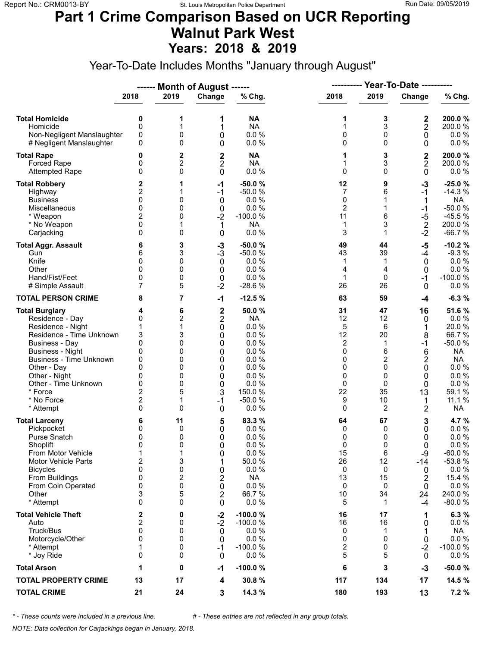#### **Part 1 Crime Comparison Based on UCR Reporting Walnut Park West Years: 2018 & 2019**

Year-To-Date Includes Months "January through August"

|                                                                                                                                                                                                                                                                        |                                                                                                      |                                                               | ------ Month of August ------                                                                                                    |                                                                                                                    | ----------                                                        |                                                                           | <b>Year-To-Date ----------</b>                                     |                                                                                                                                         |
|------------------------------------------------------------------------------------------------------------------------------------------------------------------------------------------------------------------------------------------------------------------------|------------------------------------------------------------------------------------------------------|---------------------------------------------------------------|----------------------------------------------------------------------------------------------------------------------------------|--------------------------------------------------------------------------------------------------------------------|-------------------------------------------------------------------|---------------------------------------------------------------------------|--------------------------------------------------------------------|-----------------------------------------------------------------------------------------------------------------------------------------|
|                                                                                                                                                                                                                                                                        | 2018                                                                                                 | 2019                                                          | Change                                                                                                                           | % Chg.                                                                                                             | 2018                                                              | 2019                                                                      | Change                                                             | % Chg.                                                                                                                                  |
| <b>Total Homicide</b><br>Homicide<br>Non-Negligent Manslaughter<br># Negligent Manslaughter                                                                                                                                                                            | 0<br>0<br>0<br>0                                                                                     | 1<br>1<br>0<br>0                                              | 1<br>1<br>0<br>0                                                                                                                 | <b>NA</b><br><b>NA</b><br>0.0%<br>0.0 %                                                                            | 1<br>1<br>0<br>0                                                  | 3<br>3<br>0<br>$\mathbf 0$                                                | 2<br>$\mathbf 2$<br>0<br>0                                         | 200.0%<br>200.0%<br>$0.0 \%$<br>0.0 %                                                                                                   |
| <b>Total Rape</b><br>Forced Rape<br><b>Attempted Rape</b>                                                                                                                                                                                                              | 0<br>0<br>0                                                                                          | 2<br>$\overline{2}$<br>0                                      | 2<br>$\overline{\mathbf{c}}$<br>$\mathbf{0}$                                                                                     | <b>NA</b><br><b>NA</b><br>0.0%                                                                                     | 1<br>1<br>0                                                       | 3<br>3<br>$\Omega$                                                        | $\mathbf 2$<br>$\overline{c}$<br>$\mathbf 0$                       | 200.0%<br>200.0%<br>$0.0 \%$                                                                                                            |
| <b>Total Robbery</b><br>Highway<br><b>Business</b><br>Miscellaneous<br>* Weapon<br>* No Weapon<br>Carjacking                                                                                                                                                           | 2<br>$\overline{2}$<br>0<br>0<br>$\overline{2}$<br>0<br>0                                            | 1<br>1<br>0<br>0<br>0<br>1<br>0                               | -1<br>$-1$<br>$\mathbf 0$<br>0<br>$-2$<br>1<br>0                                                                                 | $-50.0%$<br>$-50.0%$<br>0.0%<br>0.0 %<br>$-100.0%$<br><b>NA</b><br>0.0%                                            | 12<br>7<br>0<br>$\overline{c}$<br>11<br>1<br>3                    | 9<br>6<br>1<br>6<br>3<br>1                                                | $-3$<br>$-1$<br>1<br>$-1$<br>-5<br>$\sqrt{2}$<br>$-2$              | $-25.0%$<br>$-14.3%$<br><b>NA</b><br>$-50.0%$<br>$-45.5%$<br>200.0%<br>$-66.7%$                                                         |
| <b>Total Aggr. Assault</b><br>Gun<br>Knife<br>Other<br>Hand/Fist/Feet<br># Simple Assault                                                                                                                                                                              | 6<br>6<br>0<br>$\Omega$<br>0<br>7                                                                    | 3<br>3<br>0<br>0<br>0<br>5                                    | $-3$<br>$-3$<br>$\mathbf 0$<br>0<br>$\mathsf 0$<br>$-2$                                                                          | $-50.0%$<br>$-50.0%$<br>0.0%<br>0.0%<br>0.0%<br>$-28.6%$                                                           | 49<br>43<br>1<br>4<br>$\mathbf{1}$<br>26                          | 44<br>39<br>1<br>4<br>0<br>26                                             | $-5$<br>$-4$<br>0<br>0<br>-1<br>$\mathbf{0}$                       | $-10.2%$<br>$-9.3%$<br>0.0 %<br>$0.0 \%$<br>$-100.0%$<br>$0.0 \%$                                                                       |
| <b>TOTAL PERSON CRIME</b>                                                                                                                                                                                                                                              | 8                                                                                                    | 7                                                             | $-1$                                                                                                                             | $-12.5%$                                                                                                           | 63                                                                | 59                                                                        | -4                                                                 | $-6.3%$                                                                                                                                 |
| <b>Total Burglary</b><br>Residence - Day<br>Residence - Night<br>Residence - Time Unknown<br><b>Business - Day</b><br><b>Business - Night</b><br>Business - Time Unknown<br>Other - Day<br>Other - Night<br>Other - Time Unknown<br>* Force<br>* No Force<br>* Attempt | 4<br>0<br>3<br>$\mathbf{0}$<br>0<br>0<br>$\Omega$<br>0<br>0<br>$\overline{2}$<br>$\overline{c}$<br>0 | 6<br>2<br>1<br>3<br>0<br>0<br>0<br>0<br>0<br>0<br>5<br>1<br>0 | $\overline{\mathbf{c}}$<br>$\overline{\mathbf{c}}$<br>0<br>0<br>0<br>0<br>0<br>0<br>0<br>$\mathbf 0$<br>3<br>$-1$<br>$\mathbf 0$ | 50.0%<br><b>NA</b><br>0.0 %<br>0.0%<br>0.0%<br>0.0%<br>0.0%<br>0.0%<br>0.0%<br>0.0%<br>150.0 %<br>$-50.0%$<br>0.0% | 31<br>12<br>5<br>12<br>2<br>0<br>0<br>0<br>0<br>0<br>22<br>9<br>0 | 47<br>12<br>6<br>20<br>1<br>6<br>2<br>$\Omega$<br>0<br>0<br>35<br>10<br>2 | 16<br>0<br>1<br>8<br>$-1$<br>6<br>2<br>0<br>0<br>0<br>13<br>1<br>2 | 51.6%<br>$0.0 \%$<br>20.0%<br>66.7%<br>$-50.0%$<br><b>NA</b><br><b>NA</b><br>$0.0 \%$<br>0.0%<br>0.0 %<br>59.1 %<br>11.1 %<br><b>NA</b> |
| <b>Total Larceny</b><br>Pickpocket<br><b>Purse Snatch</b><br>Shoplift<br>From Motor Vehicle<br><b>Motor Vehicle Parts</b><br><b>Bicycles</b><br>From Buildings<br>From Coin Operated<br>Other<br>* Attempt                                                             | 6<br>0<br>0<br>$\Omega$<br>1<br>$\overline{2}$<br>0<br>$\mathbf 0$<br>0<br>3<br>0                    | 11<br>0<br>0<br>0<br>1<br>3<br>0<br>2<br>0<br>5<br>0          | 5<br>0<br>0<br>0<br>0<br>1<br>0<br>2<br>0<br>2<br>0                                                                              | 83.3 %<br>0.0%<br>0.0%<br>0.0%<br>0.0 %<br>50.0 %<br>0.0%<br><b>NA</b><br>0.0%<br>66.7%<br>0.0%                    | 64<br>0<br>0<br>0<br>15<br>26<br>0<br>13<br>0<br>10<br>5          | 67<br>0<br>0<br>$\Omega$<br>6<br>12<br>0<br>15<br>0<br>34<br>1            | 3<br>0<br>0<br>$\Omega$<br>$-9$<br>-14<br>0<br>2<br>0<br>24<br>-4  | 4.7%<br>0.0 %<br>0.0 %<br>0.0%<br>$-60.0%$<br>$-53.8%$<br>0.0 %<br>15.4 %<br>$0.0 \%$<br>240.0%<br>$-80.0%$                             |
| <b>Total Vehicle Theft</b><br>Auto<br>Truck/Bus<br>Motorcycle/Other<br>* Attempt<br>* Joy Ride                                                                                                                                                                         | 2<br>2<br>0<br>0<br>1<br>0                                                                           | 0<br>0<br>0<br>0<br>0<br>0                                    | $-2$<br>$-2$<br>$\mathbf 0$<br>0<br>$-1$<br>$\mathbf{0}$                                                                         | $-100.0%$<br>$-100.0%$<br>0.0%<br>0.0%<br>$-100.0%$<br>0.0%                                                        | 16<br>16<br>0<br>0<br>2<br>5                                      | 17<br>16<br>1<br>$\mathbf 0$<br>0<br>5                                    | 1<br>0<br>1<br>0<br>$-2$<br>0                                      | 6.3%<br>$0.0 \%$<br>NA<br>$0.0 \%$<br>$-100.0%$<br>$0.0 \%$                                                                             |
| <b>Total Arson</b>                                                                                                                                                                                                                                                     | 1                                                                                                    | 0                                                             | $-1$                                                                                                                             | $-100.0%$                                                                                                          | 6                                                                 | 3                                                                         | $-3$                                                               | $-50.0%$                                                                                                                                |
| <b>TOTAL PROPERTY CRIME</b>                                                                                                                                                                                                                                            | 13                                                                                                   | 17                                                            | 4                                                                                                                                | 30.8%                                                                                                              | 117                                                               | 134                                                                       | 17                                                                 | 14.5 %                                                                                                                                  |
| <b>TOTAL CRIME</b>                                                                                                                                                                                                                                                     | 21                                                                                                   | 24                                                            | 3                                                                                                                                | 14.3 %                                                                                                             | 180                                                               | 193                                                                       | 13                                                                 | 7.2 %                                                                                                                                   |

*\* - These counts were included in a previous line. # - These entries are not reflected in any group totals.*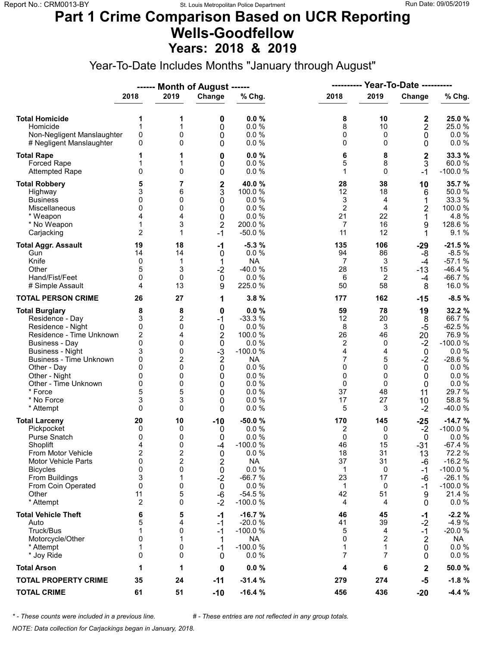#### **Part 1 Crime Comparison Based on UCR Reporting Wells-Goodfellow Years: 2018 & 2019**

Year-To-Date Includes Months "January through August"

|                                                                                                                                                                                                                                                                        |                                                                                          |                                                               | ------ Month of August ------                                                                                              |                                                                                                                       |                                                                                              | <b>Year-To-Date ----------</b><br>----------                                       |                                                                                                 |                                                                                                                               |
|------------------------------------------------------------------------------------------------------------------------------------------------------------------------------------------------------------------------------------------------------------------------|------------------------------------------------------------------------------------------|---------------------------------------------------------------|----------------------------------------------------------------------------------------------------------------------------|-----------------------------------------------------------------------------------------------------------------------|----------------------------------------------------------------------------------------------|------------------------------------------------------------------------------------|-------------------------------------------------------------------------------------------------|-------------------------------------------------------------------------------------------------------------------------------|
|                                                                                                                                                                                                                                                                        | 2018                                                                                     | 2019                                                          | Change                                                                                                                     | % Chg.                                                                                                                | 2018                                                                                         | 2019                                                                               | Change                                                                                          | % Chg.                                                                                                                        |
| <b>Total Homicide</b><br>Homicide<br>Non-Negligent Manslaughter<br># Negligent Manslaughter                                                                                                                                                                            | 1<br>1<br>0<br>0                                                                         | 1<br>1<br>0<br>0                                              | 0<br>0<br>0<br>0                                                                                                           | 0.0%<br>0.0%<br>0.0 %<br>0.0%                                                                                         | 8<br>8<br>0<br>0                                                                             | 10<br>10<br>0<br>$\Omega$                                                          | 2<br>2<br>$\mathbf 0$<br>0                                                                      | 25.0 %<br>25.0%<br>$0.0 \%$<br>0.0 %                                                                                          |
| <b>Total Rape</b><br>Forced Rape<br><b>Attempted Rape</b>                                                                                                                                                                                                              | 1<br>1<br>0                                                                              | 1<br>1<br>0                                                   | 0<br>0<br>0                                                                                                                | 0.0%<br>0.0%<br>0.0%                                                                                                  | 6<br>5<br>1                                                                                  | 8<br>8<br>$\Omega$                                                                 | $\overline{\mathbf{c}}$<br>3<br>$-1$                                                            | 33.3 %<br>60.0%<br>$-100.0%$                                                                                                  |
| <b>Total Robbery</b><br>Highway<br><b>Business</b><br>Miscellaneous<br>* Weapon<br>* No Weapon<br>Carjacking                                                                                                                                                           | 5<br>3<br>0<br>0<br>4<br>1<br>$\overline{c}$                                             | 7<br>6<br>0<br>0<br>4<br>3<br>1                               | $\frac{2}{3}$<br>0<br>0<br>0<br>$\overline{2}$<br>$-1$                                                                     | 40.0%<br>100.0 %<br>0.0%<br>0.0%<br>0.0%<br>200.0%<br>$-50.0%$                                                        | 28<br>12<br>3<br>$\overline{2}$<br>21<br>7<br>11                                             | 38<br>18<br>4<br>4<br>22<br>16<br>12                                               | 10<br>6<br>1<br>2<br>1<br>9<br>1                                                                | 35.7%<br>50.0%<br>33.3 %<br>100.0 %<br>4.8%<br>128.6%<br>9.1%                                                                 |
| <b>Total Aggr. Assault</b><br>Gun<br>Knife<br>Other<br>Hand/Fist/Feet<br># Simple Assault                                                                                                                                                                              | 19<br>14<br>0<br>5<br>0<br>4                                                             | 18<br>14<br>1<br>3<br>0<br>13                                 | -1<br>0<br>1<br>$-2$<br>0<br>9                                                                                             | $-5.3%$<br>0.0%<br><b>NA</b><br>$-40.0%$<br>0.0 %<br>225.0%                                                           | 135<br>94<br>7<br>28<br>6<br>50                                                              | 106<br>86<br>3<br>15<br>2<br>58                                                    | -29<br>-8<br>$-4$<br>$-13$<br>-4<br>8                                                           | $-21.5%$<br>$-8.5%$<br>$-57.1%$<br>$-46.4%$<br>$-66.7%$<br>16.0%                                                              |
| <b>TOTAL PERSON CRIME</b>                                                                                                                                                                                                                                              | 26                                                                                       | 27                                                            | 1                                                                                                                          | 3.8%                                                                                                                  | 177                                                                                          | 162                                                                                | $-15$                                                                                           | $-8.5%$                                                                                                                       |
| <b>Total Burglary</b><br>Residence - Day<br>Residence - Night<br>Residence - Time Unknown<br>Business - Day<br><b>Business - Night</b><br><b>Business - Time Unknown</b><br>Other - Day<br>Other - Night<br>Other - Time Unknown<br>* Force<br>* No Force<br>* Attempt | 8<br>3<br>0<br>$\overline{c}$<br>0<br>3<br>0<br>0<br>0<br>0<br>5<br>3<br>$\Omega$        | 8<br>2<br>0<br>4<br>0<br>0<br>2<br>0<br>0<br>0<br>5<br>3<br>0 | 0<br>$-1$<br>0<br>$\overline{c}$<br>$\mathbf 0$<br>$-3$<br>$\overline{\mathbf{c}}$<br>0<br>0<br>0<br>0<br>0<br>$\mathbf 0$ | 0.0%<br>$-33.3%$<br>0.0%<br>100.0 %<br>0.0%<br>$-100.0%$<br><b>NA</b><br>0.0%<br>0.0%<br>0.0%<br>0.0%<br>0.0%<br>0.0% | 59<br>12<br>8<br>26<br>$\overline{c}$<br>4<br>$\overline{7}$<br>0<br>0<br>0<br>37<br>17<br>5 | 78<br>20<br>$\sqrt{3}$<br>46<br>0<br>4<br>5<br>$\Omega$<br>0<br>0<br>48<br>27<br>3 | 19<br>8<br>$-5$<br>20<br>$-2$<br>$\pmb{0}$<br>$-2$<br>$\mathbf 0$<br>0<br>0<br>11<br>10<br>$-2$ | 32.2 %<br>66.7%<br>$-62.5%$<br>76.9%<br>$-100.0%$<br>0.0%<br>$-28.6%$<br>0.0%<br>0.0%<br>0.0 %<br>29.7 %<br>58.8%<br>$-40.0%$ |
| <b>Total Larceny</b><br>Pickpocket<br>Purse Snatch<br>Shoplift<br>From Motor Vehicle<br><b>Motor Vehicle Parts</b><br><b>Bicycles</b><br>From Buildings<br>From Coin Operated<br>Other<br>* Attempt                                                                    | 20<br>0<br>0<br>$\overline{\mathbf{4}}$<br>2<br>0<br>0<br>3<br>0<br>11<br>$\overline{c}$ | 10<br>0<br>0<br>0<br>2<br>2<br>0<br>1<br>0<br>5<br>0          | $-10$<br>0<br>0<br>$-4$<br>0<br>$\overline{c}$<br>0<br>$-2$<br>$\mathbf 0$<br>$-6$<br>$-2$                                 | $-50.0%$<br>0.0%<br>0.0%<br>$-100.0%$<br>0.0 %<br><b>NA</b><br>0.0 %<br>$-66.7%$<br>0.0 %<br>$-54.5%$<br>$-100.0%$    | 170<br>2<br>0<br>46<br>18<br>37<br>1<br>23<br>1<br>42<br>4                                   | 145<br>0<br>0<br>15<br>31<br>31<br>0<br>17<br>0<br>51<br>4                         | $-25$<br>$-2$<br>0<br>$-31$<br>13<br>-6<br>-1<br>-6<br>-1<br>9<br>0                             | $-14.7%$<br>$-100.0%$<br>0.0%<br>$-67.4%$<br>72.2 %<br>$-16.2%$<br>$-100.0%$<br>$-26.1%$<br>$-100.0%$<br>21.4 %<br>$0.0 \%$   |
| <b>Total Vehicle Theft</b><br>Auto<br>Truck/Bus<br>Motorcycle/Other<br>* Attempt<br>* Joy Ride                                                                                                                                                                         | 6<br>5<br>1<br>0<br>1<br>0                                                               | 5<br>4<br>0<br>1<br>0<br>0                                    | $-1$<br>-1<br>$-1$<br>1<br>-1<br>0                                                                                         | $-16.7%$<br>$-20.0%$<br>$-100.0%$<br><b>NA</b><br>$-100.0%$<br>0.0%                                                   | 46<br>41<br>5<br>0<br>1<br>7                                                                 | 45<br>39<br>4<br>$\overline{2}$<br>1<br>7                                          | $-1$<br>$-2$<br>$-1$<br>$\overline{2}$<br>0<br>0                                                | $-2.2%$<br>$-4.9%$<br>$-20.0%$<br><b>NA</b><br>0.0 %<br>$0.0 \%$                                                              |
| <b>Total Arson</b>                                                                                                                                                                                                                                                     | 1                                                                                        | 1                                                             | 0                                                                                                                          | 0.0%                                                                                                                  | 4                                                                                            | 6                                                                                  | 2                                                                                               | 50.0%                                                                                                                         |
| <b>TOTAL PROPERTY CRIME</b>                                                                                                                                                                                                                                            | 35                                                                                       | 24                                                            | $-11$                                                                                                                      | $-31.4%$                                                                                                              | 279                                                                                          | 274                                                                                | $-5$                                                                                            | $-1.8%$                                                                                                                       |
| <b>TOTAL CRIME</b>                                                                                                                                                                                                                                                     | 61                                                                                       | 51                                                            | $-10$                                                                                                                      | $-16.4%$                                                                                                              | 456                                                                                          | 436                                                                                | $-20$                                                                                           | $-4.4%$                                                                                                                       |

*\* - These counts were included in a previous line. # - These entries are not reflected in any group totals.*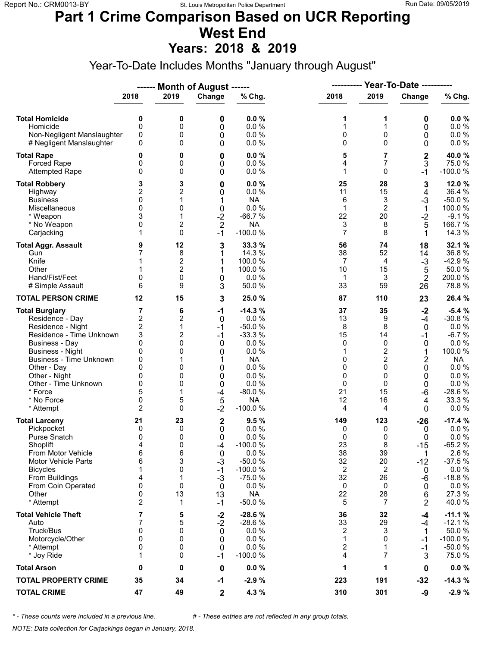# **Part 1 Crime Comparison Based on UCR Reporting West End**

**Years: 2018 & 2019**

Year-To-Date Includes Months "January through August"

|                                                                                                                                                                                                                                                                               |                                                                                     |                                                                  | ------ Month of August ------                                                 |                                                                                                                                     | ----------                                                                   |                                                                                                      | <b>Year-To-Date ----------</b>                                                    |                                                                                                                                      |
|-------------------------------------------------------------------------------------------------------------------------------------------------------------------------------------------------------------------------------------------------------------------------------|-------------------------------------------------------------------------------------|------------------------------------------------------------------|-------------------------------------------------------------------------------|-------------------------------------------------------------------------------------------------------------------------------------|------------------------------------------------------------------------------|------------------------------------------------------------------------------------------------------|-----------------------------------------------------------------------------------|--------------------------------------------------------------------------------------------------------------------------------------|
|                                                                                                                                                                                                                                                                               | 2018                                                                                | 2019                                                             | Change                                                                        | % Chg.                                                                                                                              | 2018                                                                         | 2019                                                                                                 | Change                                                                            | % Chg.                                                                                                                               |
| <b>Total Homicide</b><br>Homicide<br>Non-Negligent Manslaughter<br># Negligent Manslaughter                                                                                                                                                                                   | 0<br>0<br>0<br>0                                                                    | 0<br>0<br>0<br>0                                                 | 0<br>0<br>0<br>0                                                              | 0.0%<br>0.0 %<br>0.0%<br>0.0%                                                                                                       | 1<br>1<br>0<br>0                                                             | 1<br>1<br>0<br>$\Omega$                                                                              | 0<br>0<br>0<br>0                                                                  | 0.0%<br>0.0 %<br>0.0 %<br>0.0 %                                                                                                      |
| <b>Total Rape</b><br>Forced Rape<br><b>Attempted Rape</b>                                                                                                                                                                                                                     | 0<br>0<br>0                                                                         | 0<br>0<br>0                                                      | 0<br>0<br>0                                                                   | $0.0 \%$<br>0.0%<br>0.0 %                                                                                                           | 5<br>4<br>1                                                                  | 7<br>7<br>$\Omega$                                                                                   | $\mathbf 2$<br>3<br>$-1$                                                          | 40.0%<br>75.0%<br>$-100.0%$                                                                                                          |
| <b>Total Robbery</b><br>Highway<br><b>Business</b><br>Miscellaneous<br>* Weapon<br>* No Weapon<br>Carjacking                                                                                                                                                                  | 3<br>2<br>0<br>0<br>3<br>0<br>1                                                     | 3<br>2<br>1<br>0<br>1<br>2<br>0                                  | 0<br>0<br>1<br>$\mathbf 0$<br>$-2$<br>$\overline{\mathbf{c}}$<br>$-1$         | 0.0%<br>0.0%<br><b>NA</b><br>0.0%<br>$-66.7%$<br><b>NA</b><br>$-100.0%$                                                             | 25<br>11<br>6<br>$\mathbf{1}$<br>22<br>3<br>7                                | 28<br>15<br>3<br>$\overline{c}$<br>20<br>8<br>8                                                      | 3<br>4<br>-3<br>$\mathbf 1$<br>$-2$<br>5<br>1                                     | 12.0%<br>36.4 %<br>$-50.0%$<br>100.0%<br>$-9.1%$<br>166.7%<br>14.3 %                                                                 |
| <b>Total Aggr. Assault</b><br>Gun<br>Knife<br>Other<br>Hand/Fist/Feet<br># Simple Assault                                                                                                                                                                                     | 9<br>7<br>1<br>0<br>6                                                               | 12<br>8<br>$\boldsymbol{2}$<br>2<br>$\mathbf 0$<br>9             | 3<br>1<br>1<br>1<br>0<br>3                                                    | 33.3 %<br>14.3 %<br>100.0%<br>100.0 %<br>0.0%<br>50.0%                                                                              | 56<br>38<br>7<br>10<br>1<br>33                                               | 74<br>52<br>4<br>15<br>3<br>59                                                                       | 18<br>14<br>$-3$<br>5<br>$\overline{2}$<br>26                                     | 32.1 %<br>36.8%<br>$-42.9%$<br>50.0%<br>200.0%<br>78.8%                                                                              |
| <b>TOTAL PERSON CRIME</b>                                                                                                                                                                                                                                                     | 12                                                                                  | 15                                                               | 3                                                                             | 25.0 %                                                                                                                              | 87                                                                           | 110                                                                                                  | 23                                                                                | 26.4%                                                                                                                                |
| <b>Total Burglary</b><br>Residence - Day<br>Residence - Night<br>Residence - Time Unknown<br><b>Business - Day</b><br><b>Business - Night</b><br><b>Business - Time Unknown</b><br>Other - Day<br>Other - Night<br>Other - Time Unknown<br>* Force<br>* No Force<br>* Attempt | 7<br>$\overline{\mathbf{c}}$<br>2<br>3<br>0<br>0<br>0<br>0<br>0<br>0<br>5<br>0<br>2 | 6<br>2<br>1<br>2<br>0<br>0<br>0<br>0<br>0<br>1<br>5<br>0         | $-1$<br>0<br>$-1$<br>$-1$<br>0<br>0<br>1<br>0<br>0<br>0<br>$-4$<br>5<br>$-2$  | $-14.3%$<br>0.0%<br>$-50.0%$<br>$-33.3%$<br>0.0%<br>0.0%<br><b>NA</b><br>0.0%<br>0.0%<br>0.0%<br>$-80.0%$<br><b>NA</b><br>$-100.0%$ | 37<br>13<br>8<br>15<br>0<br>1<br>0<br>$\mathbf 0$<br>0<br>0<br>21<br>12<br>4 | 35<br>9<br>8<br>14<br>0<br>$\boldsymbol{2}$<br>$\overline{c}$<br>$\Omega$<br>0<br>0<br>15<br>16<br>4 | $-2$<br>$-4$<br>0<br>$-1$<br>0<br>1<br>2<br>0<br>0<br>0<br>-6<br>4<br>$\mathbf 0$ | $-5.4%$<br>$-30.8%$<br>0.0%<br>$-6.7%$<br>0.0%<br>100.0%<br><b>NA</b><br>0.0 %<br>0.0%<br>$0.0 \%$<br>$-28.6%$<br>33.3 %<br>$0.0 \%$ |
| <b>Total Larceny</b><br>Pickpocket<br>Purse Snatch<br>Shoplift<br>From Motor Vehicle<br><b>Motor Vehicle Parts</b><br><b>Bicycles</b><br>From Buildings<br>From Coin Operated<br>Other<br>* Attempt                                                                           | 21<br>0<br>0<br>4<br>6<br>6<br>1<br>4<br>0<br>0<br>$\overline{2}$                   | 23<br>0<br>0<br>$\mathbf{0}$<br>6<br>3<br>0<br>1<br>0<br>13<br>1 | $\mathbf 2$<br>0<br>0<br>$-4$<br>0<br>$-3$<br>$-1$<br>$-3$<br>0<br>13<br>$-1$ | 9.5%<br>0.0%<br>0.0%<br>$-100.0%$<br>0.0 %<br>$-50.0%$<br>$-100.0%$<br>$-75.0%$<br>0.0%<br><b>NA</b><br>$-50.0%$                    | 149<br>0<br>0<br>23<br>38<br>32<br>2<br>32<br>0<br>22<br>5                   | 123<br>0<br>0<br>8<br>39<br>20<br>2<br>26<br>0<br>28<br>7                                            | $-26$<br>0<br>0<br>$-15$<br>1<br>$-12$<br>0<br>-6<br>0<br>6<br>2                  | $-17.4%$<br>$0.0 \%$<br>0.0%<br>$-65.2%$<br>2.6 %<br>$-37.5%$<br>0.0 %<br>$-18.8%$<br>$0.0 \%$<br>27.3 %<br>40.0%                    |
| <b>Total Vehicle Theft</b><br>Auto<br>Truck/Bus<br>Motorcycle/Other<br>* Attempt<br>* Joy Ride                                                                                                                                                                                | 7<br>7<br>0<br>0<br>0<br>1                                                          | 5<br>5<br>0<br>0<br>0<br>0                                       | $-2$<br>$-2$<br>0<br>0<br>0<br>$-1$                                           | $-28.6%$<br>$-28.6%$<br>0.0%<br>0.0%<br>0.0%<br>$-100.0%$                                                                           | 36<br>33<br>2<br>1<br>2<br>4                                                 | 32<br>29<br>3<br>0<br>1<br>7                                                                         | -4<br>-4<br>1<br>-1<br>$-1$<br>3                                                  | $-11.1%$<br>$-12.1%$<br>50.0%<br>$-100.0%$<br>$-50.0%$<br>75.0%                                                                      |
| <b>Total Arson</b>                                                                                                                                                                                                                                                            | 0                                                                                   | 0                                                                | $\mathbf 0$                                                                   | $0.0 \%$                                                                                                                            | 1                                                                            | 1                                                                                                    | 0                                                                                 | $0.0 \%$                                                                                                                             |
| <b>TOTAL PROPERTY CRIME</b>                                                                                                                                                                                                                                                   | 35                                                                                  | 34                                                               | $-1$                                                                          | $-2.9%$                                                                                                                             | 223                                                                          | 191                                                                                                  | $-32$                                                                             | $-14.3%$                                                                                                                             |
| <b>TOTAL CRIME</b>                                                                                                                                                                                                                                                            | 47                                                                                  | 49                                                               | $\overline{\mathbf{2}}$                                                       | 4.3 %                                                                                                                               | 310                                                                          | 301                                                                                                  | -9                                                                                | $-2.9%$                                                                                                                              |

*\* - These counts were included in a previous line. # - These entries are not reflected in any group totals.*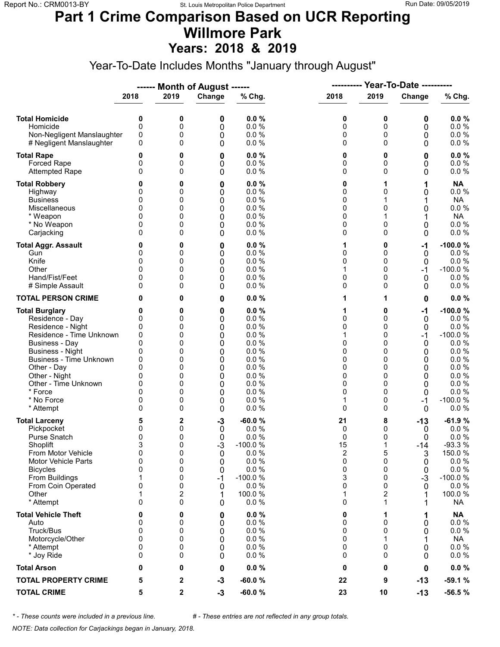#### **Part 1 Crime Comparison Based on UCR Reporting Willmore Park Years: 2018 & 2019**

Year-To-Date Includes Months "January through August"

|                                                                                                                                                                                                                                                                               |                                                                      |                                                               | ------ Month of August ------                                          |                                                                                                        | ----------                                                                  |                                                                      | <b>Year-To-Date ----------</b>                                                  |                                                                                                                              |
|-------------------------------------------------------------------------------------------------------------------------------------------------------------------------------------------------------------------------------------------------------------------------------|----------------------------------------------------------------------|---------------------------------------------------------------|------------------------------------------------------------------------|--------------------------------------------------------------------------------------------------------|-----------------------------------------------------------------------------|----------------------------------------------------------------------|---------------------------------------------------------------------------------|------------------------------------------------------------------------------------------------------------------------------|
|                                                                                                                                                                                                                                                                               | 2018                                                                 | 2019                                                          | Change                                                                 | % Chg.                                                                                                 | 2018                                                                        | 2019                                                                 | Change                                                                          | % Chg.                                                                                                                       |
| <b>Total Homicide</b><br>Homicide<br>Non-Negligent Manslaughter<br># Negligent Manslaughter                                                                                                                                                                                   | 0<br>0<br>0<br>0                                                     | 0<br>0<br>0<br>0                                              | 0<br>0<br>0<br>0                                                       | 0.0%<br>0.0%<br>0.0 %<br>0.0%                                                                          | 0<br>0<br>0<br>0                                                            | 0<br>0<br>0<br>$\Omega$                                              | 0<br>0<br>0<br>0                                                                | 0.0%<br>0.0 %<br>$0.0 \%$<br>0.0 %                                                                                           |
| <b>Total Rape</b><br>Forced Rape<br><b>Attempted Rape</b>                                                                                                                                                                                                                     | 0<br>0<br>$\Omega$                                                   | 0<br>0<br>0                                                   | 0<br>0<br>0                                                            | 0.0%<br>0.0%<br>0.0 %                                                                                  | 0<br>0<br>0                                                                 | 0<br>0<br>$\Omega$                                                   | 0<br>0<br>0                                                                     | 0.0%<br>0.0 %<br>0.0%                                                                                                        |
| <b>Total Robbery</b><br>Highway<br><b>Business</b><br>Miscellaneous<br>* Weapon<br>* No Weapon<br>Carjacking                                                                                                                                                                  | 0<br>0<br>0<br>0<br>0<br>$\Omega$                                    | 0<br>0<br>0<br>0<br>0<br>0<br>0                               | 0<br>0<br>0<br>0<br>0<br>0<br>0                                        | 0.0%<br>0.0%<br>0.0%<br>0.0 %<br>0.0%<br>0.0%<br>0.0 %                                                 | 0<br>0<br>0<br>0<br>0<br>0<br>0                                             | 1<br>0<br>1<br>0<br>0<br>0                                           | 1<br>0<br>0<br>0<br>0                                                           | <b>NA</b><br>0.0 %<br><b>NA</b><br>0.0 %<br><b>NA</b><br>$0.0 \%$<br>0.0%                                                    |
| <b>Total Aggr. Assault</b><br>Gun<br>Knife<br>Other<br>Hand/Fist/Feet<br># Simple Assault                                                                                                                                                                                     | 0<br>0<br>0<br><sup>0</sup><br>0<br>0                                | 0<br>0<br>0<br>0<br>0<br>0                                    | 0<br>0<br>0<br>0<br>0<br>0                                             | 0.0%<br>0.0%<br>0.0 %<br>0.0 %<br>0.0%<br>0.0%                                                         | 1<br>0<br>0<br>1<br>0<br>0                                                  | 0<br>0<br>0<br>$\Omega$<br>0<br>0                                    | -1<br>$\mathbf 0$<br>0<br>-1<br>0<br>$\Omega$                                   | $-100.0%$<br>0.0%<br>0.0 %<br>$-100.0%$<br>0.0%<br>0.0 %                                                                     |
| <b>TOTAL PERSON CRIME</b>                                                                                                                                                                                                                                                     | 0                                                                    | 0                                                             | 0                                                                      | 0.0%                                                                                                   | 1                                                                           | 1                                                                    | 0                                                                               | 0.0%                                                                                                                         |
| <b>Total Burglary</b><br>Residence - Day<br>Residence - Night<br>Residence - Time Unknown<br><b>Business - Day</b><br><b>Business - Night</b><br><b>Business - Time Unknown</b><br>Other - Day<br>Other - Night<br>Other - Time Unknown<br>* Force<br>* No Force<br>* Attempt | 0<br>0<br>0<br>0<br>0<br>0<br>0<br>$\Omega$<br>0<br>0<br>0<br>0<br>0 | 0<br>0<br>0<br>0<br>0<br>0<br>0<br>0<br>0<br>0<br>0<br>0<br>0 | 0<br>0<br>0<br>0<br>0<br>0<br>0<br>0<br>0<br>0<br>0<br>0<br>0          | 0.0%<br>0.0%<br>0.0%<br>0.0%<br>0.0%<br>0.0%<br>0.0%<br>0.0%<br>0.0%<br>0.0%<br>0.0%<br>0.0%<br>0.0%   | 1<br>0<br>0<br>1<br>0<br>0<br>0<br>0<br>0<br>0<br>0<br>$\mathbf{1}$<br>0    | 0<br>0<br>0<br>0<br>0<br>0<br>0<br>0<br>0<br>0<br>$\Omega$<br>0<br>0 | $-1$<br>0<br>0<br>$-1$<br>0<br>0<br>0<br>0<br>0<br>0<br>0<br>-1<br>$\mathbf{0}$ | $-100.0%$<br>0.0%<br>0.0%<br>$-100.0%$<br>0.0%<br>0.0%<br>0.0 %<br>0.0%<br>0.0%<br>$0.0 \%$<br>0.0%<br>$-100.0%$<br>$0.0 \%$ |
| <b>Total Larceny</b><br>Pickpocket<br>Purse Snatch<br>Shoplift<br>From Motor Vehicle<br>Motor Vehicle Parts<br><b>Bicycles</b><br>From Buildings<br>From Coin Operated<br>Other<br>* Attempt                                                                                  | 5<br>0<br>0<br>3<br>0<br>0<br>0<br>1<br>0<br>1<br>0                  | 2<br>0<br>0<br>0<br>0<br>0<br>0<br>0<br>0<br>2<br>0           | $-3$<br>$\mathbf 0$<br>0<br>$-3$<br>0<br>0<br>0<br>$-1$<br>0<br>1<br>0 | $-60.0%$<br>0.0%<br>0.0%<br>$-100.0%$<br>0.0 %<br>0.0%<br>0.0%<br>$-100.0%$<br>0.0%<br>100.0%<br>0.0 % | 21<br>0<br>0<br>15<br>$\overline{\mathbf{c}}$<br>0<br>0<br>3<br>0<br>1<br>0 | 8<br>0<br>0<br>1<br>5<br>0<br>0<br>0<br>0<br>2<br>1                  | $-13$<br>0<br>0<br>$-14$<br>3<br>0<br>0<br>$-3$<br>0                            | $-61.9%$<br>0.0%<br>0.0%<br>$-93.3%$<br>150.0%<br>0.0 %<br>0.0%<br>$-100.0%$<br>0.0%<br>100.0%<br><b>NA</b>                  |
| <b>Total Vehicle Theft</b><br>Auto<br>Truck/Bus<br>Motorcycle/Other<br>* Attempt<br>* Joy Ride                                                                                                                                                                                | 0<br>0<br>0<br>0<br>0<br>0                                           | 0<br>0<br>0<br>0<br>0<br>0                                    | 0<br>0<br>0<br>0<br>0<br>0                                             | 0.0%<br>0.0%<br>0.0 %<br>0.0 %<br>0.0 %<br>0.0%                                                        | 0<br>0<br>0<br>0<br>0<br>0                                                  | 1<br>0<br>0<br>1<br>0<br>0                                           | 1<br>0<br>0<br>0<br>0                                                           | <b>NA</b><br>0.0 %<br>$0.0 \%$<br><b>NA</b><br>$0.0 \%$<br>$0.0 \%$                                                          |
| <b>Total Arson</b>                                                                                                                                                                                                                                                            | 0                                                                    | 0                                                             | 0                                                                      | 0.0%                                                                                                   | 0                                                                           | 0                                                                    | 0                                                                               | $0.0 \%$                                                                                                                     |
| <b>TOTAL PROPERTY CRIME</b>                                                                                                                                                                                                                                                   | 5                                                                    | 2                                                             | $-3$                                                                   | $-60.0%$                                                                                               | 22                                                                          | 9                                                                    | $-13$                                                                           | $-59.1%$                                                                                                                     |
| <b>TOTAL CRIME</b>                                                                                                                                                                                                                                                            | 5                                                                    | 2                                                             | $-3$                                                                   | $-60.0%$                                                                                               | 23                                                                          | 10                                                                   | $-13$                                                                           | $-56.5%$                                                                                                                     |

*\* - These counts were included in a previous line. # - These entries are not reflected in any group totals.*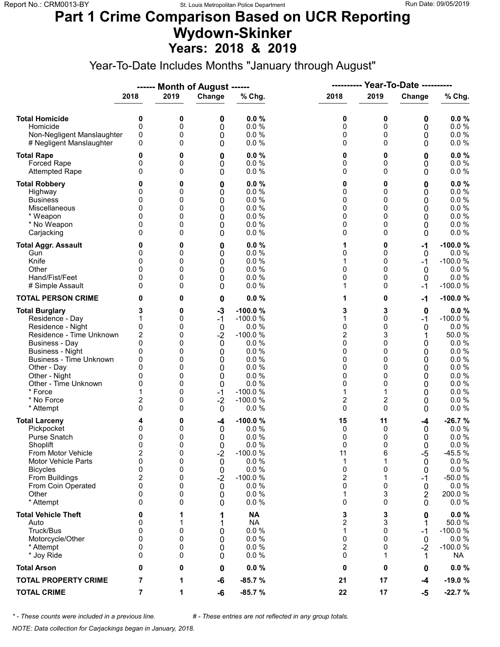#### **Part 1 Crime Comparison Based on UCR Reporting Wydown-Skinker Years: 2018 & 2019**

Year-To-Date Includes Months "January through August"

|                                                                                                                                                                                                                                                                               |                                                                                                                   |                                                               | ------ Month of August ------                                                                              |                                                                                                                               | ----------                                                                  |                                                                                                                 | <b>Year-To-Date ----------</b>                                   |                                                                                                                              |
|-------------------------------------------------------------------------------------------------------------------------------------------------------------------------------------------------------------------------------------------------------------------------------|-------------------------------------------------------------------------------------------------------------------|---------------------------------------------------------------|------------------------------------------------------------------------------------------------------------|-------------------------------------------------------------------------------------------------------------------------------|-----------------------------------------------------------------------------|-----------------------------------------------------------------------------------------------------------------|------------------------------------------------------------------|------------------------------------------------------------------------------------------------------------------------------|
|                                                                                                                                                                                                                                                                               | 2018                                                                                                              | 2019                                                          | Change                                                                                                     | % Chg.                                                                                                                        | 2018                                                                        | 2019                                                                                                            | Change                                                           | % Chg.                                                                                                                       |
| <b>Total Homicide</b><br>Homicide<br>Non-Negligent Manslaughter<br># Negligent Manslaughter                                                                                                                                                                                   | 0<br>$\mathbf 0$<br>0<br>0                                                                                        | 0<br>0<br>0<br>0                                              | 0<br>0<br>0<br>0                                                                                           | 0.0%<br>0.0 %<br>0.0%<br>0.0%                                                                                                 | 0<br>0<br>0<br>0                                                            | 0<br>0<br>0<br>$\Omega$                                                                                         | 0<br>0<br>0<br>0                                                 | 0.0%<br>0.0 %<br>$0.0 \%$<br>$0.0 \%$                                                                                        |
| <b>Total Rape</b><br>Forced Rape<br><b>Attempted Rape</b>                                                                                                                                                                                                                     | 0<br>0<br>$\Omega$                                                                                                | 0<br>0<br>0                                                   | 0<br>0<br>0                                                                                                | 0.0%<br>0.0%<br>0.0%                                                                                                          | 0<br>0<br>0                                                                 | 0<br>0<br>$\Omega$                                                                                              | 0<br>0<br>0                                                      | 0.0%<br>0.0 %<br>0.0 %                                                                                                       |
| <b>Total Robbery</b><br>Highway<br><b>Business</b><br>Miscellaneous<br>* Weapon<br>* No Weapon<br>Carjacking                                                                                                                                                                  | 0<br>0<br>0<br>0<br>0<br>$\Omega$                                                                                 | 0<br>0<br>0<br>0<br>0<br>0<br>0                               | 0<br>0<br>0<br>0<br>0<br>0<br>0                                                                            | 0.0%<br>0.0%<br>0.0%<br>0.0%<br>0.0%<br>0.0%<br>0.0%                                                                          | 0<br>0<br>0<br>0<br>0<br>0<br>0                                             | 0<br>0<br>0<br>0<br>0<br>0<br>0                                                                                 | 0<br>0<br>0<br>0<br>0<br>0<br>0                                  | 0.0%<br>0.0 %<br>0.0%<br>0.0 %<br>$0.0 \%$<br>$0.0 \%$<br>$0.0 \%$                                                           |
| <b>Total Aggr. Assault</b><br>Gun<br>Knife<br>Other<br>Hand/Fist/Feet<br># Simple Assault                                                                                                                                                                                     | 0<br>0<br>0<br>0<br>0<br>0                                                                                        | 0<br>0<br>0<br>0<br>0<br>0                                    | 0<br>0<br>0<br>0<br>0<br>0                                                                                 | 0.0%<br>0.0%<br>0.0%<br>0.0%<br>0.0 %<br>0.0%                                                                                 | 1<br>0<br>1<br>0<br>0<br>1                                                  | 0<br>0<br>0<br>0<br>0<br>0                                                                                      | -1<br>0<br>$-1$<br>0<br>0<br>$-1$                                | $-100.0%$<br>0.0%<br>$-100.0%$<br>0.0%<br>0.0%<br>$-100.0%$                                                                  |
| <b>TOTAL PERSON CRIME</b>                                                                                                                                                                                                                                                     | 0                                                                                                                 | 0                                                             | 0                                                                                                          | 0.0%                                                                                                                          | 1                                                                           | 0                                                                                                               | $-1$                                                             | $-100.0%$                                                                                                                    |
| <b>Total Burglary</b><br>Residence - Day<br>Residence - Night<br>Residence - Time Unknown<br><b>Business - Day</b><br><b>Business - Night</b><br><b>Business - Time Unknown</b><br>Other - Day<br>Other - Night<br>Other - Time Unknown<br>* Force<br>* No Force<br>* Attempt | 3<br>1<br>0<br>2<br>0<br>0<br>0<br>$\Omega$<br>0<br>0<br>$\overline{\mathbf{c}}$<br>0                             | 0<br>0<br>0<br>0<br>0<br>0<br>0<br>0<br>0<br>0<br>0<br>0<br>0 | $-3$<br>$-1$<br>$\mathbf 0$<br>$-2$<br>$\mathbf 0$<br>0<br>0<br>0<br>0<br>0<br>$-1$<br>$-2$<br>$\mathbf 0$ | $-100.0%$<br>$-100.0%$<br>0.0%<br>$-100.0%$<br>0.0%<br>0.0%<br>0.0%<br>0.0%<br>0.0%<br>0.0%<br>$-100.0%$<br>$-100.0%$<br>0.0% | 3<br>1<br>0<br>$\overline{2}$<br>0<br>0<br>0<br>0<br>0<br>0<br>1<br>2<br>0  | 3<br>$\Omega$<br>0<br>3<br>$\Omega$<br>0<br>0<br>$\Omega$<br>0<br>0<br>1<br>$\overline{\mathbf{c}}$<br>$\Omega$ | 0<br>$-1$<br>0<br>1<br>0<br>0<br>0<br>0<br>0<br>0<br>0<br>0<br>0 | $0.0 \%$<br>$-100.0%$<br>0.0%<br>50.0%<br>0.0%<br>0.0%<br>0.0 %<br>0.0 %<br>0.0%<br>$0.0 \%$<br>$0.0 \%$<br>0.0%<br>$0.0 \%$ |
| <b>Total Larceny</b><br>Pickpocket<br>Purse Snatch<br>Shoplift<br>From Motor Vehicle<br>Motor Vehicle Parts<br><b>Bicycles</b><br>From Buildings<br>From Coin Operated<br>Other<br>* Attempt                                                                                  | 4<br>0<br>0<br>$\mathbf{0}$<br>$\overline{\mathbf{c}}$<br>0<br>0<br>$\overline{\mathbf{c}}$<br>0<br>0<br>$\Omega$ | 0<br>0<br>0<br>0<br>0<br>0<br>0<br>0<br>0<br>0<br>0           | -4<br>0<br>0<br>0<br>$-2$<br>0<br>0<br>$-2$<br>0<br>0<br>0                                                 | $-100.0%$<br>0.0%<br>0.0%<br>0.0%<br>$-100.0%$<br>0.0%<br>0.0%<br>$-100.0%$<br>0.0%<br>0.0%<br>0.0%                           | 15<br>0<br>0<br>0<br>11<br>1<br>0<br>$\overline{\mathbf{c}}$<br>0<br>1<br>0 | 11<br>0<br>0<br>$\Omega$<br>6<br>1<br>0<br>1<br>0<br>3<br>0                                                     | -4<br>0<br>0<br>0<br>$-5$<br>0<br>0<br>$-1$<br>0<br>2<br>0       | $-26.7%$<br>$0.0 \%$<br>0.0%<br>0.0%<br>$-45.5%$<br>$0.0 \%$<br>$0.0 \%$<br>$-50.0%$<br>$0.0 \%$<br>200.0%<br>$0.0 \%$       |
| <b>Total Vehicle Theft</b><br>Auto<br>Truck/Bus<br>Motorcycle/Other<br>* Attempt<br>* Joy Ride                                                                                                                                                                                | 0<br>0<br>0<br>0<br>0<br>0                                                                                        | 1<br>0<br>0<br>0<br>0                                         | 1<br>1<br>0<br>0<br>0<br>0                                                                                 | <b>NA</b><br><b>NA</b><br>0.0 %<br>0.0 %<br>0.0%<br>0.0%                                                                      | 3<br>$\overline{c}$<br>1<br>0<br>2<br>0                                     | 3<br>3<br>0<br>$\Omega$<br>0<br>1                                                                               | 0<br>1<br>$-1$<br>0<br>$-2$<br>1                                 | 0.0%<br>50.0%<br>$-100.0%$<br>$0.0 \%$<br>$-100.0%$<br><b>NA</b>                                                             |
| <b>Total Arson</b>                                                                                                                                                                                                                                                            | 0                                                                                                                 | 0                                                             | 0                                                                                                          | 0.0%                                                                                                                          | 0                                                                           | 0                                                                                                               | 0                                                                | $0.0 \%$                                                                                                                     |
| <b>TOTAL PROPERTY CRIME</b>                                                                                                                                                                                                                                                   | 7                                                                                                                 | 1                                                             | -6                                                                                                         | $-85.7%$                                                                                                                      | 21                                                                          | 17                                                                                                              | -4                                                               | $-19.0%$                                                                                                                     |
| <b>TOTAL CRIME</b>                                                                                                                                                                                                                                                            | 7                                                                                                                 | 1                                                             | -6                                                                                                         | $-85.7%$                                                                                                                      | 22                                                                          | 17                                                                                                              | -5                                                               | $-22.7%$                                                                                                                     |

*\* - These counts were included in a previous line. # - These entries are not reflected in any group totals.*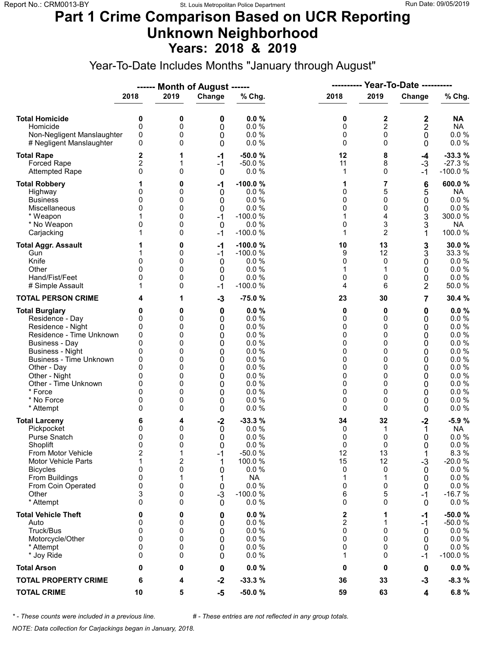### **Part 1 Crime Comparison Based on UCR Reporting Unknown Neighborhood Years: 2018 & 2019**

Year-To-Date Includes Months "January through August"

|                                                                                                                                                                                                                                                                               |                                                                                             |                                                               | ------ Month of August ------                                                 |                                                                                                            | ----------                                                    |                                                                                           | <b>Year-To-Date ----------</b>                                |                                                                                                                         |
|-------------------------------------------------------------------------------------------------------------------------------------------------------------------------------------------------------------------------------------------------------------------------------|---------------------------------------------------------------------------------------------|---------------------------------------------------------------|-------------------------------------------------------------------------------|------------------------------------------------------------------------------------------------------------|---------------------------------------------------------------|-------------------------------------------------------------------------------------------|---------------------------------------------------------------|-------------------------------------------------------------------------------------------------------------------------|
|                                                                                                                                                                                                                                                                               | 2018                                                                                        | 2019                                                          | Change                                                                        | % Chg.                                                                                                     | 2018                                                          | 2019                                                                                      | Change                                                        | % Chg.                                                                                                                  |
| <b>Total Homicide</b><br>Homicide<br>Non-Negligent Manslaughter<br># Negligent Manslaughter                                                                                                                                                                                   | 0<br>$\mathbf 0$<br>0<br>0                                                                  | 0<br>0<br>0<br>0                                              | 0<br>0<br>0<br>0                                                              | 0.0%<br>0.0%<br>0.0%<br>0.0%                                                                               | 0<br>0<br>0<br>0                                              | 2<br>$\overline{c}$<br>$\mathbf 0$<br>$\Omega$                                            | 2<br>2<br>0<br>0                                              | NA<br><b>NA</b><br>$0.0 \%$<br>0.0 %                                                                                    |
| <b>Total Rape</b><br>Forced Rape<br><b>Attempted Rape</b>                                                                                                                                                                                                                     | 2<br>2<br>0                                                                                 | 1<br>1<br>0                                                   | $-1$<br>$-1$<br>0                                                             | $-50.0%$<br>$-50.0%$<br>0.0%                                                                               | 12<br>11<br>1                                                 | 8<br>8<br>$\Omega$                                                                        | -4<br>$-3$<br>-1                                              | $-33.3%$<br>$-27.3%$<br>$-100.0%$                                                                                       |
| <b>Total Robbery</b><br>Highway<br><b>Business</b><br>Miscellaneous<br>* Weapon<br>* No Weapon<br>Carjacking                                                                                                                                                                  | 0<br>0<br>0<br>0<br>1                                                                       | 0<br>0<br>0<br>0<br>0<br>0<br>0                               | -1<br>0<br>0<br>0<br>$-1$<br>0<br>$-1$                                        | $-100.0%$<br>0.0%<br>0.0%<br>0.0%<br>$-100.0%$<br>0.0 %<br>$-100.0%$                                       | 1<br>0<br>0<br>0<br>1<br>0<br>1                               | 7<br>5<br>0<br>$\mathbf{0}$<br>4<br>3<br>$\overline{2}$                                   | 6<br>5<br>0<br>0<br>3<br>3<br>1                               | 600.0%<br><b>NA</b><br>0.0 %<br>$0.0 \%$<br>300.0%<br><b>NA</b><br>100.0 %                                              |
| <b>Total Aggr. Assault</b><br>Gun<br>Knife<br>Other<br>Hand/Fist/Feet<br># Simple Assault                                                                                                                                                                                     | 0<br>$\Omega$<br>0<br>1                                                                     | 0<br>0<br>0<br>0<br>0<br>0                                    | -1<br>$-1$<br>0<br>0<br>$\mathbf 0$<br>$-1$                                   | $-100.0%$<br>$-100.0%$<br>0.0%<br>0.0%<br>0.0%<br>$-100.0%$                                                | 10<br>9<br>0<br>1<br>0<br>4                                   | 13<br>12<br>0<br>1<br>0<br>6                                                              | 3<br>3<br>0<br>0<br>0<br>2                                    | 30.0%<br>33.3 %<br>$0.0 \%$<br>$0.0 \%$<br>$0.0 \%$<br>50.0%                                                            |
| <b>TOTAL PERSON CRIME</b>                                                                                                                                                                                                                                                     | 4                                                                                           | 1                                                             | $-3$                                                                          | $-75.0%$                                                                                                   | 23                                                            | 30                                                                                        | 7                                                             | 30.4 %                                                                                                                  |
| <b>Total Burglary</b><br>Residence - Day<br>Residence - Night<br>Residence - Time Unknown<br><b>Business - Day</b><br><b>Business - Night</b><br><b>Business - Time Unknown</b><br>Other - Day<br>Other - Night<br>Other - Time Unknown<br>* Force<br>* No Force<br>* Attempt | 0<br>0<br>0<br>0<br>$\mathbf{0}$<br>0<br>0<br>$\Omega$<br>0<br>0<br>0<br>0<br>0             | 0<br>0<br>0<br>0<br>0<br>0<br>0<br>0<br>0<br>0<br>0<br>0<br>0 | 0<br>0<br>0<br>0<br>0<br>0<br>0<br>0<br>0<br>0<br>0<br>0<br>0                 | 0.0%<br>0.0%<br>0.0%<br>0.0%<br>0.0%<br>0.0%<br>0.0%<br>0.0%<br>0.0%<br>0.0%<br>0.0%<br>0.0%<br>0.0%       | 0<br>0<br>0<br>0<br>0<br>0<br>0<br>0<br>0<br>0<br>0<br>0<br>0 | 0<br>0<br>0<br>0<br>$\Omega$<br>0<br>0<br>$\Omega$<br>0<br>0<br>$\Omega$<br>0<br>$\Omega$ | 0<br>0<br>0<br>0<br>0<br>0<br>0<br>0<br>0<br>0<br>0<br>0<br>0 | 0.0%<br>0.0%<br>0.0%<br>0.0 %<br>0.0%<br>0.0%<br>0.0 %<br>0.0 %<br>0.0%<br>$0.0 \%$<br>$0.0 \%$<br>$0.0 \%$<br>$0.0 \%$ |
| <b>Total Larceny</b><br>Pickpocket<br>Purse Snatch<br>Shoplift<br>From Motor Vehicle<br>Motor Vehicle Parts<br><b>Bicycles</b><br>From Buildings<br>From Coin Operated<br>Other<br>* Attempt                                                                                  | 6<br>0<br>0<br>$\mathbf{0}$<br>$\overline{\mathbf{c}}$<br>1<br>0<br>0<br>0<br>3<br>$\Omega$ | 4<br>0<br>0<br>0<br>1<br>2<br>0<br>1<br>0<br>0<br>0           | $-2$<br>0<br>0<br>$\Omega$<br>$-1$<br>1<br>0<br>1<br>0<br>$-3$<br>$\mathbf 0$ | $-33.3%$<br>0.0%<br>0.0%<br>0.0%<br>$-50.0%$<br>100.0 %<br>0.0 %<br><b>NA</b><br>0.0%<br>$-100.0%$<br>0.0% | 34<br>0<br>0<br>0<br>12<br>15<br>0<br>1<br>0<br>6<br>0        | 32<br>1<br>0<br>$\Omega$<br>13<br>12<br>0<br>1<br>0<br>5<br>0                             | $-2$<br>1<br>0<br>0<br>1<br>$-3$<br>0<br>0<br>0<br>$-1$<br>0  | $-5.9%$<br><b>NA</b><br>0.0%<br>0.0%<br>8.3%<br>$-20.0%$<br>0.0 %<br>0.0 %<br>$0.0 \%$<br>$-16.7%$<br>$0.0 \%$          |
| <b>Total Vehicle Theft</b><br>Auto<br>Truck/Bus<br>Motorcycle/Other<br>* Attempt<br>* Joy Ride                                                                                                                                                                                | 0<br>0<br>0<br>0<br>0<br>0                                                                  | 0<br>0<br>0<br>0<br>0<br>0                                    | 0<br>0<br>0<br>0<br>0<br>0                                                    | 0.0%<br>0.0 %<br>0.0 %<br>0.0%<br>0.0%<br>0.0%                                                             | 2<br>$\overline{\mathbf{c}}$<br>0<br>0<br>0<br>1              | 1<br>1<br>0<br>$\Omega$<br>0<br>0                                                         | -1<br>$-1$<br>0<br>0<br>0<br>-1                               | $-50.0%$<br>$-50.0%$<br>$0.0 \%$<br>0.0 %<br>0.0 %<br>$-100.0%$                                                         |
| <b>Total Arson</b>                                                                                                                                                                                                                                                            | 0                                                                                           | 0                                                             | 0                                                                             | 0.0%                                                                                                       | 0                                                             | 0                                                                                         | 0                                                             | $0.0 \%$                                                                                                                |
| <b>TOTAL PROPERTY CRIME</b>                                                                                                                                                                                                                                                   | 6                                                                                           | 4                                                             | $-2$                                                                          | $-33.3%$                                                                                                   | 36                                                            | 33                                                                                        | $-3$                                                          | $-8.3%$                                                                                                                 |
| <b>TOTAL CRIME</b>                                                                                                                                                                                                                                                            | 10                                                                                          | 5                                                             | $-5$                                                                          | $-50.0%$                                                                                                   | 59                                                            | 63                                                                                        | 4                                                             | 6.8 %                                                                                                                   |

*\* - These counts were included in a previous line. # - These entries are not reflected in any group totals.*